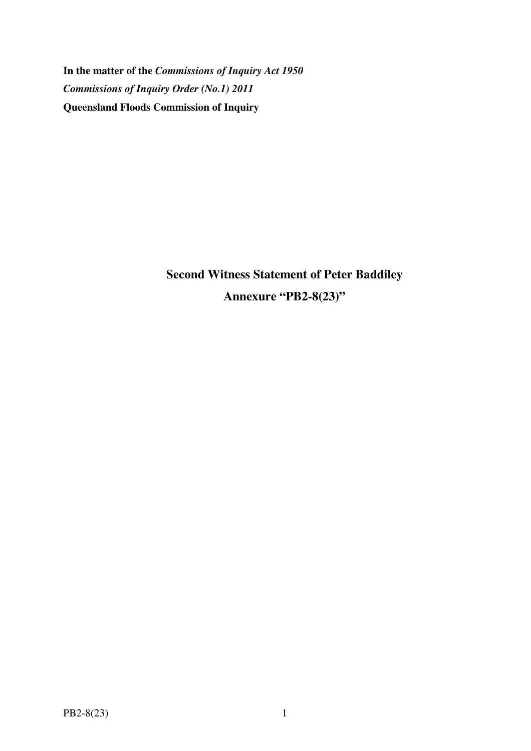**In the matter of the** *Commissions of Inquiry Act 1950 Commissions of Inquiry Order (No.1) 2011* **Queensland Floods Commission of Inquiry** 

> **Second Witness Statement of Peter Baddiley Annexure "PB2-8(23)"**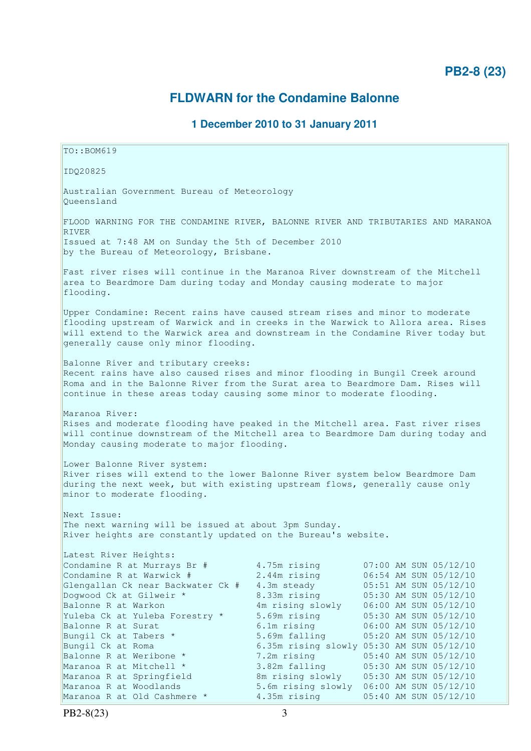# **PB2-8 (23)**

# **FLDWARN for the Condamine Balonne**

## **1 December 2010 to 31 January 2011**

TO::BOM619 IDQ20825 Australian Government Bureau of Meteorology Queensland FLOOD WARNING FOR THE CONDAMINE RIVER, BALONNE RIVER AND TRIBUTARIES AND MARANOA RIVER Issued at 7:48 AM on Sunday the 5th of December 2010 by the Bureau of Meteorology, Brisbane. Fast river rises will continue in the Maranoa River downstream of the Mitchell area to Beardmore Dam during today and Monday causing moderate to major flooding. Upper Condamine: Recent rains have caused stream rises and minor to moderate flooding upstream of Warwick and in creeks in the Warwick to Allora area. Rises will extend to the Warwick area and downstream in the Condamine River today but generally cause only minor flooding. Balonne River and tributary creeks: Recent rains have also caused rises and minor flooding in Bungil Creek around Roma and in the Balonne River from the Surat area to Beardmore Dam. Rises will continue in these areas today causing some minor to moderate flooding. Maranoa River: Rises and moderate flooding have peaked in the Mitchell area. Fast river rises will continue downstream of the Mitchell area to Beardmore Dam during today and Monday causing moderate to major flooding. Lower Balonne River system: River rises will extend to the lower Balonne River system below Beardmore Dam during the next week, but with existing upstream flows, generally cause only minor to moderate flooding. Next Issue: The next warning will be issued at about 3pm Sunday. River heights are constantly updated on the Bureau's website. Latest River Heights: Condamine R at Murrays Br  $\#$  4.75m rising  $07:00$  AM SUN 05/12/10 Condamine R at Warwick # 2.44m rising 06:54 AM SUN 05/12/10 Glengallan Ck near Backwater Ck # 4.3m steady 05:51 AM SUN 05/12/10 Dogwood Ck at Gilweir \* 8.33m rising 05:30 AM SUN 05/12/10 Balonne R at Warkon 4m rising slowly 06:00 AM SUN 05/12/10 Yuleba Ck at Yuleba Forestry \* 5.69m rising 05:30 AM SUN 05/12/10 Balonne R at Surat 1988 100 CM 6.1m rising 196:00 AM SUN 05/12/10 Bungil Ck at Tabers \* 5.69m falling 05:20 AM SUN 05/12/10 Bungil Ck at Roma 6.35m rising slowly 05:30 AM SUN 05/12/10 Balonne R at Weribone \* 7.2m rising 05:40 AM SUN 05/12/10 Maranoa R at Mitchell \* 3.82m falling 05:30 AM SUN 05/12/10 Maranoa R at Springfield 8m rising slowly 05:30 AM SUN 05/12/10 Maranoa R at Woodlands 5.6m rising slowly 06:00 AM SUN 05/12/10 Maranoa R at Old Cashmere \* 4.35m rising 05:40 AM SUN 05/12/10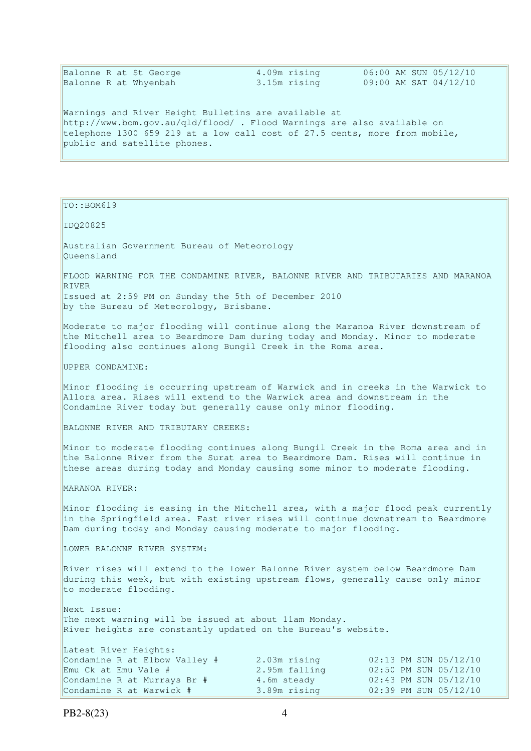| Balonne R at St George                                                     | 4.09m rising | 06:00 AM SUN 05/12/10 |
|----------------------------------------------------------------------------|--------------|-----------------------|
| Balonne R at Whyenbah                                                      | 3.15m rising | 09:00 AM SAT 04/12/10 |
|                                                                            |              |                       |
|                                                                            |              |                       |
| Warnings and River Height Bulletins are available at                       |              |                       |
| http://www.bom.gov.au/gld/flood/ . Flood Warnings are also available on    |              |                       |
| telephone 1300 659 219 at a low call cost of 27.5 cents, more from mobile, |              |                       |
| public and satellite phones.                                               |              |                       |
|                                                                            |              |                       |
|                                                                            |              |                       |

TO::BOM619

IDQ20825

Australian Government Bureau of Meteorology Queensland

FLOOD WARNING FOR THE CONDAMINE RIVER, BALONNE RIVER AND TRIBUTARIES AND MARANOA RIVER Issued at 2:59 PM on Sunday the 5th of December 2010

by the Bureau of Meteorology, Brisbane.

Moderate to major flooding will continue along the Maranoa River downstream of the Mitchell area to Beardmore Dam during today and Monday. Minor to moderate flooding also continues along Bungil Creek in the Roma area.

UPPER CONDAMINE:

Minor flooding is occurring upstream of Warwick and in creeks in the Warwick to Allora area. Rises will extend to the Warwick area and downstream in the Condamine River today but generally cause only minor flooding.

BALONNE RIVER AND TRIBUTARY CREEKS:

Minor to moderate flooding continues along Bungil Creek in the Roma area and in the Balonne River from the Surat area to Beardmore Dam. Rises will continue in these areas during today and Monday causing some minor to moderate flooding.

MARANOA RIVER:

Minor flooding is easing in the Mitchell area, with a major flood peak currently in the Springfield area. Fast river rises will continue downstream to Beardmore Dam during today and Monday causing moderate to major flooding.

LOWER BALONNE RIVER SYSTEM:

River rises will extend to the lower Balonne River system below Beardmore Dam during this week, but with existing upstream flows, generally cause only minor to moderate flooding.

Next Issue: The next warning will be issued at about 11am Monday. River heights are constantly updated on the Bureau's website.

| Latest River Heights:         |               |                       |
|-------------------------------|---------------|-----------------------|
| Condamine R at Elbow Valley # | 2.03m rising  | 02:13 PM SUN 05/12/10 |
| Emu Ck at Emu Vale #          | 2.95m falling | 02:50 PM SUN 05/12/10 |
| Condamine R at Murrays Br #   | 4.6m steady   | 02:43 PM SUN 05/12/10 |
| Condamine R at Warwick #      | 3.89m rising  | 02:39 PM SUN 05/12/10 |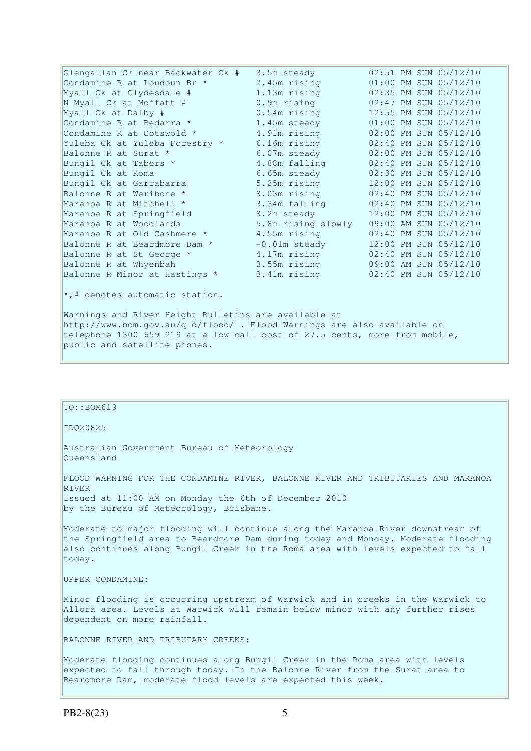| Glengallan Ck near Backwater Ck #                    | 3.5m steady        | 02:51 PM SUN 05/12/10 |
|------------------------------------------------------|--------------------|-----------------------|
| Condamine R at Loudoun Br *                          | 2.45m rising       | 01:00 PM SUN 05/12/10 |
| Myall Ck at Clydesdale #                             | 1.13m rising       | 02:35 PM SUN 05/12/10 |
| N Myall Ck at Moffatt #                              | 0.9m rising        | 02:47 PM SUN 05/12/10 |
| Myall Ck at Dalby #                                  | $0.54$ m rising    | 12:55 PM SUN 05/12/10 |
| Condamine R at Bedarra *                             | 1.45m steady       | 01:00 PM SUN 05/12/10 |
| Condamine R at Cotswold *                            | 4.91m rising       | 02:00 PM SUN 05/12/10 |
| Yuleba Ck at Yuleba Forestry *                       | 6.16m rising       | 02:40 PM SUN 05/12/10 |
| Balonne R at Surat *                                 | 6.07m steady       | 02:00 PM SUN 05/12/10 |
| Bungil Ck at Tabers *                                | 4.88m falling      | 02:40 PM SUN 05/12/10 |
| Bungil Ck at Roma                                    | 6.65m steady       | 02:30 PM SUN 05/12/10 |
| Bungil Ck at Garrabarra                              | 5.25m rising       | 12:00 PM SUN 05/12/10 |
| Balonne R at Weribone *                              | 8.03m rising       | 02:40 PM SUN 05/12/10 |
| Maranoa R at Mitchell *                              | 3.34m falling      | 02:40 PM SUN 05/12/10 |
| Maranoa R at Springfield                             | 8.2m steady        | 12:00 PM SUN 05/12/10 |
| Maranoa R at Woodlands                               | 5.8m rising slowly | 09:00 AM SUN 05/12/10 |
| Maranoa R at Old Cashmere *                          | 4.55m rising       | 02:40 PM SUN 05/12/10 |
| Balonne R at Beardmore Dam *                         | $-0.01$ m steady   | 12:00 PM SUN 05/12/10 |
| Balonne R at St George *                             | 4.17m rising       | 02:40 PM SUN 05/12/10 |
| Balonne R at Whyenbah                                | 3.55m rising       | 09:00 AM SUN 05/12/10 |
| Balonne R Minor at Hastings *                        | 3.41m rising       | 02:40 PM SUN 05/12/10 |
|                                                      |                    |                       |
| $\star$ , # denotes automatic station.               |                    |                       |
| Warnings and River Height Bulletins are available at |                    |                       |

http://www.bom.gov.au/qld/flood/ . Flood Warnings are also available on telephone 1300 659 219 at a low call cost of 27.5 cents, more from mobile, public and satellite phones.

| $TO: BOM619$                                                                                                                                                                                                                                                    |
|-----------------------------------------------------------------------------------------------------------------------------------------------------------------------------------------------------------------------------------------------------------------|
| ID020825                                                                                                                                                                                                                                                        |
| Australian Government Bureau of Meteorology<br>Oueensland                                                                                                                                                                                                       |
| FLOOD WARNING FOR THE CONDAMINE RIVER, BALONNE RIVER AND TRIBUTARIES AND MARANOA<br><b>RIVER</b>                                                                                                                                                                |
| Issued at 11:00 AM on Monday the 6th of December 2010<br>by the Bureau of Meteorology, Brisbane.                                                                                                                                                                |
| Moderate to major flooding will continue along the Maranoa River downstream of<br>the Springfield area to Beardmore Dam during today and Monday. Moderate flooding<br>also continues along Bungil Creek in the Roma area with levels expected to fall<br>today. |
| UPPER CONDAMINE:                                                                                                                                                                                                                                                |
| Minor flooding is occurring upstream of Warwick and in creeks in the Warwick to<br>Allora area. Levels at Warwick will remain below minor with any further rises<br>dependent on more rainfall.                                                                 |
| BALONNE RIVER AND TRIBUTARY CREEKS:                                                                                                                                                                                                                             |
| Moderate flooding continues along Bungil Creek in the Roma area with levels<br>expected to fall through today. In the Balonne River from the Surat area to<br>Beardmore Dam, moderate flood levels are expected this week.                                      |
|                                                                                                                                                                                                                                                                 |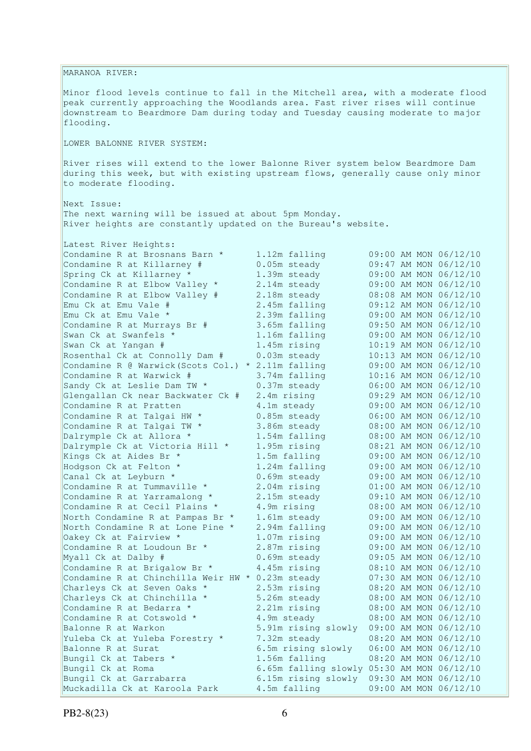MARANOA RIVER: Minor flood levels continue to fall in the Mitchell area, with a moderate flood peak currently approaching the Woodlands area. Fast river rises will continue downstream to Beardmore Dam during today and Tuesday causing moderate to major flooding. LOWER BALONNE RIVER SYSTEM: River rises will extend to the lower Balonne River system below Beardmore Dam during this week, but with existing upstream flows, generally cause only minor to moderate flooding. Next Issue: The next warning will be issued at about 5pm Monday. River heights are constantly updated on the Bureau's website. Latest River Heights: Condamine R at Brosnans Barn  $*$  1.12m falling  $09:00$  AM MON  $06/12/10$ Condamine R at Killarney # 0.05m steady 09:47 AM MON 06/12/10 Spring Ck at Killarney \* 1.39m steady 09:00 AM MON 06/12/10 Condamine R at Elbow Valley  $*$  2.14m steady 09:00 AM MON 06/12/10 Condamine R at Elbow Valley  $\#$  2.18m steady 08:08 AM MON 06/12/10 Emu Ck at Emu Vale # 2.45m falling 09:12 AM MON 06/12/10 Emu Ck at Emu Vale \* 2.39m falling 09:00 AM MON 06/12/10 Condamine R at Murrays Br # 3.65m falling 09:50 AM MON 06/12/10 Swan Ck at Swanfels \* 1.16m falling 09:00 AM MON 06/12/10 Swan Ck at Yangan # 1.45m rising 10:19 AM MON 06/12/10 Rosenthal Ck at Connolly Dam # 0.03m steady 10:13 AM MON 06/12/10 Condamine R  $\theta$  Warwick(Scots Col.) \* 2.11m falling 09:00 AM MON 06/12/10 Condamine R at Warwick # 3.74m falling 10:16 AM MON 06/12/10 Sandy Ck at Leslie Dam TW \* 0.37m steady 06:00 AM MON 06/12/10 Glengallan Ck near Backwater Ck # 2.4m rising 09:29 AM MON 06/12/10 Condamine R at Pratten 4.1m steady 09:00 AM MON 06/12/10 Condamine R at Talgai HW  $^*$  0.85m steady 06:00 AM MON 06/12/10 Condamine R at Talgai TW  $*$  3.86m steady 08:00 AM MON 06/12/10 Dalrymple Ck at Allora \* 1.54m falling 08:00 AM MON 06/12/10 Dalrymple Ck at Victoria Hill \* 1.95m rising 08:21 AM MON 06/12/10 Kings Ck at Aides Br  $*$  1.5m falling 09:00 AM MON 06/12/10 Hodgson Ck at Felton \* 1.24m falling 09:00 AM MON 06/12/10 Canal Ck at Leyburn  $\star$  0.69m steady 09:00 AM MON 06/12/10 Condamine R at Tummaville  $*$  2.04m rising  $01:00$  AM MON 06/12/10 Condamine R at Yarramalong  $*$  2.15m steady 09:10 AM MON 06/12/10 Condamine R at Cecil Plains  $*$  4.9m rising 08:00 AM MON 06/12/10 North Condamine R at Pampas Br \* 1.61m steady 09:00 AM MON 06/12/10 North Condamine R at Lone Pine \* 2.94m falling 09:00 AM MON 06/12/10 Oakey Ck at Fairview \* 1.07m rising 09:00 AM MON 06/12/10 Condamine R at Loudoun Br  $*$  2.87m rising 09:00 AM MON 06/12/10 Myall Ck at Dalby # 0.69m steady 09:05 AM MON 06/12/10 Condamine R at Brigalow Br  $*$  4.45m rising 08:10 AM MON 06/12/10 Condamine R at Chinchilla Weir HW  $*$  0.23m steady 07:30 AM MON 06/12/10 Charleys Ck at Seven Oaks  $*$  2.53m rising 08:20 AM MON 06/12/10 Charleys Ck at Chinchilla  $*$  5.26m steady 08:00 AM MON 06/12/10 Condamine R at Bedarra  $*$  2.21m rising 08:00 AM MON 06/12/10 Condamine R at Cotswold  $*$  4.9m steady 08:00 AM MON 06/12/10 Balonne R at Warkon 5.91m rising slowly 09:00 AM MON 06/12/10 Yuleba Ck at Yuleba Forestry \* 7.32m steady 08:20 AM MON 06/12/10 Balonne R at Surat 6.5m rising slowly 06:00 AM MON 06/12/10 Bungil Ck at Tabers \* 1.56m falling 08:20 AM MON 06/12/10 Bungil Ck at Tabers \* 1.56m falling 08:20 AM MON 06/12/10<br>
Bungil Ck at Roma 6.65m falling slowly 05:30 AM MON 06/12/10<br>
Bungil Ck at Garrabarra 6.15m rising slowly 09:30 AM MON 06/12/10 6.15m rising slowly 09:30 AM MON 06/12/10 Muckadilla Ck at Karoola Park 4.5m falling 09:00 AM MON 06/12/10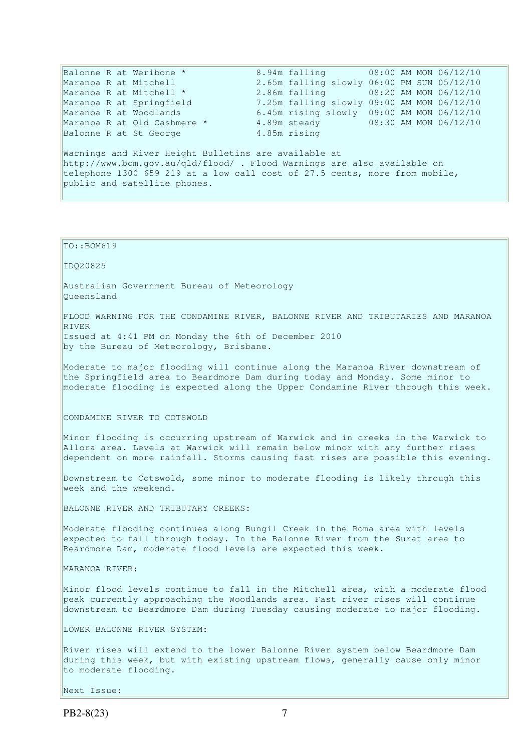Balonne R at Weribone \* 8.94m falling 08:00 AM MON 06/12/10 Maranoa R at Mitchell 2.65m falling slowly 06:00 PM SUN 05/12/10 Maranoa R at Mitchell \* 2.86m falling 08:20 AM MON 06/12/10<br>Maranoa R at Springfield 7.25m falling slowly 09:00 AM MON 06/12/10 7.25m falling slowly 09:00 AM MON 06/12/10 Maranoa R at Woodlands 6.45m rising slowly 09:00 AM MON 06/12/10<br>Maranoa R at Old Cashmere \* 4.89m steady 08:30 AM MON 06/12/10 Maranoa R at Old Cashmere \* 4.89m steady 08:30 AM MON 06/12/10 Balonne R at St George 4.85m rising Warnings and River Height Bulletins are available at http://www.bom.gov.au/qld/flood/ . Flood Warnings are also available on telephone 1300 659 219 at a low call cost of 27.5 cents, more from mobile, public and satellite phones.

TO::BOM619

IDQ20825

Australian Government Bureau of Meteorology Queensland

FLOOD WARNING FOR THE CONDAMINE RIVER, BALONNE RIVER AND TRIBUTARIES AND MARANOA RIVER Issued at 4:41 PM on Monday the 6th of December 2010

by the Bureau of Meteorology, Brisbane.

Moderate to major flooding will continue along the Maranoa River downstream of the Springfield area to Beardmore Dam during today and Monday. Some minor to moderate flooding is expected along the Upper Condamine River through this week.

CONDAMINE RIVER TO COTSWOLD

Minor flooding is occurring upstream of Warwick and in creeks in the Warwick to Allora area. Levels at Warwick will remain below minor with any further rises dependent on more rainfall. Storms causing fast rises are possible this evening.

Downstream to Cotswold, some minor to moderate flooding is likely through this week and the weekend.

BALONNE RIVER AND TRIBUTARY CREEKS:

Moderate flooding continues along Bungil Creek in the Roma area with levels expected to fall through today. In the Balonne River from the Surat area to Beardmore Dam, moderate flood levels are expected this week.

MARANOA RIVER:

Minor flood levels continue to fall in the Mitchell area, with a moderate flood peak currently approaching the Woodlands area. Fast river rises will continue downstream to Beardmore Dam during Tuesday causing moderate to major flooding.

LOWER BALONNE RIVER SYSTEM:

River rises will extend to the lower Balonne River system below Beardmore Dam during this week, but with existing upstream flows, generally cause only minor to moderate flooding.

Next Issue: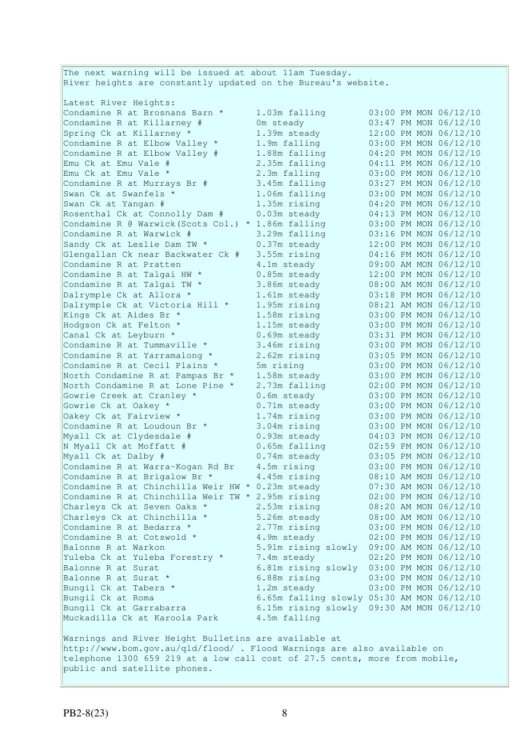The next warning will be issued at about 11am Tuesday. River heights are constantly updated on the Bureau's website. Latest River Heights: Condamine R at Brosnans Barn  $*$  1.03m falling  $03:00$  PM MON  $06/12/10$ Condamine R at Killarney # 0m steady 03:47 PM MON 06/12/10 Spring Ck at Killarney  $*$  1.39m steady 12:00 PM MON 06/12/10 Condamine R at Elbow Valley  $*$  1.9m falling  $03:00$  PM MON  $06/12/10$ Condamine R at Elbow Valley  $\#$  1.88m falling  $04:20$  PM MON  $06/12/10$ Emu Ck at Emu Vale # 2.35m falling 04:11 PM MON 06/12/10 Emu Ck at Emu Vale \* 2.3m falling 03:00 PM MON 06/12/10 Condamine R at Murrays Br  $\#$  3.45m falling  $03:27$  PM MON  $06/12/10$ Swan Ck at Swanfels \* 1.06m falling 03:00 PM MON 06/12/10 Swan Ck at Yangan # 1.35m rising 04:20 PM MON 06/12/10 Rosenthal Ck at Connolly Dam # 0.03m steady 04:13 PM MON 06/12/10 Condamine R  $\theta$  Warwick(Scots Col.) \* 1.86m falling 03:00 PM MON 06/12/10 Condamine R at Warwick # 3.29m falling 03:16 PM MON 06/12/10 Sandy Ck at Leslie Dam TW \* 0.37m steady 12:00 PM MON 06/12/10 Glengallan Ck near Backwater Ck # 3.55m rising 04:16 PM MON 06/12/10 Condamine R at Pratten 4.1m steady 09:00 AM MON 06/12/10 Condamine R at Talgai HW  $^*$  0.85m steady 12:00 PM MON 06/12/10 Condamine R at Talgai TW  $*$  3.86m steady 08:00 AM MON 06/12/10 Dalrymple Ck at Allora \* 1.61m steady 03:18 PM MON 06/12/10 Dalrymple Ck at Victoria Hill \* 1.95m rising 08:21 AM MON 06/12/10 Kings Ck at Aides Br  $*$  1.58m rising 03:00 PM MON 06/12/10 Hodgson Ck at Felton \* 1.15m steady 03:00 PM MON 06/12/10 Canal Ck at Leyburn  $\star$  0.69m steady 03:31 PM MON 06/12/10 Condamine R at Tummaville  $*$  3.46m rising 03:00 PM MON 06/12/10 Condamine R at Yarramalong  $*$  2.62m rising 03:05 PM MON 06/12/10 Condamine R at Cecil Plains \* 5m rising 03:00 PM MON 06/12/10 North Condamine R at Pampas Br \* 1.58m steady 03:00 PM MON 06/12/10 North Condamine R at Lone Pine \* 2.73m falling 02:00 PM MON 06/12/10 Gowrie Creek at Cranley \* 0.6m steady 03:00 PM MON 06/12/10 Gowrie Ck at Oakey \* 0.71m steady 03:00 PM MON 06/12/10 Oakey Ck at Fairview \* 1.74m rising 03:00 PM MON 06/12/10 Condamine R at Loudoun Br  $*$  3.04m rising 03:00 PM MON 06/12/10 Myall Ck at Clydesdale # 0.93m steady 04:03 PM MON 06/12/10 N Myall Ck at Moffatt # 0.65m falling 02:59 PM MON 06/12/10 Myall Ck at Dalby # 0.74m steady 03:05 PM MON 06/12/10 Condamine R at Warra-Kogan Rd Br 4.5m rising 03:00 PM MON 06/12/10 Condamine R at Brigalow Br  $*$  4.45m rising 08:10 AM MON 06/12/10 Condamine R at Chinchilla Weir HW  $*$  0.23m steady 07:30 AM MON 06/12/10 Condamine R at Chinchilla Weir TW  $*$  2.95m rising 02:00 PM MON 06/12/10 Charleys Ck at Seven Oaks  $*$  2.53m rising 08:20 AM MON 06/12/10 Charleys Ck at Chinchilla  $*$  5.26m steady 08:00 AM MON 06/12/10 Condamine R at Bedarra  $*$  2.77m rising 03:00 PM MON 06/12/10 Condamine R at Cotswold  $*$  4.9m steady 02:00 PM MON 06/12/10 Balonne R at Warkon 5.91m rising slowly 09:00 AM MON 06/12/10 Yuleba Ck at Yuleba Forestry \* 7.4m steady 02:20 PM MON 06/12/10 Balonne R at Surat 6.81m rising slowly 03:00 PM MON 06/12/10 Balonne R at Surat 6.81m rising slowly 03:00 PM MON 06/12/10<br>Balonne R at Surat \* 6.88m rising 03:00 PM MON 06/12/10<br>Bungil Ck at Tabers \* 1.2m steady 03:00 PM MON 06/12/10 Bungil Ck at Tabers \* 1.2m steady 03:00 PM MON 06/12/10 Bungil Ck at Roma 6.65m falling slowly 05:30 AM MON 06/12/10 Bungil Ck at Garrabarra 6.15m rising slowly 09:30 AM MON 06/12/10 Muckadilla Ck at Karoola Park 4.5m falling Warnings and River Height Bulletins are available at http://www.bom.gov.au/qld/flood/ . Flood Warnings are also available on telephone 1300 659 219 at a low call cost of 27.5 cents, more from mobile, public and satellite phones.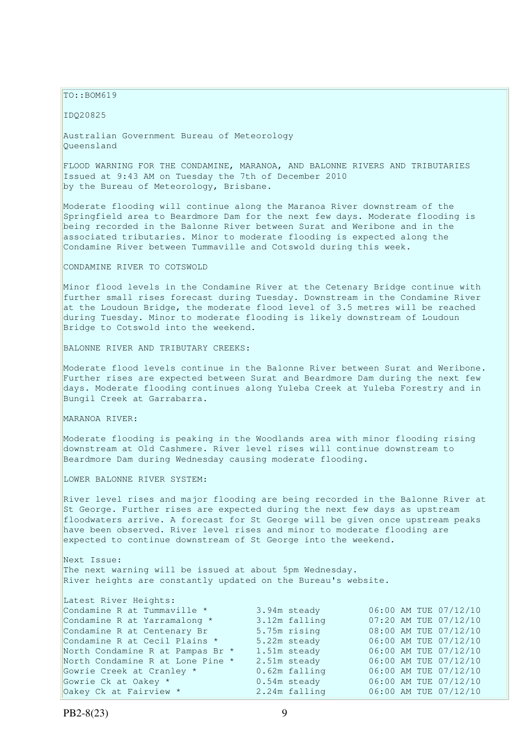$TO: **ROM619**$ 

IDQ20825

Australian Government Bureau of Meteorology Queensland

FLOOD WARNING FOR THE CONDAMINE, MARANOA, AND BALONNE RIVERS AND TRIBUTARIES Issued at 9:43 AM on Tuesday the 7th of December 2010 by the Bureau of Meteorology, Brisbane.

Moderate flooding will continue along the Maranoa River downstream of the Springfield area to Beardmore Dam for the next few days. Moderate flooding is being recorded in the Balonne River between Surat and Weribone and in the associated tributaries. Minor to moderate flooding is expected along the Condamine River between Tummaville and Cotswold during this week.

CONDAMINE RIVER TO COTSWOLD

Minor flood levels in the Condamine River at the Cetenary Bridge continue with further small rises forecast during Tuesday. Downstream in the Condamine River at the Loudoun Bridge, the moderate flood level of 3.5 metres will be reached during Tuesday. Minor to moderate flooding is likely downstream of Loudoun Bridge to Cotswold into the weekend.

BALONNE RIVER AND TRIBUTARY CREEKS:

Moderate flood levels continue in the Balonne River between Surat and Weribone. Further rises are expected between Surat and Beardmore Dam during the next few days. Moderate flooding continues along Yuleba Creek at Yuleba Forestry and in Bungil Creek at Garrabarra.

MARANOA RIVER:

Moderate flooding is peaking in the Woodlands area with minor flooding rising downstream at Old Cashmere. River level rises will continue downstream to Beardmore Dam during Wednesday causing moderate flooding.

LOWER BALONNE RIVER SYSTEM:

River level rises and major flooding are being recorded in the Balonne River at St George. Further rises are expected during the next few days as upstream floodwaters arrive. A forecast for St George will be given once upstream peaks have been observed. River level rises and minor to moderate flooding are expected to continue downstream of St George into the weekend.

Next Issue: The next warning will be issued at about 5pm Wednesday. River heights are constantly updated on the Bureau's website.

| Condamine R at Tummaville *      | 3.94m steady   | 06:00 AM TUE 07/12/10 |
|----------------------------------|----------------|-----------------------|
| Condamine R at Yarramalong *     | 3.12m falling  | 07:20 AM TUE 07/12/10 |
| Condamine R at Centenary Br      | 5.75m rising   | 08:00 AM TUE 07/12/10 |
| Condamine R at Cecil Plains *    | 5.22m steady   | 06:00 AM TUE 07/12/10 |
| North Condamine R at Pampas Br * | 1.51m steady   | 06:00 AM TUE 07/12/10 |
| North Condamine R at Lone Pine * | 2.51m steady   | 06:00 AM TUE 07/12/10 |
| Gowrie Creek at Cranley *        | 0.62m falling  | 06:00 AM TUE 07/12/10 |
| Gowrie Ck at Oakey *             | $0.54m$ steady | 06:00 AM TUE 07/12/10 |
| Oakey Ck at Fairview *           | 2.24m falling  | 06:00 AM TUE 07/12/10 |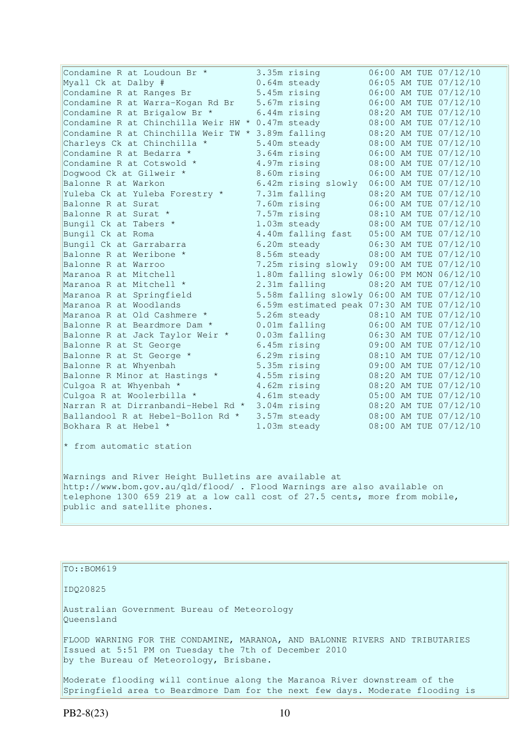| Condamine R at Loudoun Br *                       | 3.35m rising                               |  | 06:00 AM TUE 07/12/10 |
|---------------------------------------------------|--------------------------------------------|--|-----------------------|
| Myall Ck at Dalby #                               | 0.64m steady                               |  | 06:05 AM TUE 07/12/10 |
| Condamine R at Ranges Br                          | 5.45m rising                               |  | 06:00 AM TUE 07/12/10 |
| Condamine R at Warra-Kogan Rd Br                  | 5.67m rising                               |  | 06:00 AM TUE 07/12/10 |
| Condamine R at Brigalow Br *                      | 6.44m rising                               |  | 08:20 AM TUE 07/12/10 |
| Condamine R at Chinchilla Weir HW * 0.47m steady  |                                            |  | 08:00 AM TUE 07/12/10 |
| Condamine R at Chinchilla Weir TW * 3.89m falling |                                            |  | 08:20 AM TUE 07/12/10 |
| Charleys Ck at Chinchilla *                       | 5.40m steady                               |  | 08:00 AM TUE 07/12/10 |
| Condamine R at Bedarra *                          | 3.64m rising                               |  | 06:00 AM TUE 07/12/10 |
| Condamine R at Cotswold *                         | 4.97m rising                               |  | 08:00 AM TUE 07/12/10 |
| Doqwood Ck at Gilweir *                           | 8.60m rising                               |  | 06:00 AM TUE 07/12/10 |
| Balonne R at Warkon                               | 6.42m rising slowly                        |  | 06:00 AM TUE 07/12/10 |
| Yuleba Ck at Yuleba Forestry *                    | 7.31m falling                              |  | 08:20 AM TUE 07/12/10 |
| Balonne R at Surat                                | 7.60m rising                               |  | 06:00 AM TUE 07/12/10 |
| Balonne R at Surat *                              | 7.57m rising                               |  | 08:10 AM TUE 07/12/10 |
| Bungil Ck at Tabers *                             | 1.03m steady                               |  | 08:00 AM TUE 07/12/10 |
| Bungil Ck at Roma                                 | 4.40m falling fast                         |  | 05:00 AM TUE 07/12/10 |
| Bungil Ck at Garrabarra                           | 6.20m steady                               |  | 06:30 AM TUE 07/12/10 |
| Balonne R at Weribone *                           | 8.56m steady                               |  | 08:00 AM TUE 07/12/10 |
| Balonne R at Warroo                               | 7.25m rising slowly 09:00 AM TUE 07/12/10  |  |                       |
| Maranoa R at Mitchell                             | 1.80m falling slowly 06:00 PM MON 06/12/10 |  |                       |
| Maranoa R at Mitchell *                           | 2.31m falling                              |  | 08:20 AM TUE 07/12/10 |
| Maranoa R at Springfield                          | 5.58m falling slowly 06:00 AM TUE 07/12/10 |  |                       |
| Maranoa R at Woodlands                            | 6.59m estimated peak 07:30 AM TUE 07/12/10 |  |                       |
| Maranoa R at Old Cashmere *                       | 5.26m steady                               |  | 08:10 AM TUE 07/12/10 |
| Balonne R at Beardmore Dam *                      | 0.01m falling                              |  | 06:00 AM TUE 07/12/10 |
| Balonne R at Jack Taylor Weir *                   | 0.03m falling                              |  | 06:30 AM TUE 07/12/10 |
| Balonne R at St George                            | 6.45m rising                               |  | 09:00 AM TUE 07/12/10 |
| Balonne R at St George *                          | 6.29m rising                               |  | 08:10 AM TUE 07/12/10 |
| Balonne R at Whyenbah                             | 5.35m rising                               |  | 09:00 AM TUE 07/12/10 |
| Balonne R Minor at Hastings *                     | 4.55m rising                               |  | 08:20 AM TUE 07/12/10 |
| Culgoa R at Whyenbah *                            | 4.62m rising                               |  | 08:20 AM TUE 07/12/10 |
| Culgoa R at Woolerbilla *                         | 4.61m steady                               |  | 05:00 AM TUE 07/12/10 |
| Narran R at Dirranbandi-Hebel Rd *                | 3.04m rising                               |  | 08:20 AM TUE 07/12/10 |
| Ballandool R at Hebel-Bollon Rd *                 | 3.57m steady                               |  | 08:00 AM TUE 07/12/10 |
| Bokhara R at Hebel *                              | 1.03m steady                               |  | 08:00 AM TUE 07/12/10 |
| * from automatic station                          |                                            |  |                       |

Warnings and River Height Bulletins are available at http://www.bom.gov.au/qld/flood/ . Flood Warnings are also available on telephone 1300 659 219 at a low call cost of 27.5 cents, more from mobile, public and satellite phones.

 $\vert$ TO::BOM619

IDQ20825

Australian Government Bureau of Meteorology Queensland

FLOOD WARNING FOR THE CONDAMINE, MARANOA, AND BALONNE RIVERS AND TRIBUTARIES Issued at 5:51 PM on Tuesday the 7th of December 2010 by the Bureau of Meteorology, Brisbane.

Moderate flooding will continue along the Maranoa River downstream of the Springfield area to Beardmore Dam for the next few days. Moderate flooding is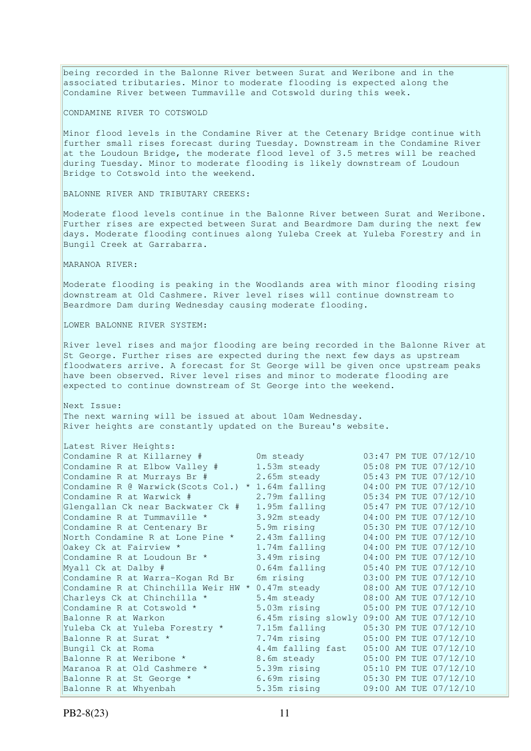being recorded in the Balonne River between Surat and Weribone and in the associated tributaries. Minor to moderate flooding is expected along the Condamine River between Tummaville and Cotswold during this week.

CONDAMINE RIVER TO COTSWOLD

Minor flood levels in the Condamine River at the Cetenary Bridge continue with further small rises forecast during Tuesday. Downstream in the Condamine River at the Loudoun Bridge, the moderate flood level of 3.5 metres will be reached during Tuesday. Minor to moderate flooding is likely downstream of Loudoun Bridge to Cotswold into the weekend.

BALONNE RIVER AND TRIBUTARY CREEKS:

Moderate flood levels continue in the Balonne River between Surat and Weribone. Further rises are expected between Surat and Beardmore Dam during the next few days. Moderate flooding continues along Yuleba Creek at Yuleba Forestry and in Bungil Creek at Garrabarra.

MARANOA RIVER:

Moderate flooding is peaking in the Woodlands area with minor flooding rising downstream at Old Cashmere. River level rises will continue downstream to Beardmore Dam during Wednesday causing moderate flooding.

LOWER BALONNE RIVER SYSTEM:

River level rises and major flooding are being recorded in the Balonne River at St George. Further rises are expected during the next few days as upstream floodwaters arrive. A forecast for St George will be given once upstream peaks have been observed. River level rises and minor to moderate flooding are expected to continue downstream of St George into the weekend.

Next Issue:

The next warning will be issued at about 10am Wednesday. River heights are constantly updated on the Bureau's website.

| Latest River Heights:                              |                                           |  |                       |
|----------------------------------------------------|-------------------------------------------|--|-----------------------|
| Condamine R at Killarney #                         | Om steady                                 |  | 03:47 PM TUE 07/12/10 |
| Condamine R at Elbow Valley #                      | 1.53m steady                              |  | 05:08 PM TUE 07/12/10 |
| Condamine R at Murrays Br #                        | 2.65m steady                              |  | 05:43 PM TUE 07/12/10 |
| Condamine R @ Warwick (Scots Col.) * 1.64m falling |                                           |  | 04:00 PM TUE 07/12/10 |
| Condamine R at Warwick #                           | 2.79m falling                             |  | 05:34 PM TUE 07/12/10 |
| Glengallan Ck near Backwater Ck #                  | 1.95m falling                             |  | 05:47 PM TUE 07/12/10 |
| Condamine R at Tummaville *                        | 3.92m steady                              |  | 04:00 PM TUE 07/12/10 |
| Condamine R at Centenary Br                        | 5.9m rising                               |  | 05:30 PM TUE 07/12/10 |
| North Condamine R at Lone Pine *                   | 2.43m falling                             |  | 04:00 PM TUE 07/12/10 |
| Oakey Ck at Fairview *                             | 1.74m falling                             |  | 04:00 PM TUE 07/12/10 |
| Condamine R at Loudoun Br *                        | 3.49m rising                              |  | 04:00 PM TUE 07/12/10 |
| Myall Ck at Dalby #                                | $0.64m$ falling                           |  | 05:40 PM TUE 07/12/10 |
| Condamine R at Warra-Kogan Rd Br                   | 6m rising                                 |  | 03:00 PM TUE 07/12/10 |
| Condamine R at Chinchilla Weir HW *                | 0.47m steady                              |  | 08:00 AM TUE 07/12/10 |
| Charleys Ck at Chinchilla *                        | 5.4m steady                               |  | 08:00 AM TUE 07/12/10 |
| Condamine R at Cotswold *                          | 5.03m rising                              |  | 05:00 PM TUE 07/12/10 |
| Balonne R at Warkon                                | 6.45m rising slowly 09:00 AM TUE 07/12/10 |  |                       |
| Yuleba Ck at Yuleba Forestry *                     | 7.15m falling                             |  | 05:30 PM TUE 07/12/10 |
| Balonne R at Surat *                               | 7.74m rising                              |  | 05:00 PM TUE 07/12/10 |
| Bungil Ck at Roma                                  | 4.4m falling fast                         |  | 05:00 AM TUE 07/12/10 |
| Balonne R at Weribone *                            | 8.6m steady                               |  | 05:00 PM TUE 07/12/10 |
| Maranoa R at Old Cashmere *                        | 5.39m rising                              |  | 05:10 PM TUE 07/12/10 |
| Balonne R at St George *                           | 6.69m rising                              |  | 05:30 PM TUE 07/12/10 |
| Balonne R at Whyenbah                              | 5.35m rising                              |  | 09:00 AM TUE 07/12/10 |
|                                                    |                                           |  |                       |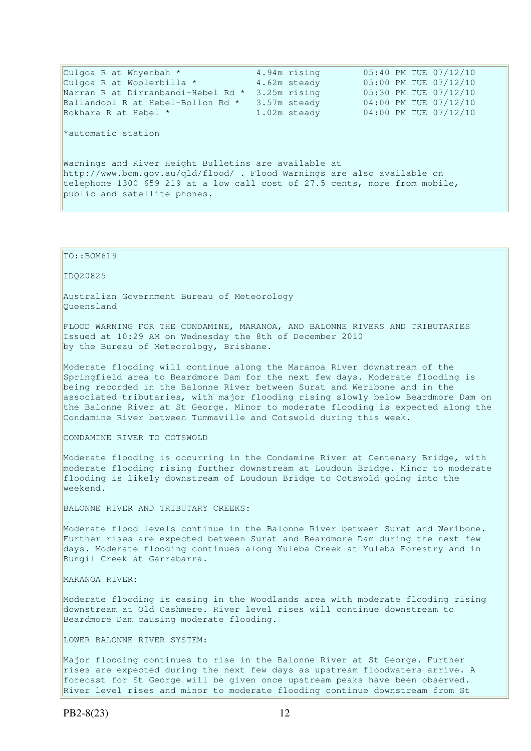| Culgoa R at Whyenbah $*$<br>Culgoa R at Woolerbilla *<br>Narran R at Dirranbandi-Hebel Rd * 3.25m rising 05:30 PM TUE 07/12/10                                                                                                                                      | 4.94m rising<br>4.62m steady | 05:40 PM TUE 07/12/10<br>05:00 PM TUE 07/12/10 |
|---------------------------------------------------------------------------------------------------------------------------------------------------------------------------------------------------------------------------------------------------------------------|------------------------------|------------------------------------------------|
| Ballandool R at Hebel-Bollon Rd * 3.57m steady 04:00 PM TUE 07/12/10                                                                                                                                                                                                |                              |                                                |
| Bokhara R at Hebel *                                                                                                                                                                                                                                                |                              | 1.02m steady 04:00 PM TUE 07/12/10             |
| *automatic station<br>Warnings and River Height Bulletins are available at<br>http://www.bom.gov.au/qld/flood/ . Flood Warnings are also available on<br>telephone 1300 659 219 at a low call cost of 27.5 cents, more from mobile,<br>public and satellite phones. |                              |                                                |
|                                                                                                                                                                                                                                                                     |                              |                                                |
| TO: <b>BOM619</b>                                                                                                                                                                                                                                                   |                              |                                                |
| ID020825                                                                                                                                                                                                                                                            |                              |                                                |

Australian Government Bureau of Meteorology Queensland

FLOOD WARNING FOR THE CONDAMINE, MARANOA, AND BALONNE RIVERS AND TRIBUTARIES Issued at 10:29 AM on Wednesday the 8th of December 2010 by the Bureau of Meteorology, Brisbane.

Moderate flooding will continue along the Maranoa River downstream of the Springfield area to Beardmore Dam for the next few days. Moderate flooding is being recorded in the Balonne River between Surat and Weribone and in the associated tributaries, with major flooding rising slowly below Beardmore Dam on the Balonne River at St George. Minor to moderate flooding is expected along the Condamine River between Tummaville and Cotswold during this week.

CONDAMINE RIVER TO COTSWOLD

Moderate flooding is occurring in the Condamine River at Centenary Bridge, with moderate flooding rising further downstream at Loudoun Bridge. Minor to moderate flooding is likely downstream of Loudoun Bridge to Cotswold going into the weekend.

BALONNE RIVER AND TRIBUTARY CREEKS:

Moderate flood levels continue in the Balonne River between Surat and Weribone. Further rises are expected between Surat and Beardmore Dam during the next few days. Moderate flooding continues along Yuleba Creek at Yuleba Forestry and in Bungil Creek at Garrabarra.

MARANOA RIVER:

Moderate flooding is easing in the Woodlands area with moderate flooding rising downstream at Old Cashmere. River level rises will continue downstream to Beardmore Dam causing moderate flooding.

LOWER BALONNE RIVER SYSTEM:

Major flooding continues to rise in the Balonne River at St George. Further rises are expected during the next few days as upstream floodwaters arrive. A forecast for St George will be given once upstream peaks have been observed. River level rises and minor to moderate flooding continue downstream from St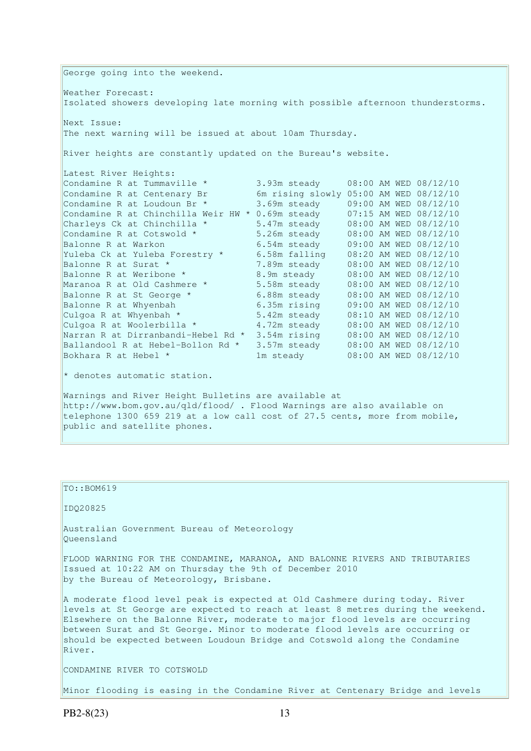George going into the weekend. Weather Forecast: Isolated showers developing late morning with possible afternoon thunderstorms. Next Issue: The next warning will be issued at about 10am Thursday. River heights are constantly updated on the Bureau's website. Latest River Heights: Condamine R at Tummaville \* 3.93m steady 08:00 AM WED 08/12/10 Condamine R at Centenary Br 6m rising slowly 05:00 AM WED 08/12/10 Condamine R at Loudoun Br  $*$  3.69m steady 09:00 AM WED 08/12/10 Condamine R at Chinchilla Weir HW \* 0.69m steady 07:15 AM WED 08/12/10 Charleys Ck at Chinchilla  $*$  5.47m steady 08:00 AM WED 08/12/10 Condamine R at Cotswold  $*$  5.26m steady 08:00 AM WED 08/12/10 Balonne R at Warkon 6.54m steady 09:00 AM WED 08/12/10 Yuleba Ck at Yuleba Forestry \* 6.58m falling 08:20 AM WED 08/12/10 Balonne R at Surat \* 7.89m steady 08:00 AM WED 08/12/10 Balonne R at Weribone \* 3.9m steady 08:00 AM WED 08/12/10 Maranoa R at Old Cashmere \* 5.58m steady 08:00 AM WED 08/12/10 Balonne R at St George \* 6.88m steady 08:00 AM WED 08/12/10 Balonne R at Whyenbah 6.35m rising 09:00 AM WED 08/12/10 Culgoa R at Whyenbah  $\star$  5.42m steady 08:10 AM WED 08/12/10 Culgoa R at Woolerbilla  $*$  4.72m steady  $0.08:00$  AM WED  $0.8/12/10$ Narran R at Dirranbandi-Hebel Rd \* 3.54m rising 08:00 AM WED 08/12/10 Ballandool R at Hebel-Bollon Rd \* 3.57m steady 08:00 AM WED 08/12/10 Bokhara R at Hebel \* 1m steady 08:00 AM WED 08/12/10 \* denotes automatic station. Warnings and River Height Bulletins are available at http://www.bom.gov.au/qld/flood/ . Flood Warnings are also available on telephone 1300 659 219 at a low call cost of 27.5 cents, more from mobile, public and satellite phones.

## TO::BOM619

IDQ20825

Australian Government Bureau of Meteorology Queensland

FLOOD WARNING FOR THE CONDAMINE, MARANOA, AND BALONNE RIVERS AND TRIBUTARIES Issued at 10:22 AM on Thursday the 9th of December 2010 by the Bureau of Meteorology, Brisbane.

A moderate flood level peak is expected at Old Cashmere during today. River levels at St George are expected to reach at least 8 metres during the weekend. Elsewhere on the Balonne River, moderate to major flood levels are occurring between Surat and St George. Minor to moderate flood levels are occurring or should be expected between Loudoun Bridge and Cotswold along the Condamine River.

CONDAMINE RIVER TO COTSWOLD

Minor flooding is easing in the Condamine River at Centenary Bridge and levels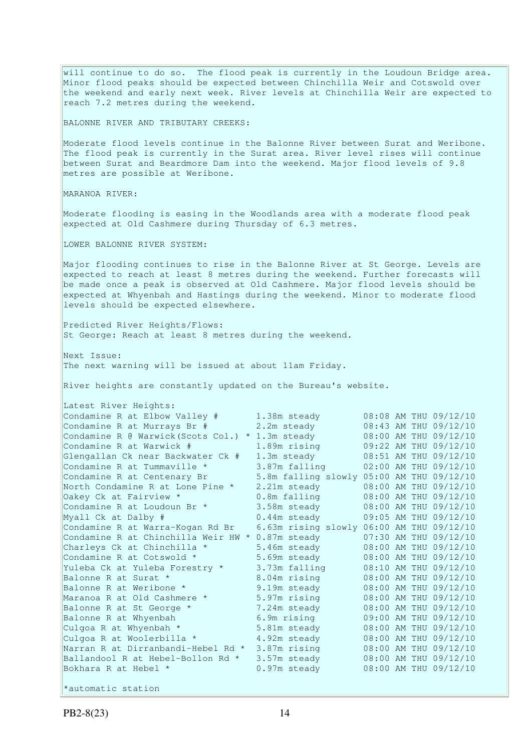will continue to do so. The flood peak is currently in the Loudoun Bridge area. Minor flood peaks should be expected between Chinchilla Weir and Cotswold over the weekend and early next week. River levels at Chinchilla Weir are expected to reach 7.2 metres during the weekend. BALONNE RIVER AND TRIBUTARY CREEKS: Moderate flood levels continue in the Balonne River between Surat and Weribone. The flood peak is currently in the Surat area. River level rises will continue between Surat and Beardmore Dam into the weekend. Major flood levels of 9.8 metres are possible at Weribone. MARANOA RIVER: Moderate flooding is easing in the Woodlands area with a moderate flood peak expected at Old Cashmere during Thursday of 6.3 metres. LOWER BALONNE RIVER SYSTEM: Major flooding continues to rise in the Balonne River at St George. Levels are expected to reach at least 8 metres during the weekend. Further forecasts will be made once a peak is observed at Old Cashmere. Major flood levels should be expected at Whyenbah and Hastings during the weekend. Minor to moderate flood levels should be expected elsewhere. Predicted River Heights/Flows: St George: Reach at least 8 metres during the weekend. Next Issue: The next warning will be issued at about 11am Friday. River heights are constantly updated on the Bureau's website. Latest River Heights: Condamine R at Elbow Valley # 1.38m steady 08:08 AM THU 09/12/10 Condamine R at Murrays Br  $\#$  2.2m steady 08:43 AM THU 09/12/10 Condamine R  $\theta$  Warwick(Scots Col.) \* 1.3m steady 08:00 AM THU 09/12/10 Condamine R at Warwick # 1.89m rising 09:22 AM THU 09/12/10 Glengallan Ck near Backwater Ck # 1.3m steady 08:51 AM THU 09/12/10 Condamine R at Tummaville  $*$  3.87m falling  $02:00$  AM THU 09/12/10 Condamine R at Centenary Br 5.8m falling slowly 05:00 AM THU 09/12/10 North Condamine R at Lone Pine \* 2.21m steady 08:00 AM THU 09/12/10 Oakey Ck at Fairview \* 0.8m falling 08:00 AM THU 09/12/10 Condamine R at Loudoun Br  $*$  3.58m steady 08:00 AM THU 09/12/10 Myall Ck at Dalby # 0.44m steady 09:05 AM THU 09/12/10 Condamine R at Warra-Kogan Rd Br 6.63m rising slowly 06:00 AM THU 09/12/10 Condamine R at Chinchilla Weir HW \* 0.87m steady 07:30 AM THU 09/12/10 Charleys Ck at Chinchilla  $*$  5.46m steady 08:00 AM THU 09/12/10 Condamine R at Cotswold  $\star$  5.69m steady 08:00 AM THU 09/12/10 Yuleba Ck at Yuleba Forestry \* 3.73m falling 08:10 AM THU 09/12/10 Balonne R at Surat \* 3.04m rising 08:00 AM THU 09/12/10 Balonne R at Weribone \* 9.19m steady 08:00 AM THU 09/12/10 Maranoa R at Old Cashmere \*  $5.97m$  rising  $08:00$  AM THU 09/12/10<br>Balonne R at St George \*  $7.24m$  steady  $08:00$  AM THU 09/12/10 Balonne R at St George \* 7.24m steady Balonne R at Whyenbah 6.9m rising 09:00 AM THU 09/12/10 Culgoa R at Whyenbah  $\star$  5.81m steady 08:00 AM THU 09/12/10 Culgoa R at Woolerbilla \*  $4.92$ m steady  $08:00$  AM THU 09/12/10 Narran R at Dirranbandi-Hebel Rd \* 3.87m rising 08:00 AM THU 09/12/10 Ballandool R at Hebel-Bollon Rd  $*$  3.57m steady Ballandool R at Hebel-Bollon Rd \* 3.57m steady 08:00 AM THU 09/12/10<br>Bokhara R at Hebel \* 0.97m steady 08:00 AM THU 09/12/10 \*automatic station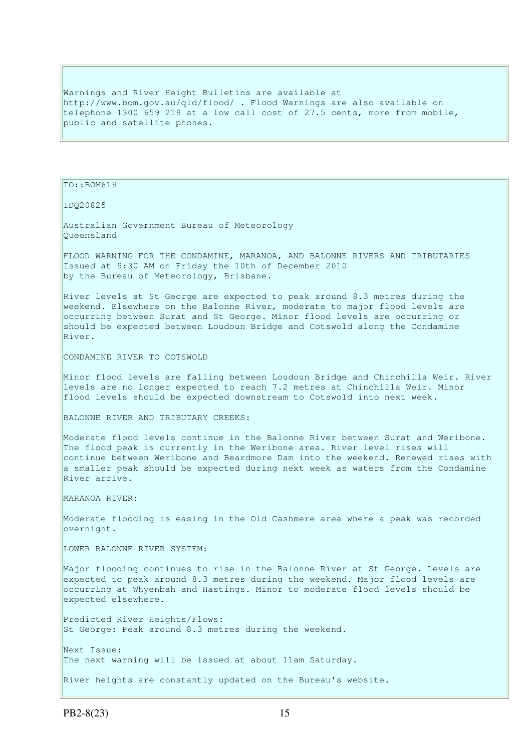Warnings and River Height Bulletins are available at http://www.bom.gov.au/qld/flood/ . Flood Warnings are also available on telephone 1300 659 219 at a low call cost of 27.5 cents, more from mobile, public and satellite phones.

TO::BOM619

IDQ20825

Australian Government Bureau of Meteorology Queensland

FLOOD WARNING FOR THE CONDAMINE, MARANOA, AND BALONNE RIVERS AND TRIBUTARIES Issued at 9:30 AM on Friday the 10th of December 2010 by the Bureau of Meteorology, Brisbane.

River levels at St George are expected to peak around 8.3 metres during the weekend. Elsewhere on the Balonne River, moderate to major flood levels are occurring between Surat and St George. Minor flood levels are occurring or should be expected between Loudoun Bridge and Cotswold along the Condamine River.

CONDAMINE RIVER TO COTSWOLD

Minor flood levels are falling between Loudoun Bridge and Chinchilla Weir. River levels are no longer expected to reach 7.2 metres at Chinchilla Weir. Minor flood levels should be expected downstream to Cotswold into next week.

BALONNE RIVER AND TRIBUTARY CREEKS:

Moderate flood levels continue in the Balonne River between Surat and Weribone. The flood peak is currently in the Weribone area. River level rises will continue between Weribone and Beardmore Dam into the weekend. Renewed rises with a smaller peak should be expected during next week as waters from the Condamine River arrive.

MARANOA RIVER:

Moderate flooding is easing in the Old Cashmere area where a peak was recorded overnight.

LOWER BALONNE RIVER SYSTEM:

Major flooding continues to rise in the Balonne River at St George. Levels are expected to peak around 8.3 metres during the weekend. Major flood levels are occurring at Whyenbah and Hastings. Minor to moderate flood levels should be expected elsewhere.

Predicted River Heights/Flows: St George: Peak around 8.3 metres during the weekend.

Next Issue: The next warning will be issued at about 11am Saturday.

River heights are constantly updated on the Bureau's website.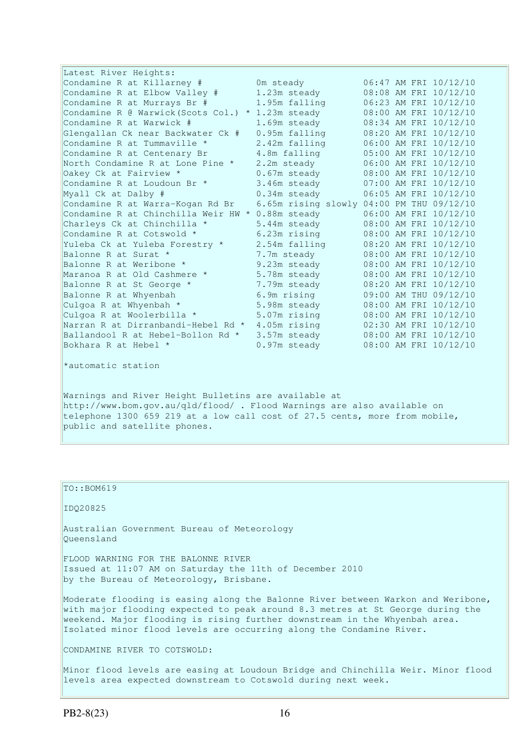| Latest River Heights:                                |                                           |  |                       |
|------------------------------------------------------|-------------------------------------------|--|-----------------------|
| Condamine R at Killarney #                           | Om steady                                 |  | 06:47 AM FRI 10/12/10 |
| Condamine R at Elbow Valley #                        | 1.23m steady                              |  | 08:08 AM FRI 10/12/10 |
| Condamine R at Murrays Br #                          | 1.95m falling                             |  | 06:23 AM FRI 10/12/10 |
| Condamine R @ Warwick (Scots Col.)                   | * 1.23m steady                            |  | 08:00 AM FRI 10/12/10 |
| Condamine R at Warwick #                             | 1.69m steady                              |  | 08:34 AM FRI 10/12/10 |
| Glengallan Ck near Backwater Ck #                    | 0.95m falling                             |  | 08:20 AM FRI 10/12/10 |
| Condamine R at Tummaville *                          | 2.42m falling                             |  | 06:00 AM FRI 10/12/10 |
| Condamine R at Centenary Br                          | 4.8m falling                              |  | 05:00 AM FRI 10/12/10 |
| North Condamine R at Lone Pine *                     | 2.2m steady                               |  | 06:00 AM FRI 10/12/10 |
| Oakey Ck at Fairview *                               | 0.67m steady                              |  | 08:00 AM FRI 10/12/10 |
| Condamine R at Loudoun Br *                          | 3.46m steady                              |  | 07:00 AM FRI 10/12/10 |
| Myall Ck at Dalby #                                  | $0.34m$ steady                            |  | 06:05 AM FRI 10/12/10 |
| Condamine R at Warra-Kogan Rd Br                     | 6.65m rising slowly 04:00 PM THU 09/12/10 |  |                       |
| Condamine R at Chinchilla Weir HW * 0.88m steady     |                                           |  | 06:00 AM FRI 10/12/10 |
| Charleys Ck at Chinchilla *                          | 5.44m steady                              |  | 08:00 AM FRI 10/12/10 |
| Condamine R at Cotswold *                            | 6.23m rising                              |  | 08:00 AM FRI 10/12/10 |
| Yuleba Ck at Yuleba Forestry *                       | 2.54m falling                             |  | 08:20 AM FRI 10/12/10 |
| Balonne R at Surat *                                 | 7.7m steady                               |  | 08:00 AM FRI 10/12/10 |
| Balonne R at Weribone *                              | 9.23m steady                              |  | 08:00 AM FRI 10/12/10 |
| Maranoa R at Old Cashmere *                          | 5.78m steady                              |  | 08:00 AM FRI 10/12/10 |
| Balonne R at St George *                             | 7.79m steady                              |  | 08:20 AM FRI 10/12/10 |
| Balonne R at Whyenbah                                | 6.9m rising                               |  | 09:00 AM THU 09/12/10 |
| Culgoa R at Whyenbah *                               | 5.98m steady                              |  | 08:00 AM FRI 10/12/10 |
| Culgoa R at Woolerbilla *                            | 5.07m rising                              |  | 08:00 AM FRI 10/12/10 |
| Narran R at Dirranbandi-Hebel Rd *                   | 4.05m rising                              |  | 02:30 AM FRI 10/12/10 |
| Ballandool R at Hebel-Bollon Rd *                    | 3.57m steady                              |  | 08:00 AM FRI 10/12/10 |
| Bokhara R at Hebel *                                 | 0.97m steady                              |  | 08:00 AM FRI 10/12/10 |
| *automatic station                                   |                                           |  |                       |
| Warnings and River Height Bulletins are available at |                                           |  |                       |

http://www.bom.gov.au/qld/flood/ . Flood Warnings are also available on telephone 1300 659 219 at a low call cost of 27.5 cents, more from mobile, public and satellite phones.

#### TO::BOM619

IDQ20825

Australian Government Bureau of Meteorology Queensland

FLOOD WARNING FOR THE BALONNE RIVER Issued at 11:07 AM on Saturday the 11th of December 2010 by the Bureau of Meteorology, Brisbane.

Moderate flooding is easing along the Balonne River between Warkon and Weribone, with major flooding expected to peak around 8.3 metres at St George during the weekend. Major flooding is rising further downstream in the Whyenbah area. Isolated minor flood levels are occurring along the Condamine River.

CONDAMINE RIVER TO COTSWOLD:

Minor flood levels are easing at Loudoun Bridge and Chinchilla Weir. Minor flood levels area expected downstream to Cotswold during next week.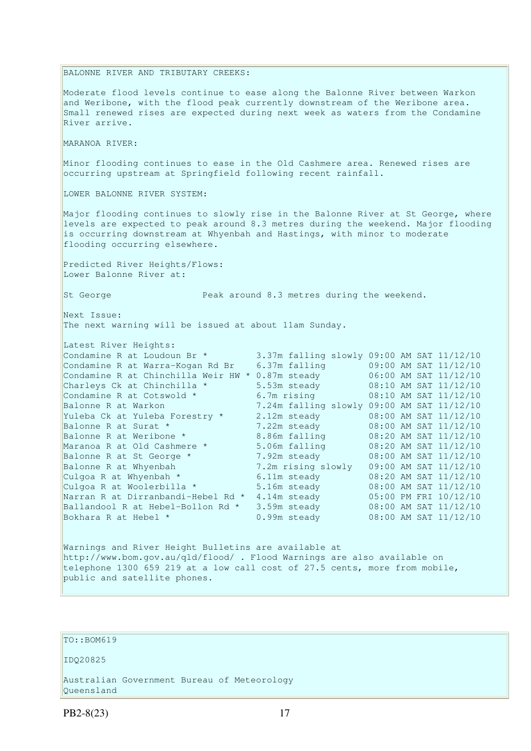BALONNE RIVER AND TRIBUTARY CREEKS: Moderate flood levels continue to ease along the Balonne River between Warkon and Weribone, with the flood peak currently downstream of the Weribone area. Small renewed rises are expected during next week as waters from the Condamine River arrive. MARANOA RIVER: Minor flooding continues to ease in the Old Cashmere area. Renewed rises are occurring upstream at Springfield following recent rainfall. LOWER BALONNE RIVER SYSTEM: Major flooding continues to slowly rise in the Balonne River at St George, where levels are expected to peak around 8.3 metres during the weekend. Major flooding is occurring downstream at Whyenbah and Hastings, with minor to moderate flooding occurring elsewhere. Predicted River Heights/Flows: Lower Balonne River at: St George **Peak around 8.3 metres during the weekend.** Next Issue: The next warning will be issued at about 11am Sunday. Latest River Heights: Condamine R at Loudoun Br  $*$  3.37m falling slowly 09:00 AM SAT  $11/12/10$ Condamine R at Warra-Kogan Rd Br 6.37m falling 09:00 AM SAT 11/12/10 Condamine R at Chinchilla Weir HW  $*$  0.87m steady 06:00 AM SAT 11/12/10 Charleys Ck at Chinchilla  $*$  5.53m steady 08:10 AM SAT 11/12/10 Condamine R at Cotswold  $*$  6.7m rising 08:10 AM SAT 11/12/10 Balonne R at Warkon 7.24m falling slowly 09:00 AM SAT 11/12/10 Yuleba Ck at Yuleba Forestry \* 2.12m steady 08:00 AM SAT 11/12/10 Balonne R at Surat \* 7.22m steady 08:00 AM SAT 11/12/10 Balonne R at Weribone \* 1.22m steady 108:00 AM SAT 11/12/10<br>
Maranoa R at Old Cashmere \* 5.06m falling 1.830 AM SAT 11/12/10<br>
7.02m steady 1.830 M SAT 11/12/10<br>
7.02m steady 1.830 M SAT 11/12/10 Maranoa R at Old Cashmere \* 5.06m falling 08:20 AM SAT 11/12/10<br>Balonne R at St George \* 7.92m steady 08:00 AM SAT 11/12/10 Balonne R at St George \* 7.92m steady Balonne R at Whyenbah 7.2m rising slowly 09:00 AM SAT 11/12/10 Culgoa R at Whyenbah  $\star$  6.11m steady 08:20 AM SAT 11/12/10 Culgoa R at Woolerbilla \* 5.16m steady 08:00 AM SAT 11/12/10 Narran R at Dirranbandi-Hebel Rd \* 4.14m steady 05:00 PM FRI 10/12/10 Ballandool R at Hebel-Bollon Rd \* 3.59m steady 08:00 AM SAT 11/12/10 Bokhara R at Hebel \* 0.99m steady 08:00 AM SAT 11/12/10 Warnings and River Height Bulletins are available at http://www.bom.gov.au/qld/flood/ . Flood Warnings are also available on telephone 1300 659 219 at a low call cost of 27.5 cents, more from mobile, public and satellite phones.

### TO::BOM619

IDQ20825

Australian Government Bureau of Meteorology Queensland

PB2-8(23) 17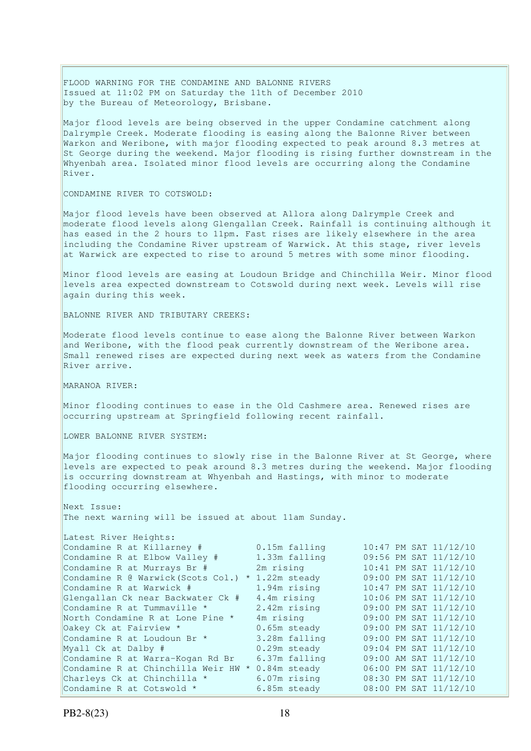FLOOD WARNING FOR THE CONDAMINE AND BALONNE RIVERS Issued at 11:02 PM on Saturday the 11th of December 2010 by the Bureau of Meteorology, Brisbane.

Major flood levels are being observed in the upper Condamine catchment along Dalrymple Creek. Moderate flooding is easing along the Balonne River between Warkon and Weribone, with major flooding expected to peak around 8.3 metres at St George during the weekend. Major flooding is rising further downstream in the Whyenbah area. Isolated minor flood levels are occurring along the Condamine River.

CONDAMINE RIVER TO COTSWOLD:

Major flood levels have been observed at Allora along Dalrymple Creek and moderate flood levels along Glengallan Creek. Rainfall is continuing although it has eased in the 2 hours to 11pm. Fast rises are likely elsewhere in the area including the Condamine River upstream of Warwick. At this stage, river levels at Warwick are expected to rise to around 5 metres with some minor flooding.

Minor flood levels are easing at Loudoun Bridge and Chinchilla Weir. Minor flood levels area expected downstream to Cotswold during next week. Levels will rise again during this week.

BALONNE RIVER AND TRIBUTARY CREEKS:

Moderate flood levels continue to ease along the Balonne River between Warkon and Weribone, with the flood peak currently downstream of the Weribone area. Small renewed rises are expected during next week as waters from the Condamine River arrive.

MARANOA RIVER:

Minor flooding continues to ease in the Old Cashmere area. Renewed rises are occurring upstream at Springfield following recent rainfall.

LOWER BALONNE RIVER SYSTEM:

Major flooding continues to slowly rise in the Balonne River at St George, where levels are expected to peak around 8.3 metres during the weekend. Major flooding is occurring downstream at Whyenbah and Hastings, with minor to moderate flooding occurring elsewhere.

Next Issue: The next warning will be issued at about 11am Sunday.

| Latest River Heights:               |                |                       |
|-------------------------------------|----------------|-----------------------|
| Condamine R at Killarney #          | 0.15m falling  | 10:47 PM SAT 11/12/10 |
| Condamine R at Elbow Valley #       | 1.33m falling  | 09:56 PM SAT 11/12/10 |
| Condamine R at Murrays Br #         | 2m rising      | 10:41 PM SAT 11/12/10 |
| Condamine R @ Warwick (Scots Col.)  | * 1.22m steady | 09:00 PM SAT 11/12/10 |
| Condamine R at Warwick #            | 1.94m rising   | 10:47 PM SAT 11/12/10 |
| Glengallan Ck near Backwater Ck #   | 4.4m rising    | 10:06 PM SAT 11/12/10 |
| Condamine R at Tummaville *         | 2.42m rising   | 09:00 PM SAT 11/12/10 |
| North Condamine R at Lone Pine *    | 4m rising      | 09:00 PM SAT 11/12/10 |
| Oakey Ck at Fairview *              | $0.65m$ steady | 09:00 PM SAT 11/12/10 |
| Condamine R at Loudoun Br *         | 3.28m falling  | 09:00 PM SAT 11/12/10 |
| Myall Ck at Dalby #                 | $0.29m$ steady | 09:04 PM SAT 11/12/10 |
| Condamine R at Warra-Kogan Rd Br    | 6.37m falling  | 09:00 AM SAT 11/12/10 |
| Condamine R at Chinchilla Weir HW * | 0.84m steady   | 06:00 PM SAT 11/12/10 |
| Charleys Ck at Chinchilla *         | 6.07m rising   | 08:30 PM SAT 11/12/10 |
| Condamine R at Cotswold *           | 6.85m steady   | 08:00 PM SAT 11/12/10 |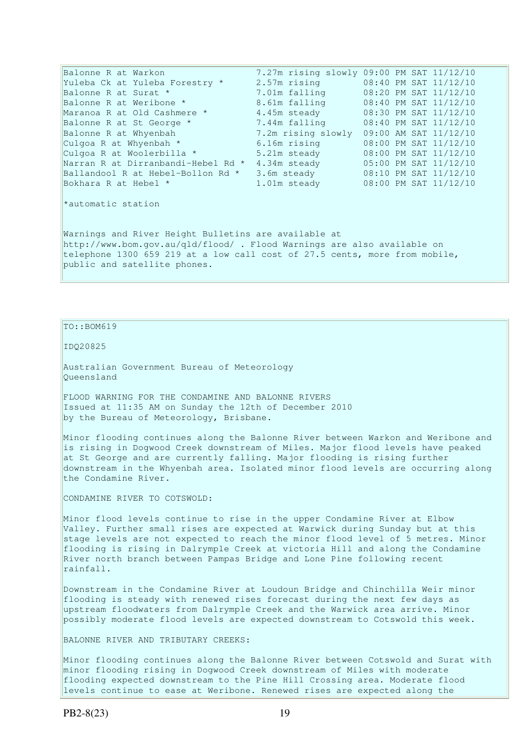| Balonne R at Warkon                                                                                                                                                                                                                           |               | 7.27m rising slowly 09:00 PM SAT 11/12/10    |  |  |
|-----------------------------------------------------------------------------------------------------------------------------------------------------------------------------------------------------------------------------------------------|---------------|----------------------------------------------|--|--|
| Yuleba Ck at Yuleba Forestry *                                                                                                                                                                                                                | 2.57m rising  | 08:40 PM SAT 11/12/10                        |  |  |
| Balonne R at Surat *                                                                                                                                                                                                                          | 7.01m falling | 08:20 PM SAT 11/12/10                        |  |  |
| Balonne R at Weribone * The Contract of the Balonne R at Weribone *                                                                                                                                                                           | 8.61m falling | 08:40 PM SAT 11/12/10                        |  |  |
| Maranoa R at Old Cashmere * 4.45m steady                                                                                                                                                                                                      |               | 08:30 PM SAT 11/12/10                        |  |  |
| Balonne R at St George *<br>and the control of the control of                                                                                                                                                                                 |               | 7.44m falling 08:40 PM SAT 11/12/10          |  |  |
| Balonne R at Whyenbah                                                                                                                                                                                                                         |               | 7.2m rising slowly $09:00$ AM SAT $11/12/10$ |  |  |
| Culgoa R at Whyenbah *                                                                                                                                                                                                                        | 6.16m rising  | 08:00 PM SAT 11/12/10                        |  |  |
| Culqoa R at Woolerbilla *                                                                                                                                                                                                                     | 5.21m steady  | 08:00 PM SAT 11/12/10                        |  |  |
| Narran R at Dirranbandi-Hebel Rd *                                                                                                                                                                                                            | 4.34m steady  | 05:00 PM SAT 11/12/10                        |  |  |
| Ballandool R at Hebel-Bollon Rd *                                                                                                                                                                                                             | 3.6m steady   | 08:10 PM SAT 11/12/10                        |  |  |
| Bokhara R at Hebel *                                                                                                                                                                                                                          |               | 1.01m steady 08:00 PM SAT 11/12/10           |  |  |
| *automatic station                                                                                                                                                                                                                            |               |                                              |  |  |
| Warnings and River Height Bulletins are available at<br>http://www.bom.gov.au/qld/flood/ . Flood Warnings are also available on<br>telephone 1300 659 219 at a low call cost of 27.5 cents, more from mobile,<br>public and satellite phones. |               |                                              |  |  |

 $TO: **ROM619**$ 

IDQ20825

Australian Government Bureau of Meteorology Queensland

FLOOD WARNING FOR THE CONDAMINE AND BALONNE RIVERS Issued at 11:35 AM on Sunday the 12th of December 2010 by the Bureau of Meteorology, Brisbane.

Minor flooding continues along the Balonne River between Warkon and Weribone and is rising in Dogwood Creek downstream of Miles. Major flood levels have peaked at St George and are currently falling. Major flooding is rising further downstream in the Whyenbah area. Isolated minor flood levels are occurring along the Condamine River.

CONDAMINE RIVER TO COTSWOLD:

Minor flood levels continue to rise in the upper Condamine River at Elbow Valley. Further small rises are expected at Warwick during Sunday but at this stage levels are not expected to reach the minor flood level of 5 metres. Minor flooding is rising in Dalrymple Creek at victoria Hill and along the Condamine River north branch between Pampas Bridge and Lone Pine following recent rainfall.

Downstream in the Condamine River at Loudoun Bridge and Chinchilla Weir minor flooding is steady with renewed rises forecast during the next few days as upstream floodwaters from Dalrymple Creek and the Warwick area arrive. Minor possibly moderate flood levels are expected downstream to Cotswold this week.

BALONNE RIVER AND TRIBUTARY CREEKS:

Minor flooding continues along the Balonne River between Cotswold and Surat with minor flooding rising in Dogwood Creek downstream of Miles with moderate flooding expected downstream to the Pine Hill Crossing area. Moderate flood levels continue to ease at Weribone. Renewed rises are expected along the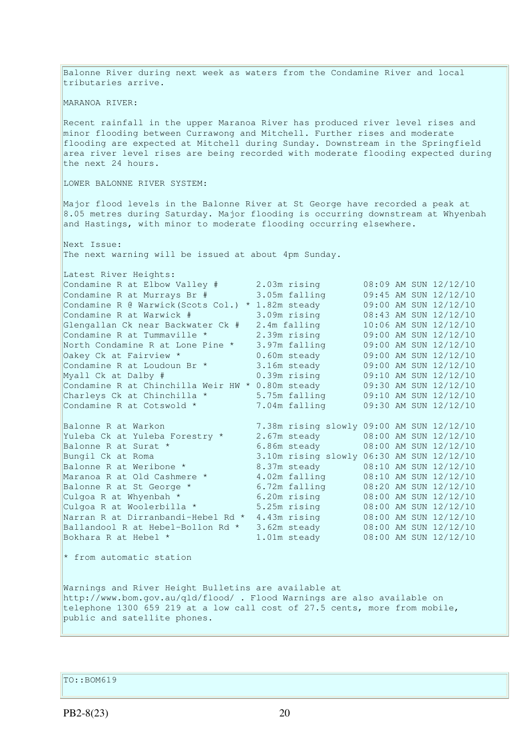Balonne River during next week as waters from the Condamine River and local tributaries arrive. MARANOA RIVER: Recent rainfall in the upper Maranoa River has produced river level rises and minor flooding between Currawong and Mitchell. Further rises and moderate flooding are expected at Mitchell during Sunday. Downstream in the Springfield area river level rises are being recorded with moderate flooding expected during the next 24 hours. LOWER BALONNE RIVER SYSTEM: Major flood levels in the Balonne River at St George have recorded a peak at 8.05 metres during Saturday. Major flooding is occurring downstream at Whyenbah and Hastings, with minor to moderate flooding occurring elsewhere. Next Issue: The next warning will be issued at about 4pm Sunday. Latest River Heights: Condamine R at Elbow Valley # 2.03m rising 08:09 AM SUN 12/12/10 Condamine R at Murrays Br # 3.05m falling 09:45 AM SUN 12/12/10 Condamine R  $\theta$  Warwick(Scots Col.) \* 1.82m steady 09:00 AM SUN 12/12/10 Condamine R at Warwick # 3.09m rising 08:43 AM SUN 12/12/10 Glengallan Ck near Backwater Ck # 2.4m falling 10:06 AM SUN 12/12/10 Condamine R at Tummaville  $*$  2.39m rising  $09:00$  AM SUN  $12/12/10$ North Condamine R at Lone Pine \* 3.97m falling 09:00 AM SUN 12/12/10 Oakey Ck at Fairview \* 0.60m steady 09:00 AM SUN 12/12/10 Condamine R at Loudoun Br  $*$  3.16m steady 09:00 AM SUN 12/12/10 Myall Ck at Dalby # 0.39m rising 09:10 AM SUN 12/12/10 Condamine R at Chinchilla Weir HW  $*$  0.80m steady  $0.9:30$  AM SUN  $12/12/10$ Condamine R at Chinchilla Weir HW \* 0.80m steady<br>  $\begin{array}{ccc}\n\text{Condamping} & 0.30 & \text{MeV} \\
\text{Charles the National Science Foundation: The image shows a 5.75m falling} & 0.30 & \text{MeV} \\
\hline\n\end{array}$ Condamine R at Cotswold \* 7.04m falling 09:30 AM SUN 12/12/10 Balonne R at Warkon 7.38m rising slowly 09:00 AM SUN 12/12/10 Yuleba Ck at Yuleba Forestry \* 2.67m steady 08:00 AM SUN 12/12/10 Balonne R at Surat \* 1982 6.86m steady 108:00 AM SUN 12/12/10 Bungil Ck at Roma 3.10m rising slowly 06:30 AM SUN 12/12/10<br>Balonne R at Weribone \* 8.37m steady 08:10 AM SUN 12/12/10<br>Maranoa R at Old Cashmere \* 4.02m falling 08:10 AM SUN 12/12/10 Balonne R at Weribone \* 8.37m steady 08:10 AM SUN 12/12/10 Maranoa R at Old Cashmere \* 4.02m falling 08:10 AM SUN 12/12/10 Balonne R at St George \* 6.72m falling 08:20 AM SUN 12/12/10 Culgoa R at Whyenbah  $\star$  6.20m rising 08:00 AM SUN 12/12/10 Culgoa R at Woolerbilla \* 5.25m rising 08:00 AM SUN 12/12/10 Cuigoa K at Woolenbilla (No.2008) 1201.<br>
Narran R at Dirranbandi-Hebel Rd \* 4.43m rising 08:00 AM SUN 12/12/10<br>
Ballandool R at Hebel-Bollon Rd \* 3.62m steady 08:00 AM SUN 12/12/10 Ballandool R at Hebel-Bollon Rd \* 3.62m steady 08:00 AM SUN 12/12/10 Bokhara R at Hebel \* 1.01m steady 08:00 AM SUN 12/12/10 \* from automatic station Warnings and River Height Bulletins are available at http://www.bom.gov.au/qld/flood/ . Flood Warnings are also available on telephone 1300 659 219 at a low call cost of 27.5 cents, more from mobile, public and satellite phones.

TO::BOM619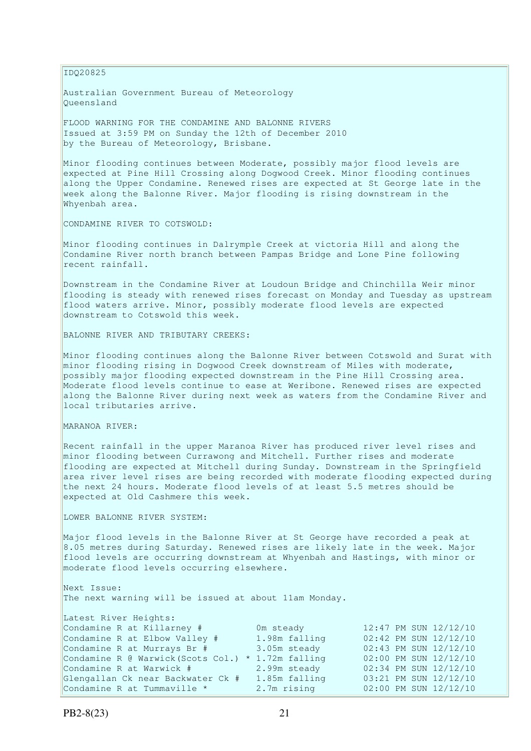IDQ20825

Australian Government Bureau of Meteorology Queensland

FLOOD WARNING FOR THE CONDAMINE AND BALONNE RIVERS Issued at 3:59 PM on Sunday the 12th of December 2010 by the Bureau of Meteorology, Brisbane.

Minor flooding continues between Moderate, possibly major flood levels are expected at Pine Hill Crossing along Dogwood Creek. Minor flooding continues along the Upper Condamine. Renewed rises are expected at St George late in the week along the Balonne River. Major flooding is rising downstream in the Whyenbah area.

CONDAMINE RIVER TO COTSWOLD:

Minor flooding continues in Dalrymple Creek at victoria Hill and along the Condamine River north branch between Pampas Bridge and Lone Pine following recent rainfall.

Downstream in the Condamine River at Loudoun Bridge and Chinchilla Weir minor flooding is steady with renewed rises forecast on Monday and Tuesday as upstream flood waters arrive. Minor, possibly moderate flood levels are expected downstream to Cotswold this week.

BALONNE RIVER AND TRIBUTARY CREEKS:

Minor flooding continues along the Balonne River between Cotswold and Surat with minor flooding rising in Dogwood Creek downstream of Miles with moderate, possibly major flooding expected downstream in the Pine Hill Crossing area. Moderate flood levels continue to ease at Weribone. Renewed rises are expected along the Balonne River during next week as waters from the Condamine River and local tributaries arrive.

MARANOA RIVER:

Recent rainfall in the upper Maranoa River has produced river level rises and minor flooding between Currawong and Mitchell. Further rises and moderate flooding are expected at Mitchell during Sunday. Downstream in the Springfield area river level rises are being recorded with moderate flooding expected during the next 24 hours. Moderate flood levels of at least 5.5 metres should be expected at Old Cashmere this week.

LOWER BALONNE RIVER SYSTEM:

Major flood levels in the Balonne River at St George have recorded a peak at 8.05 metres during Saturday. Renewed rises are likely late in the week. Major flood levels are occurring downstream at Whyenbah and Hastings, with minor or moderate flood levels occurring elsewhere.

Next Issue: The next warning will be issued at about 11am Monday.

| Latest River Heights:                              |               |  |                       |
|----------------------------------------------------|---------------|--|-----------------------|
| Condamine R at Killarney #                         | 0m steady     |  | 12:47 PM SUN 12/12/10 |
| Condamine R at Elbow Valley #                      | 1.98m falling |  | 02:42 PM SUN 12/12/10 |
| Condamine R at Murrays Br #                        | 3.05m steady  |  | 02:43 PM SUN 12/12/10 |
| Condamine R @ Warwick (Scots Col.) * 1.72m falling |               |  | 02:00 PM SUN 12/12/10 |
| Condamine R at Warwick #                           | 2.99m steady  |  | 02:34 PM SUN 12/12/10 |
| Glengallan Ck near Backwater Ck #                  | 1.85m falling |  | 03:21 PM SUN 12/12/10 |
| Condamine R at Tummaville *                        | 2.7m rising   |  | 02:00 PM SUN 12/12/10 |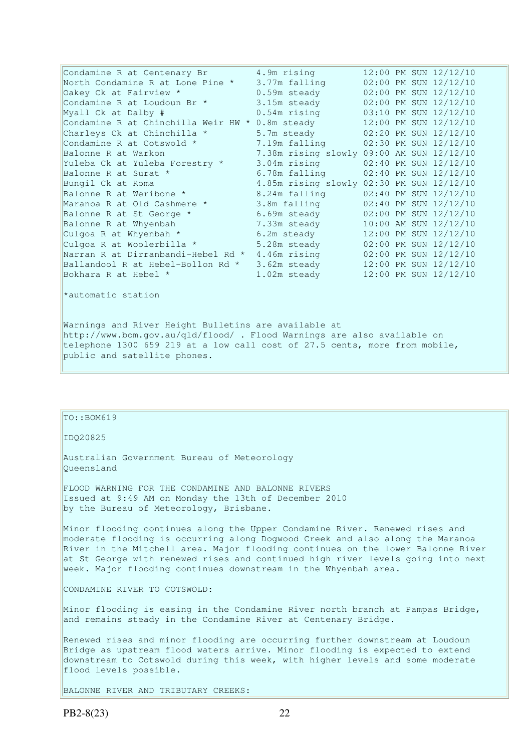Condamine R at Centenary Br 4.9m rising 12:00 PM SUN 12/12/10 North Condamine R at Lone Pine \* 3.77m falling 02:00 PM SUN 12/12/10 Oakey Ck at Fairview \* 0.59m steady 02:00 PM SUN 12/12/10 Condamine R at Loudoun Br  $*$  3.15m steady 02:00 PM SUN 12/12/10 Myall Ck at Dalby # 0.54m rising 03:10 PM SUN 12/12/10 Oakey Ck at Fairview \* 0.59m steady 02:00 PM SUN 12/12/10<br>
Condamine R at Loudoun Br \* 3.15m steady 02:00 PM SUN 12/12/10<br>
Myall Ck at Dalby # 0.54m rising 03:10 PM SUN 12/12/10<br>
Condamine R at Chinchilla Weir HW \* 0.8m st Charleys Ck at Chinchilla  $*$  5.7m steady 02:20 PM SUN 12/12/10 Condamine R at Cotswold  $\star$  7.19m falling 02:30 PM SUN 12/12/10 Balonne R at Warkon 7.38m rising slowly 09:00 AM SUN 12/12/10 Yuleba Ck at Yuleba Forestry \* 3.04m rising 02:40 PM SUN 12/12/10 Balonne R at Surat \* 1992 6.78m falling 12.40 PM SUN 12/12/10 Bungil Ck at Roma 4.85m rising slowly 02:30 PM SUN 12/12/10 Balonne R at Weribone \* 8.24m falling 02:40 PM SUN 12/12/10 Maranoa R at Old Cashmere \* 3.8m falling 02:40 PM SUN 12/12/10 Balonne R at St George \* 6.69m steady 02:00 PM SUN 12/12/10 Balonne R at Whyenbah 7.33m steady 10:00 AM SUN 12/12/10 Culgoa R at Whyenbah  $\star$  6.2m steady 12:00 PM SUN 12/12/10 Culgoa R at Woolerbilla  $\star$  5.28m steady 02:00 PM SUN 12/12/10 Narran R at Dirranbandi-Hebel Rd \* 4.46m rising 02:00 PM SUN 12/12/10 Ballandool R at Hebel-Bollon Rd \* 3.62m steady 12:00 PM SUN 12/12/10 Bokhara R at Hebel \* 1.02m steady 12:00 PM SUN 12/12/10 \*automatic station Warnings and River Height Bulletins are available at

http://www.bom.gov.au/qld/flood/ . Flood Warnings are also available on telephone 1300 659 219 at a low call cost of 27.5 cents, more from mobile, public and satellite phones.

## $TO::BOM619$

IDQ20825

Australian Government Bureau of Meteorology Queensland

FLOOD WARNING FOR THE CONDAMINE AND BALONNE RIVERS Issued at 9:49 AM on Monday the 13th of December 2010 by the Bureau of Meteorology, Brisbane.

Minor flooding continues along the Upper Condamine River. Renewed rises and moderate flooding is occurring along Dogwood Creek and also along the Maranoa River in the Mitchell area. Major flooding continues on the lower Balonne River at St George with renewed rises and continued high river levels going into next week. Major flooding continues downstream in the Whyenbah area.

CONDAMINE RIVER TO COTSWOLD:

Minor flooding is easing in the Condamine River north branch at Pampas Bridge, and remains steady in the Condamine River at Centenary Bridge.

Renewed rises and minor flooding are occurring further downstream at Loudoun Bridge as upstream flood waters arrive. Minor flooding is expected to extend downstream to Cotswold during this week, with higher levels and some moderate flood levels possible.

BALONNE RIVER AND TRIBUTARY CREEKS: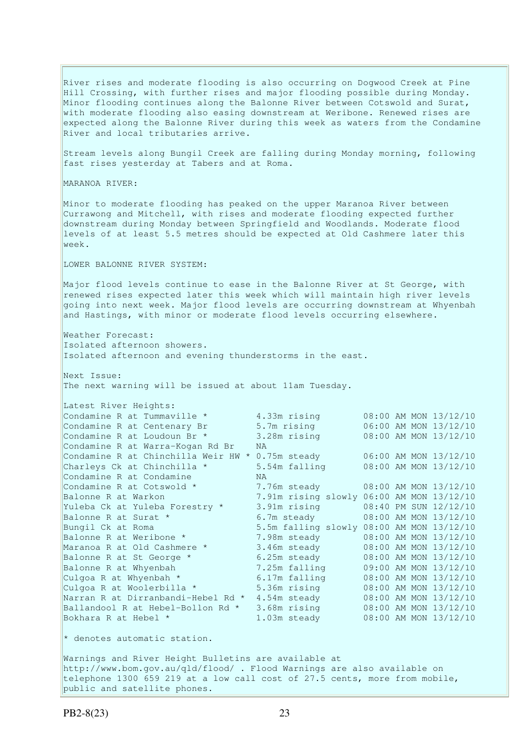River rises and moderate flooding is also occurring on Dogwood Creek at Pine Hill Crossing, with further rises and major flooding possible during Monday. Minor flooding continues along the Balonne River between Cotswold and Surat, with moderate flooding also easing downstream at Weribone. Renewed rises are expected along the Balonne River during this week as waters from the Condamine River and local tributaries arrive.

Stream levels along Bungil Creek are falling during Monday morning, following fast rises yesterday at Tabers and at Roma.

MARANOA RIVER:

Minor to moderate flooding has peaked on the upper Maranoa River between Currawong and Mitchell, with rises and moderate flooding expected further downstream during Monday between Springfield and Woodlands. Moderate flood levels of at least 5.5 metres should be expected at Old Cashmere later this week.

LOWER BALONNE RIVER SYSTEM:

Major flood levels continue to ease in the Balonne River at St George, with renewed rises expected later this week which will maintain high river levels going into next week. Major flood levels are occurring downstream at Whyenbah and Hastings, with minor or moderate flood levels occurring elsewhere.

Weather Forecast: Isolated afternoon showers. Isolated afternoon and evening thunderstorms in the east. Next Issue: The next warning will be issued at about 11am Tuesday. Latest River Heights: Condamine R at Tummaville \* 4.33m rising 08:00 AM MON 13/12/10 Condamine R at Centenary Br 5.7m rising 06:00 AM MON 13/12/10 Condamine R at Loudoun Br  $*$  3.28m rising 08:00 AM MON 13/12/10 Condamine R at Warra-Kogan Rd Br NA Condamine R at Chinchilla Weir HW  $*$  0.75m steady  $0.6:00$  AM MON  $13/12/10$ Charleys Ck at Chinchilla  $*$  5.54m falling 08:00 AM MON 13/12/10 Condamine R at Condamine<br>
Condamine R at Cotswold \* 7.76m steady Condamine R at Cotswold \* 7.76m steady 08:00 AM MON 13/12/10<br>Balonne R at Warkon 7.91m rising slowly 06:00 AM MON 13/12/10 Balonne R at Warkon 7.91m rising slowly 06:00 AM MON 13/12/10 Yuleba Ck at Yuleba Forestry \* 3.91m rising 08:40 PM SUN 12/12/10 Balonne R at Surat  $*$  6.7m steady 08:00 AM MON 13/12/10 Bungil Ck at Roma 5.5m falling slowly 08:00 AM MON 13/12/10 Balonne R at Weribone \* 7.98m steady 08:00 AM MON 13/12/10 Bungir CK at Noma<br>Balonne R at Weribone \* 7.98m steady 08:00 AM MON 13/12/10<br>Maranoa R at Old Cashmere \* 3.46m steady 08:00 AM MON 13/12/10 Balonne R at St George \* 6.25m steady 08:00 AM MON 13/12/10 Balonne R at Whyenbah 7.25m falling 09:00 AM MON 13/12/10 Culgoa R at Whyenbah  $\star$  6.17m falling 08:00 AM MON 13/12/10 Culgoa R at Woolerbilla  $\star$  5.36m rising 08:00 AM MON 13/12/10 Narran R at Dirranbandi-Hebel Rd \* 4.54m steady 08:00 AM MON 13/12/10 Ballandool R at Hebel-Bollon Rd \* 3.68m rising 08:00 AM MON 13/12/10 Bokhara R at Hebel \* 1.03m steady 08:00 AM MON 13/12/10 \* denotes automatic station.

Warnings and River Height Bulletins are available at http://www.bom.gov.au/qld/flood/ . Flood Warnings are also available on telephone 1300 659 219 at a low call cost of 27.5 cents, more from mobile, public and satellite phones.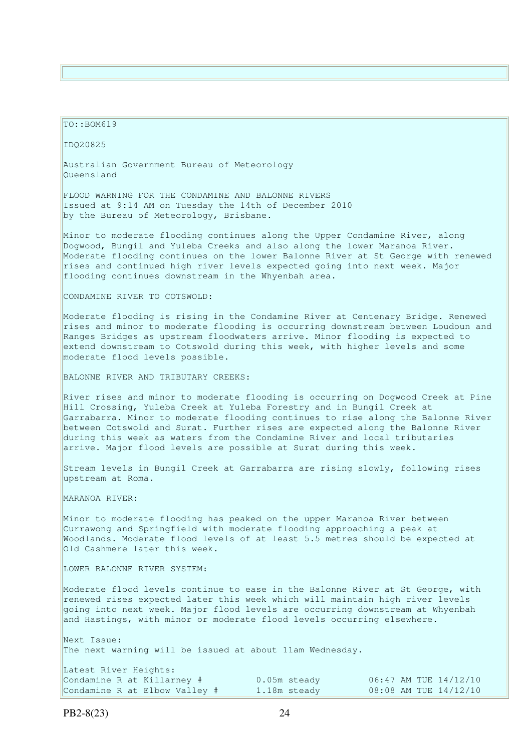#### TO::BOM619

IDQ20825

Australian Government Bureau of Meteorology Queensland

FLOOD WARNING FOR THE CONDAMINE AND BALONNE RIVERS Issued at 9:14 AM on Tuesday the 14th of December 2010 by the Bureau of Meteorology, Brisbane.

Minor to moderate flooding continues along the Upper Condamine River, along Dogwood, Bungil and Yuleba Creeks and also along the lower Maranoa River. Moderate flooding continues on the lower Balonne River at St George with renewed rises and continued high river levels expected going into next week. Major flooding continues downstream in the Whyenbah area.

CONDAMINE RIVER TO COTSWOLD:

Moderate flooding is rising in the Condamine River at Centenary Bridge. Renewed rises and minor to moderate flooding is occurring downstream between Loudoun and Ranges Bridges as upstream floodwaters arrive. Minor flooding is expected to extend downstream to Cotswold during this week, with higher levels and some moderate flood levels possible.

BALONNE RIVER AND TRIBUTARY CREEKS:

River rises and minor to moderate flooding is occurring on Dogwood Creek at Pine Hill Crossing, Yuleba Creek at Yuleba Forestry and in Bungil Creek at Garrabarra. Minor to moderate flooding continues to rise along the Balonne River between Cotswold and Surat. Further rises are expected along the Balonne River during this week as waters from the Condamine River and local tributaries arrive. Major flood levels are possible at Surat during this week.

Stream levels in Bungil Creek at Garrabarra are rising slowly, following rises upstream at Roma.

MARANOA RIVER:

Minor to moderate flooding has peaked on the upper Maranoa River between Currawong and Springfield with moderate flooding approaching a peak at Woodlands. Moderate flood levels of at least 5.5 metres should be expected at Old Cashmere later this week.

LOWER BALONNE RIVER SYSTEM:

Moderate flood levels continue to ease in the Balonne River at St George, with renewed rises expected later this week which will maintain high river levels going into next week. Major flood levels are occurring downstream at Whyenbah and Hastings, with minor or moderate flood levels occurring elsewhere.

Next Issue: The next warning will be issued at about 11am Wednesday.

| Latest River Heights:         |                |                       |
|-------------------------------|----------------|-----------------------|
| Condamine R at Killarney #    | $0.05m$ steady | 06:47 AM TUE 14/12/10 |
| Condamine R at Elbow Valley # | 1.18m steady   | 08:08 AM TUE 14/12/10 |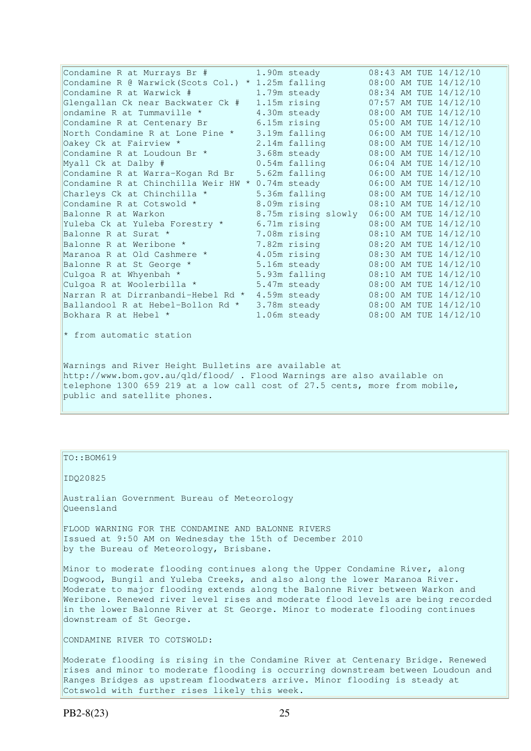| Condamine R at Murrays Br #                        | 1.90m steady        |  | 08:43 AM TUE 14/12/10 |
|----------------------------------------------------|---------------------|--|-----------------------|
| Condamine R @ Warwick (Scots Col.) * 1.25m falling |                     |  | 08:00 AM TUE 14/12/10 |
| Condamine R at Warwick #                           | 1.79m steady        |  | 08:34 AM TUE 14/12/10 |
| Glengallan Ck near Backwater Ck #                  | 1.15m rising        |  | 07:57 AM TUE 14/12/10 |
| ondamine R at Tummaville *                         | 4.30m steady        |  | 08:00 AM TUE 14/12/10 |
| Condamine R at Centenary Br                        | 6.15m rising        |  | 05:00 AM TUE 14/12/10 |
| North Condamine R at Lone Pine *                   | 3.19m falling       |  | 06:00 AM TUE 14/12/10 |
| Oakey Ck at Fairview *                             | 2.14m falling       |  | 08:00 AM TUE 14/12/10 |
| Condamine R at Loudoun Br *                        | 3.68m steady        |  | 08:00 AM TUE 14/12/10 |
| Myall Ck at Dalby #                                | 0.54m falling       |  | 06:04 AM TUE 14/12/10 |
| Condamine R at Warra-Kogan Rd Br                   | 5.62m falling       |  | 06:00 AM TUE 14/12/10 |
| Condamine R at Chinchilla Weir HW * 0.74m steady   |                     |  | 06:00 AM TUE 14/12/10 |
| Charleys Ck at Chinchilla *                        | 5.36m falling       |  | 08:00 AM TUE 14/12/10 |
| Condamine R at Cotswold *                          | 8.09m rising        |  | 08:10 AM TUE 14/12/10 |
| Balonne R at Warkon                                | 8.75m rising slowly |  | 06:00 AM TUE 14/12/10 |
| Yuleba Ck at Yuleba Forestry *                     | 6.71m rising        |  | 08:00 AM TUE 14/12/10 |
| Balonne R at Surat *                               | 7.08m rising        |  | 08:10 AM TUE 14/12/10 |
| Balonne R at Weribone *                            | 7.82m rising        |  | 08:20 AM TUE 14/12/10 |
| Maranoa R at Old Cashmere *                        | 4.05m rising        |  | 08:30 AM TUE 14/12/10 |
| Balonne R at St George *                           | 5.16m steady        |  | 08:00 AM TUE 14/12/10 |
| Culgoa R at Whyenbah *                             | 5.93m falling       |  | 08:10 AM TUE 14/12/10 |
| Culgoa R at Woolerbilla *                          | 5.47m steady        |  | 08:00 AM TUE 14/12/10 |
| Narran R at Dirranbandi-Hebel Rd *                 | 4.59m steady        |  | 08:00 AM TUE 14/12/10 |
| Ballandool R at Hebel-Bollon Rd *                  | 3.78m steady        |  | 08:00 AM TUE 14/12/10 |
| Bokhara R at Hebel *                               | 1.06m steady        |  | 08:00 AM TUE 14/12/10 |
|                                                    |                     |  |                       |
| $\star$ from automatic station                     |                     |  |                       |
|                                                    |                     |  |                       |

Warnings and River Height Bulletins are available at http://www.bom.gov.au/qld/flood/ . Flood Warnings are also available on telephone 1300 659 219 at a low call cost of 27.5 cents, more from mobile, public and satellite phones.

### TO::BOM619

IDQ20825

Australian Government Bureau of Meteorology Queensland

FLOOD WARNING FOR THE CONDAMINE AND BALONNE RIVERS Issued at 9:50 AM on Wednesday the 15th of December 2010 by the Bureau of Meteorology, Brisbane.

Minor to moderate flooding continues along the Upper Condamine River, along Dogwood, Bungil and Yuleba Creeks, and also along the lower Maranoa River. Moderate to major flooding extends along the Balonne River between Warkon and Weribone. Renewed river level rises and moderate flood levels are being recorded in the lower Balonne River at St George. Minor to moderate flooding continues downstream of St George.

CONDAMINE RIVER TO COTSWOLD:

Moderate flooding is rising in the Condamine River at Centenary Bridge. Renewed rises and minor to moderate flooding is occurring downstream between Loudoun and Ranges Bridges as upstream floodwaters arrive. Minor flooding is steady at Cotswold with further rises likely this week.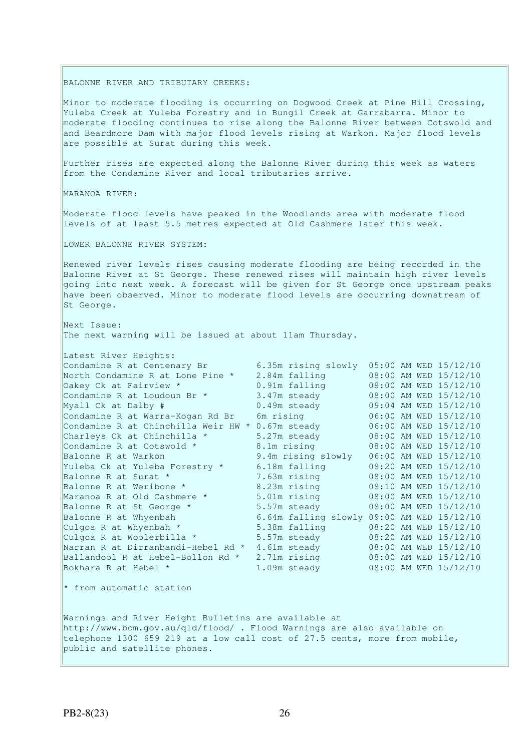#### BALONNE RIVER AND TRIBUTARY CREEKS:

Minor to moderate flooding is occurring on Dogwood Creek at Pine Hill Crossing, Yuleba Creek at Yuleba Forestry and in Bungil Creek at Garrabarra. Minor to moderate flooding continues to rise along the Balonne River between Cotswold and and Beardmore Dam with major flood levels rising at Warkon. Major flood levels are possible at Surat during this week.

Further rises are expected along the Balonne River during this week as waters from the Condamine River and local tributaries arrive.

MARANOA RIVER:

Moderate flood levels have peaked in the Woodlands area with moderate flood levels of at least 5.5 metres expected at Old Cashmere later this week.

LOWER BALONNE RIVER SYSTEM:

Renewed river levels rises causing moderate flooding are being recorded in the Balonne River at St George. These renewed rises will maintain high river levels going into next week. A forecast will be given for St George once upstream peaks have been observed. Minor to moderate flood levels are occurring downstream of St George.

Next Issue: The next warning will be issued at about 11am Thursday.

| Latest River Heights:                                                      |                     |                                            |  |
|----------------------------------------------------------------------------|---------------------|--------------------------------------------|--|
| Condamine R at Centenary Br                                                | 6.35m rising slowly | 05:00 AM WED 15/12/10                      |  |
| North Condamine R at Lone Pine *                                           | 2.84m falling       | 08:00 AM WED 15/12/10                      |  |
| Oakey Ck at Fairview *                                                     | 0.91m falling       | 08:00 AM WED 15/12/10                      |  |
| Condamine R at Loudoun Br *                                                | 3.47m steady        | 08:00 AM WED 15/12/10                      |  |
| Myall Ck at Dalby #                                                        | 0.49m steady        | 09:04 AM WED 15/12/10                      |  |
| Condamine R at Warra-Kogan Rd Br                                           | 6m rising           | 06:00 AM WED 15/12/10                      |  |
| Condamine R at Chinchilla Weir HW * 0.67m steady                           |                     | 06:00 AM WED 15/12/10                      |  |
| Charleys Ck at Chinchilla *                                                | 5.27m steady        | 08:00 AM WED 15/12/10                      |  |
| Condamine R at Cotswold *                                                  | 8.1m rising         | 08:00 AM WED 15/12/10                      |  |
| Balonne R at Warkon                                                        | 9.4m rising slowly  | 06:00 AM WED 15/12/10                      |  |
| Yuleba Ck at Yuleba Forestry *                                             | 6.18m falling       | 08:20 AM WED 15/12/10                      |  |
| Balonne R at Surat *                                                       | 7.63m rising        | 08:00 AM WED 15/12/10                      |  |
| Balonne R at Weribone *                                                    | 8.23m rising        | 08:10 AM WED 15/12/10                      |  |
| Maranoa R at Old Cashmere *                                                | 5.01m rising        | 08:00 AM WED 15/12/10                      |  |
| Balonne R at St George *                                                   | 5.57m steady        | 08:00 AM WED 15/12/10                      |  |
| Balonne R at Whyenbah                                                      |                     | 6.64m falling slowly 09:00 AM WED 15/12/10 |  |
| Culgoa R at Whyenbah *                                                     | 5.38m falling       | 08:20 AM WED 15/12/10                      |  |
| Culgoa R at Woolerbilla *                                                  | 5.57m steady        | 08:20 AM WED 15/12/10                      |  |
| Narran R at Dirranbandi-Hebel Rd *                                         | 4.61m steady        | 08:00 AM WED 15/12/10                      |  |
| Ballandool R at Hebel-Bollon Rd *                                          | 2.71m rising        | 08:00 AM WED 15/12/10                      |  |
| Bokhara R at Hebel *                                                       | 1.09m steady        | 08:00 AM WED 15/12/10                      |  |
|                                                                            |                     |                                            |  |
| * from automatic station                                                   |                     |                                            |  |
|                                                                            |                     |                                            |  |
| Warnings and River Height Bulletins are available at                       |                     |                                            |  |
| http://www.bom.gov.au/qld/flood/ . Flood Warnings are also available on    |                     |                                            |  |
| telephone 1300 659 219 at a low call cost of 27.5 cents, more from mobile, |                     |                                            |  |
| public and satellite phones.                                               |                     |                                            |  |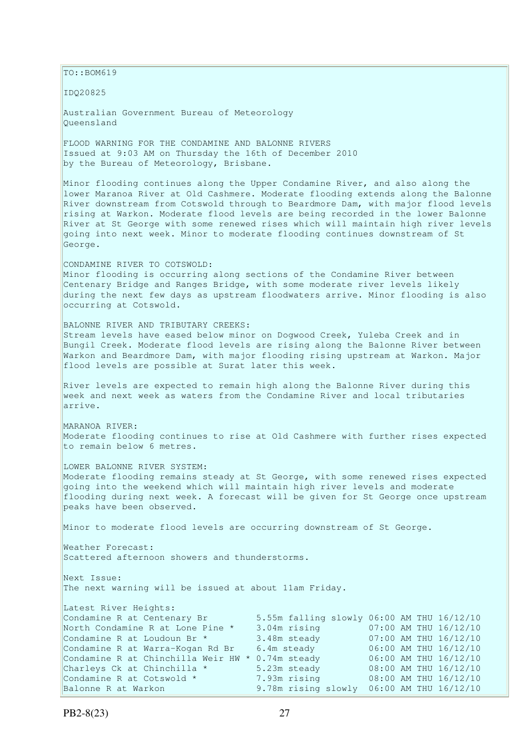$\vert$ TO::BOM619 IDQ20825 Australian Government Bureau of Meteorology Queensland FLOOD WARNING FOR THE CONDAMINE AND BALONNE RIVERS Issued at 9:03 AM on Thursday the 16th of December 2010 by the Bureau of Meteorology, Brisbane. Minor flooding continues along the Upper Condamine River, and also along the lower Maranoa River at Old Cashmere. Moderate flooding extends along the Balonne River downstream from Cotswold through to Beardmore Dam, with major flood levels rising at Warkon. Moderate flood levels are being recorded in the lower Balonne River at St George with some renewed rises which will maintain high river levels going into next week. Minor to moderate flooding continues downstream of St George. CONDAMINE RIVER TO COTSWOLD: Minor flooding is occurring along sections of the Condamine River between Centenary Bridge and Ranges Bridge, with some moderate river levels likely during the next few days as upstream floodwaters arrive. Minor flooding is also occurring at Cotswold. BALONNE RIVER AND TRIBUTARY CREEKS: Stream levels have eased below minor on Dogwood Creek, Yuleba Creek and in Bungil Creek. Moderate flood levels are rising along the Balonne River between Warkon and Beardmore Dam, with major flooding rising upstream at Warkon. Major flood levels are possible at Surat later this week. River levels are expected to remain high along the Balonne River during this week and next week as waters from the Condamine River and local tributaries arrive. MARANOA RIVER: Moderate flooding continues to rise at Old Cashmere with further rises expected to remain below 6 metres. LOWER BALONNE RIVER SYSTEM: Moderate flooding remains steady at St George, with some renewed rises expected going into the weekend which will maintain high river levels and moderate flooding during next week. A forecast will be given for St George once upstream peaks have been observed. Minor to moderate flood levels are occurring downstream of St George. Weather Forecast: Scattered afternoon showers and thunderstorms. Next Issue: The next warning will be issued at about 11am Friday. Latest River Heights: Condamine R at Centenary Br 5.55m falling slowly 06:00 AM THU 16/12/10 North Condamine R at Lone Pine \* 3.04m rising 07:00 AM THU 16/12/10 Condamine R at Loudoun Br \* 3.48m steady 07:00 AM THU 16/12/10 Condamine R at Warra-Kogan Rd Br  $6.4$ m steady  $06:00$  AM THU  $16/12/10$ Condamine R at Chinchilla Weir HW  $*$  0.74m steady 06:00 AM THU 16/12/10 Charleys Ck at Chinchilla  $*$  5.23m steady 08:00 AM THU 16/12/10 Condamine R at Cotswold  $*$  7.93m rising 08:00 AM THU 16/12/10 Balonne R at Warkon 9.78m rising slowly 06:00 AM THU 16/12/10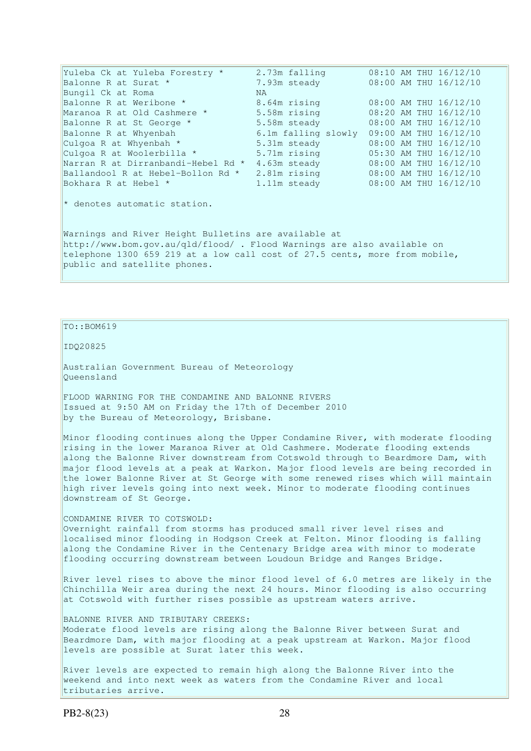| Yuleba Ck at Yuleba Forestry *                                                                                                                                                                                                                | 2.73m falling       | 08:10 AM THU 16/12/10              |  |
|-----------------------------------------------------------------------------------------------------------------------------------------------------------------------------------------------------------------------------------------------|---------------------|------------------------------------|--|
| Balonne R at Surat *                                                                                                                                                                                                                          | 7.93m steady        | 08:00 AM THU 16/12/10              |  |
| Bungil Ck at Roma                                                                                                                                                                                                                             | NA.                 |                                    |  |
| Balonne R at Weribone *                                                                                                                                                                                                                       |                     | 8.64m rising 08:00 AM THU 16/12/10 |  |
| Maranoa R at Old Cashmere *                                                                                                                                                                                                                   | 5.58m rising        | 08:20 AM THU 16/12/10              |  |
| Balonne R at St George *                                                                                                                                                                                                                      | 5.58m steady        | 08:00 AM THU 16/12/10              |  |
| Balonne R at Whyenbah                                                                                                                                                                                                                         | 6.1m falling slowly | 09:00 AM THU 16/12/10              |  |
| Culqoa R at Whyenbah *                                                                                                                                                                                                                        | 5.31m steady        | 08:00 AM THU 16/12/10              |  |
| Culgoa R at Woolerbilla *                                                                                                                                                                                                                     | 5.71m rising        | 05:30 AM THU 16/12/10              |  |
| Narran R at Dirranbandi-Hebel Rd *                                                                                                                                                                                                            | 4.63m steady        | 08:00 AM THU 16/12/10              |  |
| Ballandool R at Hebel-Bollon Rd *                                                                                                                                                                                                             | 2.81m rising        | 08:00 AM THU 16/12/10              |  |
| Bokhara R at Hebel *                                                                                                                                                                                                                          |                     | 1.11m steady 08:00 AM THU 16/12/10 |  |
| $\star$ denotes automatic station.                                                                                                                                                                                                            |                     |                                    |  |
| Warnings and River Height Bulletins are available at<br>http://www.bom.gov.au/qld/flood/ . Flood Warnings are also available on<br>telephone 1300 659 219 at a low call cost of 27.5 cents, more from mobile,<br>public and satellite phones. |                     |                                    |  |

 $TO: **ROM619**$ 

IDQ20825

Australian Government Bureau of Meteorology Queensland

FLOOD WARNING FOR THE CONDAMINE AND BALONNE RIVERS Issued at 9:50 AM on Friday the 17th of December 2010 by the Bureau of Meteorology, Brisbane.

Minor flooding continues along the Upper Condamine River, with moderate flooding rising in the lower Maranoa River at Old Cashmere. Moderate flooding extends along the Balonne River downstream from Cotswold through to Beardmore Dam, with major flood levels at a peak at Warkon. Major flood levels are being recorded in the lower Balonne River at St George with some renewed rises which will maintain high river levels going into next week. Minor to moderate flooding continues downstream of St George.

CONDAMINE RIVER TO COTSWOLD: Overnight rainfall from storms has produced small river level rises and localised minor flooding in Hodgson Creek at Felton. Minor flooding is falling along the Condamine River in the Centenary Bridge area with minor to moderate flooding occurring downstream between Loudoun Bridge and Ranges Bridge.

River level rises to above the minor flood level of 6.0 metres are likely in the Chinchilla Weir area during the next 24 hours. Minor flooding is also occurring at Cotswold with further rises possible as upstream waters arrive.

BALONNE RIVER AND TRIBUTARY CREEKS: Moderate flood levels are rising along the Balonne River between Surat and Beardmore Dam, with major flooding at a peak upstream at Warkon. Major flood levels are possible at Surat later this week.

River levels are expected to remain high along the Balonne River into the weekend and into next week as waters from the Condamine River and local tributaries arrive.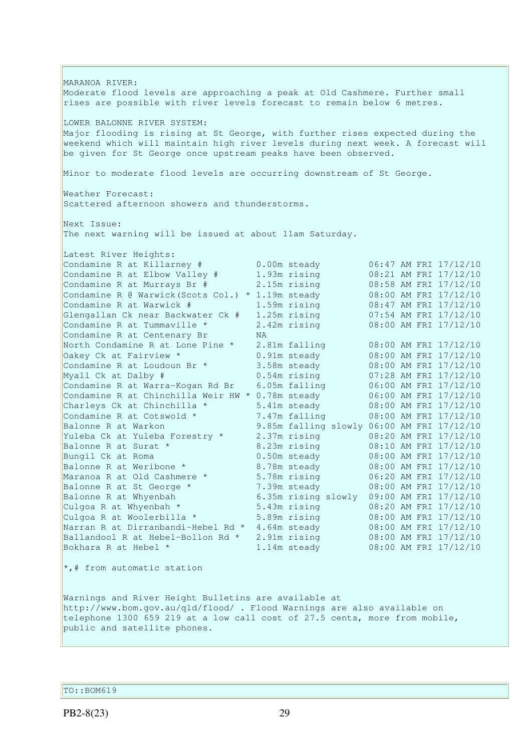MARANOA RIVER: Moderate flood levels are approaching a peak at Old Cashmere. Further small rises are possible with river levels forecast to remain below 6 metres. LOWER BALONNE RIVER SYSTEM: Major flooding is rising at St George, with further rises expected during the weekend which will maintain high river levels during next week. A forecast will be given for St George once upstream peaks have been observed. Minor to moderate flood levels are occurring downstream of St George. Weather Forecast: Scattered afternoon showers and thunderstorms. Next Issue: The next warning will be issued at about 11am Saturday. Latest River Heights: Condamine R at Killarney # 0.00m steady 06:47 AM FRI 17/12/10 Condamine R at Elbow Valley # 1.93m rising 08:21 AM FRI 17/12/10 Condamine R at Murrays Br  $\#$  2.15m rising  $0.08:58$  AM FRI 17/12/10 Condamine R  $\theta$  Warwick(Scots Col.) \* 1.19m steady 08:00 AM FRI 17/12/10 Condamine R at Warwick # 1.59m rising 08:47 AM FRI 17/12/10 Glengallan Ck near Backwater Ck # 1.25m rising 07:54 AM FRI 17/12/10 Condamine R at Tummaville  $*$  2.42m rising  $08:00$  AM FRI  $17/12/10$ Condamine R at Centenary Br MA North Condamine R at Lone Pine \* 2.81m falling 08:00 AM FRI 17/12/10 Oakey Ck at Fairview \* 0.91m steady 08:00 AM FRI 17/12/10 Condamine R at Loudoun Br  $*$  3.58m steady 08:00 AM FRI 17/12/10 Myall Ck at Dalby # 0.54m rising 07:28 AM FRI 17/12/10 Condamine R at Warra-Kogan Rd Br 6.05m falling 06:00 AM FRI 17/12/10 Condamine R at Chinchilla Weir HW  $*$  0.78m steady 06:00 AM FRI 17/12/10 Condamine K at Chinchilla Weir HW \* 0.78m steady<br>Charleys Ck at Chinchilla \* 5.41m steady<br>Condamine R at Cotswold \* 7.47m falling 5.41m steady 08:00 AM FRI 17/12/10<br>7.47m falling 08:00 AM FRI 17/12/10 Balonne R at Warkon 9.85m falling slowly 06:00 AM FRI 17/12/10 Yuleba Ck at Yuleba Forestry \* 2.37m rising 08:20 AM FRI 17/12/10 Balonne R at Surat \* 3.23m rising 08:10 AM FRI 17/12/10 Bungil Ck at Roma 0.50m steady 08:00 AM FRI 17/12/10 Bungil CK at Roma<br>Balonne R at Weribone \* 8.78m steady 08:00 AM FRI 17/12/10<br>Maranoa R at Old Cashmere \* 5.78m rising 06:20 AM FRI 17/12/10 Maranoa R at Old Cashmere \* 5.78m rising 06:20 AM FRI 17/12/10 Balonne R at St George \* 7.39m steady 08:00 AM FRI 17/12/10 Balonne R at Whyenbah 6.35m rising slowly 09:00 AM FRI 17/12/10 Culgoa R at Whyenbah  $*$  5.43m rising 08:20 AM FRI 17/12/10 Culgoa R at Woolerbilla \* 5.89m rising 08:00 AM FRI 17/12/10 Narran R at Dirranbandi-Hebel Rd \* 4.64m steady 08:00 AM FRI 17/12/10 Ballandool R at Hebel-Bollon Rd \* 2.91m rising 08:00 AM FRI 17/12/10 Bokhara R at Hebel \* 1.14m steady 08:00 AM FRI 17/12/10 \*,# from automatic station Warnings and River Height Bulletins are available at http://www.bom.gov.au/qld/flood/ . Flood Warnings are also available on telephone 1300 659 219 at a low call cost of 27.5 cents, more from mobile, public and satellite phones.

TO::BOM619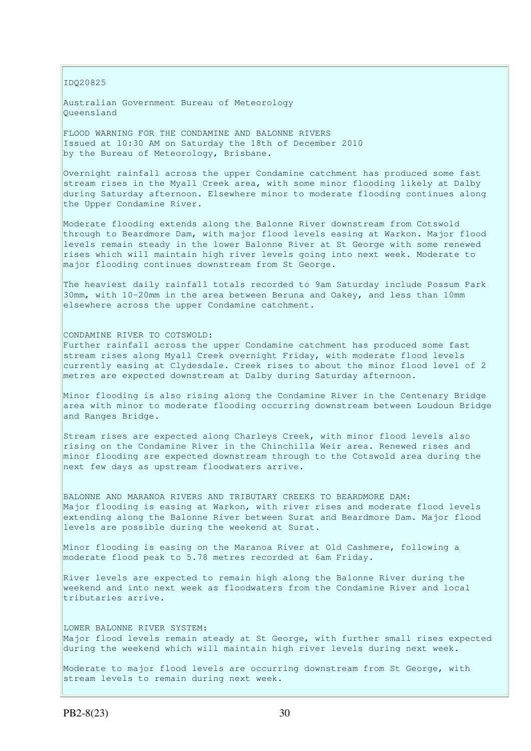#### IDQ20825

Australian Government Bureau of Meteorology Queensland

FLOOD WARNING FOR THE CONDAMINE AND BALONNE RIVERS Issued at 10:30 AM on Saturday the 18th of December 2010 by the Bureau of Meteorology, Brisbane.

Overnight rainfall across the upper Condamine catchment has produced some fast stream rises in the Myall Creek area, with some minor flooding likely at Dalby during Saturday afternoon. Elsewhere minor to moderate flooding continues along the Upper Condamine River.

Moderate flooding extends along the Balonne River downstream from Cotswold through to Beardmore Dam, with major flood levels easing at Warkon. Major flood levels remain steady in the lower Balonne River at St George with some renewed rises which will maintain high river levels going into next week. Moderate to major flooding continues downstream from St George.

The heaviest daily rainfall totals recorded to 9am Saturday include Possum Park 30mm, with 10-20mm in the area between Beruna and Oakey, and less than 10mm elsewhere across the upper Condamine catchment.

CONDAMINE RIVER TO COTSWOLD: Further rainfall across the upper Condamine catchment has produced some fast stream rises along Myall Creek overnight Friday, with moderate flood levels currently easing at Clydesdale. Creek rises to about the minor flood level of 2 metres are expected downstream at Dalby during Saturday afternoon.

Minor flooding is also rising along the Condamine River in the Centenary Bridge area with minor to moderate flooding occurring downstream between Loudoun Bridge and Ranges Bridge.

Stream rises are expected along Charleys Creek, with minor flood levels also rising on the Condamine River in the Chinchilla Weir area. Renewed rises and minor flooding are expected downstream through to the Cotswold area during the next few days as upstream floodwaters arrive.

BALONNE AND MARANOA RIVERS AND TRIBUTARY CREEKS TO BEARDMORE DAM: Major flooding is easing at Warkon, with river rises and moderate flood levels extending along the Balonne River between Surat and Beardmore Dam. Major flood levels are possible during the weekend at Surat.

Minor flooding is easing on the Maranoa River at Old Cashmere, following a moderate flood peak to 5.78 metres recorded at 6am Friday.

River levels are expected to remain high along the Balonne River during the weekend and into next week as floodwaters from the Condamine River and local tributaries arrive.

LOWER BALONNE RIVER SYSTEM: Major flood levels remain steady at St George, with further small rises expected during the weekend which will maintain high river levels during next week.

Moderate to major flood levels are occurring downstream from St George, with stream levels to remain during next week.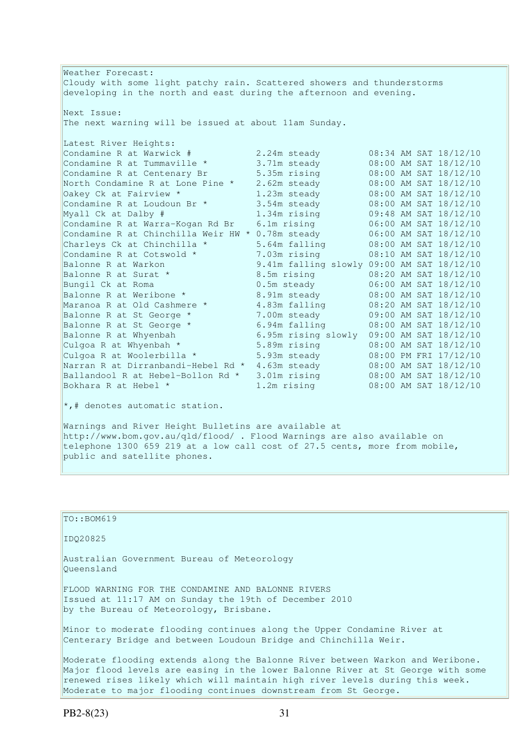| Weather Forecast:                                                       |                     |                                            |
|-------------------------------------------------------------------------|---------------------|--------------------------------------------|
| Cloudy with some light patchy rain. Scattered showers and thunderstorms |                     |                                            |
| developing in the north and east during the afternoon and evening.      |                     |                                            |
|                                                                         |                     |                                            |
| Next Issue:                                                             |                     |                                            |
| The next warning will be issued at about 11am Sunday.                   |                     |                                            |
|                                                                         |                     |                                            |
| Latest River Heights:                                                   |                     |                                            |
| Condamine R at Warwick #                                                | 2.24m steady        | 08:34 AM SAT 18/12/10                      |
| Condamine R at Tummaville *                                             | 3.71m steady        | 08:00 AM SAT 18/12/10                      |
| Condamine R at Centenary Br                                             | 5.35m rising        | 08:00 AM SAT 18/12/10                      |
| North Condamine R at Lone Pine *                                        | 2.62m steady        | 08:00 AM SAT 18/12/10                      |
| Oakey Ck at Fairview *                                                  | 1.23m steady        | 08:00 AM SAT 18/12/10                      |
| Condamine R at Loudoun Br *                                             | 3.54m steady        | 08:00 AM SAT 18/12/10                      |
| Myall Ck at Dalby #                                                     | 1.34m rising        | 09:48 AM SAT 18/12/10                      |
| Condamine R at Warra-Kogan Rd Br                                        | 6.1m rising         | 06:00 AM SAT 18/12/10                      |
| Condamine R at Chinchilla Weir HW * 0.78m steady                        |                     | 06:00 AM SAT 18/12/10                      |
| Charleys Ck at Chinchilla *                                             | 5.64m falling       | 08:00 AM SAT 18/12/10                      |
| Condamine R at Cotswold *                                               | 7.03m rising        | 08:10 AM SAT 18/12/10                      |
| Balonne R at Warkon                                                     |                     | 9.41m falling slowly 09:00 AM SAT 18/12/10 |
| Balonne R at Surat *                                                    | 8.5m rising         | 08:20 AM SAT 18/12/10                      |
| Bungil Ck at Roma                                                       | 0.5m steady         | 06:00 AM SAT 18/12/10                      |
| Balonne R at Weribone *                                                 | 8.91m steady        | 08:00 AM SAT 18/12/10                      |
| Maranoa R at Old Cashmere *                                             | 4.83m falling       | 08:20 AM SAT 18/12/10                      |
| Balonne R at St George *                                                | 7.00m steady        | 09:00 AM SAT 18/12/10                      |
| Balonne R at St George *                                                | 6.94m falling       | 08:00 AM SAT 18/12/10                      |
| Balonne R at Whyenbah                                                   | 6.95m rising slowly | 09:00 AM SAT 18/12/10                      |
| Culgoa R at Whyenbah *                                                  | 5.89m rising        | 08:00 AM SAT 18/12/10                      |
| Culgoa R at Woolerbilla *                                               | 5.93m steady        | 08:00 PM FRI 17/12/10                      |
| Narran R at Dirranbandi-Hebel Rd *                                      | 4.63m steady        | 08:00 AM SAT 18/12/10                      |
| Ballandool R at Hebel-Bollon Rd *                                       | 3.01m rising        | 08:00 AM SAT 18/12/10                      |
| Bokhara R at Hebel *                                                    | 1.2m rising         | 08:00 AM SAT 18/12/10                      |
| $\star$ ,# denotes automatic station.                                   |                     |                                            |
| Warnings and River Height Bulletins are available at                    |                     |                                            |
| http://www.bom.gov.au/qld/flood/ . Flood Warnings are also available on |                     |                                            |

telephone 1300 659 219 at a low call cost of 27.5 cents, more from mobile, public and satellite phones.

 $\vert$ TO::BOM619 IDQ20825 Australian Government Bureau of Meteorology Queensland FLOOD WARNING FOR THE CONDAMINE AND BALONNE RIVERS Issued at 11:17 AM on Sunday the 19th of December 2010 by the Bureau of Meteorology, Brisbane. Minor to moderate flooding continues along the Upper Condamine River at Centerary Bridge and between Loudoun Bridge and Chinchilla Weir. Moderate flooding extends along the Balonne River between Warkon and Weribone.

Major flood levels are easing in the lower Balonne River at St George with some renewed rises likely which will maintain high river levels during this week. Moderate to major flooding continues downstream from St George.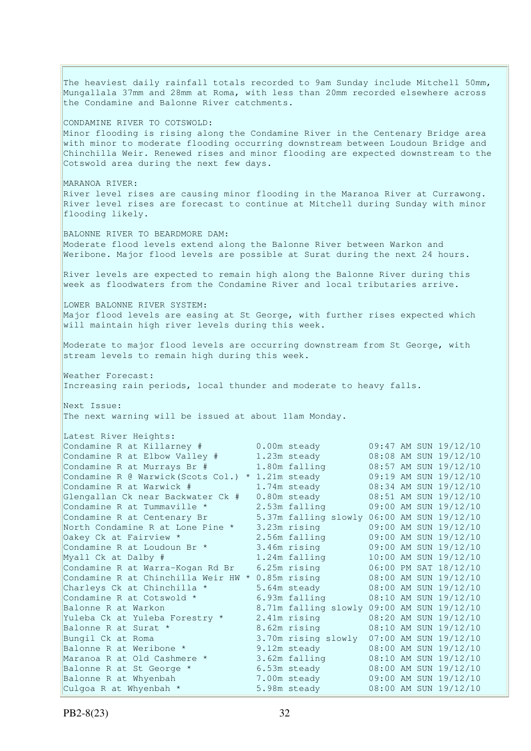The heaviest daily rainfall totals recorded to 9am Sunday include Mitchell 50mm, Mungallala 37mm and 28mm at Roma, with less than 20mm recorded elsewhere across the Condamine and Balonne River catchments. CONDAMINE RIVER TO COTSWOLD: Minor flooding is rising along the Condamine River in the Centenary Bridge area with minor to moderate flooding occurring downstream between Loudoun Bridge and Chinchilla Weir. Renewed rises and minor flooding are expected downstream to the Cotswold area during the next few days. MARANOA RIVER: River level rises are causing minor flooding in the Maranoa River at Currawong. River level rises are forecast to continue at Mitchell during Sunday with minor flooding likely. BALONNE RIVER TO BEARDMORE DAM: Moderate flood levels extend along the Balonne River between Warkon and Weribone. Major flood levels are possible at Surat during the next 24 hours. River levels are expected to remain high along the Balonne River during this week as floodwaters from the Condamine River and local tributaries arrive. LOWER BALONNE RIVER SYSTEM: Major flood levels are easing at St George, with further rises expected which will maintain high river levels during this week. Moderate to major flood levels are occurring downstream from St George, with stream levels to remain high during this week. Weather Forecast: Increasing rain periods, local thunder and moderate to heavy falls. Next Issue: The next warning will be issued at about 11am Monday. Latest River Heights: Condamine R at Killarney # 0.00m steady 09:47 AM SUN 19/12/10 Condamine R at Elbow Valley # 1.23m steady 08:08 AM SUN 19/12/10 Condamine R at Murrays Br  $\#$  1.80m falling  $0.8:57$  AM SUN 19/12/10 Condamine R  $\theta$  Warwick(Scots Col.) \* 1.21m steady 09:19 AM SUN 19/12/10 Condamine R at Warwick  $\#$  1.74m steady 08:34 AM SUN 19/12/10 Glengallan Ck near Backwater Ck # 0.80m steady 08:51 AM SUN 19/12/10 Condamine R at Tummaville \* 2.53m falling 09:00 AM SUN 19/12/10 Condamine R at Centenary Br 5.37m falling slowly 06:00 AM SUN 19/12/10 North Condamine R at Lone Pine \* 3.23m rising 09:00 AM SUN 19/12/10 Oakey Ck at Fairview \* 2.56m falling 09:00 AM SUN 19/12/10 Condamine R at Loudoun Br \* 3.46m rising 09:00 AM SUN 19/12/10 Myall Ck at Dalby # 1.24m falling 10:00 AM SUN 19/12/10 Condamine R at Warra-Kogan Rd Br 6.25m rising 06:00 PM SAT 18/12/10 Condamine R at Chinchilla Weir HW  $*$  0.85m rising  $0.00$  AM SUN 19/12/10 Charleys Ck at Chinchilla  $*$  5.64m steady 08:00 AM SUN 19/12/10 Charleys Ck at Chinchilla \* 5.64m steady  $08:00$  AM SUN 19/12/10<br>
Condamine R at Cotswold \* 6.93m falling 08:10 AM SUN 19/12/10 Balonne R at Warkon 8.71m falling slowly 09:00 AM SUN 19/12/10 Yuleba Ck at Yuleba Forestry \* 2.41m rising 08:20 AM SUN 19/12/10 Balonne R at Surat \* 3.62m rising 08:10 AM SUN 19/12/10 Bungil Ck at Roma 3.70m rising slowly 07:00 AM SUN 19/12/10 Balonne R at Weribone \* 9.12m steady 08:00 AM SUN 19/12/10 Maranoa R at Old Cashmere \* 3.62m falling 08:10 AM SUN 19/12/10 Balonne R at St George \* 6.53m steady 08:00 AM SUN 19/12/10 Balonne R at Whyenbah 7.00m steady 09:00 AM SUN 19/12/10 Culgoa R at Whyenbah  $*$  5.98m steady 08:00 AM SUN 19/12/10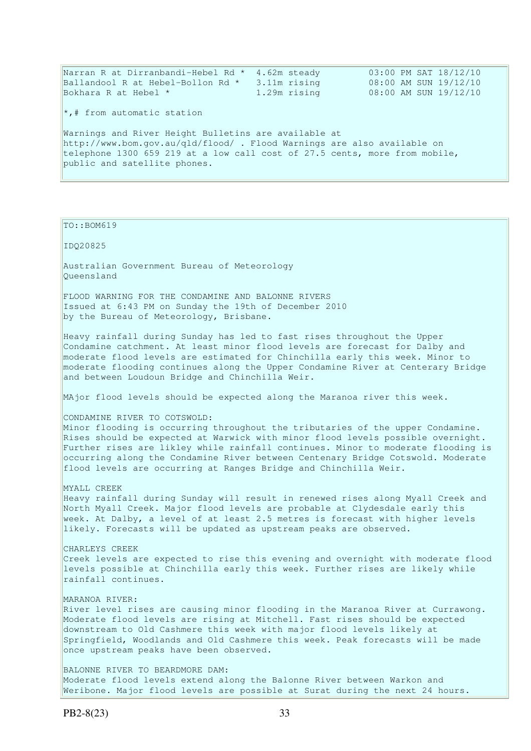| Narran R at Dirranbandi-Hebel Rd *                                         | 4.62m steady | 03:00 PM SAT 18/12/10 |  |  |
|----------------------------------------------------------------------------|--------------|-----------------------|--|--|
| Ballandool R at Hebel-Bollon Rd * 3.11m rising                             |              | 08:00 AM SUN 19/12/10 |  |  |
| Bokhara R at Hebel *                                                       | 1.29m rising | 08:00 AM SUN 19/12/10 |  |  |
| $\star$ ,# from automatic station                                          |              |                       |  |  |
| Warnings and River Height Bulletins are available at                       |              |                       |  |  |
| http://www.bom.gov.au/gld/flood/ . Flood Warnings are also available on    |              |                       |  |  |
| telephone 1300 659 219 at a low call cost of 27.5 cents, more from mobile, |              |                       |  |  |
| public and satellite phones.                                               |              |                       |  |  |
|                                                                            |              |                       |  |  |

TO::BOM619

IDQ20825

Australian Government Bureau of Meteorology Queensland

FLOOD WARNING FOR THE CONDAMINE AND BALONNE RIVERS Issued at 6:43 PM on Sunday the 19th of December 2010 by the Bureau of Meteorology, Brisbane.

Heavy rainfall during Sunday has led to fast rises throughout the Upper Condamine catchment. At least minor flood levels are forecast for Dalby and moderate flood levels are estimated for Chinchilla early this week. Minor to moderate flooding continues along the Upper Condamine River at Centerary Bridge and between Loudoun Bridge and Chinchilla Weir.

MAjor flood levels should be expected along the Maranoa river this week.

CONDAMINE RIVER TO COTSWOLD:

Minor flooding is occurring throughout the tributaries of the upper Condamine. Rises should be expected at Warwick with minor flood levels possible overnight. Further rises are likley while rainfall continues. Minor to moderate flooding is occurring along the Condamine River between Centenary Bridge Cotswold. Moderate flood levels are occurring at Ranges Bridge and Chinchilla Weir.

MYALL CREEK Heavy rainfall during Sunday will result in renewed rises along Myall Creek and North Myall Creek. Major flood levels are probable at Clydesdale early this week. At Dalby, a level of at least 2.5 metres is forecast with higher levels likely. Forecasts will be updated as upstream peaks are observed.

CHARLEYS CREEK Creek levels are expected to rise this evening and overnight with moderate flood levels possible at Chinchilla early this week. Further rises are likely while rainfall continues.

MARANOA RIVER:

River level rises are causing minor flooding in the Maranoa River at Currawong. Moderate flood levels are rising at Mitchell. Fast rises should be expected downstream to Old Cashmere this week with major flood levels likely at Springfield, Woodlands and Old Cashmere this week. Peak forecasts will be made once upstream peaks have been observed.

BALONNE RIVER TO BEARDMORE DAM: Moderate flood levels extend along the Balonne River between Warkon and Weribone. Major flood levels are possible at Surat during the next 24 hours.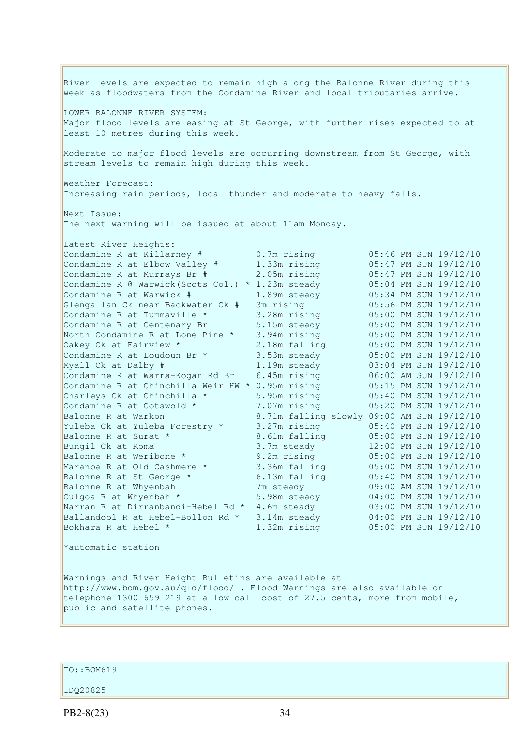River levels are expected to remain high along the Balonne River during this week as floodwaters from the Condamine River and local tributaries arrive. LOWER BALONNE RIVER SYSTEM: Major flood levels are easing at St George, with further rises expected to at least 10 metres during this week. Moderate to major flood levels are occurring downstream from St George, with stream levels to remain high during this week. Weather Forecast: Increasing rain periods, local thunder and moderate to heavy falls. Next Issue: The next warning will be issued at about 11am Monday. Latest River Heights: Condamine R at Killarney # 0.7m rising 05:46 PM SUN 19/12/10 Condamine R at Elbow Valley # 1.33m rising 05:47 PM SUN 19/12/10 Condamine R at Murrays Br # 2.05m rising 05:47 PM SUN 19/12/10 Condamine R  $\theta$  Warwick(Scots Col.) \* 1.23m steady 05:04 PM SUN 19/12/10 Condamine R at Warwick  $\#$  1.89m steady 05:34 PM SUN 19/12/10 Glengallan Ck near Backwater Ck # 3m rising 05:56 PM SUN 19/12/10 Condamine R at Tummaville  $*$  3.28m rising  $05:00$  PM SUN  $19/12/10$ Condamine R at Centenary Br 5.15m steady 05:00 PM SUN 19/12/10 North Condamine R at Lone Pine \* 3.94m rising 05:00 PM SUN 19/12/10 Oakey Ck at Fairview \* 2.18m falling 05:00 PM SUN 19/12/10 Condamine R at Loudoun Br  $*$  3.53m steady 05:00 PM SUN 19/12/10 Myall Ck at Dalby # 1.19m steady 03:04 PM SUN 19/12/10 Condamine R at Warra-Kogan Rd Br 6.45m rising 06:00 AM SUN 19/12/10 Condamine R at Chinchilla Weir HW  $*$  0.95m rising  $0.5:15$  PM SUN 19/12/10 Charleys Ck at Chinchilla  $*$  5.95m rising 05:40 PM SUN 19/12/10 Charleys Ck at Chinchilla \*  $\begin{array}{ccc} 5.95m \text{ rising} & 05:40 \text{ PM } SUN \end{array}$  19/12/10<br>
Condamine R at Cotswold \*  $\begin{array}{ccc} 7.07m \text{ rising} & 05:20 \text{ PM } SUN \end{array}$  19/12/10 Balonne R at Warkon 8.71m falling slowly 09:00 AM SUN 19/12/10 Yuleba Ck at Yuleba Forestry \* 3.27m rising 05:40 PM SUN 19/12/10 Balonne R at Surat \* 8.61m falling 05:00 PM SUN 19/12/10 Bungil Ck at Roma 3.7m steady 12:00 PM SUN 19/12/10 Balonne R at Weribone \* 9.2m rising 05:00 PM SUN 19/12/10 Maranoa R at Old Cashmere \* 3.36m falling 05:00 PM SUN 19/12/10 Balonne R at St George \* 6.13m falling 05:40 PM SUN 19/12/10 Maranoa R at Old Cashmere \* 3.36m falling 05:00 PM SUN 19/12/10<br>Balonne R at St George \* 6.13m falling 05:40 PM SUN 19/12/10<br>Balonne R at Whyenbah 7m steady 09:00 AM SUN 19/12/10 Culgoa R at Whyenbah \* 5.98m steady 04:00 PM SUN 19/12/10<br>Narran R at Dirranbandi-Hebel Rd \* 4.6m steady 03:00 PM SUN 19/12/10 Narran R at Dirranbandi-Hebel Rd \* 4.6m steady 03:00 PM SUN 19/12/10<br>
Ballandool R at Hebel-Bollon Rd \* 3.14m steady 04:00 PM SUN 19/12/10<br>
Bokhara R at Hebel \* 1.32m rising 05:00 PM SUN 19/12/10 Ballandool R at Hebel-Bollon Rd \* 3.14m steady 04:00 PM SUN 19/12/10 Bokhara R at Hebel \* 1.32m rising 05:00 PM SUN 19/12/10 \*automatic station Warnings and River Height Bulletins are available at http://www.bom.gov.au/qld/flood/ . Flood Warnings are also available on telephone 1300 659 219 at a low call cost of 27.5 cents, more from mobile, public and satellite phones.

TO::BOM619

IDQ20825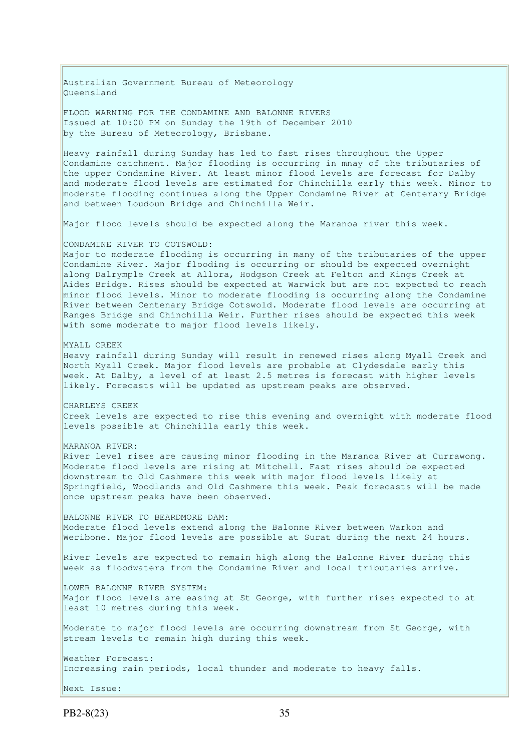Australian Government Bureau of Meteorology Queensland FLOOD WARNING FOR THE CONDAMINE AND BALONNE RIVERS Issued at 10:00 PM on Sunday the 19th of December 2010 by the Bureau of Meteorology, Brisbane. Heavy rainfall during Sunday has led to fast rises throughout the Upper Condamine catchment. Major flooding is occurring in mnay of the tributaries of the upper Condamine River. At least minor flood levels are forecast for Dalby and moderate flood levels are estimated for Chinchilla early this week. Minor to moderate flooding continues along the Upper Condamine River at Centerary Bridge and between Loudoun Bridge and Chinchilla Weir. Major flood levels should be expected along the Maranoa river this week. CONDAMINE RIVER TO COTSWOLD: Major to moderate flooding is occurring in many of the tributaries of the upper Condamine River. Major flooding is occurring or should be expected overnight along Dalrymple Creek at Allora, Hodgson Creek at Felton and Kings Creek at Aides Bridge. Rises should be expected at Warwick but are not expected to reach minor flood levels. Minor to moderate flooding is occurring along the Condamine River between Centenary Bridge Cotswold. Moderate flood levels are occurring at Ranges Bridge and Chinchilla Weir. Further rises should be expected this week with some moderate to major flood levels likely. MYALL CREEK Heavy rainfall during Sunday will result in renewed rises along Myall Creek and North Myall Creek. Major flood levels are probable at Clydesdale early this week. At Dalby, a level of at least 2.5 metres is forecast with higher levels likely. Forecasts will be updated as upstream peaks are observed. CHARLEYS CREEK Creek levels are expected to rise this evening and overnight with moderate flood levels possible at Chinchilla early this week. MARANOA RIVER: River level rises are causing minor flooding in the Maranoa River at Currawong. Moderate flood levels are rising at Mitchell. Fast rises should be expected downstream to Old Cashmere this week with major flood levels likely at Springfield, Woodlands and Old Cashmere this week. Peak forecasts will be made once upstream peaks have been observed. BALONNE RIVER TO BEARDMORE DAM: Moderate flood levels extend along the Balonne River between Warkon and Weribone. Major flood levels are possible at Surat during the next 24 hours. River levels are expected to remain high along the Balonne River during this week as floodwaters from the Condamine River and local tributaries arrive. LOWER BALONNE RIVER SYSTEM: Major flood levels are easing at St George, with further rises expected to at least 10 metres during this week. Moderate to major flood levels are occurring downstream from St George, with stream levels to remain high during this week. Weather Forecast: Increasing rain periods, local thunder and moderate to heavy falls. Next Issue:

PB2-8(23) 35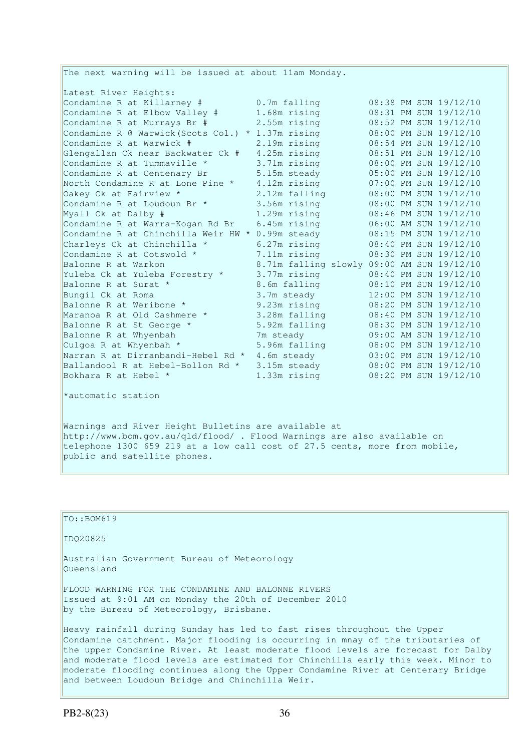The next warning will be issued at about 11am Monday. Latest River Heights: Condamine R at Killarney # 0.7m falling 08:38 PM SUN 19/12/10 Condamine R at Elbow Valley # 1.68m rising 08:31 PM SUN 19/12/10 Condamine R at Murrays Br # 2.55m rising 08:52 PM SUN 19/12/10 Condamine R @ Warwick(Scots Col.) \* 1.37m rising 08:00 PM SUN 19/12/10 Condamine R at Warwick # 2.19m rising 08:54 PM SUN 19/12/10 Glengallan Ck near Backwater Ck # 4.25m rising 08:51 PM SUN 19/12/10 Condamine R at Tummaville  $*$  3.71m rising  $08:00$  PM SUN 19/12/10 Condamine R at Centenary Br 5.15m steady 05:00 PM SUN 19/12/10 North Condamine R at Lone Pine \* 4.12m rising 07:00 PM SUN 19/12/10 Oakey Ck at Fairview \* 2.12m falling 08:00 PM SUN 19/12/10 Condamine R at Loudoun Br  $*$  3.56m rising 08:00 PM SUN 19/12/10 Myall Ck at Dalby # 1.29m rising 08:46 PM SUN 19/12/10 Condamine R at Warra-Kogan Rd Br 6.45m rising 06:00 AM SUN 19/12/10 Condamine R at Chinchilla Weir HW  $*$  0.99m steady 08:15 PM SUN 19/12/10 Charleys Ck at Chinchilla  $*$  6.27m rising 08:40 PM SUN 19/12/10 Condamine R at Cotswold  $*$  7.11m rising 08:30 PM SUN 19/12/10 Balonne R at Warkon 8.71m falling slowly 09:00 AM SUN 19/12/10 Yuleba Ck at Yuleba Forestry \* 3.77m rising 08:40 PM SUN 19/12/10 Balonne R at Surat \* 3.6m falling 08:10 PM SUN 19/12/10 Bungil Ck at Roma 3.7m steady 12:00 PM SUN 19/12/10 Balonne R at Weribone \* 9.23m rising 08:20 PM SUN 19/12/10 Maranoa R at Old Cashmere \* 3.28m falling 08:40 PM SUN 19/12/10 Balonne R at St George \* 5.92m falling 08:30 PM SUN 19/12/10 Balonne R at Whyenbah 7m steady 09:00 AM SUN 19/12/10 Culgoa R at Whyenbah  $\star$  5.96m falling 08:00 PM SUN 19/12/10 Narran R at Dirranbandi-Hebel Rd \* 4.6m steady 03:00 PM SUN 19/12/10 Ballandool R at Hebel-Bollon Rd \* 3.15m steady 08:00 PM SUN 19/12/10 Bokhara R at Hebel \* 1.33m rising 08:20 PM SUN 19/12/10

\*automatic station

Warnings and River Height Bulletins are available at http://www.bom.gov.au/qld/flood/ . Flood Warnings are also available on telephone 1300 659 219 at a low call cost of 27.5 cents, more from mobile, public and satellite phones.

IDQ20825 Australian Government Bureau of Meteorology Queensland

 $\vert$ TO::BOM619

FLOOD WARNING FOR THE CONDAMINE AND BALONNE RIVERS Issued at 9:01 AM on Monday the 20th of December 2010 by the Bureau of Meteorology, Brisbane.

Heavy rainfall during Sunday has led to fast rises throughout the Upper Condamine catchment. Major flooding is occurring in mnay of the tributaries of the upper Condamine River. At least moderate flood levels are forecast for Dalby and moderate flood levels are estimated for Chinchilla early this week. Minor to moderate flooding continues along the Upper Condamine River at Centerary Bridge and between Loudoun Bridge and Chinchilla Weir.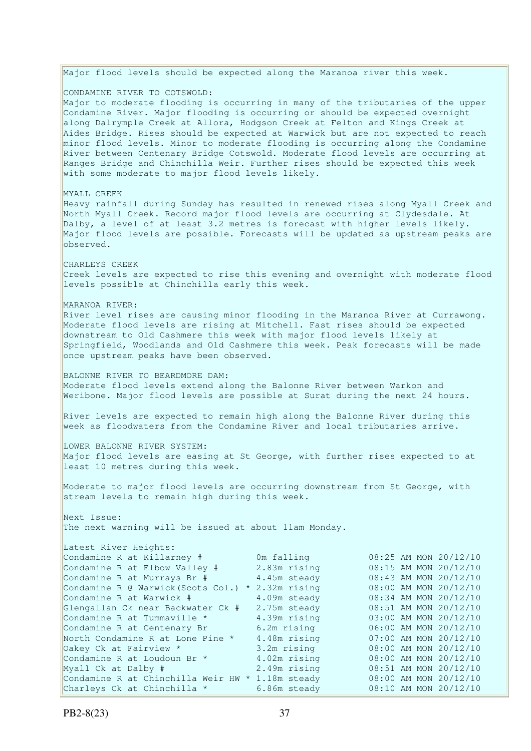Major flood levels should be expected along the Maranoa river this week. CONDAMINE RIVER TO COTSWOLD: Major to moderate flooding is occurring in many of the tributaries of the upper Condamine River. Major flooding is occurring or should be expected overnight along Dalrymple Creek at Allora, Hodgson Creek at Felton and Kings Creek at Aides Bridge. Rises should be expected at Warwick but are not expected to reach minor flood levels. Minor to moderate flooding is occurring along the Condamine River between Centenary Bridge Cotswold. Moderate flood levels are occurring at Ranges Bridge and Chinchilla Weir. Further rises should be expected this week with some moderate to major flood levels likely. MYALL CREEK Heavy rainfall during Sunday has resulted in renewed rises along Myall Creek and North Myall Creek. Record major flood levels are occurring at Clydesdale. At Dalby, a level of at least 3.2 metres is forecast with higher levels likely. Major flood levels are possible. Forecasts will be updated as upstream peaks are observed. CHARLEYS CREEK Creek levels are expected to rise this evening and overnight with moderate flood levels possible at Chinchilla early this week. MARANOA RIVER: River level rises are causing minor flooding in the Maranoa River at Currawong. Moderate flood levels are rising at Mitchell. Fast rises should be expected downstream to Old Cashmere this week with major flood levels likely at Springfield, Woodlands and Old Cashmere this week. Peak forecasts will be made once upstream peaks have been observed. BALONNE RIVER TO BEARDMORE DAM: Moderate flood levels extend along the Balonne River between Warkon and Weribone. Major flood levels are possible at Surat during the next 24 hours. River levels are expected to remain high along the Balonne River during this week as floodwaters from the Condamine River and local tributaries arrive. LOWER BALONNE RIVER SYSTEM: Major flood levels are easing at St George, with further rises expected to at least 10 metres during this week. Moderate to major flood levels are occurring downstream from St George, with stream levels to remain high during this week. Next Issue: The next warning will be issued at about 11am Monday. Latest River Heights: Condamine R at Killarney # 0m falling 08:25 AM MON 20/12/10 Condamine R at Elbow Valley  $\#$  2.83m rising  $0.08:15$  AM MON 20/12/10 Condamine R at Murrays Br  $\#$  4.45m steady 08:43 AM MON 20/12/10 Condamine R  $\theta$  Warwick(Scots Col.) \* 2.32m rising 08:00 AM MON 20/12/10 Condamine R at Warwick  $\#$  4.09m steady 08:34 AM MON 20/12/10 Glengallan Ck near Backwater Ck # 2.75m steady 08:51 AM MON 20/12/10<br>
Condamine R at Tummaville \* 4.39m rising 03:00 AM MON 20/12/10 Condamine R at Tummaville  $*$  4.39m rising 03:00 AM MON 20/12/10 Condamine R at Centenary Br 6.2m rising 06:00 AM MON 20/12/10 Condamine R at Centenary Br 6.2m rising 06:00 AM MON 20/12/10<br>North Condamine R at Lone Pine \* 4.48m rising 07:00 AM MON 20/12/10 Oakey Ck at Fairview \* 3.2m rising 08:00 AM MON 20/12/10 Condamine R at Loudoun Br  $*$  4.02m rising 08:00 AM MON 20/12/10 Myall Ck at Dalby # 2.49m rising 08:51 AM MON 20/12/10 Condamine R at Chinchilla Weir HW \* 1.18m steady 08:00 AM MON 20/12/10<br>Charlevs Ck at Chinchilla \* 6.86m steady 08:10 AM MON 20/12/10  $\overline{\text{Charleys}}$  Ck at Chinchilla \*  $6.86\text{m}$  steady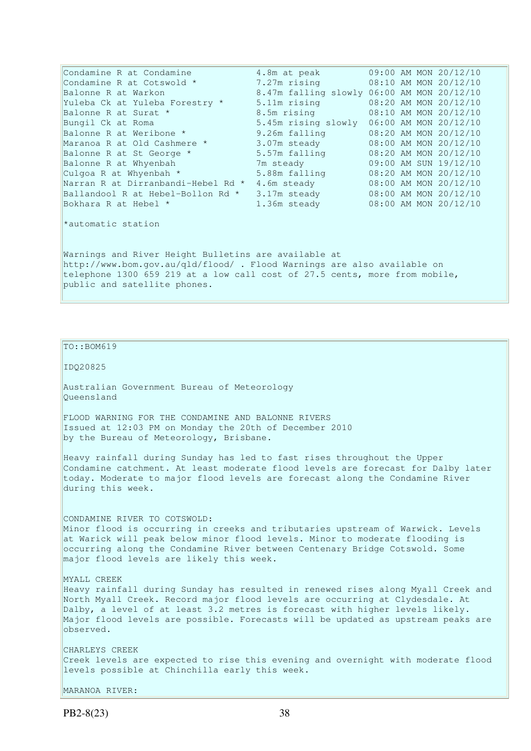| Condamine R at Condamine                                                                                                                                                                                                                      | 4.8m at peak  | 09:00 AM MON 20/12/10                      |  |  |
|-----------------------------------------------------------------------------------------------------------------------------------------------------------------------------------------------------------------------------------------------|---------------|--------------------------------------------|--|--|
| Condamine R at Cotswold *                                                                                                                                                                                                                     |               | 7.27m rising 08:10 AM MON 20/12/10         |  |  |
| Balonne R at Warkon                                                                                                                                                                                                                           |               | 8.47m falling slowly 06:00 AM MON 20/12/10 |  |  |
| Yuleba Ck at Yuleba Forestry *                                                                                                                                                                                                                | 5.11m rising  | 08:20 AM MON 20/12/10                      |  |  |
| Balonne R at Surat *                                                                                                                                                                                                                          | 8.5m rising   | 08:10 AM MON 20/12/10                      |  |  |
| Bungil Ck at Roma                                                                                                                                                                                                                             |               | 5.45m rising slowly 06:00 AM MON 20/12/10  |  |  |
| Balonne R at Weribone *                                                                                                                                                                                                                       | 9.26m falling | 08:20 AM MON 20/12/10                      |  |  |
| Maranoa R at Old Cashmere *                                                                                                                                                                                                                   | 3.07m steady  | 08:00 AM MON 20/12/10                      |  |  |
| Balonne R at St George *                                                                                                                                                                                                                      | 5.57m falling | 08:20 AM MON 20/12/10                      |  |  |
| Balonne R at Whyenbah                                                                                                                                                                                                                         | 7m steady     | 09:00 AM SUN 19/12/10                      |  |  |
| Culgoa R at Whyenbah *                                                                                                                                                                                                                        | 5.88m falling | 08:20 AM MON 20/12/10                      |  |  |
| Narran R at Dirranbandi-Hebel Rd *                                                                                                                                                                                                            | 4.6m steady   | 08:00 AM MON 20/12/10                      |  |  |
| Ballandool R at Hebel-Bollon Rd *                                                                                                                                                                                                             | 3.17m steady  | 08:00 AM MON 20/12/10                      |  |  |
| Bokhara R at Hebel *                                                                                                                                                                                                                          | 1.36m steady  | 08:00 AM MON 20/12/10                      |  |  |
| *automatic station                                                                                                                                                                                                                            |               |                                            |  |  |
| Warnings and River Height Bulletins are available at<br>http://www.bom.gov.au/qld/flood/ . Flood Warnings are also available on<br>telephone 1300 659 219 at a low call cost of 27.5 cents, more from mobile,<br>public and satellite phones. |               |                                            |  |  |

# TO::BOM619

IDQ20825

Australian Government Bureau of Meteorology Queensland

FLOOD WARNING FOR THE CONDAMINE AND BALONNE RIVERS Issued at 12:03 PM on Monday the 20th of December 2010 by the Bureau of Meteorology, Brisbane.

Heavy rainfall during Sunday has led to fast rises throughout the Upper Condamine catchment. At least moderate flood levels are forecast for Dalby later today. Moderate to major flood levels are forecast along the Condamine River during this week.

CONDAMINE RIVER TO COTSWOLD: Minor flood is occurring in creeks and tributaries upstream of Warwick. Levels at Warick will peak below minor flood levels. Minor to moderate flooding is occurring along the Condamine River between Centenary Bridge Cotswold. Some major flood levels are likely this week.

MYALL CREEK

Heavy rainfall during Sunday has resulted in renewed rises along Myall Creek and North Myall Creek. Record major flood levels are occurring at Clydesdale. At Dalby, a level of at least 3.2 metres is forecast with higher levels likely. Major flood levels are possible. Forecasts will be updated as upstream peaks are observed.

CHARLEYS CREEK Creek levels are expected to rise this evening and overnight with moderate flood levels possible at Chinchilla early this week.

MARANOA RIVER: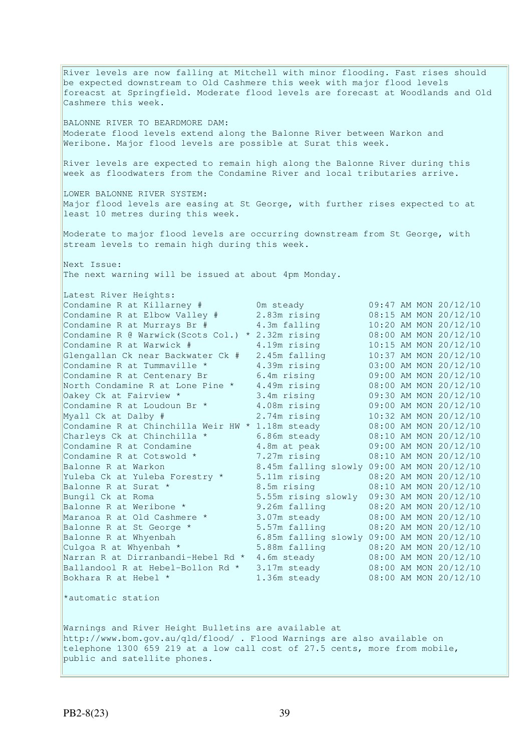River levels are now falling at Mitchell with minor flooding. Fast rises should be expected downstream to Old Cashmere this week with major flood levels foreacst at Springfield. Moderate flood levels are forecast at Woodlands and Old Cashmere this week. BALONNE RIVER TO BEARDMORE DAM: Moderate flood levels extend along the Balonne River between Warkon and Weribone. Major flood levels are possible at Surat this week. River levels are expected to remain high along the Balonne River during this week as floodwaters from the Condamine River and local tributaries arrive. LOWER BALONNE RIVER SYSTEM: Major flood levels are easing at St George, with further rises expected to at least 10 metres during this week. Moderate to major flood levels are occurring downstream from St George, with stream levels to remain high during this week. Next Issue: The next warning will be issued at about 4pm Monday. Latest River Heights: Condamine R at Killarney # 0m steady 09:47 AM MON 20/12/10 Condamine R at Elbow Valley # 2.83m rising 08:15 AM MON 20/12/10 Condamine R at Murrays Br  $\#$  4.3m falling 10:20 AM MON 20/12/10 Condamine R  $\theta$  Warwick(Scots Col.) \* 2.32m rising 08:00 AM MON 20/12/10 Condamine R at Warwick  $\#$  4.19m rising  $10:15$  AM MON 20/12/10 Glengallan Ck near Backwater Ck # 2.45m falling 10:37 AM MON 20/12/10 Condamine R at Tummaville  $*$  4.39m rising  $03:00$  AM MON 20/12/10 Condamine R at Centenary Br 6.4m rising 09:00 AM MON 20/12/10 North Condamine R at Lone Pine \* 4.49m rising 08:00 AM MON 20/12/10 Oakey Ck at Fairview \* 3.4m rising 09:30 AM MON 20/12/10 Condamine R at Loudoun Br  $*$  4.08m rising 09:00 AM MON 20/12/10 Myall Ck at Dalby # 2.74m rising 10:32 AM MON 20/12/10 Condamine R at Chinchilla Weir HW  $*$  1.18m steady 08:00 AM MON 20/12/10 Charleys Ck at Chinchilla  $*$  6.86m steady 08:10 AM MON 20/12/10 Condamine R at Condamine 4.8m at peak 09:00 AM MON 20/12/10 Condamine R at Cotswold  $*$  7.27m rising 08:10 AM MON 20/12/10 Balonne R at Warkon 8.45m falling slowly 09:00 AM MON 20/12/10 Yuleba Ck at Yuleba Forestry \* 5.11m rising 08:20 AM MON 20/12/10 Balonne R at Surat \* 3.5m rising 08:10 AM MON 20/12/10 Bungil Ck at Roma 5.55m rising slowly 09:30 AM MON 20/12/10 Balonne R at Weribone \* 9.26m falling 08:20 AM MON 20/12/10 Maranoa R at Old Cashmere \* 3.07m steady 08:00 AM MON 20/12/10 Balonne R at St George \* 5.57m falling 08:20 AM MON 20/12/10 Balonne R at Whyenbah 6.85m falling slowly 09:00 AM MON 20/12/10 Culgoa R at Whyenbah  $*$  5.88m falling  $0.8:20$  AM MON 20/12/10 Narran R at Dirranbandi-Hebel Rd \* 4.6m steady 08:00 AM MON 20/12/10 Ballandool R at Hebel-Bollon Rd \* 3.17m steady 08:00 AM MON 20/12/10 Bokhara R at Hebel \* 1.36m steady 08:00 AM MON 20/12/10 \*automatic station Warnings and River Height Bulletins are available at http://www.bom.gov.au/qld/flood/ . Flood Warnings are also available on telephone 1300 659 219 at a low call cost of 27.5 cents, more from mobile, public and satellite phones.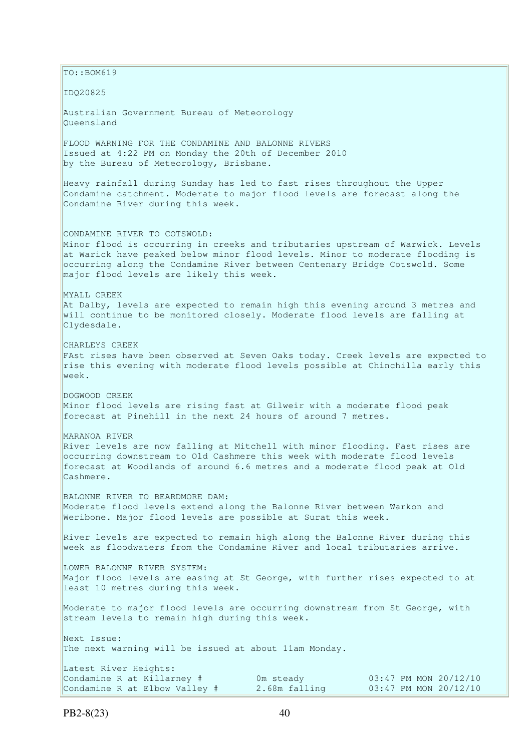$\vert$ TO::BOM619 IDQ20825 Australian Government Bureau of Meteorology Queensland FLOOD WARNING FOR THE CONDAMINE AND BALONNE RIVERS Issued at 4:22 PM on Monday the 20th of December 2010 by the Bureau of Meteorology, Brisbane. Heavy rainfall during Sunday has led to fast rises throughout the Upper Condamine catchment. Moderate to major flood levels are forecast along the Condamine River during this week. CONDAMINE RIVER TO COTSWOLD: Minor flood is occurring in creeks and tributaries upstream of Warwick. Levels at Warick have peaked below minor flood levels. Minor to moderate flooding is occurring along the Condamine River between Centenary Bridge Cotswold. Some major flood levels are likely this week. MYALL CREEK At Dalby, levels are expected to remain high this evening around 3 metres and will continue to be monitored closely. Moderate flood levels are falling at Clydesdale. CHARLEYS CREEK FAst rises have been observed at Seven Oaks today. Creek levels are expected to rise this evening with moderate flood levels possible at Chinchilla early this week. DOGWOOD CREEK Minor flood levels are rising fast at Gilweir with a moderate flood peak forecast at Pinehill in the next 24 hours of around 7 metres. MARANOA RIVER River levels are now falling at Mitchell with minor flooding. Fast rises are occurring downstream to Old Cashmere this week with moderate flood levels forecast at Woodlands of around 6.6 metres and a moderate flood peak at Old Cashmere. BALONNE RIVER TO BEARDMORE DAM: Moderate flood levels extend along the Balonne River between Warkon and Weribone. Major flood levels are possible at Surat this week. River levels are expected to remain high along the Balonne River during this week as floodwaters from the Condamine River and local tributaries arrive. LOWER BALONNE RIVER SYSTEM: Major flood levels are easing at St George, with further rises expected to at least 10 metres during this week. Moderate to major flood levels are occurring downstream from St George, with stream levels to remain high during this week. Next Issue: The next warning will be issued at about 11am Monday. Latest River Heights: Condamine R at Killarney  $\#$  0m steady 03:47 PM MON 20/12/10 Condamine R at Elbow Valley  $\#$  2.68m falling 03:47 PM MON 20/12/10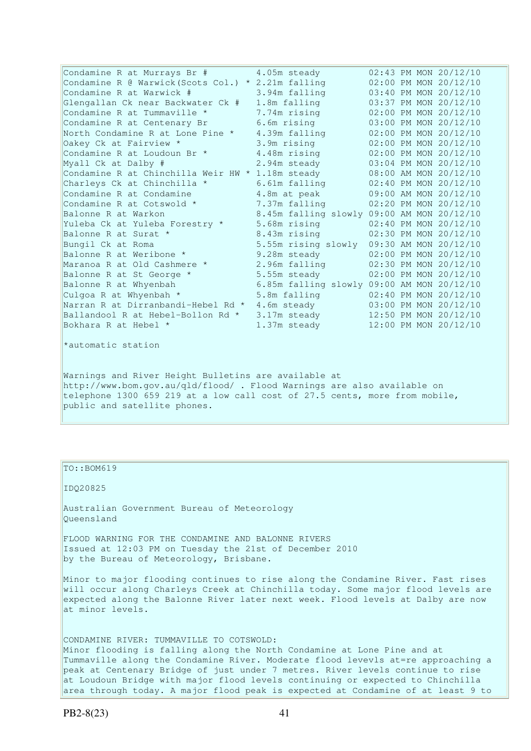| Condamine R at Murrays Br #                        | 4.05m steady                               |  | 02:43 PM MON 20/12/10 |
|----------------------------------------------------|--------------------------------------------|--|-----------------------|
| Condamine R @ Warwick (Scots Col.) * 2.21m falling |                                            |  | 02:00 PM MON 20/12/10 |
| Condamine R at Warwick #                           | 3.94m falling                              |  | 03:40 PM MON 20/12/10 |
| Glengallan Ck near Backwater Ck #                  | 1.8m falling                               |  | 03:37 PM MON 20/12/10 |
| Condamine R at Tummaville *                        | 7.74m rising                               |  | 02:00 PM MON 20/12/10 |
| Condamine R at Centenary Br                        | 6.6m rising                                |  | 03:00 PM MON 20/12/10 |
| North Condamine R at Lone Pine *                   | 4.39m falling                              |  | 02:00 PM MON 20/12/10 |
| Oakey Ck at Fairview *                             | 3.9m rising                                |  | 02:00 PM MON 20/12/10 |
| Condamine R at Loudoun Br *                        | 4.48m rising                               |  | 02:00 PM MON 20/12/10 |
| Myall Ck at Dalby #                                | 2.94m steady                               |  | 03:04 PM MON 20/12/10 |
| Condamine R at Chinchilla Weir HW * 1.18m steady   |                                            |  | 08:00 AM MON 20/12/10 |
| Charleys Ck at Chinchilla *                        | 6.61m falling                              |  | 02:40 PM MON 20/12/10 |
| Condamine R at Condamine                           | 4.8m at peak                               |  | 09:00 AM MON 20/12/10 |
| Condamine R at Cotswold *                          | 7.37m falling                              |  | 02:20 PM MON 20/12/10 |
| Balonne R at Warkon                                | 8.45m falling slowly 09:00 AM MON 20/12/10 |  |                       |
| Yuleba Ck at Yuleba Forestry *                     | 5.68m rising                               |  | 02:40 PM MON 20/12/10 |
| Balonne R at Surat *                               | 8.43m rising                               |  | 02:30 PM MON 20/12/10 |
| Bungil Ck at Roma                                  | 5.55m rising slowly                        |  | 09:30 AM MON 20/12/10 |
| Balonne R at Weribone *                            | 9.28m steady                               |  | 02:00 PM MON 20/12/10 |
| Maranoa R at Old Cashmere *                        | 2.96m falling                              |  | 02:30 PM MON 20/12/10 |
| Balonne R at St George *                           | 5.55m steady                               |  | 02:00 PM MON 20/12/10 |
| Balonne R at Whyenbah                              | 6.85m falling slowly 09:00 AM MON 20/12/10 |  |                       |
| Culgoa R at Whyenbah *                             | 5.8m falling                               |  | 02:40 PM MON 20/12/10 |
| Narran R at Dirranbandi-Hebel Rd *                 | 4.6m steady                                |  | 03:00 PM MON 20/12/10 |
| Ballandool R at Hebel-Bollon Rd *                  | 3.17m steady                               |  | 12:50 PM MON 20/12/10 |
| Bokhara R at Hebel *                               | 1.37m steady                               |  | 12:00 PM MON 20/12/10 |
| المداما القاط القاطر المتحدث القادمية              |                                            |  |                       |

\*automatic station

Warnings and River Height Bulletins are available at http://www.bom.gov.au/qld/flood/ . Flood Warnings are also available on telephone 1300 659 219 at a low call cost of 27.5 cents, more from mobile, public and satellite phones.

## TO::BOM619

IDQ20825

Australian Government Bureau of Meteorology Queensland

FLOOD WARNING FOR THE CONDAMINE AND BALONNE RIVERS Issued at 12:03 PM on Tuesday the 21st of December 2010 by the Bureau of Meteorology, Brisbane.

Minor to major flooding continues to rise along the Condamine River. Fast rises will occur along Charleys Creek at Chinchilla today. Some major flood levels are expected along the Balonne River later next week. Flood levels at Dalby are now at minor levels.

CONDAMINE RIVER: TUMMAVILLE TO COTSWOLD: Minor flooding is falling along the North Condamine at Lone Pine and at Tummaville along the Condamine River. Moderate flood levevls at=re approaching a peak at Centenary Bridge of just under 7 metres. River levels continue to rise at Loudoun Bridge with major flood levels continuing or expected to Chinchilla area through today. A major flood peak is expected at Condamine of at least 9 to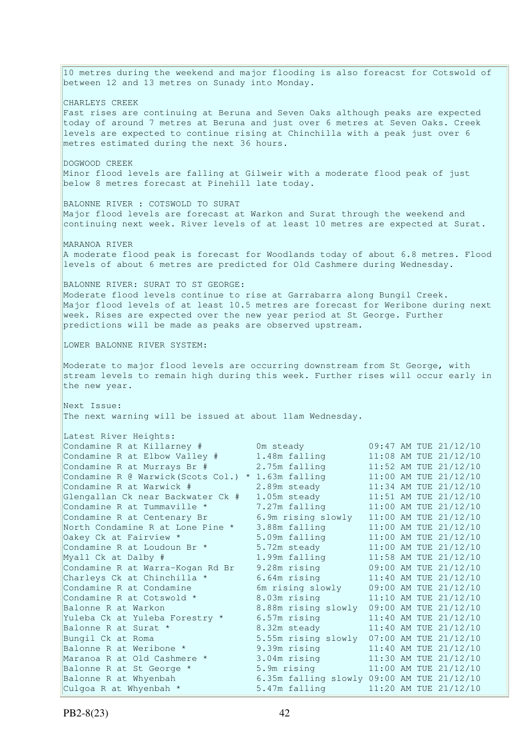10 metres during the weekend and major flooding is also foreacst for Cotswold of between 12 and 13 metres on Sunady into Monday. CHARLEYS CREEK Fast rises are continuing at Beruna and Seven Oaks although peaks are expected today of around 7 metres at Beruna and just over 6 metres at Seven Oaks. Creek levels are expected to continue rising at Chinchilla with a peak just over 6 metres estimated during the next 36 hours. DOGWOOD CREEK Minor flood levels are falling at Gilweir with a moderate flood peak of just below 8 metres forecast at Pinehill late today. BALONNE RIVER : COTSWOLD TO SURAT Major flood levels are forecast at Warkon and Surat through the weekend and continuing next week. River levels of at least 10 metres are expected at Surat. MARANOA RIVER A moderate flood peak is forecast for Woodlands today of about 6.8 metres. Flood levels of about 6 metres are predicted for Old Cashmere during Wednesday. BALONNE RIVER: SURAT TO ST GEORGE: Moderate flood levels continue to rise at Garrabarra along Bungil Creek. Major flood levels of at least 10.5 metres are forecast for Weribone during next week. Rises are expected over the new year period at St George. Further predictions will be made as peaks are observed upstream. LOWER BALONNE RIVER SYSTEM: Moderate to major flood levels are occurring downstream from St George, with stream levels to remain high during this week. Further rises will occur early in the new year. Next Issue: The next warning will be issued at about 11am Wednesday. Latest River Heights: Condamine R at Killarney # 0m steady 09:47 AM TUE 21/12/10 Condamine R at Elbow Valley # 1.48m falling 11:08 AM TUE 21/12/10 Condamine R at Murrays Br  $\#$  2.75m falling 11:52 AM TUE 21/12/10 Condamine R  $\theta$  Warwick(Scots Col.) \* 1.63m falling 11:00 AM TUE 21/12/10 Condamine R at Warwick  $\#$  2.89m steady  $11:34$  AM TUE 21/12/10 Glengallan Ck near Backwater Ck # 1.05m steady 11:51 AM TUE 21/12/10 Condamine R at Tummaville  $*$  7.27m falling  $11:00$  AM TUE 21/12/10 Condamine R at Centenary Br 6.9m rising slowly 11:00 AM TUE 21/12/10 North Condamine R at Lone Pine \* 3.88m falling 11:00 AM TUE 21/12/10 Oakey Ck at Fairview \* 5.09m falling 11:00 AM TUE 21/12/10 Condamine R at Loudoun Br  $*$  5.72m steady 11:00 AM TUE 21/12/10 Myall Ck at Dalby # 1.99m falling 11:58 AM TUE 21/12/10 Condamine R at Warra-Kogan Rd Br 9.28m rising 09:00 AM TUE 21/12/10 Charleys Ck at Chinchilla  $*$  6.64m rising 11:40 AM TUE 21/12/10 Condamine R at Condamine 6m rising slowly 09:00 AM TUE 21/12/10 Condamine R at Cotswold  $*$  8.03m rising 11:10 AM TUE 21/12/10 Balonne R at Warkon 8.88m rising slowly 09:00 AM TUE 21/12/10 Yuleba Ck at Yuleba Forestry \* 6.57m rising 11:40 AM TUE 21/12/10 Balonne R at Surat  $*$  8.32m steady 11:40 AM TUE 21/12/10 Bungil Ck at Roma 5.55m rising slowly 07:00 AM TUE 21/12/10 Balonne R at Weribone \* 9.39m rising 11:40 AM TUE 21/12/10 Maranoa R at Old Cashmere \* 3.04m rising 11:30 AM TUE 21/12/10 Balonne R at St George \* 5.9m rising 11:00 AM TUE 21/12/10 Balonne R at Whyenbah 6.35m falling slowly 09:00 AM TUE 21/12/10 Culgoa R at Whyenbah  $*$  5.47m falling 11:20 AM TUE 21/12/10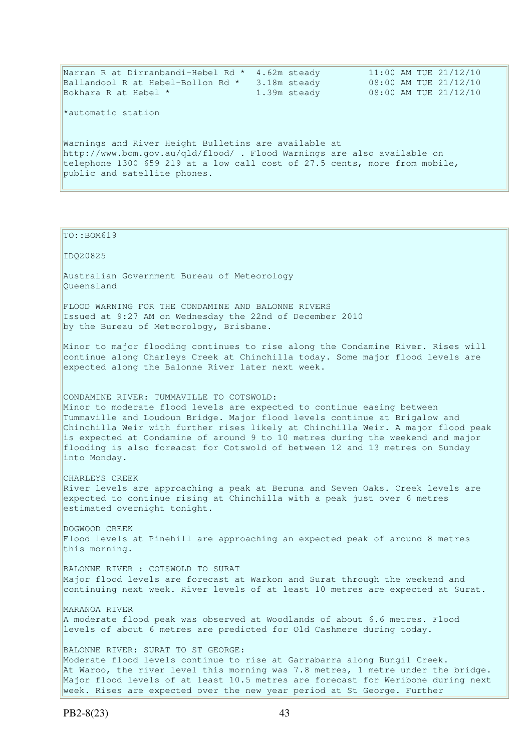| Narran R at Dirranbandi-Hebel Rd *                                                   | 4.62m steady | 11:00 AM TUE 21/12/10 |  |  |  |
|--------------------------------------------------------------------------------------|--------------|-----------------------|--|--|--|
| Ballandool R at Hebel-Bollon Rd * 3.18m steady                                       |              | 08:00 AM TUE 21/12/10 |  |  |  |
| Bokhara R at Hebel *                                                                 | 1.39m steady | 08:00 AM TUE 21/12/10 |  |  |  |
|                                                                                      |              |                       |  |  |  |
| *automatic station                                                                   |              |                       |  |  |  |
|                                                                                      |              |                       |  |  |  |
|                                                                                      |              |                       |  |  |  |
| Warnings and River Height Bulletins are available at                                 |              |                       |  |  |  |
| $\frac{1}{2}$ http://www.bom.qov.au/q1d/flood/. Flood Warnings are also available on |              |                       |  |  |  |
| telephone 1300 659 219 at a low call cost of 27.5 cents, more from mobile,           |              |                       |  |  |  |
| public and satellite phones.                                                         |              |                       |  |  |  |
|                                                                                      |              |                       |  |  |  |
|                                                                                      |              |                       |  |  |  |

#### $TO::BOM619$

IDQ20825

Australian Government Bureau of Meteorology Queensland

FLOOD WARNING FOR THE CONDAMINE AND BALONNE RIVERS Issued at 9:27 AM on Wednesday the 22nd of December 2010 by the Bureau of Meteorology, Brisbane.

Minor to major flooding continues to rise along the Condamine River. Rises will continue along Charleys Creek at Chinchilla today. Some major flood levels are expected along the Balonne River later next week.

CONDAMINE RIVER: TUMMAVILLE TO COTSWOLD:

Minor to moderate flood levels are expected to continue easing between Tummaville and Loudoun Bridge. Major flood levels continue at Brigalow and Chinchilla Weir with further rises likely at Chinchilla Weir. A major flood peak is expected at Condamine of around 9 to 10 metres during the weekend and major flooding is also foreacst for Cotswold of between 12 and 13 metres on Sunday into Monday.

CHARLEYS CREEK

River levels are approaching a peak at Beruna and Seven Oaks. Creek levels are expected to continue rising at Chinchilla with a peak just over 6 metres estimated overnight tonight.

DOGWOOD CREEK Flood levels at Pinehill are approaching an expected peak of around 8 metres this morning.

BALONNE RIVER : COTSWOLD TO SURAT Major flood levels are forecast at Warkon and Surat through the weekend and continuing next week. River levels of at least 10 metres are expected at Surat.

MARANOA RIVER A moderate flood peak was observed at Woodlands of about 6.6 metres. Flood levels of about 6 metres are predicted for Old Cashmere during today.

BALONNE RIVER: SURAT TO ST GEORGE: Moderate flood levels continue to rise at Garrabarra along Bungil Creek. At Waroo, the river level this morning was 7.8 metres, 1 metre under the bridge. Major flood levels of at least 10.5 metres are forecast for Weribone during next week. Rises are expected over the new year period at St George. Further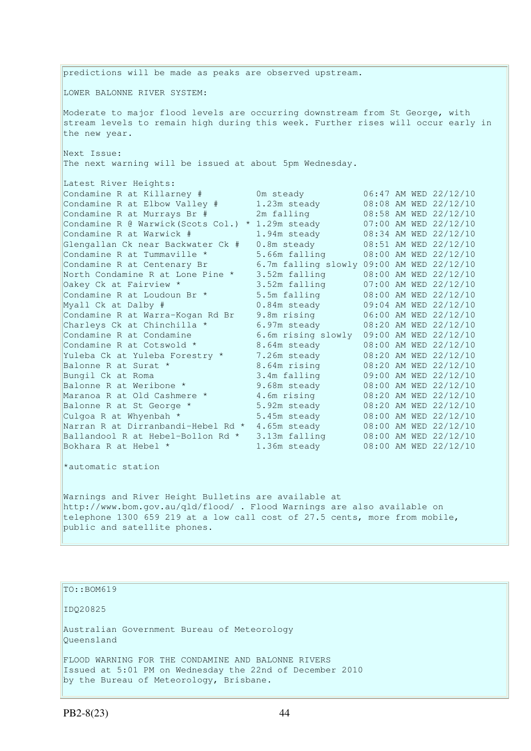predictions will be made as peaks are observed upstream. LOWER BALONNE RIVER SYSTEM: Moderate to major flood levels are occurring downstream from St George, with stream levels to remain high during this week. Further rises will occur early in the new year. Next Issue: The next warning will be issued at about 5pm Wednesday. Latest River Heights: Condamine R at Killarney  $\#$  0m steady  $06:47$  AM WED 22/12/10 Condamine R at Elbow Valley # 1.23m steady 08:08 AM WED 22/12/10 Condamine R at Murrays Br # 2m falling 08:58 AM WED 22/12/10 Condamine R @ Warwick(Scots Col.) \* 1.29m steady 07:00 AM WED 22/12/10 Condamine R at Warwick # 1.94m steady 08:34 AM WED 22/12/10 Glengallan Ck near Backwater Ck # 0.8m steady 08:51 AM WED 22/12/10 Condamine R at Tummaville \* 5.66m falling 08:00 AM WED 22/12/10 Condamine R at Centenary Br 6.7m falling slowly 09:00 AM WED 22/12/10 North Condamine R at Lone Pine \* 3.52m falling 08:00 AM WED 22/12/10 Oakey Ck at Fairview \* 3.52m falling 07:00 AM WED 22/12/10 Condamine R at Loudoun Br  $*$  5.5m falling 08:00 AM WED 22/12/10 Myall Ck at Dalby # 0.84m steady 09:04 AM WED 22/12/10 Condamine R at Warra-Kogan Rd Br 9.8m rising 06:00 AM WED 22/12/10 Charleys Ck at Chinchilla  $*$  6.97m steady 08:20 AM WED 22/12/10 Condamine R at Condamine 6.6m rising slowly 09:00 AM WED 22/12/10 Condamine R at Cotswold  $\star$  8.64m steady 08:00 AM WED 22/12/10 Yuleba Ck at Yuleba Forestry \* 7.26m steady 08:20 AM WED 22/12/10 Balonne R at Surat \* 18.64m rising 18.20 AM WED 22/12/10 Bungil Ck at Roma 3.4m falling 09:00 AM WED 22/12/10 Balonne R at Weribone \* 9.68m steady 08:00 AM WED 22/12/10 Maranoa R at Old Cashmere \* 4.6m rising 08:20 AM WED 22/12/10 Balonne R at St George \* 5.92m steady 08:20 AM WED 22/12/10 Culgoa R at Whyenbah  $\star$  5.45m steady 08:00 AM WED 22/12/10 Narran R at Dirranbandi-Hebel Rd \* 4.65m steady 08:00 AM WED 22/12/10 Ballandool R at Hebel-Bollon Rd \* 3.13m falling 08:00 AM WED 22/12/10 Bokhara R at Hebel \* 1.36m steady 08:00 AM WED 22/12/10 \*automatic station Warnings and River Height Bulletins are available at

http://www.bom.gov.au/qld/flood/ . Flood Warnings are also available on telephone 1300 659 219 at a low call cost of 27.5 cents, more from mobile, public and satellite phones.

TO::BOM619 IDQ20825 Australian Government Bureau of Meteorology Queensland FLOOD WARNING FOR THE CONDAMINE AND BALONNE RIVERS Issued at 5:01 PM on Wednesday the 22nd of December 2010 by the Bureau of Meteorology, Brisbane.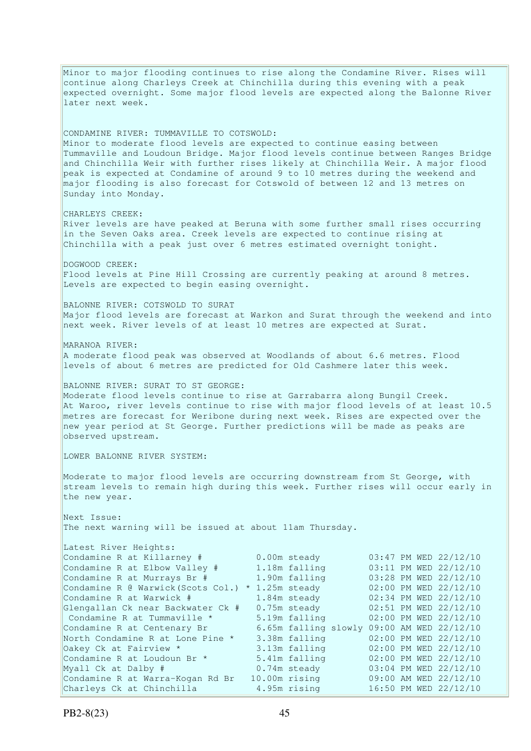Minor to major flooding continues to rise along the Condamine River. Rises will continue along Charleys Creek at Chinchilla during this evening with a peak expected overnight. Some major flood levels are expected along the Balonne River later next week. CONDAMINE RIVER: TUMMAVILLE TO COTSWOLD: Minor to moderate flood levels are expected to continue easing between Tummaville and Loudoun Bridge. Major flood levels continue between Ranges Bridge and Chinchilla Weir with further rises likely at Chinchilla Weir. A major flood peak is expected at Condamine of around 9 to 10 metres during the weekend and major flooding is also forecast for Cotswold of between 12 and 13 metres on Sunday into Monday. CHARLEYS CREEK: River levels are have peaked at Beruna with some further small rises occurring in the Seven Oaks area. Creek levels are expected to continue rising at Chinchilla with a peak just over 6 metres estimated overnight tonight. DOGWOOD CREEK: Flood levels at Pine Hill Crossing are currently peaking at around 8 metres. Levels are expected to begin easing overnight. BALONNE RIVER: COTSWOLD TO SURAT Major flood levels are forecast at Warkon and Surat through the weekend and into next week. River levels of at least 10 metres are expected at Surat. MARANOA RIVER: A moderate flood peak was observed at Woodlands of about 6.6 metres. Flood levels of about 6 metres are predicted for Old Cashmere later this week. BALONNE RIVER: SURAT TO ST GEORGE: Moderate flood levels continue to rise at Garrabarra along Bungil Creek. At Waroo, river levels continue to rise with major flood levels of at least 10.5 metres are forecast for Weribone during next week. Rises are expected over the new year period at St George. Further predictions will be made as peaks are observed upstream. LOWER BALONNE RIVER SYSTEM: Moderate to major flood levels are occurring downstream from St George, with stream levels to remain high during this week. Further rises will occur early in the new year. Next Issue: The next warning will be issued at about 11am Thursday. Latest River Heights: Condamine R at Killarney # 0.00m steady 03:47 PM WED 22/12/10 Condamine R at Elbow Valley # 1.18m falling 03:11 PM WED 22/12/10 Condamine R at Murrays Br # 1.90m falling 03:28 PM WED 22/12/10 Condamine R  $\theta$  Warwick(Scots Col.) \* 1.25m steady 02:00 PM WED 22/12/10 Condamine R at Warwick # 1.84m steady 02:34 PM WED 22/12/10 Glengallan Ck near Backwater Ck # 0.75m steady 02:51 PM WED 22/12/10 Condamine R at Tummaville \* 5.19m falling 02:00 PM WED 22/12/10 Condamine R at Centenary Br 6.65m falling slowly 09:00 AM WED 22/12/10 North Condamine R at Lone Pine \* 3.38m falling 02:00 PM WED 22/12/10 Oakey Ck at Fairview \* 3.13m falling 02:00 PM WED 22/12/10 Condamine R at Loudoun Br  $*$  5.41m falling 02:00 PM WED 22/12/10 Myall Ck at Dalby # 0.74m steady 03:04 PM WED 22/12/10 Condamine R at Warra-Kogan Rd Br 10.00m rising 09:00 AM WED 22/12/10 Charleys Ck at Chinchilla 4.95m rising 16:50 PM WED 22/12/10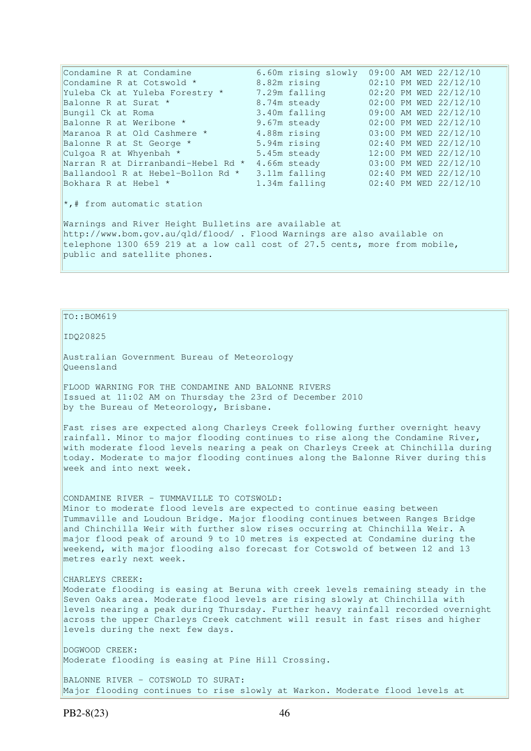| Condamine R at Condamine                                                   |  | 6.60m rising slowly 09:00 AM WED 22/12/10 |  |  |                       |  |
|----------------------------------------------------------------------------|--|-------------------------------------------|--|--|-----------------------|--|
| Condamine R at Cotswold *                                                  |  | 8.82m rising                              |  |  | 02:10 PM WED 22/12/10 |  |
| Yuleba Ck at Yuleba Forestry *                                             |  | 7.29m falling                             |  |  | 02:20 PM WED 22/12/10 |  |
| Balonne R at Surat *                                                       |  | 8.74m steady                              |  |  | 02:00 PM WED 22/12/10 |  |
| Bungil Ck at Roma                                                          |  | 3.40m falling                             |  |  | 09:00 AM WED 22/12/10 |  |
| Balonne R at Weribone *                                                    |  | 9.67m steady                              |  |  | 02:00 PM WED 22/12/10 |  |
| Maranoa R at Old Cashmere *                                                |  | 4.88m rising 03:00 PM WED 22/12/10        |  |  |                       |  |
| Balonne R at St George *                                                   |  | 5.94m rising 02:40 PM WED 22/12/10        |  |  |                       |  |
| Culgoa R at Whyenbah *                                                     |  | 5.45m steady                              |  |  | 12:00 PM WED 22/12/10 |  |
| Narran R at Dirranbandi-Hebel Rd *                                         |  | 4.66m steady                              |  |  | 03:00 PM WED 22/12/10 |  |
| Ballandool R at Hebel-Bollon Rd *                                          |  | 3.11m falling                             |  |  | 02:40 PM WED 22/12/10 |  |
| Bokhara R at Hebel *                                                       |  | 1.34m falling 02:40 PM WED 22/12/10       |  |  |                       |  |
| *,# from automatic station                                                 |  |                                           |  |  |                       |  |
| Warnings and River Height Bulletins are available at                       |  |                                           |  |  |                       |  |
| http://www.bom.gov.au/qld/flood/ . Flood Warnings are also available on    |  |                                           |  |  |                       |  |
| telephone 1300 659 219 at a low call cost of 27.5 cents, more from mobile, |  |                                           |  |  |                       |  |
| public and satellite phones.                                               |  |                                           |  |  |                       |  |
|                                                                            |  |                                           |  |  |                       |  |

 $TO::BOM619$ 

IDQ20825

Australian Government Bureau of Meteorology Queensland

FLOOD WARNING FOR THE CONDAMINE AND BALONNE RIVERS Issued at 11:02 AM on Thursday the 23rd of December 2010 by the Bureau of Meteorology, Brisbane.

Fast rises are expected along Charleys Creek following further overnight heavy rainfall. Minor to major flooding continues to rise along the Condamine River, with moderate flood levels nearing a peak on Charleys Creek at Chinchilla during today. Moderate to major flooding continues along the Balonne River during this week and into next week.

CONDAMINE RIVER - TUMMAVILLE TO COTSWOLD: Minor to moderate flood levels are expected to continue easing between Tummaville and Loudoun Bridge. Major flooding continues between Ranges Bridge and Chinchilla Weir with further slow rises occurring at Chinchilla Weir. A major flood peak of around 9 to 10 metres is expected at Condamine during the weekend, with major flooding also forecast for Cotswold of between 12 and 13 metres early next week.

CHARLEYS CREEK:

Moderate flooding is easing at Beruna with creek levels remaining steady in the Seven Oaks area. Moderate flood levels are rising slowly at Chinchilla with levels nearing a peak during Thursday. Further heavy rainfall recorded overnight across the upper Charleys Creek catchment will result in fast rises and higher levels during the next few days.

DOGWOOD CREEK: Moderate flooding is easing at Pine Hill Crossing.

BALONNE RIVER - COTSWOLD TO SURAT: Major flooding continues to rise slowly at Warkon. Moderate flood levels at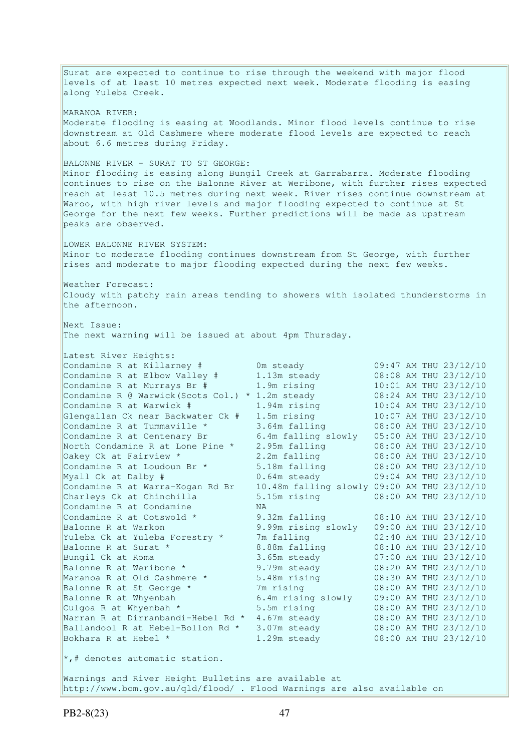Surat are expected to continue to rise through the weekend with major flood levels of at least 10 metres expected next week. Moderate flooding is easing along Yuleba Creek. MARANOA RIVER: Moderate flooding is easing at Woodlands. Minor flood levels continue to rise downstream at Old Cashmere where moderate flood levels are expected to reach about 6.6 metres during Friday. BALONNE RIVER - SURAT TO ST GEORGE: Minor flooding is easing along Bungil Creek at Garrabarra. Moderate flooding continues to rise on the Balonne River at Weribone, with further rises expected reach at least 10.5 metres during next week. River rises continue downstream at Waroo, with high river levels and major flooding expected to continue at St George for the next few weeks. Further predictions will be made as upstream peaks are observed. LOWER BALONNE RIVER SYSTEM: Minor to moderate flooding continues downstream from St George, with further rises and moderate to major flooding expected during the next few weeks. Weather Forecast: Cloudy with patchy rain areas tending to showers with isolated thunderstorms in the afternoon. Next Issue: The next warning will be issued at about 4pm Thursday. Latest River Heights: Condamine R at Killarney # 0m steady 09:47 AM THU 23/12/10 Condamine R at Elbow Valley # 1.13m steady 08:08 AM THU 23/12/10 Condamine R at Murrays Br  $\#$  1.9m rising 10:01 AM THU 23/12/10 Condamine R  $\theta$  Warwick(Scots Col.) \* 1.2m steady 08:24 AM THU 23/12/10 Condamine R at Warwick # 1.94m rising 10:04 AM THU 23/12/10 Glengallan Ck near Backwater Ck # 1.5m rising 10:07 AM THU 23/12/10 Condamine R at Tummaville  $*$  3.64m falling  $08:00$  AM THU 23/12/10 Condamine R at Centenary Br  $6.4$ m falling slowly  $05:00$  AM THU 23/12/10 North Condamine R at Lone Pine \* 2.95m falling 08:00 AM THU 23/12/10 Oakey Ck at Fairview \* 2.2m falling 08:00 AM THU 23/12/10 Condamine R at Loudoun Br  $*$  5.18m falling 08:00 AM THU 23/12/10 Myall Ck at Dalby # 0.64m steady 09:04 AM THU 23/12/10 Condamine R at Warra-Kogan Rd Br 10.48m falling slowly 09:00 AM THU 23/12/10 Charleys Ck at Chinchilla 5.15m rising 08:00 AM THU 23/12/10 Condamine R at Condamine NA Condamine R at Cotswold  $*$  9.32m falling 08:10 AM THU 23/12/10 Balonne R at Warkon 9.99m rising slowly 09:00 AM THU 23/12/10 Yuleba Ck at Yuleba Forestry \* 7m falling 02:40 AM THU 23/12/10 Balonne R at Surat \* 3.88m falling 08:10 AM THU 23/12/10 Bungil Ck at Roma 3.65m steady 07:00 AM THU 23/12/10 Balonne R at Weribone \* 9.79m steady 08:20 AM THU 23/12/10 Maranoa R at Old Cashmere \* 5.48m rising 08:30 AM THU 23/12/10 Balonne R at St George \* 7m rising 08:00 AM THU 23/12/10 Balonne R at Whyenbah 6.4m rising slowly 09:00 AM THU 23/12/10 Culgoa R at Whyenbah \*  $5.5$ m rising  $08:00$  AM THU 23/12/10 Narran R at Dirranbandi-Hebel Rd \* 4.67m steady 08:00 AM THU 23/12/10 Ballandool R at Hebel-Bollon Rd \* 3.07m steady 08:00 AM THU 23/12/10 Bokhara R at Hebel  $\star$  1.29m steady 08:00 AM THU 23/12/10  $\star$ ,# denotes automatic station. Warnings and River Height Bulletins are available at http://www.bom.gov.au/qld/flood/ . Flood Warnings are also available on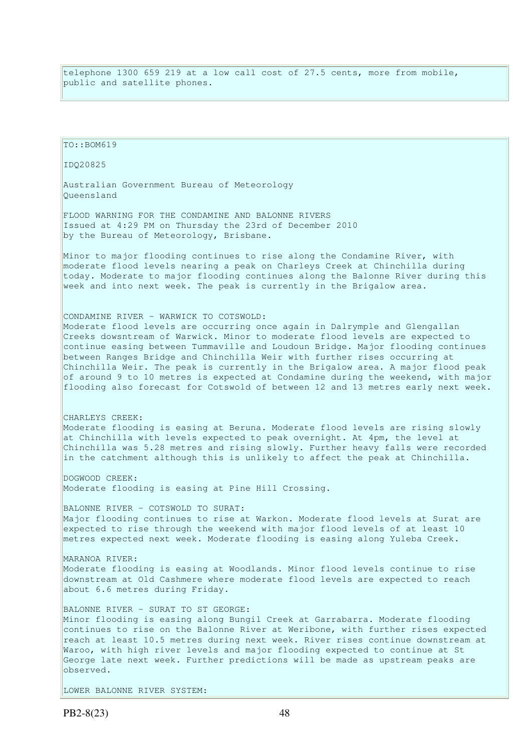telephone 1300 659 219 at a low call cost of 27.5 cents, more from mobile, public and satellite phones.

IDQ20825 Australian Government Bureau of Meteorology Queensland FLOOD WARNING FOR THE CONDAMINE AND BALONNE RIVERS Issued at 4:29 PM on Thursday the 23rd of December 2010 by the Bureau of Meteorology, Brisbane. Minor to major flooding continues to rise along the Condamine River, with moderate flood levels nearing a peak on Charleys Creek at Chinchilla during today. Moderate to major flooding continues along the Balonne River during this week and into next week. The peak is currently in the Brigalow area. CONDAMINE RIVER - WARWICK TO COTSWOLD: Moderate flood levels are occurring once again in Dalrymple and Glengallan Creeks dowsntream of Warwick. Minor to moderate flood levels are expected to continue easing between Tummaville and Loudoun Bridge. Major flooding continues between Ranges Bridge and Chinchilla Weir with further rises occurring at Chinchilla Weir. The peak is currently in the Brigalow area. A major flood peak of around 9 to 10 metres is expected at Condamine during the weekend, with major flooding also forecast for Cotswold of between 12 and 13 metres early next week. CHARLEYS CREEK: Moderate flooding is easing at Beruna. Moderate flood levels are rising slowly at Chinchilla with levels expected to peak overnight. At 4pm, the level at Chinchilla was 5.28 metres and rising slowly. Further heavy falls were recorded in the catchment although this is unlikely to affect the peak at Chinchilla. DOGWOOD CREEK: Moderate flooding is easing at Pine Hill Crossing. BALONNE RIVER - COTSWOLD TO SURAT: Major flooding continues to rise at Warkon. Moderate flood levels at Surat are expected to rise through the weekend with major flood levels of at least 10 metres expected next week. Moderate flooding is easing along Yuleba Creek. MARANOA RIVER: Moderate flooding is easing at Woodlands. Minor flood levels continue to rise downstream at Old Cashmere where moderate flood levels are expected to reach about 6.6 metres during Friday. BALONNE RIVER - SURAT TO ST GEORGE: Minor flooding is easing along Bungil Creek at Garrabarra. Moderate flooding continues to rise on the Balonne River at Weribone, with further rises expected reach at least 10.5 metres during next week. River rises continue downstream at Waroo, with high river levels and major flooding expected to continue at St George late next week. Further predictions will be made as upstream peaks are observed.

LOWER BALONNE RIVER SYSTEM:

TO::BOM619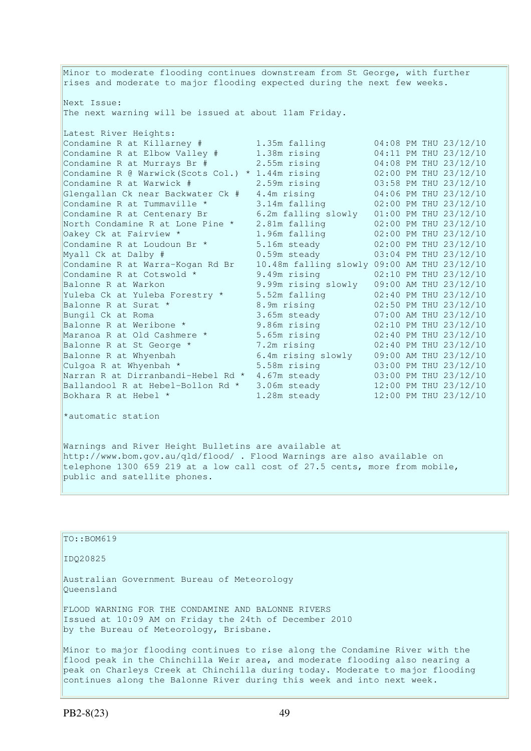Minor to moderate flooding continues downstream from St George, with further rises and moderate to major flooding expected during the next few weeks. Next Issue: The next warning will be issued at about 11am Friday. Latest River Heights: Condamine R at Killarney  $\#$  1.35m falling  $04:08$  PM THU 23/12/10 Condamine R at Elbow Valley  $\#$  1.38m rising  $04:11$  PM THU 23/12/10 Condamine R at Murrays Br  $\#$  2.55m rising 04:08 PM THU 23/12/10 Condamine R  $\theta$  Warwick(Scots Col.) \* 1.44m rising 02:00 PM THU 23/12/10 Condamine R at Warwick # 2.59m rising 03:58 PM THU 23/12/10 Glengallan Ck near Backwater Ck # 4.4m rising 04:06 PM THU 23/12/10 Condamine R at Tummaville  $*$  3.14m falling  $02:00$  PM THU 23/12/10 Condamine R at Centenary Br  $6.2$ m falling slowly  $01:00$  PM THU 23/12/10 North Condamine R at Lone Pine \* 2.81m falling 02:00 PM THU 23/12/10 Oakey Ck at Fairview \* 1.96m falling 02:00 PM THU 23/12/10 Condamine R at Loudoun Br  $*$  5.16m steady 62:00 PM THU 23/12/10 Myall Ck at Dalby # 0.59m steady 03:04 PM THU 23/12/10 Condamine R at Warra-Kogan Rd Br 10.48m falling slowly 09:00 AM THU 23/12/10 Condamine R at Cotswold  $*$  9.49m rising 02:10 PM THU 23/12/10 Balonne R at Warkon 9.99m rising slowly 09:00 AM THU 23/12/10 Yuleba Ck at Yuleba Forestry  $\star$  5.52m falling 02:40 PM THU 23/12/10 Balonne R at Surat  $*$  8.9m rising 02:50 PM THU 23/12/10 Bungil Ck at Roma 3.65m steady 07:00 AM THU 23/12/10 Balonne R at Weribone \* 9.86m rising 02:10 PM THU 23/12/10 Maranoa R at Old Cashmere \* 5.65m rising 02:40 PM THU 23/12/10 Balonne R at St George \* 7.2m rising 02:40 PM THU 23/12/10 Balonne R at Whyenbah 6.4m rising slowly 09:00 AM THU 23/12/10 Culgoa R at Whyenbah  $\star$  5.58m rising 03:00 PM THU 23/12/10 Narran R at Dirranbandi-Hebel Rd \* 4.67m steady 03:00 PM THU 23/12/10 Ballandool R at Hebel-Bollon Rd \* 3.06m steady 12:00 PM THU 23/12/10 Bokhara R at Hebel  $\star$  1.28m steady 12:00 PM THU 23/12/10 \*automatic station Warnings and River Height Bulletins are available at http://www.bom.gov.au/qld/flood/ . Flood Warnings are also available on

telephone 1300 659 219 at a low call cost of 27.5 cents, more from mobile, public and satellite phones.

| $TO: BOM619$                                                                                                                                                                                                                                  |
|-----------------------------------------------------------------------------------------------------------------------------------------------------------------------------------------------------------------------------------------------|
| ID020825                                                                                                                                                                                                                                      |
| Australian Government Bureau of Meteorology<br>Oueensland                                                                                                                                                                                     |
| FLOOD WARNING FOR THE CONDAMINE AND BALONNE RIVERS<br>Issued at 10:09 AM on Friday the 24th of December 2010<br>by the Bureau of Meteorology, Brisbane.                                                                                       |
| Minor to major flooding continues to rise along the Condamine River with the<br>flood peak in the Chinchilla Weir area, and moderate flooding also nearing a<br>peak on Charleys Creek at Chinchilla during today. Moderate to major flooding |

continues along the Balonne River during this week and into next week.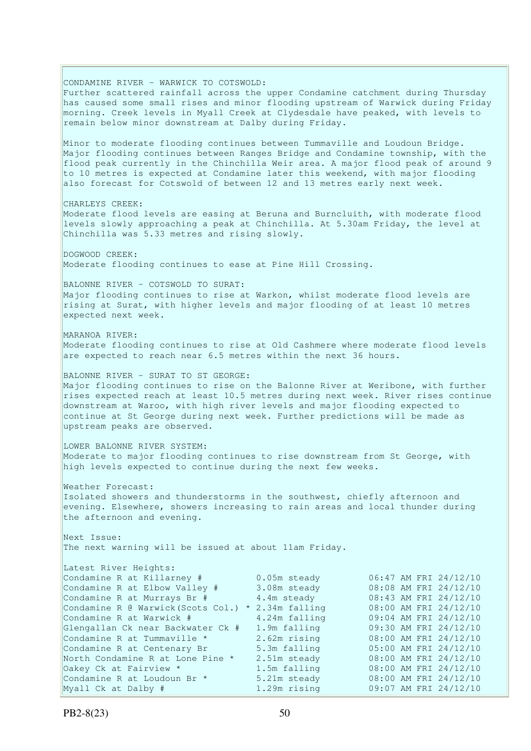CONDAMINE RIVER - WARWICK TO COTSWOLD: Further scattered rainfall across the upper Condamine catchment during Thursday has caused some small rises and minor flooding upstream of Warwick during Friday morning. Creek levels in Myall Creek at Clydesdale have peaked, with levels to remain below minor downstream at Dalby during Friday. Minor to moderate flooding continues between Tummaville and Loudoun Bridge. Major flooding continues between Ranges Bridge and Condamine township, with the flood peak currently in the Chinchilla Weir area. A major flood peak of around 9 to 10 metres is expected at Condamine later this weekend, with major flooding also forecast for Cotswold of between 12 and 13 metres early next week. CHARLEYS CREEK: Moderate flood levels are easing at Beruna and Burncluith, with moderate flood levels slowly approaching a peak at Chinchilla. At 5.30am Friday, the level at Chinchilla was 5.33 metres and rising slowly. DOGWOOD CREEK: Moderate flooding continues to ease at Pine Hill Crossing. BALONNE RIVER - COTSWOLD TO SURAT: Major flooding continues to rise at Warkon, whilst moderate flood levels are rising at Surat, with higher levels and major flooding of at least 10 metres expected next week. MARANOA RIVER: Moderate flooding continues to rise at Old Cashmere where moderate flood levels are expected to reach near 6.5 metres within the next 36 hours. BALONNE RIVER - SURAT TO ST GEORGE: Major flooding continues to rise on the Balonne River at Weribone, with further rises expected reach at least 10.5 metres during next week. River rises continue downstream at Waroo, with high river levels and major flooding expected to continue at St George during next week. Further predictions will be made as upstream peaks are observed. LOWER BALONNE RIVER SYSTEM: Moderate to major flooding continues to rise downstream from St George, with high levels expected to continue during the next few weeks. Weather Forecast: Isolated showers and thunderstorms in the southwest, chiefly afternoon and evening. Elsewhere, showers increasing to rain areas and local thunder during the afternoon and evening. Next Issue: The next warning will be issued at about 11am Friday. Latest River Heights: Condamine R at Killarney # 0.05m steady 06:47 AM FRI 24/12/10 Condamine R at Elbow Valley # 3.08m steady 08:08 AM FRI 24/12/10 Condamine R at Murrays Br  $\#$  4.4m steady  $08:43$  AM FRI 24/12/10 Condamine R @ Warwick(Scots Col.)  $*$  2.34m falling Condamine R at Murrays Br # 4.4m steady 08:43 AM FRI 24/12/10<br>
Condamine R @ Warwick (Scots Col.) \* 2.34m falling 08:00 AM FRI 24/12/10<br>
Condamine R at Warwick # 4.24m falling 09:04 AM FRI 24/12/10 Glengallan Ck near Backwater Ck # 1.9m falling 09:30 AM FRI 24/12/10 Condamine R at Tummaville  $*$  2.62m rising 08:00 AM FRI 24/12/10 Condamine R at Centenary Br 5.3m falling 05:00 AM FRI 24/12/10 North Condamine R at Lone Pine \* 2.51m steady 08:00 AM FRI 24/12/10 Oakey Ck at Fairview \* 1.5m falling 08:00 AM FRI 24/12/10 Condamine R at Loudoun Br  $*$  5.21m steady 08:00 AM FRI 24/12/10 Myall Ck at Dalby # 1.29m rising 09:07 AM FRI 24/12/10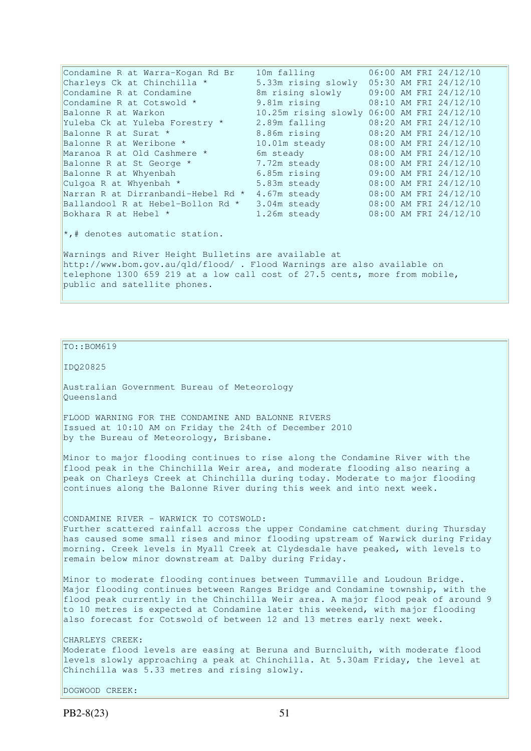Condamine R at Warra-Kogan Rd Br 10m falling 06:00 AM FRI 24/12/10 Charleys Ck at Chinchilla \* 5.33m rising slowly 05:30 AM FRI 24/12/10 Condamine R at Condamine 8m rising slowly 09:00 AM FRI 24/12/10 Condamine R at Cotswold  $*$  9.81m rising 08:10 AM FRI 24/12/10 Balonne R at Warkon 10.25m rising slowly 06:00 AM FRI 24/12/10 Yuleba Ck at Yuleba Forestry \* 2.89m falling 08:20 AM FRI 24/12/10 Balonne R at Surat \* 1992 8.86m rising 198:20 AM FRI 24/12/10 Balonne R at Weribone \* 10.01m steady 08:00 AM FRI 24/12/10 Maranoa R at Old Cashmere \* 6m steady 68:00 AM FRI 24/12/10 Balonne R at St George \* 7.72m steady 08:00 AM FRI 24/12/10 Balonne R at Whyenbah 6.85m rising 09:00 AM FRI 24/12/10 Culgoa R at Whyenbah  $*$  5.83m steady 08:00 AM FRI 24/12/10 Narran R at Dirranbandi-Hebel Rd \* 4.67m steady 08:00 AM FRI 24/12/10 Ballandool R at Hebel-Bollon Rd \* 3.04m steady 08:00 AM FRI 24/12/10 Bokhara R at Hebel \* 1.26m steady 08:00 AM FRI 24/12/10 \*,# denotes automatic station. Warnings and River Height Bulletins are available at http://www.bom.gov.au/qld/flood/ . Flood Warnings are also available on telephone 1300 659 219 at a low call cost of 27.5 cents, more from mobile, public and satellite phones.

# TO::BOM619

IDQ20825

Australian Government Bureau of Meteorology Queensland

FLOOD WARNING FOR THE CONDAMINE AND BALONNE RIVERS Issued at 10:10 AM on Friday the 24th of December 2010 by the Bureau of Meteorology, Brisbane.

Minor to major flooding continues to rise along the Condamine River with the flood peak in the Chinchilla Weir area, and moderate flooding also nearing a peak on Charleys Creek at Chinchilla during today. Moderate to major flooding continues along the Balonne River during this week and into next week.

CONDAMINE RIVER - WARWICK TO COTSWOLD: Further scattered rainfall across the upper Condamine catchment during Thursday has caused some small rises and minor flooding upstream of Warwick during Friday morning. Creek levels in Myall Creek at Clydesdale have peaked, with levels to remain below minor downstream at Dalby during Friday.

Minor to moderate flooding continues between Tummaville and Loudoun Bridge. Major flooding continues between Ranges Bridge and Condamine township, with the flood peak currently in the Chinchilla Weir area. A major flood peak of around 9 to 10 metres is expected at Condamine later this weekend, with major flooding also forecast for Cotswold of between 12 and 13 metres early next week.

CHARLEYS CREEK: Moderate flood levels are easing at Beruna and Burncluith, with moderate flood levels slowly approaching a peak at Chinchilla. At 5.30am Friday, the level at Chinchilla was 5.33 metres and rising slowly.

DOGWOOD CREEK: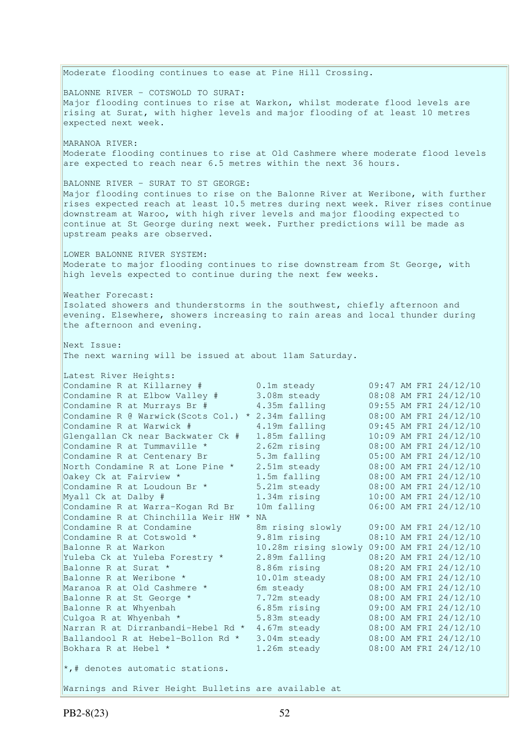Moderate flooding continues to ease at Pine Hill Crossing. BALONNE RIVER - COTSWOLD TO SURAT: Major flooding continues to rise at Warkon, whilst moderate flood levels are rising at Surat, with higher levels and major flooding of at least 10 metres expected next week. MARANOA RIVER: Moderate flooding continues to rise at Old Cashmere where moderate flood levels are expected to reach near 6.5 metres within the next 36 hours. BALONNE RIVER - SURAT TO ST GEORGE: Major flooding continues to rise on the Balonne River at Weribone, with further rises expected reach at least 10.5 metres during next week. River rises continue downstream at Waroo, with high river levels and major flooding expected to continue at St George during next week. Further predictions will be made as upstream peaks are observed. LOWER BALONNE RIVER SYSTEM: Moderate to major flooding continues to rise downstream from St George, with high levels expected to continue during the next few weeks. Weather Forecast: Isolated showers and thunderstorms in the southwest, chiefly afternoon and evening. Elsewhere, showers increasing to rain areas and local thunder during the afternoon and evening. Next Issue: The next warning will be issued at about 11am Saturday. Latest River Heights: Condamine R at Killarney  $\#$  0.1m steady 09:47 AM FRI 24/12/10 Condamine R at Elbow Valley # 3.08m steady 08:08 AM FRI 24/12/10 Condamine R at Murrays Br # 4.35m falling 09:55 AM FRI 24/12/10 Condamine R @ Warwick(Scots Col.) \* 2.34m falling 08:00 AM FRI 24/12/10 Condamine R at Warwick  $\#$  4.19m falling 09:45 AM FRI 24/12/10 Glengallan Ck near Backwater Ck # 1.85m falling 10:09 AM FRI 24/12/10 Condamine R at Tummaville  $*$  2.62m rising 08:00 AM FRI 24/12/10 Condamine R at Centenary Br 5.3m falling 05:00 AM FRI 24/12/10 North Condamine R at Lone Pine \* 2.51m steady 08:00 AM FRI 24/12/10 Oakey Ck at Fairview \* 1.5m falling 08:00 AM FRI 24/12/10 Oakey Ck at Fairview \* 1.5m falling 08:00 AM FRI 24/12/10<br>
Condamine R at Loudoun Br \* 5.21m steady 08:00 AM FRI 24/12/10 Myall Ck at Dalby # 1.34m rising 10:00 AM FRI 24/12/10 Condamine R at Warra-Kogan Rd Br 10m falling 06:00 AM FRI 24/12/10 Condamine R at Chinchilla Weir HW \* NA Condamine R at Condamine 8m rising slowly 09:00 AM FRI 24/12/10 Condamine R at Cotswold  $*$  9.81m rising 08:10 AM FRI 24/12/10 Balonne R at Warkon 10.28m rising slowly 09:00 AM FRI 24/12/10 Yuleba Ck at Yuleba Forestry \* 2.89m falling 08:20 AM FRI 24/12/10 Balonne R at Surat \* 3.86m rising 08:20 AM FRI 24/12/10 Balonne R at Weribone \* 10.01m steady 08:00 AM FRI 24/12/10 Maranoa R at Old Cashmere \* 6m steady 68:00 AM FRI 24/12/10 Maranoa R at Old Cashmere \* 10.01m steady 08:00 AM FRI 24/12/10<br>Balonne R at St George \* 7.72m steady 08:00 AM FRI 24/12/10 Balonne R at Whyenbah 6.85m rising 09:00 AM FRI 24/12/10 Culgoa R at Whyenbah  $\star$  5.83m steady 08:00 AM FRI 24/12/10 Narran R at Dirranbandi-Hebel Rd \* 4.67m steady 08:00 AM FRI 24/12/10 Ballandool R at Hebel-Bollon Rd \* 3.04m steady 08:00 AM FRI 24/12/10 Bokhara R at Hebel \* 1.26m steady 08:00 AM FRI 24/12/10  $\star$ ,# denotes automatic stations. Warnings and River Height Bulletins are available at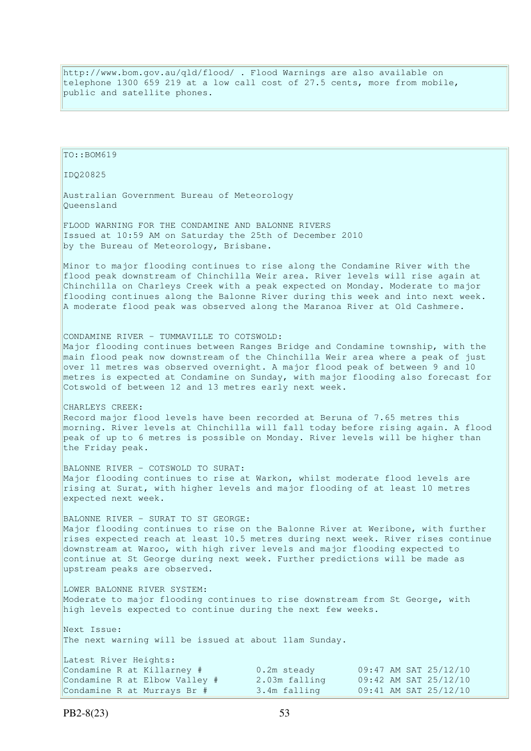http://www.bom.gov.au/qld/flood/ . Flood Warnings are also available on telephone 1300 659 219 at a low call cost of 27.5 cents, more from mobile, public and satellite phones.

Australian Government Bureau of Meteorology Queensland FLOOD WARNING FOR THE CONDAMINE AND BALONNE RIVERS Issued at 10:59 AM on Saturday the 25th of December 2010 by the Bureau of Meteorology, Brisbane. Minor to major flooding continues to rise along the Condamine River with the flood peak downstream of Chinchilla Weir area. River levels will rise again at Chinchilla on Charleys Creek with a peak expected on Monday. Moderate to major flooding continues along the Balonne River during this week and into next week. A moderate flood peak was observed along the Maranoa River at Old Cashmere. CONDAMINE RIVER - TUMMAVILLE TO COTSWOLD: Major flooding continues between Ranges Bridge and Condamine township, with the main flood peak now downstream of the Chinchilla Weir area where a peak of just over 11 metres was observed overnight. A major flood peak of between 9 and 10 metres is expected at Condamine on Sunday, with major flooding also forecast for Cotswold of between 12 and 13 metres early next week. CHARLEYS CREEK: Record major flood levels have been recorded at Beruna of 7.65 metres this morning. River levels at Chinchilla will fall today before rising again. A flood peak of up to 6 metres is possible on Monday. River levels will be higher than the Friday peak. BALONNE RIVER - COTSWOLD TO SURAT: Major flooding continues to rise at Warkon, whilst moderate flood levels are rising at Surat, with higher levels and major flooding of at least 10 metres expected next week. BALONNE RIVER - SURAT TO ST GEORGE: Major flooding continues to rise on the Balonne River at Weribone, with further rises expected reach at least 10.5 metres during next week. River rises continue downstream at Waroo, with high river levels and major flooding expected to continue at St George during next week. Further predictions will be made as upstream peaks are observed. LOWER BALONNE RIVER SYSTEM: Moderate to major flooding continues to rise downstream from St George, with high levels expected to continue during the next few weeks.

Next Issue: The next warning will be issued at about 11am Sunday. Latest River Heights: Condamine R at Killarney  $\#$  0.2m steady 09:47 AM SAT 25/12/10 Condamine R at Elbow Valley # 2.03m falling 09:42 AM SAT 25/12/10 Condamine R at Murrays Br # 3.4m falling 09:41 AM SAT 25/12/10

 $TO::BOM619$ 

IDQ20825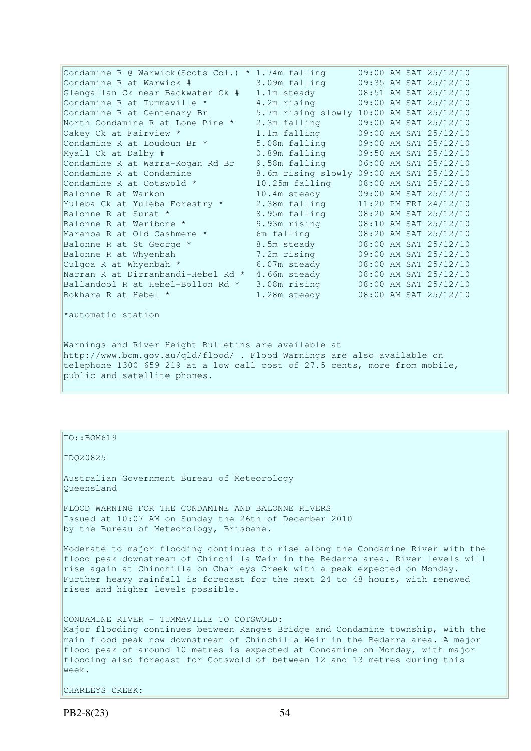| Condamine R @ Warwick (Scots Col.) * 1.74m falling                                                                                                                                                            |                                          |  |  |  | 09:00 AM SAT 25/12/10 |
|---------------------------------------------------------------------------------------------------------------------------------------------------------------------------------------------------------------|------------------------------------------|--|--|--|-----------------------|
| Condamine R at Warwick #                                                                                                                                                                                      | 3.09m falling                            |  |  |  | 09:35 AM SAT 25/12/10 |
| Glengallan Ck near Backwater Ck #                                                                                                                                                                             | 1.1m steady                              |  |  |  | 08:51 AM SAT 25/12/10 |
| Condamine R at Tummaville *                                                                                                                                                                                   | 4.2m rising                              |  |  |  | 09:00 AM SAT 25/12/10 |
| Condamine R at Centenary Br                                                                                                                                                                                   | 5.7m rising slowly 10:00 AM SAT 25/12/10 |  |  |  |                       |
| North Condamine R at Lone Pine *                                                                                                                                                                              | 2.3m falling                             |  |  |  | 09:00 AM SAT 25/12/10 |
| Oakey Ck at Fairview *                                                                                                                                                                                        | 1.1m falling                             |  |  |  | 09:00 AM SAT 25/12/10 |
| Condamine R at Loudoun Br *                                                                                                                                                                                   | 5.08m falling                            |  |  |  | 09:00 AM SAT 25/12/10 |
| Myall Ck at Dalby #                                                                                                                                                                                           | 0.89m falling                            |  |  |  | 09:50 AM SAT 25/12/10 |
| Condamine R at Warra-Kogan Rd Br                                                                                                                                                                              | 9.58m falling                            |  |  |  | 06:00 AM SAT 25/12/10 |
| Condamine R at Condamine                                                                                                                                                                                      | 8.6m rising slowly 09:00 AM SAT 25/12/10 |  |  |  |                       |
| Condamine R at Cotswold *                                                                                                                                                                                     | 10.25m falling                           |  |  |  | 08:00 AM SAT 25/12/10 |
| Balonne R at Warkon                                                                                                                                                                                           | 10.4m steady                             |  |  |  | 09:00 AM SAT 25/12/10 |
| Yuleba Ck at Yuleba Forestry *                                                                                                                                                                                | 2.38m falling                            |  |  |  | 11:20 PM FRI 24/12/10 |
| Balonne R at Surat *                                                                                                                                                                                          | 8.95m falling                            |  |  |  | 08:20 AM SAT 25/12/10 |
| Balonne R at Weribone *                                                                                                                                                                                       | 9.93m rising                             |  |  |  | 08:10 AM SAT 25/12/10 |
| Maranoa R at Old Cashmere *                                                                                                                                                                                   | 6m falling                               |  |  |  | 08:20 AM SAT 25/12/10 |
| Balonne R at St George *                                                                                                                                                                                      | 8.5m steady                              |  |  |  | 08:00 AM SAT 25/12/10 |
| Balonne R at Whyenbah                                                                                                                                                                                         | 7.2m rising                              |  |  |  | 09:00 AM SAT 25/12/10 |
| Culgoa R at Whyenbah *                                                                                                                                                                                        | 6.07m steady                             |  |  |  | 08:00 AM SAT 25/12/10 |
| Narran R at Dirranbandi-Hebel Rd *                                                                                                                                                                            | 4.66m steady                             |  |  |  | 08:00 AM SAT 25/12/10 |
| Ballandool R at Hebel-Bollon Rd *                                                                                                                                                                             | 3.08m rising                             |  |  |  | 08:00 AM SAT 25/12/10 |
| Bokhara R at Hebel *                                                                                                                                                                                          | 1.28m steady                             |  |  |  | 08:00 AM SAT 25/12/10 |
| *automatic station                                                                                                                                                                                            |                                          |  |  |  |                       |
| Warnings and River Height Bulletins are available at<br>http://www.bom.gov.au/qld/flood/ . Flood Warnings are also available on<br>telephone 1300 659 219 at a low call cost of 27.5 cents, more from mobile, |                                          |  |  |  |                       |
| public and satellite phones.                                                                                                                                                                                  |                                          |  |  |  |                       |

## TO::BOM619

IDQ20825

Australian Government Bureau of Meteorology Queensland

FLOOD WARNING FOR THE CONDAMINE AND BALONNE RIVERS Issued at 10:07 AM on Sunday the 26th of December 2010 by the Bureau of Meteorology, Brisbane.

Moderate to major flooding continues to rise along the Condamine River with the flood peak downstream of Chinchilla Weir in the Bedarra area. River levels will rise again at Chinchilla on Charleys Creek with a peak expected on Monday. Further heavy rainfall is forecast for the next 24 to 48 hours, with renewed rises and higher levels possible.

CONDAMINE RIVER - TUMMAVILLE TO COTSWOLD: Major flooding continues between Ranges Bridge and Condamine township, with the main flood peak now downstream of Chinchilla Weir in the Bedarra area. A major flood peak of around 10 metres is expected at Condamine on Monday, with major flooding also forecast for Cotswold of between 12 and 13 metres during this week.

CHARLEYS CREEK: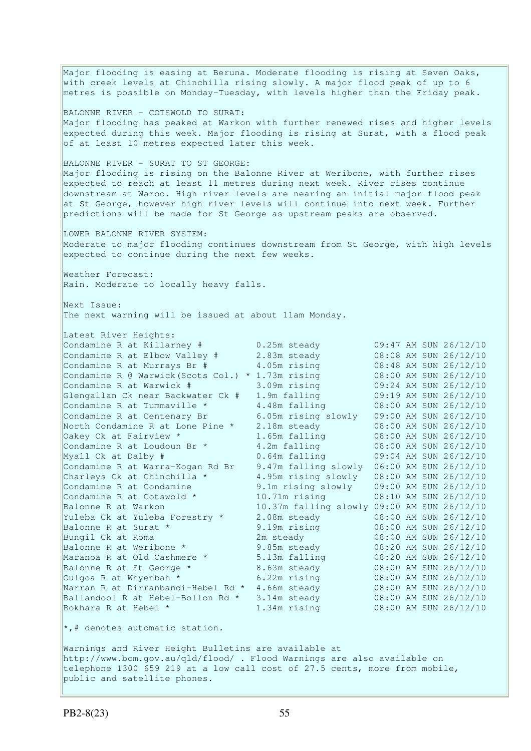Major flooding is easing at Beruna. Moderate flooding is rising at Seven Oaks, with creek levels at Chinchilla rising slowly. A major flood peak of up to 6 metres is possible on Monday-Tuesday, with levels higher than the Friday peak. BALONNE RIVER - COTSWOLD TO SURAT: Major flooding has peaked at Warkon with further renewed rises and higher levels expected during this week. Major flooding is rising at Surat, with a flood peak of at least 10 metres expected later this week. BALONNE RIVER - SURAT TO ST GEORGE: Major flooding is rising on the Balonne River at Weribone, with further rises expected to reach at least 11 metres during next week. River rises continue downstream at Waroo. High river levels are nearing an initial major flood peak at St George, however high river levels will continue into next week. Further predictions will be made for St George as upstream peaks are observed. LOWER BALONNE RIVER SYSTEM: Moderate to major flooding continues downstream from St George, with high levels expected to continue during the next few weeks. Weather Forecast: Rain. Moderate to locally heavy falls. Next Issue: The next warning will be issued at about 11am Monday. Latest River Heights: Condamine R at Killarney # 0.25m steady 09:47 AM SUN 26/12/10 Condamine R at Elbow Valley # 2.83m steady 08:08 AM SUN 26/12/10 Condamine R at Murrays Br # 4.05m rising 08:48 AM SUN 26/12/10 Condamine R @ Warwick(Scots Col.) \* 1.73m rising 08:00 AM SUN 26/12/10 Condamine R at Warwick # 3.09m rising 09:24 AM SUN 26/12/10 Glengallan Ck near Backwater Ck # 1.9m falling 09:19 AM SUN 26/12/10 Condamine R at Tummaville  $*$  4.48m falling 08:00 AM SUN 26/12/10 Condamine R at Centenary Br 6.05m rising slowly 09:00 AM SUN 26/12/10 North Condamine R at Lone Pine \* 2.18m steady 08:00 AM SUN 26/12/10 Oakey Ck at Fairview \* 1.65m falling 08:00 AM SUN 26/12/10 Condamine R at Loudoun Br  $*$  4.2m falling  $08:00$  AM SUN 26/12/10 Myall Ck at Dalby # 0.64m falling 09:04 AM SUN 26/12/10 Condamine R at Warra-Kogan Rd Br 9.47m falling slowly 06:00 AM SUN 26/12/10 Charleys Ck at Chinchilla  $*$  4.95m rising slowly  $08:00$  AM SUN 26/12/10 Condamine R at Condamine 9.1m rising slowly 09:00 AM SUN 26/12/10 Condamine R at Cotswold  $*$  10.71m rising  $08:10$  AM SUN 26/12/10 Balonne R at Warkon 10.37m falling slowly 09:00 AM SUN 26/12/10 Yuleba Ck at Yuleba Forestry \* 2.08m steady 08:00 AM SUN 26/12/10 Balonne R at Surat \* 3.19m rising 08:00 AM SUN 26/12/10 Bungil Ck at Roma 2m steady 08:00 AM SUN 26/12/10 Balonne R at Weribone \* 9.85m steady 08:20 AM SUN 26/12/10 Maranoa R at Old Cashmere \* 5.13m falling 08:20 AM SUN 26/12/10 Balonne R at St George \* 8.63m steady 08:00 AM SUN 26/12/10 Culgoa R at Whyenbah  $\star$  6.22m rising 08:00 AM SUN 26/12/10 Narran R at Dirranbandi-Hebel Rd \* 4.66m steady 08:00 AM SUN 26/12/10 Ballandool R at Hebel-Bollon Rd \* 3.14m steady 08:00 AM SUN 26/12/10 Bokhara R at Hebel \* 1.34m rising 08:00 AM SUN 26/12/10  $\star$ ,# denotes automatic station. Warnings and River Height Bulletins are available at http://www.bom.gov.au/qld/flood/ . Flood Warnings are also available on

telephone 1300 659 219 at a low call cost of 27.5 cents, more from mobile, public and satellite phones.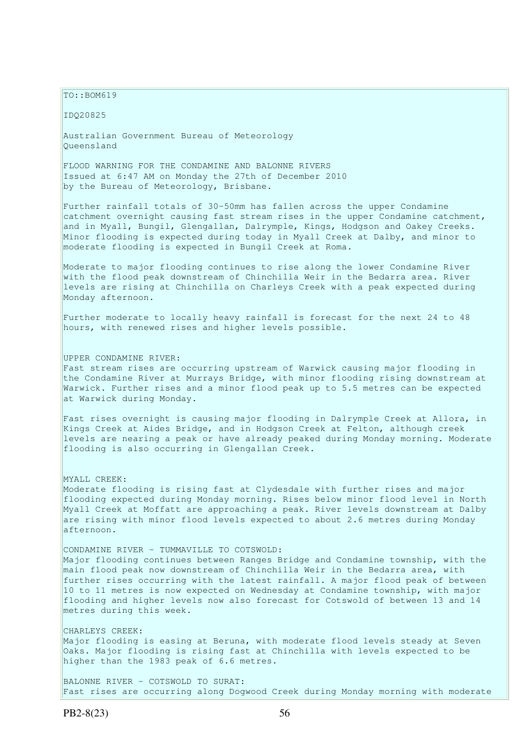$TO: **ROM619**$ 

IDQ20825

Australian Government Bureau of Meteorology Queensland

FLOOD WARNING FOR THE CONDAMINE AND BALONNE RIVERS Issued at 6:47 AM on Monday the 27th of December 2010 by the Bureau of Meteorology, Brisbane.

Further rainfall totals of 30-50mm has fallen across the upper Condamine catchment overnight causing fast stream rises in the upper Condamine catchment, and in Myall, Bungil, Glengallan, Dalrymple, Kings, Hodgson and Oakey Creeks. Minor flooding is expected during today in Myall Creek at Dalby, and minor to moderate flooding is expected in Bungil Creek at Roma.

Moderate to major flooding continues to rise along the lower Condamine River with the flood peak downstream of Chinchilla Weir in the Bedarra area. River levels are rising at Chinchilla on Charleys Creek with a peak expected during Monday afternoon.

Further moderate to locally heavy rainfall is forecast for the next 24 to 48 hours, with renewed rises and higher levels possible.

#### UPPER CONDAMINE RIVER:

Fast stream rises are occurring upstream of Warwick causing major flooding in the Condamine River at Murrays Bridge, with minor flooding rising downstream at Warwick. Further rises and a minor flood peak up to 5.5 metres can be expected at Warwick during Monday.

Fast rises overnight is causing major flooding in Dalrymple Creek at Allora, in Kings Creek at Aides Bridge, and in Hodgson Creek at Felton, although creek levels are nearing a peak or have already peaked during Monday morning. Moderate flooding is also occurring in Glengallan Creek.

MYALL CREEK:

Moderate flooding is rising fast at Clydesdale with further rises and major flooding expected during Monday morning. Rises below minor flood level in North Myall Creek at Moffatt are approaching a peak. River levels downstream at Dalby are rising with minor flood levels expected to about 2.6 metres during Monday afternoon.

#### CONDAMINE RIVER - TUMMAVILLE TO COTSWOLD:

Major flooding continues between Ranges Bridge and Condamine township, with the main flood peak now downstream of Chinchilla Weir in the Bedarra area, with further rises occurring with the latest rainfall. A major flood peak of between 10 to 11 metres is now expected on Wednesday at Condamine township, with major flooding and higher levels now also forecast for Cotswold of between 13 and 14 metres during this week.

CHARLEYS CREEK: Major flooding is easing at Beruna, with moderate flood levels steady at Seven Oaks. Major flooding is rising fast at Chinchilla with levels expected to be higher than the 1983 peak of 6.6 metres.

BALONNE RIVER - COTSWOLD TO SURAT: Fast rises are occurring along Dogwood Creek during Monday morning with moderate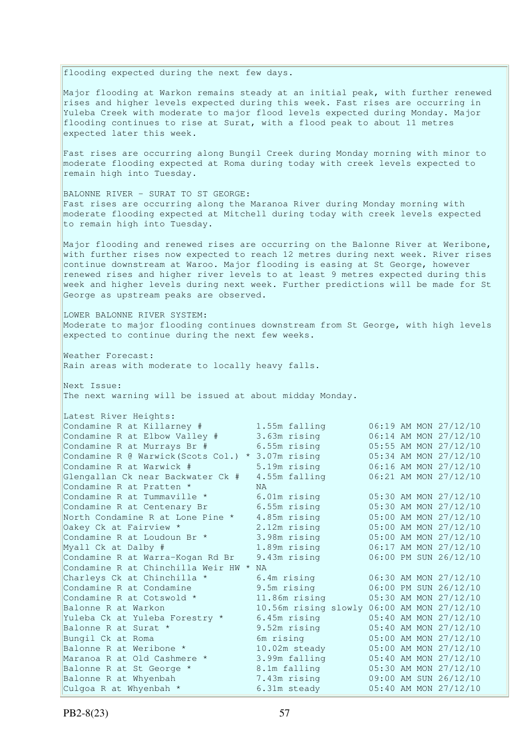flooding expected during the next few days. Major flooding at Warkon remains steady at an initial peak, with further renewed rises and higher levels expected during this week. Fast rises are occurring in Yuleba Creek with moderate to major flood levels expected during Monday. Major flooding continues to rise at Surat, with a flood peak to about 11 metres expected later this week. Fast rises are occurring along Bungil Creek during Monday morning with minor to moderate flooding expected at Roma during today with creek levels expected to remain high into Tuesday. BALONNE RIVER - SURAT TO ST GEORGE: Fast rises are occurring along the Maranoa River during Monday morning with moderate flooding expected at Mitchell during today with creek levels expected to remain high into Tuesday. Major flooding and renewed rises are occurring on the Balonne River at Weribone, with further rises now expected to reach 12 metres during next week. River rises continue downstream at Waroo. Major flooding is easing at St George, however renewed rises and higher river levels to at least 9 metres expected during this week and higher levels during next week. Further predictions will be made for St George as upstream peaks are observed. LOWER BALONNE RIVER SYSTEM: Moderate to major flooding continues downstream from St George, with high levels expected to continue during the next few weeks. Weather Forecast: Rain areas with moderate to locally heavy falls. Next Issue: The next warning will be issued at about midday Monday. Latest River Heights: Condamine R at Killarney  $\#$  1.55m falling  $06:19$  AM MON 27/12/10 Condamine R at Elbow Valley  $\#$  3.63m rising  $06:14$  AM MON 27/12/10 Condamine R at Murrays Br  $\#$  6.55m rising 05:55 AM MON 27/12/10 Condamine R  $\theta$  Warwick(Scots Col.) \* 3.07m rising 05:34 AM MON 27/12/10 Condamine R at Warwick # 5.19m rising 06:16 AM MON 27/12/10 Glengallan Ck near Backwater Ck # 4.55m falling 06:21 AM MON 27/12/10 Condamine R at Pratten \* NA Condamine R at Tummaville  $*$  6.01m rising 05:30 AM MON 27/12/10 Condamine R at Centenary Br 6.55m rising 05:30 AM MON 27/12/10 North Condamine R at Lone Pine \* 4.85m rising 05:00 AM MON 27/12/10 Oakey Ck at Fairview \* 2.12m rising 05:00 AM MON 27/12/10 Condamine R at Loudoun Br  $*$  3.98m rising 05:00 AM MON 27/12/10 Myall Ck at Dalby # 1.89m rising 06:17 AM MON 27/12/10 Myall Ck at Dalby #<br>
Condamine R at Warra-Kogan Rd Br 9.43m rising 06:00 PM SUN 26/12/10 Condamine R at Chinchilla Weir HW \* NA Charleys Ck at Chinchilla \* 6.4m rising 06:30 AM MON 27/12/10<br>
Condamine R at Condamine 9.5m rising 06:00 PM SUN 26/12/10 Condamine R at Condamine 06:00 PM SUN 26/12/10 Condamine R at Cotswold \* 11.86m rising 05:30 AM MON 27/12/10 Balonne R at Warkon 10.56m rising slowly 06:00 AM MON 27/12/10 Yuleba Ck at Yuleba Forestry \* 6.45m rising 05:40 AM MON 27/12/10 Balonne R at Surat \* 3.52m rising 05:40 AM MON 27/12/10 Bungil Ck at Roma 6m rising 05:00 AM MON 27/12/10 Balonne R at Weribone \* 10.02m steady 05:00 AM MON 27/12/10 Maranoa R at Old Cashmere \* 3.99m falling 05:40 AM MON 27/12/10 Balonne R at St George \* 3.1m falling 05:30 AM MON 27/12/10 Balonne R at Whyenbah 7.43m rising 09:00 AM SUN 26/12/10 Culgoa R at Whyenbah  $*$  6.31m steady 05:40 AM MON 27/12/10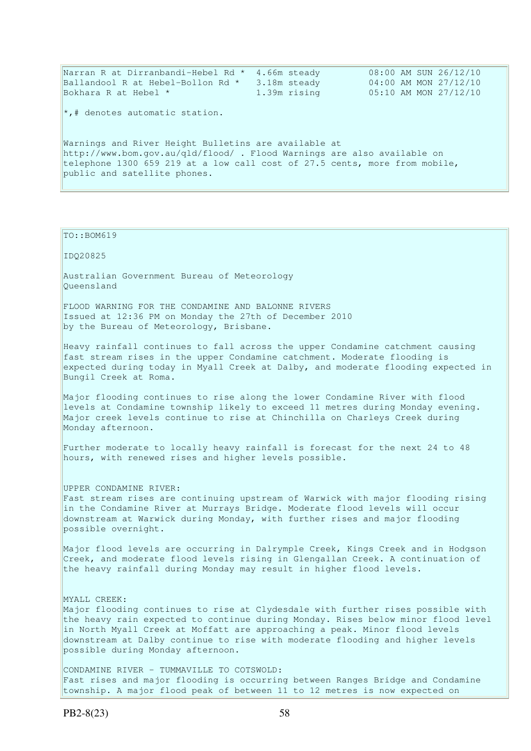| Narran R at Dirranbandi-Hebel Rd *<br>Ballandool R at Hebel-Bollon Rd * 3.18m steady                                                                                                                         | 4.66m steady | 08:00 AM SUN 26/12/10<br>04:00 AM MON 27/12/10 |  |  |  |
|--------------------------------------------------------------------------------------------------------------------------------------------------------------------------------------------------------------|--------------|------------------------------------------------|--|--|--|
| Bokhara R at Hebel *                                                                                                                                                                                         | 1.39m rising | 05:10 AM MON 27/12/10                          |  |  |  |
| $\star$ ,# denotes automatic station.                                                                                                                                                                        |              |                                                |  |  |  |
| Warnings and River Height Bulletins are available at<br>http://www.bom.gov.au/gld/flood/. Flood Warnings are also available on<br>telephone 1300 659 219 at a low call cost of 27.5 cents, more from mobile, |              |                                                |  |  |  |
| public and satellite phones.                                                                                                                                                                                 |              |                                                |  |  |  |

#### $TO::BOM619$

IDQ20825

Australian Government Bureau of Meteorology Queensland

FLOOD WARNING FOR THE CONDAMINE AND BALONNE RIVERS Issued at 12:36 PM on Monday the 27th of December 2010 by the Bureau of Meteorology, Brisbane.

Heavy rainfall continues to fall across the upper Condamine catchment causing fast stream rises in the upper Condamine catchment. Moderate flooding is expected during today in Myall Creek at Dalby, and moderate flooding expected in Bungil Creek at Roma.

Major flooding continues to rise along the lower Condamine River with flood levels at Condamine township likely to exceed 11 metres during Monday evening. Major creek levels continue to rise at Chinchilla on Charleys Creek during Monday afternoon.

Further moderate to locally heavy rainfall is forecast for the next 24 to 48 hours, with renewed rises and higher levels possible.

UPPER CONDAMINE RIVER:

Fast stream rises are continuing upstream of Warwick with major flooding rising in the Condamine River at Murrays Bridge. Moderate flood levels will occur downstream at Warwick during Monday, with further rises and major flooding possible overnight.

Major flood levels are occurring in Dalrymple Creek, Kings Creek and in Hodgson Creek, and moderate flood levels rising in Glengallan Creek. A continuation of the heavy rainfall during Monday may result in higher flood levels.

MYALL CREEK: Major flooding continues to rise at Clydesdale with further rises possible with the heavy rain expected to continue during Monday. Rises below minor flood level in North Myall Creek at Moffatt are approaching a peak. Minor flood levels downstream at Dalby continue to rise with moderate flooding and higher levels possible during Monday afternoon.

CONDAMINE RIVER - TUMMAVILLE TO COTSWOLD: Fast rises and major flooding is occurring between Ranges Bridge and Condamine township. A major flood peak of between 11 to 12 metres is now expected on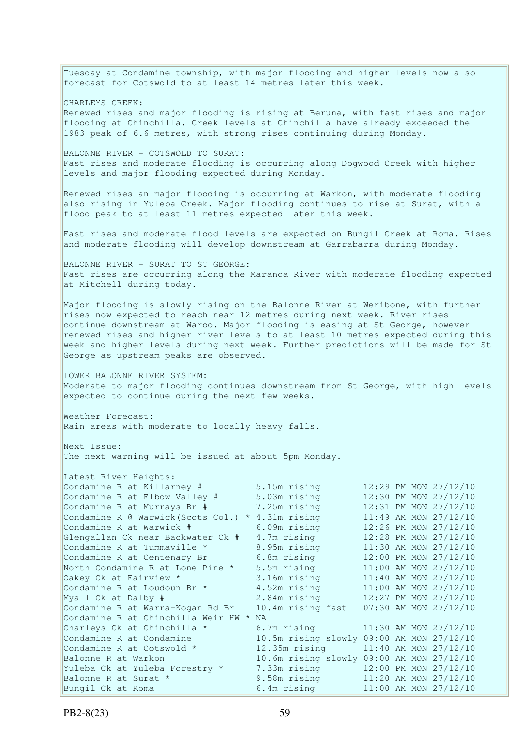Tuesday at Condamine township, with major flooding and higher levels now also forecast for Cotswold to at least 14 metres later this week. CHARLEYS CREEK: Renewed rises and major flooding is rising at Beruna, with fast rises and major flooding at Chinchilla. Creek levels at Chinchilla have already exceeded the 1983 peak of 6.6 metres, with strong rises continuing during Monday. BALONNE RIVER - COTSWOLD TO SURAT: Fast rises and moderate flooding is occurring along Dogwood Creek with higher levels and major flooding expected during Monday. Renewed rises an major flooding is occurring at Warkon, with moderate flooding also rising in Yuleba Creek. Major flooding continues to rise at Surat, with a flood peak to at least 11 metres expected later this week. Fast rises and moderate flood levels are expected on Bungil Creek at Roma. Rises and moderate flooding will develop downstream at Garrabarra during Monday. BALONNE RIVER - SURAT TO ST GEORGE: Fast rises are occurring along the Maranoa River with moderate flooding expected at Mitchell during today. Major flooding is slowly rising on the Balonne River at Weribone, with further rises now expected to reach near 12 metres during next week. River rises continue downstream at Waroo. Major flooding is easing at St George, however renewed rises and higher river levels to at least 10 metres expected during this week and higher levels during next week. Further predictions will be made for St George as upstream peaks are observed. LOWER BALONNE RIVER SYSTEM: Moderate to major flooding continues downstream from St George, with high levels expected to continue during the next few weeks. Weather Forecast: Rain areas with moderate to locally heavy falls. Next Issue: The next warning will be issued at about 5pm Monday. Latest River Heights: Condamine R at Killarney # 5.15m rising 12:29 PM MON 27/12/10<br>Condamine R at Elbow Valley # 5.03m rising 12:30 PM MON 27/12/10 Condamine R at Elbow Valley # 5.03m rising 12:30 PM MON 27/12/10 Condamine R at Murrays Br # 7.25m rising 12:31 PM MON 27/12/10 Condamine R  $\theta$  Warwick(Scots Col.) \* 4.31m rising 11:49 AM MON 27/12/10 Condamine R at Warwick # 6.09m rising 12:26 PM MON 27/12/10<br>Glengallan Ck near Backwater Ck # 4.7m rising 12:28 PM MON 27/12/10 Glengallan Ck near Backwater Ck  $#$  4.7m rising Condamine R at Tummaville  $*$  8.95m rising 11:30 AM MON 27/12/10 Condamine R at Centenary Br 6.8m rising 12:00 PM MON 27/12/10 North Condamine R at Lone Pine \* 5.5m rising 11:00 AM MON 27/12/10 Oakey Ck at Fairview \* 3.16m rising 11:40 AM MON 27/12/10 Condamine R at Loudoun Br  $*$  4.52m rising 11:00 AM MON 27/12/10 Myall Ck at Dalby # 2.84m rising 12:27 PM MON 27/12/10 Condamine R at Warra-Kogan Rd Br 10.4m rising fast 07:30 AM MON 27/12/10 Condamine R at Chinchilla Weir HW \* NA Charleys Ck at Chinchilla \*  $6.7$ m rising 11:30 AM MON 27/12/10 Condamine R at Condamine 10.5m rising slowly 09:00 AM MON 27/12/10 Condamine R at Cotswold \* 12.35m rising 11:40 AM MON 27/12/10 Balonne R at Warkon 10.6m rising slowly 09:00 AM MON 27/12/10<br>
Yuleba Ck at Yuleba Forestry \* 7.33m rising 12:00 PM MON 27/12/10 Yuleba Ck at Yuleba Forestry \* 7.33m rising 12:00 PM MON 27/12/10 Balonne R at Surat \* 3.58m rising 11:20 AM MON 27/12/10 Bungil Ck at Roma 6.4m rising 11:00 AM MON 27/12/10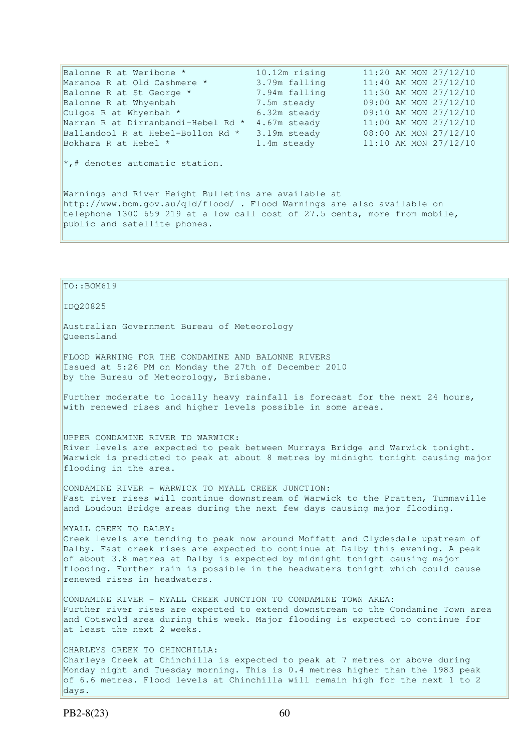| Balonne R at Weribone *            | 10.12m rising | 11:20 AM MON 27/12/10 |
|------------------------------------|---------------|-----------------------|
| Maranoa R at Old Cashmere *        | 3.79m falling | 11:40 AM MON 27/12/10 |
| Balonne R at St George *           | 7.94m falling | 11:30 AM MON 27/12/10 |
| Balonne R at Whyenbah              | 7.5m steady   | 09:00 AM MON 27/12/10 |
| Culgoa R at Whyenbah *             | 6.32m steady  | 09:10 AM MON 27/12/10 |
| Narran R at Dirranbandi-Hebel Rd * | 4.67m steady  | 11:00 AM MON 27/12/10 |
| Ballandool R at Hebel-Bollon Rd *  | 3.19m steady  | 08:00 AM MON 27/12/10 |
| Bokhara R at Hebel *               | 1.4m steady   | 11:10 AM MON 27/12/10 |
|                                    |               |                       |

\*,# denotes automatic station.

Warnings and River Height Bulletins are available at http://www.bom.gov.au/qld/flood/ . Flood Warnings are also available on telephone 1300 659 219 at a low call cost of 27.5 cents, more from mobile, public and satellite phones.

TO::BOM619

## IDQ20825

Australian Government Bureau of Meteorology Queensland

FLOOD WARNING FOR THE CONDAMINE AND BALONNE RIVERS Issued at 5:26 PM on Monday the 27th of December 2010 by the Bureau of Meteorology, Brisbane.

Further moderate to locally heavy rainfall is forecast for the next 24 hours, with renewed rises and higher levels possible in some areas.

UPPER CONDAMINE RIVER TO WARWICK: River levels are expected to peak between Murrays Bridge and Warwick tonight. Warwick is predicted to peak at about 8 metres by midnight tonight causing major flooding in the area.

CONDAMINE RIVER - WARWICK TO MYALL CREEK JUNCTION: Fast river rises will continue downstream of Warwick to the Pratten, Tummaville and Loudoun Bridge areas during the next few days causing major flooding.

MYALL CREEK TO DALBY: Creek levels are tending to peak now around Moffatt and Clydesdale upstream of Dalby. Fast creek rises are expected to continue at Dalby this evening. A peak of about 3.8 metres at Dalby is expected by midnight tonight causing major flooding. Further rain is possible in the headwaters tonight which could cause renewed rises in headwaters.

CONDAMINE RIVER - MYALL CREEK JUNCTION TO CONDAMINE TOWN AREA: Further river rises are expected to extend downstream to the Condamine Town area and Cotswold area during this week. Major flooding is expected to continue for at least the next 2 weeks.

CHARLEYS CREEK TO CHINCHILLA: Charleys Creek at Chinchilla is expected to peak at 7 metres or above during Monday night and Tuesday morning. This is 0.4 metres higher than the 1983 peak of 6.6 metres. Flood levels at Chinchilla will remain high for the next 1 to 2 days.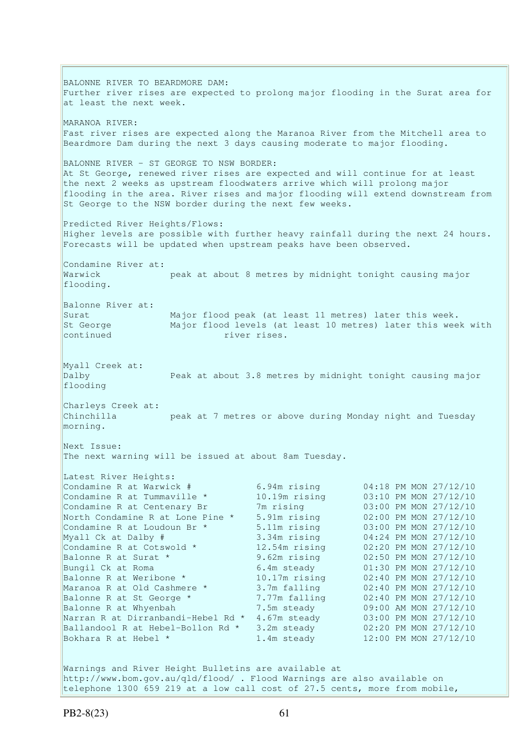BALONNE RIVER TO BEARDMORE DAM: Further river rises are expected to prolong major flooding in the Surat area for at least the next week. MARANOA RIVER: Fast river rises are expected along the Maranoa River from the Mitchell area to Beardmore Dam during the next 3 days causing moderate to major flooding. BALONNE RIVER - ST GEORGE TO NSW BORDER: At St George, renewed river rises are expected and will continue for at least the next 2 weeks as upstream floodwaters arrive which will prolong major flooding in the area. River rises and major flooding will extend downstream from St George to the NSW border during the next few weeks. Predicted River Heights/Flows: Higher levels are possible with further heavy rainfall during the next 24 hours. Forecasts will be updated when upstream peaks have been observed. Condamine River at: Warwick peak at about 8 metres by midnight tonight causing major flooding. Balonne River at: Surat Major flood peak (at least 11 metres) later this week. St George Major flood levels (at least 10 metres) later this week with continued river rises. Myall Creek at: Dalby Peak at about 3.8 metres by midnight tonight causing major flooding Charleys Creek at:<br>Chinchilla peak at 7 metres or above during Monday night and Tuesday morning. Next Issue: The next warning will be issued at about 8am Tuesday. Latest River Heights:  $\begin{array}{ll}\n \text{Condamine R at Warwick} & 6.94 \text{m rising} & 04:18 \text{PM MON } 27/12/10 \\
 \text{Condamine R at Tummavilla} & 10.19 \text{m rising} & 03:10 \text{PM MON } 27/12/10\n \end{array}$ Condamine R at Tummaville  $*$  10.19m rising  $03:10$  PM MON 27/12/10 Condamine R at Centenary Br 7m rising 03:00 PM MON 27/12/10 North Condamine R at Lone Pine \* 5.91m rising 02:00 PM MON 27/12/10 Condamine R at Loudoun Br  $*$  5.11m rising 03:00 PM MON 27/12/10 Myall Ck at Dalby # 3.34m rising 04:24 PM MON 27/12/10 Condamine R at Cotswold \* 12.54m rising 02:20 PM MON 27/12/10 Balonne R at Surat \* 3.62m rising 02:50 PM MON 27/12/10 Bungil Ck at Roma 6.4m steady 01:30 PM MON 27/12/10 Balonne R at Weribone \* 10.17m rising 02:40 PM MON 27/12/10<br>Maranoa R at Old Cashmere \* 3.7m falling 02:40 PM MON 27/12/10 Maranoa R at Old Cashmere \* 3.7m falling 02:40 PM MON 27/12/10 Balonne R at St George  $*$  7.77m falling 02:40 PM MON 27/12/10 Balonne R at Whyenbah 7.5m steady 09:00 AM MON 27/12/10 Narran R at Dirranbandi-Hebel Rd \* 4.67m steady 03:00 PM MON 27/12/10 Ballandool R at Hebel-Bollon Rd \* 3.2m steady 02:20 PM MON 27/12/10 Bokhara R at Hebel \* 1.4m steady 12:00 PM MON 27/12/10 Warnings and River Height Bulletins are available at http://www.bom.gov.au/qld/flood/ . Flood Warnings are also available on telephone 1300 659 219 at a low call cost of 27.5 cents, more from mobile,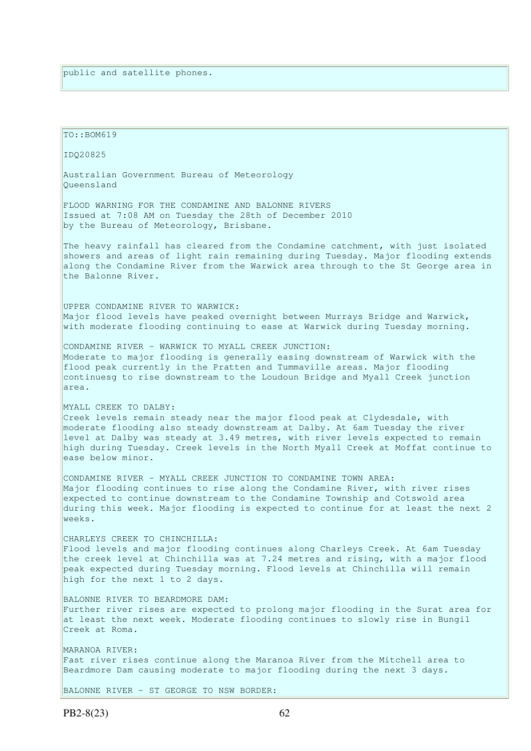```
TO::BOM619 
IDQ20825 
Australian Government Bureau of Meteorology 
Queensland 
FLOOD WARNING FOR THE CONDAMINE AND BALONNE RIVERS 
Issued at 7:08 AM on Tuesday the 28th of December 2010 
by the Bureau of Meteorology, Brisbane.
The heavy rainfall has cleared from the Condamine catchment, with just isolated
showers and areas of light rain remaining during Tuesday. Major flooding extends 
along the Condamine River from the Warwick area through to the St George area in 
the Balonne River. 
UPPER CONDAMINE RIVER TO WARWICK: 
Major flood levels have peaked overnight between Murrays Bridge and Warwick,
with moderate flooding continuing to ease at Warwick during Tuesday morning. 
CONDAMINE RIVER - WARWICK TO MYALL CREEK JUNCTION: 
Moderate to major flooding is generally easing downstream of Warwick with the 
flood peak currently in the Pratten and Tummaville areas. Major flooding 
continuesg to rise downstream to the Loudoun Bridge and Myall Creek junction 
area. 
MYALL CREEK TO DALBY: 
Creek levels remain steady near the major flood peak at Clydesdale, with 
moderate flooding also steady downstream at Dalby. At 6am Tuesday the river 
level at Dalby was steady at 3.49 metres, with river levels expected to remain 
high during Tuesday. Creek levels in the North Myall Creek at Moffat continue to 
ease below minor. 
CONDAMINE RIVER - MYALL CREEK JUNCTION TO CONDAMINE TOWN AREA: 
Major flooding continues to rise along the Condamine River, with river rises 
expected to continue downstream to the Condamine Township and Cotswold area 
during this week. Major flooding is expected to continue for at least the next 2 
weeks. 
CHARLEYS CREEK TO CHINCHILLA: 
Flood levels and major flooding continues along Charleys Creek. At 6am Tuesday 
the creek level at Chinchilla was at 7.24 metres and rising, with a major flood 
peak expected during Tuesday morning. Flood levels at Chinchilla will remain 
high for the next 1 to 2 days.
BALONNE RIVER TO BEARDMORE DAM: 
Further river rises are expected to prolong major flooding in the Surat area for 
at least the next week. Moderate flooding continues to slowly rise in Bungil 
Creek at Roma. 
MARANOA RIVER: 
Fast river rises continue along the Maranoa River from the Mitchell area to 
Beardmore Dam causing moderate to major flooding during the next 3 days. 
BALONNE RIVER - ST GEORGE TO NSW BORDER:
```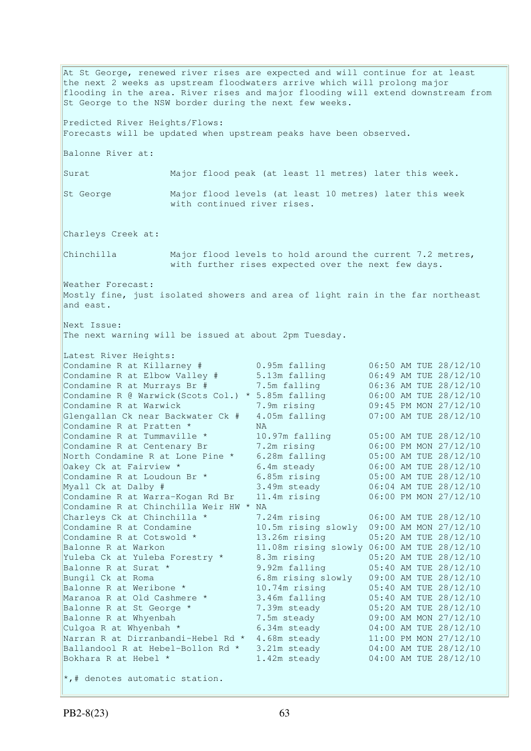At St George, renewed river rises are expected and will continue for at least the next 2 weeks as upstream floodwaters arrive which will prolong major flooding in the area. River rises and major flooding will extend downstream from St George to the NSW border during the next few weeks. Predicted River Heights/Flows: Forecasts will be updated when upstream peaks have been observed. Balonne River at: Surat Major flood peak (at least 11 metres) later this week. St George Major flood levels (at least 10 metres) later this week with continued river rises. Charleys Creek at: Chinchilla Major flood levels to hold around the current 7.2 metres, with further rises expected over the next few days. Weather Forecast: Mostly fine, just isolated showers and area of light rain in the far northeast and east. Next Issue: The next warning will be issued at about 2pm Tuesday. Latest River Heights: Condamine R at Killarney # 0.95m falling 06:50 AM TUE 28/12/10<br>Condamine R at Elbow Valley # 5.13m falling 06:49 AM TUE 28/12/10 Condamine R at Elbow Valley # 5.13m falling 06:49 AM TUE 28/12/10 Condamine R at Murrays Br  $\#$  7.5m falling  $06:36$  AM TUE 28/12/10 Condamine R at Murrays Br # 7.5m falling 06:36 AM TUE 28/12/10<br>Condamine R @ Warwick(Scots Col.) \* 5.85m falling 06:00 AM TUE 28/12/10 Condamine R at Warwick 7.9m rising 09:45 PM MON 27/12/10 Glengallan Ck near Backwater Ck # 4.05m falling 07:00 AM TUE 28/12/10 Condamine R at Pratten \* NA Condamine R at Tummaville  $*$  10.97m falling  $0.5:00$  AM TUE 28/12/10 Condamine R at Centenary Br 7.2m rising 06:00 PM MON 27/12/10 North Condamine R at Lone Pine \* 6.28m falling 05:00 AM TUE 28/12/10 Oakey Ck at Fairview \* 6.4m steady 06:00 AM TUE 28/12/10 Condamine R at Loudoun Br  $*$  6.85m rising 05:00 AM TUE 28/12/10 Myall Ck at Dalby # 3.49m steady 06:04 AM TUE 28/12/10 Condamine R at Warra-Kogan Rd Br 11.4m rising 06:00 PM MON 27/12/10 Condamine R at Chinchilla Weir HW \* NA Charleys Ck at Chinchilla \*  $7.24$ m rising 06:00 AM TUE 28/12/10 Condamine R at Condamine 10.5m rising slowly 09:00 AM MON 27/12/10 Condamine R at Cotswold  $*$  13.26m rising 05:20 AM TUE 28/12/10 Balonne R at Warkon 11.08m rising slowly 06:00 AM TUE 28/12/10 Yuleba Ck at Yuleba Forestry \* 8.3m rising 05:20 AM TUE 28/12/10 Balonne R at Surat \* 9.92m falling 05:40 AM TUE 28/12/10 Bungil Ck at Roma 6.8m rising slowly 09:00 AM TUE 28/12/10<br>Balonne R at Weribone \* 10.74m rising 05:40 AM TUE 28/12/10 Balonne R at Weribone \* 10.74m rising 05:40 AM TUE 28/12/10 Maranoa R at Old Cashmere \* 3.46m falling 05:40 AM TUE 28/12/10 Balonne R at St George \* 7.39m steady 05:20 AM TUE 28/12/10 Maranoa Kat Cronoch Christian Christian Christian Christian Dealer Maranoa R at St George \* 7.39m steady 09:00 AM MON 27/12/10 Culgoa R at Whyenbah  $*$  6.34m steady 04:00 AM TUE 28/12/10 Narran R at Dirranbandi-Hebel Rd \* 4.68m steady 11:00 PM MON 27/12/10 Ballandool R at Hebel-Bollon Rd \* 3.21m steady 04:00 AM TUE 28/12/10 Bokhara R at Hebel \* 1.42m steady 04:00 AM TUE 28/12/10  $\star$ ,# denotes automatic station.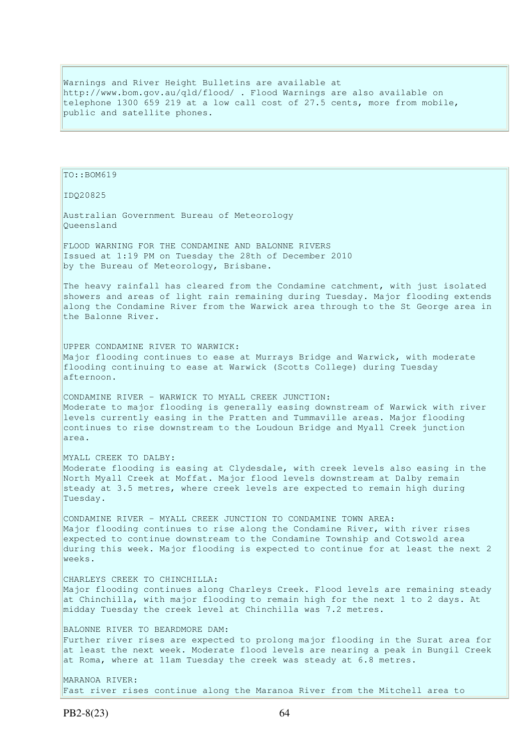Warnings and River Height Bulletins are available at http://www.bom.gov.au/qld/flood/ . Flood Warnings are also available on telephone 1300 659 219 at a low call cost of 27.5 cents, more from mobile, public and satellite phones.

IDQ20825 Australian Government Bureau of Meteorology Queensland FLOOD WARNING FOR THE CONDAMINE AND BALONNE RIVERS Issued at 1:19 PM on Tuesday the 28th of December 2010 by the Bureau of Meteorology, Brisbane. The heavy rainfall has cleared from the Condamine catchment, with just isolated showers and areas of light rain remaining during Tuesday. Major flooding extends along the Condamine River from the Warwick area through to the St George area in the Balonne River. UPPER CONDAMINE RIVER TO WARWICK: Major flooding continues to ease at Murrays Bridge and Warwick, with moderate flooding continuing to ease at Warwick (Scotts College) during Tuesday afternoon. CONDAMINE RIVER - WARWICK TO MYALL CREEK JUNCTION: Moderate to major flooding is generally easing downstream of Warwick with river levels currently easing in the Pratten and Tummaville areas. Major flooding

continues to rise downstream to the Loudoun Bridge and Myall Creek junction area. MYALL CREEK TO DALBY: Moderate flooding is easing at Clydesdale, with creek levels also easing in the

North Myall Creek at Moffat. Major flood levels downstream at Dalby remain steady at 3.5 metres, where creek levels are expected to remain high during Tuesday.

CONDAMINE RIVER - MYALL CREEK JUNCTION TO CONDAMINE TOWN AREA: Major flooding continues to rise along the Condamine River, with river rises expected to continue downstream to the Condamine Township and Cotswold area during this week. Major flooding is expected to continue for at least the next 2 weeks.

### CHARLEYS CREEK TO CHINCHILLA:

Major flooding continues along Charleys Creek. Flood levels are remaining steady at Chinchilla, with major flooding to remain high for the next 1 to 2 days. At midday Tuesday the creek level at Chinchilla was 7.2 metres.

BALONNE RIVER TO BEARDMORE DAM: Further river rises are expected to prolong major flooding in the Surat area for at least the next week. Moderate flood levels are nearing a peak in Bungil Creek at Roma, where at 11am Tuesday the creek was steady at 6.8 metres.

MARANOA RIVER: Fast river rises continue along the Maranoa River from the Mitchell area to

TO::BOM619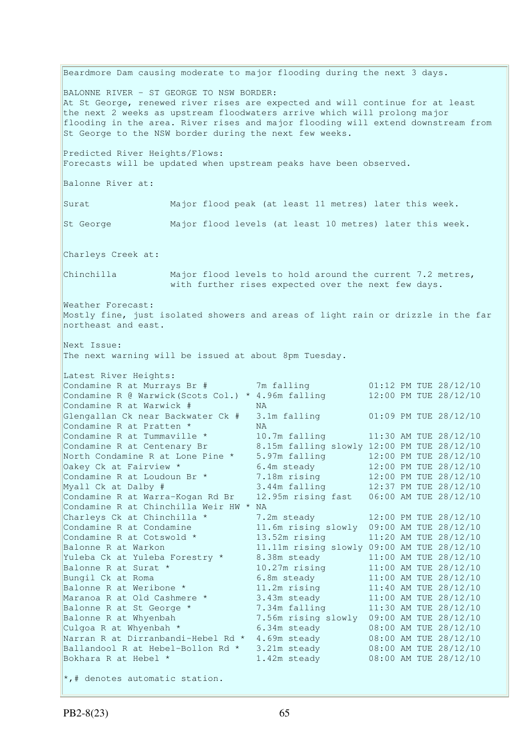Beardmore Dam causing moderate to major flooding during the next 3 days. BALONNE RIVER - ST GEORGE TO NSW BORDER: At St George, renewed river rises are expected and will continue for at least the next 2 weeks as upstream floodwaters arrive which will prolong major flooding in the area. River rises and major flooding will extend downstream from St George to the NSW border during the next few weeks. Predicted River Heights/Flows: Forecasts will be updated when upstream peaks have been observed. Balonne River at: Surat Major flood peak (at least 11 metres) later this week. St George Major flood levels (at least 10 metres) later this week. Charleys Creek at: Chinchilla Major flood levels to hold around the current 7.2 metres, with further rises expected over the next few days. Weather Forecast: Mostly fine, just isolated showers and areas of light rain or drizzle in the far northeast and east. Next Issue: The next warning will be issued at about 8pm Tuesday. Latest River Heights: Condamine R at Murrays Br  $\#$  7m falling  $01:12$  PM TUE 28/12/10 Condamine R  $\theta$  Warwick(Scots Col.) \* 4.96m falling 12:00 PM TUE 28/12/10 Condamine R at Warwick # NA Glengallan Ck near Backwater Ck # 3.1m falling 01:09 PM TUE 28/12/10 Condamine R at Pratten \* NA Condamine R at Tummaville  $*$  10.7m falling 11:30 AM TUE 28/12/10 Condamine R at Centenary Br 6.15m falling slowly 12:00 PM TUE 28/12/10 North Condamine R at Lone Pine \* 5.97m falling 12:00 PM TUE 28/12/10 Oakey Ck at Fairview \* 6.4m steady 12:00 PM TUE 28/12/10 Condamine R at Loudoun Br  $*$  7.18m rising 12:00 PM TUE 28/12/10 Myall Ck at Dalby # 3.44m falling 12:37 PM TUE 28/12/10 Condamine R at Warra-Kogan Rd Br 12.95m rising fast 06:00 AM TUE 28/12/10 Condamine R at Chinchilla Weir HW \* NA Charleys Ck at Chinchilla \* 7.2m steady 12:00 PM TUE 28/12/10 Condamine R at Condamine 11.6m rising slowly 09:00 AM TUE 28/12/10 Condamine R at Cotswold \* 13.52m rising 11:20 AM TUE 28/12/10 Balonne R at Warkon 11.11m rising slowly 09:00 AM TUE 28/12/10 Yuleba Ck at Yuleba Forestry \* 8.38m steady 11:00 AM TUE 28/12/10 Balonne R at Surat \* 10.27m rising 11:00 AM TUE 28/12/10 Bungil Ck at Roma 6.8m steady 11:00 AM TUE 28/12/10 Balonne R at Weribone \* 11.2m rising 11:40 AM TUE 28/12/10 Maranoa R at Old Cashmere \* 3.43m steady 11:00 AM TUE 28/12/10 Balonne R at St George \* 7.34m falling 11:30 AM TUE 28/12/10 Balonne R at Whyenbah 7.56m rising slowly 09:00 AM TUE 28/12/10 Culgoa R at Whyenbah \* 6.34m steady 08:00 AM TUE 28/12/10<br>
Narran R at Dirranbandi-Hebel Rd \* 4.69m steady 08:00 AM TUE 28/12/10<br>
Ballandool R at Hebel-Bollon Rd \* 3.21m steady 08:00 AM TUE 28/12/10 Narran R at Dirranbandi-Hebel Rd  $*$  4.69m steady Ballandool R at Hebel-Bollon Rd \* 3.21m steady 08:00 AM TUE 28/12/10 Bokhara R at Hebel \* 1.42m steady 08:00 AM TUE 28/12/10  $\star$ ,# denotes automatic station.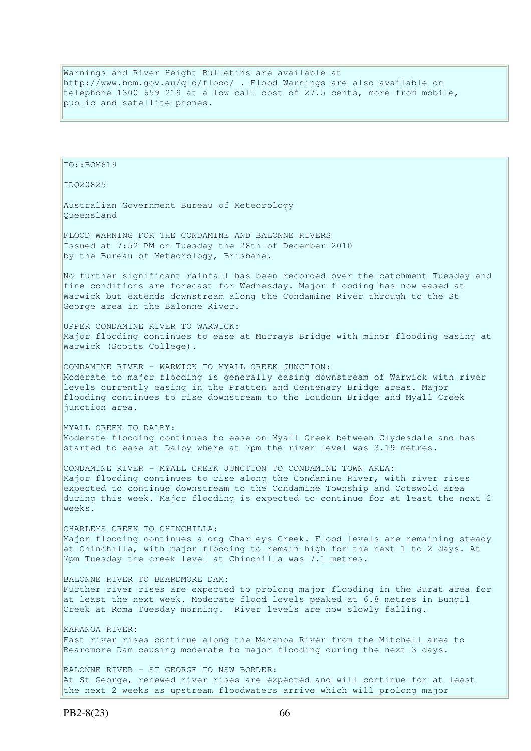Warnings and River Height Bulletins are available at http://www.bom.gov.au/qld/flood/ . Flood Warnings are also available on telephone 1300 659 219 at a low call cost of 27.5 cents, more from mobile, public and satellite phones.

TO::BOM619 IDQ20825 Australian Government Bureau of Meteorology Queensland FLOOD WARNING FOR THE CONDAMINE AND BALONNE RIVERS Issued at 7:52 PM on Tuesday the 28th of December 2010 by the Bureau of Meteorology, Brisbane. No further significant rainfall has been recorded over the catchment Tuesday and fine conditions are forecast for Wednesday. Major flooding has now eased at Warwick but extends downstream along the Condamine River through to the St George area in the Balonne River. UPPER CONDAMINE RIVER TO WARWICK: Major flooding continues to ease at Murrays Bridge with minor flooding easing at Warwick (Scotts College). CONDAMINE RIVER - WARWICK TO MYALL CREEK JUNCTION: Moderate to major flooding is generally easing downstream of Warwick with river levels currently easing in the Pratten and Centenary Bridge areas. Major flooding continues to rise downstream to the Loudoun Bridge and Myall Creek junction area. MYALL CREEK TO DALBY: Moderate flooding continues to ease on Myall Creek between Clydesdale and has started to ease at Dalby where at 7pm the river level was 3.19 metres. CONDAMINE RIVER - MYALL CREEK JUNCTION TO CONDAMINE TOWN AREA: Major flooding continues to rise along the Condamine River, with river rises expected to continue downstream to the Condamine Township and Cotswold area during this week. Major flooding is expected to continue for at least the next 2 weeks. CHARLEYS CREEK TO CHINCHILLA: Major flooding continues along Charleys Creek. Flood levels are remaining steady at Chinchilla, with major flooding to remain high for the next 1 to 2 days. At 7pm Tuesday the creek level at Chinchilla was 7.1 metres. BALONNE RIVER TO BEARDMORE DAM: Further river rises are expected to prolong major flooding in the Surat area for at least the next week. Moderate flood levels peaked at 6.8 metres in Bungil Creek at Roma Tuesday morning. River levels are now slowly falling. MARANOA RIVER: Fast river rises continue along the Maranoa River from the Mitchell area to Beardmore Dam causing moderate to major flooding during the next 3 days. BALONNE RIVER - ST GEORGE TO NSW BORDER: At St George, renewed river rises are expected and will continue for at least

the next 2 weeks as upstream floodwaters arrive which will prolong major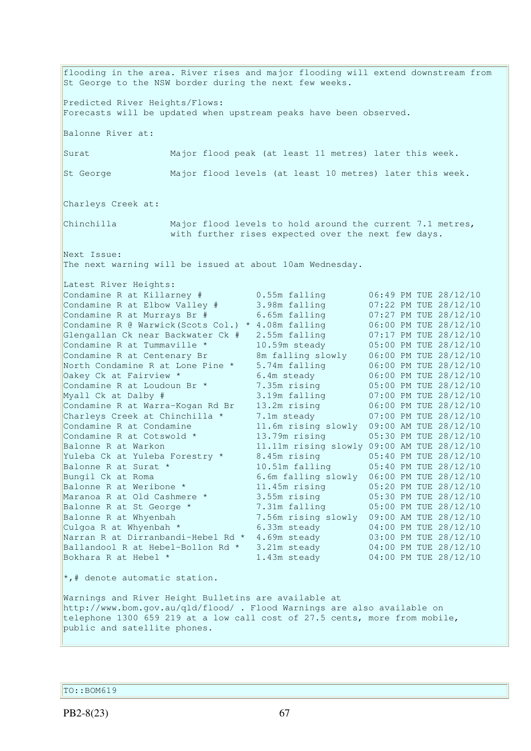flooding in the area. River rises and major flooding will extend downstream from St George to the NSW border during the next few weeks. Predicted River Heights/Flows: Forecasts will be updated when upstream peaks have been observed. Balonne River at: Surat Major flood peak (at least 11 metres) later this week. St George Major flood levels (at least 10 metres) later this week. Charleys Creek at: Chinchilla Major flood levels to hold around the current 7.1 metres, with further rises expected over the next few days. Next Issue: The next warning will be issued at about 10am Wednesday. Latest River Heights: Condamine R at Killarney # 0.55m falling 06:49 PM TUE 28/12/10<br>
Condamine R at Elbow Valley # 3.98m falling 07:22 PM TUE 28/12/10<br>
Condamine R at Murrays Br # 6.65m falling 07:27 PM TUE 28/12/10 Condamine R at Elbow Valley # 3.98m falling 07:22 PM TUE 28/12/10 Condamine R at Murrays Br  $\#$  6.65m falling 07:27 PM TUE 28/12/10 Condamine R  $\theta$  Warwick(Scots Col.) \* 4.08m falling 06:00 PM TUE 28/12/10 Glengallan Ck near Backwater Ck # 2.55m falling 07:17 PM TUE 28/12/10 Condamine R at Tummaville  $*$  10.59m steady 05:00 PM TUE 28/12/10 Condamine R at Centenary Br 8m falling slowly 06:00 PM TUE 28/12/10 North Condamine R at Lone Pine \* 5.74m falling 06:00 PM TUE 28/12/10 Oakey Ck at Fairview \* 6.4m steady 06:00 PM TUE 28/12/10 Condamine R at Loudoun Br  $*$  7.35m rising 05:00 PM TUE 28/12/10 Myall Ck at Dalby # 3.19m falling 07:00 PM TUE 28/12/10 Condamine R at Warra-Kogan Rd Br 13.2m rising 06:00 PM TUE 28/12/10 Charleys Creek at Chinchilla \* 7.1m steady 07:00 PM TUE 28/12/10 Condamine R at Condamine 11.6m rising slowly 09:00 AM TUE 28/12/10 Condamine R at Cotswold \*  $13.79$ m rising  $05:30$  PM TUE  $28/12/10$ <br>Balonne R at Warkon  $11.11$ m rising slowly 09:00 AM TUE 28/12/10 11.11m rising slowly 09:00 AM TUE 28/12/10 Yuleba Ck at Yuleba Forestry \* 8.45m rising 05:40 PM TUE 28/12/10 Balonne R at Surat \* 10.51m falling 05:40 PM TUE 28/12/10 Bungil Ck at Roma<br>Balonne R at Weribone \* 11.45m rising 05:20 PM TUE 28/12/10 Balonne R at Weribone \* 11.45m rising 05:20 PM TUE 28/12/10<br>Maranoa R at Old Cashmere \* 3.55m rising 05:30 PM TUE 28/12/10 Maranoa R at Old Cashmere \* 3.55m rising 05:30 PM TUE 28/12/10 Balonne R at St George \* 7.31m falling 05:00 PM TUE 28/12/10 Balonne R at Whyenbah 7.56m rising slowly 09:00 AM TUE 28/12/10 Culgoa R at Whyenbah \* 6.33m steady 04:00 PM TUE 28/12/10<br>Narran R at Dirranbandi-Hebel Rd \* 4.69m steady 03:00 PM TUE 28/12/10 Narran R at Dirranbandi-Hebel Rd  $*$  4.69m steady Ballandool R at Hebel-Bollon Rd \* 3.21m steady 04:00 PM TUE 28/12/10 Bokhara R at Hebel \* 1.43m steady 04:00 PM TUE 28/12/10 \*,# denote automatic station. Warnings and River Height Bulletins are available at http://www.bom.gov.au/qld/flood/ . Flood Warnings are also available on telephone 1300 659 219 at a low call cost of 27.5 cents, more from mobile, public and satellite phones.

TO::BOM619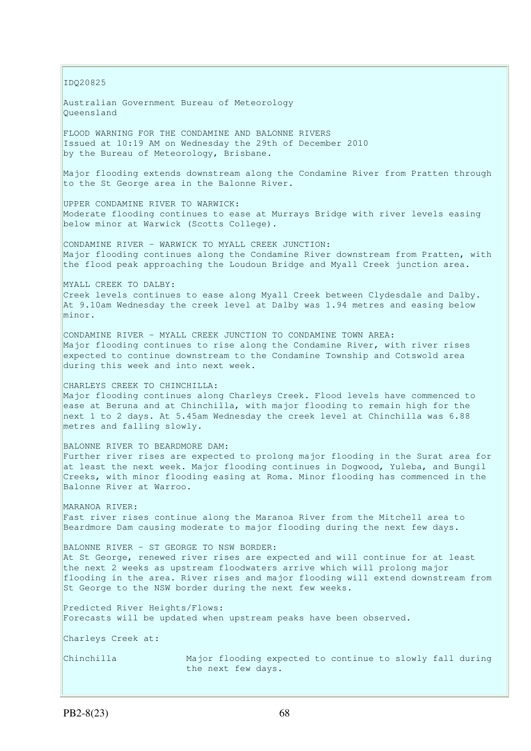IDQ20825

Australian Government Bureau of Meteorology Queensland

FLOOD WARNING FOR THE CONDAMINE AND BALONNE RIVERS Issued at 10:19 AM on Wednesday the 29th of December 2010 by the Bureau of Meteorology, Brisbane.

Major flooding extends downstream along the Condamine River from Pratten through to the St George area in the Balonne River.

UPPER CONDAMINE RIVER TO WARWICK: Moderate flooding continues to ease at Murrays Bridge with river levels easing below minor at Warwick (Scotts College).

CONDAMINE RIVER - WARWICK TO MYALL CREEK JUNCTION: Major flooding continues along the Condamine River downstream from Pratten, with the flood peak approaching the Loudoun Bridge and Myall Creek junction area.

MYALL CREEK TO DALBY: Creek levels continues to ease along Myall Creek between Clydesdale and Dalby. At 9.10am Wednesday the creek level at Dalby was 1.94 metres and easing below minor.

CONDAMINE RIVER - MYALL CREEK JUNCTION TO CONDAMINE TOWN AREA: Major flooding continues to rise along the Condamine River, with river rises expected to continue downstream to the Condamine Township and Cotswold area during this week and into next week.

CHARLEYS CREEK TO CHINCHILLA: Major flooding continues along Charleys Creek. Flood levels have commenced to ease at Beruna and at Chinchilla, with major flooding to remain high for the next 1 to 2 days. At 5.45am Wednesday the creek level at Chinchilla was 6.88 metres and falling slowly.

BALONNE RIVER TO BEARDMORE DAM: Further river rises are expected to prolong major flooding in the Surat area for at least the next week. Major flooding continues in Dogwood, Yuleba, and Bungil Creeks, with minor flooding easing at Roma. Minor flooding has commenced in the Balonne River at Warroo.

MARANOA RIVER: Fast river rises continue along the Maranoa River from the Mitchell area to Beardmore Dam causing moderate to major flooding during the next few days.

BALONNE RIVER - ST GEORGE TO NSW BORDER: At St George, renewed river rises are expected and will continue for at least the next 2 weeks as upstream floodwaters arrive which will prolong major flooding in the area. River rises and major flooding will extend downstream from St George to the NSW border during the next few weeks.

Predicted River Heights/Flows: Forecasts will be updated when upstream peaks have been observed.

Charleys Creek at:

Chinchilla Major flooding expected to continue to slowly fall during the next few days.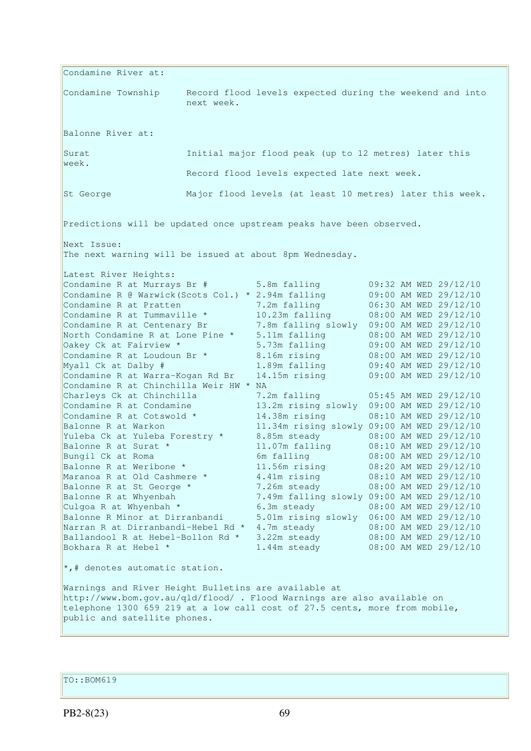Condamine River at: Condamine Township Record flood levels expected during the weekend and into next week. Balonne River at: Surat Thitial major flood peak (up to 12 metres) later this week. Record flood levels expected late next week. St George Major flood levels (at least 10 metres) later this week. Predictions will be updated once upstream peaks have been observed. Next Issue: The next warning will be issued at about 8pm Wednesday. Latest River Heights: Condamine R at Murrays Br # 5.8m falling 09:32 AM WED 29/12/10 Condamine R  $\theta$  Warwick(Scots Col.) \* 2.94m falling 09:00 AM WED 29/12/10 Condamine R at Pratten 7.2m falling 06:30 AM WED 29/12/10 Condamine R at Tummaville \* 10.23m falling 08:00 AM WED 29/12/10 Condamine R at Centenary Br 7.8m falling slowly 09:00 AM WED 29/12/10 North Condamine R at Lone Pine \* 5.11m falling 08:00 AM WED 29/12/10 Oakey Ck at Fairview \* 5.73m falling 09:00 AM WED 29/12/10 Condamine R at Loudoun Br  $*$  8.16m rising 08:00 AM WED 29/12/10 Myall Ck at Dalby # 1.89m falling 09:40 AM WED 29/12/10 Condamine R at Warra-Kogan Rd Br 14.15m rising 09:00 AM WED 29/12/10 Condamine R at Chinchilla Weir HW \* NA Charleys Ck at Chinchilla 7.2m falling 05:45 AM WED 29/12/10 Condamine R at Condamine 13.2m rising slowly 09:00 AM WED 29/12/10 Condamine R at Cotswold \* 14.38m rising  $08:10$  AM WED 29/12/10 Balonne R at Warkon 11.34m rising slowly 09:00 AM WED 29/12/10 Yuleba Ck at Yuleba Forestry \* 8.85m steady 08:00 AM WED 29/12/10 Balonne R at Surat \* 11.07m falling 08:10 AM WED 29/12/10 Bungil Ck at Roma 6m falling 6m falling 08:00 AM WED 29/12/10 Balonne R at Weribone \* 11.56m rising 08:20 AM WED 29/12/10 Maranoa R at Old Cashmere \* 4.41m rising 08:10 AM WED 29/12/10 Balonne R at St George \* 7.26m steady 08:00 AM WED 29/12/10 Balonne R at Whyenbah 7.49m falling slowly 09:00 AM WED 29/12/10 Culgoa R at Whyenbah  $*$  6.3m steady 08:00 AM WED 29/12/10 Balonne R Minor at Dirranbandi 5.01m rising slowly 06:00 AM WED 29/12/10 Narran R at Dirranbandi-Hebel Rd \* 4.7m steady 08:00 AM WED 29/12/10 Ballandool R at Hebel-Bollon Rd \* 3.22m steady 08:00 AM WED 29/12/10 Bokhara R at Hebel \* 1.44m steady 08:00 AM WED 29/12/10 \*,# denotes automatic station. Warnings and River Height Bulletins are available at http://www.bom.gov.au/qld/flood/ . Flood Warnings are also available on telephone 1300 659 219 at a low call cost of 27.5 cents, more from mobile, public and satellite phones.

TO::BOM619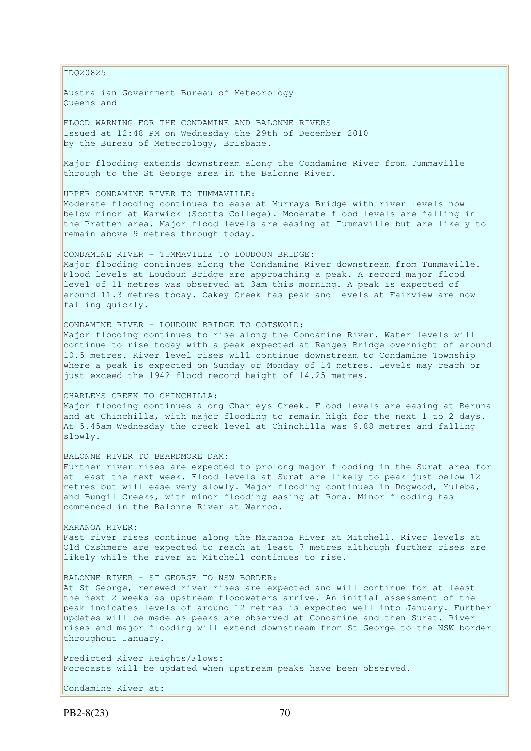IDQ20825

Australian Government Bureau of Meteorology Queensland

FLOOD WARNING FOR THE CONDAMINE AND BALONNE RIVERS Issued at 12:48 PM on Wednesday the 29th of December 2010 by the Bureau of Meteorology, Brisbane.

Major flooding extends downstream along the Condamine River from Tummaville through to the St George area in the Balonne River.

UPPER CONDAMINE RIVER TO TUMMAVILLE:

Moderate flooding continues to ease at Murrays Bridge with river levels now below minor at Warwick (Scotts College). Moderate flood levels are falling in the Pratten area. Major flood levels are easing at Tummaville but are likely to remain above 9 metres through today.

CONDAMINE RIVER - TUMMAVILLE TO LOUDOUN BRIDGE: Major flooding continues along the Condamine River downstream from Tummaville. Flood levels at Loudoun Bridge are approaching a peak. A record major flood level of 11 metres was observed at 3am this morning. A peak is expected of around 11.3 metres today. Oakey Creek has peak and levels at Fairview are now falling quickly.

CONDAMINE RIVER - LOUDOUN BRIDGE TO COTSWOLD: Major flooding continues to rise along the Condamine River. Water levels will continue to rise today with a peak expected at Ranges Bridge overnight of around 10.5 metres. River level rises will continue downstream to Condamine Township where a peak is expected on Sunday or Monday of 14 metres. Levels may reach or just exceed the 1942 flood record height of 14.25 metres.

CHARLEYS CREEK TO CHINCHILLA: Major flooding continues along Charleys Creek. Flood levels are easing at Beruna and at Chinchilla, with major flooding to remain high for the next 1 to 2 days. At 5.45am Wednesday the creek level at Chinchilla was 6.88 metres and falling slowly.

BALONNE RIVER TO BEARDMORE DAM: Further river rises are expected to prolong major flooding in the Surat area for at least the next week. Flood levels at Surat are likely to peak just below 12 metres but will ease very slowly. Major flooding continues in Dogwood, Yuleba, and Bungil Creeks, with minor flooding easing at Roma. Minor flooding has commenced in the Balonne River at Warroo.

MARANOA RIVER: Fast river rises continue along the Maranoa River at Mitchell. River levels at Old Cashmere are expected to reach at least 7 metres although further rises are likely while the river at Mitchell continues to rise.

BALONNE RIVER - ST GEORGE TO NSW BORDER:

At St George, renewed river rises are expected and will continue for at least the next 2 weeks as upstream floodwaters arrive. An initial assessment of the peak indicates levels of around 12 metres is expected well into January. Further updates will be made as peaks are observed at Condamine and then Surat. River rises and major flooding will extend downstream from St George to the NSW border throughout January.

Predicted River Heights/Flows: Forecasts will be updated when upstream peaks have been observed.

Condamine River at: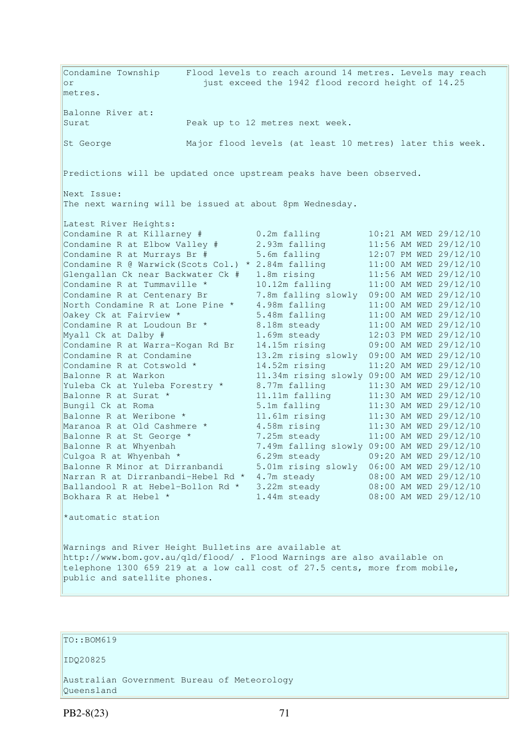Condamine Township Flood levels to reach around 14 metres. Levels may reach or just exceed the 1942 flood record height of 14.25 metres. Balonne River at: Surat Peak up to 12 metres next week. St George Major flood levels (at least 10 metres) later this week. Predictions will be updated once upstream peaks have been observed. Next Issue: The next warning will be issued at about 8pm Wednesday. Latest River Heights: Condamine R at Killarney # 0.2m falling 10:21 AM WED 29/12/10 Condamine R at Elbow Valley # 2.93m falling 11:56 AM WED 29/12/10<br>Condamine R at Murrays Br # 5.6m falling 12:07 PM WED 29/12/10 Condamine R at Murrays Br # 5.6m falling 12:07 PM WED 29/12/10<br>Condamine R @ Warwick(Scots Col.) \* 2.84m falling 11:00 AM WED 29/12/10 Condamine R  $\theta$  Warwick(Scots Col.) \* 2.84m falling 11:00 AM WED 29/12/10 Glengallan Ck near Backwater Ck # 1.8m rising 11:56 AM WED 29/12/10 Condamine R at Tummaville  $*$  10.12m falling  $11:00$  AM WED 29/12/10 Condamine R at Centenary Br 7.8m falling slowly 09:00 AM WED 29/12/10 North Condamine R at Lone Pine \* 4.98m falling 11:00 AM WED 29/12/10 Oakey Ck at Fairview \* 5.48m falling 11:00 AM WED 29/12/10 Condamine R at Loudoun Br  $*$  8.18m steady 11:00 AM WED 29/12/10 Myall Ck at Dalby # 1.69m steady 12:03 PM WED 29/12/10 Condamine R at Warra-Kogan Rd Br 14.15m rising 09:00 AM WED 29/12/10 Condamine R at Condamine 13.2m rising slowly 09:00 AM WED 29/12/10 Condamine R at Cotswold  $*$  14.52m rising 11:20 AM WED 29/12/10 Balonne R at Warkon 11.34m rising slowly 09:00 AM WED 29/12/10 Yuleba Ck at Yuleba Forestry \* 8.77m falling 11:30 AM WED 29/12/10 Balonne R at Surat \* 11.11m falling 11:30 AM WED 29/12/10 Balonne R at Surat \* 11.11m falling 11:30 AM WED 29/12/10<br>Bungil Ck at Roma 5.1m falling 11:30 AM WED 29/12/10<br>Balonne R at Weribone \* 11.61m rising 11:30 AM WED 29/12/10 Balonne R at Weribone \* 11.61m rising 11:30 AM WED 29/12/10 Maranoa R at Old Cashmere \* 4.58m rising 11:30 AM WED 29/12/10 Balonne R at St George \* 7.25m steady 11:00 AM WED 29/12/10 Balonne R at Whyenbah 7.49m falling slowly 09:00 AM WED 29/12/10 Culgoa R at Whyenbah  $*$  6.29m steady 09:20 AM WED 29/12/10 Balonne R Minor at Dirranbandi 5.01m rising slowly 06:00 AM WED 29/12/10 Narran R at Dirranbandi-Hebel Rd \* 4.7m steady 08:00 AM WED 29/12/10 Ballandool R at Hebel-Bollon Rd \* 3.22m steady 08:00 AM WED 29/12/10 Bokhara R at Hebel \* 1.44m steady 08:00 AM WED 29/12/10 \*automatic station

Warnings and River Height Bulletins are available at http://www.bom.gov.au/qld/flood/ . Flood Warnings are also available on telephone 1300 659 219 at a low call cost of 27.5 cents, more from mobile, public and satellite phones.

# TO::BOM619

IDQ20825

Australian Government Bureau of Meteorology Queensland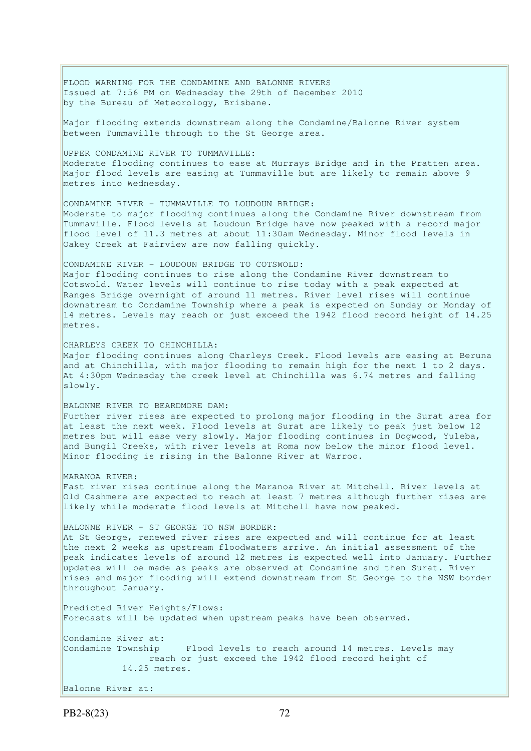FLOOD WARNING FOR THE CONDAMINE AND BALONNE RIVERS Issued at 7:56 PM on Wednesday the 29th of December 2010 by the Bureau of Meteorology, Brisbane.

Major flooding extends downstream along the Condamine/Balonne River system between Tummaville through to the St George area.

UPPER CONDAMINE RIVER TO TUMMAVILLE: Moderate flooding continues to ease at Murrays Bridge and in the Pratten area. Major flood levels are easing at Tummaville but are likely to remain above 9 metres into Wednesday.

CONDAMINE RIVER - TUMMAVILLE TO LOUDOUN BRIDGE: Moderate to major flooding continues along the Condamine River downstream from Tummaville. Flood levels at Loudoun Bridge have now peaked with a record major flood level of 11.3 metres at about 11:30am Wednesday. Minor flood levels in Oakey Creek at Fairview are now falling quickly.

## CONDAMINE RIVER - LOUDOUN BRIDGE TO COTSWOLD:

Major flooding continues to rise along the Condamine River downstream to Cotswold. Water levels will continue to rise today with a peak expected at Ranges Bridge overnight of around 11 metres. River level rises will continue downstream to Condamine Township where a peak is expected on Sunday or Monday of 14 metres. Levels may reach or just exceed the 1942 flood record height of 14.25 metres.

#### CHARLEYS CREEK TO CHINCHILLA:

Major flooding continues along Charleys Creek. Flood levels are easing at Beruna and at Chinchilla, with major flooding to remain high for the next 1 to 2 days. At 4:30pm Wednesday the creek level at Chinchilla was 6.74 metres and falling slowly.

### BALONNE RIVER TO BEARDMORE DAM:

Further river rises are expected to prolong major flooding in the Surat area for at least the next week. Flood levels at Surat are likely to peak just below 12 metres but will ease very slowly. Major flooding continues in Dogwood, Yuleba, and Bungil Creeks, with river levels at Roma now below the minor flood level. Minor flooding is rising in the Balonne River at Warroo.

#### MARANOA RIVER:

Fast river rises continue along the Maranoa River at Mitchell. River levels at Old Cashmere are expected to reach at least 7 metres although further rises are likely while moderate flood levels at Mitchell have now peaked.

BALONNE RIVER - ST GEORGE TO NSW BORDER: At St George, renewed river rises are expected and will continue for at least the next 2 weeks as upstream floodwaters arrive. An initial assessment of the peak indicates levels of around 12 metres is expected well into January. Further updates will be made as peaks are observed at Condamine and then Surat. River rises and major flooding will extend downstream from St George to the NSW border throughout January.

Predicted River Heights/Flows: Forecasts will be updated when upstream peaks have been observed.

Condamine River at: Condamine Township Flood levels to reach around 14 metres. Levels may reach or just exceed the 1942 flood record height of 14.25 metres.

Balonne River at: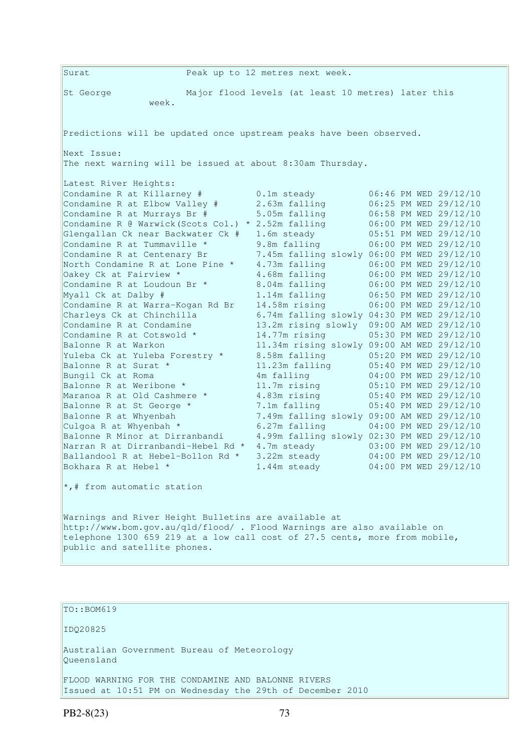Surat Peak up to 12 metres next week. St George Major flood levels (at least 10 metres) later this week. Predictions will be updated once upstream peaks have been observed. Next Issue: The next warning will be issued at about 8:30am Thursday. Latest River Heights: Condamine R at Killarney  $\#$  0.1m steady 06:46 PM WED 29/12/10 Condamine R at Elbow Valley # 2.63m falling 06:25 PM WED 29/12/10 Condamine R at Murrays Br # 5.05m falling 06:58 PM WED 29/12/10 Condamine R @ Warwick(Scots Col.) \* 2.52m falling 06:00 PM WED 29/12/10<br>Glengallan Ck near Backwater Ck # 1.6m steady 05:51 PM WED 29/12/10 Glengallan Ck near Backwater Ck # 1.6m steady 05:51 PM WED 29/12/10 Condamine R at Tummaville  $*$  9.8m falling 06:00 PM WED 29/12/10 Condamine R at Centenary Br 7.45m falling slowly 06:00 PM WED 29/12/10 North Condamine R at Lone Pine \* 4.73m falling 06:00 PM WED 29/12/10 Oakey Ck at Fairview \* 4.68m falling 06:00 PM WED 29/12/10 Condamine R at Loudoun Br  $*$  8.04m falling  $06:00$  PM WED 29/12/10 Myall Ck at Dalby # 1.14m falling 06:50 PM WED 29/12/10 Condamine R at Warra-Kogan Rd Br 14.58m rising 06:00 PM WED 29/12/10 Charleys Ck at Chinchilla 6.74m falling slowly 04:30 PM WED 29/12/10 Condamine R at Condamine 13.2m rising slowly 09:00 AM WED 29/12/10 Condamine R at Cotswold  $*$  14.77m rising  $05:30$  PM WED 29/12/10 Balonne R at Warkon 11.34m rising slowly 09:00 AM WED 29/12/10 Yuleba Ck at Yuleba Forestry \* 8.58m falling 05:20 PM WED 29/12/10 Balonne R at Walkon 2018 11.5 m 11.5 m 11.5 m 11.23 m<br>
Yuleba Ck at Yuleba Forestry \* 8.58m falling 05:20 PM WED 29/12/10<br>
Balonne R at Surat \* 11.23m falling 05:40 PM WED 29/12/10 Bungil Ck at Roma<br>
Balonne R at Weribone \* 11.7m rising 05:10 PM WED 29/12/10<br>
Maranoa R at Old Cashmere \* 4.83m rising 05:40 PM WED 29/12/10 Balonne R at Weribone \* 11.7m rising 05:10 PM WED 29/12/10 Maranoa R at Old Cashmere \* 4.83m rising 05:40 PM WED 29/12/10 Balonne R at St George \* 7.1m falling 05:40 PM WED 29/12/10 Balonne R at Whyenbah 7.49m falling slowly 09:00 AM WED 29/12/10 Culgoa R at Whyenbah  $\star$  6.27m falling 04:00 PM WED 29/12/10 Balonne R Minor at Dirranbandi 4.99m falling slowly 02:30 PM WED 29/12/10 Narran R at Dirranbandi-Hebel Rd \* 4.7m steady 03:00 PM WED 29/12/10 Ballandool R at Hebel-Bollon Rd \* 3.22m steady 04:00 PM WED 29/12/10 Bokhara R at Hebel \* 1.44m steady 04:00 PM WED 29/12/10 \*,# from automatic station Warnings and River Height Bulletins are available at http://www.bom.gov.au/qld/flood/ . Flood Warnings are also available on telephone 1300 659 219 at a low call cost of 27.5 cents, more from mobile, public and satellite phones.

TO::BOM619

IDQ20825

Australian Government Bureau of Meteorology Queensland

FLOOD WARNING FOR THE CONDAMINE AND BALONNE RIVERS Issued at 10:51 PM on Wednesday the 29th of December 2010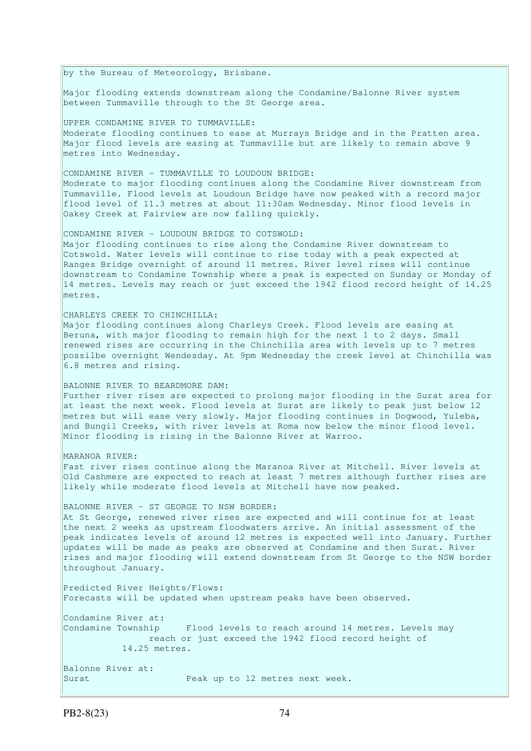by the Bureau of Meteorology, Brisbane. Major flooding extends downstream along the Condamine/Balonne River system between Tummaville through to the St George area. UPPER CONDAMINE RIVER TO TUMMAVILLE: Moderate flooding continues to ease at Murrays Bridge and in the Pratten area. Major flood levels are easing at Tummaville but are likely to remain above 9 metres into Wednesday. CONDAMINE RIVER - TUMMAVILLE TO LOUDOUN BRIDGE: Moderate to major flooding continues along the Condamine River downstream from Tummaville. Flood levels at Loudoun Bridge have now peaked with a record major flood level of 11.3 metres at about 11:30am Wednesday. Minor flood levels in Oakey Creek at Fairview are now falling quickly. CONDAMINE RIVER - LOUDOUN BRIDGE TO COTSWOLD: Major flooding continues to rise along the Condamine River downstream to Cotswold. Water levels will continue to rise today with a peak expected at Ranges Bridge overnight of around 11 metres. River level rises will continue downstream to Condamine Township where a peak is expected on Sunday or Monday of 14 metres. Levels may reach or just exceed the 1942 flood record height of 14.25 metres. CHARLEYS CREEK TO CHINCHILLA: Major flooding continues along Charleys Creek. Flood levels are easing at Beruna, with major flooding to remain high for the next 1 to 2 days. Small renewed rises are occurring in the Chinchilla area with levels up to 7 metres possilbe overnight Wendesday. At 9pm Wednesday the creek level at Chinchilla was 6.8 metres and rising. BALONNE RIVER TO BEARDMORE DAM: Further river rises are expected to prolong major flooding in the Surat area for at least the next week. Flood levels at Surat are likely to peak just below 12 metres but will ease very slowly. Major flooding continues in Dogwood, Yuleba, and Bungil Creeks, with river levels at Roma now below the minor flood level. Minor flooding is rising in the Balonne River at Warroo. MARANOA RIVER: Fast river rises continue along the Maranoa River at Mitchell. River levels at Old Cashmere are expected to reach at least 7 metres although further rises are likely while moderate flood levels at Mitchell have now peaked. BALONNE RIVER - ST GEORGE TO NSW BORDER: At St George, renewed river rises are expected and will continue for at least the next 2 weeks as upstream floodwaters arrive. An initial assessment of the peak indicates levels of around 12 metres is expected well into January. Further updates will be made as peaks are observed at Condamine and then Surat. River rises and major flooding will extend downstream from St George to the NSW border throughout January. Predicted River Heights/Flows: Forecasts will be updated when upstream peaks have been observed. Condamine River at: Condamine Township Flood levels to reach around 14 metres. Levels may reach or just exceed the 1942 flood record height of 14.25 metres. Balonne River at: Surat Peak up to 12 metres next week.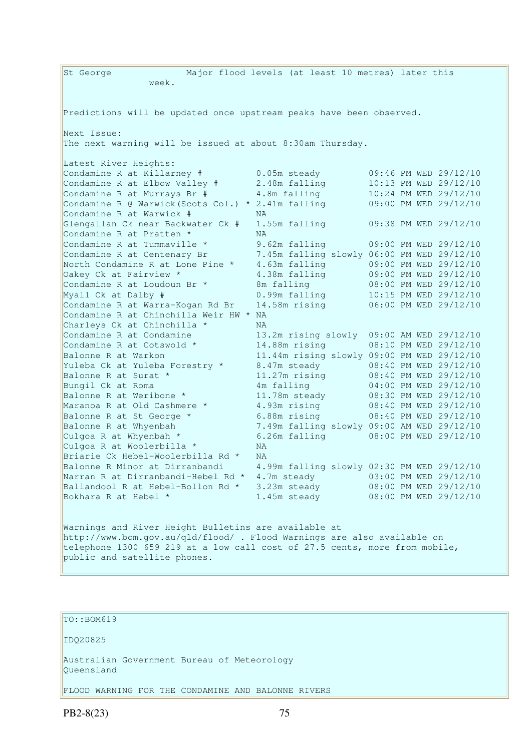St George Major flood levels (at least 10 metres) later this week. Predictions will be updated once upstream peaks have been observed. Next Issue: The next warning will be issued at about 8:30am Thursday. Latest River Heights: Condamine R at Killarney # 0.05m steady 09:46 PM WED 29/12/10<br>Condamine R at Elbow Valley # 2.48m falling 10:13 PM WED 29/12/10 Condamine R at Elbow Valley # 2.48m falling 10:13 PM WED 29/12/10 Condamine R at Murrays Br  $\#$  4.8m falling  $10:24$  PM WED 29/12/10 Condamine R  $\theta$  Warwick(Scots Col.) \* 2.41m falling 09:00 PM WED 29/12/10 Condamine R at Warwick # NA<br>Glengallan Ck near Backwater Ck # 1.55m falling 09:38 PM WED 29/12/10 Glengallan Ck near Backwater Ck # 1.55m falling 09:38 PM WED 29/12/10 Condamine R at Pratten \* NA Condamine R at Tummaville  $*$  9.62m falling 09:00 PM WED 29/12/10 Condamine R at Centenary Br 7.45m falling slowly 06:00 PM WED 29/12/10 North Condamine R at Lone Pine \* 4.63m falling 09:00 PM WED 29/12/10 Oakey Ck at Fairview \* 4.38m falling 09:00 PM WED 29/12/10 Condamine R at Loudoun Br  $*$  8m falling  $08:00$  PM WED 29/12/10 Myall Ck at Dalby # 0.99m falling 10:15 PM WED 29/12/10 Condamine R at Loudoun Br \* 8m falling 08:00 PM WED 29/12/10<br>
Myall Ck at Dalby # 0.99m falling 10:15 PM WED 29/12/10<br>
Condamine R at Warra-Kogan Rd Br 14.58m rising 06:00 PM WED 29/12/10 Condamine R at Chinchilla Weir HW \* NA Charleys Ck at Chinchilla \* NA Condamine R at Condamine 13.2m rising slowly 09:00 AM WED 29/12/10 Condamine R at Cotswold \* 14.88m rising 08:10 PM WED 29/12/10 Balonne R at Warkon 11.44m rising slowly 09:00 PM WED 29/12/10 Yuleba Ck at Yuleba Forestry \* 8.47m steady 08:40 PM WED 29/12/10 Balonne R at Surat \* 11.27m rising 08:40 PM WED 29/12/10 Bungil Ck at Roma 4m falling 04:00 PM WED 29/12/10 Balonne R at Weribone \* 11.78m steady 08:30 PM WED 29/12/10 Maranoa R at Old Cashmere \* 4.93m rising 08:40 PM WED 29/12/10 Balonne R at St George \* 6.88m rising 08:40 PM WED 29/12/10 Balonne R at Whyenbah 7.49m falling slowly 09:00 AM WED 29/12/10 Culgoa R at Whyenbah  $\star$  6.26m falling 08:00 PM WED 29/12/10 Culgoa R at Woolerbilla \* MA<br>Briarie Ck Hebel-Woolerbilla Rd \* NA Briarie Ck Hebel-Woolerbilla Rd \* Balonne R Minor at Dirranbandi 4.99m falling slowly 02:30 PM WED 29/12/10 Narran R at Dirranbandi-Hebel Rd \* 4.7m steady 03:00 PM WED 29/12/10 Ballandool R at Hebel-Bollon Rd \* 3.23m steady 08:00 PM WED 29/12/10 Bokhara R at Hebel \* 1.45m steady 08:00 PM WED 29/12/10 Warnings and River Height Bulletins are available at http://www.bom.gov.au/qld/flood/ . Flood Warnings are also available on telephone 1300 659 219 at a low call cost of 27.5 cents, more from mobile, public and satellite phones.

TO::BOM619

IDQ20825

Australian Government Bureau of Meteorology Queensland

FLOOD WARNING FOR THE CONDAMINE AND BALONNE RIVERS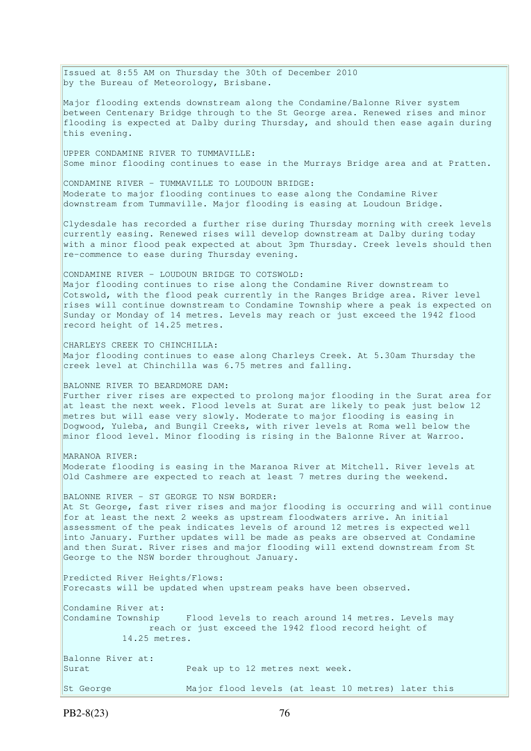Issued at 8:55 AM on Thursday the 30th of December 2010 by the Bureau of Meteorology, Brisbane.

Major flooding extends downstream along the Condamine/Balonne River system between Centenary Bridge through to the St George area. Renewed rises and minor flooding is expected at Dalby during Thursday, and should then ease again during this evening.

UPPER CONDAMINE RIVER TO TUMMAVILLE: Some minor flooding continues to ease in the Murrays Bridge area and at Pratten.

CONDAMINE RIVER - TUMMAVILLE TO LOUDOUN BRIDGE: Moderate to major flooding continues to ease along the Condamine River downstream from Tummaville. Major flooding is easing at Loudoun Bridge.

Clydesdale has recorded a further rise during Thursday morning with creek levels currently easing. Renewed rises will develop downstream at Dalby during today with a minor flood peak expected at about 3pm Thursday. Creek levels should then re-commence to ease during Thursday evening.

CONDAMINE RIVER - LOUDOUN BRIDGE TO COTSWOLD: Major flooding continues to rise along the Condamine River downstream to Cotswold, with the flood peak currently in the Ranges Bridge area. River level rises will continue downstream to Condamine Township where a peak is expected on Sunday or Monday of 14 metres. Levels may reach or just exceed the 1942 flood record height of 14.25 metres.

CHARLEYS CREEK TO CHINCHILLA: Major flooding continues to ease along Charleys Creek. At 5.30am Thursday the creek level at Chinchilla was 6.75 metres and falling.

BALONNE RIVER TO BEARDMORE DAM:

Further river rises are expected to prolong major flooding in the Surat area for at least the next week. Flood levels at Surat are likely to peak just below 12 metres but will ease very slowly. Moderate to major flooding is easing in Dogwood, Yuleba, and Bungil Creeks, with river levels at Roma well below the minor flood level. Minor flooding is rising in the Balonne River at Warroo.

MARANOA RIVER: Moderate flooding is easing in the Maranoa River at Mitchell. River levels at Old Cashmere are expected to reach at least 7 metres during the weekend.

BALONNE RIVER - ST GEORGE TO NSW BORDER: At St George, fast river rises and major flooding is occurring and will continue for at least the next 2 weeks as upstream floodwaters arrive. An initial assessment of the peak indicates levels of around 12 metres is expected well into January. Further updates will be made as peaks are observed at Condamine and then Surat. River rises and major flooding will extend downstream from St George to the NSW border throughout January.

Predicted River Heights/Flows: Forecasts will be updated when upstream peaks have been observed. Condamine River at:

Condamine Township Flood levels to reach around 14 metres. Levels may reach or just exceed the 1942 flood record height of 14.25 metres. Balonne River at: Surat Peak up to 12 metres next week. St George Major flood levels (at least 10 metres) later this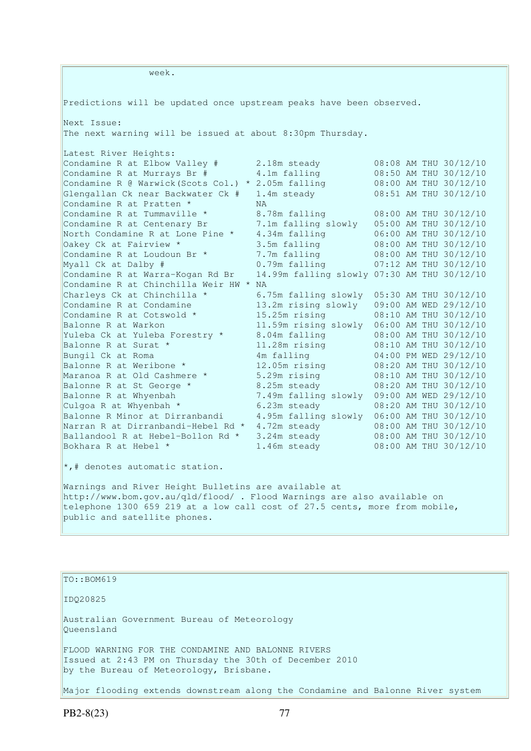week. Predictions will be updated once upstream peaks have been observed. Next Issue: The next warning will be issued at about 8:30pm Thursday. Latest River Heights: Condamine R at Elbow Valley # 2.18m steady 08:08 AM THU 30/12/10 Condamine R at Murrays Br  $\#$  4.1m falling  $0.08:50$  AM THU 30/12/10 Condamine R @ Warwick(Scots Col.) \* 2.05m falling 08:00 AM THU 30/12/10 Glengallan Ck near Backwater Ck # 1.4m steady 08:51 AM THU 30/12/10 Condamine R at Pratten \* NA Condamine R at Tummaville  $*$  8.78m falling  $08:00$  AM THU 30/12/10 Condamine R at Centenary Br 7.1m falling slowly 05:00 AM THU 30/12/10 North Condamine R at Lone Pine \* 4.34m falling 06:00 AM THU 30/12/10 Oakey Ck at Fairview \* 3.5m falling 08:00 AM THU 30/12/10 Condamine R at Loudoun Br  $*$  7.7m falling 08:00 AM THU 30/12/10 Myall Ck at Dalby # 0.79m falling 07:12 AM THU 30/12/10 Condamine R at Warra-Kogan Rd Br 14.99m falling slowly 07:30 AM THU 30/12/10 Condamine R at Chinchilla Weir HW \* NA Condamine R at Chinchilla \* 6.75m falling slowly 05:30 AM THU 30/12/10<br>
Condamine R at Condamine 13.2m rising slowly 09:00 AM WED 29/12/10<br>
Condamine R at Cotswold \* 15.25m rising 08:10 AM THU 30/12/10 Condamine R at Condamine 13.2m rising slowly 09:00 AM WED 29/12/10 Condamine R at Cotswold  $*$  15.25m rising 08:10 AM THU 30/12/10 Balonne R at Warkon 11.59m rising slowly 06:00 AM THU 30/12/10 Yuleba Ck at Yuleba Forestry \* 8.04m falling 08:00 AM THU 30/12/10 Balonne R at Surat \* 11.28m rising 08:10 AM THU 30/12/10 Bungil Ck at Roma  $4\,\mathrm{m}$  falling  $04:00$  PM WED 29/12/10 Balonne R at Weribone \* 12.05m rising 08:20 AM THU 30/12/10 Maranoa R at Old Cashmere \* 5.29m rising 08:10 AM THU 30/12/10 Balonne R at St George \* 8.25m steady 08:20 AM THU 30/12/10 Balonne R at Whyenbah 7.49m falling slowly 09:00 AM WED 29/12/10 Culgoa R at Whyenbah \* 6.23m steady 08:20 AM THU 30/12/10 Balonne R Minor at Dirranbandi 4.95m falling slowly 06:00 AM THU 30/12/10 Narran R at Dirranbandi-Hebel Rd \* 4.72m steady 08:00 AM THU 30/12/10 Ballandool R at Hebel-Bollon Rd \* 3.24m steady 08:00 AM THU 30/12/10 Bokhara R at Hebel \* 1.46m steady 08:00 AM THU 30/12/10 \*,# denotes automatic station. Warnings and River Height Bulletins are available at http://www.bom.gov.au/qld/flood/ . Flood Warnings are also available on telephone 1300 659 219 at a low call cost of 27.5 cents, more from mobile, public and satellite phones.

TO::BOM619

IDQ20825

Australian Government Bureau of Meteorology Queensland

FLOOD WARNING FOR THE CONDAMINE AND BALONNE RIVERS Issued at 2:43 PM on Thursday the 30th of December 2010 by the Bureau of Meteorology, Brisbane.

Major flooding extends downstream along the Condamine and Balonne River system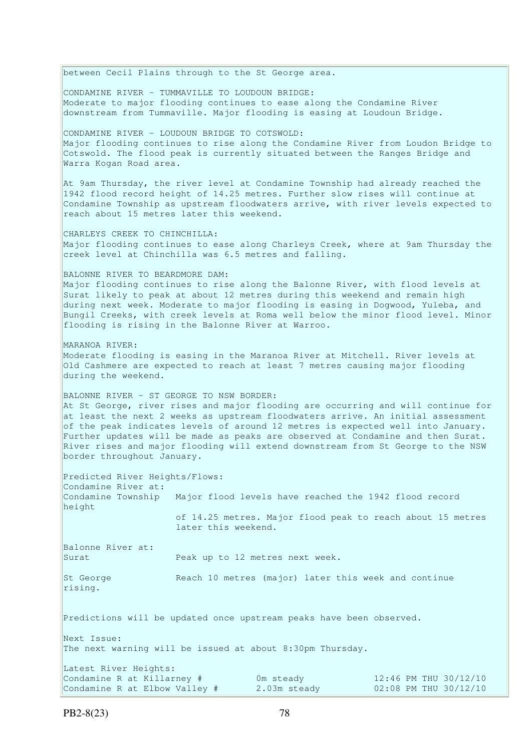between Cecil Plains through to the St George area. CONDAMINE RIVER - TUMMAVILLE TO LOUDOUN BRIDGE: Moderate to major flooding continues to ease along the Condamine River downstream from Tummaville. Major flooding is easing at Loudoun Bridge. CONDAMINE RIVER - LOUDOUN BRIDGE TO COTSWOLD: Major flooding continues to rise along the Condamine River from Loudon Bridge to Cotswold. The flood peak is currently situated between the Ranges Bridge and Warra Kogan Road area. At 9am Thursday, the river level at Condamine Township had already reached the 1942 flood record height of 14.25 metres. Further slow rises will continue at Condamine Township as upstream floodwaters arrive, with river levels expected to reach about 15 metres later this weekend. CHARLEYS CREEK TO CHINCHILLA: Major flooding continues to ease along Charleys Creek, where at 9am Thursday the creek level at Chinchilla was 6.5 metres and falling. BALONNE RIVER TO BEARDMORE DAM: Major flooding continues to rise along the Balonne River, with flood levels at Surat likely to peak at about 12 metres during this weekend and remain high during next week. Moderate to major flooding is easing in Dogwood, Yuleba, and Bungil Creeks, with creek levels at Roma well below the minor flood level. Minor flooding is rising in the Balonne River at Warroo. MARANOA RIVER: Moderate flooding is easing in the Maranoa River at Mitchell. River levels at Old Cashmere are expected to reach at least 7 metres causing major flooding during the weekend. BALONNE RIVER - ST GEORGE TO NSW BORDER: At St George, river rises and major flooding are occurring and will continue for at least the next 2 weeks as upstream floodwaters arrive. An initial assessment of the peak indicates levels of around 12 metres is expected well into January. Further updates will be made as peaks are observed at Condamine and then Surat. River rises and major flooding will extend downstream from St George to the NSW border throughout January. Predicted River Heights/Flows: Condamine River at: Condamine Township Major flood levels have reached the 1942 flood record height of 14.25 metres. Major flood peak to reach about 15 metres later this weekend. Balonne River at: Surat Peak up to 12 metres next week. St George The Reach 10 metres (major) later this week and continue rising. Predictions will be updated once upstream peaks have been observed. Next Issue: The next warning will be issued at about 8:30pm Thursday. Latest River Heights:<br>Condamine R at Killarnev # Condamine R at Killarney # 0m steady 12:46 PM THU 30/12/10 Condamine R at Elbow Valley # 2.03m steady 02:08 PM THU 30/12/10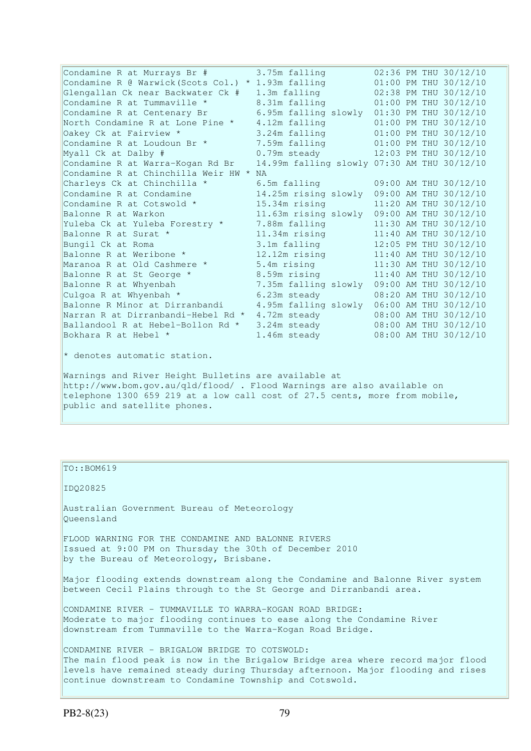| Condamine R at Murrays Br #                        | 3.75m falling                               |  | 02:36 PM THU 30/12/10 |
|----------------------------------------------------|---------------------------------------------|--|-----------------------|
| Condamine R @ Warwick (Scots Col.) * 1.93m falling |                                             |  | 01:00 PM THU 30/12/10 |
| Glengallan Ck near Backwater Ck #                  | 1.3m falling                                |  | 02:38 PM THU 30/12/10 |
| Condamine R at Tummaville *                        | 8.31m falling                               |  | 01:00 PM THU 30/12/10 |
| Condamine R at Centenary Br                        | 6.95m falling slowly                        |  | 01:30 PM THU 30/12/10 |
| North Condamine R at Lone Pine *                   | 4.12m falling                               |  | 01:00 PM THU 30/12/10 |
| Oakey Ck at Fairview *                             | 3.24m falling                               |  | 01:00 PM THU 30/12/10 |
| Condamine R at Loudoun Br *                        | 7.59m falling                               |  | 01:00 PM THU 30/12/10 |
| Myall Ck at Dalby #                                | 0.79m steady                                |  | 12:03 PM THU 30/12/10 |
| Condamine R at Warra-Kogan Rd Br                   | 14.99m falling slowly 07:30 AM THU 30/12/10 |  |                       |
| Condamine R at Chinchilla Weir HW * NA             |                                             |  |                       |
| Charleys Ck at Chinchilla *                        | 6.5m falling                                |  | 09:00 AM THU 30/12/10 |
| Condamine R at Condamine                           | 14.25m rising slowly                        |  | 09:00 AM THU 30/12/10 |
| Condamine R at Cotswold *                          | 15.34m rising                               |  | 11:20 AM THU 30/12/10 |
| Balonne R at Warkon                                | 11.63m rising slowly                        |  | 09:00 AM THU 30/12/10 |
| Yuleba Ck at Yuleba Forestry *                     | 7.88m falling                               |  | 11:30 AM THU 30/12/10 |
| Balonne R at Surat *                               | 11.34m rising                               |  | 11:40 AM THU 30/12/10 |
| Bungil Ck at Roma                                  | 3.1m falling                                |  | 12:05 PM THU 30/12/10 |
| Balonne R at Weribone *                            | 12.12m rising                               |  | 11:40 AM THU 30/12/10 |
| Maranoa R at Old Cashmere *                        | 5.4m rising                                 |  | 11:30 AM THU 30/12/10 |
| Balonne R at St George *                           | 8.59m rising                                |  | 11:40 AM THU 30/12/10 |
| Balonne R at Whyenbah                              | 7.35m falling slowly                        |  | 09:00 AM THU 30/12/10 |
| Culgoa R at Whyenbah *                             | 6.23m steady                                |  | 08:20 AM THU 30/12/10 |
| Balonne R Minor at Dirranbandi                     | 4.95m falling slowly                        |  | 06:00 AM THU 30/12/10 |
| Narran R at Dirranbandi-Hebel Rd *                 | 4.72m steady                                |  | 08:00 AM THU 30/12/10 |
| Ballandool R at Hebel-Bollon Rd *                  | 3.24m steady                                |  | 08:00 AM THU 30/12/10 |
| Bokhara R at Hebel *                               | 1.46m steady                                |  | 08:00 AM THU 30/12/10 |
|                                                    |                                             |  |                       |
| $\star$ denotes automatic station.                 |                                             |  |                       |

Warnings and River Height Bulletins are available at http://www.bom.gov.au/qld/flood/ . Flood Warnings are also available on telephone 1300 659 219 at a low call cost of 27.5 cents, more from mobile, public and satellite phones.

# TO::BOM619 IDQ20825 Australian Government Bureau of Meteorology Queensland FLOOD WARNING FOR THE CONDAMINE AND BALONNE RIVERS Issued at 9:00 PM on Thursday the 30th of December 2010 by the Bureau of Meteorology, Brisbane. Major flooding extends downstream along the Condamine and Balonne River system between Cecil Plains through to the St George and Dirranbandi area. CONDAMINE RIVER - TUMMAVILLE TO WARRA-KOGAN ROAD BRIDGE: Moderate to major flooding continues to ease along the Condamine River downstream from Tummaville to the Warra-Kogan Road Bridge. CONDAMINE RIVER - BRIGALOW BRIDGE TO COTSWOLD: The main flood peak is now in the Brigalow Bridge area where record major flood levels have remained steady during Thursday afternoon. Major flooding and rises continue downstream to Condamine Township and Cotswold.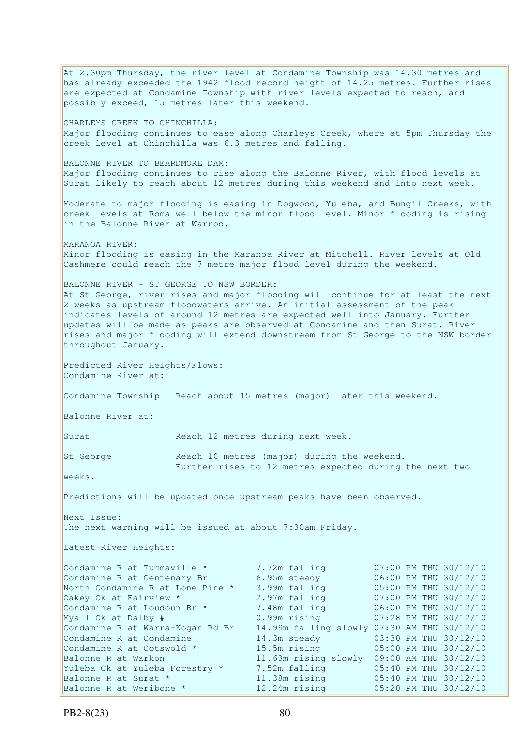At 2.30pm Thursday, the river level at Condamine Township was 14.30 metres and has already exceeded the 1942 flood record height of 14.25 metres. Further rises are expected at Condamine Township with river levels expected to reach, and possibly exceed, 15 metres later this weekend. CHARLEYS CREEK TO CHINCHILLA: Major flooding continues to ease along Charleys Creek, where at 5pm Thursday the creek level at Chinchilla was 6.3 metres and falling. BALONNE RIVER TO BEARDMORE DAM: Major flooding continues to rise along the Balonne River, with flood levels at Surat likely to reach about 12 metres during this weekend and into next week. Moderate to major flooding is easing in Dogwood, Yuleba, and Bungil Creeks, with creek levels at Roma well below the minor flood level. Minor flooding is rising in the Balonne River at Warroo. MARANOA RIVER: Minor flooding is easing in the Maranoa River at Mitchell. River levels at Old Cashmere could reach the 7 metre major flood level during the weekend. BALONNE RIVER - ST GEORGE TO NSW BORDER: At St George, river rises and major flooding will continue for at least the next 2 weeks as upstream floodwaters arrive. An initial assessment of the peak indicates levels of around 12 metres are expected well into January. Further updates will be made as peaks are observed at Condamine and then Surat. River rises and major flooding will extend downstream from St George to the NSW border throughout January. Predicted River Heights/Flows: Condamine River at: Condamine Township Reach about 15 metres (major) later this weekend. Balonne River at: Surat Reach 12 metres during next week. St George Reach 10 metres (major) during the weekend. Further rises to 12 metres expected during the next two weeks. Predictions will be updated once upstream peaks have been observed. Next Issue: The next warning will be issued at about 7:30am Friday. Latest River Heights: Condamine R at Tummaville \*  $7.72$ m falling  $07:00$  PM THU 30/12/10<br>Condamine R at Centenary Br  $6.95$ m steady  $06:00$  PM THU 30/12/10 Condamine R at Centenary Br 6.95m steady 06:00 PM THU 30/12/10 North Condamine R at Lone Pine \* 3.99m falling 05:00 PM THU 30/12/10 Oakey Ck at Fairview \* 2.97m falling 07:00 PM THU 30/12/10<br>
Condamine R at Loudoun Br \* 7.48m falling 06:00 PM THU 30/12/10<br>
Myall Ck at Dalby # 0.99m rising 07:28 PM THU 30/12/10<br>
Condamine R at Manne You Reserve the Cond Condamine R at Loudoun Br  $*$  7.48m falling  $06:00$  PM THU 30/12/10 Myall Ck at Dalby # 0.99m rising 07:28 PM THU 30/12/10 Condamine R at Warra-Kogan Rd Br 14.99m falling slowly 07:30 AM THU 30/12/10  $\begin{array}{ccc}\n\text{Condamine} & \text{R at Condamine} \\
\text{Condamine R at Contswold *} & 14.3\text{m steady} & 03:30 \text{ PM THU} & 30/12/10 \\
\text{Condamine R at Cotswold *} & 15.5\text{m rising} & 05:00 \text{ PM THU} & 30/12/10\n\end{array}$ Condamine R at Cotswold  $*$  15.5m rising 05:00 PM THU 30/12/10 Balonne R at Warkon 11.63m rising slowly 09:00 AM THU 30/12/10 Yuleba Ck at Yuleba Forestry \* 7.52m falling 05:40 PM THU 30/12/10 Balonne R at Surat \* 11.38m rising 05:40 PM THU 30/12/10 Balonne R at Weribone \* 12.24m rising 05:20 PM THU 30/12/10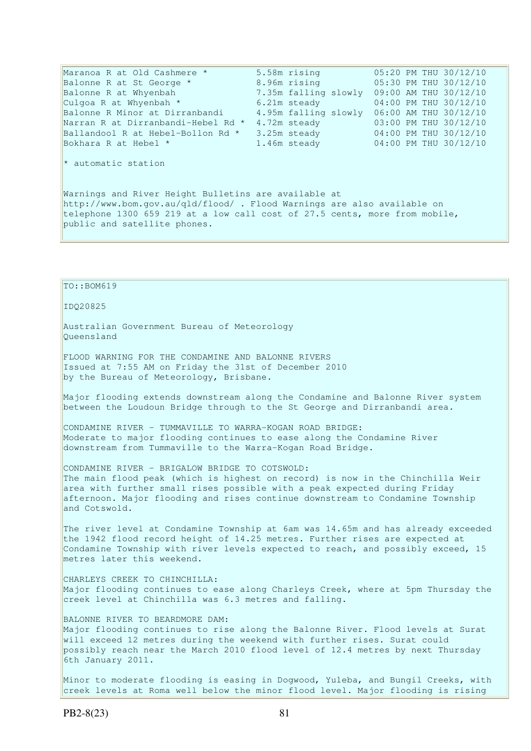| Maranoa R at Old Cashmere *                                                                                                    | 5.58m rising                               | 05:20 PM THU 30/12/10                      |  |
|--------------------------------------------------------------------------------------------------------------------------------|--------------------------------------------|--------------------------------------------|--|
| Balonne R at St George *                                                                                                       | 8.96m rising                               | 05:30 PM THU 30/12/10                      |  |
| Balonne R at Whyenbah                                                                                                          | 7.35m falling slowly 09:00 AM THU 30/12/10 |                                            |  |
| Culgoa R at Whyenbah *                                                                                                         | 6.21m steady                               | 04:00 PM THU 30/12/10                      |  |
| Balonne R Minor at Dirranbandi                                                                                                 |                                            | 4.95m falling slowly 06:00 AM THU 30/12/10 |  |
| Narran R at Dirranbandi-Hebel Rd *                                                                                             | 4.72m steady                               | 03:00 PM THU 30/12/10                      |  |
| Ballandool R at Hebel-Bollon Rd *                                                                                              | 3.25m steady                               | 04:00 PM THU 30/12/10                      |  |
| Bokhara R at Hebel *                                                                                                           | 1.46m steady                               | 04:00 PM THU 30/12/10                      |  |
| $\star$ automatic station                                                                                                      |                                            |                                            |  |
| Warnings and River Height Bulletins are available at<br>http://www.bom.gov.au/gld/flood/. Flood Warnings are also available on |                                            |                                            |  |

telephone 1300 659 219 at a low call cost of 27.5 cents, more from mobile, public and satellite phones.

TO::BOM619

#### IDQ20825

Australian Government Bureau of Meteorology Queensland

FLOOD WARNING FOR THE CONDAMINE AND BALONNE RIVERS Issued at 7:55 AM on Friday the 31st of December 2010 by the Bureau of Meteorology, Brisbane.

Major flooding extends downstream along the Condamine and Balonne River system between the Loudoun Bridge through to the St George and Dirranbandi area.

CONDAMINE RIVER - TUMMAVILLE TO WARRA-KOGAN ROAD BRIDGE: Moderate to major flooding continues to ease along the Condamine River downstream from Tummaville to the Warra-Kogan Road Bridge.

CONDAMINE RIVER - BRIGALOW BRIDGE TO COTSWOLD: The main flood peak (which is highest on record) is now in the Chinchilla Weir area with further small rises possible with a peak expected during Friday afternoon. Major flooding and rises continue downstream to Condamine Township and Cotswold.

The river level at Condamine Township at 6am was 14.65m and has already exceeded the 1942 flood record height of 14.25 metres. Further rises are expected at Condamine Township with river levels expected to reach, and possibly exceed, 15 metres later this weekend.

CHARLEYS CREEK TO CHINCHILLA: Major flooding continues to ease along Charleys Creek, where at 5pm Thursday the creek level at Chinchilla was 6.3 metres and falling.

BALONNE RIVER TO BEARDMORE DAM: Major flooding continues to rise along the Balonne River. Flood levels at Surat will exceed 12 metres during the weekend with further rises. Surat could possibly reach near the March 2010 flood level of 12.4 metres by next Thursday 6th January 2011.

Minor to moderate flooding is easing in Dogwood, Yuleba, and Bungil Creeks, with creek levels at Roma well below the minor flood level. Major flooding is rising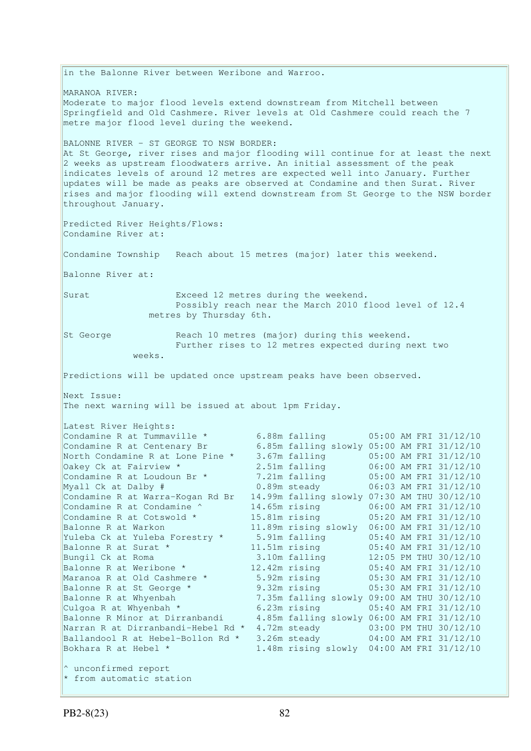in the Balonne River between Weribone and Warroo. MARANOA RIVER: Moderate to major flood levels extend downstream from Mitchell between Springfield and Old Cashmere. River levels at Old Cashmere could reach the 7 metre major flood level during the weekend. BALONNE RIVER - ST GEORGE TO NSW BORDER: At St George, river rises and major flooding will continue for at least the next 2 weeks as upstream floodwaters arrive. An initial assessment of the peak indicates levels of around 12 metres are expected well into January. Further updates will be made as peaks are observed at Condamine and then Surat. River rises and major flooding will extend downstream from St George to the NSW border throughout January. Predicted River Heights/Flows: Condamine River at: Condamine Township Reach about 15 metres (major) later this weekend. Balonne River at: Surat Exceed 12 metres during the weekend. Possibly reach near the March 2010 flood level of 12.4 metres by Thursday 6th. St George Reach 10 metres (major) during this weekend. Further rises to 12 metres expected during next two weeks. Predictions will be updated once upstream peaks have been observed. Next Issue: The next warning will be issued at about 1pm Friday. Latest River Heights: Condamine R at Tummaville  $*$  6.88m falling  $05:00$  AM FRI 31/12/10 Condamine R at Centenary Br 6.85m falling slowly 05:00 AM FRI 31/12/10 North Condamine R at Lone Pine \* 3.67m falling 05:00 AM FRI 31/12/10 Oakey Ck at Fairview \* 2.51m falling 06:00 AM FRI 31/12/10 Condamine R at Loudoun Br  $*$  7.21m falling  $05:00$  AM FRI 31/12/10 Myall Ck at Dalby # 0.89m steady 06:03 AM FRI 31/12/10 Condamine R at Warra-Kogan Rd Br 14.99m falling slowly 07:30 AM THU 30/12/10 Condamine R at Condamine  $\textdegree$  14.65m rising  $\textdegree$  06:00 AM FRI 31/12/10 Condamine R at Cotswold  $*$  15.81m rising 05:20 AM FRI 31/12/10 Balonne R at Warkon 11.89m rising slowly 06:00 AM FRI 31/12/10<br>Yuleba Ck at Yuleba Forestry \* 5.91m falling 05:40 AM FRI 31/12/10 5.91m falling  $05:40$  AM FRI 31/12/10 Balonne R at Surat \* 11.51m rising 05:40 AM FRI 31/12/10 Bungil Ck at Roma 3.10m falling 12:05 PM THU 30/12/10 Bungii CK at Roma<br>Balonne R at Weribone \* 12.42m rising 05:40 AM FRI 31/12/10<br>Maranoa R at Old Cashmere \* 5.92m rising 05:30 AM FRI 31/12/10 Maranoa R at Old Cashmere \* 5.92m rising 05:30 AM FRI 31/12/10 Balonne R at St George \* 9.32m rising 05:30 AM FRI 31/12/10 Balonne R at Whyenbah 7.35m falling slowly 09:00 AM THU 30/12/10 Culgoa R at Whyenbah  $*$  6.23m rising 05:40 AM FRI 31/12/10 Balonne R Minor at Dirranbandi 4.85m falling slowly 06:00 AM FRI 31/12/10 Narran R at Dirranbandi-Hebel Rd \* 4.72m steady 03:00 PM THU 30/12/10 Ballandool R at Hebel-Bollon Rd \* 3.26m steady 04:00 AM FRI 31/12/10 Bokhara R at Hebel \* 1.48m rising slowly 04:00 AM FRI 31/12/10 ^ unconfirmed report \* from automatic station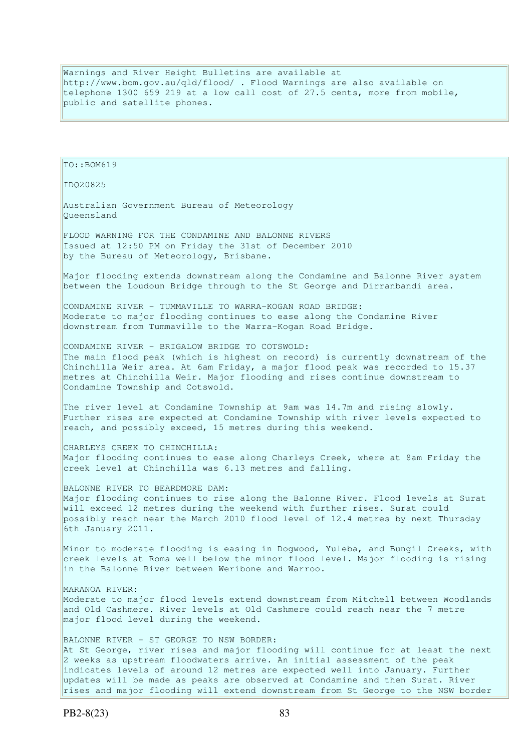Warnings and River Height Bulletins are available at http://www.bom.gov.au/qld/flood/ . Flood Warnings are also available on telephone 1300 659 219 at a low call cost of 27.5 cents, more from mobile, public and satellite phones.

TO::BOM619

IDQ20825

Australian Government Bureau of Meteorology Queensland

FLOOD WARNING FOR THE CONDAMINE AND BALONNE RIVERS Issued at 12:50 PM on Friday the 31st of December 2010 by the Bureau of Meteorology, Brisbane.

Major flooding extends downstream along the Condamine and Balonne River system between the Loudoun Bridge through to the St George and Dirranbandi area.

CONDAMINE RIVER - TUMMAVILLE TO WARRA-KOGAN ROAD BRIDGE: Moderate to major flooding continues to ease along the Condamine River downstream from Tummaville to the Warra-Kogan Road Bridge.

CONDAMINE RIVER - BRIGALOW BRIDGE TO COTSWOLD: The main flood peak (which is highest on record) is currently downstream of the Chinchilla Weir area. At 6am Friday, a major flood peak was recorded to 15.37 metres at Chinchilla Weir. Major flooding and rises continue downstream to Condamine Township and Cotswold.

The river level at Condamine Township at 9am was 14.7m and rising slowly. Further rises are expected at Condamine Township with river levels expected to reach, and possibly exceed, 15 metres during this weekend.

CHARLEYS CREEK TO CHINCHILLA: Major flooding continues to ease along Charleys Creek, where at 8am Friday the creek level at Chinchilla was 6.13 metres and falling.

BALONNE RIVER TO BEARDMORE DAM: Major flooding continues to rise along the Balonne River. Flood levels at Surat will exceed 12 metres during the weekend with further rises. Surat could possibly reach near the March 2010 flood level of 12.4 metres by next Thursday 6th January 2011.

Minor to moderate flooding is easing in Dogwood, Yuleba, and Bungil Creeks, with creek levels at Roma well below the minor flood level. Major flooding is rising in the Balonne River between Weribone and Warroo.

MARANOA RIVER: Moderate to major flood levels extend downstream from Mitchell between Woodlands and Old Cashmere. River levels at Old Cashmere could reach near the 7 metre major flood level during the weekend.

BALONNE RIVER - ST GEORGE TO NSW BORDER: At St George, river rises and major flooding will continue for at least the next 2 weeks as upstream floodwaters arrive. An initial assessment of the peak indicates levels of around 12 metres are expected well into January. Further updates will be made as peaks are observed at Condamine and then Surat. River rises and major flooding will extend downstream from St George to the NSW border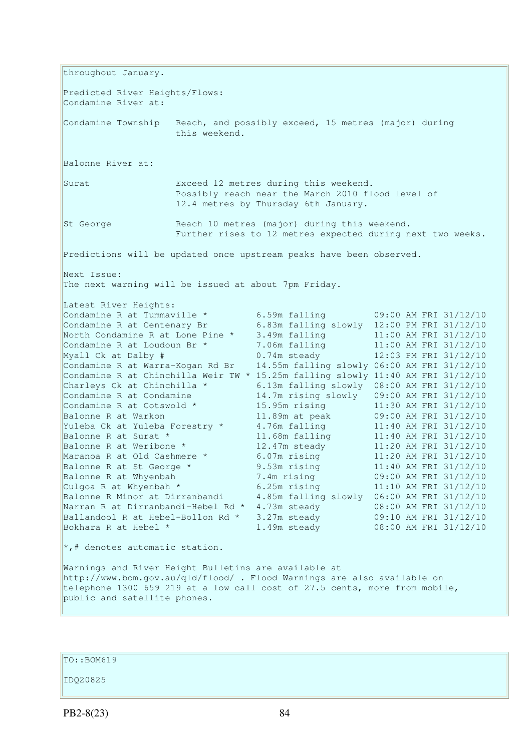throughout January. Predicted River Heights/Flows: Condamine River at: Condamine Township Reach, and possibly exceed, 15 metres (major) during this weekend. Balonne River at: Surat Exceed 12 metres during this weekend. Possibly reach near the March 2010 flood level of 12.4 metres by Thursday 6th January. St George Reach 10 metres (major) during this weekend. Further rises to 12 metres expected during next two weeks. Predictions will be updated once upstream peaks have been observed. Next Issue: The next warning will be issued at about 7pm Friday. Latest River Heights: Condamine R at Tummaville  $*$  6.59m falling 609:00 AM FRI 31/12/10 Condamine R at Centenary Br 6.83m falling slowly 12:00 PM FRI 31/12/10 North Condamine R at Lone Pine \* 3.49m falling 11:00 AM FRI 31/12/10 Condamine R at Loudoun Br  $*$  7.06m falling 11:00 AM FRI 31/12/10 Myall Ck at Dalby # 0.74m steady 12:03 PM FRI 31/12/10 Myall CK at Daiby  $\#$  0.7mm becaus<br>Condamine R at Warra-Kogan Rd Br 14.55m falling slowly 06:00 AM FRI 31/12/10 Condamine R at Chinchilla Weir TW \* 15.25m falling slowly 11:40 AM FRI 31/12/10 Charleys Ck at Chinchilla \*  $\begin{array}{ccc} 6.13 \text{m} \text{ falling slowly} & 08:00 \text{ AM FRI } 31/12/10 \\ 0.001 \text{ M FRI } 31/12/10 & 1.1 \text{ m} \end{array}$ Condamine R at Condamine 14.7m rising slowly 09:00 AM FRI 31/12/10 Condamine R at Cotswold  $*$  15.95m rising 11:30 AM FRI 31/12/10 Balonne R at Warkon 11.89m at peak 09:00 AM FRI 31/12/10 Yuleba Ck at Yuleba Forestry \* 4.76m falling 11:40 AM FRI 31/12/10 Balonne R at Surat \* 11.68m falling 11:40 AM FRI 31/12/10 Balonne R at Weribone \* 12.47m steady 11:20 AM FRI 31/12/10 Balonne R at Weribone \* 11.08m railing 11:40 AM FRI 31/12/10<br>
Maranoa R at Old Cashmere \* 6.07m rising 11:20 AM FRI 31/12/10<br>
Balonne R at St George \* 9.53m rising 11:40 AM FRI 31/12/10 Balonne R at St George \* 9.53m rising 11:40 AM FRI 31/12/10 Balonne R at Whyenbah 7.4m rising 09:00 AM FRI 31/12/10 Culgoa R at Whyenbah  $\star$  6.25m rising 11:10 AM FRI 31/12/10 Balonne R Minor at Dirranbandi 4.85m falling slowly 06:00 AM FRI 31/12/10 Narran R at Dirranbandi-Hebel Rd \* 4.73m steady 08:00 AM FRI 31/12/10 Ballandool R at Hebel-Bollon Rd \* 3.27m steady 09:10 AM FRI 31/12/10 Bokhara R at Hebel \* 1.49m steady 08:00 AM FRI 31/12/10 \*,# denotes automatic station. Warnings and River Height Bulletins are available at http://www.bom.gov.au/qld/flood/ . Flood Warnings are also available on telephone 1300 659 219 at a low call cost of 27.5 cents, more from mobile, public and satellite phones.

TO::BOM619

IDQ20825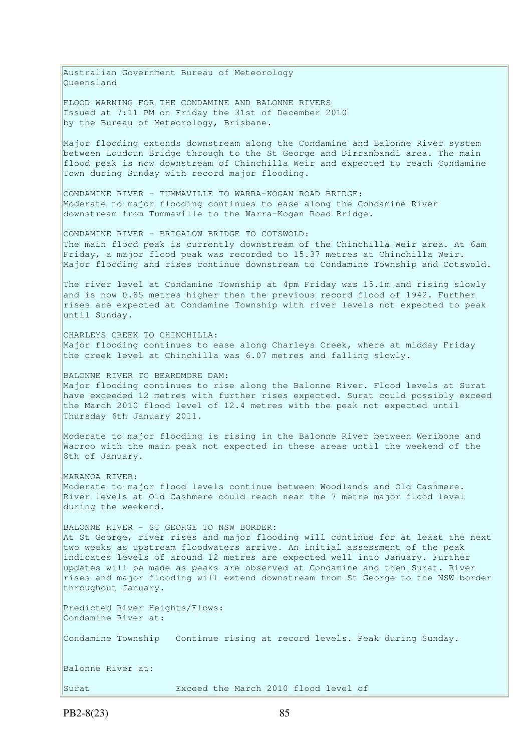Australian Government Bureau of Meteorology Queensland FLOOD WARNING FOR THE CONDAMINE AND BALONNE RIVERS Issued at 7:11 PM on Friday the 31st of December 2010 by the Bureau of Meteorology, Brisbane. Major flooding extends downstream along the Condamine and Balonne River system between Loudoun Bridge through to the St George and Dirranbandi area. The main flood peak is now downstream of Chinchilla Weir and expected to reach Condamine Town during Sunday with record major flooding. CONDAMINE RIVER - TUMMAVILLE TO WARRA-KOGAN ROAD BRIDGE: Moderate to major flooding continues to ease along the Condamine River downstream from Tummaville to the Warra-Kogan Road Bridge. CONDAMINE RIVER - BRIGALOW BRIDGE TO COTSWOLD: The main flood peak is currently downstream of the Chinchilla Weir area. At 6am Friday, a major flood peak was recorded to 15.37 metres at Chinchilla Weir. Major flooding and rises continue downstream to Condamine Township and Cotswold. The river level at Condamine Township at 4pm Friday was 15.1m and rising slowly and is now 0.85 metres higher then the previous record flood of 1942. Further rises are expected at Condamine Township with river levels not expected to peak until Sunday. CHARLEYS CREEK TO CHINCHILLA: Major flooding continues to ease along Charleys Creek, where at midday Friday the creek level at Chinchilla was 6.07 metres and falling slowly. BALONNE RIVER TO BEARDMORE DAM: Major flooding continues to rise along the Balonne River. Flood levels at Surat have exceeded 12 metres with further rises expected. Surat could possibly exceed the March 2010 flood level of 12.4 metres with the peak not expected until Thursday 6th January 2011. Moderate to major flooding is rising in the Balonne River between Weribone and Warroo with the main peak not expected in these areas until the weekend of the 8th of January. MARANOA RIVER: Moderate to major flood levels continue between Woodlands and Old Cashmere. River levels at Old Cashmere could reach near the 7 metre major flood level during the weekend. BALONNE RIVER - ST GEORGE TO NSW BORDER: At St George, river rises and major flooding will continue for at least the next two weeks as upstream floodwaters arrive. An initial assessment of the peak indicates levels of around 12 metres are expected well into January. Further updates will be made as peaks are observed at Condamine and then Surat. River rises and major flooding will extend downstream from St George to the NSW border throughout January. Predicted River Heights/Flows: Condamine River at: Condamine Township Continue rising at record levels. Peak during Sunday. Balonne River at: Surat Exceed the March 2010 flood level of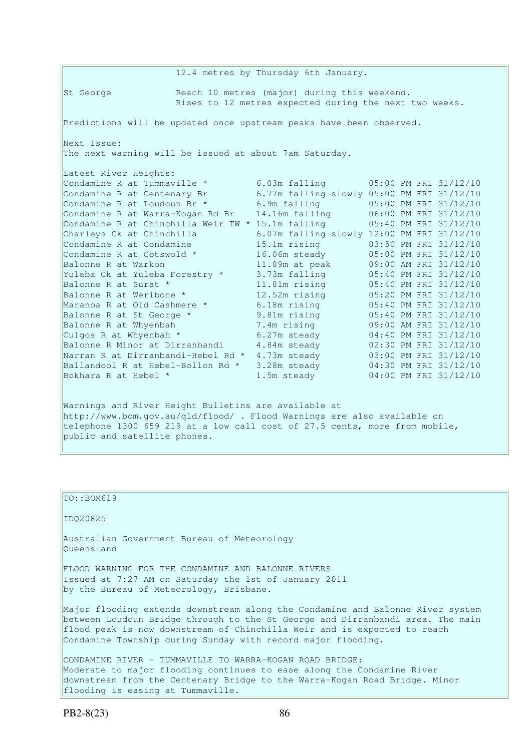12.4 metres by Thursday 6th January. St George Reach 10 metres (major) during this weekend. Rises to 12 metres expected during the next two weeks. Predictions will be updated once upstream peaks have been observed. Next Issue: The next warning will be issued at about 7am Saturday. Latest River Heights: Condamine R at Tummaville  $*$  6.03m falling 05:00 PM FRI 31/12/10 Condamine R at Centenary Br 6.77m falling slowly 05:00 PM FRI 31/12/10<br>
Condamine R at Loudoun Br \* 6.9m falling 05:00 PM FRI 31/12/10 Condamine R at Loudoun Br  $*$  6.9m falling 05:00 PM FRI 31/12/10 Condamine R at Warra-Kogan Rd Br 14.16m falling 06:00 PM FRI 31/12/10 Condamine R at Chinchilla Weir TW \* 15.1m falling 05:40 PM FRI 31/12/10 Charleys Ck at Chinchilla 6.07m falling slowly 12:00 PM FRI 31/12/10<br>Condamine R at Condamine 15.1m rising 03:50 PM FRI 31/12/10 Condamine R at Condamine 15.1m rising 03:50 PM FRI 31/12/10 Condamine R at Cotswold  $*$  16.06m steady 05:00 PM FRI 31/12/10 Balonne R at Warkon 11.89m at peak 09:00 AM FRI 31/12/10 Yuleba Ck at Yuleba Forestry \* 3.73m falling 05:40 PM FRI 31/12/10 Balonne R at Surat \* 11.81m rising 05:40 PM FRI 31/12/10 Balonne R at Surat \* 11.81m rising 05:40 PM FRI 31/12/10<br>Balonne R at Weribone \* 12.52m rising 05:20 PM FRI 31/12/10<br>Maranoa R at Old Cashmere \* 6.18m rising 05:40 PM FRI 31/12/10 Maranoa R at Old Cashmere \* 6.18m rising 05:40 PM FRI 31/12/10<br>Balonne R at St George \* 9.81m rising 05:40 PM FRI 31/12/10 Balonne R at St George \* 9.81m rising<br>Balonne R at Whyenbah 7.4m rising Balonne R at Whyenbah  $\begin{array}{lll} 7.4 \text{m} \text{ rising} & 09:00 \text{ AM FRI} \frac{31}{12}/10 \\ \text{Culgoa R at Whyenbah} & 6.27 \text{m steady} & 04:40 \text{ PM FRI} \frac{31}{12}/10 \\ \text{Balonne R Minor at Dirrahbandi} & 4.84 \text{m steady} & 02:30 \text{ PM FRI} \frac{31}{12}/10 \end{array}$ Culgoa R at Whyenbah  $\star$  6.27m steady 04:40 PM FRI 31/12/10 Balonne R Minor at Dirranbandi 4.84m steady 02:30 PM FRI 31/12/10 Narran R at Dirranbandi-Hebel Rd \* 4.73m steady 03:00 PM FRI 31/12/10 Ballandool R at Hebel-Bollon Rd \*  $3.28$ m steady 04:30 PM FRI 31/12/10 Bokhara R at Hebel \* 1.5m steady 04:00 PM FRI 31/12/10 Warnings and River Height Bulletins are available at http://www.bom.gov.au/qld/flood/ . Flood Warnings are also available on

telephone 1300 659 219 at a low call cost of 27.5 cents, more from mobile, public and satellite phones.

| TO: <b>: BOM619</b>                                                                                                                                                                                                                                                                                          |  |
|--------------------------------------------------------------------------------------------------------------------------------------------------------------------------------------------------------------------------------------------------------------------------------------------------------------|--|
| IDQ20825                                                                                                                                                                                                                                                                                                     |  |
| Australian Government Bureau of Meteorology<br>Oueensland                                                                                                                                                                                                                                                    |  |
| FLOOD WARNING FOR THE CONDAMINE AND BALONNE RIVERS<br>Issued at 7:27 AM on Saturday the 1st of January 2011<br>by the Bureau of Meteorology, Brisbane.                                                                                                                                                       |  |
| Major flooding extends downstream along the Condamine and Balonne River system<br>between Loudoun Bridge through to the St George and Dirranbandi area. The main<br>flood peak is now downstream of Chinchilla Weir and is expected to reach<br>Condamine Township during Sunday with record major flooding. |  |
| CONDAMINE RIVER - TUMMAVILLE TO WARRA-KOGAN ROAD BRIDGE:<br>Moderate to major flooding continues to ease along the Condamine River<br>downstream from the Centenary Bridge to the Warra-Kogan Road Bridge. Minor<br>flooding is easing at Tummaville.                                                        |  |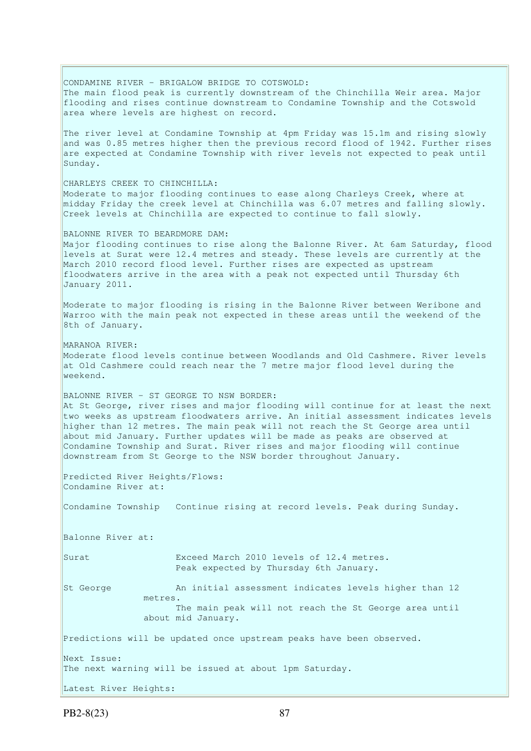CONDAMINE RIVER - BRIGALOW BRIDGE TO COTSWOLD: The main flood peak is currently downstream of the Chinchilla Weir area. Major flooding and rises continue downstream to Condamine Township and the Cotswold area where levels are highest on record. The river level at Condamine Township at 4pm Friday was 15.1m and rising slowly and was 0.85 metres higher then the previous record flood of 1942. Further rises are expected at Condamine Township with river levels not expected to peak until Sunday. CHARLEYS CREEK TO CHINCHILLA: Moderate to major flooding continues to ease along Charleys Creek, where at midday Friday the creek level at Chinchilla was 6.07 metres and falling slowly. Creek levels at Chinchilla are expected to continue to fall slowly. BALONNE RIVER TO BEARDMORE DAM: Major flooding continues to rise along the Balonne River. At 6am Saturday, flood levels at Surat were 12.4 metres and steady. These levels are currently at the March 2010 record flood level. Further rises are expected as upstream floodwaters arrive in the area with a peak not expected until Thursday 6th January 2011. Moderate to major flooding is rising in the Balonne River between Weribone and Warroo with the main peak not expected in these areas until the weekend of the 8th of January. MARANOA RIVER: Moderate flood levels continue between Woodlands and Old Cashmere. River levels at Old Cashmere could reach near the 7 metre major flood level during the weekend. BALONNE RIVER - ST GEORGE TO NSW BORDER: At St George, river rises and major flooding will continue for at least the next two weeks as upstream floodwaters arrive. An initial assessment indicates levels higher than 12 metres. The main peak will not reach the St George area until about mid January. Further updates will be made as peaks are observed at Condamine Township and Surat. River rises and major flooding will continue downstream from St George to the NSW border throughout January. Predicted River Heights/Flows: Condamine River at: Condamine Township Continue rising at record levels. Peak during Sunday. Balonne River at: Surat Exceed March 2010 levels of 12.4 metres. Peak expected by Thursday 6th January. St George An initial assessment indicates levels higher than 12 metres. The main peak will not reach the St George area until about mid January. Predictions will be updated once upstream peaks have been observed. Next Issue: The next warning will be issued at about 1pm Saturday. Latest River Heights: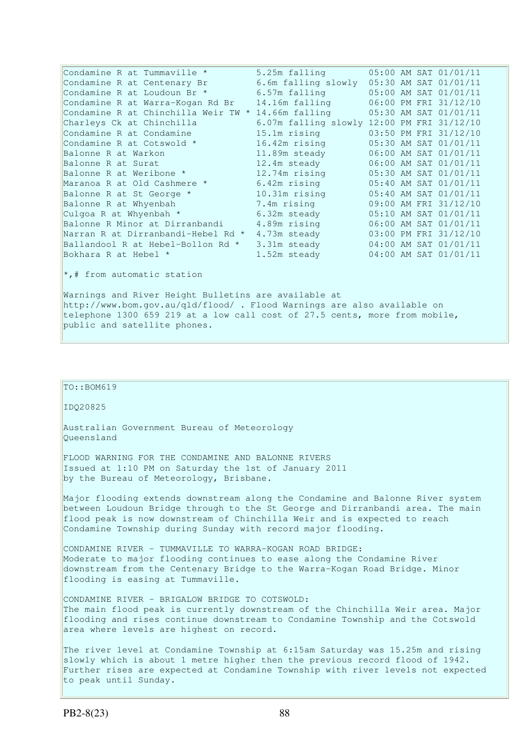| Condamine R at Tummaville *                          | 5.25m falling                              |  | 05:00 AM SAT 01/01/11 |
|------------------------------------------------------|--------------------------------------------|--|-----------------------|
| Condamine R at Centenary Br                          | 6.6m falling slowly 05:30 AM SAT 01/01/11  |  |                       |
| Condamine R at Loudoun Br *                          | 6.57m falling                              |  | 05:00 AM SAT 01/01/11 |
| Condamine R at Warra-Kogan Rd Br                     | 14.16m falling                             |  | 06:00 PM FRI 31/12/10 |
| Condamine R at Chinchilla Weir TW * 14.66m falling   |                                            |  | 05:30 AM SAT 01/01/11 |
| Charleys Ck at Chinchilla                            | 6.07m falling slowly 12:00 PM FRI 31/12/10 |  |                       |
| Condamine R at Condamine                             | 15.1m rising                               |  | 03:50 PM FRI 31/12/10 |
| Condamine R at Cotswold *                            | 16.42m rising                              |  | 05:30 AM SAT 01/01/11 |
| Balonne R at Warkon                                  | 11.89m steady                              |  | 06:00 AM SAT 01/01/11 |
| Balonne R at Surat                                   | 12.4m steady                               |  | 06:00 AM SAT 01/01/11 |
| Balonne R at Weribone *                              | 12.74m rising                              |  | 05:30 AM SAT 01/01/11 |
| Maranoa R at Old Cashmere *                          | 6.42m rising                               |  | 05:40 AM SAT 01/01/11 |
| Balonne R at St George *                             | 10.31m rising                              |  | 05:40 AM SAT 01/01/11 |
| Balonne R at Whyenbah                                | 7.4m rising                                |  | 09:00 AM FRI 31/12/10 |
| Culgoa R at Whyenbah *                               | 6.32m steady                               |  | 05:10 AM SAT 01/01/11 |
| Balonne R Minor at Dirranbandi                       | 4.89m rising                               |  | 06:00 AM SAT 01/01/11 |
| Narran R at Dirranbandi-Hebel Rd *                   | 4.73m steady                               |  | 03:00 PM FRI 31/12/10 |
| Ballandool R at Hebel-Bollon Rd *                    | 3.31m steady                               |  | 04:00 AM SAT 01/01/11 |
| Bokhara R at Hebel *                                 | 1.52m steady                               |  | 04:00 AM SAT 01/01/11 |
| $\star$ ,# from automatic station                    |                                            |  |                       |
| Warnings and River Height Bulletins are available at |                                            |  |                       |

http://www.bom.gov.au/qld/flood/ . Flood Warnings are also available on telephone 1300 659 219 at a low call cost of 27.5 cents, more from mobile, public and satellite phones.

### $To::BOM619$

IDQ20825

Australian Government Bureau of Meteorology Queensland

FLOOD WARNING FOR THE CONDAMINE AND BALONNE RIVERS Issued at 1:10 PM on Saturday the 1st of January 2011 by the Bureau of Meteorology, Brisbane.

Major flooding extends downstream along the Condamine and Balonne River system between Loudoun Bridge through to the St George and Dirranbandi area. The main flood peak is now downstream of Chinchilla Weir and is expected to reach Condamine Township during Sunday with record major flooding.

CONDAMINE RIVER - TUMMAVILLE TO WARRA-KOGAN ROAD BRIDGE: Moderate to major flooding continues to ease along the Condamine River downstream from the Centenary Bridge to the Warra-Kogan Road Bridge. Minor flooding is easing at Tummaville.

CONDAMINE RIVER - BRIGALOW BRIDGE TO COTSWOLD: The main flood peak is currently downstream of the Chinchilla Weir area. Major flooding and rises continue downstream to Condamine Township and the Cotswold area where levels are highest on record.

The river level at Condamine Township at 6:15am Saturday was 15.25m and rising slowly which is about 1 metre higher then the previous record flood of 1942. Further rises are expected at Condamine Township with river levels not expected to peak until Sunday.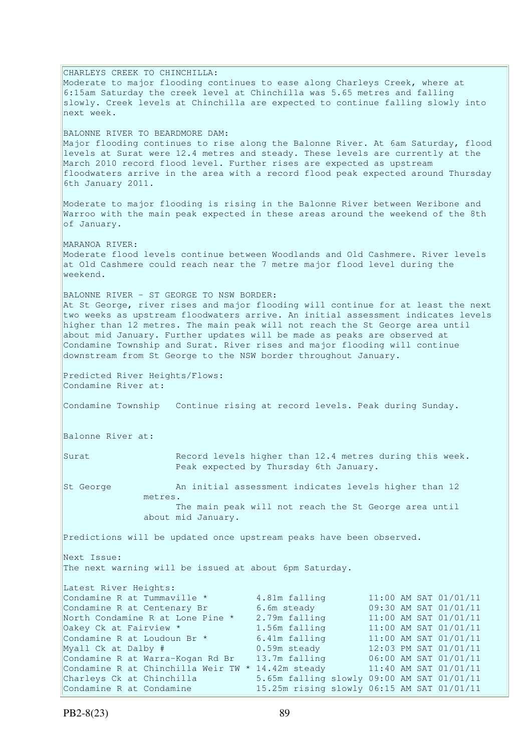CHARLEYS CREEK TO CHINCHILLA: Moderate to major flooding continues to ease along Charleys Creek, where at 6:15am Saturday the creek level at Chinchilla was 5.65 metres and falling slowly. Creek levels at Chinchilla are expected to continue falling slowly into next week. BALONNE RIVER TO BEARDMORE DAM: Major flooding continues to rise along the Balonne River. At 6am Saturday, flood levels at Surat were 12.4 metres and steady. These levels are currently at the March 2010 record flood level. Further rises are expected as upstream floodwaters arrive in the area with a record flood peak expected around Thursday 6th January 2011. Moderate to major flooding is rising in the Balonne River between Weribone and Warroo with the main peak expected in these areas around the weekend of the 8th of January. MARANOA RIVER: Moderate flood levels continue between Woodlands and Old Cashmere. River levels at Old Cashmere could reach near the 7 metre major flood level during the weekend. BALONNE RIVER - ST GEORGE TO NSW BORDER: At St George, river rises and major flooding will continue for at least the next two weeks as upstream floodwaters arrive. An initial assessment indicates levels higher than 12 metres. The main peak will not reach the St George area until about mid January. Further updates will be made as peaks are observed at Condamine Township and Surat. River rises and major flooding will continue downstream from St George to the NSW border throughout January. Predicted River Heights/Flows: Condamine River at: Condamine Township Continue rising at record levels. Peak during Sunday. Balonne River at: Surat Record levels higher than 12.4 metres during this week. Peak expected by Thursday 6th January. St George An initial assessment indicates levels higher than 12 metres. The main peak will not reach the St George area until about mid January. Predictions will be updated once upstream peaks have been observed. Next Issue: The next warning will be issued at about 6pm Saturday. Latest River Heights: Condamine R at Tummaville  $*$  4.81m falling  $11:00$  AM SAT 01/01/11 Condamine R at Centenary Br 6.6m steady 09:30 AM SAT 01/01/11 North Condamine R at Lone Pine \* 2.79m falling 11:00 AM SAT 01/01/11 Oakey Ck at Fairview \* 1.56m falling 11:00 AM SAT 01/01/11 Condamine R at Loudoun Br  $*$  6.41m falling 11:00 AM SAT 01/01/11 Myall Ck at Dalby # 0.59m steady 12:03 PM SAT 01/01/11 Condamine R at Warra-Kogan Rd Br 13.7m falling 06:00 AM SAT 01/01/11 Condamine R at Chinchilla Weir TW  $*$  14.42m steady 11:40 AM SAT 01/01/11 Charleys Ck at Chinchilla 5.65m falling slowly 09:00 AM SAT 01/01/11 Condamine R at Condamine 15.25m rising slowly 06:15 AM SAT 01/01/11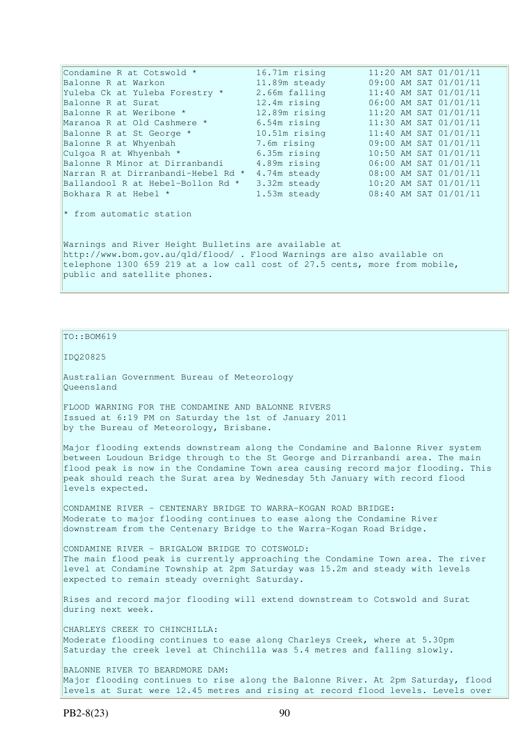| Condamine R at Cotswold *                                                                                  | 16.71m rising  | 11:20 AM SAT 01/01/11               |  |
|------------------------------------------------------------------------------------------------------------|----------------|-------------------------------------|--|
| Balonne R at Warkon                                                                                        | 11.89m steady  | 09:00 AM SAT 01/01/11               |  |
| Yuleba Ck at Yuleba Forestry *                                                                             | 2.66m falling  | 11:40 AM SAT 01/01/11               |  |
| Balonne R at Surat                                                                                         | 12.4m rising   | 06:00 AM SAT 01/01/11               |  |
| Balonne R at Weribone *                                                                                    | 12.89m rising  | 11:20 AM SAT 01/01/11               |  |
| Maranoa R at Old Cashmere *                                                                                | 6.54m rising   | 11:30 AM SAT 01/01/11               |  |
| Balonne R at St George *                                                                                   |                | 10.51m rising 11:40 AM SAT 01/01/11 |  |
| Balonne R at Whyenbah                                                                                      | 7.6m rising    | 09:00 AM SAT 01/01/11               |  |
| Culgoa R at Whyenbah *                                                                                     | $6.35m$ rising | 10:50 AM SAT 01/01/11               |  |
| Balonne R Minor at Dirranbandi                                                                             | 4.89m rising   | 06:00 AM SAT 01/01/11               |  |
| Narran R at Dirranbandi-Hebel Rd *                                                                         | 4.74m steady   | 08:00 AM SAT 01/01/11               |  |
| Ballandool R at Hebel-Bollon Rd *                                                                          | 3.32m steady   | 10:20 AM SAT 01/01/11               |  |
| Bokhara R at Hebel *                                                                                       | 1.53m steady   | 08:40 AM SAT 01/01/11               |  |
| * from automatic station                                                                                   |                |                                     |  |
| Warnings and River Height Bulletins are available at                                                       |                |                                     |  |
| http://www.bom.gov.au/qld/flood/ . Flood Warnings are also available on                                    |                |                                     |  |
| telephone 1300 659 219 at a low call cost of 27.5 cents, more from mobile,<br>public and satellite phones. |                |                                     |  |

 $TO::BOM619$ 

IDQ20825

Australian Government Bureau of Meteorology Queensland

FLOOD WARNING FOR THE CONDAMINE AND BALONNE RIVERS Issued at 6:19 PM on Saturday the 1st of January 2011 by the Bureau of Meteorology, Brisbane.

Major flooding extends downstream along the Condamine and Balonne River system between Loudoun Bridge through to the St George and Dirranbandi area. The main flood peak is now in the Condamine Town area causing record major flooding. This peak should reach the Surat area by Wednesday 5th January with record flood levels expected.

CONDAMINE RIVER - CENTENARY BRIDGE TO WARRA-KOGAN ROAD BRIDGE: Moderate to major flooding continues to ease along the Condamine River downstream from the Centenary Bridge to the Warra-Kogan Road Bridge.

CONDAMINE RIVER - BRIGALOW BRIDGE TO COTSWOLD: The main flood peak is currently approaching the Condamine Town area. The river level at Condamine Township at 2pm Saturday was 15.2m and steady with levels expected to remain steady overnight Saturday.

Rises and record major flooding will extend downstream to Cotswold and Surat during next week.

CHARLEYS CREEK TO CHINCHILLA: Moderate flooding continues to ease along Charleys Creek, where at 5.30pm Saturday the creek level at Chinchilla was 5.4 metres and falling slowly.

BALONNE RIVER TO BEARDMORE DAM: Major flooding continues to rise along the Balonne River. At 2pm Saturday, flood levels at Surat were 12.45 metres and rising at record flood levels. Levels over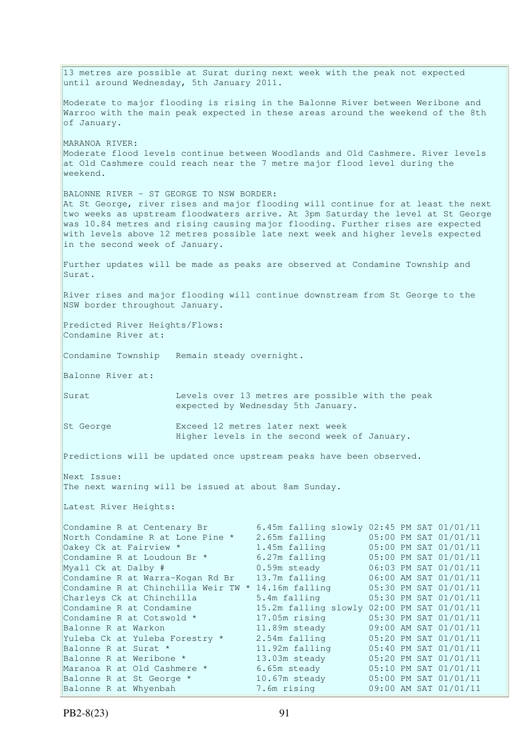13 metres are possible at Surat during next week with the peak not expected until around Wednesday, 5th January 2011. Moderate to major flooding is rising in the Balonne River between Weribone and Warroo with the main peak expected in these areas around the weekend of the 8th of January. MARANOA RIVER: Moderate flood levels continue between Woodlands and Old Cashmere. River levels at Old Cashmere could reach near the 7 metre major flood level during the weekend. BALONNE RIVER - ST GEORGE TO NSW BORDER: At St George, river rises and major flooding will continue for at least the next two weeks as upstream floodwaters arrive. At 3pm Saturday the level at St George was 10.84 metres and rising causing major flooding. Further rises are expected with levels above 12 metres possible late next week and higher levels expected in the second week of January. Further updates will be made as peaks are observed at Condamine Township and Surat. River rises and major flooding will continue downstream from St George to the NSW border throughout January. Predicted River Heights/Flows: Condamine River at: Condamine Township Remain steady overnight. Balonne River at: Surat The Levels over 13 metres are possible with the peak expected by Wednesday 5th January. St George Exceed 12 metres later next week Higher levels in the second week of January. Predictions will be updated once upstream peaks have been observed. Next Issue: The next warning will be issued at about 8am Sunday. Latest River Heights: Condamine R at Centenary Br 6.45m falling slowly 02:45 PM SAT 01/01/11 North Condamine R at Lone Pine \* 2.65m falling 05:00 PM SAT 01/01/11 Oakey Ck at Fairview \* 1.45m falling 05:00 PM SAT 01/01/11 Condamine R at Loudoun Br  $*$  6.27m falling 05:00 PM SAT 01/01/11 Myall Ck at Dalby # 0.59m steady 06:03 PM SAT 01/01/11 Condamine R at Warra-Kogan Rd Br 13.7m falling 06:00 AM SAT 01/01/11 Condamine R at Chinchilla Weir TW  $*$  14.16m falling  $0.5:30$  PM SAT 01/01/11 Charleys Ck at Chinchilla 5.4m falling 05:30 PM SAT 01/01/11 Condamine R at Condamine 15.2m falling slowly 02:00 PM SAT 01/01/11 Condamine R at Cotswold \* 17.05m rising  $05:30$  PM SAT 01/01/11 Balonne R at Warkon 11.89m steady 09:00 AM SAT 01/01/11 Yuleba Ck at Yuleba Forestry \* 2.54m falling 05:20 PM SAT 01/01/11 Balonne R at Surat \* 11.92m falling 05:40 PM SAT 01/01/11 Balonne R at Weribone \* 13.03m steady 05:20 PM SAT 01/01/11 Maranoa R at Old Cashmere \* 6.65m steady 05:10 PM SAT 01/01/11 Balonne R at St George \* 10.67m steady 05:00 PM SAT 01/01/11 Balonne R at Whyenbah 7.6m rising 09:00 AM SAT 01/01/11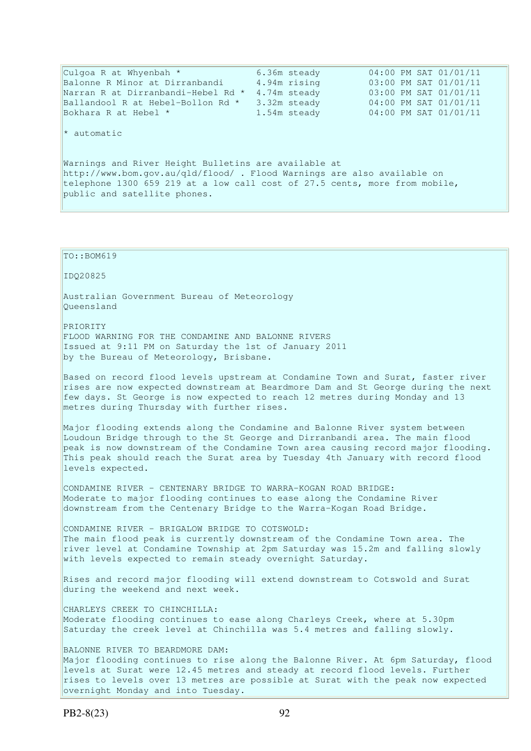| Culgoa R at Whyenbah *<br>Balonne R Minor at Dirranbandi<br>Narran R at Dirranbandi-Hebel Rd *<br>Ballandool R at Hebel-Bollon Rd *<br>Bokhara R at Hebel *                                                                                                                                                                                           | 6.36m steady<br>4.94m rising<br>4.74m steady<br>3.32m steady<br>1.54m steady | 04:00 PM SAT 01/01/11<br>03:00 PM SAT 01/01/11<br>03:00 PM SAT 01/01/11<br>04:00 PM SAT 01/01/11<br>04:00 PM SAT 01/01/11 |  |  |  |
|-------------------------------------------------------------------------------------------------------------------------------------------------------------------------------------------------------------------------------------------------------------------------------------------------------------------------------------------------------|------------------------------------------------------------------------------|---------------------------------------------------------------------------------------------------------------------------|--|--|--|
| * automatic<br>Warnings and River Height Bulletins are available at<br>http://www.bom.gov.au/qld/flood/ . Flood Warnings are also available on<br>telephone 1300 659 219 at a low call cost of 27.5 cents, more from mobile,                                                                                                                          |                                                                              |                                                                                                                           |  |  |  |
| public and satellite phones.                                                                                                                                                                                                                                                                                                                          |                                                                              |                                                                                                                           |  |  |  |
|                                                                                                                                                                                                                                                                                                                                                       |                                                                              |                                                                                                                           |  |  |  |
| $TO: BOM619$                                                                                                                                                                                                                                                                                                                                          |                                                                              |                                                                                                                           |  |  |  |
| IDQ20825                                                                                                                                                                                                                                                                                                                                              |                                                                              |                                                                                                                           |  |  |  |
| Australian Government Bureau of Meteorology<br>Oueensland                                                                                                                                                                                                                                                                                             |                                                                              |                                                                                                                           |  |  |  |
| <b>PRIORITY</b><br>FLOOD WARNING FOR THE CONDAMINE AND BALONNE RIVERS<br>Issued at 9:11 PM on Saturday the 1st of January 2011<br>by the Bureau of Meteorology, Brisbane.                                                                                                                                                                             |                                                                              |                                                                                                                           |  |  |  |
| Based on record flood levels upstream at Condamine Town and Surat, faster river<br>rises are now expected downstream at Beardmore Dam and St George during the next<br>few days. St George is now expected to reach 12 metres during Monday and 13<br>metres during Thursday with further rises.                                                      |                                                                              |                                                                                                                           |  |  |  |
| Major flooding extends along the Condamine and Balonne River system between<br>Loudoun Bridge through to the St George and Dirranbandi area. The main flood<br>peak is now downstream of the Condamine Town area causing record major flooding.<br>This peak should reach the Surat area by Tuesday 4th January with record flood<br>levels expected. |                                                                              |                                                                                                                           |  |  |  |
| CONDAMINE RIVER - CENTENARY BRIDGE TO WARRA-KOGAN ROAD BRIDGE:<br>Moderate to major flooding continues to ease along the Condamine River<br>downstream from the Centenary Bridge to the Warra-Kogan Road Bridge.                                                                                                                                      |                                                                              |                                                                                                                           |  |  |  |
| CONDAMINE RIVER - BRIGALOW BRIDGE TO COTSWOLD:<br>The main flood peak is currently downstream of the Condamine Town area. The<br>river level at Condamine Township at 2pm Saturday was 15.2m and falling slowly<br>with levels expected to remain steady overnight Saturday.                                                                          |                                                                              |                                                                                                                           |  |  |  |

Rises and record major flooding will extend downstream to Cotswold and Surat during the weekend and next week.

CHARLEYS CREEK TO CHINCHILLA: Moderate flooding continues to ease along Charleys Creek, where at 5.30pm Saturday the creek level at Chinchilla was 5.4 metres and falling slowly.

BALONNE RIVER TO BEARDMORE DAM: Major flooding continues to rise along the Balonne River. At 6pm Saturday, flood levels at Surat were 12.45 metres and steady at record flood levels. Further rises to levels over 13 metres are possible at Surat with the peak now expected overnight Monday and into Tuesday.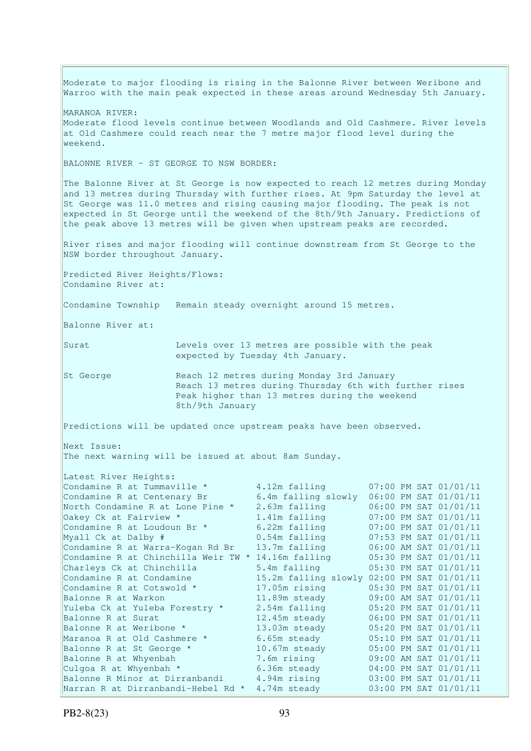Moderate to major flooding is rising in the Balonne River between Weribone and Warroo with the main peak expected in these areas around Wednesday 5th January. MARANOA RIVER: Moderate flood levels continue between Woodlands and Old Cashmere. River levels at Old Cashmere could reach near the 7 metre major flood level during the weekend. BALONNE RIVER - ST GEORGE TO NSW BORDER: The Balonne River at St George is now expected to reach 12 metres during Monday and 13 metres during Thursday with further rises. At 9pm Saturday the level at St George was 11.0 metres and rising causing major flooding. The peak is not expected in St George until the weekend of the 8th/9th January. Predictions of the peak above 13 metres will be given when upstream peaks are recorded. River rises and major flooding will continue downstream from St George to the NSW border throughout January. Predicted River Heights/Flows: Condamine River at: Condamine Township Remain steady overnight around 15 metres. Balonne River at: Surat Levels over 13 metres are possible with the peak expected by Tuesday 4th January. St George Reach 12 metres during Monday 3rd January Reach 13 metres during Thursday 6th with further rises Peak higher than 13 metres during the weekend 8th/9th January Predictions will be updated once upstream peaks have been observed. Next Issue: The next warning will be issued at about 8am Sunday. Latest River Heights: Condamine R at Tummaville \* 4.12m falling 07:00 PM SAT 01/01/11<br>Condamine R at Centenary Br 6.4m falling slowly 06:00 PM SAT 01/01/11 Condamine R at Centenary Br 6.4m falling slowly 06:00 PM SAT 01/01/11 North Condamine R at Lone Pine \* 2.63m falling 06:00 PM SAT 01/01/11 Oakey Ck at Fairview \* 1.41m falling 07:00 PM SAT 01/01/11 Condamine R at Loudoun Br  $*$  6.22m falling  $07:00$  PM SAT  $01/01/11$ Myall Ck at Dalby # 0.54m falling 07:53 PM SAT 01/01/11 Condamine R at Warra-Kogan Rd Br 13.7m falling 06:00 AM SAT 01/01/11 Condamine R at Chinchilla Weir TW \* 14.16m falling 05:30 PM SAT 01/01/11 Charleys Ck at Chinchilla 5.4m falling 05:30 PM SAT 01/01/11 Condamine R at Condamine 15.2m falling slowly 02:00 PM SAT 01/01/11 Condamine R at Cotswold  $*$  17.05m rising  $0.5:30$  PM SAT 01/01/11 Balonne R at Warkon 11.89m steady 09:00 AM SAT 01/01/11 Yuleba Ck at Yuleba Forestry \* 2.54m falling 05:20 PM SAT 01/01/11 Balonne R at Surat 12.45m steady 06:00 PM SAT 01/01/11 Balonne R at Weribone \* 12.43m steady 06:00 PM SAT 01/01/11<br>
Maranoa R at Old Cashmere \* 6.65m steady 05:20 PM SAT 01/01/11 Maranoa R at Old Cashmere \* 10.65m steady 10.67m of the Maranoa R at Old Cashmere \* 10.65m steady 105:20 PM SAT 01/01/11 Balonne R at St George \* 10.67m steady 05:00 PM SAT 01/01/11 Balonne R at Whyenbah 7.6m rising 09:00 AM SAT 01/01/11 Culgoa R at Whyenbah  $\star$  6.36m steady 04:00 PM SAT 01/01/11 Balonne R Minor at Dirranbandi 4.94m rising 03:00 PM SAT 01/01/11 Narran R at Dirranbandi-Hebel Rd \* 4.74m steady 03:00 PM SAT 01/01/11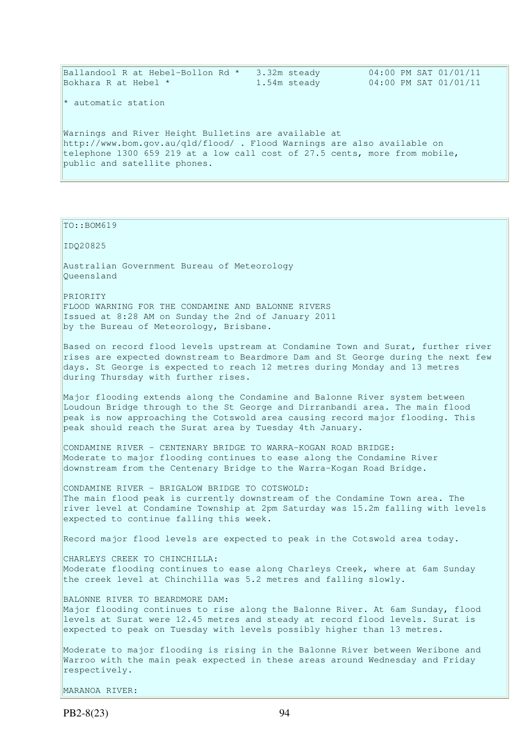| Ballandool R at Hebel-Bollon Rd *<br>Bokhara R at Hebel *                                                                       | 3.32m steady<br>1.54m steady | 04:00 PM SAT 01/01/11<br>04:00 PM SAT 01/01/11 |
|---------------------------------------------------------------------------------------------------------------------------------|------------------------------|------------------------------------------------|
|                                                                                                                                 |                              |                                                |
| $\star$ automatic station                                                                                                       |                              |                                                |
|                                                                                                                                 |                              |                                                |
| Warnings and River Height Bulletins are available at<br>http://www.bom.gov.au/gld/flood/ . Flood Warnings are also available on |                              |                                                |
| telephone 1300 659 219 at a low call cost of 27.5 cents, more from mobile,                                                      |                              |                                                |
| public and satellite phones.                                                                                                    |                              |                                                |
|                                                                                                                                 |                              |                                                |

TO::BOM619

IDQ20825

Australian Government Bureau of Meteorology Queensland

PRIORITY FLOOD WARNING FOR THE CONDAMINE AND BALONNE RIVERS Issued at 8:28 AM on Sunday the 2nd of January 2011 by the Bureau of Meteorology, Brisbane.

Based on record flood levels upstream at Condamine Town and Surat, further river rises are expected downstream to Beardmore Dam and St George during the next few days. St George is expected to reach 12 metres during Monday and 13 metres during Thursday with further rises.

Major flooding extends along the Condamine and Balonne River system between Loudoun Bridge through to the St George and Dirranbandi area. The main flood peak is now approaching the Cotswold area causing record major flooding. This peak should reach the Surat area by Tuesday 4th January.

CONDAMINE RIVER - CENTENARY BRIDGE TO WARRA-KOGAN ROAD BRIDGE: Moderate to major flooding continues to ease along the Condamine River downstream from the Centenary Bridge to the Warra-Kogan Road Bridge.

CONDAMINE RIVER - BRIGALOW BRIDGE TO COTSWOLD: The main flood peak is currently downstream of the Condamine Town area. The river level at Condamine Township at 2pm Saturday was 15.2m falling with levels expected to continue falling this week.

Record major flood levels are expected to peak in the Cotswold area today.

CHARLEYS CREEK TO CHINCHILLA: Moderate flooding continues to ease along Charleys Creek, where at 6am Sunday the creek level at Chinchilla was 5.2 metres and falling slowly.

BALONNE RIVER TO BEARDMORE DAM: Major flooding continues to rise along the Balonne River. At 6am Sunday, flood levels at Surat were 12.45 metres and steady at record flood levels. Surat is expected to peak on Tuesday with levels possibly higher than 13 metres.

Moderate to major flooding is rising in the Balonne River between Weribone and Warroo with the main peak expected in these areas around Wednesday and Friday respectively.

MARANOA RIVER: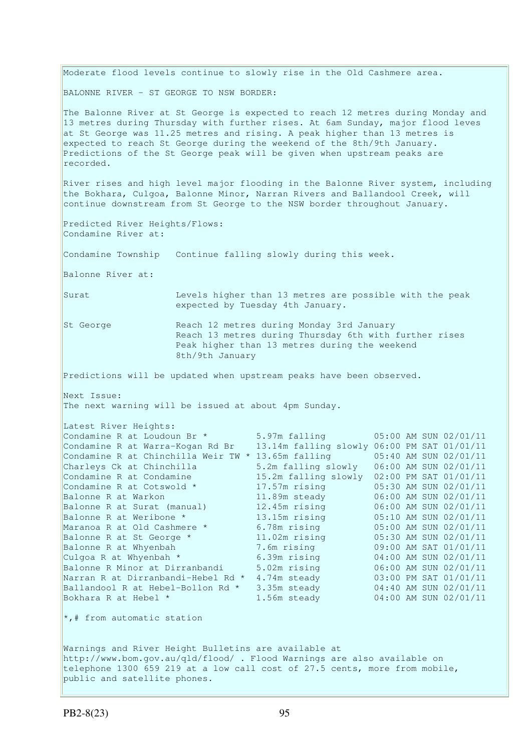Moderate flood levels continue to slowly rise in the Old Cashmere area. BALONNE RIVER - ST GEORGE TO NSW BORDER: The Balonne River at St George is expected to reach 12 metres during Monday and 13 metres during Thursday with further rises. At 6am Sunday, major flood leves at St George was 11.25 metres and rising. A peak higher than 13 metres is expected to reach St George during the weekend of the 8th/9th January. Predictions of the St George peak will be given when upstream peaks are recorded. River rises and high level major flooding in the Balonne River system, including the Bokhara, Culgoa, Balonne Minor, Narran Rivers and Ballandool Creek, will continue downstream from St George to the NSW border throughout January. Predicted River Heights/Flows: Condamine River at: Condamine Township Continue falling slowly during this week. Balonne River at: Surat Levels higher than 13 metres are possible with the peak expected by Tuesday 4th January. St George The Reach 12 metres during Monday 3rd January Reach 13 metres during Thursday 6th with further rises Peak higher than 13 metres during the weekend 8th/9th January Predictions will be updated when upstream peaks have been observed. Next Issue: The next warning will be issued at about 4pm Sunday. Latest River Heights: Condamine R at Loudoun Br  $*$  5.97m falling 65:00 AM SUN 02/01/11 Condamine R at Warra-Kogan Rd Br 13.14m falling slowly 06:00 PM SAT 01/01/11 Condamine R at Chinchilla Weir TW \* 13.65m falling  $05:40$  AM SUN 02/01/11 Charleys Ck at Chinchilla 5.2m falling slowly 06:00 AM SUN 02/01/11 Condamine R at Condamine 15.2m falling slowly 02:00 PM SAT 01/01/11 Condamine R at Cotswold  $*$  17.57m rising  $05:30$  AM SUN 02/01/11 Balonne R at Warkon 11.89m steady 06:00 AM SUN 02/01/11 Balonne R at Surat (manual) 12.45m rising 06:00 AM SUN 02/01/11 Balonne R at Weribone \* 13.15m rising 05:10 AM SUN 02/01/11 Maranoa R at Old Cashmere \* 19.19 19.19 19.19 19.19 19.19 19.19 19.19 19.19 19.19 19.19 19.19 19.19 19.19 19.1<br>Balonne R at St George \* 11.02m rising 05:30 AM SUN 02/01/11 Balonne R at St George  $*$ Balonne R at Whyenbah 7.6m rising 09:00 AM SAT 01/01/11 Culgoa R at Whyenbah  $\star$  6.39m rising 04:00 AM SUN 02/01/11 Balonne R Minor at Dirranbandi 5.02m rising 06:00 AM SUN 02/01/11 Balonne R Minor at Dirranbandi<br>
Narran R at Dirranbandi-Hebel Rd \* 4.74m steady 03:00 PM SAT 01/01/11<br>
Narran R at Dirranbandi-Hebel Rd \* 4.74m steady 03:00 PM SAT 01/01/11<br>
Bokhara R at Hebel \* 1.56m steady 04:00 AM SUN 0 Ballandool R at Hebel-Bollon Rd \* 3.35m steady 04:40 AM SUN 02/01/11 Bokhara R at Hebel \* 1.56m steady 04:00 AM SUN 02/01/11  $\star$ ,# from automatic station Warnings and River Height Bulletins are available at http://www.bom.gov.au/qld/flood/ . Flood Warnings are also available on telephone 1300 659 219 at a low call cost of 27.5 cents, more from mobile, public and satellite phones.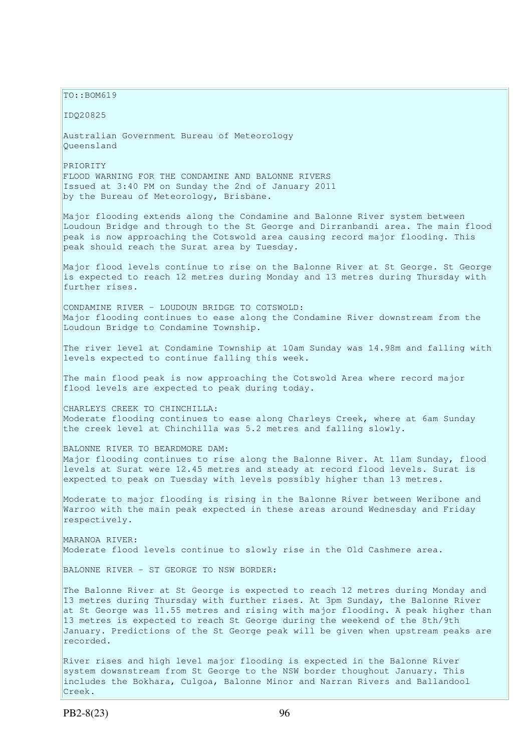$TO: **ROM619**$ IDQ20825 Australian Government Bureau of Meteorology Queensland PRIORITY FLOOD WARNING FOR THE CONDAMINE AND BALONNE RIVERS Issued at 3:40 PM on Sunday the 2nd of January 2011 by the Bureau of Meteorology, Brisbane. Major flooding extends along the Condamine and Balonne River system between Loudoun Bridge and through to the St George and Dirranbandi area. The main flood peak is now approaching the Cotswold area causing record major flooding. This peak should reach the Surat area by Tuesday. Major flood levels continue to rise on the Balonne River at St George. St George is expected to reach 12 metres during Monday and 13 metres during Thursday with further rises. CONDAMINE RIVER - LOUDOUN BRIDGE TO COTSWOLD: Major flooding continues to ease along the Condamine River downstream from the Loudoun Bridge to Condamine Township. The river level at Condamine Township at 10am Sunday was 14.98m and falling with levels expected to continue falling this week. The main flood peak is now approaching the Cotswold Area where record major flood levels are expected to peak during today. CHARLEYS CREEK TO CHINCHILLA: Moderate flooding continues to ease along Charleys Creek, where at 6am Sunday the creek level at Chinchilla was 5.2 metres and falling slowly. BALONNE RIVER TO BEARDMORE DAM: Major flooding continues to rise along the Balonne River. At 11am Sunday, flood levels at Surat were 12.45 metres and steady at record flood levels. Surat is expected to peak on Tuesday with levels possibly higher than 13 metres. Moderate to major flooding is rising in the Balonne River between Weribone and Warroo with the main peak expected in these areas around Wednesday and Friday respectively. MARANOA RIVER: Moderate flood levels continue to slowly rise in the Old Cashmere area. BALONNE RIVER - ST GEORGE TO NSW BORDER: The Balonne River at St George is expected to reach 12 metres during Monday and 13 metres during Thursday with further rises. At 3pm Sunday, the Balonne River at St George was 11.55 metres and rising with major flooding. A peak higher than 13 metres is expected to reach St George during the weekend of the 8th/9th January. Predictions of the St George peak will be given when upstream peaks are recorded.

River rises and high level major flooding is expected in the Balonne River system dowsnstream from St George to the NSW border thoughout January. This includes the Bokhara, Culgoa, Balonne Minor and Narran Rivers and Ballandool Creek.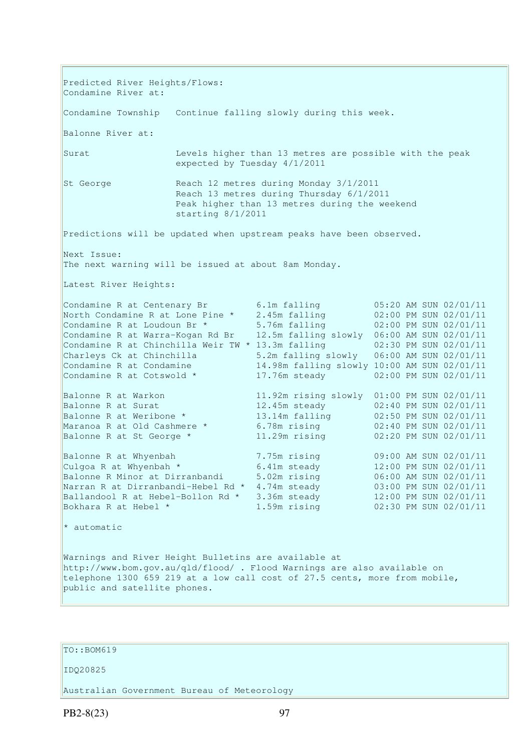Predicted River Heights/Flows: Condamine River at: Condamine Township Continue falling slowly during this week. Balonne River at: Surat Levels higher than 13 metres are possible with the peak expected by Tuesday 4/1/2011 St George Reach 12 metres during Monday 3/1/2011 Reach 13 metres during Thursday 6/1/2011 Peak higher than 13 metres during the weekend starting 8/1/2011 Predictions will be updated when upstream peaks have been observed. Next Issue: The next warning will be issued at about 8am Monday. Latest River Heights: Condamine R at Centenary Br  $6.1$ m falling  $05:20$  AM SUN 02/01/11 North Condamine R at Lone Pine \* 2.45m falling 02:00 PM SUN 02/01/11 Condamine R at Loudoun Br  $*$  5.76m falling 02:00 PM SUN 02/01/11 Condamine R at Warra-Kogan Rd Br 12.5m falling slowly 06:00 AM SUN 02/01/11 Condamine R at Chinchilla Weir TW  $*$  13.3m falling 02:30 PM SUN 02/01/11 Charleys Ck at Chinchilla 5.2m falling slowly 06:00 AM SUN 02/01/11 Condamine R at Condamine 14.98m falling slowly 10:00 AM SUN 02/01/11 Condamine R at Condamine 14.98m falling slowly 10:00 AM SUN 02/01/11<br>Condamine R at Cotswold \* 17.76m steady 02:00 PM SUN 02/01/11 Balonne R at Warkon 11.92m rising slowly 01:00 PM SUN 02/01/11 Balonne R at Surat 12.45m steady 02:40 PM SUN 02/01/11 Balonne R at Weribone \* 13.14m falling 02:50 PM SUN 02/01/11 Maranoa R at Old Cashmere \* 6.78m rising 02:40 PM SUN 02/01/11 Balonne R at St George \* 11.29m rising 02:20 PM SUN 02/01/11 Balonne R at Whyenbah 7.75m rising 09:00 AM SUN 02/01/11<br>
Culgoa R at Whyenbah \* 6.41m steady 12:00 PM SUN 02/01/11<br>
Balonne R Minor at Dirranbandi 5.02m rising 06:00 AM SUN 02/01/11<br>
Narran R at Dirranbandi-Hebel Rd \* 4.7 Culgoa R at Whyenbah  $\star$  6.41m steady 12:00 PM SUN 02/01/11 Balonne R Minor at Dirranbandi 5.02m rising 06:00 AM SUN 02/01/11 Narran R at Dirranbandi-Hebel Rd  $*$  4.74m steady Ballandool R at Hebel-Bollon Rd \* 3.36m steady 12:00 PM SUN 02/01/11 Bokhara R at Hebel \* 1.59m rising 02:30 PM SUN 02/01/11 \* automatic

Warnings and River Height Bulletins are available at http://www.bom.gov.au/qld/flood/ . Flood Warnings are also available on telephone 1300 659 219 at a low call cost of 27.5 cents, more from mobile, public and satellite phones.

## TO::BOM619

#### IDQ20825

Australian Government Bureau of Meteorology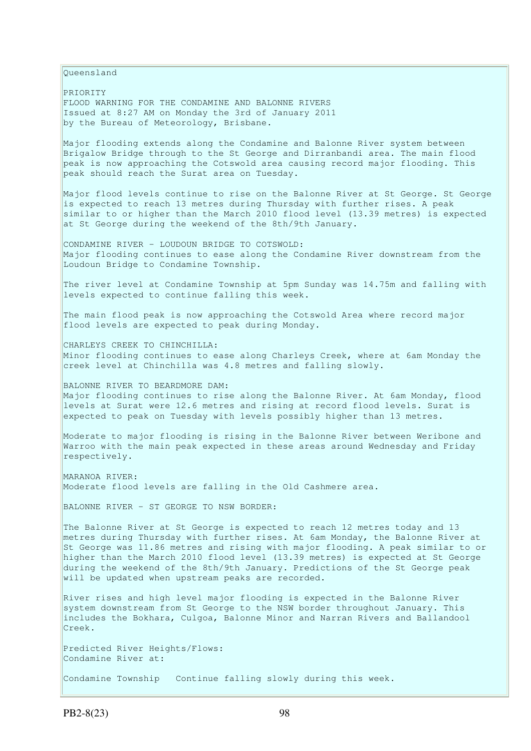Queensland

PRIORITY FLOOD WARNING FOR THE CONDAMINE AND BALONNE RIVERS Issued at 8:27 AM on Monday the 3rd of January 2011 by the Bureau of Meteorology, Brisbane.

Major flooding extends along the Condamine and Balonne River system between Brigalow Bridge through to the St George and Dirranbandi area. The main flood peak is now approaching the Cotswold area causing record major flooding. This peak should reach the Surat area on Tuesday.

Major flood levels continue to rise on the Balonne River at St George. St George is expected to reach 13 metres during Thursday with further rises. A peak similar to or higher than the March 2010 flood level (13.39 metres) is expected at St George during the weekend of the 8th/9th January.

CONDAMINE RIVER - LOUDOUN BRIDGE TO COTSWOLD: Major flooding continues to ease along the Condamine River downstream from the Loudoun Bridge to Condamine Township.

The river level at Condamine Township at 5pm Sunday was 14.75m and falling with levels expected to continue falling this week.

The main flood peak is now approaching the Cotswold Area where record major flood levels are expected to peak during Monday.

CHARLEYS CREEK TO CHINCHILLA: Minor flooding continues to ease along Charleys Creek, where at 6am Monday the creek level at Chinchilla was 4.8 metres and falling slowly.

BALONNE RIVER TO BEARDMORE DAM: Major flooding continues to rise along the Balonne River. At 6am Monday, flood levels at Surat were 12.6 metres and rising at record flood levels. Surat is expected to peak on Tuesday with levels possibly higher than 13 metres.

Moderate to major flooding is rising in the Balonne River between Weribone and Warroo with the main peak expected in these areas around Wednesday and Friday respectively.

MARANOA RIVER: Moderate flood levels are falling in the Old Cashmere area.

BALONNE RIVER - ST GEORGE TO NSW BORDER:

The Balonne River at St George is expected to reach 12 metres today and 13 metres during Thursday with further rises. At 6am Monday, the Balonne River at St George was 11.86 metres and rising with major flooding. A peak similar to or higher than the March 2010 flood level (13.39 metres) is expected at St George during the weekend of the 8th/9th January. Predictions of the St George peak will be updated when upstream peaks are recorded.

River rises and high level major flooding is expected in the Balonne River system downstream from St George to the NSW border throughout January. This includes the Bokhara, Culgoa, Balonne Minor and Narran Rivers and Ballandool Creek.

Predicted River Heights/Flows: Condamine River at:

Condamine Township Continue falling slowly during this week.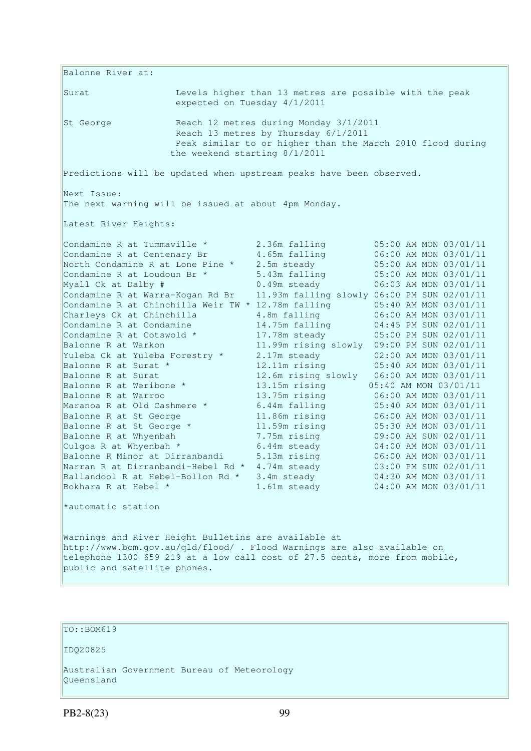Balonne River at: Surat The Levels higher than 13 metres are possible with the peak expected on Tuesday 4/1/2011 St George Reach 12 metres during Monday 3/1/2011 Reach 13 metres by Thursday 6/1/2011 Peak similar to or higher than the March 2010 flood during the weekend starting 8/1/2011 Predictions will be updated when upstream peaks have been observed. Next Issue: The next warning will be issued at about 4pm Monday. Latest River Heights: Condamine R at Tummaville \* 2.36m falling 05:00 AM MON 03/01/11<br>
Condamine R at Centenary Br 4.65m falling 06:00 AM MON 03/01/11 Condamine R at Centenary Br 4.65m falling 06:00 AM MON 03/01/11 North Condamine R at Lone Pine \* 2.5m steady 05:00 AM MON 03/01/11 Condamine R at Loudoun Br  $*$  5.43m falling 05:00 AM MON 03/01/11 Myall Ck at Dalby # 0.49m steady 06:03 AM MON 03/01/11 Condamine R at Warra-Kogan Rd Br 11.93m falling slowly 06:00 PM SUN 02/01/11 Condamine R at Chinchilla Weir TW  $*$  12.78m falling  $05:40$  AM MON 03/01/11 Charleys Ck at Chinchilla 4.8m falling 06:00 AM MON 03/01/11 Condamine R at Condamine 14.75m falling 04:45 PM SUN 02/01/11 Condamine R at Cotswold  $*$  17.78m steady 05:00 PM SUN 02/01/11 Balonne R at Warkon 11.99m rising slowly 09:00 PM SUN 02/01/11 Yuleba Ck at Yuleba Forestry \* 2.17m steady 02:00 AM MON 03/01/11 Balonne R at Surat \* 12.11m rising 05:40 AM MON 03/01/11 Balonne R at Surat 12.6m rising slowly 06:00 AM MON 03/01/11 Balonne R at Weribone \* 13.15m rising 05:40 AM MON 03/01/11 Balonne R at Warroo 13.75m rising 06:00 AM MON 03/01/11 Maranoa R at Old Cashmere \* 6.44m falling 05:40 AM MON 03/01/11 Balonne R at St George 11.86m rising 06:00 AM MON 03/01/11 Balonne R at St George \* 11.59m rising 05:30 AM MON 03/01/11 Balonne R at Whyenbah 7.75m rising 09:00 AM SUN 02/01/11 Culgoa R at Whyenbah  $\star$  6.44m steady 04:00 AM MON 03/01/11 Balonne R Minor at Dirranbandi 5.13m rising 06:00 AM MON 03/01/11 Narran R at Dirranbandi-Hebel Rd \* 4.74m steady 03:00 PM SUN 02/01/11 Ballandool R at Hebel-Bollon Rd \* 3.4m steady 04:30 AM MON 03/01/11 Bokhara R at Hebel \* 1.61m steady 04:00 AM MON 03/01/11 \*automatic station

Warnings and River Height Bulletins are available at http://www.bom.gov.au/qld/flood/ . Flood Warnings are also available on telephone 1300 659 219 at a low call cost of 27.5 cents, more from mobile, public and satellite phones.

# TO::BOM619

IDQ20825

Australian Government Bureau of Meteorology Queensland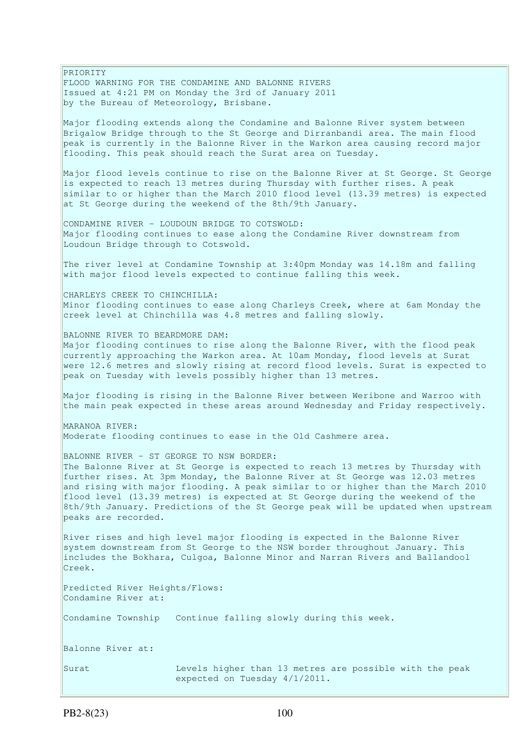PRIORITY FLOOD WARNING FOR THE CONDAMINE AND BALONNE RIVERS Issued at 4:21 PM on Monday the 3rd of January 2011 by the Bureau of Meteorology, Brisbane. Major flooding extends along the Condamine and Balonne River system between Brigalow Bridge through to the St George and Dirranbandi area. The main flood peak is currently in the Balonne River in the Warkon area causing record major flooding. This peak should reach the Surat area on Tuesday. Major flood levels continue to rise on the Balonne River at St George. St George is expected to reach 13 metres during Thursday with further rises. A peak similar to or higher than the March 2010 flood level (13.39 metres) is expected at St George during the weekend of the 8th/9th January. CONDAMINE RIVER - LOUDOUN BRIDGE TO COTSWOLD: Major flooding continues to ease along the Condamine River downstream from Loudoun Bridge through to Cotswold. The river level at Condamine Township at 3:40pm Monday was 14.18m and falling with major flood levels expected to continue falling this week. CHARLEYS CREEK TO CHINCHILLA: Minor flooding continues to ease along Charleys Creek, where at 6am Monday the creek level at Chinchilla was 4.8 metres and falling slowly. BALONNE RIVER TO BEARDMORE DAM: Major flooding continues to rise along the Balonne River, with the flood peak currently approaching the Warkon area. At 10am Monday, flood levels at Surat were 12.6 metres and slowly rising at record flood levels. Surat is expected to peak on Tuesday with levels possibly higher than 13 metres. Major flooding is rising in the Balonne River between Weribone and Warroo with the main peak expected in these areas around Wednesday and Friday respectively. MARANOA RIVER: Moderate flooding continues to ease in the Old Cashmere area. BALONNE RIVER - ST GEORGE TO NSW BORDER: The Balonne River at St George is expected to reach 13 metres by Thursday with further rises. At 3pm Monday, the Balonne River at St George was 12.03 metres and rising with major flooding. A peak similar to or higher than the March 2010 flood level (13.39 metres) is expected at St George during the weekend of the 8th/9th January. Predictions of the St George peak will be updated when upstream peaks are recorded. River rises and high level major flooding is expected in the Balonne River system downstream from St George to the NSW border throughout January. This includes the Bokhara, Culgoa, Balonne Minor and Narran Rivers and Ballandool Creek. Predicted River Heights/Flows: Condamine River at: Condamine Township Continue falling slowly during this week. Balonne River at: Surat Levels higher than 13 metres are possible with the peak expected on Tuesday 4/1/2011.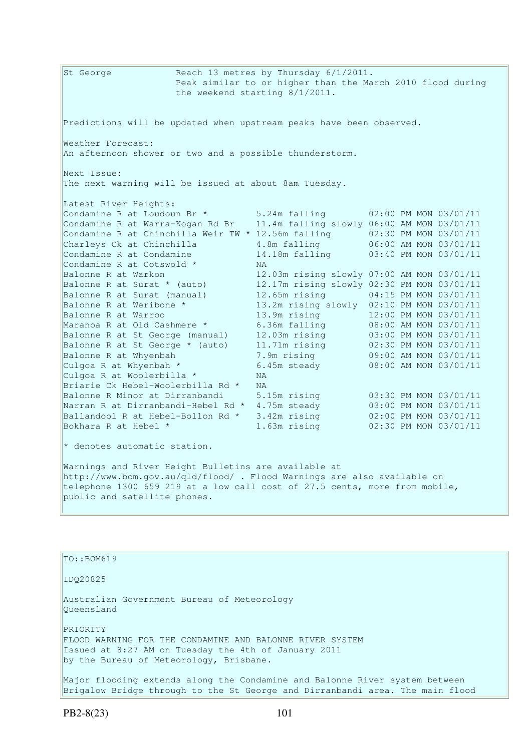St George Reach 13 metres by Thursday 6/1/2011. Peak similar to or higher than the March 2010 flood during the weekend starting 8/1/2011. Predictions will be updated when upstream peaks have been observed. Weather Forecast: An afternoon shower or two and a possible thunderstorm. Next Issue: The next warning will be issued at about 8am Tuesday. Latest River Heights: Condamine R at Loudoun Br  $*$  5.24m falling 02:00 PM MON 03/01/11 Condamine R at Warra-Kogan Rd Br 11.4m falling slowly 06:00 AM MON 03/01/11 Condamine R at Chinchilla Weir TW  $*$  12.56m falling  $02:30$  PM MON 03/01/11 Charleys Ck at Chinchilla 4.8m falling 06:00 AM MON 03/01/11 Condamine R at Chinchilla (Charleys Ck at Chinchilla and A.8m falling 06:00 AM MON 03/01/11<br>
Condamine R at Condamine 14.18m falling 03:40 PM MON 03/01/11<br>
Condamine R at Cotswold \* NA Condamine R at Cotswold \* Balonne R at Warkon 12.03m rising slowly 07:00 AM MON 03/01/11 Balonne R at Surat \* (auto) 12.17m rising slowly 02:30 PM MON 03/01/11 Balonne R at Surat (manual) 12.65m rising 04:15 PM MON 03/01/11 Balonne R at Weribone \* 13.2m rising slowly 02:10 PM MON 03/01/11 Balonne R at Warroo 13.9m rising 12:00 PM MON 03/01/11 Maranoa R at Old Cashmere \* 6.36m falling 08:00 AM MON 03/01/11 Balonne R at St George (manual) 12.03m rising 03:00 PM MON 03/01/11 Balonne R at St George \* (auto) 11.71m rising 02:30 PM MON 03/01/11 Balonne R at Whyenbah 7.9m rising 09:00 AM MON 03/01/11 Balonne R at Whyenbah  $\begin{array}{ccc} 7.9 \text{m} & 7.9 \text{m} & 09:00 \text{ AM} & 03/01/11 \\ \text{Culgoa R at Whyenbah} & 6.45 \text{m} & 08:00 \text{ AM} & 03/01/11 \\ \text{Culgoa B at Worldorbiila t} & \cdots & \cdots & \cdots & \cdots \end{array}$ Culgoa R at Woolerbilla \* NA Briarie Ck Hebel-Woolerbilla Rd \* NA Balonne R Minor at Dirranbandi 5.15m rising 03:30 PM MON 03/01/11 Narran R at Dirranbandi-Hebel Rd \* 4.75m steady 03:00 PM MON 03/01/11 Ballandool R at Hebel-Bollon Rd \* 3.42m rising 02:00 PM MON 03/01/11 Bokhara R at Hebel \* 1.63m rising 02:30 PM MON 03/01/11 \* denotes automatic station. Warnings and River Height Bulletins are available at http://www.bom.gov.au/qld/flood/ . Flood Warnings are also available on

TO::BOM619 IDQ20825 Australian Government Bureau of Meteorology Queensland PRIORITY FLOOD WARNING FOR THE CONDAMINE AND BALONNE RIVER SYSTEM Issued at 8:27 AM on Tuesday the 4th of January 2011 by the Bureau of Meteorology, Brisbane. Major flooding extends along the Condamine and Balonne River system between Brigalow Bridge through to the St George and Dirranbandi area. The main flood

telephone 1300 659 219 at a low call cost of 27.5 cents, more from mobile,

public and satellite phones.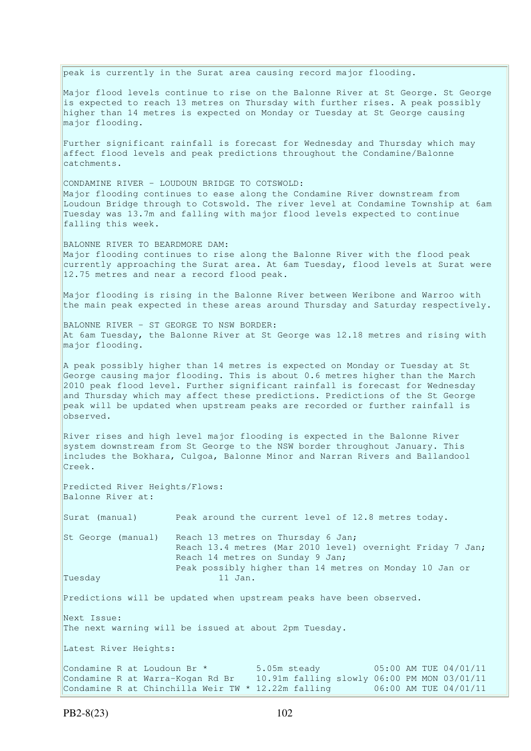peak is currently in the Surat area causing record major flooding. Major flood levels continue to rise on the Balonne River at St George. St George is expected to reach 13 metres on Thursday with further rises. A peak possibly higher than 14 metres is expected on Monday or Tuesday at St George causing major flooding. Further significant rainfall is forecast for Wednesday and Thursday which may affect flood levels and peak predictions throughout the Condamine/Balonne catchments. CONDAMINE RIVER - LOUDOUN BRIDGE TO COTSWOLD: Major flooding continues to ease along the Condamine River downstream from Loudoun Bridge through to Cotswold. The river level at Condamine Township at 6am Tuesday was 13.7m and falling with major flood levels expected to continue falling this week. BALONNE RIVER TO BEARDMORE DAM: Major flooding continues to rise along the Balonne River with the flood peak currently approaching the Surat area. At 6am Tuesday, flood levels at Surat were 12.75 metres and near a record flood peak. Major flooding is rising in the Balonne River between Weribone and Warroo with the main peak expected in these areas around Thursday and Saturday respectively. BALONNE RIVER - ST GEORGE TO NSW BORDER: At 6am Tuesday, the Balonne River at St George was 12.18 metres and rising with major flooding. A peak possibly higher than 14 metres is expected on Monday or Tuesday at St George causing major flooding. This is about 0.6 metres higher than the March 2010 peak flood level. Further significant rainfall is forecast for Wednesday and Thursday which may affect these predictions. Predictions of the St George peak will be updated when upstream peaks are recorded or further rainfall is observed. River rises and high level major flooding is expected in the Balonne River system downstream from St George to the NSW border throughout January. This includes the Bokhara, Culgoa, Balonne Minor and Narran Rivers and Ballandool Creek. Predicted River Heights/Flows: Balonne River at: Surat (manual) Peak around the current level of 12.8 metres today. St George (manual) Reach 13 metres on Thursday 6 Jan; Reach 13.4 metres (Mar 2010 level) overnight Friday 7 Jan; Reach 14 metres on Sunday 9 Jan; Peak possibly higher than 14 metres on Monday 10 Jan or Tuesday 11 Jan. Predictions will be updated when upstream peaks have been observed. Next Issue: The next warning will be issued at about 2pm Tuesday. Latest River Heights: Condamine R at Loudoun Br  $*$  5.05m steady 65:00 AM TUE 04/01/11 Condamine R at Warra-Kogan Rd Br 10.91m falling slowly 06:00 PM MON 03/01/11 Condamine R at Chinchilla Weir TW  $*$  12.22m falling 06:00 AM TUE 04/01/11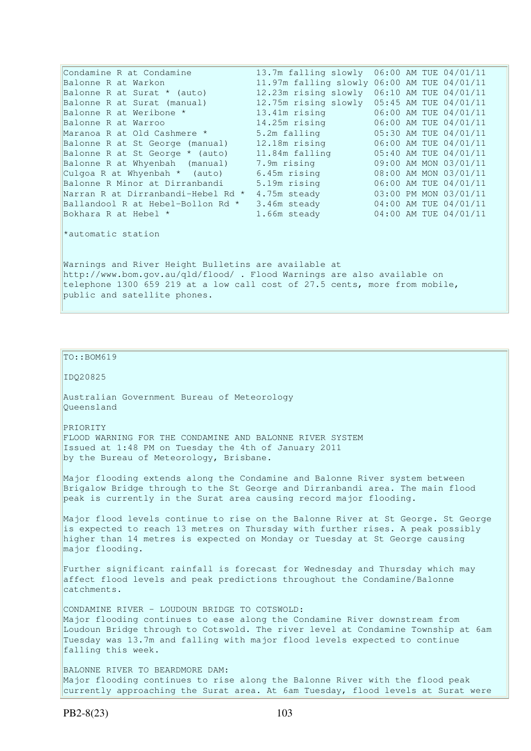| Condamine R at Condamine                                                                                                                                                                                                                      | 13.7m falling slowly                        | 06:00 AM TUE 04/01/11 |  |  |
|-----------------------------------------------------------------------------------------------------------------------------------------------------------------------------------------------------------------------------------------------|---------------------------------------------|-----------------------|--|--|
| Balonne R at Warkon                                                                                                                                                                                                                           | 11.97m falling slowly 06:00 AM TUE 04/01/11 |                       |  |  |
| Balonne R at Surat * (auto)                                                                                                                                                                                                                   | 12.23m rising slowly                        | 06:10 AM TUE 04/01/11 |  |  |
| Balonne R at Surat (manual)                                                                                                                                                                                                                   | 12.75m rising slowly                        | 05:45 AM TUE 04/01/11 |  |  |
| Balonne R at Weribone *                                                                                                                                                                                                                       | 13.41m rising                               | 06:00 AM TUE 04/01/11 |  |  |
| Balonne R at Warroo                                                                                                                                                                                                                           | 14.25m rising                               | 06:00 AM TUE 04/01/11 |  |  |
| Maranoa R at Old Cashmere *                                                                                                                                                                                                                   | 5.2m falling                                | 05:30 AM TUE 04/01/11 |  |  |
| Balonne R at St George (manual)                                                                                                                                                                                                               | 12.18m rising                               | 06:00 AM TUE 04/01/11 |  |  |
| Balonne R at St George * (auto)                                                                                                                                                                                                               | 11.84m falling                              | 05:40 AM TUE 04/01/11 |  |  |
| Balonne R at Whyenbah (manual)                                                                                                                                                                                                                | 7.9m rising                                 | 09:00 AM MON 03/01/11 |  |  |
| Culgoa R at Whyenbah * (auto)                                                                                                                                                                                                                 | 6.45m rising                                | 08:00 AM MON 03/01/11 |  |  |
| Balonne R Minor at Dirranbandi                                                                                                                                                                                                                | 5.19m rising                                | 06:00 AM TUE 04/01/11 |  |  |
| Narran R at Dirranbandi-Hebel Rd *                                                                                                                                                                                                            | 4.75m steady                                | 03:00 PM MON 03/01/11 |  |  |
| Ballandool R at Hebel-Bollon Rd *                                                                                                                                                                                                             | 3.46m steady                                | 04:00 AM TUE 04/01/11 |  |  |
| Bokhara R at Hebel *                                                                                                                                                                                                                          | 1.66m steady                                | 04:00 AM TUE 04/01/11 |  |  |
| *automatic station                                                                                                                                                                                                                            |                                             |                       |  |  |
| Warnings and River Height Bulletins are available at<br>http://www.bom.gov.au/qld/flood/ . Flood Warnings are also available on<br>telephone 1300 659 219 at a low call cost of 27.5 cents, more from mobile,<br>public and satellite phones. |                                             |                       |  |  |

```
TO::BOM619
```
IDQ20825

Australian Government Bureau of Meteorology Queensland

PRIORITY FLOOD WARNING FOR THE CONDAMINE AND BALONNE RIVER SYSTEM Issued at 1:48 PM on Tuesday the 4th of January 2011 by the Bureau of Meteorology, Brisbane.

Major flooding extends along the Condamine and Balonne River system between Brigalow Bridge through to the St George and Dirranbandi area. The main flood peak is currently in the Surat area causing record major flooding.

Major flood levels continue to rise on the Balonne River at St George. St George is expected to reach 13 metres on Thursday with further rises. A peak possibly higher than 14 metres is expected on Monday or Tuesday at St George causing major flooding.

Further significant rainfall is forecast for Wednesday and Thursday which may affect flood levels and peak predictions throughout the Condamine/Balonne catchments.

CONDAMINE RIVER - LOUDOUN BRIDGE TO COTSWOLD: Major flooding continues to ease along the Condamine River downstream from Loudoun Bridge through to Cotswold. The river level at Condamine Township at 6am Tuesday was 13.7m and falling with major flood levels expected to continue falling this week.

BALONNE RIVER TO BEARDMORE DAM: Major flooding continues to rise along the Balonne River with the flood peak currently approaching the Surat area. At 6am Tuesday, flood levels at Surat were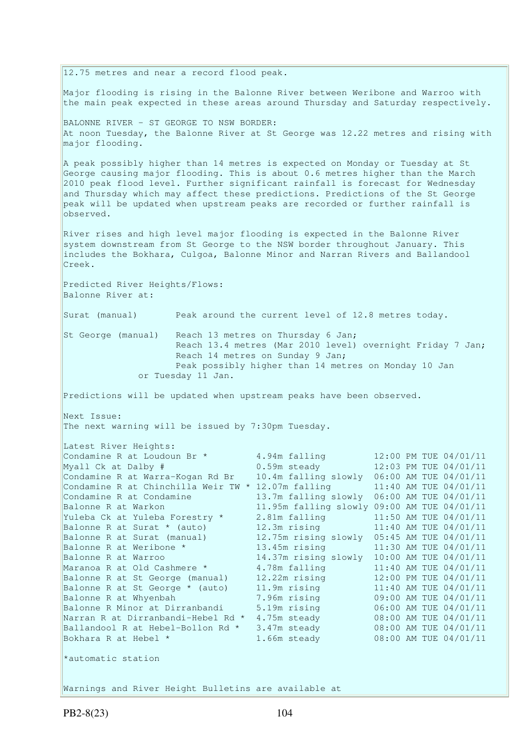12.75 metres and near a record flood peak. Major flooding is rising in the Balonne River between Weribone and Warroo with the main peak expected in these areas around Thursday and Saturday respectively. BALONNE RIVER - ST GEORGE TO NSW BORDER: At noon Tuesday, the Balonne River at St George was 12.22 metres and rising with major flooding. A peak possibly higher than 14 metres is expected on Monday or Tuesday at St George causing major flooding. This is about 0.6 metres higher than the March 2010 peak flood level. Further significant rainfall is forecast for Wednesday and Thursday which may affect these predictions. Predictions of the St George peak will be updated when upstream peaks are recorded or further rainfall is observed. River rises and high level major flooding is expected in the Balonne River system downstream from St George to the NSW border throughout January. This includes the Bokhara, Culgoa, Balonne Minor and Narran Rivers and Ballandool Creek. Predicted River Heights/Flows: Balonne River at: Surat (manual) Peak around the current level of 12.8 metres today. St George (manual) Reach 13 metres on Thursday 6 Jan; Reach 13.4 metres (Mar 2010 level) overnight Friday 7 Jan; Reach 14 metres on Sunday 9 Jan; Peak possibly higher than 14 metres on Monday 10 Jan or Tuesday 11 Jan. Predictions will be updated when upstream peaks have been observed. Next Issue: The next warning will be issued by 7:30pm Tuesday. Latest River Heights: Condamine R at Loudoun Br  $*$  4.94m falling 12:00 PM TUE 04/01/11 Myall Ck at Dalby # 0.59m steady 12:03 PM TUE 04/01/11 Condamine R at Warra-Kogan Rd Br 10.4m falling slowly 06:00 AM TUE 04/01/11 Condamine R at Chinchilla Weir TW \* 12.07m falling  $11:40$  AM TUE 04/01/11 Condamine R at Condamine 13.7m falling slowly 06:00 AM TUE 04/01/11 Balonne R at Warkon 11.95m falling slowly 09:00 AM TUE 04/01/11 Yuleba Ck at Yuleba Forestry \* 2.81m falling 11:50 AM TUE 04/01/11 Balonne R at Surat \* (auto) 12.3m rising 11:40 AM TUE 04/01/11 Balonne R at Surat (manual) 12.75m rising slowly 05:45 AM TUE 04/01/11 Balonne R at Weribone \* 13.45m rising 11:30 AM TUE 04/01/11 Balonne R at Warroo 14.37m rising slowly 10:00 AM TUE 04/01/11 Maranoa R at Old Cashmere \* 4.78m falling 11:40 AM TUE 04/01/11 Balonne R at St George (manual) 12.22m rising 12:00 PM TUE 04/01/11 Balonne R at St George \* (auto) 11.9m rising 11:40 AM TUE 04/01/11 Balonne R at Whyenbah 7.96m rising 09:00 AM TUE 04/01/11 Balonne R Minor at Dirranbandi 5.19m rising 06:00 AM TUE 04/01/11 Narran R at Dirranbandi-Hebel Rd  $*$  4.75m steady Ballandool R at Hebel-Bollon Rd \* 3.47m steady<br>Bokhara R at Hebel \* 1.66m steady Balonne R Minor at Dirranbandi 5.19m rising 06:00 AM TUE 04/01/11<br>
Narran R at Dirranbandi-Hebel Rd \* 4.75m steady 08:00 AM TUE 04/01/11<br>
Ballandool R at Hebel-Bollon Rd \* 3.47m steady 08:00 AM TUE 04/01/11<br>
Bokhara R at H \*automatic station Warnings and River Height Bulletins are available at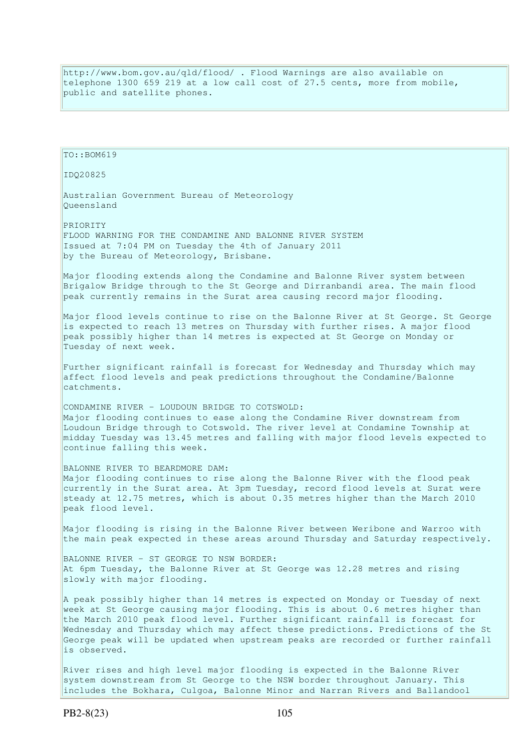http://www.bom.gov.au/qld/flood/ . Flood Warnings are also available on telephone 1300 659 219 at a low call cost of 27.5 cents, more from mobile, public and satellite phones.

IDQ20825 Australian Government Bureau of Meteorology Queensland PRIORITY FLOOD WARNING FOR THE CONDAMINE AND BALONNE RIVER SYSTEM Issued at 7:04 PM on Tuesday the 4th of January 2011 by the Bureau of Meteorology, Brisbane. Major flooding extends along the Condamine and Balonne River system between Brigalow Bridge through to the St George and Dirranbandi area. The main flood peak currently remains in the Surat area causing record major flooding. Major flood levels continue to rise on the Balonne River at St George. St George is expected to reach 13 metres on Thursday with further rises. A major flood peak possibly higher than 14 metres is expected at St George on Monday or Tuesday of next week. Further significant rainfall is forecast for Wednesday and Thursday which may affect flood levels and peak predictions throughout the Condamine/Balonne catchments. CONDAMINE RIVER - LOUDOUN BRIDGE TO COTSWOLD: Major flooding continues to ease along the Condamine River downstream from Loudoun Bridge through to Cotswold. The river level at Condamine Township at midday Tuesday was 13.45 metres and falling with major flood levels expected to continue falling this week. BALONNE RIVER TO BEARDMORE DAM: Major flooding continues to rise along the Balonne River with the flood peak currently in the Surat area. At 3pm Tuesday, record flood levels at Surat were steady at 12.75 metres, which is about 0.35 metres higher than the March 2010 peak flood level. Major flooding is rising in the Balonne River between Weribone and Warroo with the main peak expected in these areas around Thursday and Saturday respectively. BALONNE RIVER - ST GEORGE TO NSW BORDER: At 6pm Tuesday, the Balonne River at St George was 12.28 metres and rising slowly with major flooding. A peak possibly higher than 14 metres is expected on Monday or Tuesday of next week at St George causing major flooding. This is about 0.6 metres higher than the March 2010 peak flood level. Further significant rainfall is forecast for Wednesday and Thursday which may affect these predictions. Predictions of the St George peak will be updated when upstream peaks are recorded or further rainfall is observed. River rises and high level major flooding is expected in the Balonne River system downstream from St George to the NSW border throughout January. This

 $TO::BOM619$ 

includes the Bokhara, Culgoa, Balonne Minor and Narran Rivers and Ballandool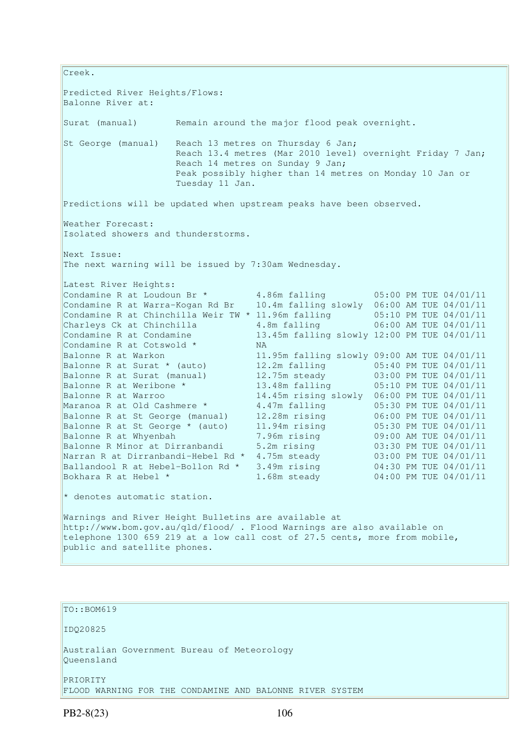Creek. Predicted River Heights/Flows: Balonne River at: Surat (manual) Remain around the major flood peak overnight. St George (manual) Reach 13 metres on Thursday 6 Jan; Reach 13.4 metres (Mar 2010 level) overnight Friday 7 Jan; Reach 14 metres on Sunday 9 Jan; Peak possibly higher than 14 metres on Monday 10 Jan or Tuesday 11 Jan. Predictions will be updated when upstream peaks have been observed. Weather Forecast: Isolated showers and thunderstorms. Next Issue: The next warning will be issued by 7:30am Wednesday. Latest River Heights: Condamine R at Loudoun Br \*  $1.86$ m falling  $0.5:00$  PM TUE  $04/01/11$ <br>Condamine R at Warra-Kogan Rd Br  $10.4$ m falling slowly  $06:00$  AM TUE  $04/01/11$ Condamine R at Warra-Kogan Rd Br 10.4m falling slowly 06:00 AM TUE 04/01/11 Condamine R at Chinchilla Weir TW  $*$  11.96m falling  $05:10$  PM TUE 04/01/11 Charleys Ck at Chinchilla 4.8m falling 06:00 AM TUE 04/01/11 Condamine R at Chinchilla and TUE 04/01/11<br>
Condamine R at Condamine 13.45m falling slowly 12:00 PM TUE 04/01/11<br>
Condamine R at Cotswold \* MA  $\vert$ Condamine R at Cotswold  $*$ Balonne R at Warkon 11.95m falling slowly 09:00 AM TUE 04/01/11 Balonne R at Surat \* (auto) 12.2m falling 05:40 PM TUE 04/01/11 Balonne R at Surat (manual) 12.75m steady 03:00 PM TUE 04/01/11 Balonne R at Surat (manual)  $12.75$ m steady  $03:00$  PM TUE 04/01/11<br>Balonne R at Weribone \* 13.48m falling 05:10 PM TUE 04/01/11 Balonne R at Warroo 14.45m rising slowly 06:00 PM TUE 04/01/11 Maranoa R at Old Cashmere \* 4.47m falling 05:30 PM TUE 04/01/11 Balonne R at St George (manual) 12.28m rising 06:00 PM TUE 04/01/11 Balonne R at St George \* (auto) 11.94m rising 05:30 PM TUE 04/01/11 Balonne R at Whyenbah 7.96m rising 09:00 AM TUE 04/01/11 Balonne R Minor at Dirranbandi 5.2m rising 03:30 PM TUE 04/01/11 Balonne R at Whyenban and the Minor at Dirranbandi and the S.2m rising the US:00 AM IOE 04/01/11<br>Narran R at Dirranbandi-Hebel Rd \* 4.75m steady 03:00 PM TUE 04/01/11<br>Ballandool R at Hebel-Bollon Rd \* 3.49m rising 04:30 PM Ballandool R at Hebel-Bollon Rd  $*$  3.49m rising Bokhara R at Hebel  $\star$  1.68m steady 04:00 PM TUE 04/01/11  $*$  denotes automatic station. Warnings and River Height Bulletins are available at http://www.bom.gov.au/qld/flood/ . Flood Warnings are also available on telephone 1300 659 219 at a low call cost of 27.5 cents, more from mobile, public and satellite phones.

### TO::BOM619

IDQ20825

Australian Government Bureau of Meteorology Queensland

PRIORITY FLOOD WARNING FOR THE CONDAMINE AND BALONNE RIVER SYSTEM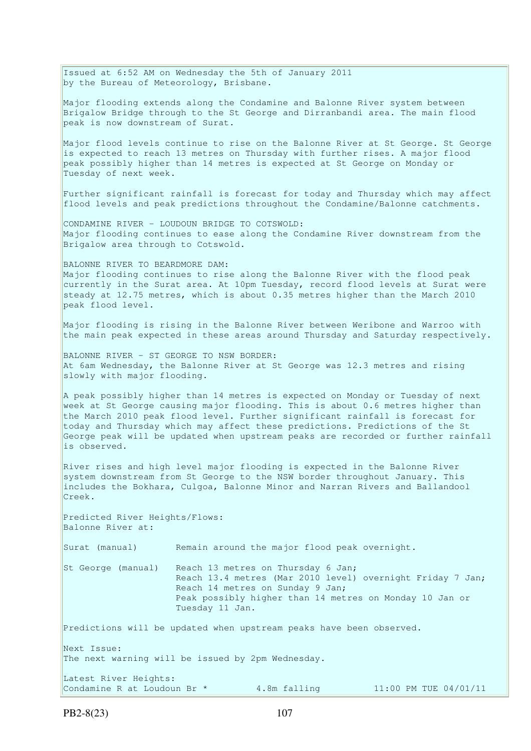Issued at 6:52 AM on Wednesday the 5th of January 2011 by the Bureau of Meteorology, Brisbane. Major flooding extends along the Condamine and Balonne River system between Brigalow Bridge through to the St George and Dirranbandi area. The main flood peak is now downstream of Surat. Major flood levels continue to rise on the Balonne River at St George. St George is expected to reach 13 metres on Thursday with further rises. A major flood peak possibly higher than 14 metres is expected at St George on Monday or Tuesday of next week. Further significant rainfall is forecast for today and Thursday which may affect flood levels and peak predictions throughout the Condamine/Balonne catchments. CONDAMINE RIVER - LOUDOUN BRIDGE TO COTSWOLD: Major flooding continues to ease along the Condamine River downstream from the Brigalow area through to Cotswold. BALONNE RIVER TO BEARDMORE DAM: Major flooding continues to rise along the Balonne River with the flood peak currently in the Surat area. At 10pm Tuesday, record flood levels at Surat were steady at 12.75 metres, which is about 0.35 metres higher than the March 2010 peak flood level. Major flooding is rising in the Balonne River between Weribone and Warroo with the main peak expected in these areas around Thursday and Saturday respectively. BALONNE RIVER - ST GEORGE TO NSW BORDER: At 6am Wednesday, the Balonne River at St George was 12.3 metres and rising slowly with major flooding. A peak possibly higher than 14 metres is expected on Monday or Tuesday of next week at St George causing major flooding. This is about 0.6 metres higher than the March 2010 peak flood level. Further significant rainfall is forecast for today and Thursday which may affect these predictions. Predictions of the St George peak will be updated when upstream peaks are recorded or further rainfall is observed. River rises and high level major flooding is expected in the Balonne River system downstream from St George to the NSW border throughout January. This includes the Bokhara, Culgoa, Balonne Minor and Narran Rivers and Ballandool Creek. Predicted River Heights/Flows: Balonne River at: Surat (manual) Remain around the major flood peak overnight. St George (manual) Reach 13 metres on Thursday 6 Jan; Reach 13.4 metres (Mar 2010 level) overnight Friday 7 Jan; Reach 14 metres on Sunday 9 Jan; Peak possibly higher than 14 metres on Monday 10 Jan or Tuesday 11 Jan. Predictions will be updated when upstream peaks have been observed. Next Issue: The next warning will be issued by 2pm Wednesday. Latest River Heights: Condamine R at Loudoun Br \* 4.8m falling 11:00 PM TUE 04/01/11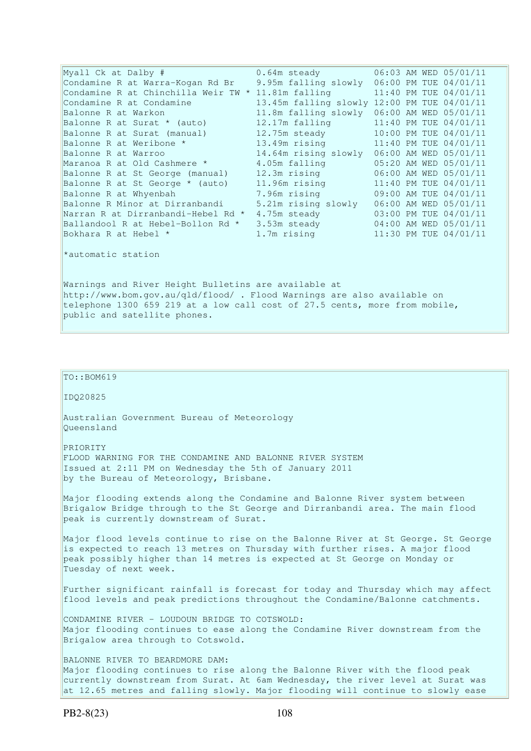| Myall Ck at Dalby #                                                        | 0.64m steady                                | 06:03 AM WED 05/01/11 |  |
|----------------------------------------------------------------------------|---------------------------------------------|-----------------------|--|
| Condamine R at Warra-Kogan Rd Br                                           | 9.95m falling slowly                        | 06:00 PM TUE 04/01/11 |  |
| Condamine R at Chinchilla Weir TW * 11.81m falling                         |                                             | 11:40 PM TUE 04/01/11 |  |
| Condamine R at Condamine                                                   | 13.45m falling slowly 12:00 PM TUE 04/01/11 |                       |  |
| Balonne R at Warkon                                                        | 11.8m falling slowly                        | 06:00 AM WED 05/01/11 |  |
| Balonne R at Surat * (auto)                                                | 12.17m falling                              | 11:40 PM TUE 04/01/11 |  |
| Balonne R at Surat (manual)                                                | 12.75m steady                               | 10:00 PM TUE 04/01/11 |  |
| Balonne R at Weribone *                                                    | 13.49m rising                               | 11:40 PM TUE 04/01/11 |  |
| Balonne R at Warroo                                                        | 14.64m rising slowly                        | 06:00 AM WED 05/01/11 |  |
| Maranoa R at Old Cashmere *                                                | 4.05m falling                               | 05:20 AM WED 05/01/11 |  |
| Balonne R at St George (manual)                                            | 12.3m rising                                | 06:00 AM WED 05/01/11 |  |
| Balonne R at St George * (auto)                                            | 11.96m rising                               | 11:40 PM TUE 04/01/11 |  |
| Balonne R at Whyenbah                                                      | 7.96m rising                                | 09:00 AM TUE 04/01/11 |  |
| Balonne R Minor at Dirranbandi                                             | 5.21m rising slowly                         | 06:00 AM WED 05/01/11 |  |
| Narran R at Dirranbandi-Hebel Rd *                                         | 4.75m steady                                | 03:00 PM TUE 04/01/11 |  |
| Ballandool R at Hebel-Bollon Rd *                                          | 3.53m steady                                | 04:00 AM WED 05/01/11 |  |
| Bokhara R at Hebel *                                                       | 1.7m rising                                 | 11:30 PM TUE 04/01/11 |  |
| *automatic station                                                         |                                             |                       |  |
| Warnings and River Height Bulletins are available at                       |                                             |                       |  |
| http://www.bom.gov.au/qld/flood/ . Flood Warnings are also available on    |                                             |                       |  |
| telephone 1300 659 219 at a low call cost of 27.5 cents, more from mobile, |                                             |                       |  |
| public and satellite phones.                                               |                                             |                       |  |

TO::BOM619 IDQ20825 Australian Government Bureau of Meteorology Queensland PRIORITY FLOOD WARNING FOR THE CONDAMINE AND BALONNE RIVER SYSTEM Issued at 2:11 PM on Wednesday the 5th of January 2011 by the Bureau of Meteorology, Brisbane. Major flooding extends along the Condamine and Balonne River system between Brigalow Bridge through to the St George and Dirranbandi area. The main flood peak is currently downstream of Surat. Major flood levels continue to rise on the Balonne River at St George. St George is expected to reach 13 metres on Thursday with further rises. A major flood peak possibly higher than 14 metres is expected at St George on Monday or Tuesday of next week. Further significant rainfall is forecast for today and Thursday which may affect flood levels and peak predictions throughout the Condamine/Balonne catchments. CONDAMINE RIVER - LOUDOUN BRIDGE TO COTSWOLD: Major flooding continues to ease along the Condamine River downstream from the Brigalow area through to Cotswold. BALONNE RIVER TO BEARDMORE DAM: Major flooding continues to rise along the Balonne River with the flood peak currently downstream from Surat. At 6am Wednesday, the river level at Surat was at 12.65 metres and falling slowly. Major flooding will continue to slowly ease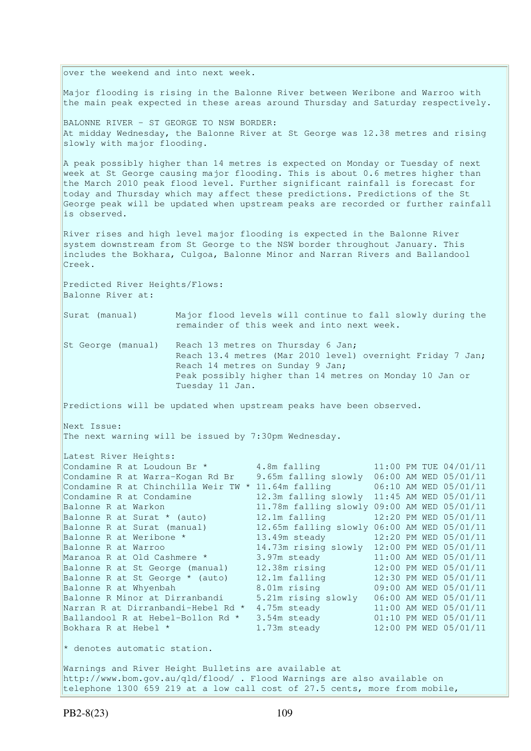over the weekend and into next week. Major flooding is rising in the Balonne River between Weribone and Warroo with the main peak expected in these areas around Thursday and Saturday respectively. BALONNE RIVER - ST GEORGE TO NSW BORDER: At midday Wednesday, the Balonne River at St George was 12.38 metres and rising slowly with major flooding. A peak possibly higher than 14 metres is expected on Monday or Tuesday of next week at St George causing major flooding. This is about 0.6 metres higher than the March 2010 peak flood level. Further significant rainfall is forecast for today and Thursday which may affect these predictions. Predictions of the St George peak will be updated when upstream peaks are recorded or further rainfall is observed. River rises and high level major flooding is expected in the Balonne River system downstream from St George to the NSW border throughout January. This includes the Bokhara, Culgoa, Balonne Minor and Narran Rivers and Ballandool Creek. Predicted River Heights/Flows: Balonne River at: Surat (manual) Major flood levels will continue to fall slowly during the remainder of this week and into next week. St George (manual) Reach 13 metres on Thursday 6 Jan; Reach 13.4 metres (Mar 2010 level) overnight Friday 7 Jan; Reach 14 metres on Sunday 9 Jan; Peak possibly higher than 14 metres on Monday 10 Jan or Tuesday 11 Jan. Predictions will be updated when upstream peaks have been observed. Next Issue: The next warning will be issued by 7:30pm Wednesday. Latest River Heights:<br>Condamine R at Loudoun Br \* Condamine R at Loudoun Br  $*$  4.8m falling 11:00 PM TUE 04/01/11 Condamine R at Warra-Kogan Rd Br 9.65m falling slowly 06:00 AM WED 05/01/11 Condamine R at Chinchilla Weir TW \* 11.64m falling  $06:10$  AM WED  $05/01/11$ Condamine R at Condamine 12.3m falling slowly 11:45 AM WED 05/01/11 Balonne R at Warkon 11.78m falling slowly 09:00 AM WED 05/01/11 Balonne R at Surat \* (auto) 12.1m falling 12:20 PM WED 05/01/11 Balonne R at Surat (manual) 12.65m falling slowly 06:00 AM WED 05/01/11 Balonne R at Weribone \* 13.49m steady 12:20 PM WED 05/01/11 Balonne R at Warroo 14.73m rising slowly 12:00 PM WED 05/01/11 Maranoa R at Old Cashmere \* 3.97m steady 11:00 AM WED 05/01/11 Balonne R at St George (manual) 12.38m rising 12:00 PM WED 05/01/11 Balonne R at St George \* (auto) 12.1m falling 12:30 PM WED 05/01/11 Balonne R at Whyenbah 8.01m rising 09:00 AM WED 05/01/11 Balonne R Minor at Dirranbandi 5.21m rising slowly 06:00 AM WED 05/01/11 Narran R at Dirranbandi-Hebel Rd \* 4.75m steady 11:00 AM WED 05/01/11 Ballandool R at Hebel-Bollon Rd \* 3.54m steady 01:10 PM WED 05/01/11 Bokhara R at Hebel  $\star$  1.73m steady 12:00 PM WED 05/01/11  $*$  denotes automatic station. Warnings and River Height Bulletins are available at http://www.bom.gov.au/qld/flood/ . Flood Warnings are also available on telephone 1300 659 219 at a low call cost of 27.5 cents, more from mobile,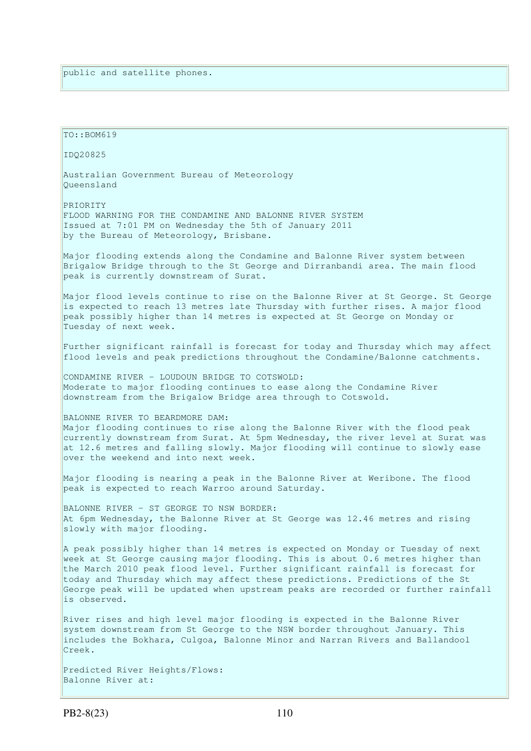| TO:: BOM619                                                                                                                                                                                                                                                                                                                                                                                                                           |
|---------------------------------------------------------------------------------------------------------------------------------------------------------------------------------------------------------------------------------------------------------------------------------------------------------------------------------------------------------------------------------------------------------------------------------------|
| IDQ20825                                                                                                                                                                                                                                                                                                                                                                                                                              |
| Australian Government Bureau of Meteorology<br>Oueensland                                                                                                                                                                                                                                                                                                                                                                             |
| PRIORITY<br>FLOOD WARNING FOR THE CONDAMINE AND BALONNE RIVER SYSTEM<br>Issued at 7:01 PM on Wednesday the 5th of January 2011<br>by the Bureau of Meteorology, Brisbane.                                                                                                                                                                                                                                                             |
| Major flooding extends along the Condamine and Balonne River system between<br>Brigalow Bridge through to the St George and Dirranbandi area. The main flood<br>peak is currently downstream of Surat.                                                                                                                                                                                                                                |
| Major flood levels continue to rise on the Balonne River at St George. St George<br>is expected to reach 13 metres late Thursday with further rises. A major flood<br>peak possibly higher than 14 metres is expected at St George on Monday or<br>Tuesday of next week.                                                                                                                                                              |
| Further significant rainfall is forecast for today and Thursday which may affect<br>flood levels and peak predictions throughout the Condamine/Balonne catchments.                                                                                                                                                                                                                                                                    |
| CONDAMINE RIVER - LOUDOUN BRIDGE TO COTSWOLD:<br>Moderate to major flooding continues to ease along the Condamine River<br>downstream from the Brigalow Bridge area through to Cotswold.                                                                                                                                                                                                                                              |
| BALONNE RIVER TO BEARDMORE DAM:<br>Major flooding continues to rise along the Balonne River with the flood peak<br>currently downstream from Surat. At 5pm Wednesday, the river level at Surat was<br>at 12.6 metres and falling slowly. Major flooding will continue to slowly ease<br>over the weekend and into next week.                                                                                                          |
| Major flooding is nearing a peak in the Balonne River at Weribone. The flood<br>peak is expected to reach Warroo around Saturday.                                                                                                                                                                                                                                                                                                     |
| BALONNE RIVER - ST GEORGE TO NSW BORDER:<br>At 6pm Wednesday, the Balonne River at St George was 12.46 metres and rising<br>slowly with major flooding.                                                                                                                                                                                                                                                                               |
| A peak possibly higher than 14 metres is expected on Monday or Tuesday of next<br>week at St George causing major flooding. This is about 0.6 metres higher than<br>the March 2010 peak flood level. Further significant rainfall is forecast for<br>today and Thursday which may affect these predictions. Predictions of the St<br>George peak will be updated when upstream peaks are recorded or further rainfall<br>is observed. |
| River rises and high level major flooding is expected in the Balonne River<br>system downstream from St George to the NSW border throughout January. This<br>includes the Bokhara, Culgoa, Balonne Minor and Narran Rivers and Ballandool<br>Creek.                                                                                                                                                                                   |
| Predicted River Heights/Flows:<br>Balonne River at:                                                                                                                                                                                                                                                                                                                                                                                   |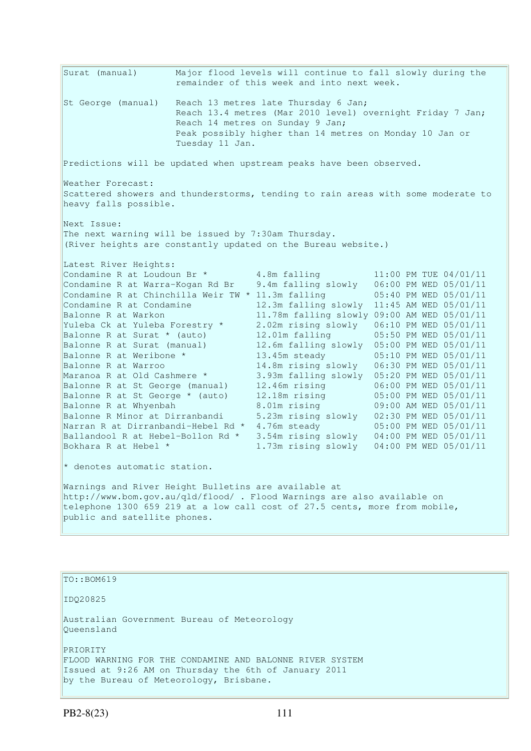Surat (manual) Major flood levels will continue to fall slowly during the remainder of this week and into next week. St George (manual) Reach 13 metres late Thursday 6 Jan; Reach 13.4 metres (Mar 2010 level) overnight Friday 7 Jan; Reach 14 metres on Sunday 9 Jan; Peak possibly higher than 14 metres on Monday 10 Jan or Tuesday 11 Jan. Predictions will be updated when upstream peaks have been observed. Weather Forecast: Scattered showers and thunderstorms, tending to rain areas with some moderate to heavy falls possible. Next Issue: The next warning will be issued by 7:30am Thursday. (River heights are constantly updated on the Bureau website.) Latest River Heights: Condamine R at Loudoun Br  $*$  4.8m falling 11:00 PM TUE 04/01/11 Condamine R at Warra-Kogan Rd Br 9.4m falling slowly 06:00 PM WED 05/01/11 Condamine R at Chinchilla Weir TW \* 11.3m falling  $05:40$  PM WED  $05/01/11$ <br>Condamine R at Condamine  $12.3$ m falling slowly 11:45 AM WED 05/01/11 Condamine R at Condamine 12.3m falling slowly 11:45 AM WED 05/01/11 Balonne R at Warkon 11.78m falling slowly 09:00 AM WED 05/01/11 Yuleba Ck at Yuleba Forestry \* 2.02m rising slowly 06:10 PM WED 05/01/11 Balonne R at Surat \* (auto) 12.01m falling 05:50 PM WED 05/01/11 Balonne R at Surat (manual) 12.6m falling slowly 05:00 PM WED 05/01/11 Balonne R at Weribone \* 13.45m steady 05:10 PM WED 05/01/11 Balonne R at Warroo 14.8m rising slowly 06:30 PM WED 05/01/11 Maranoa R at Old Cashmere \* 3.93m falling slowly 05:20 PM WED 05/01/11 Balonne R at St George (manual) 12.46m rising 06:00 PM WED 05/01/11 Balonne R at St George \* (auto) 12.18m rising 05:00 PM WED 05/01/11 Balonne R at Whyenbah 8.01m rising 09:00 AM WED 05/01/11 Balonne R Minor at Dirranbandi 5.23m rising slowly 02:30 PM WED 05/01/11 Narran R at Dirranbandi-Hebel Rd \* 4.76m steady 05:00 PM WED 05/01/11 Ballandool R at Hebel-Bollon Rd \* 3.54m rising slowly 04:00 PM WED 05/01/11 Bokhara R at Hebel \* 1.73m rising slowly 04:00 PM WED 05/01/11  $*$  denotes automatic station. Warnings and River Height Bulletins are available at http://www.bom.gov.au/qld/flood/ . Flood Warnings are also available on telephone 1300 659 219 at a low call cost of 27.5 cents, more from mobile, public and satellite phones.

### TO::BOM619

IDQ20825

Australian Government Bureau of Meteorology Queensland

PRIORITY FLOOD WARNING FOR THE CONDAMINE AND BALONNE RIVER SYSTEM Issued at 9:26 AM on Thursday the 6th of January 2011 by the Bureau of Meteorology, Brisbane.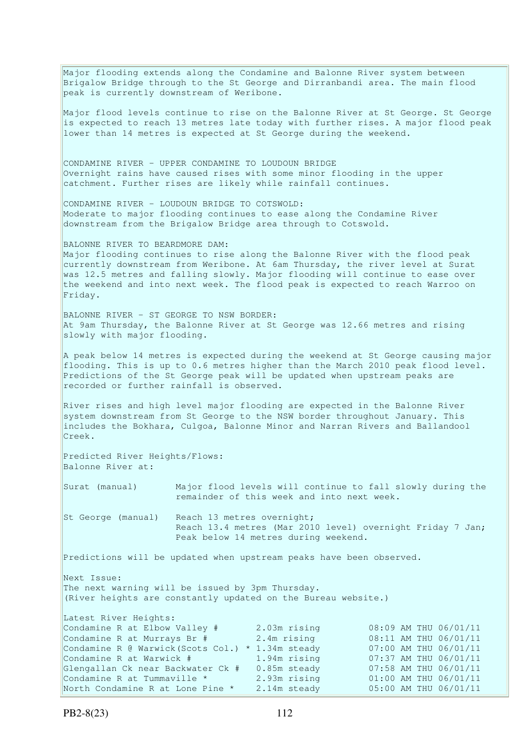Major flooding extends along the Condamine and Balonne River system between Brigalow Bridge through to the St George and Dirranbandi area. The main flood peak is currently downstream of Weribone.

Major flood levels continue to rise on the Balonne River at St George. St George is expected to reach 13 metres late today with further rises. A major flood peak lower than 14 metres is expected at St George during the weekend.

CONDAMINE RIVER - UPPER CONDAMINE TO LOUDOUN BRIDGE Overnight rains have caused rises with some minor flooding in the upper catchment. Further rises are likely while rainfall continues.

CONDAMINE RIVER - LOUDOUN BRIDGE TO COTSWOLD: Moderate to major flooding continues to ease along the Condamine River downstream from the Brigalow Bridge area through to Cotswold.

BALONNE RIVER TO BEARDMORE DAM: Major flooding continues to rise along the Balonne River with the flood peak currently downstream from Weribone. At 6am Thursday, the river level at Surat was 12.5 metres and falling slowly. Major flooding will continue to ease over the weekend and into next week. The flood peak is expected to reach Warroo on Friday.

BALONNE RIVER - ST GEORGE TO NSW BORDER: At 9am Thursday, the Balonne River at St George was 12.66 metres and rising slowly with major flooding.

A peak below 14 metres is expected during the weekend at St George causing major flooding. This is up to 0.6 metres higher than the March 2010 peak flood level. Predictions of the St George peak will be updated when upstream peaks are recorded or further rainfall is observed.

River rises and high level major flooding are expected in the Balonne River system downstream from St George to the NSW border throughout January. This includes the Bokhara, Culgoa, Balonne Minor and Narran Rivers and Ballandool Creek.

Predicted River Heights/Flows: Balonne River at:

Surat (manual) Major flood levels will continue to fall slowly during the remainder of this week and into next week. St George (manual) Reach 13 metres overnight; Reach 13.4 metres (Mar 2010 level) overnight Friday 7 Jan;

Peak below 14 metres during weekend.

Predictions will be updated when upstream peaks have been observed.

Next Issue: The next warning will be issued by 3pm Thursday. (River heights are constantly updated on the Bureau website.)

| 2.03m rising                                      | 08:09 AM THU 06/01/11 |
|---------------------------------------------------|-----------------------|
| 2.4m rising                                       | 08:11 AM THU 06/01/11 |
| Condamine R @ Warwick (Scots Col.) * 1.34m steady | 07:00 AM THU 06/01/11 |
| 1.94m rising                                      | 07:37 AM THU 06/01/11 |
| 0.85m steady                                      | 07:58 AM THU 06/01/11 |
| 2.93m rising                                      | 01:00 AM THU 06/01/11 |
| 2.14m steady                                      | 05:00 AM THU 06/01/11 |
|                                                   |                       |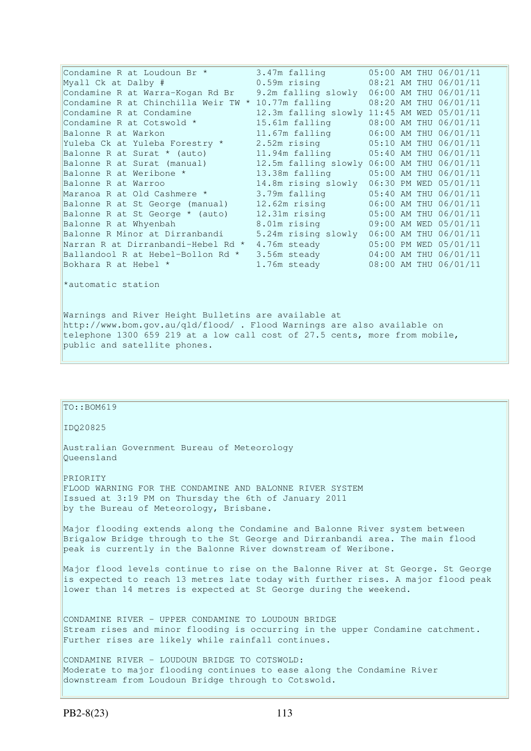| Condamine R at Loudoun Br *                          | 3.47m falling 05:00 AM THU 06/01/11        |  |                       |
|------------------------------------------------------|--------------------------------------------|--|-----------------------|
| Myall Ck at Dalby #                                  | 0.59m rising 08:21 AM THU 06/01/11         |  |                       |
| Condamine R at Warra-Kogan Rd Br                     | 9.2m falling slowly 06:00 AM THU 06/01/11  |  |                       |
| Condamine R at Chinchilla Weir TW * 10.77m falling   |                                            |  | 08:20 AM THU 06/01/11 |
| Condamine R at Condamine                             | 12.3m falling slowly 11:45 AM WED 05/01/11 |  |                       |
| Condamine R at Cotswold *                            | 15.61m falling                             |  | 08:00 AM THU 06/01/11 |
| Balonne R at Warkon                                  | 11.67m falling 06:00 AM THU 06/01/11       |  |                       |
| Yuleba Ck at Yuleba Forestry *                       | 2.52m rising 05:10 AM THU 06/01/11         |  |                       |
| Balonne R at Surat * (auto)                          | 11.94m falling 05:40 AM THU 06/01/11       |  |                       |
| Balonne R at Surat (manual)                          | 12.5m falling slowly 06:00 AM THU 06/01/11 |  |                       |
| Balonne R at Weribone *                              | 13.38m falling 05:00 AM THU 06/01/11       |  |                       |
| Balonne R at Warroo                                  | 14.8m rising slowly 06:30 PM WED 05/01/11  |  |                       |
| Maranoa R at Old Cashmere *                          | 3.79m falling                              |  | 05:40 AM THU 06/01/11 |
| Balonne R at St George (manual)                      | 12.62m rising                              |  | 06:00 AM THU 06/01/11 |
| Balonne R at St George * (auto)                      | 12.31m rising                              |  | 05:00 AM THU 06/01/11 |
| Balonne R at Whyenbah                                | 8.01m rising                               |  | 09:00 AM WED 05/01/11 |
| Balonne R Minor at Dirranbandi                       | 5.24m rising slowly 06:00 AM THU 06/01/11  |  |                       |
| Narran R at Dirranbandi-Hebel Rd *                   | 4.76m steady                               |  | 05:00 PM WED 05/01/11 |
| Ballandool R at Hebel-Bollon Rd *                    | 3.56m steady                               |  | 04:00 AM THU 06/01/11 |
| Bokhara R at Hebel *                                 | 1.76m steady                               |  | 08:00 AM THU 06/01/11 |
| *automatic station                                   |                                            |  |                       |
| Warnings and River Height Bulletins are available at |                                            |  |                       |

http://www.bom.gov.au/qld/flood/ . Flood Warnings are also available on telephone 1300 659 219 at a low call cost of 27.5 cents, more from mobile, public and satellite phones.

| TO:: BOM619                                                                                                                                                                                                                               |
|-------------------------------------------------------------------------------------------------------------------------------------------------------------------------------------------------------------------------------------------|
| ID020825                                                                                                                                                                                                                                  |
| Australian Government Bureau of Meteorology<br>Oueensland                                                                                                                                                                                 |
| PRIORITY<br>FLOOD WARNING FOR THE CONDAMINE AND BALONNE RIVER SYSTEM<br>Issued at 3:19 PM on Thursday the 6th of January 2011<br>by the Bureau of Meteorology, Brisbane.                                                                  |
| Major flooding extends along the Condamine and Balonne River system between<br>Brigalow Bridge through to the St George and Dirranbandi area. The main flood<br>peak is currently in the Balonne River downstream of Weribone.            |
| Major flood levels continue to rise on the Balonne River at St George. St George<br>is expected to reach 13 metres late today with further rises. A major flood peak<br>lower than 14 metres is expected at St George during the weekend. |
| CONDAMINE RIVER - UPPER CONDAMINE TO LOUDOUN BRIDGE<br>Stream rises and minor flooding is occurring in the upper Condamine catchment.<br>Further rises are likely while rainfall continues.                                               |
| CONDAMINE RIVER - LOUDOUN BRIDGE TO COTSWOLD:<br>Moderate to major flooding continues to ease along the Condamine River<br>downstream from Loudoun Bridge through to Cotswold.                                                            |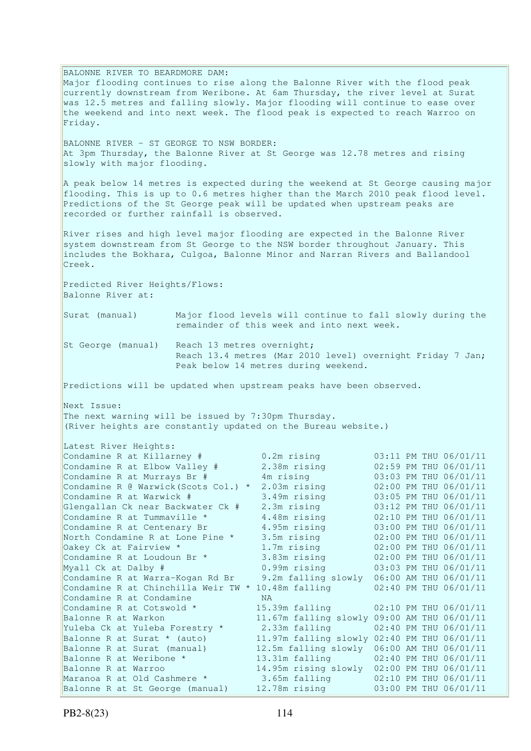BALONNE RIVER TO BEARDMORE DAM: Major flooding continues to rise along the Balonne River with the flood peak currently downstream from Weribone. At 6am Thursday, the river level at Surat was 12.5 metres and falling slowly. Major flooding will continue to ease over the weekend and into next week. The flood peak is expected to reach Warroo on Friday. BALONNE RIVER - ST GEORGE TO NSW BORDER: At 3pm Thursday, the Balonne River at St George was 12.78 metres and rising slowly with major flooding. A peak below 14 metres is expected during the weekend at St George causing major flooding. This is up to 0.6 metres higher than the March 2010 peak flood level. Predictions of the St George peak will be updated when upstream peaks are recorded or further rainfall is observed. River rises and high level major flooding are expected in the Balonne River system downstream from St George to the NSW border throughout January. This includes the Bokhara, Culgoa, Balonne Minor and Narran Rivers and Ballandool Creek. Predicted River Heights/Flows: Balonne River at: Surat (manual) Major flood levels will continue to fall slowly during the remainder of this week and into next week. St George (manual) Reach 13 metres overnight; Reach 13.4 metres (Mar 2010 level) overnight Friday 7 Jan; Peak below 14 metres during weekend. Predictions will be updated when upstream peaks have been observed. Next Issue: The next warning will be issued by 7:30pm Thursday. (River heights are constantly updated on the Bureau website.) Latest River Heights:<br>Condamine R at Killarnev # Condamine R at Killarney # 0.2m rising 03:11 PM THU 06/01/11 Condamine R at Elbow Valley  $\#$  2.38m rising  $02:59$  PM THU 06/01/11 Condamine R at Murrays Br  $\#$  4m rising  $03:03$  PM THU 06/01/11 Condamine R at Murrays Br  $\frac{1}{\#}$ <br>
4 m rising 03:03 PM THU 06/01/11<br>
Condamine R at Warwick  $\#$ <br>
3.49m rising 02:00 PM THU 06/01/11<br>
Condamine R at Warwick  $\#$  2.3m rising 03:05 PM THU 06/01/11<br>
Condamine R at Tummav Condamine R at Warwick # 3.49m rising 03:05 PM THU 06/01/11 Glengallan Ck near Backwater Ck # 2.3m rising 03:12 PM THU 06/01/11 Condamine R at Tummaville  $*$  4.48m rising  $02:10$  PM THU 06/01/11 Condamine R at Centenary Br 4.95m rising 03:00 PM THU 06/01/11 North Condamine R at Lone Pine \* 3.5m rising 02:00 PM THU 06/01/11 Oakey Ck at Fairview \* 1.7m rising<br>
Condamine R at Loudoun Br \* 3.83m rising Condamine R at Loudoun Br  $*$  3.83m rising 02:00 PM THU 06/01/11 Myall Ck at Dalby # 0.99m rising 03:03 PM THU 06/01/11 Condamine R at Warra-Kogan Rd Br 9.2m falling slowly 06:00 AM THU 06/01/11 Condamine R at Chinchilla Weir TW \* 10.48m falling  $02:40$  PM THU  $06/01/11$ Condamine R at Condamine NA Condamine R at Cotswold  $*$  15.39m falling 02:10 PM THU 06/01/11 Balonne R at Warkon 11.67m falling slowly 09:00 AM THU 06/01/11 Yuleba Ck at Yuleba Forestry \* 2.33m falling 02:40 PM THU 06/01/11 Balonne R at Surat \* (auto) 11.97m falling slowly 02:40 PM THU 06/01/11 Balonne R at Surat \* (auto)<br>Balonne R at Surat \* (auto) 11.97m falling slowly 02:40 PM THU 06/01/11<br>Balonne R at Surat (manual) 12.5m falling slowly 06:00 AM THU 06/01/11 Balonne R at Weribone \* 13.31m falling 02:40 PM THU 06/01/11 Balonne R at Warroo 14.95m rising slowly 02:00 PM THU 06/01/11<br>
Maranoa R at Old Cashmere \* 3.65m falling 02:10 PM THU 06/01/11<br>
Balonne R at St George (manual) 12.78m rising 03:00 PM THU 06/01/11 Maranoa R at Old Cashmere \* 3.65m falling 02:10 PM THU 06/01/11 Balonne R at St George (manual) 12.78m rising 03:00 PM THU 06/01/11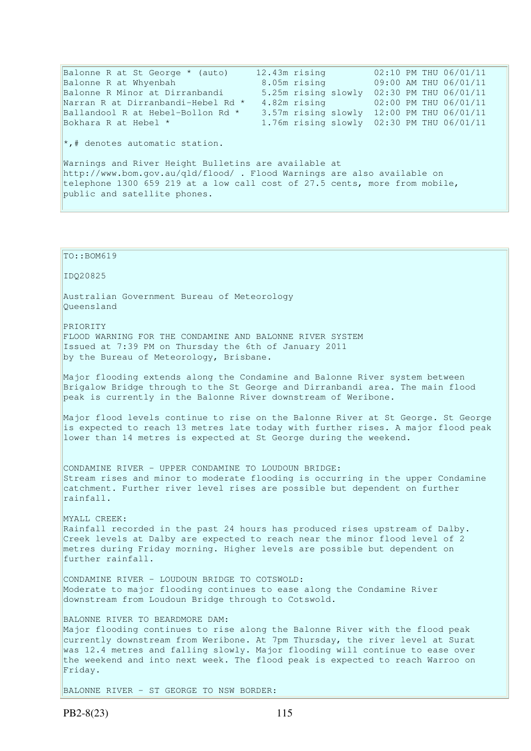Balonne R at St George \* (auto) 12.43m rising 02:10 PM THU 06/01/11<br>Balonne R at Whyenbah 8.05m rising 09:00 AM THU 06/01/11 Balonne R at Whyenbah 8.05m rising 09:00 AM THU 06/01/11<br>Balonne R Minor at Dirranbandi 5.25m rising slowly 02:30 PM THU 06/01/11 5.25m rising slowly 02:30 PM THU 06/01/11 Narran R at Dirranbandi-Hebel Rd \* 4.82m rising 02:00 PM THU 06/01/11 Ballandool R at Hebel-Bollon Rd \* 3.57m rising slowly 12:00 PM THU 06/01/11 Bokhara R at Hebel \* 1.76m rising slowly 02:30 PM THU 06/01/11 \*,# denotes automatic station. Warnings and River Height Bulletins are available at http://www.bom.gov.au/qld/flood/ . Flood Warnings are also available on telephone 1300 659 219 at a low call cost of 27.5 cents, more from mobile, public and satellite phones. TO::BOM619 IDQ20825 Australian Government Bureau of Meteorology Queensland PRIORITY FLOOD WARNING FOR THE CONDAMINE AND BALONNE RIVER SYSTEM Issued at 7:39 PM on Thursday the 6th of January 2011 by the Bureau of Meteorology, Brisbane. Major flooding extends along the Condamine and Balonne River system between Brigalow Bridge through to the St George and Dirranbandi area. The main flood peak is currently in the Balonne River downstream of Weribone. Major flood levels continue to rise on the Balonne River at St George. St George is expected to reach 13 metres late today with further rises. A major flood peak lower than 14 metres is expected at St George during the weekend. CONDAMINE RIVER - UPPER CONDAMINE TO LOUDOUN BRIDGE: Stream rises and minor to moderate flooding is occurring in the upper Condamine catchment. Further river level rises are possible but dependent on further rainfall. MYALL CREEK: Rainfall recorded in the past 24 hours has produced rises upstream of Dalby. Creek levels at Dalby are expected to reach near the minor flood level of 2 metres during Friday morning. Higher levels are possible but dependent on further rainfall. CONDAMINE RIVER - LOUDOUN BRIDGE TO COTSWOLD: Moderate to major flooding continues to ease along the Condamine River downstream from Loudoun Bridge through to Cotswold. BALONNE RIVER TO BEARDMORE DAM: Major flooding continues to rise along the Balonne River with the flood peak currently downstream from Weribone. At 7pm Thursday, the river level at Surat was 12.4 metres and falling slowly. Major flooding will continue to ease over the weekend and into next week. The flood peak is expected to reach Warroo on Friday.

BALONNE RIVER - ST GEORGE TO NSW BORDER: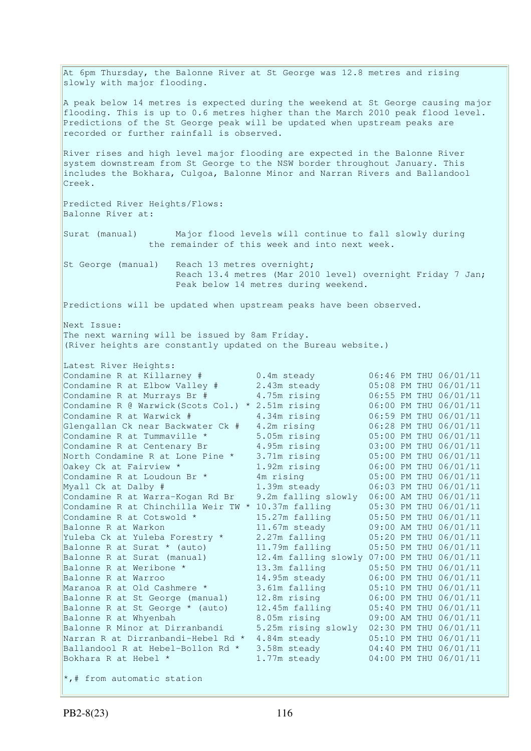At 6pm Thursday, the Balonne River at St George was 12.8 metres and rising slowly with major flooding. A peak below 14 metres is expected during the weekend at St George causing major flooding. This is up to 0.6 metres higher than the March 2010 peak flood level. Predictions of the St George peak will be updated when upstream peaks are recorded or further rainfall is observed. River rises and high level major flooding are expected in the Balonne River system downstream from St George to the NSW border throughout January. This includes the Bokhara, Culgoa, Balonne Minor and Narran Rivers and Ballandool Creek. Predicted River Heights/Flows: Balonne River at: Surat (manual) Major flood levels will continue to fall slowly during the remainder of this week and into next week. St George (manual) Reach 13 metres overnight; Reach 13.4 metres (Mar 2010 level) overnight Friday 7 Jan; Peak below 14 metres during weekend. Predictions will be updated when upstream peaks have been observed. Next Issue: The next warning will be issued by 8am Friday. (River heights are constantly updated on the Bureau website.) Latest River Heights: Condamine R at Killarney # 0.4m steady 06:46 PM THU 06/01/11 Condamine R at Elbow Valley  $\#$  2.43m steady 05:08 PM THU 06/01/11 Condamine R at Murrays Br  $\#$  4.75m rising  $06:55$  PM THU 06/01/11 Condamine R  $\theta$  Warwick(Scots Col.) \* 2.51m rising 06:00 PM THU 06/01/11 Condamine R at Warwick  $\#$  4.34m rising  $06:59$  PM THU 06/01/11 Glengallan Ck near Backwater Ck # 4.2m rising 06:28 PM THU 06/01/11 Condamine R at Tummaville  $*$  5.05m rising 05:00 PM THU 06/01/11 Condamine R at Centenary Br 4.95m rising 03:00 PM THU 06/01/11 North Condamine R at Lone Pine \* 3.71m rising 05:00 PM THU 06/01/11 Oakey Ck at Fairview \* 1.92m rising 06:00 PM THU 06/01/11 Condamine R at Loudoun Br  $*$  4m rising  $05:00$  PM THU 06/01/11 Myall Ck at Dalby # 1.39m steady 06:03 PM THU 06/01/11 Condamine R at Warra-Kogan Rd Br 9.2m falling slowly 06:00 AM THU 06/01/11 Condamine R at Chinchilla Weir TW  $*$  10.37m falling  $0.5:30$  PM THU 06/01/11 Condamine R at Cotswold  $*$  15.27m falling  $05:50$  PM THU 06/01/11 Balonne R at Warkon 11.67m steady 09:00 AM THU 06/01/11 Yuleba Ck at Yuleba Forestry \* 2.27m falling 05:20 PM THU 06/01/11 Balonne R at Surat \* (auto) 11.79m falling 05:50 PM THU 06/01/11 Balonne R at Surat (manual) 12.4m falling slowly 07:00 PM THU 06/01/11 Balonne R at Weribone \* 13.3m falling 05:50 PM THU 06/01/11 Balonne R at Warroo 14.95m steady 06:00 PM THU 06/01/11 Maranoa R at Old Cashmere \* 3.61m falling 05:10 PM THU 06/01/11 Balonne R at St George (manual) 12.8m rising 06:00 PM THU 06/01/11 Balonne R at St George \* (auto) 12.45m falling 05:40 PM THU 06/01/11 Balonne R at Whyenbah 8.05m rising 09:00 AM THU 06/01/11 Balonne R Minor at Dirranbandi 5.25m rising slowly 02:30 PM THU 06/01/11 Narran R at Dirranbandi-Hebel Rd \* 4.84m steady 05:10 PM THU 06/01/11 Ballandool R at Hebel-Bollon Rd \* 3.58m steady 04:40 PM THU 06/01/11 Bokhara R at Hebel  $\star$  1.77m steady 04:00 PM THU 06/01/11 \*,# from automatic station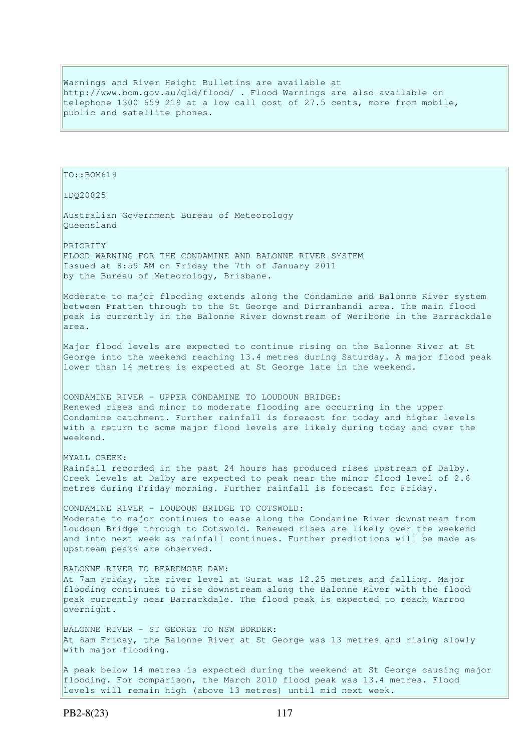Warnings and River Height Bulletins are available at http://www.bom.gov.au/qld/flood/ . Flood Warnings are also available on telephone 1300 659 219 at a low call cost of 27.5 cents, more from mobile, public and satellite phones.

TO::BOM619 IDQ20825 Australian Government Bureau of Meteorology Queensland PRIORITY FLOOD WARNING FOR THE CONDAMINE AND BALONNE RIVER SYSTEM Issued at 8:59 AM on Friday the 7th of January 2011 by the Bureau of Meteorology, Brisbane. Moderate to major flooding extends along the Condamine and Balonne River system between Pratten through to the St George and Dirranbandi area. The main flood peak is currently in the Balonne River downstream of Weribone in the Barrackdale area. Major flood levels are expected to continue rising on the Balonne River at St George into the weekend reaching 13.4 metres during Saturday. A major flood peak lower than 14 metres is expected at St George late in the weekend. CONDAMINE RIVER - UPPER CONDAMINE TO LOUDOUN BRIDGE: Renewed rises and minor to moderate flooding are occurring in the upper Condamine catchment. Further rainfall is foreacst for today and higher levels with a return to some major flood levels are likely during today and over the weekend. MYALL CREEK: Rainfall recorded in the past 24 hours has produced rises upstream of Dalby. Creek levels at Dalby are expected to peak near the minor flood level of 2.6 metres during Friday morning. Further rainfall is forecast for Friday. CONDAMINE RIVER - LOUDOUN BRIDGE TO COTSWOLD: Moderate to major continues to ease along the Condamine River downstream from Loudoun Bridge through to Cotswold. Renewed rises are likely over the weekend and into next week as rainfall continues. Further predictions will be made as upstream peaks are observed. BALONNE RIVER TO BEARDMORE DAM: At 7am Friday, the river level at Surat was 12.25 metres and falling. Major flooding continues to rise downstream along the Balonne River with the flood peak currently near Barrackdale. The flood peak is expected to reach Warroo overnight. BALONNE RIVER - ST GEORGE TO NSW BORDER: At 6am Friday, the Balonne River at St George was 13 metres and rising slowly with major flooding. A peak below 14 metres is expected during the weekend at St George causing major flooding. For comparison, the March 2010 flood peak was 13.4 metres. Flood

levels will remain high (above 13 metres) until mid next week.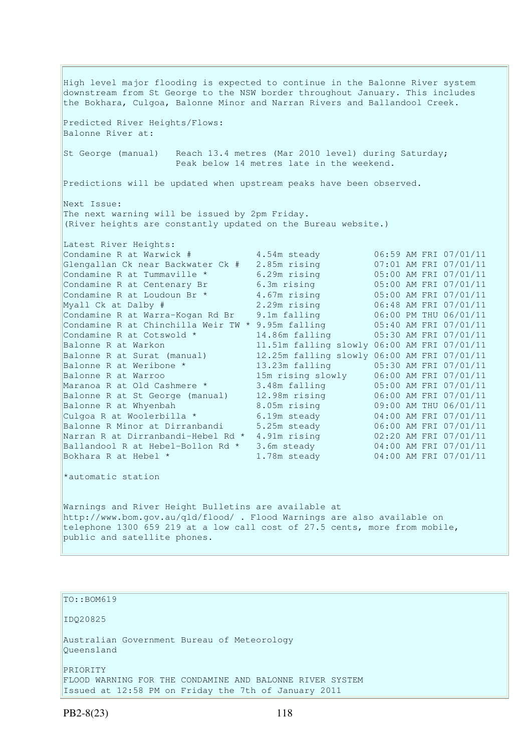High level major flooding is expected to continue in the Balonne River system downstream from St George to the NSW border throughout January. This includes the Bokhara, Culgoa, Balonne Minor and Narran Rivers and Ballandool Creek. Predicted River Heights/Flows: Balonne River at: St George (manual) Reach 13.4 metres (Mar 2010 level) during Saturday; Peak below 14 metres late in the weekend. Predictions will be updated when upstream peaks have been observed. Next Issue: The next warning will be issued by 2pm Friday. (River heights are constantly updated on the Bureau website.) Latest River Heights: Condamine R at Warwick # 4.54m steady 06:59 AM FRI 07/01/11 Glengallan Ck near Backwater Ck # 2.85m rising 07:01 AM FRI 07/01/11 Condamine R at Tummaville  $*$  6.29m rising  $05:00$  AM FRI 07/01/11 Condamine R at Centenary Br 6.3m rising 05:00 AM FRI 07/01/11 Condamine R at Loudoun Br  $*$  4.67m rising 05:00 AM FRI 07/01/11 Condamine R at Tummaville \*  $\begin{array}{l} 6.29m \text{ rising} \\ 6.29m \text{ rising} \\ 6.3m \text{ rising} \\ \end{array}$  07/01/11<br>
Condamine R at Centenary Br  $\begin{array}{l} 6.3m \text{ rising} \\ 6.7m \text{ rising} \\ 6.9m \text{ rising} \\ 6.9m \text{ rising} \\ \end{array}$  05:00 AM FRI 07/01/11<br>
Condamine R at Loudoun B Condamine R at Warra-Kogan Rd Br 9.1m falling 0.00 PM THU 06 Condamine R at Chinchilla Weir TW \* 9.95m falling  $05:40$  AM FRI 07/01/11<br>Condamine R at Cotswold \* 14.86m falling 05:30 AM FRI 07/01/11 14.86m falling 05:10 AM FRI 07/01/11 Balonne R at Warkon 11.51m falling slowly 06:00 AM FRI 07/01/11<br>Balonne R at Surat (manual) 12.25m falling slowly 06:00 AM FRI 07/01/11 Balonne R at Surat (manual) 12.25m falling slowly 06:00 AM FRI 07/01/11 Balonne R at Weribone \* 13.23m falling 05:30 AM FRI 07/01/11 Balonne R at Warroo 15m rising slowly 06:00 AM FRI 07/01/11 Maranoa R at Old Cashmere \* 3.48m falling 05:00 AM FRI 07/01/11 Balonne R at St George (manual) 12.98m rising 06:00 AM FRI 07/01/11 Balonne R at Whyenbah 8.05m rising 09:00 AM THU 06/01/11 Culgoa R at Woolerbilla  $\star$  6.19m steady 64:00 AM FRI 07/01/11 Balonne R Minor at Dirranbandi 5.25m steady 06:00 AM FRI 07/01/11 Narran R at Dirranbandi-Hebel Rd \* 4.91m rising 02:20 AM FRI 07/01/11 Ballandool R at Hebel-Bollon Rd \* 3.6m steady 04:00 AM FRI 07/01/11 Bokhara R at Hebel  $\star$  1.78m steady 04:00 AM FRI 07/01/11 \*automatic station Warnings and River Height Bulletins are available at http://www.bom.gov.au/qld/flood/ . Flood Warnings are also available on telephone 1300 659 219 at a low call cost of 27.5 cents, more from mobile, public and satellite phones.

TO::BOM619

IDQ20825

Australian Government Bureau of Meteorology Queensland

PRIORITY FLOOD WARNING FOR THE CONDAMINE AND BALONNE RIVER SYSTEM Issued at 12:58 PM on Friday the 7th of January 2011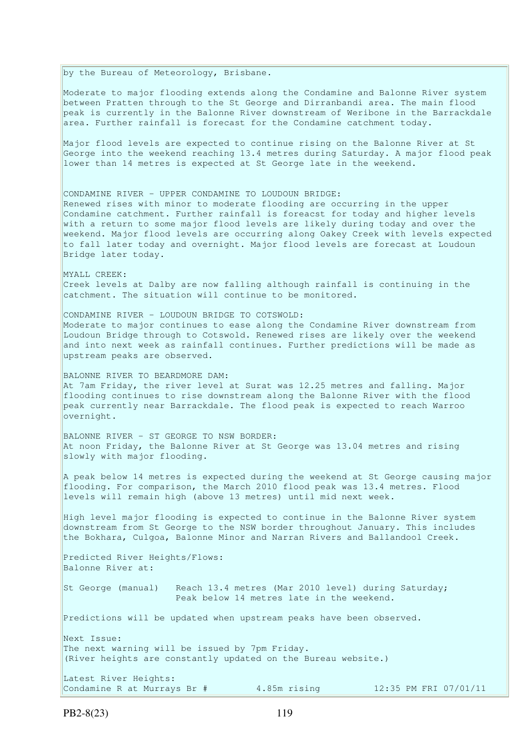by the Bureau of Meteorology, Brisbane.

Moderate to major flooding extends along the Condamine and Balonne River system between Pratten through to the St George and Dirranbandi area. The main flood peak is currently in the Balonne River downstream of Weribone in the Barrackdale area. Further rainfall is forecast for the Condamine catchment today.

Major flood levels are expected to continue rising on the Balonne River at St George into the weekend reaching 13.4 metres during Saturday. A major flood peak lower than 14 metres is expected at St George late in the weekend.

CONDAMINE RIVER - UPPER CONDAMINE TO LOUDOUN BRIDGE: Renewed rises with minor to moderate flooding are occurring in the upper Condamine catchment. Further rainfall is foreacst for today and higher levels with a return to some major flood levels are likely during today and over the weekend. Major flood levels are occurring along Oakey Creek with levels expected to fall later today and overnight. Major flood levels are forecast at Loudoun Bridge later today.

MYALL CREEK: Creek levels at Dalby are now falling although rainfall is continuing in the catchment. The situation will continue to be monitored.

CONDAMINE RIVER - LOUDOUN BRIDGE TO COTSWOLD: Moderate to major continues to ease along the Condamine River downstream from Loudoun Bridge through to Cotswold. Renewed rises are likely over the weekend and into next week as rainfall continues. Further predictions will be made as upstream peaks are observed.

BALONNE RIVER TO BEARDMORE DAM: At 7am Friday, the river level at Surat was 12.25 metres and falling. Major flooding continues to rise downstream along the Balonne River with the flood peak currently near Barrackdale. The flood peak is expected to reach Warroo overnight.

BALONNE RIVER - ST GEORGE TO NSW BORDER: At noon Friday, the Balonne River at St George was 13.04 metres and rising slowly with major flooding.

A peak below 14 metres is expected during the weekend at St George causing major flooding. For comparison, the March 2010 flood peak was 13.4 metres. Flood levels will remain high (above 13 metres) until mid next week.

High level major flooding is expected to continue in the Balonne River system downstream from St George to the NSW border throughout January. This includes the Bokhara, Culgoa, Balonne Minor and Narran Rivers and Ballandool Creek.

Predicted River Heights/Flows: Balonne River at: St George (manual) Reach 13.4 metres (Mar 2010 level) during Saturday; Peak below 14 metres late in the weekend. Predictions will be updated when upstream peaks have been observed. Next Issue: The next warning will be issued by 7pm Friday. (River heights are constantly updated on the Bureau website.)

Latest River Heights: Condamine R at Murrays Br  $\#$  4.85m rising 12:35 PM FRI 07/01/11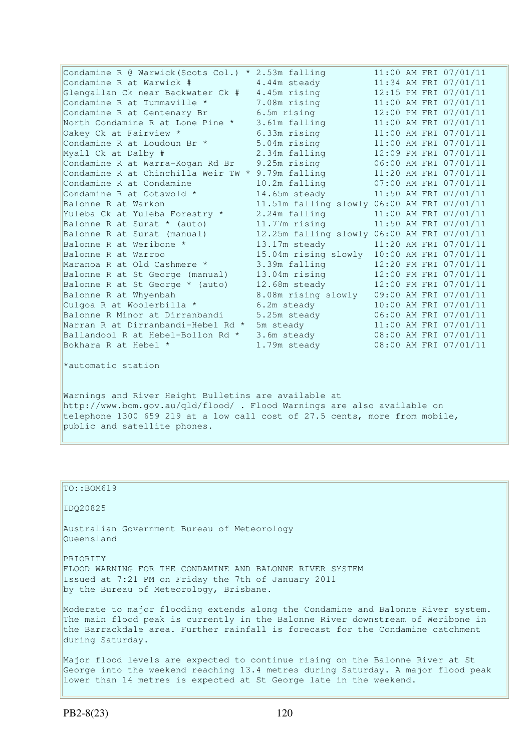| Condamine R @ Warwick (Scots Col.) * 2.53m falling |                                             |  | 11:00 AM FRI 07/01/11 |
|----------------------------------------------------|---------------------------------------------|--|-----------------------|
| Condamine R at Warwick #                           | 4.44m steady                                |  | 11:34 AM FRI 07/01/11 |
| Glengallan Ck near Backwater Ck #                  | 4.45m rising                                |  | 12:15 PM FRI 07/01/11 |
| Condamine R at Tummaville *                        | 7.08m rising                                |  | 11:00 AM FRI 07/01/11 |
| Condamine R at Centenary Br                        | 6.5m rising                                 |  | 12:00 PM FRI 07/01/11 |
| North Condamine R at Lone Pine *                   | 3.61m falling                               |  | 11:00 AM FRI 07/01/11 |
| Oakey Ck at Fairview *                             | 6.33m rising                                |  | 11:00 AM FRI 07/01/11 |
| Condamine R at Loudoun Br *                        | 5.04m rising                                |  | 11:00 AM FRI 07/01/11 |
| Myall Ck at Dalby #                                | 2.34m falling                               |  | 12:09 PM FRI 07/01/11 |
| Condamine R at Warra-Kogan Rd Br                   | 9.25m rising                                |  | 06:00 AM FRI 07/01/11 |
| Condamine R at Chinchilla Weir TW * 9.79m falling  |                                             |  | 11:20 AM FRI 07/01/11 |
| Condamine R at Condamine                           | 10.2m falling                               |  | 07:00 AM FRI 07/01/11 |
| Condamine R at Cotswold *                          | 14.65m steady                               |  | 11:50 AM FRI 07/01/11 |
| Balonne R at Warkon                                | 11.51m falling slowly 06:00 AM FRI 07/01/11 |  |                       |
| Yuleba Ck at Yuleba Forestry *                     | 2.24m falling                               |  | 11:00 AM FRI 07/01/11 |
| Balonne R at Surat * (auto)                        | 11.77m rising                               |  | 11:50 AM FRI 07/01/11 |
| Balonne R at Surat (manual)                        | 12.25m falling slowly 06:00 AM FRI 07/01/11 |  |                       |
| Balonne R at Weribone *                            | 13.17m steady                               |  | 11:20 AM FRI 07/01/11 |
| Balonne R at Warroo                                | 15.04m rising slowly 10:00 AM FRI 07/01/11  |  |                       |
| Maranoa R at Old Cashmere *                        | 3.39m falling                               |  | 12:20 PM FRI 07/01/11 |
| Balonne R at St George (manual)                    | 13.04m rising                               |  | 12:00 PM FRI 07/01/11 |
| Balonne R at St George * (auto)                    | 12.68m steady                               |  | 12:00 PM FRI 07/01/11 |
| Balonne R at Whyenbah                              | 8.08m rising slowly                         |  | 09:00 AM FRI 07/01/11 |
| Culgoa R at Woolerbilla *                          | 6.2m steady                                 |  | 10:00 AM FRI 07/01/11 |
| Balonne R Minor at Dirranbandi                     | 5.25m steady                                |  | 06:00 AM FRI 07/01/11 |
| Narran R at Dirranbandi-Hebel Rd *                 | 5m steady                                   |  | 11:00 AM FRI 07/01/11 |
| Ballandool R at Hebel-Bollon Rd *                  | 3.6m steady                                 |  | 08:00 AM FRI 07/01/11 |
| Bokhara R at Hebel *                               | 1.79m steady                                |  | 08:00 AM FRI 07/01/11 |
|                                                    |                                             |  |                       |
| *automatic station                                 |                                             |  |                       |
|                                                    |                                             |  |                       |
|                                                    |                                             |  |                       |

Warnings and River Height Bulletins are available at http://www.bom.gov.au/qld/flood/ . Flood Warnings are also available on telephone 1300 659 219 at a low call cost of 27.5 cents, more from mobile, public and satellite phones.

# TO::BOM619

IDQ20825

Australian Government Bureau of Meteorology Queensland

PRIORITY FLOOD WARNING FOR THE CONDAMINE AND BALONNE RIVER SYSTEM Issued at 7:21 PM on Friday the 7th of January 2011 by the Bureau of Meteorology, Brisbane.

Moderate to major flooding extends along the Condamine and Balonne River system. The main flood peak is currently in the Balonne River downstream of Weribone in the Barrackdale area. Further rainfall is forecast for the Condamine catchment during Saturday.

Major flood levels are expected to continue rising on the Balonne River at St George into the weekend reaching 13.4 metres during Saturday. A major flood peak lower than 14 metres is expected at St George late in the weekend.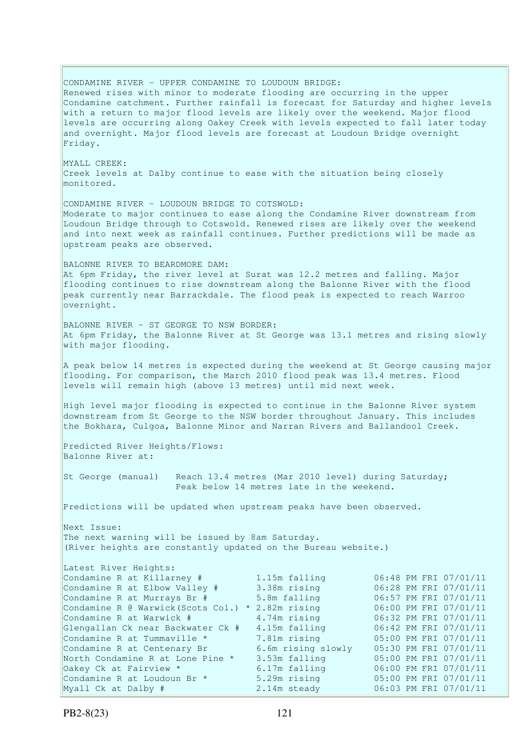CONDAMINE RIVER - UPPER CONDAMINE TO LOUDOUN BRIDGE: Renewed rises with minor to moderate flooding are occurring in the upper Condamine catchment. Further rainfall is forecast for Saturday and higher levels with a return to major flood levels are likely over the weekend. Major flood levels are occurring along Oakey Creek with levels expected to fall later today and overnight. Major flood levels are forecast at Loudoun Bridge overnight Friday. MYALL CREEK: Creek levels at Dalby continue to ease with the situation being closely monitored. CONDAMINE RIVER - LOUDOUN BRIDGE TO COTSWOLD: Moderate to major continues to ease along the Condamine River downstream from Loudoun Bridge through to Cotswold. Renewed rises are likely over the weekend and into next week as rainfall continues. Further predictions will be made as upstream peaks are observed. BALONNE RIVER TO BEARDMORE DAM: At 6pm Friday, the river level at Surat was 12.2 metres and falling. Major flooding continues to rise downstream along the Balonne River with the flood peak currently near Barrackdale. The flood peak is expected to reach Warroo overnight. BALONNE RIVER - ST GEORGE TO NSW BORDER: At 6pm Friday, the Balonne River at St George was 13.1 metres and rising slowly with major flooding. A peak below 14 metres is expected during the weekend at St George causing major flooding. For comparison, the March 2010 flood peak was 13.4 metres. Flood levels will remain high (above 13 metres) until mid next week. High level major flooding is expected to continue in the Balonne River system downstream from St George to the NSW border throughout January. This includes the Bokhara, Culgoa, Balonne Minor and Narran Rivers and Ballandool Creek. Predicted River Heights/Flows: Balonne River at: St George (manual) Reach 13.4 metres (Mar 2010 level) during Saturday; Peak below 14 metres late in the weekend. Predictions will be updated when upstream peaks have been observed. Next Issue: The next warning will be issued by 8am Saturday. (River heights are constantly updated on the Bureau website.) Latest River Heights: Condamine R at Killarney  $\#$  1.15m falling 06:48 PM FRI 07/01/11 Condamine R at Elbow Valley # 3.38m rising 06:28 PM FRI 07/01/11 Condamine R at Murrays Br  $\#$  5.8m falling  $06:57$  PM FRI 07/01/11 Condamine R @ Warwick(Scots Col.) \* 2.82m rising 06:00 PM FRI 07/01/11 Condamine R at Warwick  $\#$  4.74m rising 06:32 PM FRI 07/01/11 Glengallan Ck near Backwater Ck # 4.15m falling 06:42 PM FRI 07/01/11  $\begin{array}{ccccc}\n\text{Condamine R at Tummaville} & \times & 7.81\text{m rising} & 05:00 \text{ PM FRI } 07/01/11 \\
\text{Condamine R at Centenary Br} & 6.6\text{m rising slowly} & 05:30 \text{ PM FRI } 07/01/11\n\end{array}$ Condamine R at Centenary Br 6.6m rising slowly 05:30 PM FRI 07/01/11 North Condamine R at Lone Pine \* 3.53m falling 05:00 PM FRI 07/01/11 Oakey Ck at Fairview \* 6.17m falling 06:00 PM FRI 07/01/11 Condamine R at Loudoun Br  $*$  5.29m rising 05:00 PM FRI 07/01/11 Condamine R at Loudoun Br \* 5.29m rising  $\begin{array}{ccc} 05:00 \text{ PM FRI } 07/01/11 \\ \text{Myall Ck at Dalby } & 2.14 \text{ m steady} \end{array}$  06:03 PM FRI 07/01/11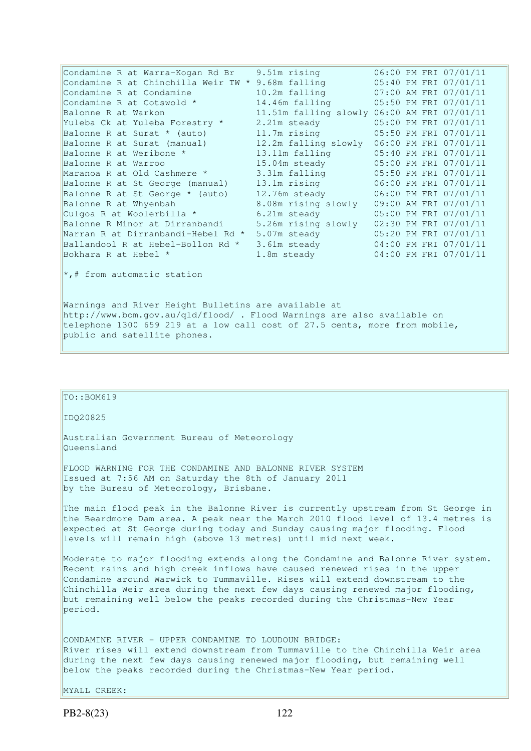| Condamine R at Warra-Kogan Rd Br                     | 9.51m rising                                                                                                   | 06:00 PM FRI 07/01/11 |  |
|------------------------------------------------------|----------------------------------------------------------------------------------------------------------------|-----------------------|--|
| Condamine R at Chinchilla Weir TW * 9.68m falling    |                                                                                                                | 05:40 PM FRI 07/01/11 |  |
| Condamine R at Condamine                             | 10.2m falling                                                                                                  | 07:00 AM FRI 07/01/11 |  |
| Condamine R at Cotswold *                            | 14.46m falling                                                                                                 | 05:50 PM FRI 07/01/11 |  |
| Balonne R at Warkon                                  | 11.51m falling slowly 06:00 AM FRI 07/01/11                                                                    |                       |  |
| Yuleba Ck at Yuleba Forestry *                       | 2.21m steady                                                                                                   | 05:00 PM FRI 07/01/11 |  |
| Balonne R at Surat * (auto)                          | 11.7m rising                                                                                                   | 05:50 PM FRI 07/01/11 |  |
| Balonne R at Surat (manual)                          | 12.2m falling slowly                                                                                           | 06:00 PM FRI 07/01/11 |  |
| Balonne R at Weribone *                              | 13.11m falling                                                                                                 | 05:40 PM FRI 07/01/11 |  |
| Balonne R at Warroo                                  | 15.04m steady                                                                                                  | 05:00 PM FRI 07/01/11 |  |
| Maranoa R at Old Cashmere *                          | 3.31m falling                                                                                                  | 05:50 PM FRI 07/01/11 |  |
| Balonne R at St George (manual)                      | 13.1m rising                                                                                                   | 06:00 PM FRI 07/01/11 |  |
| Balonne R at St George * (auto)                      | 12.76m steady                                                                                                  | 06:00 PM FRI 07/01/11 |  |
| Balonne R at Whyenbah                                | 8.08m rising slowly                                                                                            | 09:00 AM FRI 07/01/11 |  |
| Culgoa R at Woolerbilla *                            | 6.21m steady                                                                                                   | 05:00 PM FRI 07/01/11 |  |
| Balonne R Minor at Dirranbandi                       | 5.26m rising slowly                                                                                            | 02:30 PM FRI 07/01/11 |  |
| Narran R at Dirranbandi-Hebel Rd *                   | 5.07m steady                                                                                                   | 05:20 PM FRI 07/01/11 |  |
| Ballandool R at Hebel-Bollon Rd *                    | 3.61m steady                                                                                                   | 04:00 PM FRI 07/01/11 |  |
| Bokhara R at Hebel *                                 | 1.8m steady and the state of the state of the state of the state of the state of the state of the state of the | 04:00 PM FRI 07/01/11 |  |
| $\star$ ,# from automatic station                    |                                                                                                                |                       |  |
| Warnings and River Height Bulletins are available at |                                                                                                                |                       |  |

Warnings and River Height Bulletins are available at http://www.bom.gov.au/qld/flood/ . Flood Warnings are also available on telephone 1300 659 219 at a low call cost of 27.5 cents, more from mobile, public and satellite phones.

# TO::BOM619

### IDQ20825

Australian Government Bureau of Meteorology Queensland

FLOOD WARNING FOR THE CONDAMINE AND BALONNE RIVER SYSTEM Issued at 7:56 AM on Saturday the 8th of January 2011 by the Bureau of Meteorology, Brisbane.

The main flood peak in the Balonne River is currently upstream from St George in the Beardmore Dam area. A peak near the March 2010 flood level of 13.4 metres is expected at St George during today and Sunday causing major flooding. Flood levels will remain high (above 13 metres) until mid next week.

Moderate to major flooding extends along the Condamine and Balonne River system. Recent rains and high creek inflows have caused renewed rises in the upper Condamine around Warwick to Tummaville. Rises will extend downstream to the Chinchilla Weir area during the next few days causing renewed major flooding, but remaining well below the peaks recorded during the Christmas-New Year period.

CONDAMINE RIVER - UPPER CONDAMINE TO LOUDOUN BRIDGE: River rises will extend downstream from Tummaville to the Chinchilla Weir area during the next few days causing renewed major flooding, but remaining well below the peaks recorded during the Christmas-New Year period.

MYALL CREEK: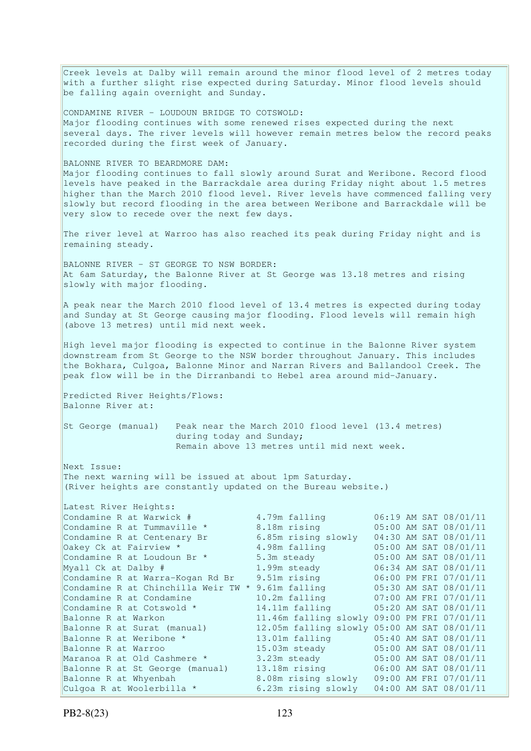Creek levels at Dalby will remain around the minor flood level of 2 metres today with a further slight rise expected during Saturday. Minor flood levels should be falling again overnight and Sunday. CONDAMINE RIVER - LOUDOUN BRIDGE TO COTSWOLD: Major flooding continues with some renewed rises expected during the next several days. The river levels will however remain metres below the record peaks recorded during the first week of January. BALONNE RIVER TO BEARDMORE DAM: Major flooding continues to fall slowly around Surat and Weribone. Record flood levels have peaked in the Barrackdale area during Friday night about 1.5 metres higher than the March 2010 flood level. River levels have commenced falling very slowly but record flooding in the area between Weribone and Barrackdale will be very slow to recede over the next few days. The river level at Warroo has also reached its peak during Friday night and is remaining steady. BALONNE RIVER - ST GEORGE TO NSW BORDER: At 6am Saturday, the Balonne River at St George was 13.18 metres and rising slowly with major flooding. A peak near the March 2010 flood level of 13.4 metres is expected during today and Sunday at St George causing major flooding. Flood levels will remain high (above 13 metres) until mid next week. High level major flooding is expected to continue in the Balonne River system downstream from St George to the NSW border throughout January. This includes the Bokhara, Culgoa, Balonne Minor and Narran Rivers and Ballandool Creek. The peak flow will be in the Dirranbandi to Hebel area around mid-January. Predicted River Heights/Flows: Balonne River at: St George (manual) Peak near the March 2010 flood level (13.4 metres) during today and Sunday; Remain above 13 metres until mid next week. Next Issue: The next warning will be issued at about 1pm Saturday. (River heights are constantly updated on the Bureau website.) Latest River Heights: Condamine R at Warwick # 4.79m falling 06:19 AM SAT 08/01/11 Condamine R at Tummaville  $*$  8.18m rising  $05:00$  AM SAT  $08/01/11$ Condamine R at Warwick # 4.79m lailing 06:19 AM SAI 08/01/11<br>Condamine R at Tummaville \* 8.18m rising 05:00 AM SAT 08/01/11<br>Condamine R at Centenary Br 6.85m rising slowly 04:30 AM SAT 08/01/11 Oakey Ck at Fairview \* 4.98m falling 05:00 AM SAT 08/01/11 Condamine R at Loudoun Br  $*$  5.3m steady 05:00 AM SAT 08/01/11 Myall Ck at Dalby # 1.99m steady 06:34 AM SAT 08/01/11 Condamine R at Warra-Kogan Rd Br 9.51m rising 06:00 PM FRI 07/01/11 Condamine R at Chinchilla Weir TW  $*$  9.61m falling  $05:30$  AM SAT  $08/01/11$ Condamine R at Condamine 10.2m falling 07:00 AM FRI 07/01/11 Condamine R at Cotswold  $*$  14.11m falling  $05:20$  AM SAT  $08/01/11$ Balonne R at Warkon 11.46m falling slowly 09:00 PM FRI 07/01/11 Balonne R at Surat (manual) 12.05m falling slowly 05:00 AM SAT 08/01/11 Balonne R at Weribone \* 13.01m falling 05:40 AM SAT 08/01/11 Balonne R at Warroo 15.03m steady 05:00 AM SAT 08/01/11 Maranoa R at Old Cashmere \* 3.23m steady 05:00 AM SAT 08/01/11 Balonne R at St George (manual) 13.18m rising 06:00 AM SAT 08/01/11 Balonne R at Whyenbah 8.08m rising slowly 09:00 AM FRI 07/01/11 Culgoa R at Woolerbilla  $*$  6.23m rising slowly  $0.4:00$  AM SAT  $0.8/01/11$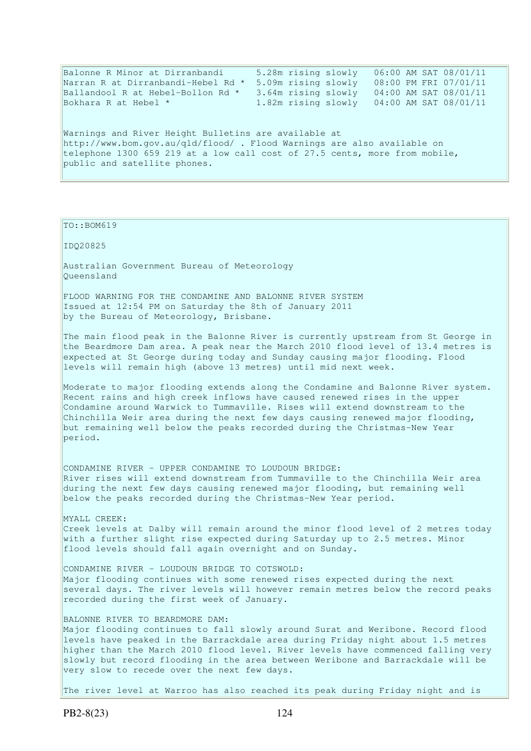| Balonne R Minor at Dirranbandi                                             | 5.28m rising slowly | 06:00 AM SAT 08/01/11 |  |  |
|----------------------------------------------------------------------------|---------------------|-----------------------|--|--|
| Narran R at Dirranbandi-Hebel Rd *                                         | 5.09m rising slowly | 08:00 PM FRI 07/01/11 |  |  |
| Ballandool R at Hebel-Bollon Rd *                                          | 3.64m rising slowly | 04:00 AM SAT 08/01/11 |  |  |
| Bokhara R at Hebel *                                                       | 1.82m rising slowly | 04:00 AM SAT 08/01/11 |  |  |
|                                                                            |                     |                       |  |  |
| Warnings and River Height Bulletins are available at                       |                     |                       |  |  |
| http://www.bom.gov.au/qld/flood/ . Flood Warnings are also available on    |                     |                       |  |  |
| telephone 1300 659 219 at a low call cost of 27.5 cents, more from mobile, |                     |                       |  |  |
| public and satellite phones.                                               |                     |                       |  |  |

TO::BOM619

IDQ20825

Australian Government Bureau of Meteorology Queensland

FLOOD WARNING FOR THE CONDAMINE AND BALONNE RIVER SYSTEM Issued at 12:54 PM on Saturday the 8th of January 2011 by the Bureau of Meteorology, Brisbane.

The main flood peak in the Balonne River is currently upstream from St George in the Beardmore Dam area. A peak near the March 2010 flood level of 13.4 metres is expected at St George during today and Sunday causing major flooding. Flood levels will remain high (above 13 metres) until mid next week.

Moderate to major flooding extends along the Condamine and Balonne River system. Recent rains and high creek inflows have caused renewed rises in the upper Condamine around Warwick to Tummaville. Rises will extend downstream to the Chinchilla Weir area during the next few days causing renewed major flooding, but remaining well below the peaks recorded during the Christmas-New Year period.

CONDAMINE RIVER - UPPER CONDAMINE TO LOUDOUN BRIDGE: River rises will extend downstream from Tummaville to the Chinchilla Weir area during the next few days causing renewed major flooding, but remaining well below the peaks recorded during the Christmas-New Year period.

MYALL CREEK: Creek levels at Dalby will remain around the minor flood level of 2 metres today with a further slight rise expected during Saturday up to 2.5 metres. Minor flood levels should fall again overnight and on Sunday.

CONDAMINE RIVER - LOUDOUN BRIDGE TO COTSWOLD: Major flooding continues with some renewed rises expected during the next several days. The river levels will however remain metres below the record peaks recorded during the first week of January.

BALONNE RIVER TO BEARDMORE DAM: Major flooding continues to fall slowly around Surat and Weribone. Record flood levels have peaked in the Barrackdale area during Friday night about 1.5 metres higher than the March 2010 flood level. River levels have commenced falling very slowly but record flooding in the area between Weribone and Barrackdale will be very slow to recede over the next few days.

The river level at Warroo has also reached its peak during Friday night and is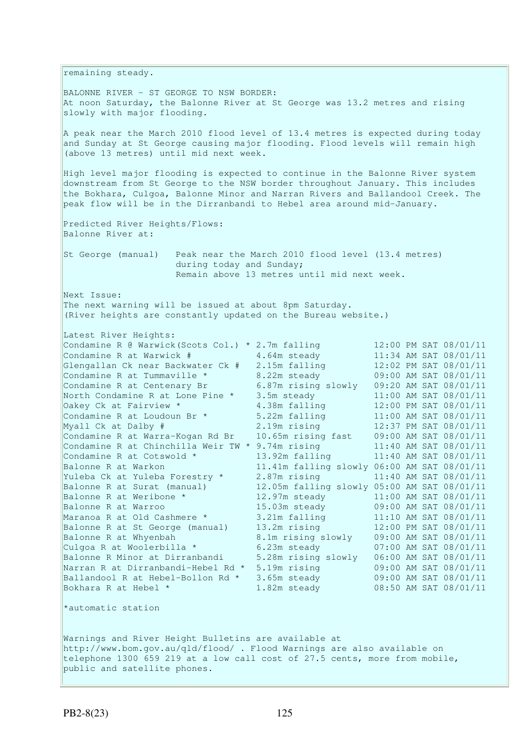remaining steady. BALONNE RIVER - ST GEORGE TO NSW BORDER: At noon Saturday, the Balonne River at St George was 13.2 metres and rising slowly with major flooding. A peak near the March 2010 flood level of 13.4 metres is expected during today and Sunday at St George causing major flooding. Flood levels will remain high (above 13 metres) until mid next week. High level major flooding is expected to continue in the Balonne River system downstream from St George to the NSW border throughout January. This includes the Bokhara, Culgoa, Balonne Minor and Narran Rivers and Ballandool Creek. The peak flow will be in the Dirranbandi to Hebel area around mid-January. Predicted River Heights/Flows: Balonne River at: St George (manual) Peak near the March 2010 flood level (13.4 metres) during today and Sunday; Remain above 13 metres until mid next week. Next Issue: The next warning will be issued at about 8pm Saturday. (River heights are constantly updated on the Bureau website.) Latest River Heights: Condamine R  $\theta$  Warwick(Scots Col.) \* 2.7m falling 12:00 PM SAT 08/01/11 Condamine R at Warwick  $\#$  4.64m steady 11:34 AM SAT 08/01/11 Glengallan Ck near Backwater Ck # 2.15m falling 12:02 PM SAT 08/01/11 Condamine R at Tummaville  $*$  8.22m steady 09:00 AM SAT 08/01/11 Condamine R at Centenary Br 6.87m rising slowly 09:20 AM SAT 08/01/11 North Condamine R at Lone Pine \* 3.5m steady 11:00 AM SAT 08/01/11 Oakey Ck at Fairview \* 4.38m falling 12:00 PM SAT 08/01/11 Condamine R at Loudoun Br  $*$  5.22m falling 11:00 AM SAT 08/01/11 Myall Ck at Dalby # 2.19m rising 12:37 PM SAT 08/01/11 Condamine R at Warra-Kogan Rd Br 10.65m rising fast 09:00 AM SAT 08/01/11 Condamine R at Chinchilla Weir TW \* 9.74m rising 11:40 AM SAT 08/01/11<br>
Condamine R at Cotswold \* 13.92m falling 11:40 AM SAT 08/01/11 Condamine R at Cotswold  $*$  13.92m falling 11:40 AM SAT 08/01/11 Balonne R at Warkon 11.41m falling slowly 06:00 AM SAT 08/01/11 Yuleba Ck at Yuleba Forestry \* 2.87m rising 11:40 AM SAT 08/01/11 Balonne R at Surat (manual) 12.05m falling slowly 05:00 AM SAT 08/01/11 Balonne R at Weribone \* 12.97m steady 11:00 AM SAT 08/01/11 Balonne R at Warroo 15.03m steady 09:00 AM SAT 08/01/11 Maranoa R at Old Cashmere \* 3.21m falling 11:10 AM SAT 08/01/11 Balonne R at St George (manual) 13.2m rising 12:00 PM SAT 08/01/11 Balonne R at Whyenbah 8.1m rising slowly 09:00 AM SAT 08/01/11 Culgoa R at Woolerbilla  $\star$  6.23m steady 67:00 AM SAT 08/01/11 Balonne R Minor at Dirranbandi 5.28m rising slowly 06:00 AM SAT 08/01/11 Narran R at Dirranbandi-Hebel Rd \* 5.19m rising 09:00 AM SAT 08/01/11 Ballandool R at Hebel-Bollon Rd \* 3.65m steady 09:00 AM SAT 08/01/11 Bokhara R at Hebel \* 1.82m steady 08:50 AM SAT 08/01/11 \*automatic station Warnings and River Height Bulletins are available at http://www.bom.gov.au/qld/flood/ . Flood Warnings are also available on telephone 1300 659 219 at a low call cost of 27.5 cents, more from mobile, public and satellite phones.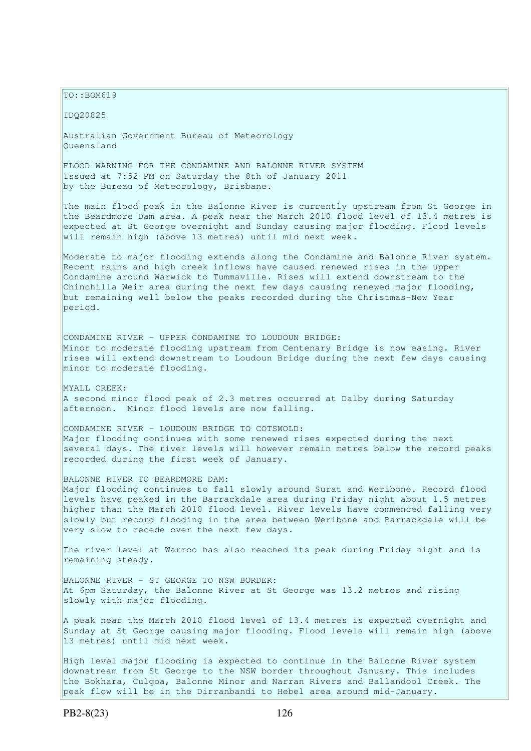$TO: **ROM619**$ 

IDQ20825

Australian Government Bureau of Meteorology Queensland

FLOOD WARNING FOR THE CONDAMINE AND BALONNE RIVER SYSTEM Issued at 7:52 PM on Saturday the 8th of January 2011 by the Bureau of Meteorology, Brisbane.

The main flood peak in the Balonne River is currently upstream from St George in the Beardmore Dam area. A peak near the March 2010 flood level of 13.4 metres is expected at St George overnight and Sunday causing major flooding. Flood levels will remain high (above 13 metres) until mid next week.

Moderate to major flooding extends along the Condamine and Balonne River system. Recent rains and high creek inflows have caused renewed rises in the upper Condamine around Warwick to Tummaville. Rises will extend downstream to the Chinchilla Weir area during the next few days causing renewed major flooding, but remaining well below the peaks recorded during the Christmas-New Year period.

CONDAMINE RIVER - UPPER CONDAMINE TO LOUDOUN BRIDGE: Minor to moderate flooding upstream from Centenary Bridge is now easing. River rises will extend downstream to Loudoun Bridge during the next few days causing minor to moderate flooding.

MYALL CREEK: A second minor flood peak of 2.3 metres occurred at Dalby during Saturday afternoon. Minor flood levels are now falling.

CONDAMINE RIVER - LOUDOUN BRIDGE TO COTSWOLD: Major flooding continues with some renewed rises expected during the next several days. The river levels will however remain metres below the record peaks recorded during the first week of January.

# BALONNE RIVER TO BEARDMORE DAM:

Major flooding continues to fall slowly around Surat and Weribone. Record flood levels have peaked in the Barrackdale area during Friday night about 1.5 metres higher than the March 2010 flood level. River levels have commenced falling very slowly but record flooding in the area between Weribone and Barrackdale will be very slow to recede over the next few days.

The river level at Warroo has also reached its peak during Friday night and is remaining steady.

BALONNE RIVER - ST GEORGE TO NSW BORDER: At 6pm Saturday, the Balonne River at St George was 13.2 metres and rising slowly with major flooding.

A peak near the March 2010 flood level of 13.4 metres is expected overnight and Sunday at St George causing major flooding. Flood levels will remain high (above 13 metres) until mid next week.

High level major flooding is expected to continue in the Balonne River system downstream from St George to the NSW border throughout January. This includes the Bokhara, Culgoa, Balonne Minor and Narran Rivers and Ballandool Creek. The peak flow will be in the Dirranbandi to Hebel area around mid-January.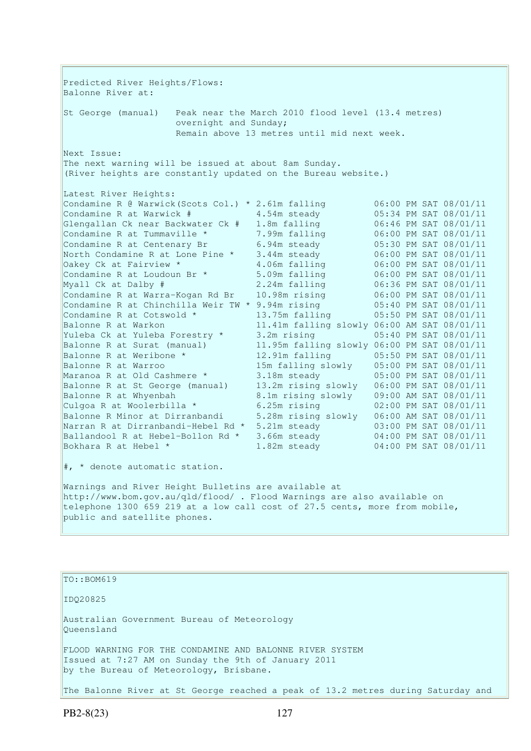Predicted River Heights/Flows: Balonne River at: St George (manual) Peak near the March 2010 flood level (13.4 metres) overnight and Sunday; Remain above 13 metres until mid next week. Next Issue: The next warning will be issued at about 8am Sunday. (River heights are constantly updated on the Bureau website.) Latest River Heights: Condamine R @ Warwick(Scots Col.) \* 2.61m falling 06:00 PM SAT 08/01/11<br>
Condamine R at Warwick # 4.54m steady 05:34 PM SAT 08/01/11 Condamine R at Warwick # 4.54m steady 05:34 PM SAT 08/01/11<br>
Clengallan Ck near Backwater Ck # 1.8m falling 06:46 PM SAT 08/01/11<br>
Condamine R at Tummaville \* 7.99m falling 06:00 PM SAT 08/01/11<br>
Condamine R at Centenary B Glengallan Ck near Backwater Ck # 1.8m falling 06:46 PM SAT 08/01/11 Condamine R at Tummaville \* 7.99m falling 06:00 PM SAT 08/01/11 Condamine R at Centenary Br  $6.94$ m steady  $05:30$  PM SAT  $08/01/11$ North Condamine R at Lone Pine \* 3.44m steady 06:00 PM SAT 08/01/11 Oakey Ck at Fairview \* 4.06m falling 06:00 PM SAT 08/01/11 Condamine R at Loudoun Br  $*$  5.09m falling 06:00 PM SAT 08/01/11 Myall Ck at Dalby # 2.24m falling 06:36 PM SAT 08/01/11 Myall Ck at Dalby # 2.24m falling<br>Condamine R at Warra-Kogan Rd Br 10.98m rising<br>Condamine R at Chinchilla Weir TW \* 9.94m rising Condamine R at Chinchilla Weir TW  $*$  9.94m rising  $05:40$  PM SAT 08/01/11 Condamine R at Cotswold  $*$  13.75m falling  $05:50$  PM SAT 08/01/11 Balonne R at Warkon 11.41m falling slowly 06:00 AM SAT 08/01/11 Yuleba Ck at Yuleba Forestry \* 3.2m rising 05:40 PM SAT 08/01/11 Balonne R at Surat (manual) 11.95m falling slowly 06:00 PM SAT 08/01/11 Balonne R at Weribone \* 12.91m falling 05:50 PM SAT 08/01/11 Balonne R at Warroo 15m falling slowly 05:00 PM SAT 08/01/11 Maranoa R at Old Cashmere \* 3.18m steady 05:00 PM SAT 08/01/11 Balonne R at St George (manual) 13.2m rising slowly 06:00 PM SAT 08/01/11 Balonne R at Whyenbah 8.1m rising slowly 09:00 AM SAT 08/01/11 Culgoa R at Woolerbilla  $*$  6.25m rising 02:00 PM SAT 08/01/11 Balonne R Minor at Dirranbandi 5.28m rising slowly 06:00 AM SAT 08/01/11 Narran R at Dirranbandi-Hebel Rd \* 5.21m steady 03:00 PM SAT 08/01/11 Ballandool R at Hebel-Bollon Rd \* 3.66m steady 04:00 PM SAT 08/01/11 Bokhara R at Hebel \* 1.82m steady 04:00 PM SAT 08/01/11 #, \* denote automatic station. Warnings and River Height Bulletins are available at http://www.bom.gov.au/qld/flood/ . Flood Warnings are also available on telephone 1300 659 219 at a low call cost of 27.5 cents, more from mobile, public and satellite phones.

TO::BOM619

IDQ20825

Australian Government Bureau of Meteorology Queensland

FLOOD WARNING FOR THE CONDAMINE AND BALONNE RIVER SYSTEM Issued at 7:27 AM on Sunday the 9th of January 2011 by the Bureau of Meteorology, Brisbane.

The Balonne River at St George reached a peak of 13.2 metres during Saturday and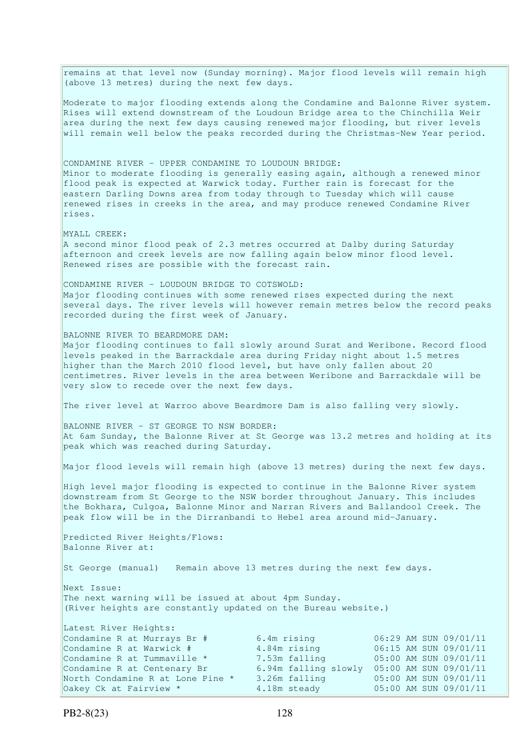remains at that level now (Sunday morning). Major flood levels will remain high (above 13 metres) during the next few days.

Moderate to major flooding extends along the Condamine and Balonne River system. Rises will extend downstream of the Loudoun Bridge area to the Chinchilla Weir area during the next few days causing renewed major flooding, but river levels will remain well below the peaks recorded during the Christmas-New Year period.

CONDAMINE RIVER - UPPER CONDAMINE TO LOUDOUN BRIDGE: Minor to moderate flooding is generally easing again, although a renewed minor flood peak is expected at Warwick today. Further rain is forecast for the eastern Darling Downs area from today through to Tuesday which will cause renewed rises in creeks in the area, and may produce renewed Condamine River rises.

MYALL CREEK: A second minor flood peak of 2.3 metres occurred at Dalby during Saturday afternoon and creek levels are now falling again below minor flood level. Renewed rises are possible with the forecast rain.

CONDAMINE RIVER - LOUDOUN BRIDGE TO COTSWOLD: Major flooding continues with some renewed rises expected during the next several days. The river levels will however remain metres below the record peaks recorded during the first week of January.

BALONNE RIVER TO BEARDMORE DAM: Major flooding continues to fall slowly around Surat and Weribone. Record flood levels peaked in the Barrackdale area during Friday night about 1.5 metres higher than the March 2010 flood level, but have only fallen about 20 centimetres. River levels in the area between Weribone and Barrackdale will be very slow to recede over the next few days.

The river level at Warroo above Beardmore Dam is also falling very slowly.

BALONNE RIVER - ST GEORGE TO NSW BORDER: At 6am Sunday, the Balonne River at St George was 13.2 metres and holding at its peak which was reached during Saturday.

Major flood levels will remain high (above 13 metres) during the next few days.

High level major flooding is expected to continue in the Balonne River system downstream from St George to the NSW border throughout January. This includes the Bokhara, Culgoa, Balonne Minor and Narran Rivers and Ballandool Creek. The peak flow will be in the Dirranbandi to Hebel area around mid-January.

Predicted River Heights/Flows: Balonne River at:

St George (manual) Remain above 13 metres during the next few days.

Next Issue: The next warning will be issued at about 4pm Sunday. (River heights are constantly updated on the Bureau website.)

```
Latest River Heights: 
Condamine R at Murrays Br \# 6.4m rising 06:29 AM SUN 09/01/11
Condamine R at Warwick # 4.84m rising 06:15 AM SUN 09/01/11 
Condamine R at Tummaville * 7.53m falling 05:00 AM SUN 09/01/11
Condamine R at Tummaville * 7.53m falling 05:00 AM SUN 09/01/11<br>Condamine R at Centenary Br 6.94m falling slowly 05:00 AM SUN 09/01/11
North Condamine R at Lone Pine * 3.26m falling 05:00 AM SUN 09/01/11
Oakey Ck at Fairview * 4.18m steady 05:00 AM SUN 09/01/11
```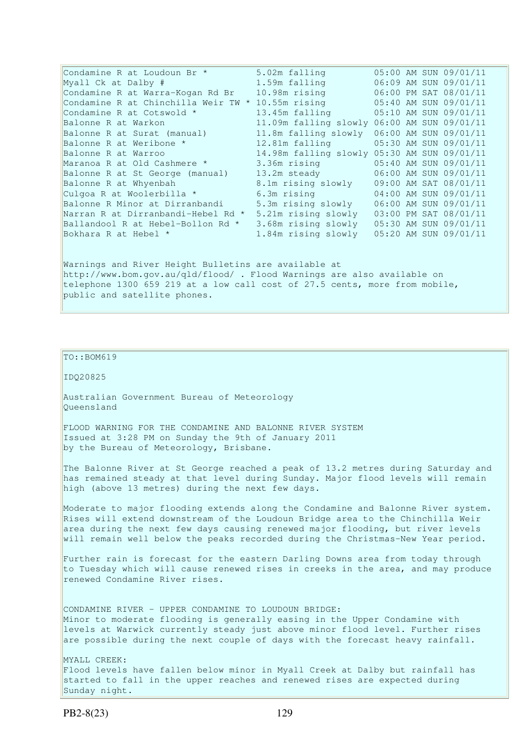| Condamine R at Loudoun Br *                       | 5.02m falling                               |  | 05:00 AM SUN 09/01/11 |
|---------------------------------------------------|---------------------------------------------|--|-----------------------|
| Myall Ck at Dalby #                               | 1.59m falling                               |  | 06:09 AM SUN 09/01/11 |
| Condamine R at Warra-Kogan Rd Br                  | 10.98m rising                               |  | 06:00 PM SAT 08/01/11 |
| Condamine R at Chinchilla Weir TW * 10.55m rising |                                             |  | 05:40 AM SUN 09/01/11 |
| Condamine R at Cotswold *                         | 13.45m falling                              |  | 05:10 AM SUN 09/01/11 |
| Balonne R at Warkon                               | 11.09m falling slowly 06:00 AM SUN 09/01/11 |  |                       |
| Balonne R at Surat (manual)                       | 11.8m falling slowly 06:00 AM SUN 09/01/11  |  |                       |
| Balonne R at Weribone *                           | 12.81m falling                              |  | 05:30 AM SUN 09/01/11 |
| Balonne R at Warroo                               | 14.98m falling slowly 05:30 AM SUN 09/01/11 |  |                       |
| Maranoa R at Old Cashmere *                       | 3.36m rising                                |  | 05:40 AM SUN 09/01/11 |
| Balonne R at St George (manual)                   | 13.2m steady                                |  | 06:00 AM SUN 09/01/11 |
| Balonne R at Whyenbah                             | 8.1m rising slowly                          |  | 09:00 AM SAT 08/01/11 |
| Culgoa R at Woolerbilla *                         | 6.3m rising                                 |  | 04:00 AM SUN 09/01/11 |
| Balonne R Minor at Dirranbandi                    | 5.3m rising slowly                          |  | 06:00 AM SUN 09/01/11 |
| Narran R at Dirranbandi-Hebel Rd *                | 5.21m rising slowly                         |  | 03:00 PM SAT 08/01/11 |
| Ballandool R at Hebel-Bollon Rd *                 | 3.68m rising slowly                         |  | 05:30 AM SUN 09/01/11 |
| Bokhara R at Hebel *                              | 1.84m rising slowly                         |  | 05:20 AM SUN 09/01/11 |
|                                                   |                                             |  |                       |

Warnings and River Height Bulletins are available at http://www.bom.gov.au/qld/flood/ . Flood Warnings are also available on telephone 1300 659 219 at a low call cost of 27.5 cents, more from mobile, public and satellite phones.

### TO::BOM619

IDQ20825

Australian Government Bureau of Meteorology Queensland

FLOOD WARNING FOR THE CONDAMINE AND BALONNE RIVER SYSTEM Issued at 3:28 PM on Sunday the 9th of January 2011 by the Bureau of Meteorology, Brisbane.

The Balonne River at St George reached a peak of 13.2 metres during Saturday and has remained steady at that level during Sunday. Major flood levels will remain high (above 13 metres) during the next few days.

Moderate to major flooding extends along the Condamine and Balonne River system. Rises will extend downstream of the Loudoun Bridge area to the Chinchilla Weir area during the next few days causing renewed major flooding, but river levels will remain well below the peaks recorded during the Christmas-New Year period.

Further rain is forecast for the eastern Darling Downs area from today through to Tuesday which will cause renewed rises in creeks in the area, and may produce renewed Condamine River rises.

CONDAMINE RIVER - UPPER CONDAMINE TO LOUDOUN BRIDGE: Minor to moderate flooding is generally easing in the Upper Condamine with levels at Warwick currently steady just above minor flood level. Further rises are possible during the next couple of days with the forecast heavy rainfall.

MYALL CREEK: Flood levels have fallen below minor in Myall Creek at Dalby but rainfall has started to fall in the upper reaches and renewed rises are expected during Sunday night.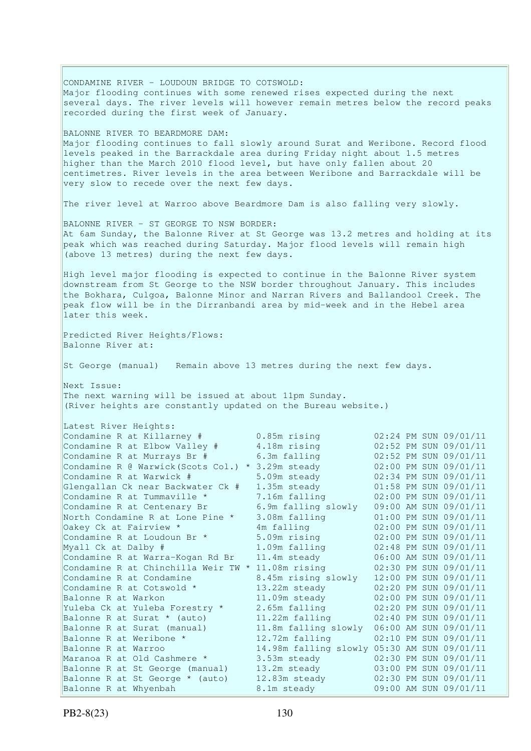CONDAMINE RIVER - LOUDOUN BRIDGE TO COTSWOLD: Major flooding continues with some renewed rises expected during the next several days. The river levels will however remain metres below the record peaks recorded during the first week of January. BALONNE RIVER TO BEARDMORE DAM: Major flooding continues to fall slowly around Surat and Weribone. Record flood levels peaked in the Barrackdale area during Friday night about 1.5 metres higher than the March 2010 flood level, but have only fallen about 20 centimetres. River levels in the area between Weribone and Barrackdale will be very slow to recede over the next few days. The river level at Warroo above Beardmore Dam is also falling very slowly. BALONNE RIVER - ST GEORGE TO NSW BORDER: At 6am Sunday, the Balonne River at St George was 13.2 metres and holding at its peak which was reached during Saturday. Major flood levels will remain high (above 13 metres) during the next few days. High level major flooding is expected to continue in the Balonne River system downstream from St George to the NSW border throughout January. This includes the Bokhara, Culgoa, Balonne Minor and Narran Rivers and Ballandool Creek. The peak flow will be in the Dirranbandi area by mid-week and in the Hebel area later this week. Predicted River Heights/Flows: Balonne River at: St George (manual) Remain above 13 metres during the next few days. Next Issue: The next warning will be issued at about 11pm Sunday. (River heights are constantly updated on the Bureau website.) Latest River Heights: Condamine R at Killarney  $\#$  0.85m rising 02:24 PM SUN 09/01/11 Condamine R at Elbow Valley # 4.18m rising 02:52 PM SUN 09/01/11 Condamine R at Murrays Br  $\#$  6.3m falling  $02:52$  PM SUN 09/01/11 Condamine R  $\theta$  Warwick(Scots Col.) \* 3.29m steady 02:00 PM SUN 09/01/11 Condamine R at Warwick  $\#$  5.09m steady 02:34 PM SUN 09/01/11 Glengallan Ck near Backwater Ck # 1.35m steady 01:58 PM SUN 09/01/11 Condamine R at Tummaville  $*$  7.16m falling  $02:00$  PM SUN 09/01/11 Condamine R at Centenary Br 6.9m falling slowly 09:00 AM SUN 09/01/11 North Condamine R at Lone Pine \* 3.08m falling 01:00 PM SUN 09/01/11 Oakey Ck at Fairview \* 4m falling 02:00 PM SUN 09/01/11 Condamine R at Loudoun Br  $*$  5.09m rising 02:00 PM SUN 09/01/11 Myall Ck at Dalby # 1.09m falling 02:48 PM SUN 09/01/11 Condamine R at Warra-Kogan Rd Br 11.4m steady 06:00 AM SUN 09/01/11 Condamine R at Chinchilla Weir TW  $*$  11.08m rising  $02:30$  PM SUN 09/01/11 Condamine R at Condamine 8.45m rising slowly 12:00 PM SUN 09/01/11 Condamine R at Cotswold  $\star$  13.22m steady 02:20 PM SUN 09/01/11 Balonne R at Warkon 11.09m steady 02:00 PM SUN 09/01/11 Yuleba Ck at Yuleba Forestry \* 2.65m falling 02:20 PM SUN 09/01/11 Balonne R at Surat \* (auto) 11.22m falling 02:40 PM SUN 09/01/11 Balonne R at Surat (manual) 11.8m falling slowly 06:00 AM SUN 09/01/11 Balonne R at Weribone \* 12.72m falling 02:10 PM SUN 09/01/11 Balonne R at Warroo 14.98m falling slowly 05:30 AM SUN 09/01/11 Maranoa R at Old Cashmere \* 3.53m steady 02:30 PM SUN 09/01/11 Balonne R at St George (manual) 13.2m steady 03:00 PM SUN 09/01/11 Balonne R at St George \* (auto) 12.83m steady 02:30 PM SUN 09/01/11 Balonne R at Whyenbah 8.1m steady 09:00 AM SUN 09/01/11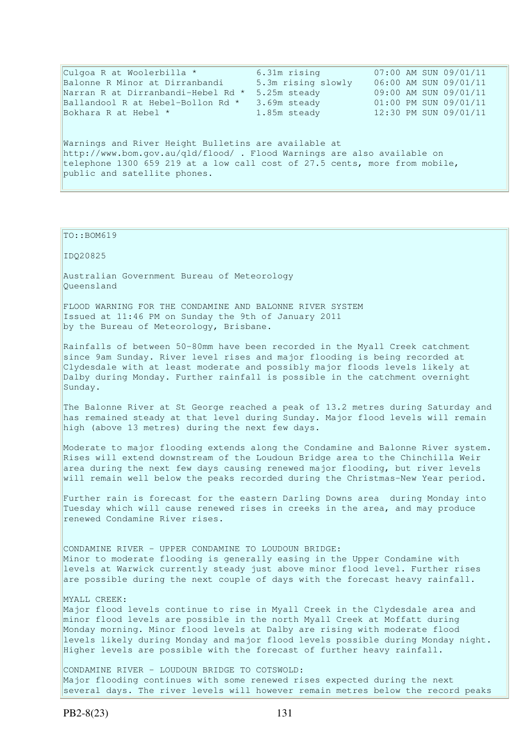| Culqoa R at Woolerbilla *                                                  | 6.31m rising       | 07:00 AM SUN 09/01/11 |  |  |
|----------------------------------------------------------------------------|--------------------|-----------------------|--|--|
| Balonne R Minor at Dirranbandi                                             | 5.3m rising slowly | 06:00 AM SUN 09/01/11 |  |  |
| Narran R at Dirranbandi-Hebel Rd *                                         | 5.25m steady       | 09:00 AM SUN 09/01/11 |  |  |
| Ballandool R at Hebel-Bollon Rd *                                          | 3.69m steady       | 01:00 PM SUN 09/01/11 |  |  |
| Bokhara R at Hebel *                                                       | 1.85m steady       | 12:30 PM SUN 09/01/11 |  |  |
|                                                                            |                    |                       |  |  |
| Warnings and River Height Bulletins are available at                       |                    |                       |  |  |
| http://www.bom.gov.au/gld/flood/. Flood Warnings are also available on     |                    |                       |  |  |
| telephone 1300 659 219 at a low call cost of 27.5 cents, more from mobile, |                    |                       |  |  |
| public and satellite phones.                                               |                    |                       |  |  |
|                                                                            |                    |                       |  |  |

#### $TO::BOM619$

IDQ20825

Australian Government Bureau of Meteorology Queensland

FLOOD WARNING FOR THE CONDAMINE AND BALONNE RIVER SYSTEM Issued at 11:46 PM on Sunday the 9th of January 2011 by the Bureau of Meteorology, Brisbane.

Rainfalls of between 50-80mm have been recorded in the Myall Creek catchment since 9am Sunday. River level rises and major flooding is being recorded at Clydesdale with at least moderate and possibly major floods levels likely at Dalby during Monday. Further rainfall is possible in the catchment overnight Sunday.

The Balonne River at St George reached a peak of 13.2 metres during Saturday and has remained steady at that level during Sunday. Major flood levels will remain high (above 13 metres) during the next few days.

Moderate to major flooding extends along the Condamine and Balonne River system. Rises will extend downstream of the Loudoun Bridge area to the Chinchilla Weir area during the next few days causing renewed major flooding, but river levels will remain well below the peaks recorded during the Christmas-New Year period.

Further rain is forecast for the eastern Darling Downs area during Monday into Tuesday which will cause renewed rises in creeks in the area, and may produce renewed Condamine River rises.

CONDAMINE RIVER - UPPER CONDAMINE TO LOUDOUN BRIDGE: Minor to moderate flooding is generally easing in the Upper Condamine with levels at Warwick currently steady just above minor flood level. Further rises are possible during the next couple of days with the forecast heavy rainfall.

## MYALL CREEK: Major flood levels continue to rise in Myall Creek in the Clydesdale area and minor flood levels are possible in the north Myall Creek at Moffatt during Monday morning. Minor flood levels at Dalby are rising with moderate flood levels likely during Monday and major flood levels possible during Monday night. Higher levels are possible with the forecast of further heavy rainfall.

CONDAMINE RIVER - LOUDOUN BRIDGE TO COTSWOLD: Major flooding continues with some renewed rises expected during the next several days. The river levels will however remain metres below the record peaks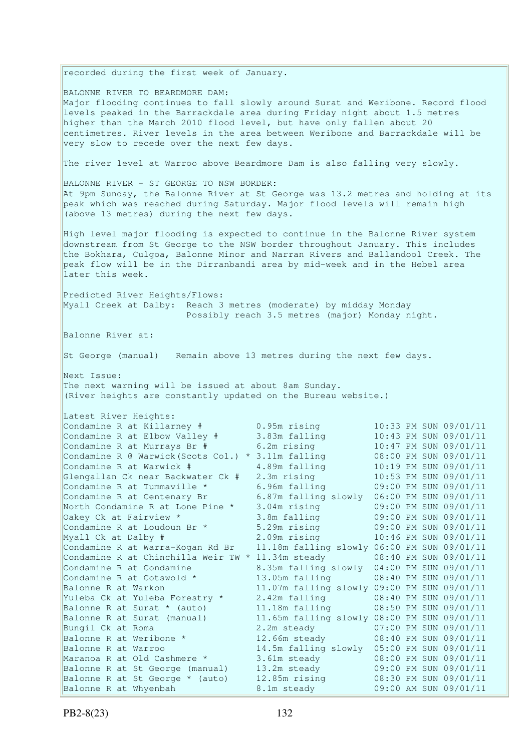recorded during the first week of January. BALONNE RIVER TO BEARDMORE DAM: Major flooding continues to fall slowly around Surat and Weribone. Record flood levels peaked in the Barrackdale area during Friday night about 1.5 metres higher than the March 2010 flood level, but have only fallen about 20 centimetres. River levels in the area between Weribone and Barrackdale will be very slow to recede over the next few days. The river level at Warroo above Beardmore Dam is also falling very slowly. BALONNE RIVER - ST GEORGE TO NSW BORDER: At 9pm Sunday, the Balonne River at St George was 13.2 metres and holding at its peak which was reached during Saturday. Major flood levels will remain high (above 13 metres) during the next few days. High level major flooding is expected to continue in the Balonne River system downstream from St George to the NSW border throughout January. This includes the Bokhara, Culgoa, Balonne Minor and Narran Rivers and Ballandool Creek. The peak flow will be in the Dirranbandi area by mid-week and in the Hebel area later this week. Predicted River Heights/Flows: Myall Creek at Dalby: Reach 3 metres (moderate) by midday Monday Possibly reach 3.5 metres (major) Monday night. Balonne River at: St George (manual) Remain above 13 metres during the next few days. Next Issue: The next warning will be issued at about 8am Sunday. (River heights are constantly updated on the Bureau website.) Latest River Heights: Condamine R at Killarney # 0.95m rising 10:33 PM SUN 09/01/11 Condamine R at Elbow Valley # 3.83m falling 10:43 PM SUN 09/01/11 Condamine R at Murrays Br  $\#$  6.2m rising 10:47 PM SUN 09/01/11 Condamine R @ Warwick(Scots Col.) \* 3.11m falling 08:00 PM SUN 09/01/11 Condamine R at Warwick # 4.89m falling 10:19 PM SUN 09/01/11 Glengallan Ck near Backwater Ck # 2.3m rising 10:53 PM SUN 09/01/11 Condamine R at Tummaville  $*$  6.96m falling 609:00 PM SUN 09/01/11 Condamine R at Centenary Br 6.87m falling slowly 06:00 PM SUN 09/01/11 North Condamine R at Lone Pine \* 3.04m rising 09:00 PM SUN 09/01/11 Oakey Ck at Fairview \* 3.8m falling 09:00 PM SUN 09/01/11 Condamine R at Loudoun Br  $*$  5.29m rising 09:00 PM SUN 09/01/11 Myall Ck at Dalby # 2.09m rising 10:46 PM SUN 09/01/11 Condamine R at Warra-Kogan Rd Br 11.18m falling slowly 06:00 PM SUN 09/01/11 Condamine R at Chinchilla Weir TW  $*$  11.34m steady 08:40 PM SUN 09/01/11 Condamine R at Condamine 8.35m falling slowly 04:00 PM SUN 09/01/11 Condamine R at Cotswold  $\star$  13.05m falling 08:40 PM SUN 09/01/11 Balonne R at Warkon 11.07m falling slowly 09:00 PM SUN 09/01/11 Yuleba Ck at Yuleba Forestry \* 2.42m falling 08:40 PM SUN 09/01/11 Balonne R at Surat \* (auto) 11.18m falling 08:50 PM SUN 09/01/11 Balonne R at Surat (manual) 11.65m falling slowly 08:00 PM SUN 09/01/11 Bungil Ck at Roma 2.2m steady 07:00 PM SUN 09/01/11 Balonne R at Weribone \* 12.66m steady 08:40 PM SUN 09/01/11 Balonne R at Warroo 14.5m falling slowly 05:00 PM SUN 09/01/11 Maranoa R at Old Cashmere \* 3.61m steady 08:00 PM SUN 09/01/11 Balonne R at St George (manual) 13.2m steady 09:00 PM SUN 09/01/11 Balonne R at St George \* (auto) 12.85m rising 08:30 PM SUN 09/01/11 Balonne R at Whyenbah 8.1m steady 09:00 AM SUN 09/01/11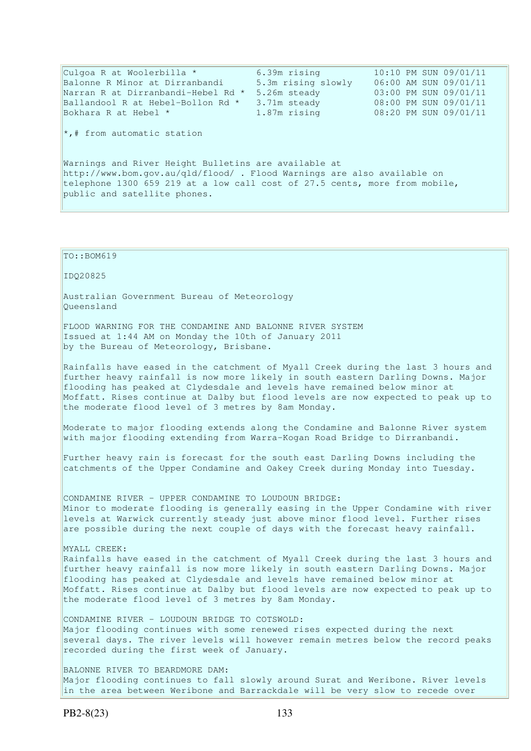| Culgoa R at Woolerbilla *<br>Balonne R Minor at Dirranbandi<br>Narran R at Dirranbandi-Hebel Rd *<br>Ballandool R at Hebel-Bollon Rd *<br>Bokhara R at Hebel *                                                                                   | 6.39m rising<br>5.3m rising slowly<br>5.26m steady<br>3.71m steady<br>1.87m rising | 10:10 PM SUN 09/01/11<br>06:00 AM SUN 09/01/11<br>03:00 PM SUN 09/01/11<br>08:00 PM SUN 09/01/11<br>08:20 PM SUN 09/01/11 |  |  |
|--------------------------------------------------------------------------------------------------------------------------------------------------------------------------------------------------------------------------------------------------|------------------------------------------------------------------------------------|---------------------------------------------------------------------------------------------------------------------------|--|--|
| $\star$ , # from automatic station                                                                                                                                                                                                               |                                                                                    |                                                                                                                           |  |  |
| Warnings and River Height Bulletins are available at<br>http://www.bom.gov.au/qld/flood/ . Flood Warnings are also available on<br>telephone 1300 659 219 at a low call cost of 27.5 cents, more from mobile,<br>public and satellite phones.    |                                                                                    |                                                                                                                           |  |  |
|                                                                                                                                                                                                                                                  |                                                                                    |                                                                                                                           |  |  |
| TO: <b>BOM619</b>                                                                                                                                                                                                                                |                                                                                    |                                                                                                                           |  |  |
| ID020825                                                                                                                                                                                                                                         |                                                                                    |                                                                                                                           |  |  |
| Australian Government Bureau of Meteorology<br>Oueensland                                                                                                                                                                                        |                                                                                    |                                                                                                                           |  |  |
| FLOOD WARNING FOR THE CONDAMINE AND BALONNE RIVER SYSTEM<br>Issued at 1:44 AM on Monday the 10th of January 2011<br>by the Bureau of Meteorology, Brisbane.                                                                                      |                                                                                    |                                                                                                                           |  |  |
| Rainfalls have eased in the catchment of Myall Creek during the last 3 hours and<br>further heavy rainfall is now more likely in south eastern Darling Downs. Major<br>flooding has peaked at Clydesdale and levels have remained below minor at |                                                                                    |                                                                                                                           |  |  |

poding has peaked at Clydesdale and levels have remained below m Moffatt. Rises continue at Dalby but flood levels are now expected to peak up to the moderate flood level of 3 metres by 8am Monday.

Moderate to major flooding extends along the Condamine and Balonne River system with major flooding extending from Warra-Kogan Road Bridge to Dirranbandi.

Further heavy rain is forecast for the south east Darling Downs including the catchments of the Upper Condamine and Oakey Creek during Monday into Tuesday.

CONDAMINE RIVER - UPPER CONDAMINE TO LOUDOUN BRIDGE: Minor to moderate flooding is generally easing in the Upper Condamine with river levels at Warwick currently steady just above minor flood level. Further rises are possible during the next couple of days with the forecast heavy rainfall.

#### MYALL CREEK:

Rainfalls have eased in the catchment of Myall Creek during the last 3 hours and further heavy rainfall is now more likely in south eastern Darling Downs. Major flooding has peaked at Clydesdale and levels have remained below minor at Moffatt. Rises continue at Dalby but flood levels are now expected to peak up to the moderate flood level of 3 metres by 8am Monday.

CONDAMINE RIVER - LOUDOUN BRIDGE TO COTSWOLD: Major flooding continues with some renewed rises expected during the next several days. The river levels will however remain metres below the record peaks recorded during the first week of January.

BALONNE RIVER TO BEARDMORE DAM: Major flooding continues to fall slowly around Surat and Weribone. River levels in the area between Weribone and Barrackdale will be very slow to recede over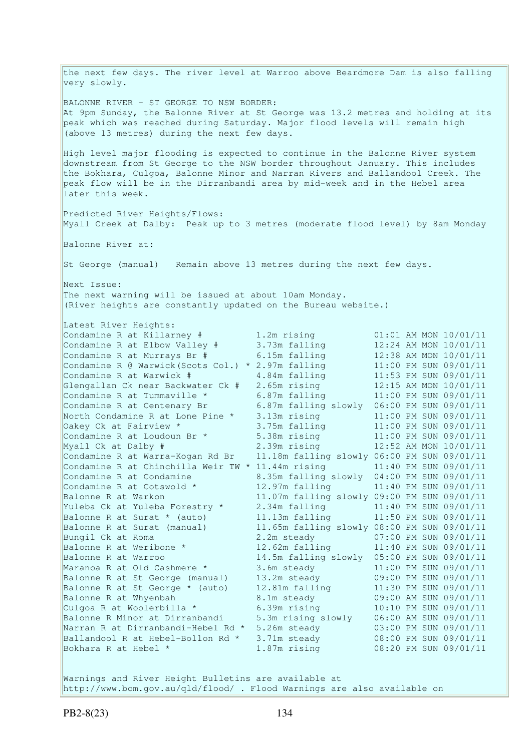the next few days. The river level at Warroo above Beardmore Dam is also falling very slowly. BALONNE RIVER - ST GEORGE TO NSW BORDER: At 9pm Sunday, the Balonne River at St George was 13.2 metres and holding at its peak which was reached during Saturday. Major flood levels will remain high (above 13 metres) during the next few days. High level major flooding is expected to continue in the Balonne River system downstream from St George to the NSW border throughout January. This includes the Bokhara, Culgoa, Balonne Minor and Narran Rivers and Ballandool Creek. The peak flow will be in the Dirranbandi area by mid-week and in the Hebel area later this week. Predicted River Heights/Flows: Myall Creek at Dalby: Peak up to 3 metres (moderate flood level) by 8am Monday Balonne River at: St George (manual) Remain above 13 metres during the next few days. Next Issue: The next warning will be issued at about 10am Monday. (River heights are constantly updated on the Bureau website.) Latest River Heights: Condamine R at Killarney  $\#$  1.2m rising  $01:01$  AM MON 10/01/11 Condamine R at Elbow Valley # 3.73m falling 12:24 AM MON 10/01/11 Condamine R at Murrays Br  $\#$  6.15m falling 12:38 AM MON 10/01/11 Condamine R @ Warwick(Scots Col.) \* 2.97m falling 11:00 PM SUN 09/01/11 Condamine R at Warwick # 4.84m falling 11:53 PM SUN 09/01/11 Glengallan Ck near Backwater Ck # 2.65m rising 12:15 AM MON 10/01/11 Condamine R at Tummaville  $*$  6.87m falling 11:00 PM SUN 09/01/11 Condamine R at Centenary Br 6.87m falling slowly 06:00 PM SUN 09/01/11 North Condamine R at Lone Pine \* 3.13m rising 11:00 PM SUN 09/01/11 Oakey Ck at Fairview \* 3.75m falling 11:00 PM SUN 09/01/11 Condamine R at Loudoun Br  $*$  5.38m rising 11:00 PM SUN 09/01/11 Myall Ck at Dalby # 2.39m rising 12:52 AM MON 10/01/11 Condamine R at Warra-Kogan Rd Br 11.18m falling slowly 06:00 PM SUN 09/01/11 Condamine R at Chinchilla Weir TW \* 11.44m rising  $11:40$  PM SUN 09/01/11 Condamine R at Condamine 8.35m falling slowly 04:00 PM SUN 09/01/11 Condamine R at Cotswold  $\star$  12.97m falling 11:40 PM SUN 09/01/11 Balonne R at Warkon 11.07m falling slowly 09:00 PM SUN 09/01/11 Yuleba Ck at Yuleba Forestry \* 2.34m falling 11:40 PM SUN 09/01/11 Balonne R at Surat \* (auto) 11.13m falling 11:50 PM SUN 09/01/11 Balonne R at Surat (manual) 11.65m falling slowly 08:00 PM SUN 09/01/11 Bungil Ck at Roma 2.2m steady 07:00 PM SUN 09/01/11 Balonne R at Weribone \* 12.62m falling 11:40 PM SUN 09/01/11 Balonne R at Warroo 14.5m falling slowly 05:00 PM SUN 09/01/11 Maranoa R at Old Cashmere \* 3.6m steady 11:00 PM SUN 09/01/11 Balonne R at St George (manual) 13.2m steady 09:00 PM SUN 09/01/11 Balonne R at St George \* (auto) 12.81m falling 11:30 PM SUN 09/01/11 Balonne R at Whyenbah 8.1m steady 09:00 AM SUN 09/01/11 Culgoa R at Woolerbilla  $*$  6.39m rising 10:10 PM SUN 09/01/11 Balonne R Minor at Dirranbandi 5.3m rising slowly 06:00 AM SUN 09/01/11 Narran R at Dirranbandi-Hebel Rd \* 5.26m steady 03:00 PM SUN 09/01/11 Ballandool R at Hebel-Bollon Rd \* 3.71m steady 08:00 PM SUN 09/01/11 Bokhara R at Hebel \* 1.87m rising 08:20 PM SUN 09/01/11 Warnings and River Height Bulletins are available at http://www.bom.gov.au/qld/flood/ . Flood Warnings are also available on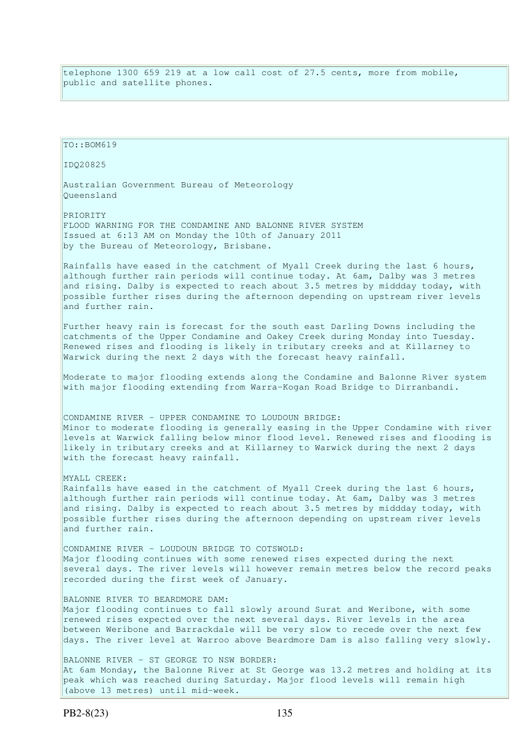telephone 1300 659 219 at a low call cost of 27.5 cents, more from mobile, public and satellite phones.

TO::BOM619 IDQ20825 Australian Government Bureau of Meteorology Queensland PRIORITY FLOOD WARNING FOR THE CONDAMINE AND BALONNE RIVER SYSTEM Issued at 6:13 AM on Monday the 10th of January 2011 by the Bureau of Meteorology, Brisbane. Rainfalls have eased in the catchment of Myall Creek during the last 6 hours, although further rain periods will continue today. At 6am, Dalby was 3 metres and rising. Dalby is expected to reach about 3.5 metres by middday today, with possible further rises during the afternoon depending on upstream river levels and further rain. Further heavy rain is forecast for the south east Darling Downs including the catchments of the Upper Condamine and Oakey Creek during Monday into Tuesday. Renewed rises and flooding is likely in tributary creeks and at Killarney to Warwick during the next 2 days with the forecast heavy rainfall. Moderate to major flooding extends along the Condamine and Balonne River system with major flooding extending from Warra-Kogan Road Bridge to Dirranbandi. CONDAMINE RIVER - UPPER CONDAMINE TO LOUDOUN BRIDGE: Minor to moderate flooding is generally easing in the Upper Condamine with river levels at Warwick falling below minor flood level. Renewed rises and flooding is likely in tributary creeks and at Killarney to Warwick during the next 2 days with the forecast heavy rainfall. MYALL CREEK: Rainfalls have eased in the catchment of Myall Creek during the last 6 hours, although further rain periods will continue today. At 6am, Dalby was 3 metres and rising. Dalby is expected to reach about 3.5 metres by middday today, with possible further rises during the afternoon depending on upstream river levels and further rain. CONDAMINE RIVER - LOUDOUN BRIDGE TO COTSWOLD: Major flooding continues with some renewed rises expected during the next several days. The river levels will however remain metres below the record peaks recorded during the first week of January. BALONNE RIVER TO BEARDMORE DAM: Major flooding continues to fall slowly around Surat and Weribone, with some renewed rises expected over the next several days. River levels in the area between Weribone and Barrackdale will be very slow to recede over the next few days. The river level at Warroo above Beardmore Dam is also falling very slowly. BALONNE RIVER - ST GEORGE TO NSW BORDER: At 6am Monday, the Balonne River at St George was 13.2 metres and holding at its peak which was reached during Saturday. Major flood levels will remain high (above 13 metres) until mid-week.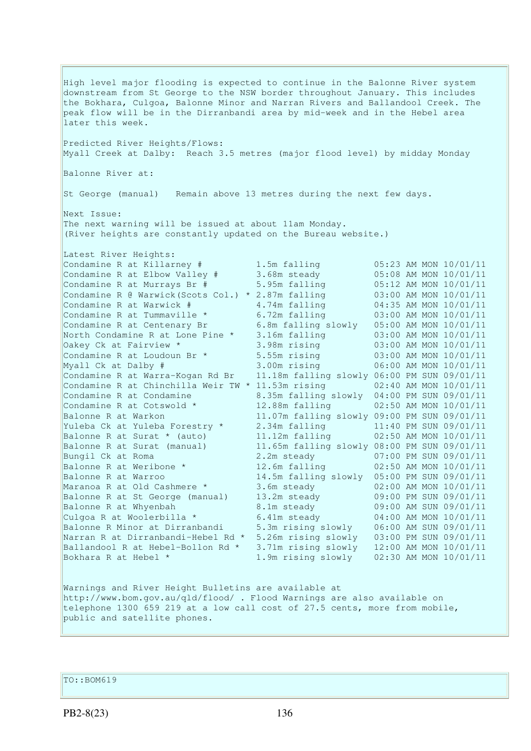High level major flooding is expected to continue in the Balonne River system downstream from St George to the NSW border throughout January. This includes the Bokhara, Culgoa, Balonne Minor and Narran Rivers and Ballandool Creek. The peak flow will be in the Dirranbandi area by mid-week and in the Hebel area later this week. Predicted River Heights/Flows: Myall Creek at Dalby: Reach 3.5 metres (major flood level) by midday Monday Balonne River at: St George (manual) Remain above 13 metres during the next few days. Next Issue: The next warning will be issued at about 11am Monday. (River heights are constantly updated on the Bureau website.) Latest River Heights: Condamine R at Killarney # 1.5m falling 05:23 AM MON 10/01/11 Condamine R at Elbow Valley # 3.68m steady 05:08 AM MON 10/01/11 Condamine R at Murrays Br  $\#$  5.95m falling  $05:12$  AM MON 10/01/11 Condamine R  $\theta$  Warwick(Scots Col.)  $*$  2.87m falling 03:00 AM MON 10/01/11 Condamine R at Warwick  $\#$  4.74m falling 04:35 AM MON 10/01/11 Condamine R at Tummaville  $*$  6.72m falling 6.83:00 AM MON 10/01/11 Condamine R at Centenary Br 6.8m falling slowly 05:00 AM MON 10/01/11 North Condamine R at Lone Pine \* 3.16m falling 03:00 AM MON 10/01/11 Oakey Ck at Fairview \* 3.98m rising 03:00 AM MON 10/01/11 Condamine R at Loudoun Br  $*$  5.55m rising 03:00 AM MON 10/01/11 Myall Ck at Dalby # 3.00m rising 06:00 AM MON 10/01/11 Condamine R at Warra-Kogan Rd Br 11.18m falling slowly 06:00 PM SUN 09/01/11 Condamine R at Chinchilla Weir TW \* 11.53m rising  $02:40$  AM MON  $10/01/11$ Condamine R at Condamine 8.35m falling slowly 04:00 PM SUN 09/01/11 Condamine R at Cotswold \* 12.88m falling 02:50 AM MON 10/01/11 Balonne R at Warkon 11.07m falling slowly 09:00 PM SUN 09/01/11 Yuleba Ck at Yuleba Forestry \* 2.34m falling 11:40 PM SUN 09/01/11 Balonne R at Surat \* (auto) 11.12m falling 02:50 AM MON 10/01/11 Balonne R at Surat (manual) 11.65m falling slowly 08:00 PM SUN 09/01/11 Bungil Ck at Roma 2.2m steady 07:00 PM SUN 09/01/11 Balonne R at Weribone \* 12.6m falling 02:50 AM MON 10/01/11 Balonne R at Warroo 14.5m falling slowly 05:00 PM SUN 09/01/11 Maranoa R at Old Cashmere \* 3.6m steady 02:00 AM MON 10/01/11 Balonne R at St George (manual) 13.2m steady 09:00 PM SUN 09/01/11 Balonne R at Whyenbah 8.1m steady 09:00 AM SUN 09/01/11 Culgoa R at Woolerbilla  $\star$  6.41m steady 64:00 AM MON 10/01/11 Balonne R Minor at Dirranbandi 5.3m rising slowly 06:00 AM SUN 09/01/11 Narran R at Dirranbandi-Hebel Rd \* 5.26m rising slowly 03:00 PM SUN 09/01/11 Ballandool R at Hebel-Bollon Rd \* 3.71m rising slowly 12:00 AM MON 10/01/11 Bokhara R at Hebel \* 1.9m rising slowly 02:30 AM MON 10/01/11 Warnings and River Height Bulletins are available at http://www.bom.gov.au/qld/flood/ . Flood Warnings are also available on telephone 1300 659 219 at a low call cost of 27.5 cents, more from mobile, public and satellite phones.

TO::BOM619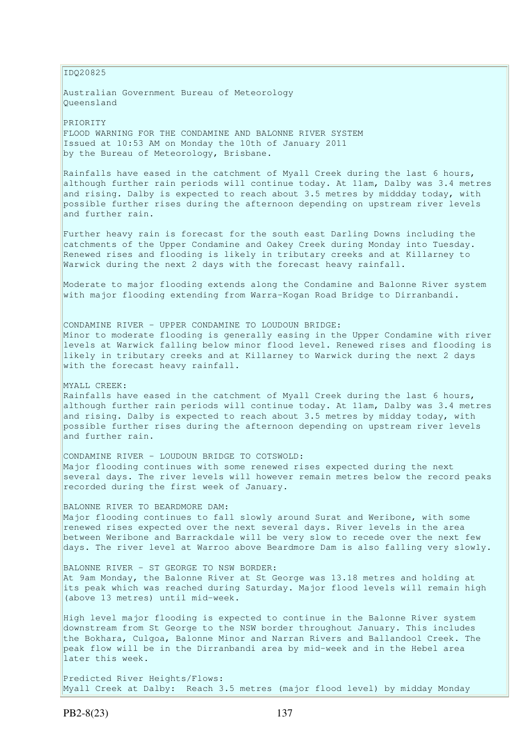IDQ20825

Australian Government Bureau of Meteorology Queensland

PRIORITY FLOOD WARNING FOR THE CONDAMINE AND BALONNE RIVER SYSTEM Issued at 10:53 AM on Monday the 10th of January 2011 by the Bureau of Meteorology, Brisbane.

Rainfalls have eased in the catchment of Myall Creek during the last 6 hours, although further rain periods will continue today. At 11am, Dalby was 3.4 metres and rising. Dalby is expected to reach about 3.5 metres by middday today, with possible further rises during the afternoon depending on upstream river levels and further rain.

Further heavy rain is forecast for the south east Darling Downs including the catchments of the Upper Condamine and Oakey Creek during Monday into Tuesday. Renewed rises and flooding is likely in tributary creeks and at Killarney to Warwick during the next 2 days with the forecast heavy rainfall.

Moderate to major flooding extends along the Condamine and Balonne River system with major flooding extending from Warra-Kogan Road Bridge to Dirranbandi.

CONDAMINE RIVER - UPPER CONDAMINE TO LOUDOUN BRIDGE: Minor to moderate flooding is generally easing in the Upper Condamine with river levels at Warwick falling below minor flood level. Renewed rises and flooding is likely in tributary creeks and at Killarney to Warwick during the next 2 days with the forecast heavy rainfall.

MYALL CREEK: Rainfalls have eased in the catchment of Myall Creek during the last 6 hours, although further rain periods will continue today. At 11am, Dalby was 3.4 metres and rising. Dalby is expected to reach about 3.5 metres by midday today, with possible further rises during the afternoon depending on upstream river levels and further rain.

CONDAMINE RIVER - LOUDOUN BRIDGE TO COTSWOLD: Major flooding continues with some renewed rises expected during the next several days. The river levels will however remain metres below the record peaks recorded during the first week of January.

BALONNE RIVER TO BEARDMORE DAM: Major flooding continues to fall slowly around Surat and Weribone, with some renewed rises expected over the next several days. River levels in the area between Weribone and Barrackdale will be very slow to recede over the next few days. The river level at Warroo above Beardmore Dam is also falling very slowly.

BALONNE RIVER - ST GEORGE TO NSW BORDER: At 9am Monday, the Balonne River at St George was 13.18 metres and holding at its peak which was reached during Saturday. Major flood levels will remain high (above 13 metres) until mid-week.

High level major flooding is expected to continue in the Balonne River system downstream from St George to the NSW border throughout January. This includes the Bokhara, Culgoa, Balonne Minor and Narran Rivers and Ballandool Creek. The peak flow will be in the Dirranbandi area by mid-week and in the Hebel area later this week.

Predicted River Heights/Flows: Myall Creek at Dalby: Reach 3.5 metres (major flood level) by midday Monday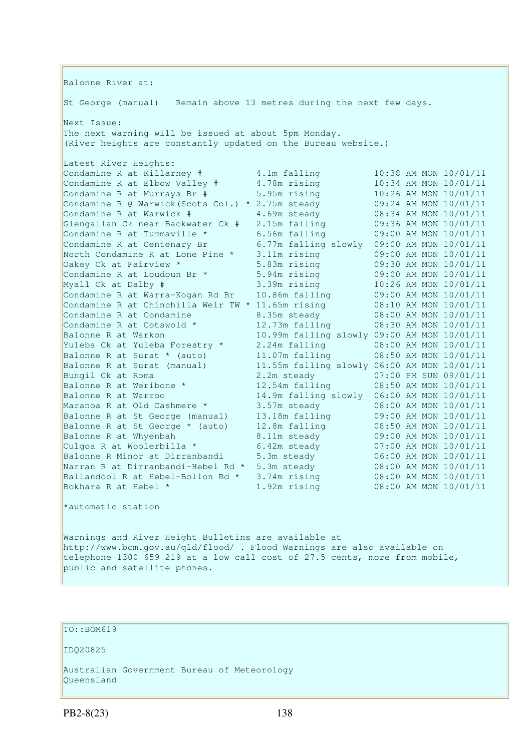Balonne River at: St George (manual) Remain above 13 metres during the next few days. Next Issue: The next warning will be issued at about 5pm Monday. (River heights are constantly updated on the Bureau website.) Latest River Heights: Condamine R at Killarney # 4.1m falling 10:38 AM MON 10/01/11 Condamine R at Elbow Valley # 4.78m rising 10:34 AM MON 10/01/11 Condamine R at Murrays Br  $\#$  5.95m rising 10:26 AM MON 10/01/11 Condamine R  $\theta$  Warwick(Scots Col.) \* 2.75m steady 09:24 AM MON 10/01/11 Condamine R at Warwick # 4.69m steady 08:34 AM MON 10/01/11 Glengallan Ck near Backwater Ck # 2.15m falling 09:36 AM MON 10/01/11 Condamine R at Tummaville  $*$  6.56m falling 09:00 AM MON 10/01/11 Condamine R at Centenary Br  $6.77$ m falling slowly  $09:00$  AM MON  $10/01/11$ North Condamine R at Lone Pine \* 3.11m rising 09:00 AM MON 10/01/11 Oakey Ck at Fairview \* 5.83m rising 09:30 AM MON 10/01/11 Condamine R at Loudoun Br  $*$  5.94m rising 09:00 AM MON 10/01/11 Myall Ck at Dalby # 3.39m rising 10:26 AM MON 10/01/11 Condamine R at Warra-Kogan Rd Br 10.86m falling 09:00 AM MON 10/01/11 Condamine R at Chinchilla Weir TW  $*$  11.65m rising  $0.8:10$  AM MON 10/01/11 Condamine R at Condamine  $8.35$ m steady  $0.8:00$  AM MON 10/01/11 Condamine R at Condamine<br>
Condamine R at Cotswold \* 12.73m falling 08:30 AM MON 10/01/11<br>
Balonne R at Warkon 10.99m falling slowly 09:00 AM MON 10/01/11 Balonne R at Warkon 10.99m falling slowly 09:00 AM MON 10/01/11 Yuleba Ck at Yuleba Forestry \* 2.24m falling 08:00 AM MON 10/01/11 Balonne R at Surat \* (auto) 11.07m falling 08:50 AM MON 10/01/11 Balonne R at Surat (manual) 11.55m falling slowly 06:00 AM MON 10/01/11 Bungil Ck at Roma 2.2m steady 07:00 PM SUN 09/01/11 Balonne R at Weribone \* 12.54m falling 08:50 AM MON 10/01/11 Balonne R at Warroo 14.9m falling slowly 06:00 AM MON 10/01/11 Maranoa R at Old Cashmere \* 3.57m steady 08:00 AM MON 10/01/11 Balonne R at St George (manual) 13.18m falling 09:00 AM MON 10/01/11 Balonne R at St George \* (auto) 12.8m falling 08:50 AM MON 10/01/11 Balonne R at Whyenbah 8.11m steady 09:00 AM MON 10/01/11 Culgoa R at Woolerbilla  $*$  6.42m steady 67:00 AM MON 10/01/11 Balonne R Minor at Dirranbandi 5.3m steady 06:00 AM MON 10/01/11 Narran R at Dirranbandi-Hebel Rd \* 5.3m steady 08:00 AM MON 10/01/11 Ballandool R at Hebel-Bollon Rd \* 3.74m rising 08:00 AM MON 10/01/11 Bokhara R at Hebel \* 1.92m rising 08:00 AM MON 10/01/11

\*automatic station

Warnings and River Height Bulletins are available at http://www.bom.gov.au/qld/flood/ . Flood Warnings are also available on telephone 1300 659 219 at a low call cost of 27.5 cents, more from mobile, public and satellite phones.

# TO::BOM619

IDQ20825

Australian Government Bureau of Meteorology Queensland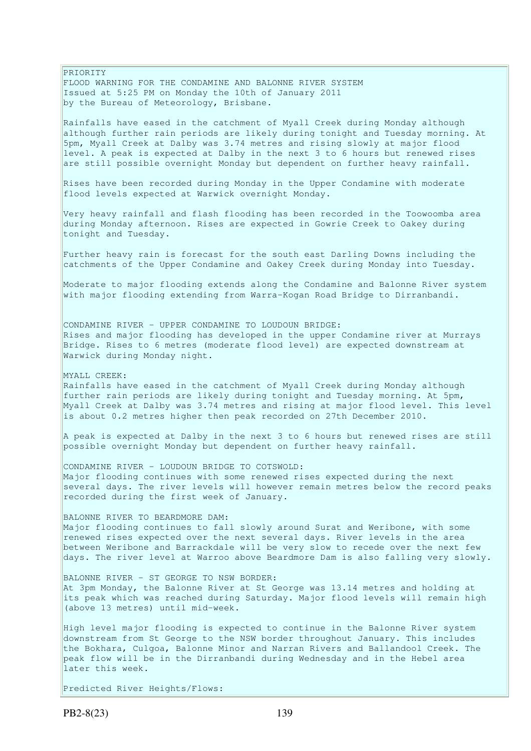PRIORITY FLOOD WARNING FOR THE CONDAMINE AND BALONNE RIVER SYSTEM Issued at 5:25 PM on Monday the 10th of January 2011 by the Bureau of Meteorology, Brisbane. Rainfalls have eased in the catchment of Myall Creek during Monday although although further rain periods are likely during tonight and Tuesday morning. At 5pm, Myall Creek at Dalby was 3.74 metres and rising slowly at major flood level. A peak is expected at Dalby in the next 3 to 6 hours but renewed rises are still possible overnight Monday but dependent on further heavy rainfall. Rises have been recorded during Monday in the Upper Condamine with moderate flood levels expected at Warwick overnight Monday. Very heavy rainfall and flash flooding has been recorded in the Toowoomba area during Monday afternoon. Rises are expected in Gowrie Creek to Oakey during tonight and Tuesday. Further heavy rain is forecast for the south east Darling Downs including the catchments of the Upper Condamine and Oakey Creek during Monday into Tuesday. Moderate to major flooding extends along the Condamine and Balonne River system with major flooding extending from Warra-Kogan Road Bridge to Dirranbandi. CONDAMINE RIVER - UPPER CONDAMINE TO LOUDOUN BRIDGE: Rises and major flooding has developed in the upper Condamine river at Murrays Bridge. Rises to 6 metres (moderate flood level) are expected downstream at Warwick during Monday night. MYALL CREEK: Rainfalls have eased in the catchment of Myall Creek during Monday although further rain periods are likely during tonight and Tuesday morning. At 5pm, Myall Creek at Dalby was 3.74 metres and rising at major flood level. This level is about 0.2 metres higher then peak recorded on 27th December 2010. A peak is expected at Dalby in the next 3 to 6 hours but renewed rises are still possible overnight Monday but dependent on further heavy rainfall. CONDAMINE RIVER - LOUDOUN BRIDGE TO COTSWOLD: Major flooding continues with some renewed rises expected during the next several days. The river levels will however remain metres below the record peaks recorded during the first week of January. BALONNE RIVER TO BEARDMORE DAM: Major flooding continues to fall slowly around Surat and Weribone, with some renewed rises expected over the next several days. River levels in the area between Weribone and Barrackdale will be very slow to recede over the next few days. The river level at Warroo above Beardmore Dam is also falling very slowly. BALONNE RIVER - ST GEORGE TO NSW BORDER: At 3pm Monday, the Balonne River at St George was 13.14 metres and holding at its peak which was reached during Saturday. Major flood levels will remain high (above 13 metres) until mid-week. High level major flooding is expected to continue in the Balonne River system downstream from St George to the NSW border throughout January. This includes the Bokhara, Culgoa, Balonne Minor and Narran Rivers and Ballandool Creek. The peak flow will be in the Dirranbandi during Wednesday and in the Hebel area later this week.

Predicted River Heights/Flows: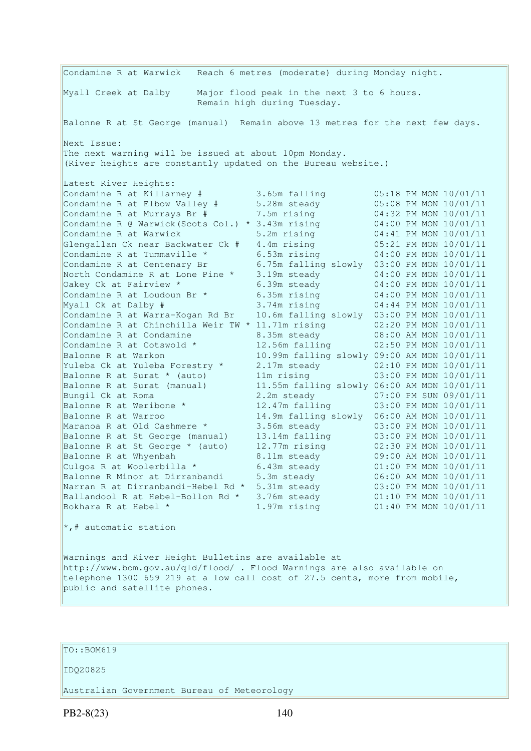Condamine R at Warwick Reach 6 metres (moderate) during Monday night. Myall Creek at Dalby Major flood peak in the next 3 to 6 hours. Remain high during Tuesday. Balonne R at St George (manual) Remain above 13 metres for the next few days. Next Issue: The next warning will be issued at about 10pm Monday. (River heights are constantly updated on the Bureau website.) Latest River Heights: Condamine R at Killarney # 3.65m falling 05:18 PM MON 10/01/11 Condamine R at Elbow Valley # 5.28m steady 05:08 PM MON 10/01/11 Condamine R at Murrays Br  $\#$  7.5m rising  $04:32$  PM MON 10/01/11 Condamine R @ Warwick(Scots Col.) \* 3.43m rising 04:00 PM MON 10/01/11 Condamine R at Warwick 5.2m rising 04:41 PM MON 10/01/11 Glengallan Ck near Backwater Ck # 4.4m rising 05:21 PM MON 10/01/11 Condamine R at Tummaville  $*$  6.53m rising 04:00 PM MON 10/01/11 Condamine R at Centenary Br 6.75m falling slowly 03:00 PM MON 10/01/11 North Condamine R at Lone Pine \* 3.19m steady 04:00 PM MON 10/01/11 Oakey Ck at Fairview \* 6.39m steady 04:00 PM MON 10/01/11 Condamine R at Loudoun Br  $*$  6.35m rising 04:00 PM MON 10/01/11 Myall Ck at Dalby # 3.74m rising 04:44 PM MON 10/01/11 Condamine R at Warra-Kogan Rd Br 10.6m falling slowly 03:00 PM MON 10/01/11 Condamine R at Chinchilla Weir TW  $*$  11.71m rising  $02:20$  PM MON 10/01/11 Condamine R at Condamine  $8.35$ m steady  $0.8:00$  AM MON  $10/01/11$ Condamine R at Condamine 8.35m steady 08:00 AM MON 10/01/11<br>
Condamine R at Cotswold \* 12.56m falling 02:50 PM MON 10/01/11 Balonne R at Warkon 10.99m falling slowly 09:00 AM MON 10/01/11 Yuleba Ck at Yuleba Forestry \* 2.17m steady 02:10 PM MON 10/01/11 Balonne R at Surat \* (auto) 11m rising 103:00 PM MON 10/01/11 Balonne R at Surat (manual) 11.55m falling slowly 06:00 AM MON 10/01/11 Bungil Ck at Roma 2.2m steady 07:00 PM SUN 09/01/11 Balonne R at Weribone \* 12.47m falling 03:00 PM MON 10/01/11 Balonne R at Warroo 14.9m falling slowly 06:00 AM MON 10/01/11 Maranoa R at Old Cashmere \* 3.56m steady 03:00 PM MON 10/01/11 Balonne R at St George (manual) 13.14m falling 03:00 PM MON 10/01/11 Balonne R at St George \* (auto) 12.77m rising 02:30 PM MON 10/01/11 Balonne R at Whyenbah 8.11m steady 09:00 AM MON 10/01/11 Culgoa R at Woolerbilla  $\star$  6.43m steady 61:00 PM MON 10/01/11 Balonne R Minor at Dirranbandi 5.3m steady 06:00 AM MON 10/01/11 Narran R at Dirranbandi-Hebel Rd \* 5.31m steady 03:00 PM MON 10/01/11 Ballandool R at Hebel-Bollon Rd \* 3.76m steady 01:10 PM MON 10/01/11 Bokhara R at Hebel \* 1.97m rising 01:40 PM MON 10/01/11 \*,# automatic station

Warnings and River Height Bulletins are available at http://www.bom.gov.au/qld/flood/ . Flood Warnings are also available on telephone 1300 659 219 at a low call cost of 27.5 cents, more from mobile, public and satellite phones.

# TO::BOM619

#### IDQ20825

Australian Government Bureau of Meteorology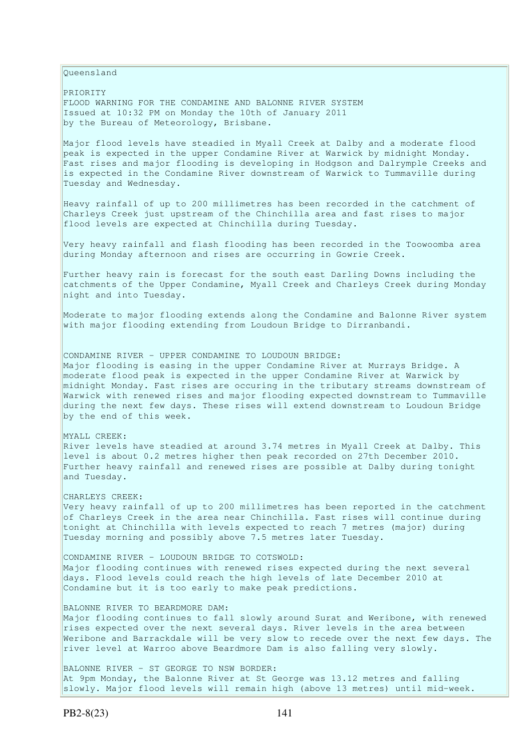Queensland

PRIORITY FLOOD WARNING FOR THE CONDAMINE AND BALONNE RIVER SYSTEM Issued at 10:32 PM on Monday the 10th of January 2011 by the Bureau of Meteorology, Brisbane.

Major flood levels have steadied in Myall Creek at Dalby and a moderate flood peak is expected in the upper Condamine River at Warwick by midnight Monday. Fast rises and major flooding is developing in Hodgson and Dalrymple Creeks and is expected in the Condamine River downstream of Warwick to Tummaville during Tuesday and Wednesday.

Heavy rainfall of up to 200 millimetres has been recorded in the catchment of Charleys Creek just upstream of the Chinchilla area and fast rises to major flood levels are expected at Chinchilla during Tuesday.

Very heavy rainfall and flash flooding has been recorded in the Toowoomba area during Monday afternoon and rises are occurring in Gowrie Creek.

Further heavy rain is forecast for the south east Darling Downs including the catchments of the Upper Condamine, Myall Creek and Charleys Creek during Monday night and into Tuesday.

Moderate to major flooding extends along the Condamine and Balonne River system with major flooding extending from Loudoun Bridge to Dirranbandi.

CONDAMINE RIVER - UPPER CONDAMINE TO LOUDOUN BRIDGE: Major flooding is easing in the upper Condamine River at Murrays Bridge. A moderate flood peak is expected in the upper Condamine River at Warwick by midnight Monday. Fast rises are occuring in the tributary streams downstream of Warwick with renewed rises and major flooding expected downstream to Tummaville during the next few days. These rises will extend downstream to Loudoun Bridge by the end of this week.

MYALL CREEK: River levels have steadied at around 3.74 metres in Myall Creek at Dalby. This level is about 0.2 metres higher then peak recorded on 27th December 2010. Further heavy rainfall and renewed rises are possible at Dalby during tonight and Tuesday.

CHARLEYS CREEK: Very heavy rainfall of up to 200 millimetres has been reported in the catchment of Charleys Creek in the area near Chinchilla. Fast rises will continue during tonight at Chinchilla with levels expected to reach 7 metres (major) during Tuesday morning and possibly above 7.5 metres later Tuesday.

CONDAMINE RIVER - LOUDOUN BRIDGE TO COTSWOLD: Major flooding continues with renewed rises expected during the next several days. Flood levels could reach the high levels of late December 2010 at Condamine but it is too early to make peak predictions.

BALONNE RIVER TO BEARDMORE DAM: Major flooding continues to fall slowly around Surat and Weribone, with renewed rises expected over the next several days. River levels in the area between Weribone and Barrackdale will be very slow to recede over the next few days. The river level at Warroo above Beardmore Dam is also falling very slowly.

BALONNE RIVER - ST GEORGE TO NSW BORDER: At 9pm Monday, the Balonne River at St George was 13.12 metres and falling slowly. Major flood levels will remain high (above 13 metres) until mid-week.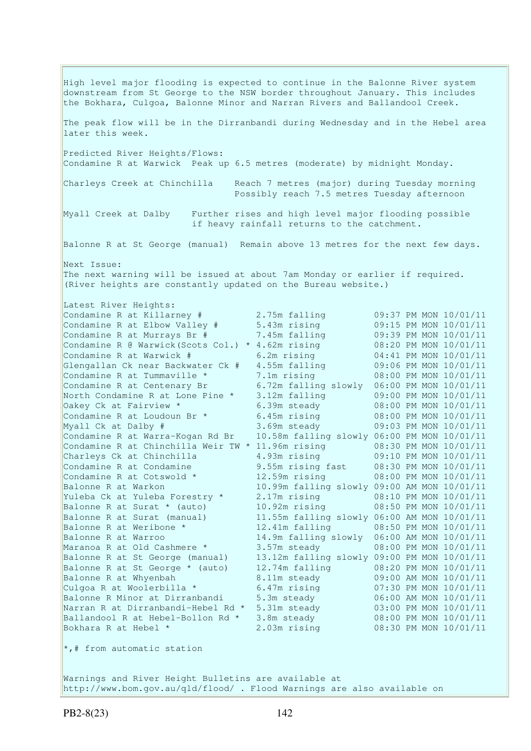High level major flooding is expected to continue in the Balonne River system downstream from St George to the NSW border throughout January. This includes the Bokhara, Culgoa, Balonne Minor and Narran Rivers and Ballandool Creek. The peak flow will be in the Dirranbandi during Wednesday and in the Hebel area later this week. Predicted River Heights/Flows: Condamine R at Warwick Peak up 6.5 metres (moderate) by midnight Monday. Charleys Creek at Chinchilla Reach 7 metres (major) during Tuesday morning Possibly reach 7.5 metres Tuesday afternoon Myall Creek at Dalby Further rises and high level major flooding possible if heavy rainfall returns to the catchment. Balonne R at St George (manual) Remain above 13 metres for the next few days. Next Issue: The next warning will be issued at about 7am Monday or earlier if required. (River heights are constantly updated on the Bureau website.) Latest River Heights: Condamine R at Killarney # 2.75m falling 09:37 PM MON 10/01/11 Condamine R at Elbow Valley # 5.43m rising 09:15 PM MON 10/01/11 Condamine R at Murrays Br  $\#$  7.45m falling  $09:39$  PM MON 10/01/11 Condamine R  $\theta$  Warwick(Scots Col.) \*  $4.62m$  rising 08:20 PM MON 10/01/11 Condamine R at Warwick  $\#$  6.2m rising 04:41 PM MON 10/01/11 Glengallan Ck near Backwater Ck # 4.55m falling 09:06 PM MON 10/01/11 Condamine R at Tummaville  $*$  7.1m rising  $08:00$  PM MON 10/01/11 Condamine R at Centenary Br  $6.72$ m falling slowly  $06:00$  PM MON  $10/01/11$ North Condamine R at Lone Pine \* 3.12m falling 09:00 PM MON 10/01/11 Oakey Ck at Fairview \* 6.39m steady 08:00 PM MON 10/01/11 Condamine R at Loudoun Br  $*$  6.45m rising 08:00 PM MON 10/01/11 Myall Ck at Dalby # 3.69m steady 09:03 PM MON 10/01/11 Condamine R at Warra-Kogan Rd Br 10.58m falling slowly 06:00 PM MON 10/01/11 Condamine R at Chinchilla Weir TW \* 11.96m rising 08:30 PM MON 10/01/11 Charleys Ck at Chinchilla 4.93m rising 09:10 PM MON 10/01/11 Condamine R at Condamine 9.55m rising fast 08:30 PM MON 10/01/11 Condamine R at Cotswold  $*$  12.59m rising  $08:00$  PM MON 10/01/11 Balonne R at Warkon 10.99m falling slowly 09:00 AM MON 10/01/11 Yuleba Ck at Yuleba Forestry \* 2.17m rising 08:10 PM MON 10/01/11 Balonne R at Surat \* (auto) 10.92m rising 08:50 PM MON 10/01/11 Balonne R at Surat (manual) 11.55m falling slowly 06:00 AM MON 10/01/11 Balonne R at Weribone \* 12.41m falling 08:50 PM MON 10/01/11 Balonne R at Warroo 14.9m falling slowly 06:00 AM MON 10/01/11 Maranoa R at Old Cashmere \* 3.57m steady 08:00 PM MON 10/01/11 Balonne R at St George (manual) 13.12m falling slowly 09:00 PM MON 10/01/11 Balonne R at St George \* (auto) 12.74m falling 08:20 PM MON 10/01/11 Balonne R at Whyenbah 8.11m steady 09:00 AM MON 10/01/11 Culgoa R at Woolerbilla  $*$  6.47m rising 07:30 PM MON 10/01/11 Balonne R Minor at Dirranbandi 5.3m steady 06:00 AM MON 10/01/11 Narran R at Dirranbandi-Hebel Rd \* 5.31m steady 03:00 PM MON 10/01/11 Ballandool R at Hebel-Bollon Rd \* 3.8m steady 08:00 PM MON 10/01/11 Bokhara R at Hebel \* 2.03m rising 08:30 PM MON 10/01/11 \*,# from automatic station Warnings and River Height Bulletins are available at

http://www.bom.gov.au/qld/flood/ . Flood Warnings are also available on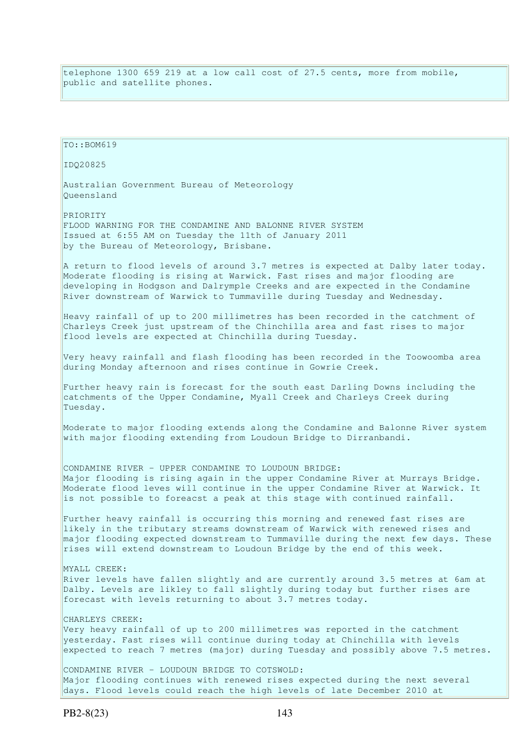telephone 1300 659 219 at a low call cost of 27.5 cents, more from mobile, public and satellite phones.

TO::BOM619 IDQ20825 Australian Government Bureau of Meteorology Queensland PRIORITY FLOOD WARNING FOR THE CONDAMINE AND BALONNE RIVER SYSTEM Issued at 6:55 AM on Tuesday the 11th of January 2011 by the Bureau of Meteorology, Brisbane. A return to flood levels of around 3.7 metres is expected at Dalby later today. Moderate flooding is rising at Warwick. Fast rises and major flooding are developing in Hodgson and Dalrymple Creeks and are expected in the Condamine River downstream of Warwick to Tummaville during Tuesday and Wednesday. Heavy rainfall of up to 200 millimetres has been recorded in the catchment of Charleys Creek just upstream of the Chinchilla area and fast rises to major flood levels are expected at Chinchilla during Tuesday. Very heavy rainfall and flash flooding has been recorded in the Toowoomba area during Monday afternoon and rises continue in Gowrie Creek. Further heavy rain is forecast for the south east Darling Downs including the catchments of the Upper Condamine, Myall Creek and Charleys Creek during Tuesday. Moderate to major flooding extends along the Condamine and Balonne River system with major flooding extending from Loudoun Bridge to Dirranbandi. CONDAMINE RIVER - UPPER CONDAMINE TO LOUDOUN BRIDGE: Major flooding is rising again in the upper Condamine River at Murrays Bridge. Moderate flood leves will continue in the upper Condamine River at Warwick. It is not possible to foreacst a peak at this stage with continued rainfall. Further heavy rainfall is occurring this morning and renewed fast rises are likely in the tributary streams downstream of Warwick with renewed rises and major flooding expected downstream to Tummaville during the next few days. These rises will extend downstream to Loudoun Bridge by the end of this week. MYALL CREEK: River levels have fallen slightly and are currently around 3.5 metres at 6am at Dalby. Levels are likley to fall slightly during today but further rises are forecast with levels returning to about 3.7 metres today. CHARLEYS CREEK: Very heavy rainfall of up to 200 millimetres was reported in the catchment yesterday. Fast rises will continue during today at Chinchilla with levels expected to reach 7 metres (major) during Tuesday and possibly above 7.5 metres. CONDAMINE RIVER - LOUDOUN BRIDGE TO COTSWOLD: Major flooding continues with renewed rises expected during the next several days. Flood levels could reach the high levels of late December 2010 at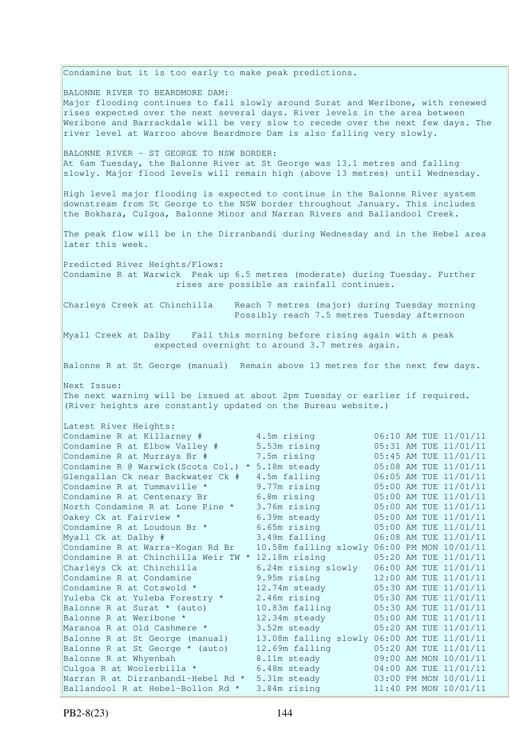Condamine but it is too early to make peak predictions. BALONNE RIVER TO BEARDMORE DAM: Major flooding continues to fall slowly around Surat and Weribone, with renewed rises expected over the next several days. River levels in the area between Weribone and Barrackdale will be very slow to recede over the next few days. The river level at Warroo above Beardmore Dam is also falling very slowly. BALONNE RIVER - ST GEORGE TO NSW BORDER: At 6am Tuesday, the Balonne River at St George was 13.1 metres and falling slowly. Major flood levels will remain high (above 13 metres) until Wednesday. High level major flooding is expected to continue in the Balonne River system downstream from St George to the NSW border throughout January. This includes the Bokhara, Culgoa, Balonne Minor and Narran Rivers and Ballandool Creek. The peak flow will be in the Dirranbandi during Wednesday and in the Hebel area later this week. Predicted River Heights/Flows: Condamine R at Warwick Peak up 6.5 metres (moderate) during Tuesday. Further rises are possible as rainfall continues. Charleys Creek at Chinchilla Reach 7 metres (major) during Tuesday morning Possibly reach 7.5 metres Tuesday afternoon Myall Creek at Dalby Fall this morning before rising again with a peak expected overnight to around 3.7 metres again. Balonne R at St George (manual) Remain above 13 metres for the next few days. Next Issue: The next warning will be issued at about 2pm Tuesday or earlier if required. (River heights are constantly updated on the Bureau website.) Latest River Heights: Condamine R at Killarney  $\#$  4.5m rising  $\qquad \qquad 06:10$  AM TUE 11/01/11 Condamine R at Elbow Valley # 5.53m rising 05:31 AM TUE 11/01/11 Condamine R at Murrays Br # 7.5m rising 05:45 AM TUE 11/01/11 Latest River Heights:<br>
Condamine R at Killarney #19.5m rising<br>
Condamine R at Elbow Valley #5.53m rising<br>
Condamine R at Murrays Br #7.5m rising<br>
Condamine R at Murrays Br #7.5m rising<br>
Condamine R at Murrays Br #4.5m fall Glengallan Ck near Backwater Ck # 4.5m falling Condamine R at Tummaville  $*$  9.77m rising  $05:00$  AM TUE 11/01/11 Condamine R at Centenary Br 6.8m rising 05:00 AM TUE 11/01/11 North Condamine R at Lone Pine \* 3.76m rising 05:00 AM TUE 11/01/11 Oakey Ck at Fairview \* 6.39m steady<br>
Condamine R at Loudoun Br \* 6.65m rising<br>
Murall Ch at Dalbu # 3.40m falling Condamine R at Loudoun Br  $*$  6.65m rising 05:00 AM TUE 11/01/11 Myall Ck at Dalby # 3.49m falling 06:08 AM TUE 11/01/11 Condamine R at Warra-Kogan Rd Br 10.58m falling slowly 06:00 PM MON 10/01/11 Condamine R at Chinchilla Weir TW \* 12.18m rising  $05:20$  AM TUE 11/01/11 Charleys Ck at Chinchilla 6.24m rising slowly 06:00 AM TUE 11/01/11 Condamine R at Condamine  $9.95m$  rising 12:00 AM TUE 11/01/11 Condamine R at Cotswold  $\star$  12.74m steady 05:30 AM TUE 11/01/11 Yuleba Ck at Yuleba Forestry \* 2.46m rising 05:30 AM TUE 11/01/11 Balonne R at Surat \* (auto) 10.83m falling 05:30 AM TUE 11/01/11 Balonne R at Weribone \* 12.34m steady 05:00 AM TUE 11/01/11 Maranoa R at Old Cashmere \* 3.52m steady 05:20 AM TUE 11/01/11 Balonne R at St George (manual) 13.08m falling slowly 06:00 AM TUE 11/01/11 Balonne R at St George \* (auto) 12.69m falling 05:20 AM TUE 11/01/11 Balonne R at Whyenbah 8.11m steady 09:00 AM MON 10/01/11 Culgoa R at Woolerbilla  $\star$  6.48m steady 04:00 AM TUE 11/01/11 Narran R at Dirranbandi-Hebel Rd \* 5.31m steady 03:00 PM MON 10/01/11 Ballandool R at Hebel-Bollon Rd \* 3.84m rising 11:40 PM MON 10/01/11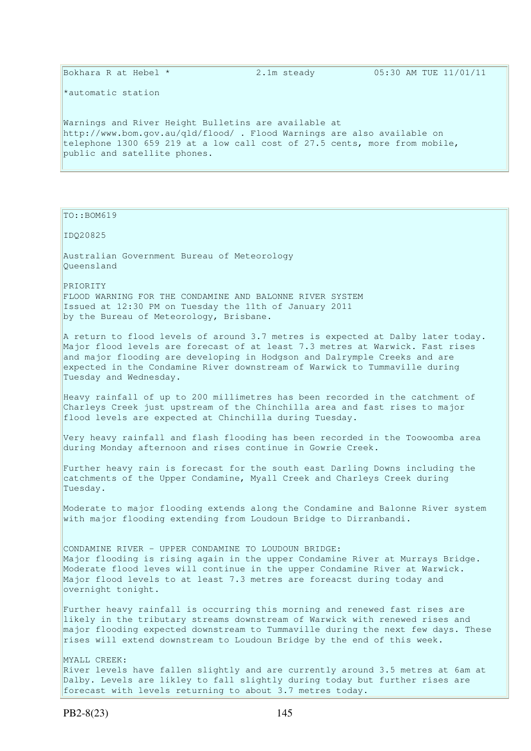\*automatic station

Warnings and River Height Bulletins are available at http://www.bom.gov.au/qld/flood/ . Flood Warnings are also available on telephone 1300 659 219 at a low call cost of 27.5 cents, more from mobile, public and satellite phones.

TO::BOM619

IDQ20825

Australian Government Bureau of Meteorology Queensland

PRIORITY FLOOD WARNING FOR THE CONDAMINE AND BALONNE RIVER SYSTEM Issued at 12:30 PM on Tuesday the 11th of January 2011 by the Bureau of Meteorology, Brisbane.

A return to flood levels of around 3.7 metres is expected at Dalby later today. Major flood levels are forecast of at least 7.3 metres at Warwick. Fast rises and major flooding are developing in Hodgson and Dalrymple Creeks and are expected in the Condamine River downstream of Warwick to Tummaville during Tuesday and Wednesday.

Heavy rainfall of up to 200 millimetres has been recorded in the catchment of Charleys Creek just upstream of the Chinchilla area and fast rises to major flood levels are expected at Chinchilla during Tuesday.

Very heavy rainfall and flash flooding has been recorded in the Toowoomba area during Monday afternoon and rises continue in Gowrie Creek.

Further heavy rain is forecast for the south east Darling Downs including the catchments of the Upper Condamine, Myall Creek and Charleys Creek during Tuesday.

Moderate to major flooding extends along the Condamine and Balonne River system with major flooding extending from Loudoun Bridge to Dirranbandi.

CONDAMINE RIVER - UPPER CONDAMINE TO LOUDOUN BRIDGE: Major flooding is rising again in the upper Condamine River at Murrays Bridge. Moderate flood leves will continue in the upper Condamine River at Warwick. Major flood levels to at least 7.3 metres are foreacst during today and overnight tonight.

Further heavy rainfall is occurring this morning and renewed fast rises are likely in the tributary streams downstream of Warwick with renewed rises and major flooding expected downstream to Tummaville during the next few days. These rises will extend downstream to Loudoun Bridge by the end of this week.

MYALL CREEK: River levels have fallen slightly and are currently around 3.5 metres at 6am at Dalby. Levels are likley to fall slightly during today but further rises are forecast with levels returning to about 3.7 metres today.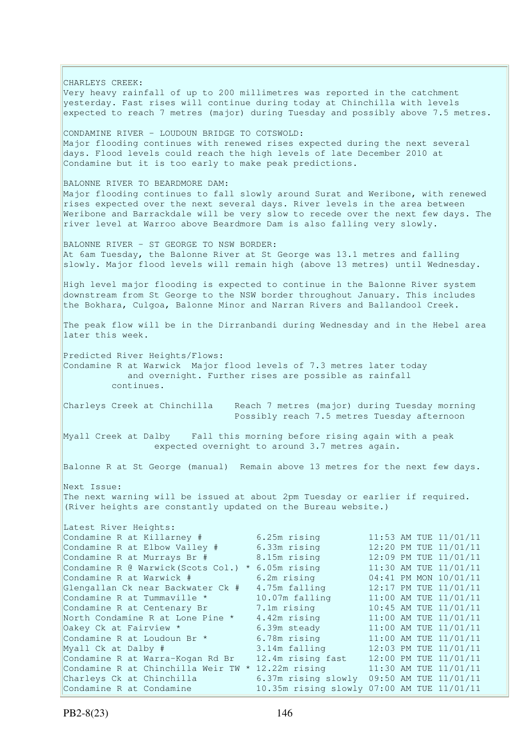CHARLEYS CREEK: Very heavy rainfall of up to 200 millimetres was reported in the catchment yesterday. Fast rises will continue during today at Chinchilla with levels expected to reach 7 metres (major) during Tuesday and possibly above 7.5 metres. CONDAMINE RIVER - LOUDOUN BRIDGE TO COTSWOLD: Major flooding continues with renewed rises expected during the next several days. Flood levels could reach the high levels of late December 2010 at Condamine but it is too early to make peak predictions. BALONNE RIVER TO BEARDMORE DAM: Major flooding continues to fall slowly around Surat and Weribone, with renewed rises expected over the next several days. River levels in the area between Weribone and Barrackdale will be very slow to recede over the next few days. The river level at Warroo above Beardmore Dam is also falling very slowly. BALONNE RIVER - ST GEORGE TO NSW BORDER: At 6am Tuesday, the Balonne River at St George was 13.1 metres and falling slowly. Major flood levels will remain high (above 13 metres) until Wednesday. High level major flooding is expected to continue in the Balonne River system downstream from St George to the NSW border throughout January. This includes the Bokhara, Culgoa, Balonne Minor and Narran Rivers and Ballandool Creek. The peak flow will be in the Dirranbandi during Wednesday and in the Hebel area later this week. Predicted River Heights/Flows: Condamine R at Warwick Major flood levels of 7.3 metres later today and overnight. Further rises are possible as rainfall continues. Charleys Creek at Chinchilla Reach 7 metres (major) during Tuesday morning Possibly reach 7.5 metres Tuesday afternoon Myall Creek at Dalby Fall this morning before rising again with a peak expected overnight to around 3.7 metres again. Balonne R at St George (manual) Remain above 13 metres for the next few days. Next Issue: The next warning will be issued at about 2pm Tuesday or earlier if required. (River heights are constantly updated on the Bureau website.) Latest River Heights: Condamine R at Killarney  $\#$  6.25m rising 11:53 AM TUE 11/01/11 Condamine R at Elbow Valley  $\#$  6.33m rising 12:20 PM TUE 11/01/11 Condamine R at Murrays Br  $\#$  8.15m rising 12:09 PM TUE 11/01/11 Condamine R  $\theta$  Warwick(Scots Col.) \* 6.05m rising 11:30 AM TUE  $11/01/11$ Condamine R at Warwick  $#$  6.2m rising 04:41 PM MON 10/01/11 Glengallan Ck near Backwater Ck # 4.75m falling 12:17 PM TUE 11/01/11 Condamine R at Tummaville  $*$  10.07m falling  $11:00$  AM TUE 11/01/11 Condamine R at Centenary Br 7.1m rising 10:45 AM TUE 11/01/11 Condamine R at Centenary Br 7.1m rising 10:45 AM TUE 11/01/11<br>North Condamine R at Lone Pine \* 4.42m rising 11:00 AM TUE 11/01/11 Oakey Ck at Fairview \* 6.39m steady 11:00 AM TUE 11/01/11<br>
Condamine R at Loudoun Br \* 6.78m rising 11:00 AM TUE 11/01/11<br>
Myall Ck at Dalby # 3.14m falling 10:00 PM Condamine R at Loudoun Br  $*$  6.78m rising 11:00 AM TUE 11/01/11 Myall Ck at Dalby # 3.14m falling 12:03 PM TUE 11/01/11 Condamine R at Warra-Kogan Rd Br 12.4m rising fast 12:00 PM TUE 11/01/11 Condamine R at Chinchilla Weir TW  $*$  12.22m rising  $11:30$  AM TUE 11/01/11 Charleys Ck at Chinchilla 6.37m rising slowly 09:50 AM TUE 11/01/11 Condamine R at Condamine 10.35m rising slowly 07:00 AM TUE 11/01/11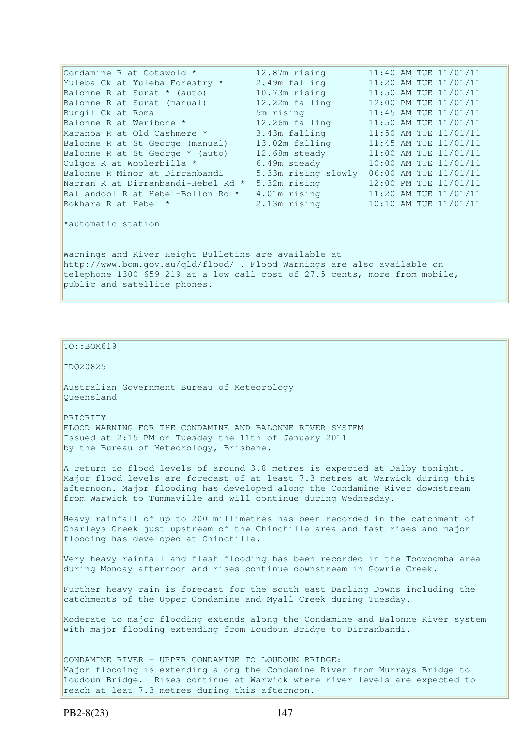| Condamine R at Cotswold *                                                                                                                                                                                                                     | 12.87m rising  | 11:40 AM TUE 11/01/11                     |  |  |  |  |
|-----------------------------------------------------------------------------------------------------------------------------------------------------------------------------------------------------------------------------------------------|----------------|-------------------------------------------|--|--|--|--|
| Yuleba Ck at Yuleba Forestry *                                                                                                                                                                                                                | 2.49m falling  | 11:20 AM TUE 11/01/11                     |  |  |  |  |
| Balonne R at Surat * (auto)                                                                                                                                                                                                                   | 10.73m rising  | 11:50 AM TUE 11/01/11                     |  |  |  |  |
| Balonne R at Surat (manual)                                                                                                                                                                                                                   | 12.22m falling | 12:00 PM TUE 11/01/11                     |  |  |  |  |
| Bungil Ck at Roma                                                                                                                                                                                                                             | 5m rising      | 11:45 AM TUE 11/01/11                     |  |  |  |  |
| Balonne R at Weribone *                                                                                                                                                                                                                       | 12.26m falling | 11:50 AM TUE 11/01/11                     |  |  |  |  |
| Maranoa R at Old Cashmere *                                                                                                                                                                                                                   | 3.43m falling  | 11:50 AM TUE 11/01/11                     |  |  |  |  |
| Balonne R at St George (manual)                                                                                                                                                                                                               |                | 13.02m falling 11:45 AM TUE 11/01/11      |  |  |  |  |
| Balonne R at St George * (auto)                                                                                                                                                                                                               | 12.68m steady  | 11:00 AM TUE 11/01/11                     |  |  |  |  |
| Culgoa R at Woolerbilla *                                                                                                                                                                                                                     | 6.49m steady   | 10:00 AM TUE 11/01/11                     |  |  |  |  |
| Balonne R Minor at Dirranbandi                                                                                                                                                                                                                |                | 5.33m rising slowly 06:00 AM TUE 11/01/11 |  |  |  |  |
| Narran R at Dirranbandi-Hebel Rd *                                                                                                                                                                                                            | 5.32m rising   | 12:00 PM TUE 11/01/11                     |  |  |  |  |
| Ballandool R at Hebel-Bollon Rd *                                                                                                                                                                                                             | 4.01m rising   | 11:20 AM TUE 11/01/11                     |  |  |  |  |
| Bokhara R at Hebel *                                                                                                                                                                                                                          |                | 2.13m rising 10:10 AM TUE 11/01/11        |  |  |  |  |
| *automatic station                                                                                                                                                                                                                            |                |                                           |  |  |  |  |
| Warnings and River Height Bulletins are available at<br>http://www.bom.gov.au/qld/flood/ . Flood Warnings are also available on<br>telephone 1300 659 219 at a low call cost of 27.5 cents, more from mobile,<br>public and satellite phones. |                |                                           |  |  |  |  |

TO::BOM619 IDQ20825 Australian Government Bureau of Meteorology Queensland PRIORITY FLOOD WARNING FOR THE CONDAMINE AND BALONNE RIVER SYSTEM Issued at 2:15 PM on Tuesday the 11th of January 2011 by the Bureau of Meteorology, Brisbane. A return to flood levels of around 3.8 metres is expected at Dalby tonight. Major flood levels are forecast of at least 7.3 metres at Warwick during this afternoon. Major flooding has developed along the Condamine River downstream from Warwick to Tummaville and will continue during Wednesday. Heavy rainfall of up to 200 millimetres has been recorded in the catchment of Charleys Creek just upstream of the Chinchilla area and fast rises and major flooding has developed at Chinchilla. Very heavy rainfall and flash flooding has been recorded in the Toowoomba area during Monday afternoon and rises continue downstream in Gowrie Creek. Further heavy rain is forecast for the south east Darling Downs including the catchments of the Upper Condamine and Myall Creek during Tuesday. Moderate to major flooding extends along the Condamine and Balonne River system with major flooding extending from Loudoun Bridge to Dirranbandi. CONDAMINE RIVER - UPPER CONDAMINE TO LOUDOUN BRIDGE: Major flooding is extending along the Condamine River from Murrays Bridge to Loudoun Bridge. Rises continue at Warwick where river levels are expected to reach at leat 7.3 metres during this afternoon.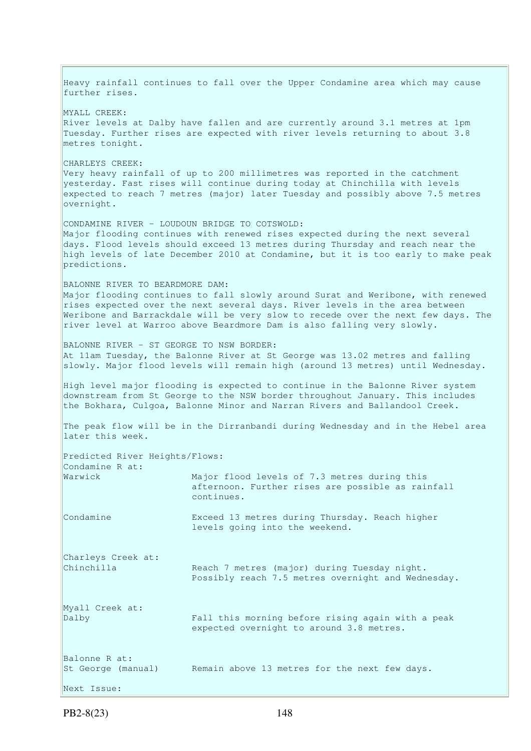Heavy rainfall continues to fall over the Upper Condamine area which may cause further rises. MYALL CREEK: River levels at Dalby have fallen and are currently around 3.1 metres at 1pm Tuesday. Further rises are expected with river levels returning to about 3.8 metres tonight. CHARLEYS CREEK: Very heavy rainfall of up to 200 millimetres was reported in the catchment yesterday. Fast rises will continue during today at Chinchilla with levels expected to reach 7 metres (major) later Tuesday and possibly above 7.5 metres overnight. CONDAMINE RIVER - LOUDOUN BRIDGE TO COTSWOLD: Major flooding continues with renewed rises expected during the next several days. Flood levels should exceed 13 metres during Thursday and reach near the high levels of late December 2010 at Condamine, but it is too early to make peak predictions. BALONNE RIVER TO BEARDMORE DAM: Major flooding continues to fall slowly around Surat and Weribone, with renewed rises expected over the next several days. River levels in the area between Weribone and Barrackdale will be very slow to recede over the next few days. The river level at Warroo above Beardmore Dam is also falling very slowly. BALONNE RIVER - ST GEORGE TO NSW BORDER: At 11am Tuesday, the Balonne River at St George was 13.02 metres and falling slowly. Major flood levels will remain high (around 13 metres) until Wednesday. High level major flooding is expected to continue in the Balonne River system downstream from St George to the NSW border throughout January. This includes the Bokhara, Culgoa, Balonne Minor and Narran Rivers and Ballandool Creek. The peak flow will be in the Dirranbandi during Wednesday and in the Hebel area later this week. Predicted River Heights/Flows: Condamine R at: Warwick Major flood levels of 7.3 metres during this afternoon. Further rises are possible as rainfall continues. Condamine Exceed 13 metres during Thursday. Reach higher levels going into the weekend. Charleys Creek at: Chinchilla Reach 7 metres (major) during Tuesday night. Possibly reach 7.5 metres overnight and Wednesday. Myall Creek at: Dalby Fall this morning before rising again with a peak expected overnight to around 3.8 metres. Balonne R at: St George (manual) Remain above 13 metres for the next few days. Next Issue: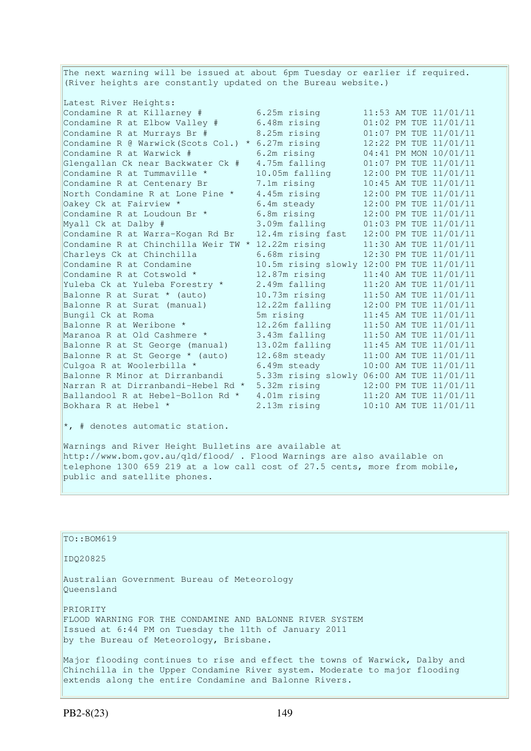The next warning will be issued at about 6pm Tuesday or earlier if required. (River heights are constantly updated on the Bureau website.)

| Latest River Heights:                             |                                           |  |                       |
|---------------------------------------------------|-------------------------------------------|--|-----------------------|
| Condamine R at Killarney #                        | 6.25m rising                              |  | 11:53 AM TUE 11/01/11 |
| Condamine R at Elbow Valley #                     | 6.48m rising                              |  | 01:02 PM TUE 11/01/11 |
| Condamine R at Murrays Br #                       | 8.25m rising                              |  | 01:07 PM TUE 11/01/11 |
| Condamine R @ Warwick (Scots Col.)<br>$\star$     | 6.27m rising                              |  | 12:22 PM TUE 11/01/11 |
| Condamine R at Warwick #                          | 6.2m rising                               |  | 04:41 PM MON 10/01/11 |
| Glengallan Ck near Backwater Ck #                 | 4.75m falling                             |  | 01:07 PM TUE 11/01/11 |
| Condamine R at Tummaville *                       | 10.05m falling                            |  | 12:00 PM TUE 11/01/11 |
| Condamine R at Centenary Br                       | 7.1m rising                               |  | 10:45 AM TUE 11/01/11 |
| North Condamine R at Lone Pine *                  | 4.45m rising                              |  | 12:00 PM TUE 11/01/11 |
| Oakey Ck at Fairview *                            | 6.4m steady                               |  | 12:00 PM TUE 11/01/11 |
| Condamine R at Loudoun Br *                       | 6.8m rising                               |  | 12:00 PM TUE 11/01/11 |
| Myall Ck at Dalby #                               | 3.09m falling                             |  | 01:03 PM TUE 11/01/11 |
| Condamine R at Warra-Kogan Rd Br                  | 12.4m rising fast                         |  | 12:00 PM TUE 11/01/11 |
| Condamine R at Chinchilla Weir TW * 12.22m rising |                                           |  | 11:30 AM TUE 11/01/11 |
| Charleys Ck at Chinchilla                         | 6.68m rising                              |  | 12:30 PM TUE 11/01/11 |
| Condamine R at Condamine                          | 10.5m rising slowly 12:00 PM TUE 11/01/11 |  |                       |
| Condamine R at Cotswold *                         | 12.87m rising                             |  | 11:40 AM TUE 11/01/11 |
| Yuleba Ck at Yuleba Forestry *                    | 2.49m falling                             |  | 11:20 AM TUE 11/01/11 |
| Balonne R at Surat * (auto)                       | 10.73m rising                             |  | 11:50 AM TUE 11/01/11 |
| Balonne R at Surat (manual)                       | 12.22m falling                            |  | 12:00 PM TUE 11/01/11 |
| Bungil Ck at Roma                                 | 5m rising                                 |  | 11:45 AM TUE 11/01/11 |
| Balonne R at Weribone *                           | 12.26m falling                            |  | 11:50 AM TUE 11/01/11 |
| Maranoa R at Old Cashmere *                       | 3.43m falling                             |  | 11:50 AM TUE 11/01/11 |
| Balonne R at St George (manual)                   | 13.02m falling                            |  | 11:45 AM TUE 11/01/11 |
| Balonne R at St George * (auto)                   | 12.68m steady                             |  | 11:00 AM TUE 11/01/11 |
| Culgoa R at Woolerbilla *                         | 6.49m steady                              |  | 10:00 AM TUE 11/01/11 |
| Balonne R Minor at Dirranbandi                    | 5.33m rising slowly 06:00 AM TUE 11/01/11 |  |                       |
| Narran R at Dirranbandi-Hebel Rd *                | 5.32m rising                              |  | 12:00 PM TUE 11/01/11 |
| Ballandool R at Hebel-Bollon Rd *                 | 4.01m rising                              |  | 11:20 AM TUE 11/01/11 |
| Bokhara R at Hebel *                              | 2.13m rising                              |  | 10:10 AM TUE 11/01/11 |

 $\star$ , # denotes automatic station.

Warnings and River Height Bulletins are available at http://www.bom.gov.au/qld/flood/ . Flood Warnings are also available on telephone 1300 659 219 at a low call cost of 27.5 cents, more from mobile, public and satellite phones.

| $TO: BOM619$                                                                                                                                                                                                        |
|---------------------------------------------------------------------------------------------------------------------------------------------------------------------------------------------------------------------|
| ID020825                                                                                                                                                                                                            |
| Australian Government Bureau of Meteorology<br>Oueensland                                                                                                                                                           |
| PRIORITY<br>FLOOD WARNING FOR THE CONDAMINE AND BALONNE RIVER SYSTEM<br>Issued at 6:44 PM on Tuesday the 11th of January 2011<br>by the Bureau of Meteorology, Brisbane.                                            |
| Major flooding continues to rise and effect the towns of Warwick, Dalby and<br>Chinchilla in the Upper Condamine River system. Moderate to major flooding<br>extends along the entire Condamine and Balonne Rivers. |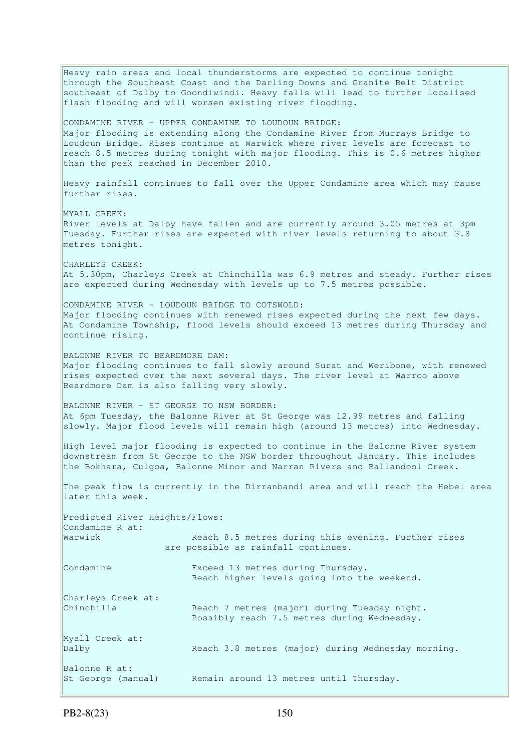Heavy rain areas and local thunderstorms are expected to continue tonight through the Southeast Coast and the Darling Downs and Granite Belt District southeast of Dalby to Goondiwindi. Heavy falls will lead to further localised flash flooding and will worsen existing river flooding. CONDAMINE RIVER - UPPER CONDAMINE TO LOUDOUN BRIDGE: Major flooding is extending along the Condamine River from Murrays Bridge to Loudoun Bridge. Rises continue at Warwick where river levels are forecast to reach 8.5 metres during tonight with major flooding. This is 0.6 metres higher than the peak reached in December 2010. Heavy rainfall continues to fall over the Upper Condamine area which may cause further rises. MYALL CREEK: River levels at Dalby have fallen and are currently around 3.05 metres at 3pm Tuesday. Further rises are expected with river levels returning to about 3.8 metres tonight. CHARLEYS CREEK: At 5.30pm, Charleys Creek at Chinchilla was 6.9 metres and steady. Further rises are expected during Wednesday with levels up to 7.5 metres possible. CONDAMINE RIVER - LOUDOUN BRIDGE TO COTSWOLD: Major flooding continues with renewed rises expected during the next few days. At Condamine Township, flood levels should exceed 13 metres during Thursday and continue rising. BALONNE RIVER TO BEARDMORE DAM: Major flooding continues to fall slowly around Surat and Weribone, with renewed rises expected over the next several days. The river level at Warroo above Beardmore Dam is also falling very slowly. BALONNE RIVER - ST GEORGE TO NSW BORDER: At 6pm Tuesday, the Balonne River at St George was 12.99 metres and falling slowly. Major flood levels will remain high (around 13 metres) into Wednesday. High level major flooding is expected to continue in the Balonne River system downstream from St George to the NSW border throughout January. This includes the Bokhara, Culgoa, Balonne Minor and Narran Rivers and Ballandool Creek. The peak flow is currently in the Dirranbandi area and will reach the Hebel area later this week. Predicted River Heights/Flows: Condamine R at: Warwick Reach 8.5 metres during this evening. Further rises are possible as rainfall continues. Condamine Exceed 13 metres during Thursday. Reach higher levels going into the weekend. Charleys Creek at: Chinchilla Reach 7 metres (major) during Tuesday night. Possibly reach 7.5 metres during Wednesday. Myall Creek at: Dalby Reach 3.8 metres (major) during Wednesday morning. Balonne R at: St George (manual) Remain around 13 metres until Thursday.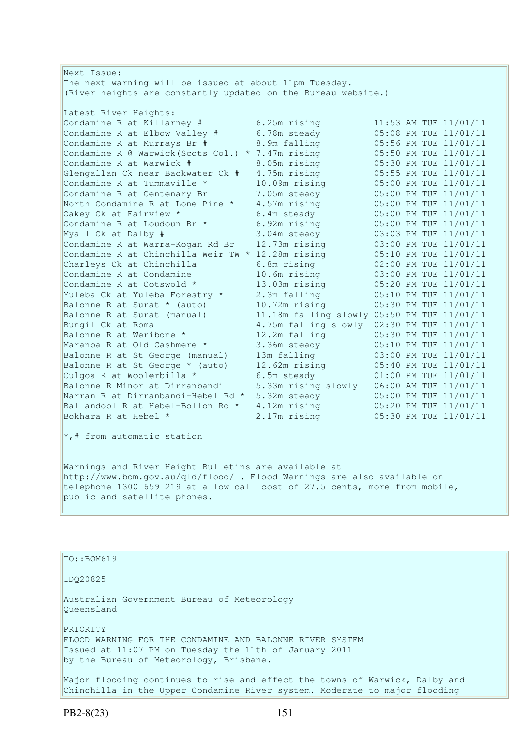| Next Issue:                                                   |                                             |  |  |  |                       |
|---------------------------------------------------------------|---------------------------------------------|--|--|--|-----------------------|
| The next warning will be issued at about 11pm Tuesday.        |                                             |  |  |  |                       |
| (River heights are constantly updated on the Bureau website.) |                                             |  |  |  |                       |
|                                                               |                                             |  |  |  |                       |
| Latest River Heights:                                         |                                             |  |  |  |                       |
| Condamine R at Killarney #                                    | 6.25m rising                                |  |  |  | 11:53 AM TUE 11/01/11 |
| Condamine R at Elbow Valley #                                 | 6.78m steady                                |  |  |  | 05:08 PM TUE 11/01/11 |
| Condamine R at Murrays Br #                                   | 8.9m falling                                |  |  |  | 05:56 PM TUE 11/01/11 |
| Condamine R @ Warwick (Scots Col.)                            | * 7.47m rising                              |  |  |  | 05:50 PM TUE 11/01/11 |
| Condamine R at Warwick #                                      | 8.05m rising                                |  |  |  | 05:30 PM TUE 11/01/11 |
| Glengallan Ck near Backwater Ck #                             | 4.75m rising                                |  |  |  | 05:55 PM TUE 11/01/11 |
| Condamine R at Tummaville *                                   | $10.09m$ rising                             |  |  |  | 05:00 PM TUE 11/01/11 |
| Condamine R at Centenary Br                                   | 7.05m steady                                |  |  |  | 05:00 PM TUE 11/01/11 |
| North Condamine R at Lone Pine *                              | 4.57m rising                                |  |  |  | 05:00 PM TUE 11/01/11 |
| Oakey Ck at Fairview *                                        | 6.4m steady                                 |  |  |  | 05:00 PM TUE 11/01/11 |
| Condamine R at Loudoun Br *                                   | 6.92m rising                                |  |  |  | 05:00 PM TUE 11/01/11 |
| Myall Ck at Dalby #                                           | 3.04m steady                                |  |  |  | 03:03 PM TUE 11/01/11 |
| Condamine R at Warra-Kogan Rd Br                              | 12.73m rising                               |  |  |  | 03:00 PM TUE 11/01/11 |
| Condamine R at Chinchilla Weir TW * 12.28m rising             |                                             |  |  |  | 05:10 PM TUE 11/01/11 |
| Charleys Ck at Chinchilla                                     | 6.8m rising                                 |  |  |  | 02:00 PM TUE 11/01/11 |
| Condamine R at Condamine                                      | 10.6m rising                                |  |  |  | 03:00 PM TUE 11/01/11 |
| Condamine R at Cotswold *                                     | 13.03m rising                               |  |  |  | 05:20 PM TUE 11/01/11 |
| Yuleba Ck at Yuleba Forestry *                                | 2.3m falling                                |  |  |  | 05:10 PM TUE 11/01/11 |
| Balonne R at Surat * (auto)                                   | 10.72m rising                               |  |  |  | 05:30 PM TUE 11/01/11 |
| Balonne R at Surat (manual)                                   | 11.18m falling slowly 05:50 PM TUE 11/01/11 |  |  |  |                       |
| Bungil Ck at Roma                                             | 4.75m falling slowly 02:30 PM TUE 11/01/11  |  |  |  |                       |
| Balonne R at Weribone *                                       | 12.2m falling                               |  |  |  | 05:30 PM TUE 11/01/11 |
| Maranoa R at Old Cashmere *                                   | 3.36m steady                                |  |  |  | 05:10 PM TUE 11/01/11 |
| Balonne R at St George (manual)                               | 13m falling                                 |  |  |  | 03:00 PM TUE 11/01/11 |
| Balonne R at St George * (auto)                               | 12.62m rising                               |  |  |  | 05:40 PM TUE 11/01/11 |
| Culgoa R at Woolerbilla *                                     | 6.5m steady                                 |  |  |  | 01:00 PM TUE 11/01/11 |
| Balonne R Minor at Dirranbandi                                | 5.33m rising slowly                         |  |  |  | 06:00 AM TUE 11/01/11 |
| Narran R at Dirranbandi-Hebel Rd *                            | 5.32m steady                                |  |  |  | 05:00 PM TUE 11/01/11 |
| Ballandool R at Hebel-Bollon Rd *                             | 4.12m rising                                |  |  |  | 05:20 PM TUE 11/01/11 |
| Bokhara R at Hebel *                                          | 2.17m rising                                |  |  |  | 05:30 PM TUE 11/01/11 |
| *, # from automatic station                                   |                                             |  |  |  |                       |

Warnings and River Height Bulletins are available at http://www.bom.gov.au/qld/flood/ . Flood Warnings are also available on telephone 1300 659 219 at a low call cost of 27.5 cents, more from mobile, public and satellite phones.

 $\vert$ TO::BOM619 IDQ20825 Australian Government Bureau of Meteorology Queensland PRIORITY FLOOD WARNING FOR THE CONDAMINE AND BALONNE RIVER SYSTEM Issued at 11:07 PM on Tuesday the 11th of January 2011 by the Bureau of Meteorology, Brisbane. Major flooding continues to rise and effect the towns of Warwick, Dalby and Chinchilla in the Upper Condamine River system. Moderate to major flooding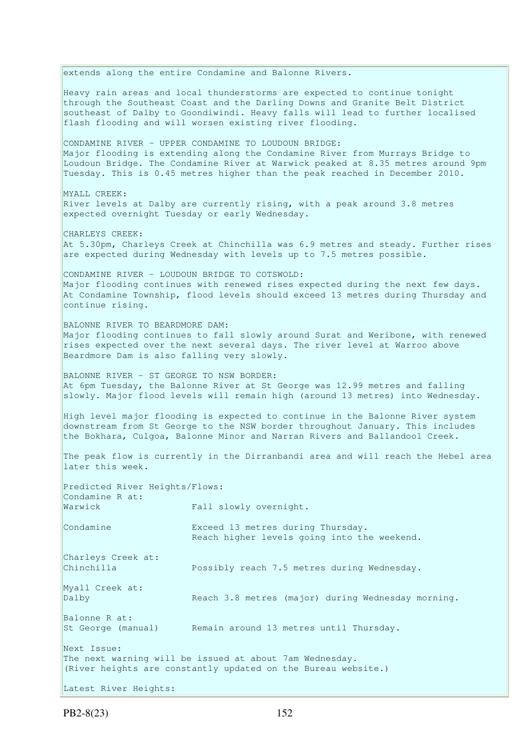extends along the entire Condamine and Balonne Rivers. Heavy rain areas and local thunderstorms are expected to continue tonight through the Southeast Coast and the Darling Downs and Granite Belt District southeast of Dalby to Goondiwindi. Heavy falls will lead to further localised flash flooding and will worsen existing river flooding. CONDAMINE RIVER - UPPER CONDAMINE TO LOUDOUN BRIDGE: Major flooding is extending along the Condamine River from Murrays Bridge to Loudoun Bridge. The Condamine River at Warwick peaked at 8.35 metres around 9pm Tuesday. This is 0.45 metres higher than the peak reached in December 2010. MYALL CREEK: River levels at Dalby are currently rising, with a peak around 3.8 metres expected overnight Tuesday or early Wednesday. CHARLEYS CREEK: At 5.30pm, Charleys Creek at Chinchilla was 6.9 metres and steady. Further rises are expected during Wednesday with levels up to 7.5 metres possible. CONDAMINE RIVER - LOUDOUN BRIDGE TO COTSWOLD: Major flooding continues with renewed rises expected during the next few days. At Condamine Township, flood levels should exceed 13 metres during Thursday and continue rising. BALONNE RIVER TO BEARDMORE DAM: Major flooding continues to fall slowly around Surat and Weribone, with renewed rises expected over the next several days. The river level at Warroo above Beardmore Dam is also falling very slowly. BALONNE RIVER - ST GEORGE TO NSW BORDER: At 6pm Tuesday, the Balonne River at St George was 12.99 metres and falling slowly. Major flood levels will remain high (around 13 metres) into Wednesday. High level major flooding is expected to continue in the Balonne River system downstream from St George to the NSW border throughout January. This includes the Bokhara, Culgoa, Balonne Minor and Narran Rivers and Ballandool Creek. The peak flow is currently in the Dirranbandi area and will reach the Hebel area later this week. Predicted River Heights/Flows: Condamine R at: Warwick Fall slowly overnight. Condamine Exceed 13 metres during Thursday. Reach higher levels going into the weekend. Charleys Creek at: Chinchilla Possibly reach 7.5 metres during Wednesday. Myall Creek at: Dalby Reach 3.8 metres (major) during Wednesday morning. Balonne R at: St George (manual) Remain around 13 metres until Thursday. Next Issue: The next warning will be issued at about 7am Wednesday. (River heights are constantly updated on the Bureau website.) Latest River Heights: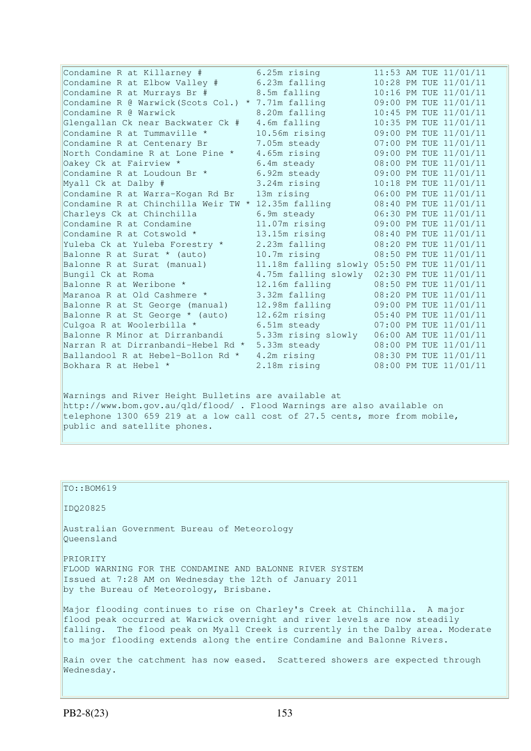| Condamine R at Killarney #                         | 6.25m rising                                |  | 11:53 AM TUE 11/01/11 |
|----------------------------------------------------|---------------------------------------------|--|-----------------------|
| Condamine R at Elbow Valley #                      | 6.23m falling                               |  | 10:28 PM TUE 11/01/11 |
| Condamine R at Murrays Br #                        | 8.5m falling                                |  | 10:16 PM TUE 11/01/11 |
| Condamine R @ Warwick (Scots Col.)                 | * 7.71m falling                             |  | 09:00 PM TUE 11/01/11 |
| Condamine R @ Warwick                              | 8.20m falling                               |  | 10:45 PM TUE 11/01/11 |
| Glengallan Ck near Backwater Ck #                  | 4.6m falling                                |  | 10:35 PM TUE 11/01/11 |
| Condamine R at Tummaville *                        | 10.56m rising                               |  | 09:00 PM TUE 11/01/11 |
| Condamine R at Centenary Br                        | 7.05m steady                                |  | 07:00 PM TUE 11/01/11 |
| North Condamine R at Lone Pine *                   | 4.65m rising                                |  | 09:00 PM TUE 11/01/11 |
| Oakey Ck at Fairview *                             | 6.4m steady                                 |  | 08:00 PM TUE 11/01/11 |
| Condamine R at Loudoun Br *                        | 6.92m steady                                |  | 09:00 PM TUE 11/01/11 |
| Myall Ck at Dalby #                                | 3.24m rising                                |  | 10:18 PM TUE 11/01/11 |
| Condamine R at Warra-Kogan Rd Br                   | 13m rising                                  |  | 06:00 PM TUE 11/01/11 |
| Condamine R at Chinchilla Weir TW * 12.35m falling |                                             |  | 08:40 PM TUE 11/01/11 |
| Charleys Ck at Chinchilla                          | 6.9m steady                                 |  | 06:30 PM TUE 11/01/11 |
| Condamine R at Condamine                           | 11.07m rising                               |  | 09:00 PM TUE 11/01/11 |
| Condamine R at Cotswold *                          | 13.15m rising                               |  | 08:40 PM TUE 11/01/11 |
| Yuleba Ck at Yuleba Forestry *                     | 2.23m falling                               |  | 08:20 PM TUE 11/01/11 |
| Balonne R at Surat * (auto)                        | 10.7m rising                                |  | 08:50 PM TUE 11/01/11 |
| Balonne R at Surat (manual)                        | 11.18m falling slowly 05:50 PM TUE 11/01/11 |  |                       |
| Bungil Ck at Roma                                  | 4.75m falling slowly                        |  | 02:30 PM TUE 11/01/11 |
| Balonne R at Weribone *                            | 12.16m falling                              |  | 08:50 PM TUE 11/01/11 |
| Maranoa R at Old Cashmere *                        | 3.32m falling                               |  | 08:20 PM TUE 11/01/11 |
| Balonne R at St George (manual)                    | 12.98m falling                              |  | 09:00 PM TUE 11/01/11 |
| Balonne R at St George * (auto)                    | 12.62m rising                               |  | 05:40 PM TUE 11/01/11 |
| Culgoa R at Woolerbilla *                          | 6.51m steady                                |  | 07:00 PM TUE 11/01/11 |
| Balonne R Minor at Dirranbandi                     | 5.33m rising slowly                         |  | 06:00 AM TUE 11/01/11 |
| Narran R at Dirranbandi-Hebel Rd *                 | 5.33m steady                                |  | 08:00 PM TUE 11/01/11 |
| Ballandool R at Hebel-Bollon Rd *                  | 4.2m rising                                 |  | 08:30 PM TUE 11/01/11 |
| Bokhara R at Hebel *                               | 2.18m rising                                |  | 08:00 PM TUE 11/01/11 |
|                                                    |                                             |  |                       |
|                                                    |                                             |  |                       |

Warnings and River Height Bulletins are available at http://www.bom.gov.au/qld/flood/ . Flood Warnings are also available on telephone 1300 659 219 at a low call cost of 27.5 cents, more from mobile, public and satellite phones.

 $\vert$ TO::BOM619

IDQ20825

Australian Government Bureau of Meteorology Queensland

PRIORITY FLOOD WARNING FOR THE CONDAMINE AND BALONNE RIVER SYSTEM Issued at 7:28 AM on Wednesday the 12th of January 2011 by the Bureau of Meteorology, Brisbane.

Major flooding continues to rise on Charley's Creek at Chinchilla. A major flood peak occurred at Warwick overnight and river levels are now steadily falling. The flood peak on Myall Creek is currently in the Dalby area. Moderate to major flooding extends along the entire Condamine and Balonne Rivers.

Rain over the catchment has now eased. Scattered showers are expected through Wednesday.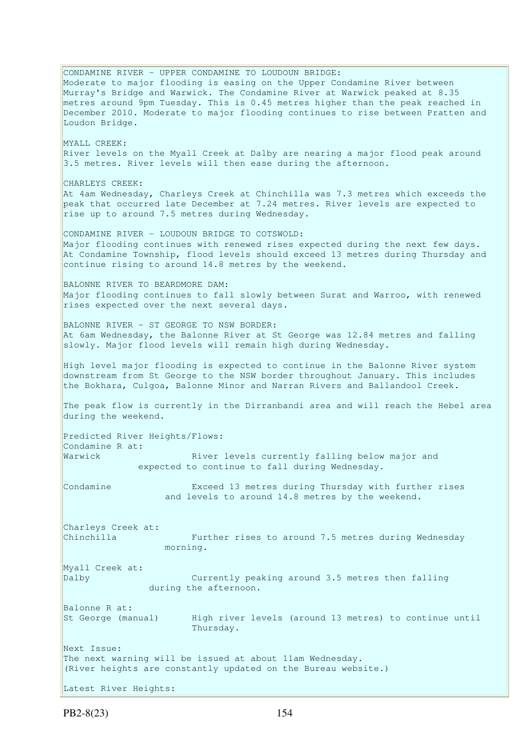CONDAMINE RIVER - UPPER CONDAMINE TO LOUDOUN BRIDGE: Moderate to major flooding is easing on the Upper Condamine River between Murray's Bridge and Warwick. The Condamine River at Warwick peaked at 8.35 metres around 9pm Tuesday. This is 0.45 metres higher than the peak reached in December 2010. Moderate to major flooding continues to rise between Pratten and Loudon Bridge. MYALL CREEK: River levels on the Myall Creek at Dalby are nearing a major flood peak around 3.5 metres. River levels will then ease during the afternoon. CHARLEYS CREEK: At 4am Wednesday, Charleys Creek at Chinchilla was 7.3 metres which exceeds the peak that occurred late December at 7.24 metres. River levels are expected to rise up to around 7.5 metres during Wednesday. CONDAMINE RIVER - LOUDOUN BRIDGE TO COTSWOLD: Major flooding continues with renewed rises expected during the next few days. At Condamine Township, flood levels should exceed 13 metres during Thursday and continue rising to around 14.8 metres by the weekend. BALONNE RIVER TO BEARDMORE DAM: Major flooding continues to fall slowly between Surat and Warroo, with renewed rises expected over the next several days. BALONNE RIVER - ST GEORGE TO NSW BORDER: At 6am Wednesday, the Balonne River at St George was 12.84 metres and falling slowly. Major flood levels will remain high during Wednesday. High level major flooding is expected to continue in the Balonne River system downstream from St George to the NSW border throughout January. This includes the Bokhara, Culgoa, Balonne Minor and Narran Rivers and Ballandool Creek. The peak flow is currently in the Dirranbandi area and will reach the Hebel area during the weekend. Predicted River Heights/Flows: Condamine R at: Warwick River levels currently falling below major and expected to continue to fall during Wednesday. Condamine Exceed 13 metres during Thursday with further rises and levels to around 14.8 metres by the weekend. Charleys Creek at: Chinchilla Further rises to around 7.5 metres during Wednesday morning. Myall Creek at: Dalby Currently peaking around 3.5 metres then falling during the afternoon. Balonne R at: St George (manual) High river levels (around 13 metres) to continue until Thursday. Next Issue: The next warning will be issued at about 11am Wednesday. (River heights are constantly updated on the Bureau website.) Latest River Heights: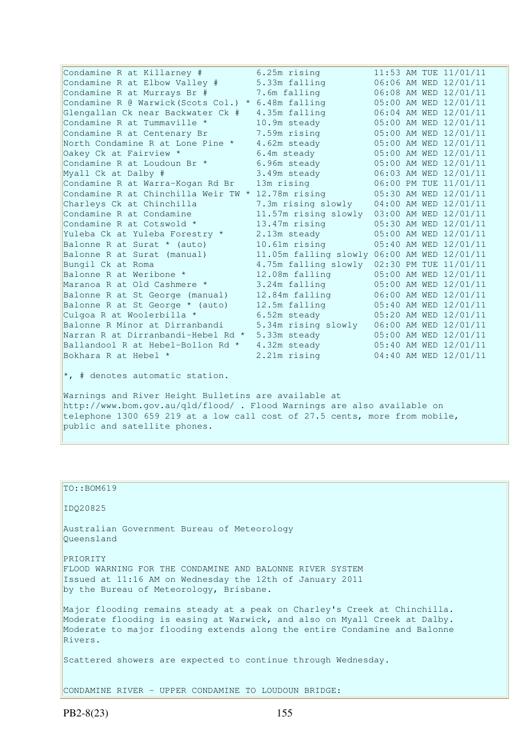| Condamine R at Killarney #                        | 6.25m rising                                | 11:53 AM TUE 11/01/11 |
|---------------------------------------------------|---------------------------------------------|-----------------------|
| Condamine R at Elbow Valley #                     | 5.33m falling                               | 06:06 AM WED 12/01/11 |
| Condamine R at Murrays Br #                       | 7.6m falling                                | 06:08 AM WED 12/01/11 |
| Condamine R @ Warwick (Scots Col.)<br>$\star$     | 6.48m falling                               | 05:00 AM WED 12/01/11 |
| Glengallan Ck near Backwater Ck #                 | 4.35m falling                               | 06:04 AM WED 12/01/11 |
| Condamine R at Tummaville *                       | 10.9m steady                                | 05:00 AM WED 12/01/11 |
| Condamine R at Centenary Br                       | 7.59m rising                                | 05:00 AM WED 12/01/11 |
| North Condamine R at Lone Pine *                  | 4.62m steady                                | 05:00 AM WED 12/01/11 |
| Oakey Ck at Fairview *                            | 6.4m steady                                 | 05:00 AM WED 12/01/11 |
| Condamine R at Loudoun Br *                       | 6.96m steady                                | 05:00 AM WED 12/01/11 |
| Myall Ck at Dalby #                               | 3.49m steady                                | 06:03 AM WED 12/01/11 |
| Condamine R at Warra-Kogan Rd Br                  | 13m rising                                  | 06:00 PM TUE 11/01/11 |
| Condamine R at Chinchilla Weir TW * 12.78m rising |                                             | 05:30 AM WED 12/01/11 |
| Charleys Ck at Chinchilla                         | 7.3m rising slowly                          | 04:00 AM WED 12/01/11 |
| Condamine R at Condamine                          | 11.57m rising slowly                        | 03:00 AM WED 12/01/11 |
| Condamine R at Cotswold *                         | 13.47m rising                               | 05:30 AM WED 12/01/11 |
| Yuleba Ck at Yuleba Forestry *                    | 2.13m steady                                | 05:00 AM WED 12/01/11 |
| Balonne R at Surat * (auto)                       | 10.61m rising                               | 05:40 AM WED 12/01/11 |
| Balonne R at Surat (manual)                       | 11.05m falling slowly 06:00 AM WED 12/01/11 |                       |
| Bungil Ck at Roma                                 | 4.75m falling slowly                        | 02:30 PM TUE 11/01/11 |
| Balonne R at Weribone *                           | 12.08m falling                              | 05:00 AM WED 12/01/11 |
| Maranoa R at Old Cashmere *                       | 3.24m falling                               | 05:00 AM WED 12/01/11 |
| Balonne R at St George (manual)                   | 12.84m falling                              | 06:00 AM WED 12/01/11 |
| Balonne R at St George * (auto)                   | 12.5m falling                               | 05:40 AM WED 12/01/11 |
| Culgoa R at Woolerbilla *                         | 6.52m steady                                | 05:20 AM WED 12/01/11 |
| Balonne R Minor at Dirranbandi                    | 5.34m rising slowly                         | 06:00 AM WED 12/01/11 |
| Narran R at Dirranbandi-Hebel Rd *                | 5.33m steady                                | 05:00 AM WED 12/01/11 |
| Ballandool R at Hebel-Bollon Rd *                 | 4.32m steady                                | 05:40 AM WED 12/01/11 |
| Bokhara R at Hebel *                              | 2.21m rising                                | 04:40 AM WED 12/01/11 |
|                                                   |                                             |                       |

\*, # denotes automatic station.

Warnings and River Height Bulletins are available at http://www.bom.gov.au/qld/flood/ . Flood Warnings are also available on telephone 1300 659 219 at a low call cost of 27.5 cents, more from mobile, public and satellite phones.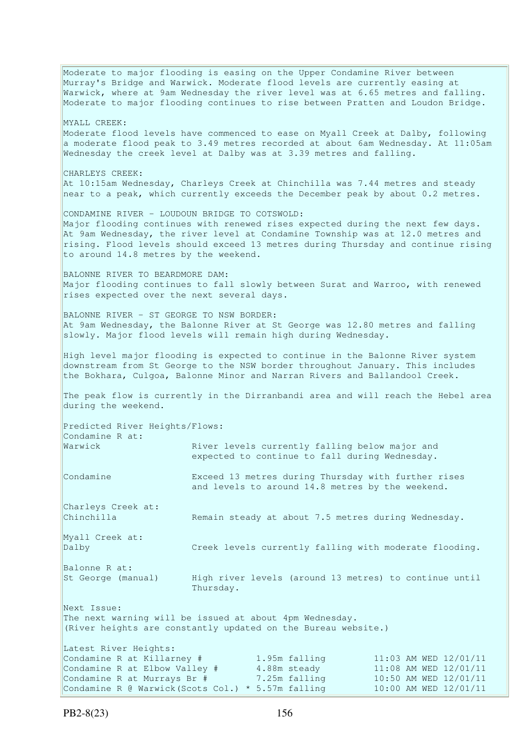Moderate to major flooding is easing on the Upper Condamine River between Murray's Bridge and Warwick. Moderate flood levels are currently easing at Warwick, where at 9am Wednesday the river level was at 6.65 metres and falling. Moderate to major flooding continues to rise between Pratten and Loudon Bridge. MYALL CREEK: Moderate flood levels have commenced to ease on Myall Creek at Dalby, following a moderate flood peak to 3.49 metres recorded at about 6am Wednesday. At 11:05am Wednesday the creek level at Dalby was at 3.39 metres and falling. CHARLEYS CREEK: At 10:15am Wednesday, Charleys Creek at Chinchilla was 7.44 metres and steady near to a peak, which currently exceeds the December peak by about 0.2 metres. CONDAMINE RIVER - LOUDOUN BRIDGE TO COTSWOLD: Major flooding continues with renewed rises expected during the next few days. At 9am Wednesday, the river level at Condamine Township was at 12.0 metres and rising. Flood levels should exceed 13 metres during Thursday and continue rising to around 14.8 metres by the weekend. BALONNE RIVER TO BEARDMORE DAM: Major flooding continues to fall slowly between Surat and Warroo, with renewed rises expected over the next several days. BALONNE RIVER - ST GEORGE TO NSW BORDER: At 9am Wednesday, the Balonne River at St George was 12.80 metres and falling slowly. Major flood levels will remain high during Wednesday. High level major flooding is expected to continue in the Balonne River system downstream from St George to the NSW border throughout January. This includes the Bokhara, Culgoa, Balonne Minor and Narran Rivers and Ballandool Creek. The peak flow is currently in the Dirranbandi area and will reach the Hebel area during the weekend. Predicted River Heights/Flows: Condamine R at:<br>Warwick River levels currently falling below major and expected to continue to fall during Wednesday. Condamine Exceed 13 metres during Thursday with further rises and levels to around 14.8 metres by the weekend. Charleys Creek at: Chinchilla Remain steady at about 7.5 metres during Wednesday. Myall Creek at: Dalby Creek levels currently falling with moderate flooding. Balonne R at: St George (manual) High river levels (around 13 metres) to continue until Thursday. Next Issue: The next warning will be issued at about 4pm Wednesday. (River heights are constantly updated on the Bureau website.) Latest River Heights: Condamine R at Killarney # 1.95m falling 11:03 AM WED 12/01/11 Condamine R at Elbow Valley # 4.88m steady 11:08 AM WED 12/01/11 Condamine R at Murrays Br  $\#$  7.25m falling 10:50 AM WED 12/01/11 Condamine R @ Warwick(Scots Col.) \* 5.57m falling 10:00 AM WED 12/01/11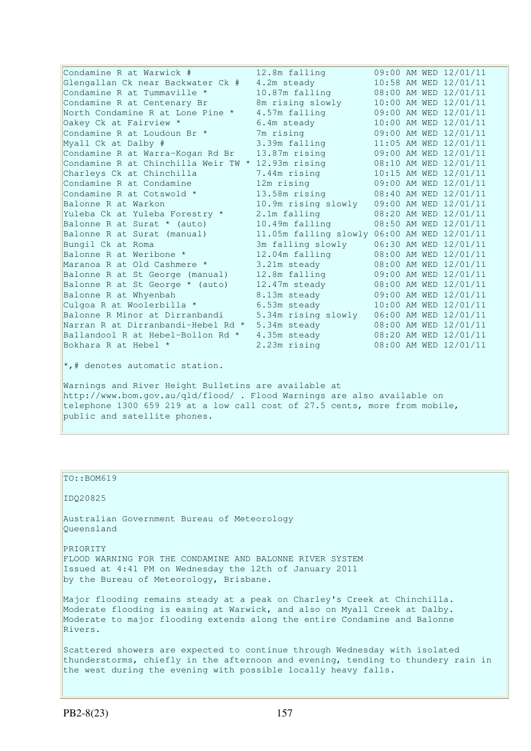| Condamine R at Warwick #                          | 12.8m falling                               |  | 09:00 AM WED 12/01/11 |
|---------------------------------------------------|---------------------------------------------|--|-----------------------|
| Glengallan Ck near Backwater Ck #                 | 4.2m steady                                 |  | 10:58 AM WED 12/01/11 |
| Condamine R at Tummaville *                       | 10.87m falling                              |  | 08:00 AM WED 12/01/11 |
| Condamine R at Centenary Br                       | 8m rising slowly                            |  | 10:00 AM WED 12/01/11 |
| North Condamine R at Lone Pine *                  | 4.57m falling                               |  | 09:00 AM WED 12/01/11 |
| Oakey Ck at Fairview *                            | 6.4m steady                                 |  | 10:00 AM WED 12/01/11 |
| Condamine R at Loudoun Br *                       | 7m rising                                   |  | 09:00 AM WED 12/01/11 |
| Myall Ck at Dalby #                               | 3.39m falling                               |  | 11:05 AM WED 12/01/11 |
| Condamine R at Warra-Kogan Rd Br                  | 13.87m rising                               |  | 09:00 AM WED 12/01/11 |
| Condamine R at Chinchilla Weir TW * 12.93m rising |                                             |  | 08:10 AM WED 12/01/11 |
| Charleys Ck at Chinchilla                         | 7.44m rising                                |  | 10:15 AM WED 12/01/11 |
| Condamine R at Condamine                          | 12m rising                                  |  | 09:00 AM WED 12/01/11 |
| Condamine R at Cotswold *                         | 13.58m rising                               |  | 08:40 AM WED 12/01/11 |
| Balonne R at Warkon                               | 10.9m rising slowly                         |  | 09:00 AM WED 12/01/11 |
| Yuleba Ck at Yuleba Forestry *                    | 2.1m falling                                |  | 08:20 AM WED 12/01/11 |
| Balonne R at Surat * (auto)                       | 10.49m falling                              |  | 08:50 AM WED 12/01/11 |
| Balonne R at Surat (manual)                       | 11.05m falling slowly 06:00 AM WED 12/01/11 |  |                       |
| Bungil Ck at Roma                                 | 3m falling slowly                           |  | 06:30 AM WED 12/01/11 |
| Balonne R at Weribone *                           | 12.04m falling                              |  | 08:00 AM WED 12/01/11 |
| Maranoa R at Old Cashmere *                       | 3.21m steady                                |  | 08:00 AM WED 12/01/11 |
| Balonne R at St George (manual)                   | 12.8m falling                               |  | 09:00 AM WED 12/01/11 |
| Balonne R at St George * (auto)                   | 12.47m steady                               |  | 08:00 AM WED 12/01/11 |
| Balonne R at Whyenbah                             | 8.13m steady                                |  | 09:00 AM WED 12/01/11 |
| Culgoa R at Woolerbilla *                         | 6.53m steady                                |  | 10:00 AM WED 12/01/11 |
| Balonne R Minor at Dirranbandi                    | 5.34m rising slowly                         |  | 06:00 AM WED 12/01/11 |
| Narran R at Dirranbandi-Hebel Rd *                | 5.34m steady                                |  | 08:00 AM WED 12/01/11 |
| Ballandool R at Hebel-Bollon Rd *                 | 4.35m steady                                |  | 08:20 AM WED 12/01/11 |
| Bokhara R at Hebel *                              | 2.23m rising                                |  | 08:00 AM WED 12/01/11 |
| $\star$ , # denotes automatic station.            |                                             |  |                       |

Warnings and River Height Bulletins are available at http://www.bom.gov.au/qld/flood/ . Flood Warnings are also available on telephone 1300 659 219 at a low call cost of 27.5 cents, more from mobile, public and satellite phones.

TO::BOM619 IDQ20825 Australian Government Bureau of Meteorology Queensland PRIORITY FLOOD WARNING FOR THE CONDAMINE AND BALONNE RIVER SYSTEM Issued at 4:41 PM on Wednesday the 12th of January 2011 by the Bureau of Meteorology, Brisbane. Major flooding remains steady at a peak on Charley's Creek at Chinchilla. Moderate flooding is easing at Warwick, and also on Myall Creek at Dalby. Moderate to major flooding extends along the entire Condamine and Balonne Rivers.

Scattered showers are expected to continue through Wednesday with isolated thunderstorms, chiefly in the afternoon and evening, tending to thundery rain in the west during the evening with possible locally heavy falls.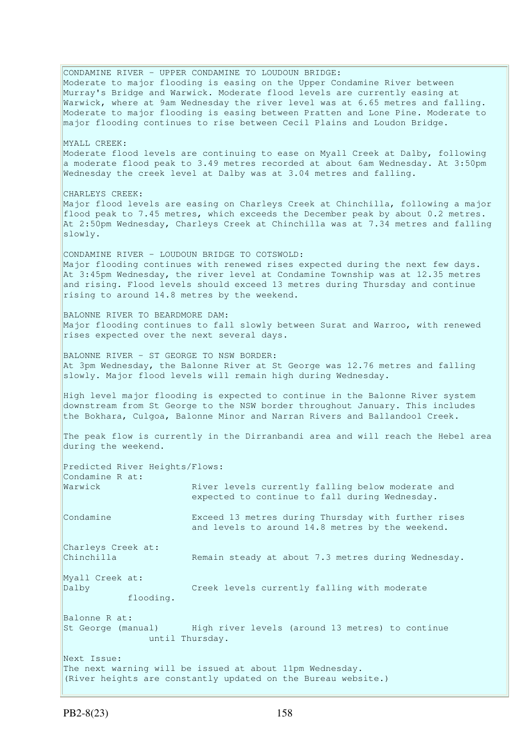CONDAMINE RIVER - UPPER CONDAMINE TO LOUDOUN BRIDGE: Moderate to major flooding is easing on the Upper Condamine River between Murray's Bridge and Warwick. Moderate flood levels are currently easing at Warwick, where at 9am Wednesday the river level was at 6.65 metres and falling. Moderate to major flooding is easing between Pratten and Lone Pine. Moderate to major flooding continues to rise between Cecil Plains and Loudon Bridge. MYALL CREEK: Moderate flood levels are continuing to ease on Myall Creek at Dalby, following a moderate flood peak to 3.49 metres recorded at about 6am Wednesday. At 3:50pm Wednesday the creek level at Dalby was at 3.04 metres and falling. CHARLEYS CREEK: Major flood levels are easing on Charleys Creek at Chinchilla, following a major flood peak to 7.45 metres, which exceeds the December peak by about 0.2 metres. At 2:50pm Wednesday, Charleys Creek at Chinchilla was at 7.34 metres and falling slowly. CONDAMINE RIVER - LOUDOUN BRIDGE TO COTSWOLD: Major flooding continues with renewed rises expected during the next few days. At 3:45pm Wednesday, the river level at Condamine Township was at 12.35 metres and rising. Flood levels should exceed 13 metres during Thursday and continue rising to around 14.8 metres by the weekend. BALONNE RIVER TO BEARDMORE DAM: Major flooding continues to fall slowly between Surat and Warroo, with renewed rises expected over the next several days. BALONNE RIVER - ST GEORGE TO NSW BORDER: At 3pm Wednesday, the Balonne River at St George was 12.76 metres and falling slowly. Major flood levels will remain high during Wednesday. High level major flooding is expected to continue in the Balonne River system downstream from St George to the NSW border throughout January. This includes the Bokhara, Culgoa, Balonne Minor and Narran Rivers and Ballandool Creek. The peak flow is currently in the Dirranbandi area and will reach the Hebel area during the weekend. Predicted River Heights/Flows: Condamine R at: Warwick River levels currently falling below moderate and expected to continue to fall during Wednesday. Condamine Exceed 13 metres during Thursday with further rises and levels to around 14.8 metres by the weekend. Charleys Creek at: Chinchilla Remain steady at about 7.3 metres during Wednesday. Myall Creek at: Dalby Creek levels currently falling with moderate flooding. Balonne R at: St George (manual) High river levels (around 13 metres) to continue until Thursday. Next Issue: The next warning will be issued at about 11pm Wednesday. (River heights are constantly updated on the Bureau website.)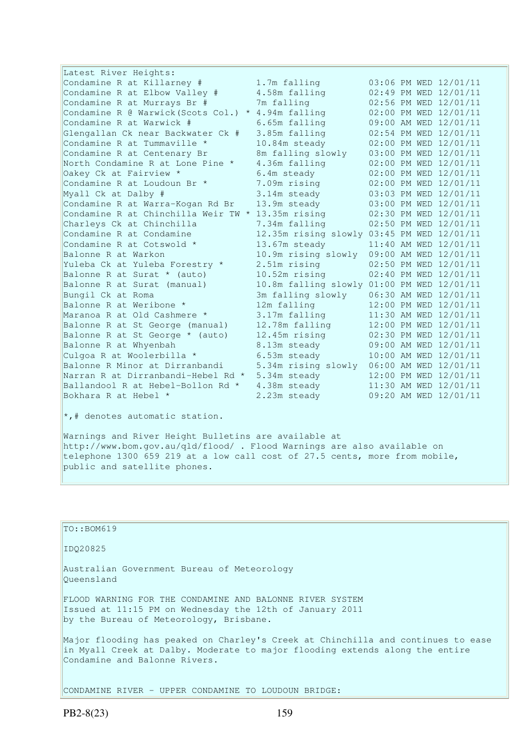| 03:06 PM WED 12/01/11<br>1.7m falling<br>4.58m falling<br>02:49 PM WED 12/01/11<br>7m falling<br>02:56 PM WED 12/01/11<br>02:00 PM WED 12/01/11<br>4.94m falling<br>09:00 AM WED 12/01/11<br>6.65m falling<br>3.85m falling<br>02:54 PM WED 12/01/11<br>10.84m steady<br>02:00 PM WED 12/01/11<br>8m falling slowly<br>03:00 PM WED 12/01/11<br>4.36m falling<br>02:00 PM WED 12/01/11<br>02:00 PM WED 12/01/11<br>6.4m steady<br>7.09m rising<br>02:00 PM WED 12/01/11<br>03:03 PM WED 12/01/11<br>3.14m steady<br>03:00 PM WED 12/01/11<br>13.9m steady<br>13.35m rising<br>02:30 PM WED 12/01/11<br>7.34m falling<br>02:50 PM WED 12/01/11<br>Condamine R at Condamine<br>12.35m rising slowly 03:45 PM WED 12/01/11<br>13.67m steady<br>11:40 AM WED 12/01/11<br>10.9m rising slowly<br>09:00 AM WED 12/01/11<br>02:50 PM WED 12/01/11<br>2.51m rising<br>02:40 PM WED 12/01/11<br>Balonne R at Surat * (auto)<br>10.52m rising<br>10.8m falling slowly 01:00 PM WED 12/01/11<br>3m falling slowly<br>06:30 AM WED 12/01/11<br>Balonne R at Weribone *<br>12m falling<br>12:00 PM WED 12/01/11<br>3.17m falling<br>11:30 AM WED 12/01/11<br>12.78m falling<br>12:00 PM WED 12/01/11<br>Balonne R at St George * (auto)<br>12.45m rising<br>02:30 PM WED 12/01/11<br>Balonne R at Whyenbah<br>8.13m steady<br>09:00 AM WED 12/01/11<br>Culgoa R at Woolerbilla *<br>6.53m steady<br>10:00 AM WED 12/01/11<br>Balonne R Minor at Dirranbandi<br>5.34m rising slowly<br>06:00 AM WED 12/01/11<br>Narran R at Dirranbandi-Hebel Rd *<br>12:00 PM WED 12/01/11<br>5.34m steady<br>Ballandool R at Hebel-Bollon Rd *<br>11:30 AM WED 12/01/11<br>4.38m steady<br>09:20 AM WED 12/01/11<br>Bokhara R at Hebel *<br>2.23m steady | Latest River Heights:               |  |  |  |
|------------------------------------------------------------------------------------------------------------------------------------------------------------------------------------------------------------------------------------------------------------------------------------------------------------------------------------------------------------------------------------------------------------------------------------------------------------------------------------------------------------------------------------------------------------------------------------------------------------------------------------------------------------------------------------------------------------------------------------------------------------------------------------------------------------------------------------------------------------------------------------------------------------------------------------------------------------------------------------------------------------------------------------------------------------------------------------------------------------------------------------------------------------------------------------------------------------------------------------------------------------------------------------------------------------------------------------------------------------------------------------------------------------------------------------------------------------------------------------------------------------------------------------------------------------------------------------------------------------------------------------------------------------------------------------------------------------------------------|-------------------------------------|--|--|--|
|                                                                                                                                                                                                                                                                                                                                                                                                                                                                                                                                                                                                                                                                                                                                                                                                                                                                                                                                                                                                                                                                                                                                                                                                                                                                                                                                                                                                                                                                                                                                                                                                                                                                                                                              | Condamine R at Killarney #          |  |  |  |
|                                                                                                                                                                                                                                                                                                                                                                                                                                                                                                                                                                                                                                                                                                                                                                                                                                                                                                                                                                                                                                                                                                                                                                                                                                                                                                                                                                                                                                                                                                                                                                                                                                                                                                                              | Condamine R at Elbow Valley #       |  |  |  |
|                                                                                                                                                                                                                                                                                                                                                                                                                                                                                                                                                                                                                                                                                                                                                                                                                                                                                                                                                                                                                                                                                                                                                                                                                                                                                                                                                                                                                                                                                                                                                                                                                                                                                                                              | Condamine R at Murrays Br #         |  |  |  |
|                                                                                                                                                                                                                                                                                                                                                                                                                                                                                                                                                                                                                                                                                                                                                                                                                                                                                                                                                                                                                                                                                                                                                                                                                                                                                                                                                                                                                                                                                                                                                                                                                                                                                                                              | Condamine R @ Warwick (Scots Col.)  |  |  |  |
|                                                                                                                                                                                                                                                                                                                                                                                                                                                                                                                                                                                                                                                                                                                                                                                                                                                                                                                                                                                                                                                                                                                                                                                                                                                                                                                                                                                                                                                                                                                                                                                                                                                                                                                              | Condamine R at Warwick #            |  |  |  |
|                                                                                                                                                                                                                                                                                                                                                                                                                                                                                                                                                                                                                                                                                                                                                                                                                                                                                                                                                                                                                                                                                                                                                                                                                                                                                                                                                                                                                                                                                                                                                                                                                                                                                                                              | Glengallan Ck near Backwater Ck #   |  |  |  |
|                                                                                                                                                                                                                                                                                                                                                                                                                                                                                                                                                                                                                                                                                                                                                                                                                                                                                                                                                                                                                                                                                                                                                                                                                                                                                                                                                                                                                                                                                                                                                                                                                                                                                                                              | Condamine R at Tummaville *         |  |  |  |
|                                                                                                                                                                                                                                                                                                                                                                                                                                                                                                                                                                                                                                                                                                                                                                                                                                                                                                                                                                                                                                                                                                                                                                                                                                                                                                                                                                                                                                                                                                                                                                                                                                                                                                                              | Condamine R at Centenary Br         |  |  |  |
|                                                                                                                                                                                                                                                                                                                                                                                                                                                                                                                                                                                                                                                                                                                                                                                                                                                                                                                                                                                                                                                                                                                                                                                                                                                                                                                                                                                                                                                                                                                                                                                                                                                                                                                              | North Condamine R at Lone Pine *    |  |  |  |
|                                                                                                                                                                                                                                                                                                                                                                                                                                                                                                                                                                                                                                                                                                                                                                                                                                                                                                                                                                                                                                                                                                                                                                                                                                                                                                                                                                                                                                                                                                                                                                                                                                                                                                                              | Oakey Ck at Fairview *              |  |  |  |
|                                                                                                                                                                                                                                                                                                                                                                                                                                                                                                                                                                                                                                                                                                                                                                                                                                                                                                                                                                                                                                                                                                                                                                                                                                                                                                                                                                                                                                                                                                                                                                                                                                                                                                                              | Condamine R at Loudoun Br *         |  |  |  |
|                                                                                                                                                                                                                                                                                                                                                                                                                                                                                                                                                                                                                                                                                                                                                                                                                                                                                                                                                                                                                                                                                                                                                                                                                                                                                                                                                                                                                                                                                                                                                                                                                                                                                                                              | Myall Ck at Dalby #                 |  |  |  |
|                                                                                                                                                                                                                                                                                                                                                                                                                                                                                                                                                                                                                                                                                                                                                                                                                                                                                                                                                                                                                                                                                                                                                                                                                                                                                                                                                                                                                                                                                                                                                                                                                                                                                                                              | Condamine R at Warra-Kogan Rd Br    |  |  |  |
|                                                                                                                                                                                                                                                                                                                                                                                                                                                                                                                                                                                                                                                                                                                                                                                                                                                                                                                                                                                                                                                                                                                                                                                                                                                                                                                                                                                                                                                                                                                                                                                                                                                                                                                              | Condamine R at Chinchilla Weir TW * |  |  |  |
|                                                                                                                                                                                                                                                                                                                                                                                                                                                                                                                                                                                                                                                                                                                                                                                                                                                                                                                                                                                                                                                                                                                                                                                                                                                                                                                                                                                                                                                                                                                                                                                                                                                                                                                              | Charleys Ck at Chinchilla           |  |  |  |
|                                                                                                                                                                                                                                                                                                                                                                                                                                                                                                                                                                                                                                                                                                                                                                                                                                                                                                                                                                                                                                                                                                                                                                                                                                                                                                                                                                                                                                                                                                                                                                                                                                                                                                                              |                                     |  |  |  |
|                                                                                                                                                                                                                                                                                                                                                                                                                                                                                                                                                                                                                                                                                                                                                                                                                                                                                                                                                                                                                                                                                                                                                                                                                                                                                                                                                                                                                                                                                                                                                                                                                                                                                                                              | Condamine R at Cotswold *           |  |  |  |
|                                                                                                                                                                                                                                                                                                                                                                                                                                                                                                                                                                                                                                                                                                                                                                                                                                                                                                                                                                                                                                                                                                                                                                                                                                                                                                                                                                                                                                                                                                                                                                                                                                                                                                                              | Balonne R at Warkon                 |  |  |  |
|                                                                                                                                                                                                                                                                                                                                                                                                                                                                                                                                                                                                                                                                                                                                                                                                                                                                                                                                                                                                                                                                                                                                                                                                                                                                                                                                                                                                                                                                                                                                                                                                                                                                                                                              | Yuleba Ck at Yuleba Forestry *      |  |  |  |
|                                                                                                                                                                                                                                                                                                                                                                                                                                                                                                                                                                                                                                                                                                                                                                                                                                                                                                                                                                                                                                                                                                                                                                                                                                                                                                                                                                                                                                                                                                                                                                                                                                                                                                                              |                                     |  |  |  |
|                                                                                                                                                                                                                                                                                                                                                                                                                                                                                                                                                                                                                                                                                                                                                                                                                                                                                                                                                                                                                                                                                                                                                                                                                                                                                                                                                                                                                                                                                                                                                                                                                                                                                                                              | Balonne R at Surat (manual)         |  |  |  |
|                                                                                                                                                                                                                                                                                                                                                                                                                                                                                                                                                                                                                                                                                                                                                                                                                                                                                                                                                                                                                                                                                                                                                                                                                                                                                                                                                                                                                                                                                                                                                                                                                                                                                                                              | Bungil Ck at Roma                   |  |  |  |
|                                                                                                                                                                                                                                                                                                                                                                                                                                                                                                                                                                                                                                                                                                                                                                                                                                                                                                                                                                                                                                                                                                                                                                                                                                                                                                                                                                                                                                                                                                                                                                                                                                                                                                                              |                                     |  |  |  |
|                                                                                                                                                                                                                                                                                                                                                                                                                                                                                                                                                                                                                                                                                                                                                                                                                                                                                                                                                                                                                                                                                                                                                                                                                                                                                                                                                                                                                                                                                                                                                                                                                                                                                                                              | Maranoa R at Old Cashmere *         |  |  |  |
|                                                                                                                                                                                                                                                                                                                                                                                                                                                                                                                                                                                                                                                                                                                                                                                                                                                                                                                                                                                                                                                                                                                                                                                                                                                                                                                                                                                                                                                                                                                                                                                                                                                                                                                              | Balonne R at St George (manual)     |  |  |  |
|                                                                                                                                                                                                                                                                                                                                                                                                                                                                                                                                                                                                                                                                                                                                                                                                                                                                                                                                                                                                                                                                                                                                                                                                                                                                                                                                                                                                                                                                                                                                                                                                                                                                                                                              |                                     |  |  |  |
|                                                                                                                                                                                                                                                                                                                                                                                                                                                                                                                                                                                                                                                                                                                                                                                                                                                                                                                                                                                                                                                                                                                                                                                                                                                                                                                                                                                                                                                                                                                                                                                                                                                                                                                              |                                     |  |  |  |
|                                                                                                                                                                                                                                                                                                                                                                                                                                                                                                                                                                                                                                                                                                                                                                                                                                                                                                                                                                                                                                                                                                                                                                                                                                                                                                                                                                                                                                                                                                                                                                                                                                                                                                                              |                                     |  |  |  |
|                                                                                                                                                                                                                                                                                                                                                                                                                                                                                                                                                                                                                                                                                                                                                                                                                                                                                                                                                                                                                                                                                                                                                                                                                                                                                                                                                                                                                                                                                                                                                                                                                                                                                                                              |                                     |  |  |  |
|                                                                                                                                                                                                                                                                                                                                                                                                                                                                                                                                                                                                                                                                                                                                                                                                                                                                                                                                                                                                                                                                                                                                                                                                                                                                                                                                                                                                                                                                                                                                                                                                                                                                                                                              |                                     |  |  |  |
|                                                                                                                                                                                                                                                                                                                                                                                                                                                                                                                                                                                                                                                                                                                                                                                                                                                                                                                                                                                                                                                                                                                                                                                                                                                                                                                                                                                                                                                                                                                                                                                                                                                                                                                              |                                     |  |  |  |
|                                                                                                                                                                                                                                                                                                                                                                                                                                                                                                                                                                                                                                                                                                                                                                                                                                                                                                                                                                                                                                                                                                                                                                                                                                                                                                                                                                                                                                                                                                                                                                                                                                                                                                                              |                                     |  |  |  |

\*,# denotes automatic station.

Warnings and River Height Bulletins are available at http://www.bom.gov.au/qld/flood/ . Flood Warnings are also available on telephone 1300 659 219 at a low call cost of 27.5 cents, more from mobile, public and satellite phones.

 $\vert$ TO::BOM619 IDQ20825 Australian Government Bureau of Meteorology Queensland FLOOD WARNING FOR THE CONDAMINE AND BALONNE RIVER SYSTEM Issued at 11:15 PM on Wednesday the 12th of January 2011 by the Bureau of Meteorology, Brisbane. Major flooding has peaked on Charley's Creek at Chinchilla and continues to ease in Myall Creek at Dalby. Moderate to major flooding extends along the entire Condamine and Balonne Rivers. CONDAMINE RIVER - UPPER CONDAMINE TO LOUDOUN BRIDGE: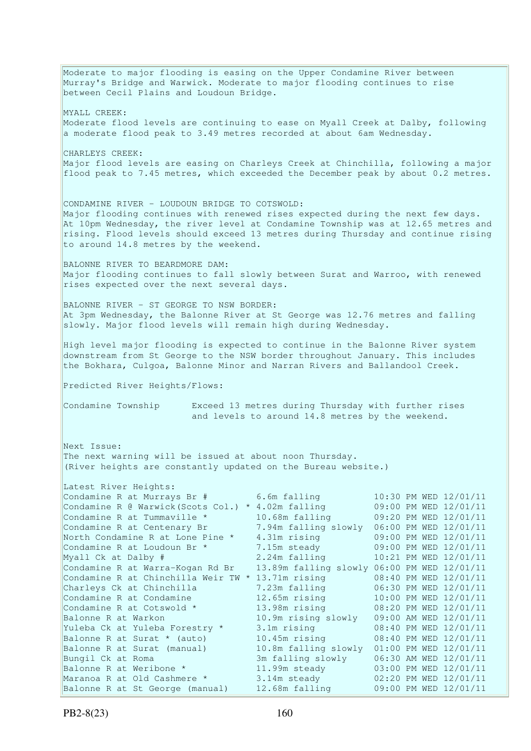Moderate to major flooding is easing on the Upper Condamine River between Murray's Bridge and Warwick. Moderate to major flooding continues to rise between Cecil Plains and Loudoun Bridge. MYALL CREEK: Moderate flood levels are continuing to ease on Myall Creek at Dalby, following a moderate flood peak to 3.49 metres recorded at about 6am Wednesday. CHARLEYS CREEK: Major flood levels are easing on Charleys Creek at Chinchilla, following a major flood peak to 7.45 metres, which exceeded the December peak by about 0.2 metres. CONDAMINE RIVER - LOUDOUN BRIDGE TO COTSWOLD: Major flooding continues with renewed rises expected during the next few days. At 10pm Wednesday, the river level at Condamine Township was at 12.65 metres and rising. Flood levels should exceed 13 metres during Thursday and continue rising to around 14.8 metres by the weekend. BALONNE RIVER TO BEARDMORE DAM: Major flooding continues to fall slowly between Surat and Warroo, with renewed rises expected over the next several days. BALONNE RIVER - ST GEORGE TO NSW BORDER: At 3pm Wednesday, the Balonne River at St George was 12.76 metres and falling slowly. Major flood levels will remain high during Wednesday. High level major flooding is expected to continue in the Balonne River system downstream from St George to the NSW border throughout January. This includes the Bokhara, Culgoa, Balonne Minor and Narran Rivers and Ballandool Creek. Predicted River Heights/Flows: Condamine Township Exceed 13 metres during Thursday with further rises and levels to around 14.8 metres by the weekend. Next Issue: The next warning will be issued at about noon Thursday. (River heights are constantly updated on the Bureau website.) Latest River Heights: Condamine R at Murrays Br  $#$  6.6m falling 10:30 PM WED 12/01/11 Condamine R @ Warwick(Scots Col.) \* 4.02m falling 09:00 PM WED 12/01/11 Condamine R at Tummaville  $*$  10.68m falling  $09:20$  PM WED  $12/01/11$ Condamine R at Centenary Br 7.94m falling slowly 06:00 PM WED 12/01/11 North Condamine R at Lone Pine \* 4.31m rising 09:00 PM WED 12/01/11 Condamine R at Loudoun Br  $*$  7.15m steady 09:00 PM WED 12/01/11 Myall Ck at Dalby # 2.24m falling 10:21 PM WED 12/01/11 Condamine R at Warra-Kogan Rd Br 13.89m falling slowly 06:00 PM WED 12/01/11 Condamine R at Chinchilla Weir TW  $*$  13.71m rising 08:40 PM WED 12/01/11 Charleys Ck at Chinchilla 7.23m falling 06:30 PM WED 12/01/11 Condamine R at Condamine 12.65m rising 10:00 PM WED 12/01/11 Condamine R at Cotswold  $*$  13.98m rising 08:20 PM WED 12/01/11 Balonne R at Warkon 10.9m rising slowly 09:00 AM WED 12/01/11 Yuleba Ck at Yuleba Forestry \* 3.1m rising 08:40 PM WED 12/01/11 Balonne R at Surat \* (auto) 10.45m rising 08:40 PM WED 12/01/11 Balonne R at Surat (manual) 10.8m falling slowly 01:00 PM WED 12/01/11 Bungil Ck at Roma 3m falling slowly 06:30 AM WED 12/01/11 Balonne R at Weribone \* 11.99m steady 03:00 PM WED 12/01/11 Maranoa R at Old Cashmere \* 3.14m steady 02:20 PM WED 12/01/11 Balonne R at St George (manual) 12.68m falling 09:00 PM WED 12/01/11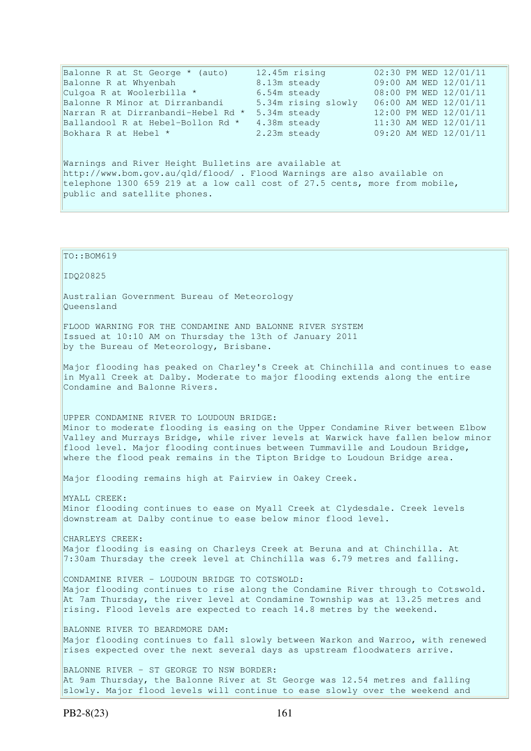| Balonne R at St George * (auto)<br>Balonne R at Whyenbah<br>Culgoa R at Woolerbilla *<br>Balonne R Minor at Dirranbandi<br>Narran R at Dirranbandi-Hebel Rd *<br>Ballandool R at Hebel-Bollon Rd *<br>Bokhara R at Hebel *                                                                                                                                                   | 12.45m rising<br>8.13m steady<br>6.54m steady<br>5.34m rising slowly<br>5.34m steady<br>4.38m steady<br>2.23m steady | 02:30 PM WED 12/01/11<br>09:00 AM WED 12/01/11<br>08:00 PM WED 12/01/11<br>06:00 AM WED 12/01/11<br>12:00 PM WED 12/01/11<br>11:30 AM WED 12/01/11<br>09:20 AM WED 12/01/11 |  |  |  |  |  |  |  |
|------------------------------------------------------------------------------------------------------------------------------------------------------------------------------------------------------------------------------------------------------------------------------------------------------------------------------------------------------------------------------|----------------------------------------------------------------------------------------------------------------------|-----------------------------------------------------------------------------------------------------------------------------------------------------------------------------|--|--|--|--|--|--|--|
| Warnings and River Height Bulletins are available at<br>http://www.bom.gov.au/qld/flood/ . Flood Warnings are also available on<br>telephone 1300 659 219 at a low call cost of 27.5 cents, more from mobile,<br>public and satellite phones.                                                                                                                                |                                                                                                                      |                                                                                                                                                                             |  |  |  |  |  |  |  |
|                                                                                                                                                                                                                                                                                                                                                                              |                                                                                                                      |                                                                                                                                                                             |  |  |  |  |  |  |  |
| TO::BOM619                                                                                                                                                                                                                                                                                                                                                                   |                                                                                                                      |                                                                                                                                                                             |  |  |  |  |  |  |  |
| IDQ20825                                                                                                                                                                                                                                                                                                                                                                     |                                                                                                                      |                                                                                                                                                                             |  |  |  |  |  |  |  |
| Australian Government Bureau of Meteorology<br>Oueensland                                                                                                                                                                                                                                                                                                                    |                                                                                                                      |                                                                                                                                                                             |  |  |  |  |  |  |  |
| FLOOD WARNING FOR THE CONDAMINE AND BALONNE RIVER SYSTEM<br>Issued at 10:10 AM on Thursday the 13th of January 2011<br>by the Bureau of Meteorology, Brisbane.                                                                                                                                                                                                               |                                                                                                                      |                                                                                                                                                                             |  |  |  |  |  |  |  |
| Major flooding has peaked on Charley's Creek at Chinchilla and continues to ease<br>in Myall Creek at Dalby. Moderate to major flooding extends along the entire<br>Condamine and Balonne Rivers.                                                                                                                                                                            |                                                                                                                      |                                                                                                                                                                             |  |  |  |  |  |  |  |
| UPPER CONDAMINE RIVER TO LOUDOUN BRIDGE:<br>Minor to moderate flooding is easing on the Upper Condamine River between Elbow<br>Valley and Murrays Bridge, while river levels at Warwick have fallen below minor<br>flood level. Major flooding continues between Tummaville and Loudoun Bridge,<br>where the flood peak remains in the Tipton Bridge to Loudoun Bridge area. |                                                                                                                      |                                                                                                                                                                             |  |  |  |  |  |  |  |
| Major flooding remains high at Fairview in Oakey Creek.                                                                                                                                                                                                                                                                                                                      |                                                                                                                      |                                                                                                                                                                             |  |  |  |  |  |  |  |
| MYALL CREEK:<br>Minor flooding continues to ease on Myall Creek at Clydesdale. Creek levels<br>downstream at Dalby continue to ease below minor flood level.                                                                                                                                                                                                                 |                                                                                                                      |                                                                                                                                                                             |  |  |  |  |  |  |  |
| CHARLEYS CREEK:<br>Major flooding is easing on Charleys Creek at Beruna and at Chinchilla. At<br>7:30am Thursday the creek level at Chinchilla was 6.79 metres and falling.                                                                                                                                                                                                  |                                                                                                                      |                                                                                                                                                                             |  |  |  |  |  |  |  |
| CONDAMINE RIVER - LOUDOUN BRIDGE TO COTSWOLD:<br>Major flooding continues to rise along the Condamine River through to Cotswold.<br>At 7am Thursday, the river level at Condamine Township was at 13.25 metres and<br>rising. Flood levels are expected to reach 14.8 metres by the weekend.                                                                                 |                                                                                                                      |                                                                                                                                                                             |  |  |  |  |  |  |  |
| BALONNE RIVER TO BEARDMORE DAM:                                                                                                                                                                                                                                                                                                                                              |                                                                                                                      |                                                                                                                                                                             |  |  |  |  |  |  |  |

Major flooding continues to fall slowly between Warkon and Warroo, with renewed rises expected over the next several days as upstream floodwaters arrive.

BALONNE RIVER - ST GEORGE TO NSW BORDER: At 9am Thursday, the Balonne River at St George was 12.54 metres and falling slowly. Major flood levels will continue to ease slowly over the weekend and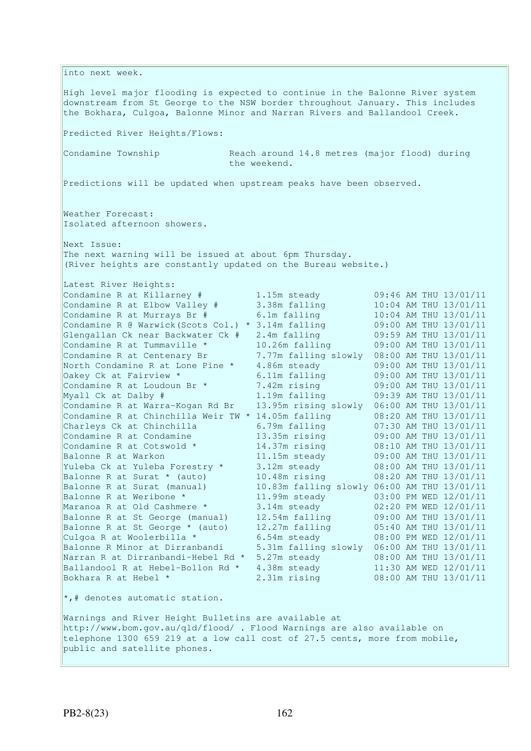into next week. High level major flooding is expected to continue in the Balonne River system downstream from St George to the NSW border throughout January. This includes the Bokhara, Culgoa, Balonne Minor and Narran Rivers and Ballandool Creek. Predicted River Heights/Flows: Condamine Township Reach around 14.8 metres (major flood) during the weekend. Predictions will be updated when upstream peaks have been observed. Weather Forecast: Isolated afternoon showers. Next Issue: The next warning will be issued at about 6pm Thursday. (River heights are constantly updated on the Bureau website.) Latest River Heights: Condamine R at Killarney # 1.15m steady 09:46 AM THU 13/01/11 Condamine R at Elbow Valley # 3.38m falling 10:04 AM THU 13/01/11 Condamine R at Murrays Br  $\#$  6.1m falling 10:04 AM THU 13/01/11 Condamine R @ Warwick(Scots Col.) \* 3.14m falling 09:00 AM THU 13/01/11 Glengallan Ck near Backwater Ck # 2.4m falling 09:59 AM THU 13/01/11 Condamine R at Tummaville \* 10.26m falling 09:00 AM THU 13/01/11 Condamine R at Centenary Br 7.77m falling slowly 08:00 AM THU 13/01/11 North Condamine R at Lone Pine \* 4.86m steady 09:00 AM THU 13/01/11 Oakey Ck at Fairview \* 6.11m falling 09:00 AM THU 13/01/11 Condamine R at Loudoun Br  $*$  7.42m rising 09:00 AM THU 13/01/11 Myall Ck at Dalby # 1.19m falling 09:39 AM THU 13/01/11 Condamine R at Warra-Kogan Rd Br 13.95m rising slowly 06:00 AM THU 13/01/11 Condamine R at Chinchilla Weir TW \* 14.05m falling 08:20 AM THU 13/01/11 Charleys Ck at Chinchilla 6.79m falling 07:30 AM THU 13/01/11 Condamine R at Condamine 13.35m rising 09:00 AM THU 13/01/11 Condamine R at Cotswold  $*$  14.37m rising  $08:10$  AM THU 13/01/11 Balonne R at Warkon 11.15m steady 09:00 AM THU 13/01/11 Yuleba Ck at Yuleba Forestry \* 3.12m steady 08:00 AM THU 13/01/11 Balonne R at Surat \* (auto) 10.48m rising 08:20 AM THU 13/01/11 Balonne R at Surat (manual) 10.83m falling slowly 06:00 AM THU 13/01/11 Balonne R at Weribone \* 11.99m steady 03:00 PM WED 12/01/11 Maranoa R at Old Cashmere \* 3.14m steady 02:20 PM WED 12/01/11 Balonne R at St George (manual) 12.54m falling 09:00 AM THU 13/01/11 Balonne R at St George \* (auto) 12.27m falling 05:40 AM THU 13/01/11 Culgoa R at Woolerbilla  $\star$  6.54m steady 68:00 PM WED 12/01/11 Balonne R Minor at Dirranbandi 5.31m falling slowly 06:00 AM THU 13/01/11 Narran R at Dirranbandi-Hebel Rd \* 5.27m steady 08:00 AM THU 13/01/11 Ballandool R at Hebel-Bollon Rd \* 4.38m steady 11:30 AM WED 12/01/11 Bokhara R at Hebel \* 2.31m rising 08:00 AM THU 13/01/11  $\star$ ,# denotes automatic station. Warnings and River Height Bulletins are available at http://www.bom.gov.au/qld/flood/ . Flood Warnings are also available on telephone 1300 659 219 at a low call cost of 27.5 cents, more from mobile, public and satellite phones.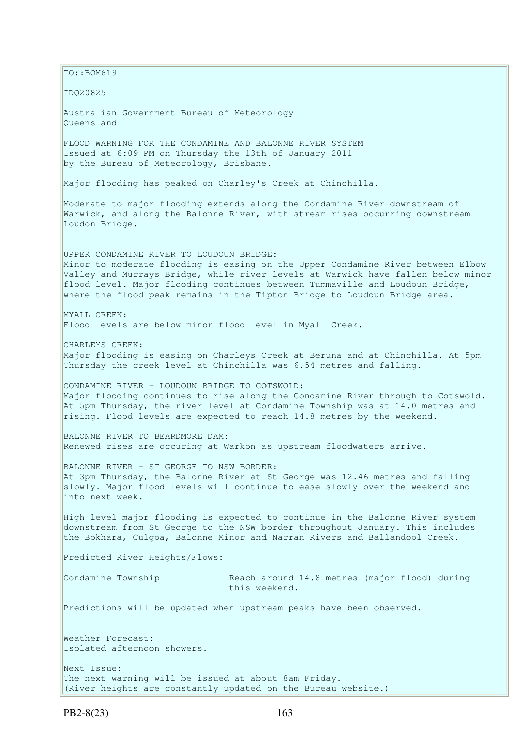$\vert$ TO::BOM619 IDQ20825 Australian Government Bureau of Meteorology Queensland FLOOD WARNING FOR THE CONDAMINE AND BALONNE RIVER SYSTEM Issued at 6:09 PM on Thursday the 13th of January 2011 by the Bureau of Meteorology, Brisbane. Major flooding has peaked on Charley's Creek at Chinchilla. Moderate to major flooding extends along the Condamine River downstream of Warwick, and along the Balonne River, with stream rises occurring downstream Loudon Bridge. UPPER CONDAMINE RIVER TO LOUDOUN BRIDGE: Minor to moderate flooding is easing on the Upper Condamine River between Elbow Valley and Murrays Bridge, while river levels at Warwick have fallen below minor flood level. Major flooding continues between Tummaville and Loudoun Bridge, where the flood peak remains in the Tipton Bridge to Loudoun Bridge area. MYALL CREEK: Flood levels are below minor flood level in Myall Creek. CHARLEYS CREEK: Major flooding is easing on Charleys Creek at Beruna and at Chinchilla. At 5pm Thursday the creek level at Chinchilla was 6.54 metres and falling. CONDAMINE RIVER - LOUDOUN BRIDGE TO COTSWOLD: Major flooding continues to rise along the Condamine River through to Cotswold. At 5pm Thursday, the river level at Condamine Township was at 14.0 metres and rising. Flood levels are expected to reach 14.8 metres by the weekend. BALONNE RIVER TO BEARDMORE DAM: Renewed rises are occuring at Warkon as upstream floodwaters arrive. BALONNE RIVER - ST GEORGE TO NSW BORDER: At 3pm Thursday, the Balonne River at St George was 12.46 metres and falling slowly. Major flood levels will continue to ease slowly over the weekend and into next week. High level major flooding is expected to continue in the Balonne River system downstream from St George to the NSW border throughout January. This includes the Bokhara, Culgoa, Balonne Minor and Narran Rivers and Ballandool Creek. Predicted River Heights/Flows: Condamine Township **Reach around 14.8 metres** (major flood) during this weekend. Predictions will be updated when upstream peaks have been observed. Weather Forecast: Isolated afternoon showers. Next Issue: The next warning will be issued at about 8am Friday. (River heights are constantly updated on the Bureau website.)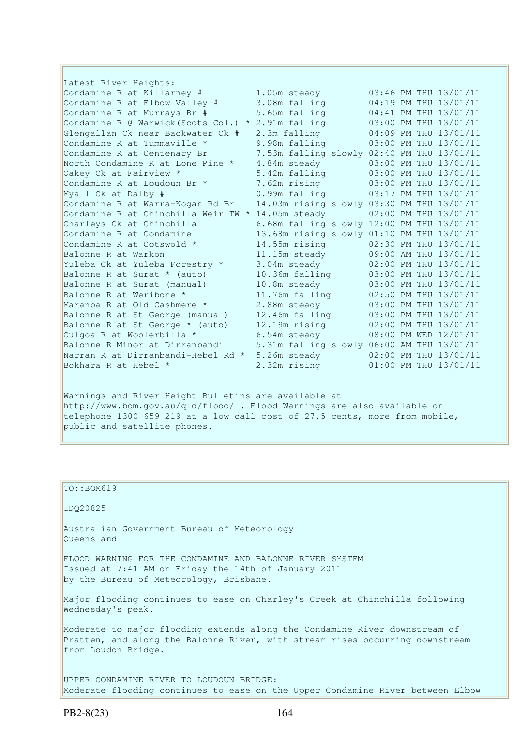| Latest River Heights:                              |                                            |  |                       |
|----------------------------------------------------|--------------------------------------------|--|-----------------------|
| Condamine R at Killarney #                         | 1.05m steady                               |  | 03:46 PM THU 13/01/11 |
| Condamine R at Elbow Valley #                      | 3.08m falling                              |  | 04:19 PM THU 13/01/11 |
| Condamine R at Murrays Br #                        | 5.65m falling                              |  | 04:41 PM THU 13/01/11 |
| Condamine R @ Warwick (Scots Col.) * 2.91m falling |                                            |  | 03:00 PM THU 13/01/11 |
| Glengallan Ck near Backwater Ck #                  | 2.3m falling                               |  | 04:09 PM THU 13/01/11 |
| Condamine R at Tummaville *                        | 9.98m falling                              |  | 03:00 PM THU 13/01/11 |
| Condamine R at Centenary Br                        | 7.53m falling slowly 02:40 PM THU 13/01/11 |  |                       |
| North Condamine R at Lone Pine *                   | 4.84m steady                               |  | 03:00 PM THU 13/01/11 |
| Oakey Ck at Fairview *                             | 5.42m falling                              |  | 03:00 PM THU 13/01/11 |
| Condamine R at Loudoun Br *                        | 7.62m rising                               |  | 03:00 PM THU 13/01/11 |
| Myall Ck at Dalby #                                | 0.99m falling                              |  | 03:17 PM THU 13/01/11 |
| Condamine R at Warra-Kogan Rd Br                   | 14.03m rising slowly 03:30 PM THU 13/01/11 |  |                       |
| Condamine R at Chinchilla Weir TW *                | 14.05m steady                              |  | 02:00 PM THU 13/01/11 |
| Charleys Ck at Chinchilla                          | 6.68m falling slowly 12:00 PM THU 13/01/11 |  |                       |
| Condamine R at Condamine                           | 13.68m rising slowly 01:10 PM THU 13/01/11 |  |                       |
| Condamine R at Cotswold *                          | 14.55m rising                              |  | 02:30 PM THU 13/01/11 |
| Balonne R at Warkon                                | 11.15m steady                              |  | 09:00 AM THU 13/01/11 |
| Yuleba Ck at Yuleba Forestry *                     | 3.04m steady                               |  | 02:00 PM THU 13/01/11 |
| Balonne R at Surat * (auto)                        | 10.36m falling                             |  | 03:00 PM THU 13/01/11 |
| Balonne R at Surat (manual)                        | 10.8m steady                               |  | 03:00 PM THU 13/01/11 |
| Balonne R at Weribone *                            | 11.76m falling                             |  | 02:50 PM THU 13/01/11 |
| Maranoa R at Old Cashmere *                        | 2.88m steady                               |  | 03:00 PM THU 13/01/11 |
| Balonne R at St George (manual)                    | 12.46m falling                             |  | 03:00 PM THU 13/01/11 |
| Balonne R at St George * (auto)                    | 12.19m rising                              |  | 02:00 PM THU 13/01/11 |
| Culgoa R at Woolerbilla *                          | 6.54m steady                               |  | 08:00 PM WED 12/01/11 |
| Balonne R Minor at Dirranbandi                     | 5.31m falling slowly 06:00 AM THU 13/01/11 |  |                       |
| Narran R at Dirranbandi-Hebel Rd *                 | 5.26m steady                               |  | 02:00 PM THU 13/01/11 |
| Bokhara R at Hebel *                               | 2.32m rising                               |  | 01:00 PM THU 13/01/11 |
|                                                    |                                            |  |                       |
|                                                    |                                            |  |                       |

Warnings and River Height Bulletins are available at http://www.bom.gov.au/qld/flood/ . Flood Warnings are also available on telephone 1300 659 219 at a low call cost of 27.5 cents, more from mobile, public and satellite phones.

 $\vert$ TO::BOM619 IDQ20825 Australian Government Bureau of Meteorology Queensland FLOOD WARNING FOR THE CONDAMINE AND BALONNE RIVER SYSTEM Issued at 7:41 AM on Friday the 14th of January 2011 by the Bureau of Meteorology, Brisbane. Major flooding continues to ease on Charley's Creek at Chinchilla following Wednesday's peak. Moderate to major flooding extends along the Condamine River downstream of Pratten, and along the Balonne River, with stream rises occurring downstream from Loudon Bridge. UPPER CONDAMINE RIVER TO LOUDOUN BRIDGE:

Moderate flooding continues to ease on the Upper Condamine River between Elbow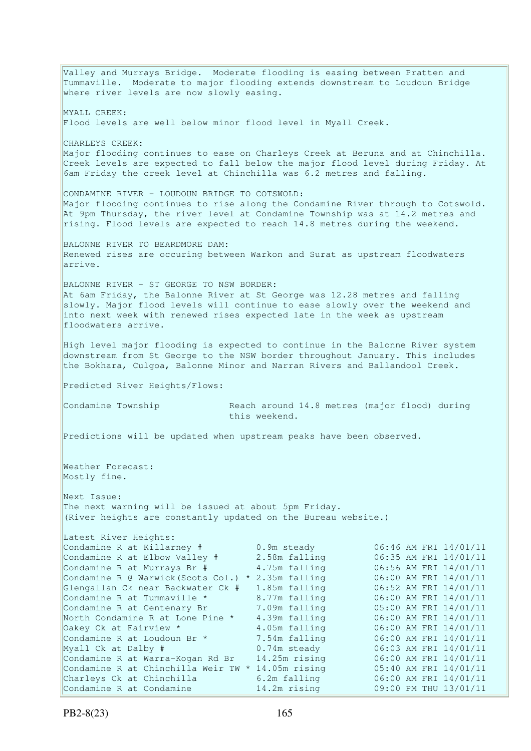Valley and Murrays Bridge. Moderate flooding is easing between Pratten and Tummaville. Moderate to major flooding extends downstream to Loudoun Bridge where river levels are now slowly easing. MYALL CREEK: Flood levels are well below minor flood level in Myall Creek. CHARLEYS CREEK: Major flooding continues to ease on Charleys Creek at Beruna and at Chinchilla. Creek levels are expected to fall below the major flood level during Friday. At 6am Friday the creek level at Chinchilla was 6.2 metres and falling. CONDAMINE RIVER - LOUDOUN BRIDGE TO COTSWOLD: Major flooding continues to rise along the Condamine River through to Cotswold. At 9pm Thursday, the river level at Condamine Township was at 14.2 metres and rising. Flood levels are expected to reach 14.8 metres during the weekend. BALONNE RIVER TO BEARDMORE DAM: Renewed rises are occuring between Warkon and Surat as upstream floodwaters arrive. BALONNE RIVER - ST GEORGE TO NSW BORDER: At 6am Friday, the Balonne River at St George was 12.28 metres and falling slowly. Major flood levels will continue to ease slowly over the weekend and into next week with renewed rises expected late in the week as upstream floodwaters arrive. High level major flooding is expected to continue in the Balonne River system downstream from St George to the NSW border throughout January. This includes the Bokhara, Culgoa, Balonne Minor and Narran Rivers and Ballandool Creek. Predicted River Heights/Flows: Condamine Township Reach around 14.8 metres (major flood) during this weekend. Predictions will be updated when upstream peaks have been observed. Weather Forecast: Mostly fine. Next Issue: The next warning will be issued at about 5pm Friday. (River heights are constantly updated on the Bureau website.) Latest River Heights: Condamine R at Killarney # 0.9m steady 06:46 AM FRI 14/01/11<br>
Condamine R at Elbow Valley # 2.58m falling 06:35 AM FRI 14/01/11<br>
Condamine R at Murrays Br # 4.75m falling 06:56 AM FRI 14/01/11<br>
Condamine R @ Warwick (Scots Condamine R at Elbow Valley # 2.58m falling 06:35 AM FRI 14/01/11 Condamine R at Murrays Br  $\#$  4.75m falling  $06:56$  AM FRI 14/01/11 Condamine R @ Warwick(Scots Col.) \* 2.35m falling Glengallan Ck near Backwater Ck  $#$  1.85m falling Condamine R at Tummaville  $*$  8.77m falling  $06:00$  AM FRI  $14/01/11$ Condamine R at Centenary Br 7.09m falling 05:00 AM FRI 14/01/11 North Condamine R at Lone Pine \*  $4.39$ m falling Oakey Ck at Fairview \* 4.05m falling 06:00 AM FRI 14/01/11 Condamine R at Loudoun Br  $*$  7.54m falling 06:00 AM FRI 14/01/11 Myall Ck at Dalby # 0.74m steady 06:03 AM FRI 14/01/11 Myall Ck at Dalby # 0.74m steady 06:03 AM FRI 14/01/11<br>
Condamine R at Warra-Kogan Rd Br 14.25m rising 06:00 AM FRI 14/01/11<br>
Condamine R at Chinchilla Weir TW \* 14.05m rising 05:40 AM FRI 14/01/11<br>
Charleys Ck at Chinchil Condamine R at Chinchilla Weir TW \* 14.05m rising Charleys Ck at Chinchilla 6.2m falling 06:00 AM FRI 14/01/11 Condamine R at Condamine 14.2m rising 09:00 PM THU 13/01/11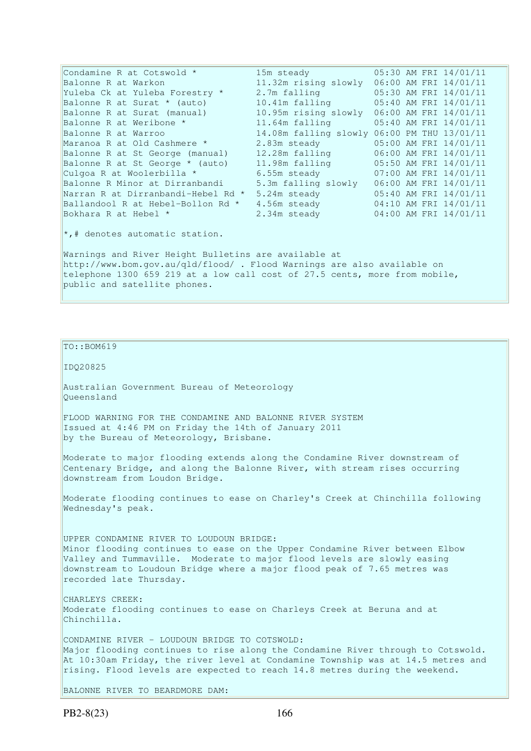Condamine R at Cotswold \* 15m steady 05:30 AM FRI 14/01/11 Balonne R at Warkon 11.32m rising slowly 06:00 AM FRI 14/01/11 Yuleba Ck at Yuleba Forestry \* 2.7m falling 05:30 AM FRI 14/01/11 Balonne R at Surat \* (auto) 10.41m falling 05:40 AM FRI 14/01/11 Balonne R at Surat (manual) 10.95m rising slowly 06:00 AM FRI 14/01/11 Balonne R at Weribone \* 11.64m falling 05:40 AM FRI 14/01/11<br>Balonne R at Warroo 14.08m falling slowly 06:00 PM THU 13/01/11 Balonne R at Warroo 14.08m falling slowly 06:00 PM THU 13/01/11 Maranoa R at Old Cashmere \* 2.83m steady 05:00 AM FRI 14/01/11 Balonne R at St George (manual) 12.28m falling 06:00 AM FRI 14/01/11 Balonne R at St George \* (auto) 11.98m falling 05:50 AM FRI 14/01/11 Culgoa R at Woolerbilla  $*$  6.55m steady 67:00 AM FRI 14/01/11 Balonne R Minor at Dirranbandi 5.3m falling slowly 06:00 AM FRI 14/01/11 Narran R at Dirranbandi-Hebel Rd \* 5.24m steady  $05:40$  AM FRI 14/01/11 Ballandool R at Hebel-Bollon Rd \* 4.56m steady 04:10 AM FRI 14/01/11 Bokhara R at Hebel \* 2.34m steady 04:00 AM FRI 14/01/11 \*,# denotes automatic station. Warnings and River Height Bulletins are available at http://www.bom.gov.au/qld/flood/ . Flood Warnings are also available on telephone 1300 659 219 at a low call cost of 27.5 cents, more from mobile, public and satellite phones.

## TO::BOM619

IDQ20825

Australian Government Bureau of Meteorology Queensland

FLOOD WARNING FOR THE CONDAMINE AND BALONNE RIVER SYSTEM Issued at 4:46 PM on Friday the 14th of January 2011 by the Bureau of Meteorology, Brisbane.

Moderate to major flooding extends along the Condamine River downstream of Centenary Bridge, and along the Balonne River, with stream rises occurring downstream from Loudon Bridge.

Moderate flooding continues to ease on Charley's Creek at Chinchilla following Wednesday's peak.

UPPER CONDAMINE RIVER TO LOUDOUN BRIDGE: Minor flooding continues to ease on the Upper Condamine River between Elbow Valley and Tummaville. Moderate to major flood levels are slowly easing downstream to Loudoun Bridge where a major flood peak of 7.65 metres was recorded late Thursday.

CHARLEYS CREEK: Moderate flooding continues to ease on Charleys Creek at Beruna and at Chinchilla.

CONDAMINE RIVER - LOUDOUN BRIDGE TO COTSWOLD: Major flooding continues to rise along the Condamine River through to Cotswold. At 10:30am Friday, the river level at Condamine Township was at 14.5 metres and rising. Flood levels are expected to reach 14.8 metres during the weekend.

BALONNE RIVER TO BEARDMORE DAM: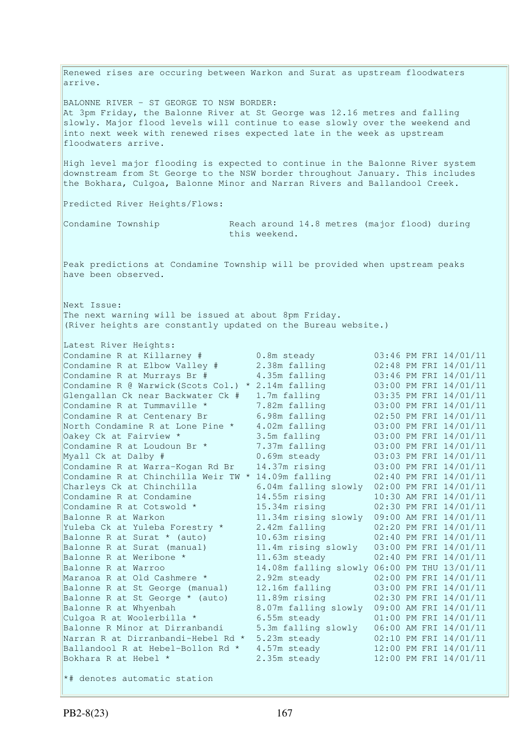Renewed rises are occuring between Warkon and Surat as upstream floodwaters arrive. BALONNE RIVER - ST GEORGE TO NSW BORDER: At 3pm Friday, the Balonne River at St George was 12.16 metres and falling slowly. Major flood levels will continue to ease slowly over the weekend and into next week with renewed rises expected late in the week as upstream floodwaters arrive. High level major flooding is expected to continue in the Balonne River system downstream from St George to the NSW border throughout January. This includes the Bokhara, Culgoa, Balonne Minor and Narran Rivers and Ballandool Creek. Predicted River Heights/Flows: Condamine Township Reach around 14.8 metres (major flood) during this weekend. Peak predictions at Condamine Township will be provided when upstream peaks have been observed. Next Issue: The next warning will be issued at about 8pm Friday. (River heights are constantly updated on the Bureau website.) Latest River Heights: Condamine R at Killarney # 0.8m steady 03:46 PM FRI 14/01/11 Condamine R at Elbow Valley # 2.38m falling 02:48 PM FRI 14/01/11 Condamine R at Murrays Br  $\#$  4.35m falling  $03:46$  PM FRI  $14/01/11$ Condamine R  $\theta$  Warwick(Scots Col.) \* 2.14m falling 03:00 PM FRI 14/01/11 Glengallan Ck near Backwater Ck # 1.7m falling 03:35 PM FRI 14/01/11 Condamine R at Tummaville \* 7.82m falling 03:00 PM FRI 14/01/11 Condamine R at Centenary Br 6.98m falling 02:50 PM FRI 14/01/11 North Condamine R at Lone Pine \* 4.02m falling 03:00 PM FRI 14/01/11 Oakey Ck at Fairview \* 3.5m falling 03:00 PM FRI 14/01/11 Condamine R at Loudoun Br  $*$  7.37m falling 03:00 PM FRI  $14/01/11$ Myall Ck at Dalby # 0.69m steady 03:03 PM FRI 14/01/11 Condamine R at Warra-Kogan Rd Br 14.37m rising 03:00 PM FRI 14/01/11 Condamine R at Chinchilla Weir TW  $*$  14.09m falling  $02:40$  PM FRI 14/01/11 Charleys Ck at Chinchilla 6.04m falling slowly 02:00 PM FRI 14/01/11 Condamine R at Condamine 14.55m rising 10:30 AM FRI 14/01/11 Condamine R at Cotswold  $*$  15.34m rising 02:30 PM FRI 14/01/11 Balonne R at Warkon 11.34m rising slowly 09:00 AM FRI 14/01/11 Yuleba Ck at Yuleba Forestry \* 2.42m falling 02:20 PM FRI 14/01/11 Balonne R at Surat \* (auto) 10.63m rising 02:40 PM FRI 14/01/11 Balonne R at Surat (manual) 11.4m rising slowly 03:00 PM FRI 14/01/11 Balonne R at Weribone \* 11.63m steady 02:40 PM FRI 14/01/11 Balonne R at Warroo 14.08m falling slowly 06:00 PM THU 13/01/11 Maranoa R at Old Cashmere \* 2.92m steady 02:00 PM FRI 14/01/11 Balonne R at St George (manual) 12.16m falling 03:00 PM FRI 14/01/11 Balonne R at St George \* (auto) 11.89m rising 02:30 PM FRI 14/01/11 Balonne R at Whyenbah 8.07m falling slowly 09:00 AM FRI 14/01/11 Culgoa R at Woolerbilla  $\star$  6.55m steady 61:00 PM FRI 14/01/11 Balonne R Minor at Dirranbandi 5.3m falling slowly 06:00 AM FRI 14/01/11 Narran R at Dirranbandi-Hebel Rd \* 5.23m steady 02:10 PM FRI 14/01/11 Ballandool R at Hebel-Bollon Rd \* 4.57m steady 12:00 PM FRI 14/01/11 Bokhara R at Hebel \* 2.35m steady 12:00 PM FRI 14/01/11 \*# denotes automatic station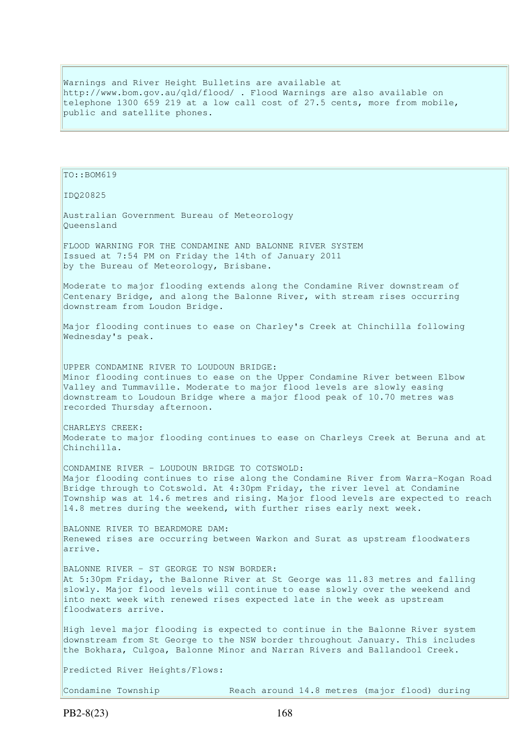Warnings and River Height Bulletins are available at http://www.bom.gov.au/qld/flood/ . Flood Warnings are also available on telephone 1300 659 219 at a low call cost of 27.5 cents, more from mobile, public and satellite phones.

TO::BOM619 IDQ20825 Australian Government Bureau of Meteorology Queensland FLOOD WARNING FOR THE CONDAMINE AND BALONNE RIVER SYSTEM Issued at 7:54 PM on Friday the 14th of January 2011 by the Bureau of Meteorology, Brisbane. Moderate to major flooding extends along the Condamine River downstream of Centenary Bridge, and along the Balonne River, with stream rises occurring downstream from Loudon Bridge. Major flooding continues to ease on Charley's Creek at Chinchilla following Wednesday's peak. UPPER CONDAMINE RIVER TO LOUDOUN BRIDGE: Minor flooding continues to ease on the Upper Condamine River between Elbow Valley and Tummaville. Moderate to major flood levels are slowly easing downstream to Loudoun Bridge where a major flood peak of 10.70 metres was recorded Thursday afternoon. CHARLEYS CREEK: Moderate to major flooding continues to ease on Charleys Creek at Beruna and at Chinchilla. CONDAMINE RIVER - LOUDOUN BRIDGE TO COTSWOLD: Major flooding continues to rise along the Condamine River from Warra-Kogan Road Bridge through to Cotswold. At 4:30pm Friday, the river level at Condamine Township was at 14.6 metres and rising. Major flood levels are expected to reach 14.8 metres during the weekend, with further rises early next week. BALONNE RIVER TO BEARDMORE DAM: Renewed rises are occurring between Warkon and Surat as upstream floodwaters arrive. BALONNE RIVER - ST GEORGE TO NSW BORDER: At 5:30pm Friday, the Balonne River at St George was 11.83 metres and falling slowly. Major flood levels will continue to ease slowly over the weekend and into next week with renewed rises expected late in the week as upstream floodwaters arrive. High level major flooding is expected to continue in the Balonne River system downstream from St George to the NSW border throughout January. This includes the Bokhara, Culgoa, Balonne Minor and Narran Rivers and Ballandool Creek. Predicted River Heights/Flows: Condamine Township Reach around 14.8 metres (major flood) during

PB2-8(23) 168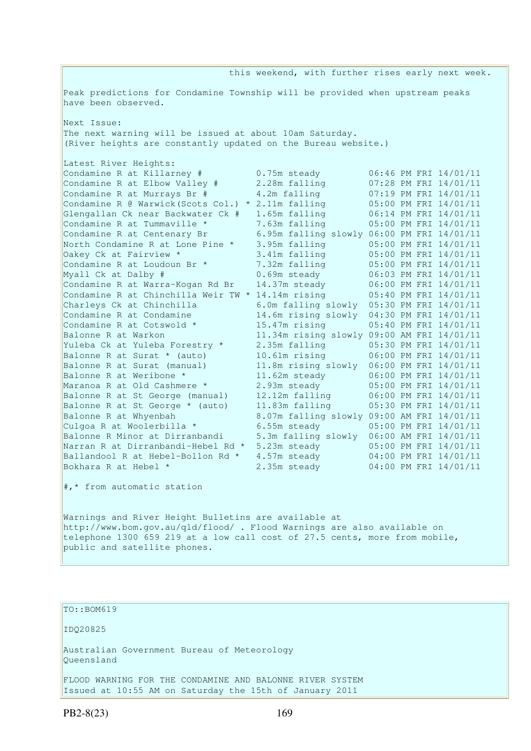this weekend, with further rises early next week.

Peak predictions for Condamine Township will be provided when upstream peaks have been observed. Next Issue: The next warning will be issued at about 10am Saturday. (River heights are constantly updated on the Bureau website.) Latest River Heights: Condamine R at Killarney  $\#$  0.75m steady 06:46 PM FRI 14/01/11 Condamine R at Elbow Valley # 2.28m falling 07:28 PM FRI 14/01/11 Condamine R at Murrays Br  $\#$  4.2m falling  $07:19$  PM FRI  $14/01/11$ Condamine R  $\theta$  Warwick(Scots Col.) \* 2.11m falling 05:00 PM FRI  $14/01/11$ Glengallan Ck near Backwater Ck # 1.65m falling 06:14 PM FRI 14/01/11<br>Condamine R at Tummaville \* 7.63m falling 05:00 PM FRI 14/01/11 Condamine R at Tummaville  $*$  7.63m falling  $05:00$  PM FRI  $14/01/11$ Condamine R at Centenary Br 6.95m falling slowly 06:00 PM FRI 14/01/11 North Condamine R at Lone Pine \* 3.95m falling 05:00 PM FRI 14/01/11 Oakey Ck at Fairview \* 3.41m falling 05:00 PM FRI 14/01/11 Condamine R at Loudoun Br  $*$  7.32m falling  $05:00$  PM FRI  $14/01/11$ Oakey Ck at Fairview \* 3.41m falling 05:00 PM FRI 14/01/11<br>
Condamine R at Loudoun Br \* 7.32m falling 05:00 PM FRI 14/01/11<br>
Myall Ck at Dalby # 0.69m steady 06:03 PM FRI 14/01/11<br>
Condamine R at Warra-Kogan Rd Br 14.37m s Condamine R at Warra-Kogan Rd Br 14.37m steady 06:00 PM FRI 14/01/11 Condamine R at Chinchilla Weir TW  $*$  14.14m rising  $05:40$  PM FRI 14/01/11 Charleys Ck at Chinchilla 6.0m falling slowly 05:30 PM FRI 14/01/11<br>Condamine R at Condamine 14.6m rising slowly 04:30 PM FRI 14/01/11 Condamine R at Condamine 14.6m rising slowly 04:30 PM FRI 14/01/11 Condamine R at Cotswold \* 15.47m rising 05:40 PM FRI 14/01/11 Balonne R at Warkon 11.34m rising slowly 09:00 AM FRI 14/01/11 Yuleba Ck at Yuleba Forestry \* 2.35m falling 05:30 PM FRI 14/01/11 Balonne R at Surat \* (auto) 10.61m rising 06:00 PM FRI 14/01/11 Balonne R at Surat (manual) 11.8m rising slowly 06:00 PM FRI 14/01/11 Balonne R at Weribone \* 11.62m steady 06:00 PM FRI 14/01/11 Maranoa R at Old Cashmere \* 2.93m steady 05:00 PM FRI 14/01/11 Balonne R at St George (manual) 12.12m falling 06:00 PM FRI 14/01/11 Balonne R at St George \* (auto) 11.83m falling 05:30 PM FRI 14/01/11 Balonne R at Whyenbah 8.07m falling slowly 09:00 AM FRI 14/01/11 Culgoa R at Woolerbilla  $*$  6.55m steady 05:00 PM FRI  $14/01/11$ Balonne R Minor at Dirranbandi 5.3m falling slowly 06:00 AM FRI 14/01/11 Narran R at Dirranbandi-Hebel Rd \* 5.23m steady 05:00 PM FRI 14/01/11 Ballandool R at Hebel-Bollon Rd \* 4.57m steady 04:00 PM FRI 14/01/11 Bokhara R at Hebel \* 2.35m steady 04:00 PM FRI 14/01/11 #,\* from automatic station Warnings and River Height Bulletins are available at http://www.bom.gov.au/qld/flood/ . Flood Warnings are also available on telephone 1300 659 219 at a low call cost of 27.5 cents, more from mobile,

public and satellite phones.

## TO::BOM619

IDQ20825

Australian Government Bureau of Meteorology Queensland

FLOOD WARNING FOR THE CONDAMINE AND BALONNE RIVER SYSTEM Issued at 10:55 AM on Saturday the 15th of January 2011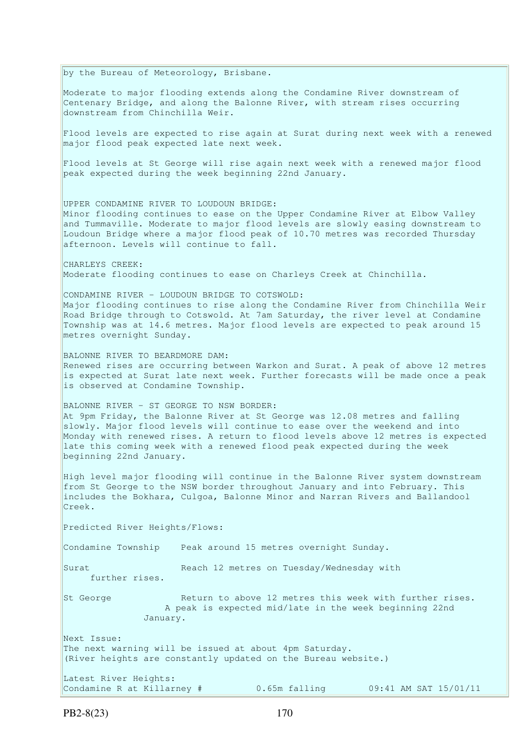by the Bureau of Meteorology, Brisbane. Moderate to major flooding extends along the Condamine River downstream of Centenary Bridge, and along the Balonne River, with stream rises occurring downstream from Chinchilla Weir. Flood levels are expected to rise again at Surat during next week with a renewed major flood peak expected late next week. Flood levels at St George will rise again next week with a renewed major flood peak expected during the week beginning 22nd January. UPPER CONDAMINE RIVER TO LOUDOUN BRIDGE: Minor flooding continues to ease on the Upper Condamine River at Elbow Valley and Tummaville. Moderate to major flood levels are slowly easing downstream to Loudoun Bridge where a major flood peak of 10.70 metres was recorded Thursday afternoon. Levels will continue to fall. CHARLEYS CREEK: Moderate flooding continues to ease on Charleys Creek at Chinchilla. CONDAMINE RIVER - LOUDOUN BRIDGE TO COTSWOLD: Major flooding continues to rise along the Condamine River from Chinchilla Weir Road Bridge through to Cotswold. At 7am Saturday, the river level at Condamine Township was at 14.6 metres. Major flood levels are expected to peak around 15 metres overnight Sunday. BALONNE RIVER TO BEARDMORE DAM: Renewed rises are occurring between Warkon and Surat. A peak of above 12 metres is expected at Surat late next week. Further forecasts will be made once a peak is observed at Condamine Township. BALONNE RIVER - ST GEORGE TO NSW BORDER: At 9pm Friday, the Balonne River at St George was 12.08 metres and falling slowly. Major flood levels will continue to ease over the weekend and into Monday with renewed rises. A return to flood levels above 12 metres is expected late this coming week with a renewed flood peak expected during the week beginning 22nd January. High level major flooding will continue in the Balonne River system downstream from St George to the NSW border throughout January and into February. This includes the Bokhara, Culgoa, Balonne Minor and Narran Rivers and Ballandool Creek. Predicted River Heights/Flows: Condamine Township Peak around 15 metres overnight Sunday. Surat Reach 12 metres on Tuesday/Wednesday with further rises. St George Return to above 12 metres this week with further rises. A peak is expected mid/late in the week beginning 22nd January. Next Issue: The next warning will be issued at about 4pm Saturday. (River heights are constantly updated on the Bureau website.) Latest River Heights: Condamine R at Killarney # 0.65m falling 09:41 AM SAT 15/01/11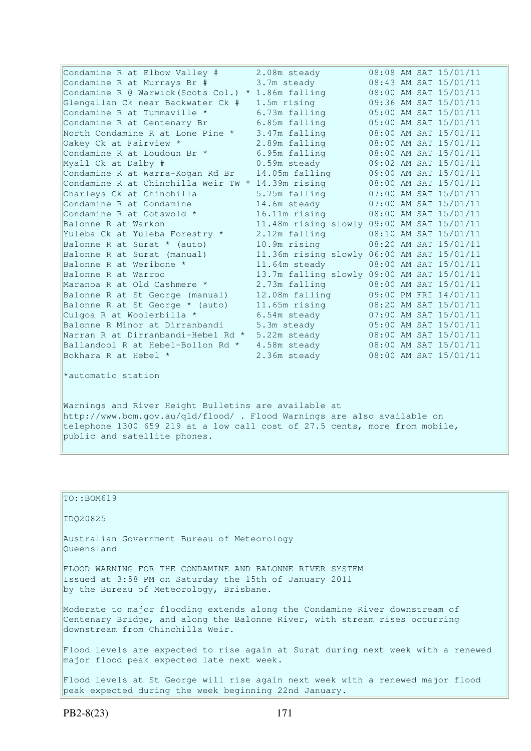| Condamine R at Elbow Valley #                     | 2.08m steady                               |  | 08:08 AM SAT 15/01/11 |
|---------------------------------------------------|--------------------------------------------|--|-----------------------|
| Condamine R at Murrays Br #                       | 3.7m steady                                |  | 08:43 AM SAT 15/01/11 |
| Condamine R @ Warwick (Scots Col.) *              | 1.86m falling                              |  | 08:00 AM SAT 15/01/11 |
| Glengallan Ck near Backwater Ck #                 | 1.5m rising                                |  | 09:36 AM SAT 15/01/11 |
| Condamine R at Tummaville *                       | 6.73m falling                              |  | 05:00 AM SAT 15/01/11 |
| Condamine R at Centenary Br                       | 6.85m falling                              |  | 05:00 AM SAT 15/01/11 |
| North Condamine R at Lone Pine *                  | 3.47m falling                              |  | 08:00 AM SAT 15/01/11 |
| Oakey Ck at Fairview *                            | 2.89m falling                              |  | 08:00 AM SAT 15/01/11 |
| Condamine R at Loudoun Br *                       | 6.95m falling                              |  | 08:00 AM SAT 15/01/11 |
| Myall Ck at Dalby #                               | 0.59m steady                               |  | 09:02 AM SAT 15/01/11 |
| Condamine R at Warra-Kogan Rd Br                  | 14.05m falling                             |  | 09:00 AM SAT 15/01/11 |
| Condamine R at Chinchilla Weir TW * 14.39m rising |                                            |  | 08:00 AM SAT 15/01/11 |
| Charleys Ck at Chinchilla                         | 5.75m falling                              |  | 07:00 AM SAT 15/01/11 |
| Condamine R at Condamine                          | 14.6m steady                               |  | 07:00 AM SAT 15/01/11 |
| Condamine R at Cotswold *                         | 16.11m rising                              |  | 08:00 AM SAT 15/01/11 |
| Balonne R at Warkon                               | 11.48m rising slowly 09:00 AM SAT 15/01/11 |  |                       |
| Yuleba Ck at Yuleba Forestry *                    | 2.12m falling                              |  | 08:10 AM SAT 15/01/11 |
| Balonne R at Surat * (auto)                       | 10.9m rising                               |  | 08:20 AM SAT 15/01/11 |
| Balonne R at Surat (manual)                       | 11.36m rising slowly 06:00 AM SAT 15/01/11 |  |                       |
| Balonne R at Weribone *                           | 11.64m steady                              |  | 08:00 AM SAT 15/01/11 |
| Balonne R at Warroo                               | 13.7m falling slowly 09:00 AM SAT 15/01/11 |  |                       |
| Maranoa R at Old Cashmere *                       | 2.73m falling                              |  | 08:00 AM SAT 15/01/11 |
| Balonne R at St George (manual)                   | 12.08m falling                             |  | 09:00 PM FRI 14/01/11 |
| Balonne R at St George * (auto)                   | 11.65m rising                              |  | 08:20 AM SAT 15/01/11 |
| Culgoa R at Woolerbilla *                         | 6.54m steady                               |  | 07:00 AM SAT 15/01/11 |
| Balonne R Minor at Dirranbandi                    | 5.3m steady                                |  | 05:00 AM SAT 15/01/11 |
| Narran R at Dirranbandi-Hebel Rd *                | 5.22m steady                               |  | 08:00 AM SAT 15/01/11 |
| Ballandool R at Hebel-Bollon Rd *                 | 4.58m steady                               |  | 08:00 AM SAT 15/01/11 |
| Bokhara R at Hebel *                              | 2.36m steady                               |  | 08:00 AM SAT 15/01/11 |
|                                                   |                                            |  |                       |

\*automatic station

Warnings and River Height Bulletins are available at http://www.bom.gov.au/qld/flood/ . Flood Warnings are also available on telephone 1300 659 219 at a low call cost of 27.5 cents, more from mobile, public and satellite phones.

| $TO: BOM619$                                                                                                                                                                                 |
|----------------------------------------------------------------------------------------------------------------------------------------------------------------------------------------------|
| ID020825                                                                                                                                                                                     |
| Australian Government Bureau of Meteorology<br>Oueensland                                                                                                                                    |
| FLOOD WARNING FOR THE CONDAMINE AND BALONNE RIVER SYSTEM<br>Issued at 3:58 PM on Saturday the 15th of January 2011<br>by the Bureau of Meteorology, Brisbane.                                |
| Moderate to major flooding extends along the Condamine River downstream of<br>Centenary Bridge, and along the Balonne River, with stream rises occurring<br>downstream from Chinchilla Weir. |
| Flood levels are expected to rise again at Surat during next week with a renewed<br>major flood peak expected late next week.                                                                |
| Flood levels at St George will rise again next week with a renewed major flood<br>peak expected during the week beginning 22nd January.                                                      |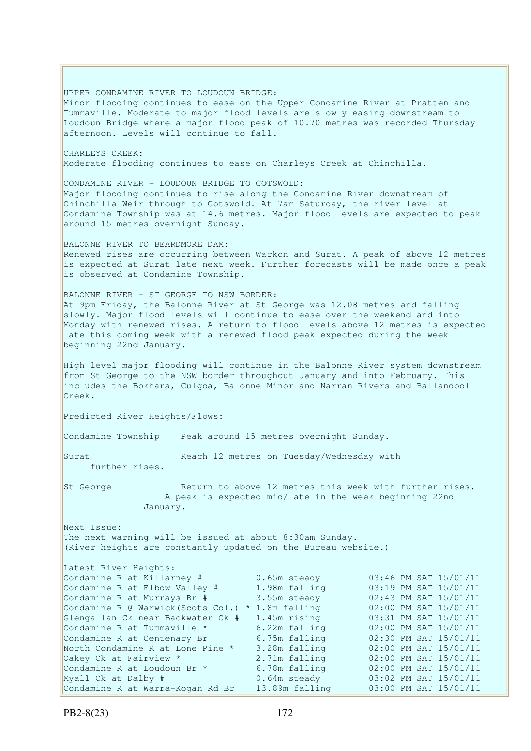UPPER CONDAMINE RIVER TO LOUDOUN BRIDGE: Minor flooding continues to ease on the Upper Condamine River at Pratten and Tummaville. Moderate to major flood levels are slowly easing downstream to Loudoun Bridge where a major flood peak of 10.70 metres was recorded Thursday afternoon. Levels will continue to fall. CHARLEYS CREEK: Moderate flooding continues to ease on Charleys Creek at Chinchilla. CONDAMINE RIVER - LOUDOUN BRIDGE TO COTSWOLD: Major flooding continues to rise along the Condamine River downstream of Chinchilla Weir through to Cotswold. At 7am Saturday, the river level at Condamine Township was at 14.6 metres. Major flood levels are expected to peak around 15 metres overnight Sunday. BALONNE RIVER TO BEARDMORE DAM: Renewed rises are occurring between Warkon and Surat. A peak of above 12 metres is expected at Surat late next week. Further forecasts will be made once a peak is observed at Condamine Township. BALONNE RIVER - ST GEORGE TO NSW BORDER: At 9pm Friday, the Balonne River at St George was 12.08 metres and falling slowly. Major flood levels will continue to ease over the weekend and into Monday with renewed rises. A return to flood levels above 12 metres is expected late this coming week with a renewed flood peak expected during the week beginning 22nd January. High level major flooding will continue in the Balonne River system downstream from St George to the NSW border throughout January and into February. This includes the Bokhara, Culgoa, Balonne Minor and Narran Rivers and Ballandool Creek. Predicted River Heights/Flows: Condamine Township Peak around 15 metres overnight Sunday. Surat Reach 12 metres on Tuesday/Wednesday with further rises. St George Return to above 12 metres this week with further rises. A peak is expected mid/late in the week beginning 22nd January. Next Issue: The next warning will be issued at about 8:30am Sunday. (River heights are constantly updated on the Bureau website.) Latest River Heights: Condamine R at Killarney # 0.65m steady 03:46 PM SAT 15/01/11 Condamine R at Elbow Valley # 1.98m falling 03:19 PM SAT 15/01/11 Condamine R at Murrays Br # 3.55m steady 02:43 PM SAT 15/01/11 Condamine R  $\theta$  Warwick(Scots Col.) \* 1.8m falling 02:00 PM SAT 15/01/11 Glengallan Ck near Backwater Ck # 1.45m rising 03:31 PM SAT 15/01/11 Condamine R at Tummaville  $*$  6.22m falling 02:00 PM SAT 15/01/11 Condamine R at Centenary Br 6.75m falling 02:30 PM SAT 15/01/11 North Condamine R at Lone Pine \* 3.28m falling 02:00 PM SAT 15/01/11 Oakey Ck at Fairview \* 2.71m falling 02:00 PM SAT 15/01/11 Condamine R at Loudoun Br  $*$  6.78m falling 02:00 PM SAT 15/01/11 Myall Ck at Dalby # 0.64m steady 03:02 PM SAT 15/01/11 Condamine R at Warra-Kogan Rd Br 13.89m falling 03:00 PM SAT 15/01/11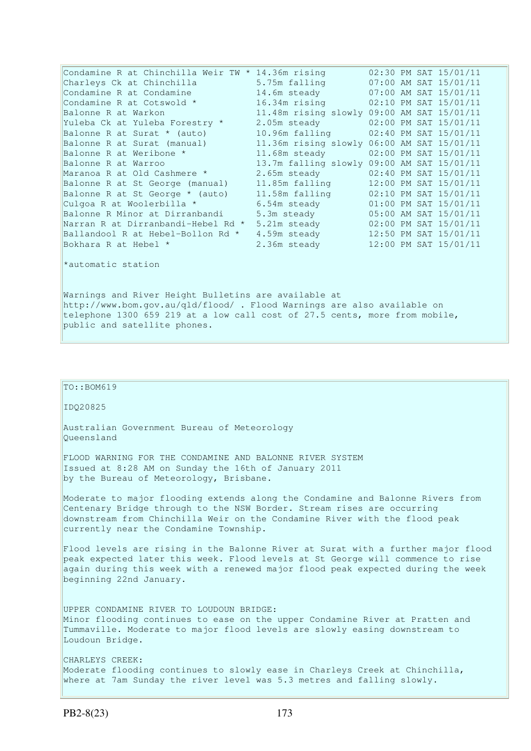| Condamine R at Chinchilla Weir TW * 14.36m rising |                                            |  | 02:30 PM SAT 15/01/11 |
|---------------------------------------------------|--------------------------------------------|--|-----------------------|
| Charleys Ck at Chinchilla                         | 5.75m falling                              |  | 07:00 AM SAT 15/01/11 |
| Condamine R at Condamine                          | 14.6m steady                               |  | 07:00 AM SAT 15/01/11 |
| Condamine R at Cotswold *                         | 16.34m rising 02:10 PM SAT 15/01/11        |  |                       |
| Balonne R at Warkon                               | 11.48m rising slowly 09:00 AM SAT 15/01/11 |  |                       |
| Yuleba Ck at Yuleba Forestry *                    | 2.05m steady 02:00 PM SAT 15/01/11         |  |                       |
| Balonne R at Surat * (auto)                       | 10.96m falling 02:40 PM SAT 15/01/11       |  |                       |
| Balonne R at Surat (manual)                       | 11.36m rising slowly 06:00 AM SAT 15/01/11 |  |                       |
| Balonne R at Weribone *                           | 11.68m steady                              |  | 02:00 PM SAT 15/01/11 |
| Balonne R at Warroo                               | 13.7m falling slowly 09:00 AM SAT 15/01/11 |  |                       |
| Maranoa R at Old Cashmere *                       | 2.65m steady                               |  | 02:40 PM SAT 15/01/11 |
| Balonne R at St George (manual)                   | 11.85m falling                             |  | 12:00 PM SAT 15/01/11 |
| Balonne R at St George * (auto)                   | 11.58m falling                             |  | 02:10 PM SAT 15/01/11 |
| Culgoa R at Woolerbilla *                         | 6.54m steady                               |  | 01:00 PM SAT 15/01/11 |
| Balonne R Minor at Dirranbandi                    | 5.3m steady                                |  | 05:00 AM SAT 15/01/11 |
| Narran R at Dirranbandi-Hebel Rd *                | 5.21m steady                               |  | 02:00 PM SAT 15/01/11 |
| Ballandool R at Hebel-Bollon Rd *                 | 4.59m steady                               |  | 12:50 PM SAT 15/01/11 |
| Bokhara R at Hebel *                              | 2.36m steady                               |  | 12:00 PM SAT 15/01/11 |
|                                                   |                                            |  |                       |
| *automatic station                                |                                            |  |                       |

Warnings and River Height Bulletins are available at http://www.bom.gov.au/qld/flood/ . Flood Warnings are also available on telephone 1300 659 219 at a low call cost of 27.5 cents, more from mobile, public and satellite phones.

## TO::BOM619

IDQ20825

Australian Government Bureau of Meteorology Queensland

FLOOD WARNING FOR THE CONDAMINE AND BALONNE RIVER SYSTEM Issued at 8:28 AM on Sunday the 16th of January 2011 by the Bureau of Meteorology, Brisbane.

Moderate to major flooding extends along the Condamine and Balonne Rivers from Centenary Bridge through to the NSW Border. Stream rises are occurring downstream from Chinchilla Weir on the Condamine River with the flood peak currently near the Condamine Township.

Flood levels are rising in the Balonne River at Surat with a further major flood peak expected later this week. Flood levels at St George will commence to rise again during this week with a renewed major flood peak expected during the week beginning 22nd January.

UPPER CONDAMINE RIVER TO LOUDOUN BRIDGE: Minor flooding continues to ease on the upper Condamine River at Pratten and Tummaville. Moderate to major flood levels are slowly easing downstream to Loudoun Bridge.

CHARLEYS CREEK: Moderate flooding continues to slowly ease in Charleys Creek at Chinchilla, where at 7am Sunday the river level was 5.3 metres and falling slowly.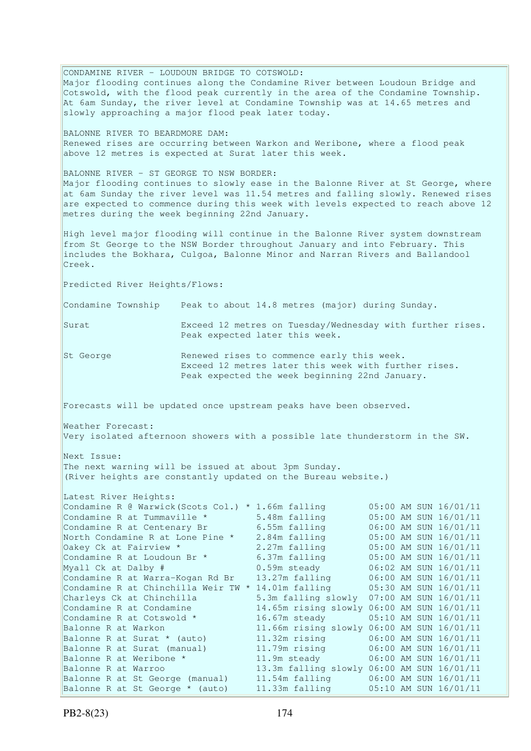CONDAMINE RIVER - LOUDOUN BRIDGE TO COTSWOLD: Major flooding continues along the Condamine River between Loudoun Bridge and Cotswold, with the flood peak currently in the area of the Condamine Township. At 6am Sunday, the river level at Condamine Township was at 14.65 metres and slowly approaching a major flood peak later today. BALONNE RIVER TO BEARDMORE DAM: Renewed rises are occurring between Warkon and Weribone, where a flood peak above 12 metres is expected at Surat later this week. BALONNE RIVER - ST GEORGE TO NSW BORDER: Major flooding continues to slowly ease in the Balonne River at St George, where at 6am Sunday the river level was 11.54 metres and falling slowly. Renewed rises are expected to commence during this week with levels expected to reach above 12 metres during the week beginning 22nd January. High level major flooding will continue in the Balonne River system downstream from St George to the NSW Border throughout January and into February. This includes the Bokhara, Culgoa, Balonne Minor and Narran Rivers and Ballandool Creek. Predicted River Heights/Flows: Condamine Township Peak to about 14.8 metres (major) during Sunday. Surat Exceed 12 metres on Tuesday/Wednesday with further rises. Peak expected later this week. St George The Renewed rises to commence early this week. Exceed 12 metres later this week with further rises. Peak expected the week beginning 22nd January. Forecasts will be updated once upstream peaks have been observed. Weather Forecast: Very isolated afternoon showers with a possible late thunderstorm in the SW. Next Issue: The next warning will be issued at about 3pm Sunday. (River heights are constantly updated on the Bureau website.) Latest River Heights: Condamine R  $\theta$  Warwick(Scots Col.) \* 1.66m falling 05:00 AM SUN 16/01/11 Condamine R at Tummaville  $*$  5.48m falling  $05:00$  AM SUN  $16/01/11$ Condamine R at Centenary Br 6.55m falling 06:00 AM SUN 16/01/11 North Condamine R at Lone Pine \* 2.84m falling 05:00 AM SUN 16/01/11 Oakey Ck at Fairview \* 2.27m falling 05:00 AM SUN 16/01/11 Condamine R at Loudoun Br  $*$  6.37m falling 05:00 AM SUN 16/01/11 Myall Ck at Dalby # 0.59m steady 06:02 AM SUN 16/01/11 Condamine R at Warra-Kogan Rd Br 13.27m falling 06:00 AM SUN 16/01/11 Condamine R at Chinchilla Weir TW  $*$  14.01m falling  $0.5:30$  AM SUN 16/01/11 Charleys Ck at Chinchilla 5.3m falling slowly 07:00 AM SUN 16/01/11 Condamine R at Condamine 14.65m rising slowly 06:00 AM SUN 16/01/11 Condamine R at Cotswold \* 16.67m steady 05:10 AM SUN 16/01/11 Balonne R at Warkon 11.66m rising slowly 06:00 AM SUN 16/01/11<br>Balonne R at Surat \* (auto) 11.32m rising 06:00 AM SUN 16/01/11 Balonne R at Surat \* (auto) 11.32m rising 06:00 AM SUN 16/01/11<br>Balonne R at Surat (manual) 11.79m rising 06:00 AM SUN 16/01/11<br>Balonne R at Weribone \* 11.9m steady 06:00 AM SUN 16/01/11 Balonne R at Surat (manual) 11.79m rising 06:00 AM SUN 16/01/11 Balonne R at Weribone \* 11.9m steady 06:00 AM SUN 16/01/11 Balonne R at Warroo 13.3m falling slowly 06:00 AM SUN 16/01/11 Balonne R at St George (manual) 11.54m falling 06:00 AM SUN 16/01/11 Balonne R at St George \* (auto) 11.33m falling 05:10 AM SUN 16/01/11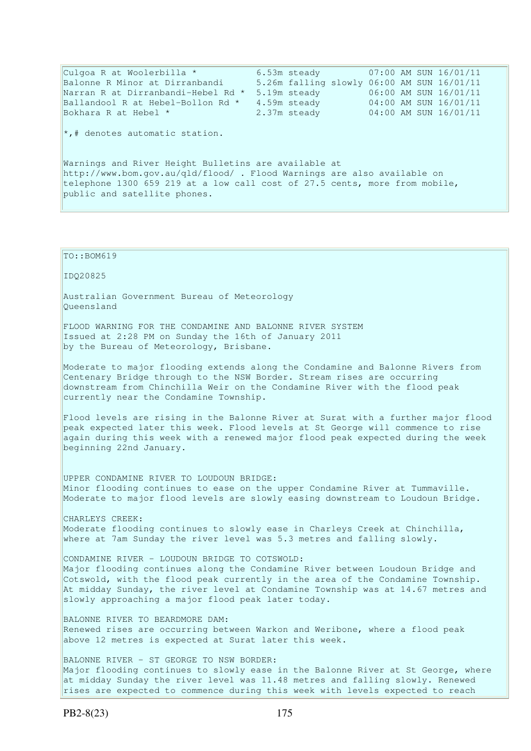| Culqoa R at Woolerbilla *                                                                                                                                                                                                                              |              | 6.53m steady 07:00 AM SUN 16/01/11         |  |  |  |  |
|--------------------------------------------------------------------------------------------------------------------------------------------------------------------------------------------------------------------------------------------------------|--------------|--------------------------------------------|--|--|--|--|
| Balonne R Minor at Dirranbandi                                                                                                                                                                                                                         |              | 5.26m falling slowly 06:00 AM SUN 16/01/11 |  |  |  |  |
| Narran R at Dirranbandi-Hebel Rd *                                                                                                                                                                                                                     | 5.19m steady | 06:00 AM SUN 16/01/11                      |  |  |  |  |
| Ballandool R at Hebel-Bollon Rd *                                                                                                                                                                                                                      | 4.59m steady | 04:00 AM SUN 16/01/11                      |  |  |  |  |
| Bokhara R at Hebel *                                                                                                                                                                                                                                   | 2.37m steady | $04:00$ AM SUN $16/01/11$                  |  |  |  |  |
| $\star$ ,# denotes automatic station.<br>Warnings and River Height Bulletins are available at<br>http://www.bom.gov.au/qld/flood/ . Flood Warnings are also available on<br>telephone 1300 659 219 at a low call cost of 27.5 cents, more from mobile, |              |                                            |  |  |  |  |
| public and satellite phones.                                                                                                                                                                                                                           |              |                                            |  |  |  |  |

TO::BOM619 IDQ20825 Australian Government Bureau of Meteorology Queensland FLOOD WARNING FOR THE CONDAMINE AND BALONNE RIVER SYSTEM Issued at 2:28 PM on Sunday the 16th of January 2011 by the Bureau of Meteorology, Brisbane. Moderate to major flooding extends along the Condamine and Balonne Rivers from Centenary Bridge through to the NSW Border. Stream rises are occurring downstream from Chinchilla Weir on the Condamine River with the flood peak currently near the Condamine Township. Flood levels are rising in the Balonne River at Surat with a further major flood peak expected later this week. Flood levels at St George will commence to rise again during this week with a renewed major flood peak expected during the week beginning 22nd January. UPPER CONDAMINE RIVER TO LOUDOUN BRIDGE: Minor flooding continues to ease on the upper Condamine River at Tummaville. Moderate to major flood levels are slowly easing downstream to Loudoun Bridge. CHARLEYS CREEK: Moderate flooding continues to slowly ease in Charleys Creek at Chinchilla, where at 7am Sunday the river level was 5.3 metres and falling slowly. CONDAMINE RIVER - LOUDOUN BRIDGE TO COTSWOLD: Major flooding continues along the Condamine River between Loudoun Bridge and Cotswold, with the flood peak currently in the area of the Condamine Township. At midday Sunday, the river level at Condamine Township was at 14.67 metres and slowly approaching a major flood peak later today. BALONNE RIVER TO BEARDMORE DAM: Renewed rises are occurring between Warkon and Weribone, where a flood peak above 12 metres is expected at Surat later this week. BALONNE RIVER - ST GEORGE TO NSW BORDER: Major flooding continues to slowly ease in the Balonne River at St George, where at midday Sunday the river level was 11.48 metres and falling slowly. Renewed rises are expected to commence during this week with levels expected to reach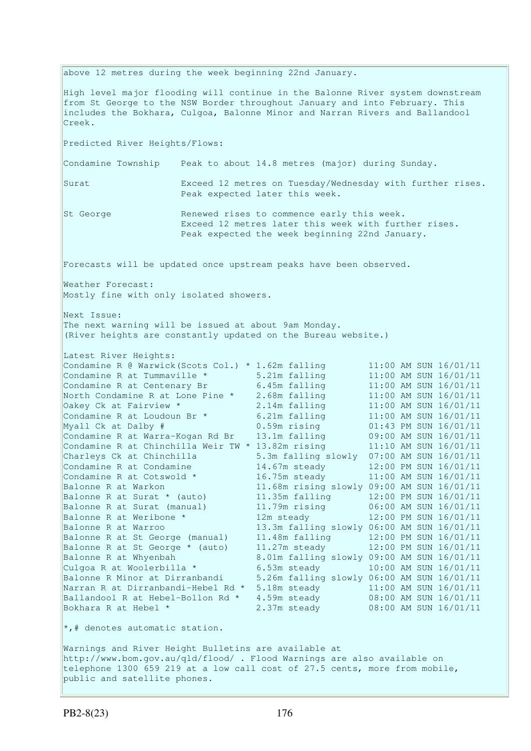above 12 metres during the week beginning 22nd January. High level major flooding will continue in the Balonne River system downstream from St George to the NSW Border throughout January and into February. This includes the Bokhara, Culgoa, Balonne Minor and Narran Rivers and Ballandool Creek. Predicted River Heights/Flows: Condamine Township Peak to about 14.8 metres (major) during Sunday. Surat Exceed 12 metres on Tuesday/Wednesday with further rises. Peak expected later this week. St George The Renewed rises to commence early this week. Exceed 12 metres later this week with further rises. Peak expected the week beginning 22nd January. Forecasts will be updated once upstream peaks have been observed. Weather Forecast: Mostly fine with only isolated showers. Next Issue: The next warning will be issued at about 9am Monday. (River heights are constantly updated on the Bureau website.) Latest River Heights: Condamine R  $\theta$  Warwick(Scots Col.) \* 1.62m falling 11:00 AM SUN 16/01/11 Condamine R at Tummaville  $*$  5.21m falling  $11:00$  AM SUN  $16/01/11$ Condamine R at Centenary Br  $6.45m$  falling  $11:00$  AM SUN  $16/01/11$ North Condamine R at Lone Pine \* 2.68m falling 11:00 AM SUN 16/01/11 Oakey Ck at Fairview \* 2.14m falling 11:00 AM SUN 16/01/11 Condamine R at Loudoun Br  $*$  6.21m falling 11:00 AM SUN 16/01/11 Myall Ck at Dalby # 0.59m rising 01:43 PM SUN 16/01/11 Condamine R at Warra-Kogan Rd Br 13.1m falling 09:00 AM SUN 16/01/11 Condamine R at Chinchilla Weir TW  $*$  13.82m rising 11:10 AM SUN 16/01/11 Charleys Ck at Chinchilla 5.3m falling slowly 07:00 AM SUN 16/01/11 Condamine R at Condamine  $14.67$ m steady  $12:00$  PM SUN  $16/01/11$ Condamine R at Cotswold  $*$  16.75m steady 11:00 AM SUN 16/01/11 Balonne R at Warkon 11.68m rising slowly 09:00 AM SUN 16/01/11 Balonne R at Surat \* (auto) 11.35m falling 12:00 PM SUN 16/01/11 Balonne R at Surat (manual) 11.79m rising 06:00 AM SUN 16/01/11 Balonne R at Weribone \* 12m steady 12:00 PM SUN 16/01/11 Balonne R at Warroo 13.3m falling slowly 06:00 AM SUN 16/01/11 Balonne R at St George (manual) 11.48m falling 12:00 PM SUN 16/01/11 Balonne R at St George  $*$  (auto)  $11.27$ m steady  $12:00$  PM SUN  $16/01/11$ Balonne R at Whyenbah 8.01m falling slowly 09:00 AM SUN 16/01/11 Culgoa R at Woolerbilla  $*$  6.53m steady 10:00 AM SUN 16/01/11 Balonne R Minor at Dirranbandi 5.26m falling slowly 06:00 AM SUN 16/01/11 Narran R at Dirranbandi-Hebel Rd  $*$  5.18m steady 11:00 AM SUN 16/01/11 Ballandool R at Hebel-Bollon Rd \* 4.59m steady 08:00 AM SUN 16/01/11 Bokhara R at Hebel \* 2.37m steady 08:00 AM SUN 16/01/11 \*,# denotes automatic station. Warnings and River Height Bulletins are available at http://www.bom.gov.au/qld/flood/ . Flood Warnings are also available on telephone 1300 659 219 at a low call cost of 27.5 cents, more from mobile, public and satellite phones.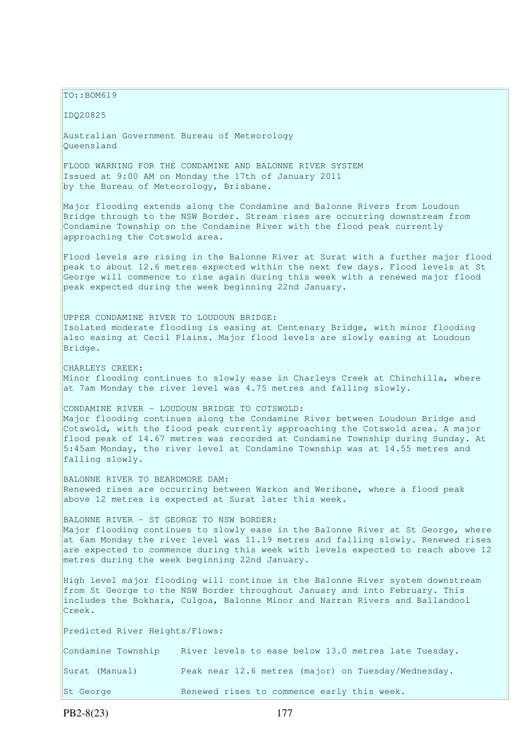$TO: **ROM619**$ 

IDQ20825

Australian Government Bureau of Meteorology Queensland

FLOOD WARNING FOR THE CONDAMINE AND BALONNE RIVER SYSTEM Issued at 9:00 AM on Monday the 17th of January 2011 by the Bureau of Meteorology, Brisbane.

Major flooding extends along the Condamine and Balonne Rivers from Loudoun Bridge through to the NSW Border. Stream rises are occurring downstream from Condamine Township on the Condamine River with the flood peak currently approaching the Cotswold area.

Flood levels are rising in the Balonne River at Surat with a further major flood peak to about 12.6 metres expected within the next few days. Flood levels at St George will commence to rise again during this week with a renewed major flood peak expected during the week beginning 22nd January.

UPPER CONDAMINE RIVER TO LOUDOUN BRIDGE: Isolated moderate flooding is easing at Centenary Bridge, with minor flooding also easing at Cecil Plains. Major flood levels are slowly easing at Loudoun Bridge.

CHARLEYS CREEK: Minor flooding continues to slowly ease in Charleys Creek at Chinchilla, where at 7am Monday the river level was 4.75 metres and falling slowly.

CONDAMINE RIVER - LOUDOUN BRIDGE TO COTSWOLD: Major flooding continues along the Condamine River between Loudoun Bridge and Cotswold, with the flood peak currently approaching the Cotswold area. A major flood peak of 14.67 metres was recorded at Condamine Township during Sunday. At 5:45am Monday, the river level at Condamine Township was at 14.55 metres and falling slowly.

BALONNE RIVER TO BEARDMORE DAM: Renewed rises are occurring between Warkon and Weribone, where a flood peak above 12 metres is expected at Surat later this week.

BALONNE RIVER - ST GEORGE TO NSW BORDER: Major flooding continues to slowly ease in the Balonne River at St George, where at 6am Monday the river level was 11.19 metres and falling slowly. Renewed rises are expected to commence during this week with levels expected to reach above 12 metres during the week beginning 22nd January.

High level major flooding will continue in the Balonne River system downstream from St George to the NSW Border throughout January and into February. This includes the Bokhara, Culgoa, Balonne Minor and Narran Rivers and Ballandool Creek.

Predicted River Heights/Flows: Condamine Township River levels to ease below 13.0 metres late Tuesday. Surat (Manual) Peak near 12.6 metres (major) on Tuesday/Wednesday. St George **Renewed rises to commence early this week.**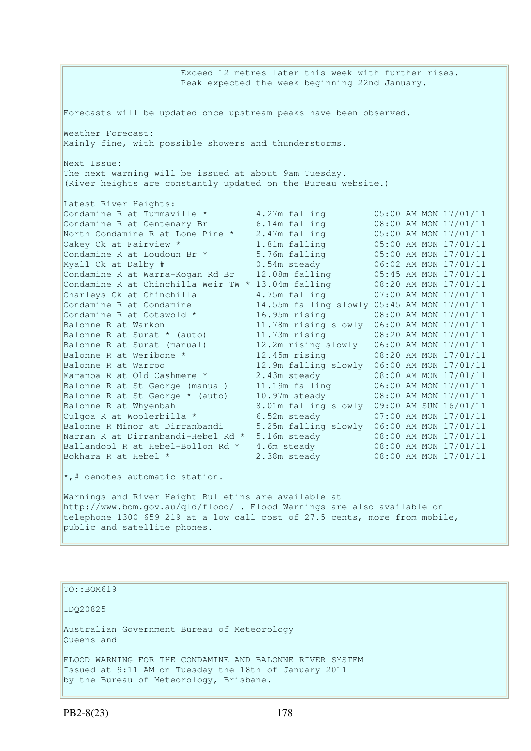Exceed 12 metres later this week with further rises. Peak expected the week beginning 22nd January. Forecasts will be updated once upstream peaks have been observed. Weather Forecast: Mainly fine, with possible showers and thunderstorms. Next Issue: The next warning will be issued at about 9am Tuesday. (River heights are constantly updated on the Bureau website.) Latest River Heights: Condamine R at Tummaville  $*$  4.27m falling  $05:00$  AM MON 17/01/11 Condamine R at Centenary Br 6.14m falling 08:00 AM MON 17/01/11 Condamine R at Tummaville \* 4.27m falling 08:00 AM MON 17/01/11<br>North Condamine R at Lone Pine \* 2.47m falling 05:00 AM MON 17/01/11<br>Oakey Ck at Fairview \* 1.81m falling 05:00 AM MON 17/01/11<br>Condamine R at Loudoun Br \* 5. Oakey Ck at Fairview \* 1.81m falling 05:00 AM MON 17/01/11 Condamine R at Loudoun Br  $*$  5.76m falling 05:00 AM MON 17/01/11 Myall Ck at Dalby # 0.54m steady 06:02 AM MON 17/01/11 Condamine R at Warra-Kogan Rd Br 12.08m falling 05:45 AM MON 17/01/11 Condamine R at Chinchilla Weir TW \* 13.04m falling 08:20 AM MON 17/01/11 Charleys Ck at Chinchilla 4.75m falling 07:00 AM MON 17/01/11 Condamine R at Condamine 14.55m falling slowly 05:45 AM MON 17/01/11 Condamine R at Cotswold  $*$  16.95m rising 08:00 AM MON 17/01/11 Balonne R at Warkon 11.78m rising slowly 06:00 AM MON 17/01/11 Balonne R at Surat \* (auto) 11.73m rising 08:20 AM MON 17/01/11 Balonne R at Surat (manual) 12.2m rising slowly 06:00 AM MON 17/01/11 Balonne R at Weribone \* 12.45m rising 08:20 AM MON 17/01/11 Balonne R at Warroo 12.9m falling slowly 06:00 AM MON 17/01/11 Maranoa R at Old Cashmere \* 2.43m steady 08:00 AM MON 17/01/11 Balonne R at St George (manual) 11.19m falling 06:00 AM MON 17/01/11 Balonne R at St George \* (auto) 10.97m steady 08:00 AM MON 17/01/11 Balonne R at Whyenbah 8.01m falling slowly 09:00 AM SUN 16/01/11 Culgoa R at Woolerbilla  $*$  6.52m steady 67:00 AM MON 17/01/11 Balonne R Minor at Dirranbandi 5.25m falling slowly 06:00 AM MON 17/01/11 Narran R at Dirranbandi-Hebel Rd \* 5.16m steady 08:00 AM MON 17/01/11 Ballandool R at Hebel-Bollon Rd \* 4.6m steady 08:00 AM MON 17/01/11 Bokhara R at Hebel \* 2.38m steady 08:00 AM MON 17/01/11  $\star$ ,# denotes automatic station.

Warnings and River Height Bulletins are available at http://www.bom.gov.au/qld/flood/ . Flood Warnings are also available on telephone 1300 659 219 at a low call cost of 27.5 cents, more from mobile, public and satellite phones.

TO::BOM619 IDQ20825 Australian Government Bureau of Meteorology Queensland FLOOD WARNING FOR THE CONDAMINE AND BALONNE RIVER SYSTEM Issued at 9:11 AM on Tuesday the 18th of January 2011 by the Bureau of Meteorology, Brisbane.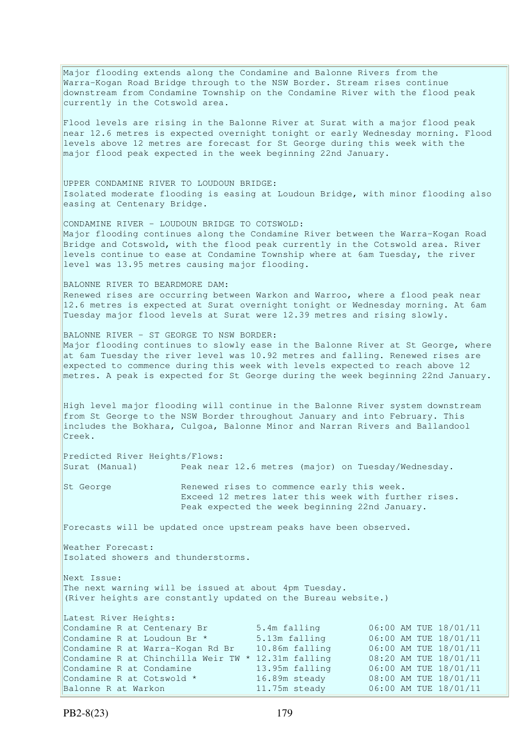Major flooding extends along the Condamine and Balonne Rivers from the Warra-Kogan Road Bridge through to the NSW Border. Stream rises continue downstream from Condamine Township on the Condamine River with the flood peak currently in the Cotswold area.

Flood levels are rising in the Balonne River at Surat with a major flood peak near 12.6 metres is expected overnight tonight or early Wednesday morning. Flood levels above 12 metres are forecast for St George during this week with the major flood peak expected in the week beginning 22nd January.

UPPER CONDAMINE RIVER TO LOUDOUN BRIDGE: Isolated moderate flooding is easing at Loudoun Bridge, with minor flooding also easing at Centenary Bridge.

CONDAMINE RIVER - LOUDOUN BRIDGE TO COTSWOLD: Major flooding continues along the Condamine River between the Warra-Kogan Road Bridge and Cotswold, with the flood peak currently in the Cotswold area. River levels continue to ease at Condamine Township where at 6am Tuesday, the river level was 13.95 metres causing major flooding.

BALONNE RIVER TO BEARDMORE DAM: Renewed rises are occurring between Warkon and Warroo, where a flood peak near 12.6 metres is expected at Surat overnight tonight or Wednesday morning. At 6am Tuesday major flood levels at Surat were 12.39 metres and rising slowly.

BALONNE RIVER - ST GEORGE TO NSW BORDER: Major flooding continues to slowly ease in the Balonne River at St George, where at 6am Tuesday the river level was 10.92 metres and falling. Renewed rises are expected to commence during this week with levels expected to reach above 12 metres. A peak is expected for St George during the week beginning 22nd January.

High level major flooding will continue in the Balonne River system downstream from St George to the NSW Border throughout January and into February. This includes the Bokhara, Culgoa, Balonne Minor and Narran Rivers and Ballandool Creek.

Predicted River Heights/Flows: Surat (Manual) Peak near 12.6 metres (major) on Tuesday/Wednesday.

St George **Renewed rises to commence early this week.**  Exceed 12 metres later this week with further rises. Peak expected the week beginning 22nd January.

Forecasts will be updated once upstream peaks have been observed.

Weather Forecast: Isolated showers and thunderstorms.

Next Issue: The next warning will be issued at about 4pm Tuesday. (River heights are constantly updated on the Bureau website.)

```
Latest River Heights: 
Latest River Heights:<br>Condamine R at Centenary Br 5.4m falling 06:00 AM TUE 18/01/11
Condamine R at Loudoun Br * 5.13m falling 06:00 AM TUE 18/01/11
Condamine R at Warra-Kogan Rd Br 10.86m falling 06:00 AM TUE 18/01/11 
Condamine R at Chinchilla Weir TW * 12.31m falling 08:20 AM TUE 18/01/11<br>Condamine R at Condamine 13.95m falling 06:00 AM TUE 18/01/11
Condamine R at Condamine 13.95m falling 06:00 AM TUE 18/01/11<br>Condamine R at Cotswold * 16.89m steady 08:00 AM TUE 18/01/11
Condamine R at Cotswold * 16.89m steady 08:00 AM TUE 18/01/11<br>Balonne R at Warkon 11.75m steady 06:00 AM TUE 18/01/11
Balonne R at Warkon 11.75m steady 06:00 AM TUE 18/01/11
```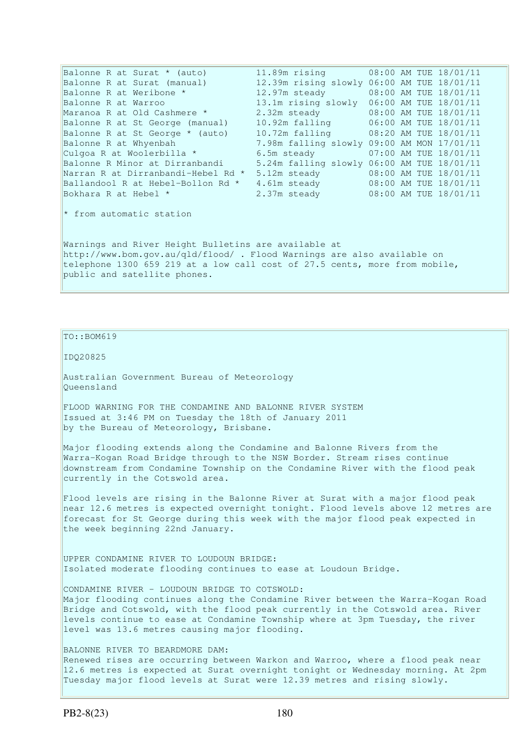Balonne R at Surat \* (auto) 11.89m rising 08:00 AM TUE 18/01/11 Balonne R at Surat (manual) 12.39m rising slowly 06:00 AM TUE 18/01/11 Balonne R at Weribone \* 12.97m steady 08:00 AM TUE 18/01/11 Balonne R at Warroo 13.1m rising slowly 06:00 AM TUE 18/01/11 Maranoa R at Old Cashmere \* 2.32m steady 08:00 AM TUE 18/01/11 Balonne R at St George (manual) 10.92m falling 06:00 AM TUE 18/01/11 Balonne R at St George \* (auto) 10.72m falling 08:20 AM TUE 18/01/11 Balonne R at Whyenbah 7.98m falling slowly 09:00 AM MON 17/01/11<br>Culgoa R at Woolerbilla \* 6.5m steady 07:00 AM TUE 18/01/11 Culgoa R at Woolerbilla \* 6.5m steady 07:00 AM TUE 18/01/11 Balonne R Minor at Dirranbandi 5.24m falling slowly 06:00 AM TUE 18/01/11 Narran R at Dirranbandi-Hebel Rd \* 5.12m steady 08:00 AM TUE 18/01/11 Ballandool R at Hebel-Bollon Rd \* 4.61m steady 08:00 AM TUE 18/01/11 Bokhara R at Hebel \* 2.37m steady 08:00 AM TUE 18/01/11  $*$  from automatic station Warnings and River Height Bulletins are available at http://www.bom.gov.au/qld/flood/ . Flood Warnings are also available on telephone 1300 659 219 at a low call cost of 27.5 cents, more from mobile, public and satellite phones.

TO::BOM619

IDQ20825

Australian Government Bureau of Meteorology Queensland

FLOOD WARNING FOR THE CONDAMINE AND BALONNE RIVER SYSTEM Issued at 3:46 PM on Tuesday the 18th of January 2011 by the Bureau of Meteorology, Brisbane.

Major flooding extends along the Condamine and Balonne Rivers from the Warra-Kogan Road Bridge through to the NSW Border. Stream rises continue downstream from Condamine Township on the Condamine River with the flood peak currently in the Cotswold area.

Flood levels are rising in the Balonne River at Surat with a major flood peak near 12.6 metres is expected overnight tonight. Flood levels above 12 metres are forecast for St George during this week with the major flood peak expected in the week beginning 22nd January.

UPPER CONDAMINE RIVER TO LOUDOUN BRIDGE: Isolated moderate flooding continues to ease at Loudoun Bridge.

CONDAMINE RIVER - LOUDOUN BRIDGE TO COTSWOLD: Major flooding continues along the Condamine River between the Warra-Kogan Road Bridge and Cotswold, with the flood peak currently in the Cotswold area. River levels continue to ease at Condamine Township where at 3pm Tuesday, the river level was 13.6 metres causing major flooding.

BALONNE RIVER TO BEARDMORE DAM: Renewed rises are occurring between Warkon and Warroo, where a flood peak near 12.6 metres is expected at Surat overnight tonight or Wednesday morning. At 2pm Tuesday major flood levels at Surat were 12.39 metres and rising slowly.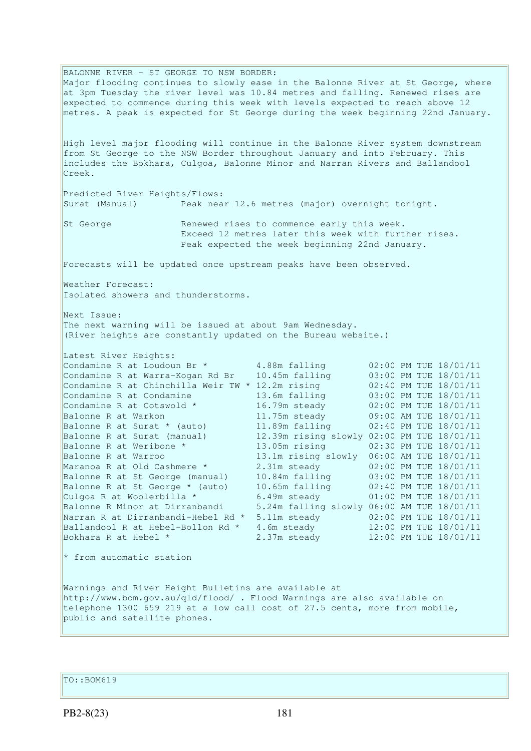```
BALONNE RIVER - ST GEORGE TO NSW BORDER: 
Major flooding continues to slowly ease in the Balonne River at St George, where
at 3pm Tuesday the river level was 10.84 metres and falling. Renewed rises are 
expected to commence during this week with levels expected to reach above 12 
metres. A peak is expected for St George during the week beginning 22nd January. 
High level major flooding will continue in the Balonne River system downstream 
from St George to the NSW Border throughout January and into February. This 
includes the Bokhara, Culgoa, Balonne Minor and Narran Rivers and Ballandool 
Creek. 
Predicted River Heights/Flows: 
Surat (Manual) Peak near 12.6 metres (major) overnight tonight. 
St George Renewed rises to commence early this week.
                     Exceed 12 metres later this week with further rises. 
                     Peak expected the week beginning 22nd January. 
Forecasts will be updated once upstream peaks have been observed. 
Weather Forecast: 
Isolated showers and thunderstorms. 
Next Issue: 
The next warning will be issued at about 9am Wednesday. 
(River heights are constantly updated on the Bureau website.) 
Latest River Heights: 
Condamine R at Loudoun Br * 4.88m falling 02:00 PM TUE 18/01/11
Condamine R at Warra-Kogan Rd Br 10.45m falling 03:00 PM TUE 18/01/11 
Condamine R at Chinchilla Weir TW * 12.2m rising 02:40 PM TUE 18/01/11
Condamine R at Condamine 13.6m falling 03:00 PM TUE 18/01/11 
Condamine R at Cotswold * 16.79m steady 02:00 PM TUE 18/01/11
Balonne R at Warkon 11.75m steady 09:00 AM TUE 18/01/11 
Balonne R at Surat * (auto) 11.89m falling 02:40 PM TUE 18/01/11 
Balonne R at Surat (manual) 12.39m rising slowly 02:00 PM TUE 18/01/11 
Balonne R at Weribone * 13.05m rising 02:30 PM TUE 18/01/11 
Balonne R at Warroo 13.1m rising slowly 06:00 AM TUE 18/01/11 
Maranoa R at Old Cashmere * 2.31m steady 02:00 PM TUE 18/01/11 
Balonne R at St George (manual) 10.84m falling 03:00 PM TUE 18/01/11 
Balonne R at St George * (auto) 10.65m falling 02:40 PM TUE 18/01/11 
Culgoa R at Woolerbilla * 6.49m steady 01:00 PM TUE 18/01/11 
Balonne R Minor at Dirranbandi 5.24m falling slowly 06:00 AM TUE 18/01/11 
Narran R at Dirranbandi-Hebel Rd * 5.11m steady 02:00 PM TUE 18/01/11
Ballandool R at Hebel-Bollon Rd * 4.6m steady 12:00 PM TUE 18/01/11
Bokhara R at Hebel * 2.37m steady 12:00 PM TUE 18/01/11 
* from automatic station 
Warnings and River Height Bulletins are available at 
http://www.bom.gov.au/qld/flood/ . Flood Warnings are also available on 
telephone 1300 659 219 at a low call cost of 27.5 cents, more from mobile, 
public and satellite phones.
```
TO::BOM619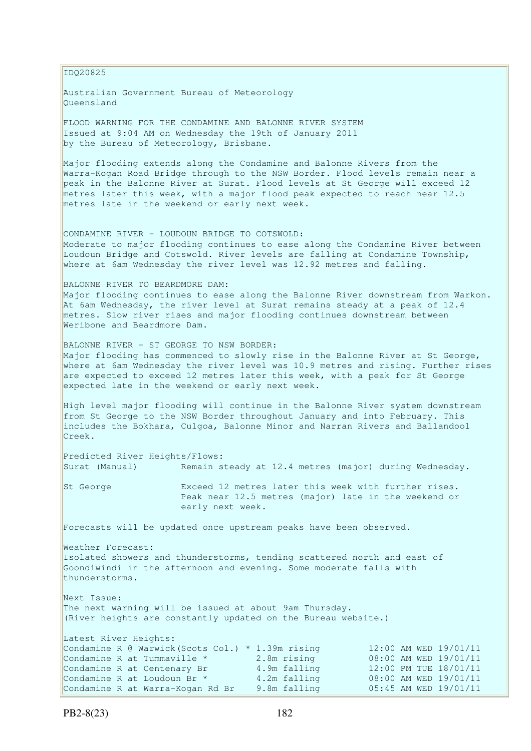IDQ20825

Australian Government Bureau of Meteorology Queensland

FLOOD WARNING FOR THE CONDAMINE AND BALONNE RIVER SYSTEM Issued at 9:04 AM on Wednesday the 19th of January 2011 by the Bureau of Meteorology, Brisbane.

Major flooding extends along the Condamine and Balonne Rivers from the Warra-Kogan Road Bridge through to the NSW Border. Flood levels remain near a peak in the Balonne River at Surat. Flood levels at St George will exceed 12 metres later this week, with a major flood peak expected to reach near 12.5 metres late in the weekend or early next week.

CONDAMINE RIVER - LOUDOUN BRIDGE TO COTSWOLD: Moderate to major flooding continues to ease along the Condamine River between Loudoun Bridge and Cotswold. River levels are falling at Condamine Township, where at 6am Wednesday the river level was 12.92 metres and falling.

BALONNE RIVER TO BEARDMORE DAM: Major flooding continues to ease along the Balonne River downstream from Warkon. At 6am Wednesday, the river level at Surat remains steady at a peak of 12.4 metres. Slow river rises and major flooding continues downstream between Weribone and Beardmore Dam.

BALONNE RIVER - ST GEORGE TO NSW BORDER: Major flooding has commenced to slowly rise in the Balonne River at St George, where at 6am Wednesday the river level was 10.9 metres and rising. Further rises are expected to exceed 12 metres later this week, with a peak for St George expected late in the weekend or early next week.

High level major flooding will continue in the Balonne River system downstream from St George to the NSW Border throughout January and into February. This includes the Bokhara, Culgoa, Balonne Minor and Narran Rivers and Ballandool Creek.

Predicted River Heights/Flows: Surat (Manual) Remain steady at 12.4 metres (major) during Wednesday.

St George Exceed 12 metres later this week with further rises. Peak near 12.5 metres (major) late in the weekend or early next week.

Forecasts will be updated once upstream peaks have been observed.

Weather Forecast: Isolated showers and thunderstorms, tending scattered north and east of Goondiwindi in the afternoon and evening. Some moderate falls with thunderstorms.

Next Issue: The next warning will be issued at about 9am Thursday. (River heights are constantly updated on the Bureau website.)

```
Latest River Heights: 
Condamine R \theta Warwick(Scots Col.) * 1.39m rising 12:00 AM WED 19/01/11
Condamine R at Tummaville * 2.8m rising 0.8:00 AM WED 19/01/11Condamine R at Centenary Br 4.9m falling 12:00 PM TUE 18/01/11
Condamine R at Centenary Br \begin{array}{ccc} 4.9m & \text{falling} & 12:00 \text{ PM TUE } 18/01/11 \\ \text{Condamine R at Loudoun Br *} & 4.2m & \text{falling} & 08:00 \text{ AM WED } 19/01/11 \end{array}Condamine R at Warra-Kogan Rd Br \qquad 9.8m falling \qquad 05:45 AM WED 19/01/11
```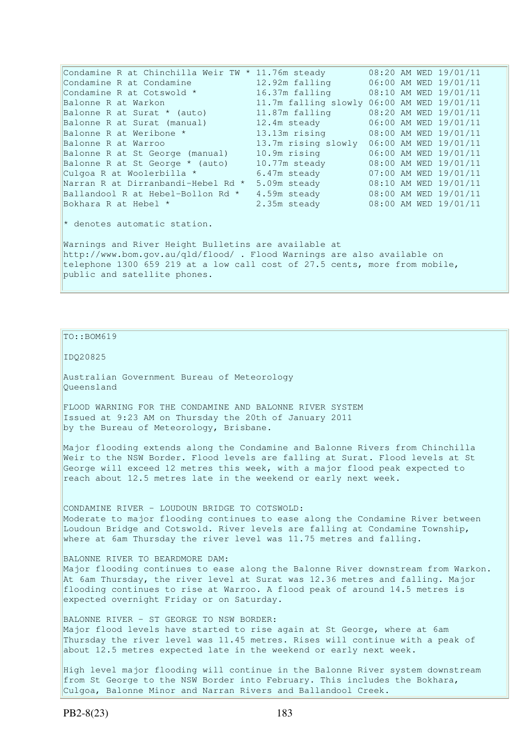| Condamine R at Chinchilla Weir TW * 11.76m steady                                                                                                                                                                                             |                | 08:20 AM WED 19/01/11                      |  |  |
|-----------------------------------------------------------------------------------------------------------------------------------------------------------------------------------------------------------------------------------------------|----------------|--------------------------------------------|--|--|
| Condamine R at Condamine                                                                                                                                                                                                                      | 12.92m falling | 06:00 AM WED 19/01/11                      |  |  |
| Condamine R at Cotswold *                                                                                                                                                                                                                     |                | 16.37m falling 08:10 AM WED 19/01/11       |  |  |
| Balonne R at Warkon                                                                                                                                                                                                                           |                | 11.7m falling slowly 06:00 AM WED 19/01/11 |  |  |
| Balonne R at Surat * (auto)                                                                                                                                                                                                                   | 11.87m falling | 08:20 AM WED 19/01/11                      |  |  |
| Balonne R at Surat (manual)                                                                                                                                                                                                                   | 12.4m steady   | 06:00 AM WED 19/01/11                      |  |  |
| Balonne R at Weribone *                                                                                                                                                                                                                       |                | 13.13m rising 08:00 AM WED 19/01/11        |  |  |
| Balonne R at Warroo                                                                                                                                                                                                                           |                | 13.7m rising slowly 06:00 AM WED 19/01/11  |  |  |
| Balonne R at St George (manual)                                                                                                                                                                                                               | 10.9m rising   | 06:00 AM WED 19/01/11                      |  |  |
| Balonne R at St George * (auto)                                                                                                                                                                                                               | 10.77m steady  | 08:00 AM WED 19/01/11                      |  |  |
| Culgoa R at Woolerbilla *                                                                                                                                                                                                                     |                | 6.47m steady 07:00 AM WED 19/01/11         |  |  |
| Narran R at Dirranbandi-Hebel Rd *                                                                                                                                                                                                            |                | 5.09m steady 08:10 AM WED 19/01/11         |  |  |
| Ballandool R at Hebel-Bollon Rd *                                                                                                                                                                                                             |                | 4.59m steady 08:00 AM WED 19/01/11         |  |  |
| Bokhara R at Hebel *                                                                                                                                                                                                                          | 2.35m steady   | 08:00 AM WED 19/01/11                      |  |  |
| $\star$ denotes automatic station.                                                                                                                                                                                                            |                |                                            |  |  |
| Warnings and River Height Bulletins are available at<br>http://www.bom.gov.au/gld/flood/ . Flood Warnings are also available on<br>telephone 1300 659 219 at a low call cost of 27.5 cents, more from mobile,<br>public and satellite phones. |                |                                            |  |  |

 $TO::BOM619$ 

IDQ20825

Australian Government Bureau of Meteorology Queensland

FLOOD WARNING FOR THE CONDAMINE AND BALONNE RIVER SYSTEM Issued at 9:23 AM on Thursday the 20th of January 2011 by the Bureau of Meteorology, Brisbane.

Major flooding extends along the Condamine and Balonne Rivers from Chinchilla Weir to the NSW Border. Flood levels are falling at Surat. Flood levels at St George will exceed 12 metres this week, with a major flood peak expected to reach about 12.5 metres late in the weekend or early next week.

CONDAMINE RIVER - LOUDOUN BRIDGE TO COTSWOLD: Moderate to major flooding continues to ease along the Condamine River between Loudoun Bridge and Cotswold. River levels are falling at Condamine Township, where at 6am Thursday the river level was 11.75 metres and falling.

BALONNE RIVER TO BEARDMORE DAM: Major flooding continues to ease along the Balonne River downstream from Warkon. At 6am Thursday, the river level at Surat was 12.36 metres and falling. Major flooding continues to rise at Warroo. A flood peak of around 14.5 metres is expected overnight Friday or on Saturday.

BALONNE RIVER - ST GEORGE TO NSW BORDER: Major flood levels have started to rise again at St George, where at 6am Thursday the river level was 11.45 metres. Rises will continue with a peak of about 12.5 metres expected late in the weekend or early next week.

High level major flooding will continue in the Balonne River system downstream from St George to the NSW Border into February. This includes the Bokhara, Culgoa, Balonne Minor and Narran Rivers and Ballandool Creek.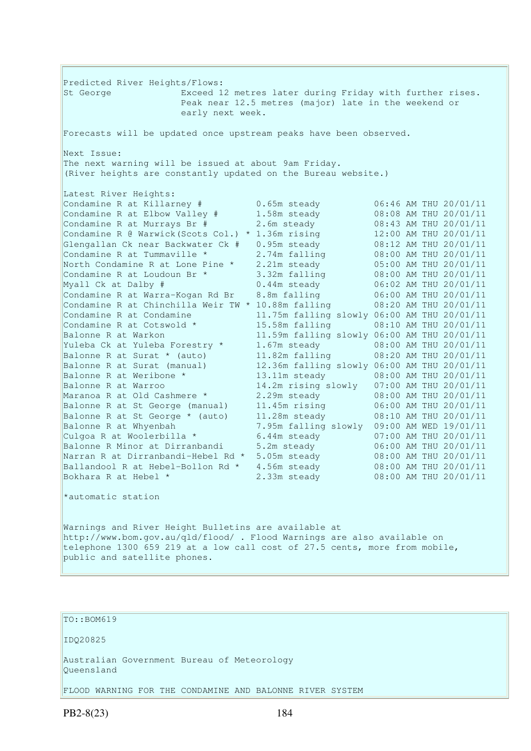Predicted River Heights/Flows: St George Exceed 12 metres later during Friday with further rises. Peak near 12.5 metres (major) late in the weekend or early next week. Forecasts will be updated once upstream peaks have been observed. Next Issue: The next warning will be issued at about 9am Friday. (River heights are constantly updated on the Bureau website.) Latest River Heights: Condamine R at Killarney  $\#$  0.65m steady 00.46 AM THU 20/01/11 Condamine R at Elbow Valley # 1.58m steady 08:08 AM THU 20/01/11 Condamine R at Murrays Br  $\#$  2.6m steady  $0.08:43$  AM THU 20/01/11 Latest Kiver Heights:<br>
Condamine R at Killarney #0.65m steady<br>
Condamine R at Elbow Valley #1.58m steady<br>
2.6m steady<br>
08:08 AM THU 20/01/11<br>
Condamine R at Murrays Br #2.6m steady<br>
2.6m steady<br>
08:08 AM THU 20/01/11<br>
Cond Glengallan Ck near Backwater Ck # 0.95m steady 08:12 AM THU 20/01/11 Condamine R at Tummaville  $*$  2.74m falling  $08:00$  AM THU 20/01/11 North Condamine R at Lone Pine \* 2.21m steady 05:00 AM THU 20/01/11 Condamine R at Loudoun Br  $*$  3.32m falling  $08:00$  AM THU 20/01/11 Myall Ck at Dalby # 0.44m steady 06:02 AM THU 20/01/11 Condamine R at Warra-Kogan Rd Br 8.8m falling 06:00 AM THU 20/01/11 Condamine R at Chinchilla Weir TW \* 10.88m falling 08:20 AM THU 20/01/11 Condamine R at Condamine 11.75m falling slowly 06:00 AM THU 20/01/11 Condamine R at Cotswold  $*$  15.58m falling  $08:10$  AM THU 20/01/11 Balonne R at Warkon 11.59m falling slowly 06:00 AM THU 20/01/11 Yuleba Ck at Yuleba Forestry \* 1.67m steady 08:00 AM THU 20/01/11 Balonne R at Surat \* (auto) 11.82m falling 08:20 AM THU 20/01/11 Balonne R at Surat (manual) 12.36m falling slowly 06:00 AM THU 20/01/11 Balonne R at Weribone \* 13.11m steady 08:00 AM THU 20/01/11 Balonne R at Warroo 14.2m rising slowly 07:00 AM THU 20/01/11 Maranoa R at Old Cashmere \* 2.29m steady 08:00 AM THU 20/01/11 Balonne R at St George (manual) 11.45m rising 06:00 AM THU 20/01/11 Balonne R at St George \* (auto) 11.28m steady 08:10 AM THU 20/01/11 Balonne R at Whyenbah 7.95m falling slowly 09:00 AM WED 19/01/11 Culgoa R at Woolerbilla  $\star$  6.44m steady 67:00 AM THU 20/01/11 Balonne R Minor at Dirranbandi 5.2m steady 06:00 AM THU 20/01/11 Narran R at Dirranbandi-Hebel Rd \* 5.05m steady 08:00 AM THU 20/01/11 Ballandool R at Hebel-Bollon Rd \* 4.56m steady 08:00 AM THU 20/01/11 Bokhara R at Hebel \* 2.33m steady 08:00 AM THU 20/01/11 \*automatic station Warnings and River Height Bulletins are available at

http://www.bom.gov.au/qld/flood/ . Flood Warnings are also available on telephone 1300 659 219 at a low call cost of 27.5 cents, more from mobile, public and satellite phones.

```
TO::BOM619 
IDQ20825 
Australian Government Bureau of Meteorology 
Queensland
```
FLOOD WARNING FOR THE CONDAMINE AND BALONNE RIVER SYSTEM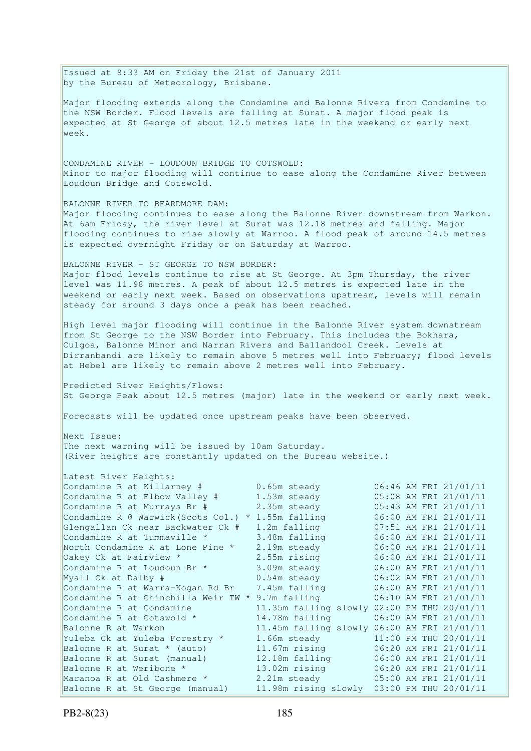Issued at 8:33 AM on Friday the 21st of January 2011 by the Bureau of Meteorology, Brisbane. Major flooding extends along the Condamine and Balonne Rivers from Condamine to the NSW Border. Flood levels are falling at Surat. A major flood peak is expected at St George of about 12.5 metres late in the weekend or early next week. CONDAMINE RIVER - LOUDOUN BRIDGE TO COTSWOLD: Minor to major flooding will continue to ease along the Condamine River between Loudoun Bridge and Cotswold. BALONNE RIVER TO BEARDMORE DAM: Major flooding continues to ease along the Balonne River downstream from Warkon. At 6am Friday, the river level at Surat was 12.18 metres and falling. Major flooding continues to rise slowly at Warroo. A flood peak of around 14.5 metres is expected overnight Friday or on Saturday at Warroo. BALONNE RIVER - ST GEORGE TO NSW BORDER: Major flood levels continue to rise at St George. At 3pm Thursday, the river level was 11.98 metres. A peak of about 12.5 metres is expected late in the weekend or early next week. Based on observations upstream, levels will remain steady for around 3 days once a peak has been reached. High level major flooding will continue in the Balonne River system downstream from St George to the NSW Border into February. This includes the Bokhara, Culgoa, Balonne Minor and Narran Rivers and Ballandool Creek. Levels at Dirranbandi are likely to remain above 5 metres well into February; flood levels at Hebel are likely to remain above 2 metres well into February. Predicted River Heights/Flows: St George Peak about 12.5 metres (major) late in the weekend or early next week. Forecasts will be updated once upstream peaks have been observed. Next Issue: The next warning will be issued by 10am Saturday. (River heights are constantly updated on the Bureau website.) Latest River Heights: Condamine R at Killarney # 0.65m steady 06:46 AM FRI 21/01/11<br>
Condamine R at Elbow Valley # 1.53m steady 05:08 AM FRI 21/01/11<br>
Condamine R at Murrays Br # 2.35m steady 05:08 AM FRI 21/01/11<br>
Condamine R at Murrays Br # 2 Condamine R at Elbow Valley # 1.53m steady 05:08 AM FRI 21/01/11 Condamine R at Murrays Br # 2.35m steady 05:43 AM FRI 21/01/11 Condamine R @ Warwick(Scots Col.) \* 1.55m falling Glengallan Ck near Backwater Ck  $# 1.2m$  falling Condamine R at Tummaville  $*$  3.48m falling  $06:00$  AM FRI 21/01/11 North Condamine R at Lone Pine \* 2.19m steady 06:00 AM FRI 21/01/11 Oakey Ck at Fairview \* 2.55m rising 06:00 AM FRI 21/01/11 Condamine R at Loudoun Br  $*$  3.09m steady  $06:00$  AM FRI 21/01/11 Myall Ck at Dalby # 0.54m steady 06:02 AM FRI 21/01/11 Condamine R at Warra-Kogan Rd Br 7.45m falling 06:00 AM FRI 21/01/11 Condamine R at Chinchilla Weir TW  $*$  9.7m falling  $06:10$  AM FRI 21/01/11 Condamine R at Condamine 11.35m falling slowly 02:00 PM THU 20/01/11 Condamine R at Cotswold  $*$  14.78m falling 06:00 AM FRI 21/01/11 Balonne R at Warkon 11.45m falling slowly 06:00 AM FRI 21/01/11 Yuleba Ck at Yuleba Forestry \* 1.66m steady 11:00 PM THU 20/01/11 Balonne R at Surat \* (auto) 11.67m rising 06:20 AM FRI 21/01/11 Balonne R at Surat (manual) 12.18m falling 06:00 AM FRI 21/01/11 Balonne R at Weribone \* 13.02m rising 06:20 AM FRI 21/01/11 Maranoa R at Old Cashmere \* 2.21m steady 05:00 AM FRI 21/01/11 Balonne R at St George (manual) 11.98m rising slowly 03:00 PM THU 20/01/11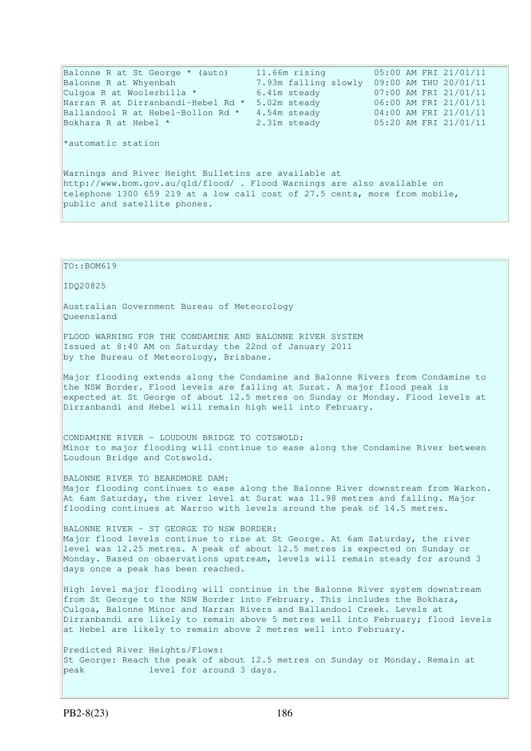Balonne R at St George \* (auto) 11.66m rising 05:00 AM FRI 21/01/11 Balonne R at Whyenbah 7.93m falling slowly 09:00 AM THU 20/01/11<br>Culgoa R at Woolerbilla \* 6.41m steady 07:00 AM FRI 21/01/11 Culgoa R at Woolerbilla  $\star$  6.41m steady 67:00 AM FRI 21/01/11 Narran R at Dirranbandi-Hebel Rd \* 5.02m steady 06:00 AM FRI 21/01/11 Ballandool R at Hebel-Bollon Rd  $*$  4.54m steady Bokhara R at Hebel \* 2.31m steady 05:20 AM FRI 21/01/11 \*automatic station Warnings and River Height Bulletins are available at http://www.bom.gov.au/qld/flood/ . Flood Warnings are also available on telephone 1300 659 219 at a low call cost of 27.5 cents, more from mobile, public and satellite phones.

TO::BOM619 IDQ20825 Australian Government Bureau of Meteorology Queensland FLOOD WARNING FOR THE CONDAMINE AND BALONNE RIVER SYSTEM Issued at 8:40 AM on Saturday the 22nd of January 2011 by the Bureau of Meteorology, Brisbane. Major flooding extends along the Condamine and Balonne Rivers from Condamine to the NSW Border. Flood levels are falling at Surat. A major flood peak is expected at St George of about 12.5 metres on Sunday or Monday. Flood levels at Dirranbandi and Hebel will remain high well into February. CONDAMINE RIVER - LOUDOUN BRIDGE TO COTSWOLD: Minor to major flooding will continue to ease along the Condamine River between Loudoun Bridge and Cotswold. BALONNE RIVER TO BEARDMORE DAM: Major flooding continues to ease along the Balonne River downstream from Warkon. At 6am Saturday, the river level at Surat was 11.98 metres and falling. Major flooding continues at Warroo with levels around the peak of 14.5 metres. BALONNE RIVER - ST GEORGE TO NSW BORDER: Major flood levels continue to rise at St George. At 6am Saturday, the river level was 12.25 metres. A peak of about 12.5 metres is expected on Sunday or Monday. Based on observations upstream, levels will remain steady for around 3 days once a peak has been reached. High level major flooding will continue in the Balonne River system downstream from St George to the NSW Border into February. This includes the Bokhara, Culgoa, Balonne Minor and Narran Rivers and Ballandool Creek. Levels at Dirranbandi are likely to remain above 5 metres well into February; flood levels at Hebel are likely to remain above 2 metres well into February. Predicted River Heights/Flows: St George: Reach the peak of about 12.5 metres on Sunday or Monday. Remain at peak level for around 3 days.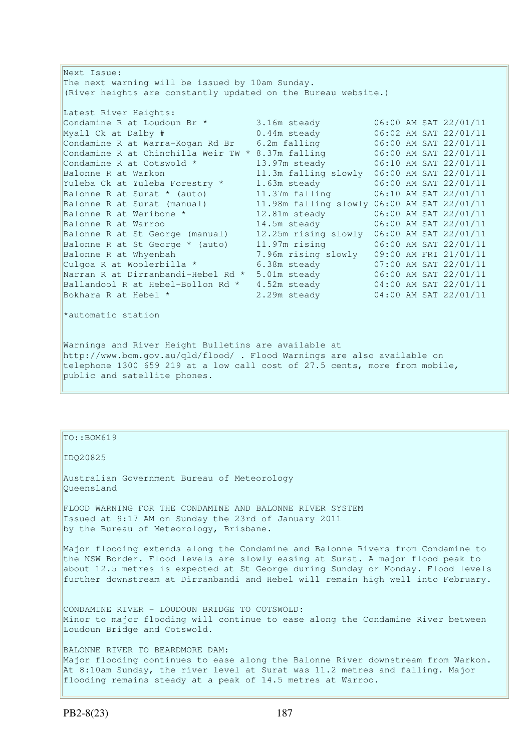Next Issue: The next warning will be issued by 10am Sunday. (River heights are constantly updated on the Bureau website.) Latest River Heights:<br>Condamine R at Loudoun Br \* Condamine R at Loudoun Br  $*$  3.16m steady 06:00 AM SAT 22/01/11 Myall Ck at Dalby # 0.44m steady 06:02 AM SAT 22/01/11 Condamine R at Warra-Kogan Rd Br 6.2m falling 06:00 AM SAT 22/01/11 Condamine R at Chinchilla Weir TW  $*$  8.37m falling  $06:00$  AM SAT 22/01/11 Condamine R at Cotswold  $*$  13.97m steady 06:10 AM SAT 22/01/11 Balonne R at Warkon 11.3m falling slowly 06:00 AM SAT 22/01/11 Yuleba Ck at Yuleba Forestry \* 1.63m steady 06:00 AM SAT 22/01/11 Balonne R at Surat \* (auto) 11.37m falling 06:10 AM SAT 22/01/11 Balonne R at Surat (manual) 11.98m falling slowly 06:00 AM SAT 22/01/11 Balonne R at Weribone \* 12.81m steady 06:00 AM SAT 22/01/11 Balonne R at Warroo 14.5m steady 06:00 AM SAT 22/01/11 Balonne R at St George (manual) 12.25m rising slowly 06:00 AM SAT 22/01/11 Balonne R at St George \* (auto) 11.97m rising 06:00 AM SAT 22/01/11 Balonne R at Whyenbah 7.96m rising slowly 09:00 AM FRI 21/01/11 Culgoa R at Woolerbilla  $*$  6.38m steady 67:00 AM SAT 22/01/11 Narran R at Dirranbandi-Hebel Rd \* 5.01m steady 06:00 AM SAT 22/01/11 Ballandool R at Hebel-Bollon Rd \* 4.52m steady 04:00 AM SAT 22/01/11 Bokhara R at Hebel  $\star$  2.29m steady 04:00 AM SAT 22/01/11 \*automatic station Warnings and River Height Bulletins are available at http://www.bom.gov.au/qld/flood/ . Flood Warnings are also available on telephone 1300 659 219 at a low call cost of 27.5 cents, more from mobile, public and satellite phones.

# TO::BOM619

IDQ20825

Australian Government Bureau of Meteorology Queensland

FLOOD WARNING FOR THE CONDAMINE AND BALONNE RIVER SYSTEM Issued at 9:17 AM on Sunday the 23rd of January 2011 by the Bureau of Meteorology, Brisbane.

Major flooding extends along the Condamine and Balonne Rivers from Condamine to the NSW Border. Flood levels are slowly easing at Surat. A major flood peak to about 12.5 metres is expected at St George during Sunday or Monday. Flood levels further downstream at Dirranbandi and Hebel will remain high well into February.

CONDAMINE RIVER - LOUDOUN BRIDGE TO COTSWOLD: Minor to major flooding will continue to ease along the Condamine River between Loudoun Bridge and Cotswold.

BALONNE RIVER TO BEARDMORE DAM: Major flooding continues to ease along the Balonne River downstream from Warkon. At 8:10am Sunday, the river level at Surat was 11.2 metres and falling. Major flooding remains steady at a peak of 14.5 metres at Warroo.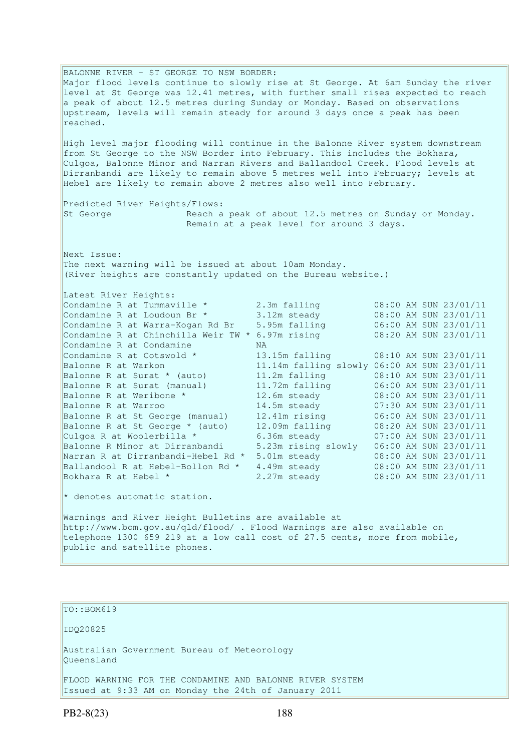BALONNE RIVER - ST GEORGE TO NSW BORDER: Major flood levels continue to slowly rise at St George. At 6am Sunday the river level at St George was 12.41 metres, with further small rises expected to reach a peak of about 12.5 metres during Sunday or Monday. Based on observations upstream, levels will remain steady for around 3 days once a peak has been reached. High level major flooding will continue in the Balonne River system downstream from St George to the NSW Border into February. This includes the Bokhara, Culgoa, Balonne Minor and Narran Rivers and Ballandool Creek. Flood levels at Dirranbandi are likely to remain above 5 metres well into February; levels at Hebel are likely to remain above 2 metres also well into February. Predicted River Heights/Flows: St George Reach a peak of about 12.5 metres on Sunday or Monday. Remain at a peak level for around 3 days. Next Issue: The next warning will be issued at about 10am Monday. (River heights are constantly updated on the Bureau website.) Latest River Heights: Condamine R at Tummaville  $*$  2.3m falling  $08:00$  AM SUN 23/01/11 Condamine R at Loudoun Br  $*$  3.12m steady  $08:00$  AM SUN 23/01/11 Condamine R at Warra-Kogan Rd Br 5.95m falling 06:00 AM SUN 23/01/11 Condamine R at Chinchilla Weir TW  $*$  6.97m rising  $08:20$  AM SUN 23/01/11 Condamine R at Condamine<br>
Condamine R at Cotswold \* 13.15m falling 08:10 AM SUN 23/01/11 Condamine R at Cotswold  $\star$  13.15m falling 08:10 AM SUN 23/01/11 Balonne R at Warkon 11.14m falling slowly 06:00 AM SUN 23/01/11 Balonne R at Surat \* (auto) 11.2m falling 08:10 AM SUN 23/01/11 Balonne R at Surat (manual) 11.72m falling 06:00 AM SUN 23/01/11 Balonne R at Weribone \* 12.6m steady 08:00 AM SUN 23/01/11 Balonne R at Warroo 14.5m steady 07:30 AM SUN 23/01/11 Balonne R at St George (manual) 12.41m rising 06:00 AM SUN 23/01/11 Balonne R at St George \* (auto) 12.09m falling 08:20 AM SUN 23/01/11 Culgoa R at Woolerbilla  $\star$  6.36m steady 67:00 AM SUN 23/01/11 Balonne R Minor at Dirranbandi 5.23m rising slowly 06:00 AM SUN 23/01/11 Narran R at Dirranbandi-Hebel Rd \* 5.01m steady 08:00 AM SUN 23/01/11 Ballandool R at Hebel-Bollon Rd \* 4.49m steady 08:00 AM SUN 23/01/11 Bokhara R at Hebel \* 2.27m steady 08:00 AM SUN 23/01/11  $*$  denotes automatic station. Warnings and River Height Bulletins are available at http://www.bom.gov.au/qld/flood/ . Flood Warnings are also available on telephone 1300 659 219 at a low call cost of 27.5 cents, more from mobile, public and satellite phones.

# TO::BOM619

IDQ20825

Australian Government Bureau of Meteorology Queensland

FLOOD WARNING FOR THE CONDAMINE AND BALONNE RIVER SYSTEM Issued at 9:33 AM on Monday the 24th of January 2011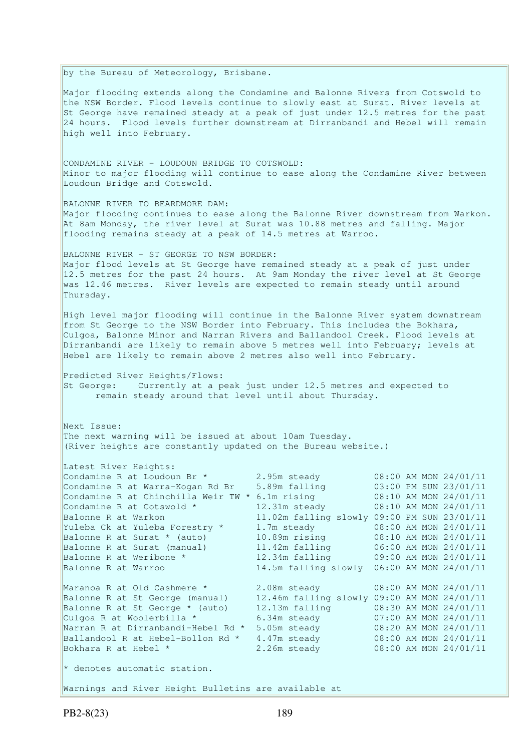by the Bureau of Meteorology, Brisbane.

Major flooding extends along the Condamine and Balonne Rivers from Cotswold to the NSW Border. Flood levels continue to slowly east at Surat. River levels at St George have remained steady at a peak of just under 12.5 metres for the past 24 hours. Flood levels further downstream at Dirranbandi and Hebel will remain high well into February.

CONDAMINE RIVER - LOUDOUN BRIDGE TO COTSWOLD: Minor to major flooding will continue to ease along the Condamine River between Loudoun Bridge and Cotswold.

BALONNE RIVER TO BEARDMORE DAM: Major flooding continues to ease along the Balonne River downstream from Warkon. At 8am Monday, the river level at Surat was 10.88 metres and falling. Major flooding remains steady at a peak of 14.5 metres at Warroo.

BALONNE RIVER - ST GEORGE TO NSW BORDER: Major flood levels at St George have remained steady at a peak of just under 12.5 metres for the past 24 hours. At 9am Monday the river level at St George was 12.46 metres. River levels are expected to remain steady until around Thursday.

High level major flooding will continue in the Balonne River system downstream from St George to the NSW Border into February. This includes the Bokhara, Culgoa, Balonne Minor and Narran Rivers and Ballandool Creek. Flood levels at Dirranbandi are likely to remain above 5 metres well into February; levels at Hebel are likely to remain above 2 metres also well into February.

Predicted River Heights/Flows: St George: Currently at a peak just under 12.5 metres and expected to remain steady around that level until about Thursday.

Next Issue: The next warning will be issued at about 10am Tuesday. (River heights are constantly updated on the Bureau website.)

| Latest River Heights:                                |                                             |  |                       |
|------------------------------------------------------|---------------------------------------------|--|-----------------------|
| Condamine R at Loudoun Br *                          | 2.95m steady                                |  | 08:00 AM MON 24/01/11 |
| Condamine R at Warra-Kogan Rd Br                     | 5.89m falling                               |  | 03:00 PM SUN 23/01/11 |
| Condamine R at Chinchilla Weir TW * 6.1m rising      |                                             |  | 08:10 AM MON 24/01/11 |
| Condamine R at Cotswold *                            | 12.31m steady                               |  | 08:10 AM MON 24/01/11 |
| Balonne R at Warkon                                  | 11.02m falling slowly 09:00 PM SUN 23/01/11 |  |                       |
| Yuleba Ck at Yuleba Forestry *                       | 1.7m steady                                 |  | 08:00 AM MON 24/01/11 |
| Balonne R at Surat * (auto)                          | 10.89m rising                               |  | 08:10 AM MON 24/01/11 |
| Balonne R at Surat (manual)                          | 11.42m falling                              |  | 06:00 AM MON 24/01/11 |
| Balonne R at Weribone *                              | 12.34m falling                              |  | 09:00 AM MON 24/01/11 |
| Balonne R at Warroo                                  | 14.5m falling slowly 06:00 AM MON 24/01/11  |  |                       |
| Maranoa R at Old Cashmere *                          | 2.08m steady                                |  | 08:00 AM MON 24/01/11 |
| Balonne R at St George (manual)                      | 12.46m falling slowly 09:00 AM MON 24/01/11 |  |                       |
| Balonne R at St George * (auto)                      | 12.13m falling                              |  | 08:30 AM MON 24/01/11 |
| Culgoa R at Woolerbilla *                            | 6.34m steady                                |  | 07:00 AM MON 24/01/11 |
| Narran R at Dirranbandi-Hebel Rd *                   | 5.05m steady                                |  | 08:20 AM MON 24/01/11 |
| Ballandool R at Hebel-Bollon Rd *                    | 4.47m steady                                |  | 08:00 AM MON 24/01/11 |
| Bokhara R at Hebel *                                 | 2.26m steady                                |  | 08:00 AM MON 24/01/11 |
| * denotes automatic station.                         |                                             |  |                       |
| Warnings and River Height Bulletins are available at |                                             |  |                       |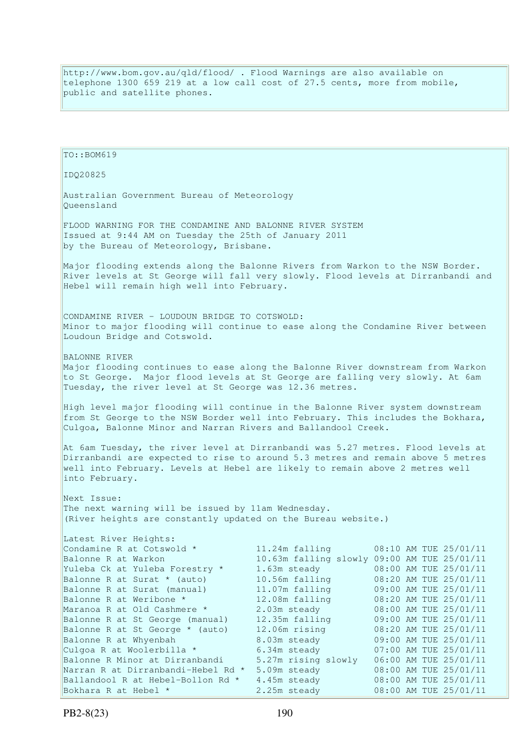http://www.bom.gov.au/qld/flood/ . Flood Warnings are also available on telephone 1300 659 219 at a low call cost of 27.5 cents, more from mobile, public and satellite phones.

| TO:: BOM619                                                                                                                                                                                                                                                                                                                                                                                                                                                                                          |                                                                                                                                                                                                                                                                                               |                                                                                                                                                                                                                                                                                                                                                            |  |  |
|------------------------------------------------------------------------------------------------------------------------------------------------------------------------------------------------------------------------------------------------------------------------------------------------------------------------------------------------------------------------------------------------------------------------------------------------------------------------------------------------------|-----------------------------------------------------------------------------------------------------------------------------------------------------------------------------------------------------------------------------------------------------------------------------------------------|------------------------------------------------------------------------------------------------------------------------------------------------------------------------------------------------------------------------------------------------------------------------------------------------------------------------------------------------------------|--|--|
| IDQ20825                                                                                                                                                                                                                                                                                                                                                                                                                                                                                             |                                                                                                                                                                                                                                                                                               |                                                                                                                                                                                                                                                                                                                                                            |  |  |
| Australian Government Bureau of Meteorology<br>Oueensland                                                                                                                                                                                                                                                                                                                                                                                                                                            |                                                                                                                                                                                                                                                                                               |                                                                                                                                                                                                                                                                                                                                                            |  |  |
| FLOOD WARNING FOR THE CONDAMINE AND BALONNE RIVER SYSTEM<br>Issued at 9:44 AM on Tuesday the 25th of January 2011<br>by the Bureau of Meteorology, Brisbane.                                                                                                                                                                                                                                                                                                                                         |                                                                                                                                                                                                                                                                                               |                                                                                                                                                                                                                                                                                                                                                            |  |  |
| Major flooding extends along the Balonne Rivers from Warkon to the NSW Border.<br>River levels at St George will fall very slowly. Flood levels at Dirranbandi and<br>Hebel will remain high well into February.                                                                                                                                                                                                                                                                                     |                                                                                                                                                                                                                                                                                               |                                                                                                                                                                                                                                                                                                                                                            |  |  |
| CONDAMINE RIVER - LOUDOUN BRIDGE TO COTSWOLD:<br>Minor to major flooding will continue to ease along the Condamine River between<br>Loudoun Bridge and Cotswold.                                                                                                                                                                                                                                                                                                                                     |                                                                                                                                                                                                                                                                                               |                                                                                                                                                                                                                                                                                                                                                            |  |  |
| BALONNE RIVER<br>Major flooding continues to ease along the Balonne River downstream from Warkon<br>to St George. Major flood levels at St George are falling very slowly. At 6am<br>Tuesday, the river level at St George was 12.36 metres.                                                                                                                                                                                                                                                         |                                                                                                                                                                                                                                                                                               |                                                                                                                                                                                                                                                                                                                                                            |  |  |
| High level major flooding will continue in the Balonne River system downstream<br>from St George to the NSW Border well into February. This includes the Bokhara,<br>Culgoa, Balonne Minor and Narran Rivers and Ballandool Creek.                                                                                                                                                                                                                                                                   |                                                                                                                                                                                                                                                                                               |                                                                                                                                                                                                                                                                                                                                                            |  |  |
| At 6am Tuesday, the river level at Dirranbandi was 5.27 metres. Flood levels at<br>Dirranbandi are expected to rise to around 5.3 metres and remain above 5 metres<br>well into February. Levels at Hebel are likely to remain above 2 metres well<br>into February.                                                                                                                                                                                                                                 |                                                                                                                                                                                                                                                                                               |                                                                                                                                                                                                                                                                                                                                                            |  |  |
| Next Issue:<br>The next warning will be issued by 11am Wednesday.<br>(River heights are constantly updated on the Bureau website.)                                                                                                                                                                                                                                                                                                                                                                   |                                                                                                                                                                                                                                                                                               |                                                                                                                                                                                                                                                                                                                                                            |  |  |
| Latest River Heights:<br>Condamine R at Cotswold *<br>Balonne R at Warkon<br>Yuleba Ck at Yuleba Forestry *<br>Balonne R at Surat * (auto)<br>Balonne R at Surat (manual)<br>Balonne R at Weribone *<br>Maranoa R at Old Cashmere *<br>Balonne R at St George (manual)<br>Balonne R at St George * (auto)<br>Balonne R at Whyenbah<br>Culgoa R at Woolerbilla *<br>Balonne R Minor at Dirranbandi<br>Narran R at Dirranbandi-Hebel Rd *<br>Ballandool R at Hebel-Bollon Rd *<br>Bokhara R at Hebel * | 11.24m falling<br>10.63m falling slowly 09:00 AM TUE 25/01/11<br>1.63m steady<br>10.56m falling<br>11.07m falling<br>12.08m falling<br>2.03m steady<br>12.35m falling<br>12.06m rising<br>8.03m steady<br>6.34m steady<br>5.27m rising slowly<br>5.09m steady<br>4.45m steady<br>2.25m steady | 08:10 AM TUE 25/01/11<br>08:00 AM TUE 25/01/11<br>08:20 AM TUE 25/01/11<br>09:00 AM TUE 25/01/11<br>08:20 AM TUE 25/01/11<br>08:00 AM TUE 25/01/11<br>09:00 AM TUE 25/01/11<br>08:20 AM TUE 25/01/11<br>09:00 AM TUE 25/01/11<br>07:00 AM TUE 25/01/11<br>06:00 AM TUE 25/01/11<br>08:00 AM TUE 25/01/11<br>08:00 AM TUE 25/01/11<br>08:00 AM TUE 25/01/11 |  |  |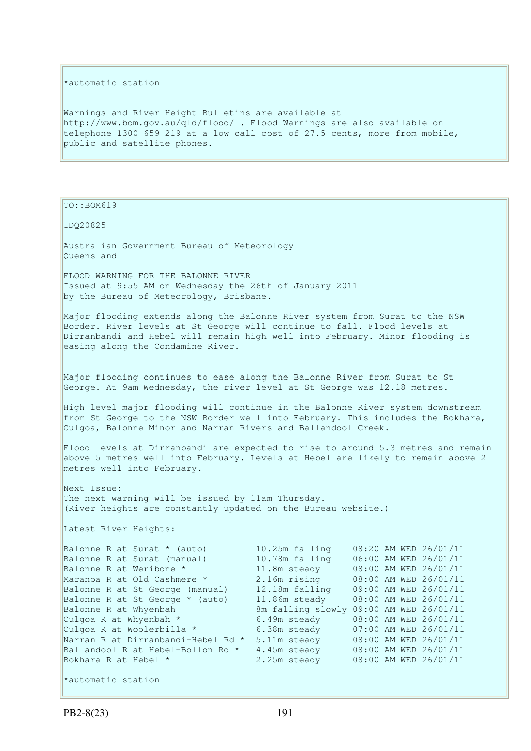# \*automatic station

Warnings and River Height Bulletins are available at http://www.bom.gov.au/qld/flood/ . Flood Warnings are also available on telephone 1300 659 219 at a low call cost of 27.5 cents, more from mobile, public and satellite phones.

TO::BOM619

IDQ20825

Australian Government Bureau of Meteorology Queensland

FLOOD WARNING FOR THE BALONNE RIVER Issued at 9:55 AM on Wednesday the 26th of January 2011 by the Bureau of Meteorology, Brisbane.

Major flooding extends along the Balonne River system from Surat to the NSW Border. River levels at St George will continue to fall. Flood levels at Dirranbandi and Hebel will remain high well into February. Minor flooding is easing along the Condamine River.

Major flooding continues to ease along the Balonne River from Surat to St George. At 9am Wednesday, the river level at St George was 12.18 metres.

High level major flooding will continue in the Balonne River system downstream from St George to the NSW Border well into February. This includes the Bokhara, Culgoa, Balonne Minor and Narran Rivers and Ballandool Creek.

Flood levels at Dirranbandi are expected to rise to around 5.3 metres and remain above 5 metres well into February. Levels at Hebel are likely to remain above 2 metres well into February.

Next Issue: The next warning will be issued by 11am Thursday. (River heights are constantly updated on the Bureau website.)

Latest River Heights:

| Balonne R at Surat * (auto)        | 10.25m falling                          |  | 08:20 AM WED 26/01/11 |
|------------------------------------|-----------------------------------------|--|-----------------------|
| Balonne R at Surat (manual)        | 10.78m falling                          |  | 06:00 AM WED 26/01/11 |
| Balonne R at Weribone *            | 11.8m steady                            |  | 08:00 AM WED 26/01/11 |
| Maranoa R at Old Cashmere *        | 2.16m rising                            |  | 08:00 AM WED 26/01/11 |
| Balonne R at St George (manual)    | 12.18m falling                          |  | 09:00 AM WED 26/01/11 |
| Balonne R at St George * (auto)    | 11.86m steady                           |  | 08:00 AM WED 26/01/11 |
| Balonne R at Whyenbah              | 8m falling slowly 09:00 AM WED 26/01/11 |  |                       |
| Culgoa R at Whyenbah *             | 6.49m steady                            |  | 08:00 AM WED 26/01/11 |
| Culgoa R at Woolerbilla *          | 6.38m steady                            |  | 07:00 AM WED 26/01/11 |
| Narran R at Dirranbandi-Hebel Rd * | 5.11m steady                            |  | 08:00 AM WED 26/01/11 |
| Ballandool R at Hebel-Bollon Rd *  | 4.45m steady                            |  | 08:00 AM WED 26/01/11 |
| Bokhara R at Hebel *               | 2.25m steady                            |  | 08:00 AM WED 26/01/11 |
| *automatic station                 |                                         |  |                       |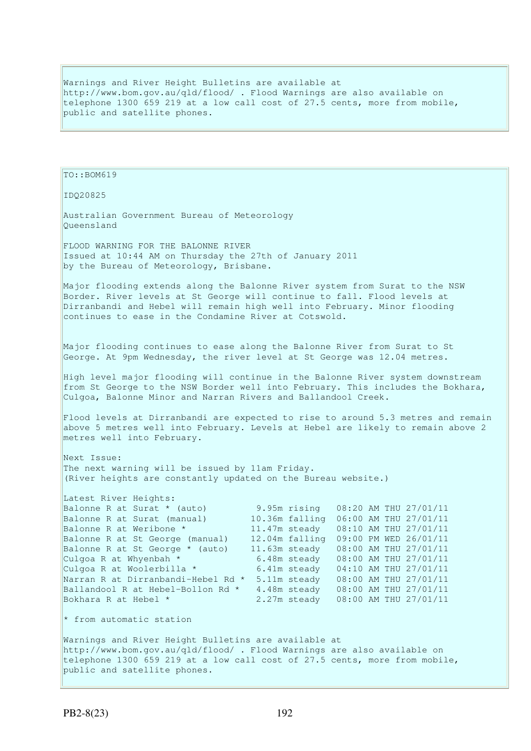Warnings and River Height Bulletins are available at http://www.bom.gov.au/qld/flood/ . Flood Warnings are also available on telephone 1300 659 219 at a low call cost of 27.5 cents, more from mobile, public and satellite phones.

TO::BOM619 IDQ20825 Australian Government Bureau of Meteorology Queensland FLOOD WARNING FOR THE BALONNE RIVER Issued at 10:44 AM on Thursday the 27th of January 2011 by the Bureau of Meteorology, Brisbane. Major flooding extends along the Balonne River system from Surat to the NSW Border. River levels at St George will continue to fall. Flood levels at Dirranbandi and Hebel will remain high well into February. Minor flooding continues to ease in the Condamine River at Cotswold. Major flooding continues to ease along the Balonne River from Surat to St George. At 9pm Wednesday, the river level at St George was 12.04 metres. High level major flooding will continue in the Balonne River system downstream from St George to the NSW Border well into February. This includes the Bokhara, Culgoa, Balonne Minor and Narran Rivers and Ballandool Creek. Flood levels at Dirranbandi are expected to rise to around 5.3 metres and remain above 5 metres well into February. Levels at Hebel are likely to remain above 2 metres well into February. Next Issue: The next warning will be issued by 11am Friday. (River heights are constantly updated on the Bureau website.) Latest River Heights: Balonne R at Surat \* (auto) 9.95m rising 08:20 AM THU 27/01/11<br>Balonne R at Surat (manual) 10.36m falling 06:00 AM THU 27/01/11 10.36m falling 06:00 AM THU 27/01/11 Balonne R at Weribone \* 11.47m steady 08:10 AM THU 27/01/11 Balonne R at St George (manual) 12.04m falling 09:00 PM WED 26/01/11 Balonne R at St George \* (auto) 11.63m steady 08:00 AM THU 27/01/11 Uuryoa K at Whyenbah \* 6.48m steady 08:00 AM THU 27/01/11<br>Culgoa R at Woolerbilla \* 6.41m steady 08:00 AM THU 27/01/11 Culgoa R at Woolerbilla  $\star$  6.41m steady 04:10 AM THU 27/01/11 Narran R at Dirranbandi-Hebel Rd \* 5.11m steady 08:00 AM THU 27/01/11 Ballandool R at Hebel-Bollon Rd \* 4.48m steady 08:00 AM THU 27/01/11 Bokhara R at Hebel \* 2.27m steady 08:00 AM THU 27/01/11  $*$  from automatic station Warnings and River Height Bulletins are available at http://www.bom.gov.au/qld/flood/ . Flood Warnings are also available on telephone 1300 659 219 at a low call cost of 27.5 cents, more from mobile, public and satellite phones.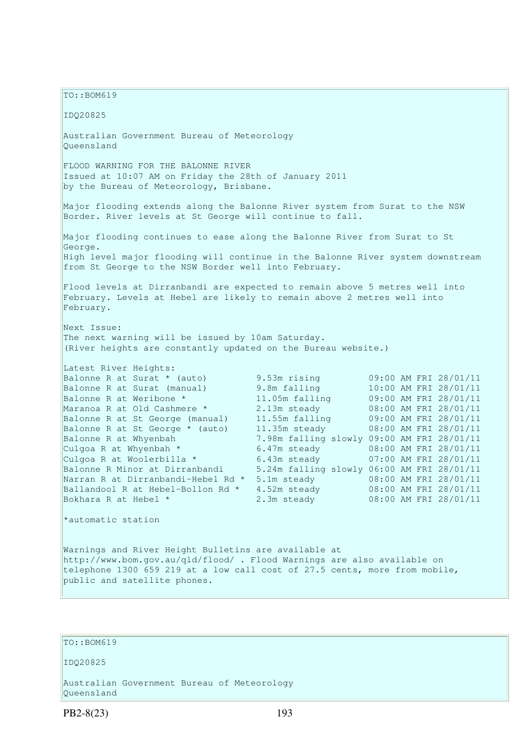$TO: **ROM619**$ IDQ20825 Australian Government Bureau of Meteorology Queensland FLOOD WARNING FOR THE BALONNE RIVER Issued at 10:07 AM on Friday the 28th of January 2011 by the Bureau of Meteorology, Brisbane. Major flooding extends along the Balonne River system from Surat to the NSW Border. River levels at St George will continue to fall. Major flooding continues to ease along the Balonne River from Surat to St George. High level major flooding will continue in the Balonne River system downstream from St George to the NSW Border well into February. Flood levels at Dirranbandi are expected to remain above 5 metres well into February. Levels at Hebel are likely to remain above 2 metres well into February. Next Issue: The next warning will be issued by 10am Saturday. (River heights are constantly updated on the Bureau website.) Latest River Heights: Balonne R at Surat \* (auto) 9.53m rising 09:00 AM FRI 28/01/11 Balonne R at Surat (manual) 9.8m falling 10:00 AM FRI 28/01/11 Balonne R at Weribone \* 11.05m falling 09:00 AM FRI 28/01/11 Maranoa R at Old Cashmere \* 2.13m steady 08:00 AM FRI 28/01/11 Balonne R at St George (manual) 11.55m falling 09:00 AM FRI 28/01/11 Balonne R at St George \* (auto) 11.35m steady 08:00 AM FRI 28/01/11 Balonne R at Whyenbah 7.98m falling slowly 09:00 AM FRI 28/01/11 Culgoa R at Whyenbah \* 6.47m steady 08:00 AM FRI 28/01/11 Culgoa R at Woolerbilla \* 6.43m steady 07:00 AM FRI 28/01/11 Balonne R Minor at Dirranbandi 5.24m falling slowly 06:00 AM FRI 28/01/11 Narran R at Dirranbandi-Hebel Rd \* 5.1m steady 08:00 AM FRI 28/01/11<br>Ballandool R at Hebel-Bollon Rd \* 4.52m steady 08:00 AM FRI 28/01/11 Ballandool R at Hebel-Bollon Rd \* 4.52m steady 08:00 AM FRI 28/01/11 Bokhara R at Hebel \* 2.3m steady 08:00 AM FRI 28/01/11 \*automatic station Warnings and River Height Bulletins are available at http://www.bom.gov.au/qld/flood/ . Flood Warnings are also available on telephone 1300 659 219 at a low call cost of 27.5 cents, more from mobile,

## $TO::BOM619$

public and satellite phones.

#### IDQ20825

Australian Government Bureau of Meteorology Queensland

PB2-8(23) 193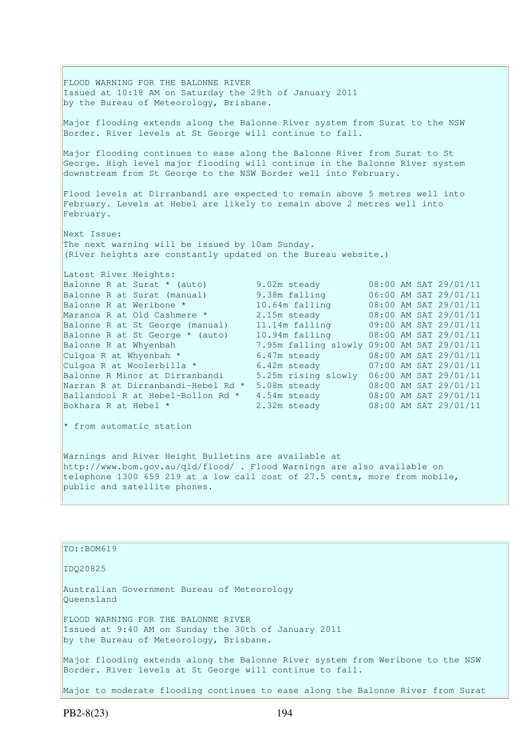FLOOD WARNING FOR THE BALONNE RIVER Issued at 10:18 AM on Saturday the 29th of January 2011 by the Bureau of Meteorology, Brisbane. Major flooding extends along the Balonne River system from Surat to the NSW Border. River levels at St George will continue to fall. Major flooding continues to ease along the Balonne River from Surat to St George. High level major flooding will continue in the Balonne River system downstream from St George to the NSW Border well into February. Flood levels at Dirranbandi are expected to remain above 5 metres well into February. Levels at Hebel are likely to remain above 2 metres well into February. Next Issue: The next warning will be issued by 10am Sunday. (River heights are constantly updated on the Bureau website.) Latest River Heights: Balonne R at Surat \* (auto) 9.02m steady 08:00 AM SAT 29/01/11 Balonne R at Surat (manual) 9.38m falling 06:00 AM SAT 29/01/11 Balonne R at Weribone \* 10.64m falling 08:00 AM SAT 29/01/11 Maranoa R at Old Cashmere \* 2.15m steady 08:00 AM SAT 29/01/11 Balonne R at St George (manual) 11.14m falling 09:00 AM SAT 29/01/11 Balonne R at St George \* (auto) 10.94m falling 08:00 AM SAT 29/01/11 Balonne R at Whyenbah 7.95m falling slowly 09:00 AM SAT 29/01/11 Culgoa R at Whyenbah  $\star$  6.47m steady 08:00 AM SAT 29/01/11 Culgoa R at Woolerbilla \* 6.42m steady 07:00 AM SAT 29/01/11 Balonne R Minor at Dirranbandi 5.25m rising slowly 06:00 AM SAT 29/01/11 Narran R at Dirranbandi-Hebel Rd \* 5.08m steady 08:00 AM SAT 29/01/11 Ballandool R at Hebel-Bollon Rd \* 4.54m steady 08:00 AM SAT 29/01/11 Bokhara R at Hebel \* 2.32m steady 08:00 AM SAT 29/01/11  $*$  from automatic station

Warnings and River Height Bulletins are available at http://www.bom.gov.au/qld/flood/ . Flood Warnings are also available on telephone 1300 659 219 at a low call cost of 27.5 cents, more from mobile, public and satellite phones.

| $TO: BOM619$                                                                                                                               |
|--------------------------------------------------------------------------------------------------------------------------------------------|
| ID020825                                                                                                                                   |
| Australian Government Bureau of Meteorology<br>Oueensland                                                                                  |
| FLOOD WARNING FOR THE BALONNE RIVER<br>Issued at 9:40 AM on Sunday the 30th of January 2011<br>by the Bureau of Meteorology, Brisbane.     |
| Major flooding extends along the Balonne River system from Weribone to the NSW<br>Border. River levels at St George will continue to fall. |
| Major to moderate flooding continues to ease along the Balonne River from Surat                                                            |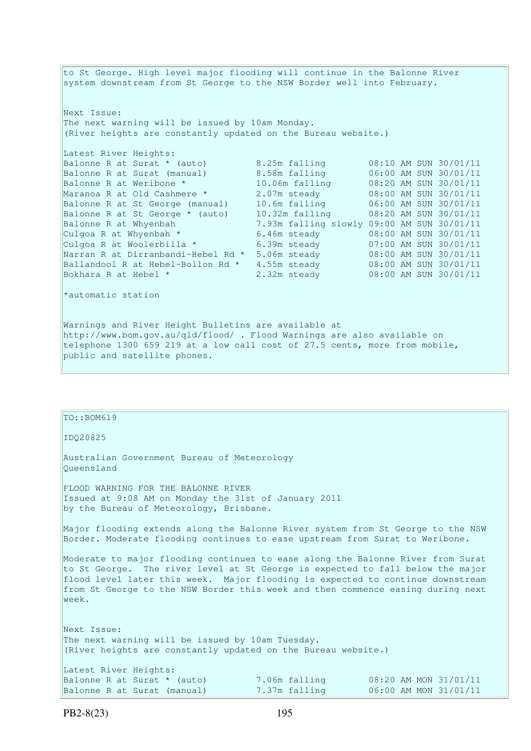to St George. High level major flooding will continue in the Balonne River system downstream from St George to the NSW Border well into February. Next Issue: The next warning will be issued by 10am Monday. (River heights are constantly updated on the Bureau website.) Latest River Heights:<br>Balonne R at Surat \* (auto)<br>Balonne R at Surat (manual) Balonne R at Surat \* (auto) 8.25m falling 08:10 AM SUN 30/01/11 Balonne R at Surat (manual) 8.58m falling 06:00 AM SUN 30/01/11 Balonne R at Weribone \* 10.06m falling 08:20 AM SUN 30/01/11 Maranoa R at Old Cashmere \* 2.07m steady 08:00 AM SUN 30/01/11 Balonne R at St George (manual) 10.6m falling 06:00 AM SUN 30/01/11 Balonne R at St George \* (auto) 10.32m falling 08:20 AM SUN 30/01/11 Balonne R at Whyenbah 7.93m falling slowly 09:00 AM SUN 30/01/11 Culgoa R at Whyenbah  $*$  6.46m steady 08:00 AM SUN 30/01/11 Culgoa R at Woolerbilla  $*$  6.39m steady 607:00 AM SUN 30/01/11 Narran R at Dirranbandi-Hebel Rd \* 5.06m steady 08:00 AM SUN 30/01/11 Ballandool R at Hebel-Bollon Rd \* 4.55m steady 08:00 AM SUN 30/01/11 Bokhara R at Hebel \* 2.32m steady 08:00 AM SUN 30/01/11 \*automatic station Warnings and River Height Bulletins are available at http://www.bom.gov.au/qld/flood/ . Flood Warnings are also available on telephone 1300 659 219 at a low call cost of 27.5 cents, more from mobile, public and satellite phones.

| TO::BOM619                                                                                                                                                                                                                                                                                                                                      |                                |                                                |  |  |
|-------------------------------------------------------------------------------------------------------------------------------------------------------------------------------------------------------------------------------------------------------------------------------------------------------------------------------------------------|--------------------------------|------------------------------------------------|--|--|
| IDQ20825                                                                                                                                                                                                                                                                                                                                        |                                |                                                |  |  |
| Australian Government Bureau of Meteorology<br>Oueensland                                                                                                                                                                                                                                                                                       |                                |                                                |  |  |
| FLOOD WARNING FOR THE BALONNE RIVER<br>Issued at 9:08 AM on Monday the 31st of January 2011<br>by the Bureau of Meteorology, Brisbane.                                                                                                                                                                                                          |                                |                                                |  |  |
| Major flooding extends along the Balonne River system from St George to the NSW<br>Border. Moderate flooding continues to ease upstream from Surat to Weribone.                                                                                                                                                                                 |                                |                                                |  |  |
| Moderate to major flooding continues to ease along the Balonne River from Surat<br>to St George. The river level at St George is expected to fall below the major<br>flood level later this week. Major flooding is expected to continue downstream<br>from St George to the NSW Border this week and then commence easing during next<br>week. |                                |                                                |  |  |
| Next Issue:<br>The next warning will be issued by 10am Tuesday.<br>(River heights are constantly updated on the Bureau website.)                                                                                                                                                                                                                |                                |                                                |  |  |
| Latest River Heights:                                                                                                                                                                                                                                                                                                                           |                                |                                                |  |  |
| Balonne R at Surat * (auto)<br>Balonne R at Surat (manual)                                                                                                                                                                                                                                                                                      | 7.06m falling<br>7.37m falling | 08:20 AM MON 31/01/11<br>06:00 AM MON 31/01/11 |  |  |